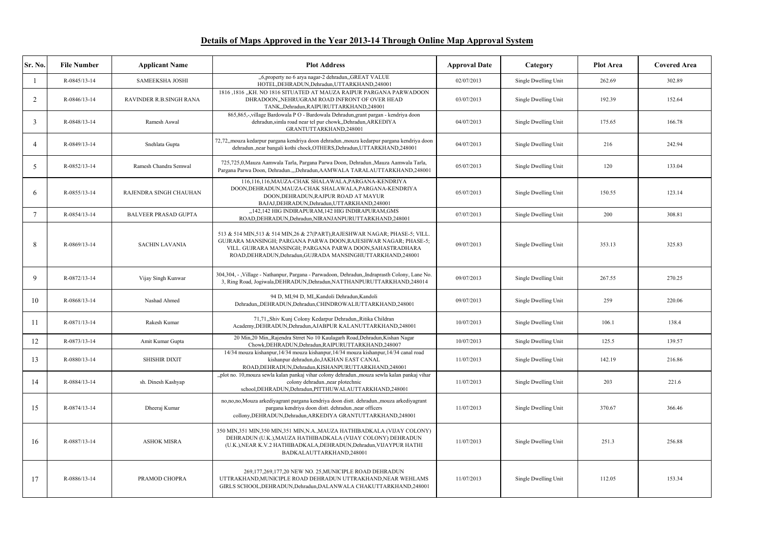| Sr. No.         | <b>File Number</b> | <b>Applicant Name</b>       | <b>Plot Address</b>                                                                                                                                                                                                                                                           | <b>Approval Date</b> | Category             | <b>Plot Area</b> | <b>Covered Area</b> |
|-----------------|--------------------|-----------------------------|-------------------------------------------------------------------------------------------------------------------------------------------------------------------------------------------------------------------------------------------------------------------------------|----------------------|----------------------|------------------|---------------------|
|                 | R-0845/13-14       | SAMEEKSHA JOSHI             | "6, property no 6 arya nagar-2 dehradun, GREAT VALUE<br>HOTEL, DEHRADUN, Dehradun, UTTARKHAND, 248001                                                                                                                                                                         | 02/07/2013           | Single Dwelling Unit | 262.69           | 302.89              |
| 2               | R-0846/13-14       | RAVINDER R.B.SINGH RANA     | 1816 ,1816 "KH. NO 1816 SITUATED AT MAUZA RAIPUR PARGANA PARWADOON<br>DHRADOON, NEHRUGRAM ROAD INFRONT OF OVER HEAD<br>TANK,,Dehradun,RAIPURUTTARKHAND,248001                                                                                                                 | 03/07/2013           | Single Dwelling Unit | 192.39           | 152.64              |
| 3               | R-0848/13-14       | Ramesh Aswal                | 865,865,-,village Bardowala PO - Bardowala Dehradun, grant pargan - kendriya doon<br>dehradun, simla road near tel pur chowk, Dehradun, ARKEDIYA<br>GRANTUTTARKHAND,248001                                                                                                    | 04/07/2013           | Single Dwelling Unit | 175.65           | 166.78              |
| $\overline{A}$  | R-0849/13-14       | Snehlata Gupta              | 72,72, mouza kedarpur pargana kendriya doon dehradun. mouza kedarpur pargana kendriya doon<br>dehradun., near bangali kothi chock, OTHERS, Dehradun, UTTARKHAND, 248001                                                                                                       | 04/07/2013           | Single Dwelling Unit | 216              | 242.94              |
| 5               | R-0852/13-14       | Ramesh Chandra Semwal       | 725,725,0, Mauza Aamwala Tarla, Pargana Parwa Doon, Dehradun., Mauza Aamwala Tarla,<br>Pargana Parwa Doon, Dehradun.,,,Dehradun,AAMWALA TARALAUTTARKHAND,248001                                                                                                               | 05/07/2013           | Single Dwelling Unit | 120              | 133.04              |
| 6               | R-0855/13-14       | RAJENDRA SINGH CHAUHAN      | 116,116,116, MAUZA-CHAK SHALAWALA, PARGANA-KENDRIYA<br>DOON, DEHRADUN, MAUZA-CHAK SHALAWALA, PARGANA-KENDRIYA<br>DOON, DEHRADUN, RAJPUR ROAD AT MAYUR<br>BAJAJ, DEHRADUN, Dehradun, UTTARKHAND, 248001                                                                        | 05/07/2013           | Single Dwelling Unit | 150.55           | 123.14              |
| 7               | R-0854/13-14       | <b>BALVEER PRASAD GUPTA</b> | ,142,142 HIG INDIRAPURAM,142 HIG INDIRAPURAM,GMS<br>ROAD, DEHRADUN, Dehradun, NIRANJANPURUTTARKHAND, 248001                                                                                                                                                                   | 07/07/2013           | Single Dwelling Unit | 200              | 308.81              |
| 8               | R-0869/13-14       | <b>SACHIN LAVANIA</b>       | 513 & 514 MIN, 513 & 514 MIN, 26 & 27 (PART), RAJESHWAR NAGAR; PHASE-5; VILL.<br>GUJRARA MANSINGH; PARGANA PARWA DOON, RAJESHWAR NAGAR; PHASE-5;<br>VILL. GUJRARA MANSINGH; PARGANA PARWA DOON, SAHASTRADHARA<br>ROAD, DEHRADUN, Dehradun, GUJRADA MANSINGHUTTARKHAND, 248001 | 09/07/2013           | Single Dwelling Unit | 353.13           | 325.83              |
| 9               | R-0872/13-14       | Vijay Singh Kunwar          | 304,304, - , Village - Nathanpur, Pargana - Parwadoon, Dehradun, Indraprasth Colony, Lane No.<br>3, Ring Road, Jogiwala, DEHRADUN, Dehradun, NATTHANPURUTTARKHAND, 248014                                                                                                     | 09/07/2013           | Single Dwelling Unit | 267.55           | 270.25              |
| 10              | R-0868/13-14       | Nashad Ahmed                | 94 D, MI,94 D, MI,,Kandoli Dehradun,Kandoli<br>Dehradun, DEHRADUN, Dehradun, CHINDROWALIUTTARKHAND, 248001                                                                                                                                                                    | 09/07/2013           | Single Dwelling Unit | 259              | 220.06              |
| -11             | R-0871/13-14       | Rakesh Kumar                | 71,71,,Shiv Kunj Colony Kedarpur Dehradun,,Ritika Childran<br>Academy, DEHRADUN, Dehradun, AJABPUR KALANUTTARKHAND, 248001                                                                                                                                                    | 10/07/2013           | Single Dwelling Unit | 106.1            | 138.4               |
| 12 <sup>°</sup> | R-0873/13-14       | Amit Kumar Gupta            | 20 Min, 20 Min, Rajendra Strret No 10 Kaulagarh Road, Dehradun, Kishan Nagar<br>Chowk, DEHRADUN, Dehradun, RAIPURUTTARKHAND, 248007                                                                                                                                           | 10/07/2013           | Single Dwelling Unit | 125.5            | 139.57              |
| 13              | R-0880/13-14       | <b>SHISHIR DIXIT</b>        | 14/34 mouza kishanpur, 14/34 mouza kishanpur, 14/34 mouza kishanpur, 14/34 canal road<br>kishanpur dehradun, do, JAKHAN EAST CANAL<br>ROAD, DEHRADUN, Dehradun, KISHANPURUTTARKHAND, 248001                                                                                   | 11/07/2013           | Single Dwelling Unit | 142.19           | 216.86              |
| 14              | R-0884/13-14       | sh. Dinesh Kashyap          | "plot no. 10, mouza sewla kalan pankaj vihar colony dehradun., mouza sewla kalan pankaj vihar<br>colony dehradun., near plotechnic<br>school, DEHRADUN, Dehradun, PITTHUWALAUTTARKHAND, 248001                                                                                | 11/07/2013           | Single Dwelling Unit | 203              | 221.6               |
| 15              | R-0874/13-14       | Dheeraj Kumar               | no,no,no,Mouza arkediyagrant pargana kendriya doon distt. dehradun.,mouza arkediyagrant<br>pargana kendriya doon distt. dehradun., near officers<br>collony, DEHRADUN, Dehradun, ARKEDIYA GRANTUTTARKHAND, 248001                                                             | 11/07/2013           | Single Dwelling Unit | 370.67           | 366.46              |
| 16              | R-0887/13-14       | <b>ASHOK MISRA</b>          | 350 MIN, 351 MIN, 350 MIN, 351 MIN, N.A., MAUZA HATHIBADKALA (VIJAY COLONY)<br>DEHRADUN (U.K.), MAUZA HATHIBADKALA (VIJAY COLONY) DEHRADUN<br>(U.K.), NEAR K.V.2 HATHIBADKALA, DEHRADUN, Dehradun, VIJAYPUR HATHI<br>BADKALAUTTARKHAND,248001                                 | 11/07/2013           | Single Dwelling Unit | 251.3            | 256.88              |
| 17              | R-0886/13-14       | PRAMOD CHOPRA               | 269,177,269,177,20 NEW NO. 25, MUNICIPLE ROAD DEHRADUN<br>UTTRAKHAND, MUNICIPLE ROAD DEHRADUN UTTRAKHAND, NEAR WEHLAMS<br>GIRLS SCHOOL, DEHRADUN, Dehradun, DALANWALA CHAKUTTARKHAND, 248001                                                                                  | 11/07/2013           | Single Dwelling Unit | 112.05           | 153.34              |

## **Details of Maps Approved in the Year 2013-14 Through Online Map Approval System**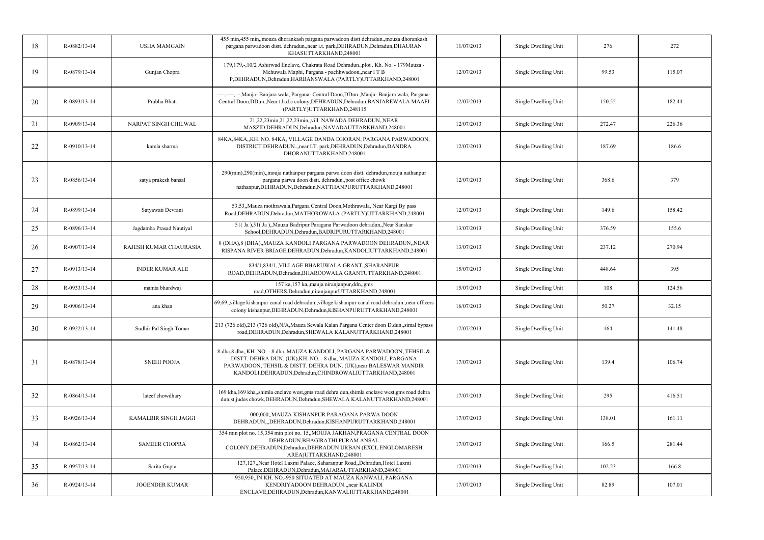| 18 | R-0882/13-14   | <b>USHA MAMGAIN</b>      | 455 min,455 min,,mouza dhorankash pargana parwadoon distt dehradun.,mouza dhorankash<br>pargana parwadoon distt. dehradun.,near i.t. park,DEHRADUN,Dehradun,DHAURAN<br>KHASUTTARKHAND,248001                                                                                   | 11/07/2013 | Single Dwelling Unit | 276    | 272    |
|----|----------------|--------------------------|--------------------------------------------------------------------------------------------------------------------------------------------------------------------------------------------------------------------------------------------------------------------------------|------------|----------------------|--------|--------|
| 19 | R-0879/13-14   | Gunjan Chopra            | 179,179,-,10/2 Ashirwad Enclave, Chakrata Road Dehradun.,plot. Kh. No. - 179Mauza -<br>Mehuwala Maphi, Pargana - pachhwadoon, near ITB<br>P,DEHRADUN,Dehradun,HARBANSWALA (PARTLY)UTTARKHAND,248001                                                                            | 12/07/2013 | Single Dwelling Unit | 99.53  | 115.07 |
| 20 | R-0893/13-14   | Prabha Bhatt             | ----,---, --, Mauja- Banjara wala, Pargana- Central Doon, DDun., Mauja- Banjara wala, Pargana-<br>Central Doon, DDun., Near t.h.d.c colony, DEHRADUN, Dehradun, BANJAREWALA MAAFI<br>(PARTLY)UTTARKHAND,248115                                                                 | 12/07/2013 | Single Dwelling Unit | 150.55 | 182.44 |
| 21 | R-0909/13-14   | NARPAT SINGH CHILWAL     | 21,22,23min,21,22,23min,,vill. NAWADA DEHRADUN,,NEAR<br>MASZID, DEHRADUN, Dehradun, NAVADAUTTARKHAND, 248001                                                                                                                                                                   | 12/07/2013 | Single Dwelling Unit | 272.47 | 226.36 |
| 22 | $R-0910/13-14$ | kamla sharma             | 84KA, 84KA, KH. NO. 84KA, VILLAGE DANDA DHORAN, PARGANA PARWADOON,<br>DISTRICT DEHRADUN., near I.T. park, DEHRADUN, Dehradun, DANDRA<br>DHORANUTTARKHAND,248001                                                                                                                | 12/07/2013 | Single Dwelling Unit | 187.69 | 186.6  |
| 23 | R-0856/13-14   | satya prakesh bansal     | 290(min),290(min),,mouja nathanpur pargana parwa doon distt. dehradun,mouja nathanpur<br>pargana parwa doon distt. dehradun., post office chowk<br>nathanpur, DEHRADUN, Dehradun, NATTHANPURUTTARKHAND, 248001                                                                 | 12/07/2013 | Single Dwelling Unit | 368.6  | 379    |
| 24 | R-0899/13-14   | Satyawati Devrani        | 53,53, Mauza mothrawala, Pargana Central Doon, Mothrawala, Near Kargi By pass<br>Road, DEHRADUN, Dehradun, MATHOROWALA (PARTLY) UTTARKHAND, 248001                                                                                                                             | 12/07/2013 | Single Dwelling Unit | 149.6  | 158.42 |
| 25 | R-0896/13-14   | Jagdamba Prasad Nautiyal | 51(Ja),51(Ja),,Mauza Badripur Paragana Parwadoon dehradun,,Near Sanskar<br>School, DEHRADUN, Dehradun, BADRIPURUTTARKHAND, 248001                                                                                                                                              | 13/07/2013 | Single Dwelling Unit | 376.59 | 155.6  |
| 26 | R-0907/13-14   | RAJESH KUMAR CHAURASIA   | 8 (DHA), 8 (DHA), MAUZA KANDOLI PARGANA PARWADOON DEHRADUN, NEAR<br>RISPANA RIVER BRIAGE, DEHRADUN, Dehradun, KANDOLIUTTARKHAND, 248001                                                                                                                                        | 13/07/2013 | Single Dwelling Unit | 237.12 | 270.94 |
| 27 | R-0913/13-14   | <b>INDER KUMAR ALE</b>   | 834/1,834/1,,VILLAGE BHARUWALA GRANT,,SHARANPUR<br>ROAD, DEHRADUN, Dehradun, BHAROOWALA GRANTUTTARKHAND, 248001                                                                                                                                                                | 15/07/2013 | Single Dwelling Unit | 448.64 | 395    |
| 28 | R-0933/13-14   | mamta bhardwaj           | 157 ka,157 ka, mauja niranjanpur, ddn, gms<br>road, OTHERS, Dehradun, niranjanpur UTTARKHAND, 248001                                                                                                                                                                           | 15/07/2013 | Single Dwelling Unit | 108    | 124.56 |
| 29 | R-0906/13-14   | ana khan                 | 69,69, village kishanpur canal road dehradun., village kishanpur canal road dehradun., near cfficers<br>colony kishanpur, DEHRADUN, Dehradun, KISHANPURUTTARKHAND, 248001                                                                                                      | 16/07/2013 | Single Dwelling Unit | 50.27  | 32.15  |
| 30 | R-0922/13-14   | Sudhir Pal Singh Tomar   | 213 (726 old),213 (726 old),N/A,Mauza Sewala Kalan Pargana Center doon D.dun,,simal bypass<br>road, DEHRADUN, Dehradun, SHEWALA KALANUTTARKHAND, 248001                                                                                                                        | 17/07/2013 | Single Dwelling Unit | 164    | 141.48 |
| 31 | R-0878/13-14   | <b>SNEHI POOJA</b>       | 8 dha, 8 dha, KH. NO. - 8 dha, MAUZA KANDOLI, PARGANA PARWADOON, TEHSIL &<br>DISTT. DEHRA DUN. (UK), KH. NO. - 8 dha, MAUZA KANDOLI, PARGANA<br>PARWADOON, TEHSIL & DISTT. DEHRA DUN. (UK), near BALESWAR MANDIR<br>KANDOLI, DEHRADUN, Dehradun, CHINDROWALIUTTARKHAND, 248001 | 17/07/2013 | Single Dwelling Unit | 139.4  | 106.74 |
| 32 | R-0864/13-14   | lateef chowdhary         | 169 kha, 169 kha, shimla enclave west, gms road dehra dun, shimla enclave west, gms road dehra<br>dun, st. judes chowk, DEHRADUN, Dehradun, SHEWALA KALANUTTARKHAND, 248001                                                                                                    | 17/07/2013 | Single Dwelling Unit | 295    | 416.51 |
| 33 | R-0926/13-14   | KAMALBIR SINGH JAGGI     | 000,000,,MAUZA KISHANPUR PARAGANA PARWA DOON<br>DEHRADUN, "DEHRADUN, Dehradun, KISHANPURUTTARKHAND, 248001                                                                                                                                                                     | 17/07/2013 | Single Dwelling Unit | 138.01 | 161.11 |
| 34 | R-0862/13-14   | <b>SAMEER CHOPRA</b>     | 354 min plot no. 15,354 min plot no. 15,,MOUJA JAKHAN,PRAGANA CENTRAL DOON<br>DEHRADUN, BHAGIRATHI PURAM ANSAL<br>COLONY, DEHRADUN, Dehradun, DEHRADUN URBAN (EXCL. ENGLOMARESH<br>AREA)UTTARKHAND,248001                                                                      | 17/07/2013 | Single Dwelling Unit | 166.5  | 281.44 |
| 35 | R-0957/13-14   | Sarita Gupta             | 127,127,,Near Hotel Laxmi Palace, Saharanpur Road,,Dehradun,Hotel Laxmi<br>Palace, DEHRADUN, Dehradun, MAJARAUTTARKHAND, 248001                                                                                                                                                | 17/07/2013 | Single Dwelling Unit | 102.23 | 166.8  |
| 36 | R-0924/13-14   | <b>JOGENDER KUMAR</b>    | 950,950, IN KH. NO.-950 SITUATED AT MAUZA KANWALI, PARGANA<br>KENDRIYADOON DEHRADUN., near KALINDI<br>ENCLAVE, DEHRADUN, Dehradun, KANWALIUTTARKHAND, 248001                                                                                                                   | 17/07/2013 | Single Dwelling Unit | 82.89  | 107.01 |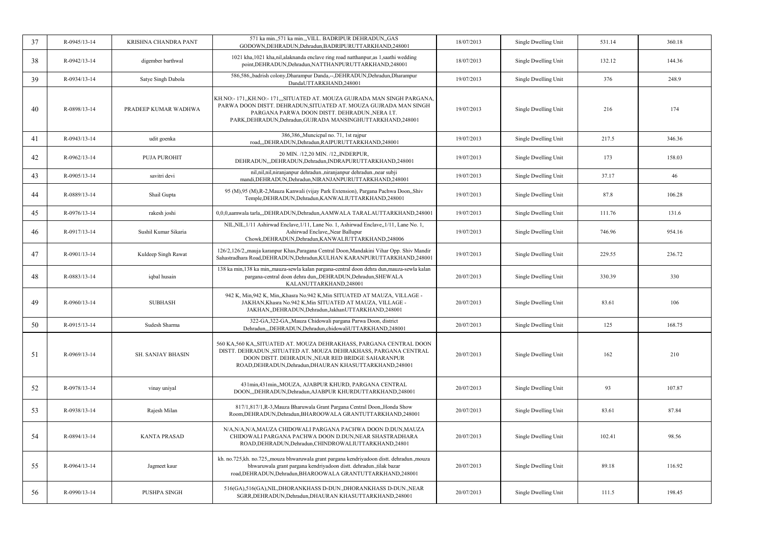| 37 | R-0945/13-14 | KRISHNA CHANDRA PANT     | 571 ka min., 571 ka min., VILL. BADRIPUR DEHRADUN, GAS<br>GODOWN, DEHRADUN, Dehradun, BADRIPURUTTARKHAND, 248001                                                                                                                                               | 18/07/2013 | Single Dwelling Unit | 531.14 | 360.18 |
|----|--------------|--------------------------|----------------------------------------------------------------------------------------------------------------------------------------------------------------------------------------------------------------------------------------------------------------|------------|----------------------|--------|--------|
| 38 | R-0942/13-14 | digember barthwal        | 1021 kha, 1021 kha, nil, alaknanda enclave ring road natthanpur, as 1, saathi wedding<br>point, DEHRADUN, Dehradun, NATTHANPURUTTARKHAND, 248001                                                                                                               | 18/07/2013 | Single Dwelling Unit | 132.12 | 144.36 |
| 39 | R-0934/13-14 | Satye Singh Dabola       | 586,586, badrish colony, Dharampur Danda,--, DEHRADUN, Dehradun, Dharampur<br>DandaUTTARKHAND,248001                                                                                                                                                           | 19/07/2013 | Single Dwelling Unit | 376    | 248.9  |
| 40 | R-0898/13-14 | PRADEEP KUMAR WADHWA     | KH.NO:- 171,,KH.NO:- 171,,,SITUATED AT. MOUZA GUJRADA MAN SINGH PARGANA,<br>PARWA DOON DISTT. DEHRADUN, SITUATED AT. MOUZA GUJRADA MAN SINGH<br>PARGANA PARWA DOON DISTT. DEHRADUN., NERA I.T.<br>PARK, DEHRADUN, Dehradun, GUJRADA MANSINGHUTTARKHAND, 248001 | 19/07/2013 | Single Dwelling Unit | 216    | 174    |
| 41 | R-0943/13-14 | udit goenka              | 386,386,,Muncicpal no. 71, 1st rajpur<br>road,,,DEHRADUN,Dehradun,RAIPURUTTARKHAND,248001                                                                                                                                                                      | 19/07/2013 | Single Dwelling Unit | 217.5  | 346.36 |
| 42 | R-0962/13-14 | <b>PUJA PUROHIT</b>      | 20 MIN. /12,20 MIN. /12, INDERPUR,<br>DEHRADUN, "DEHRADUN, Dehradun, INDRAPURUTTARKHAND, 248001                                                                                                                                                                | 19/07/2013 | Single Dwelling Unit | 173    | 158.03 |
| 43 | R-0905/13-14 | savitri devi             | nil,nil,nil,niranjanpur dehradun.,niranjanpur dehradun.,near subji<br>mandi, DEHRADUN, Dehradun, NIRANJANPURUTTARKHAND, 248001                                                                                                                                 | 19/07/2013 | Single Dwelling Unit | 37.17  | 46     |
| 44 | R-0889/13-14 | Shail Gupta              | 95 (M), 95 (M), R-2, Mauza Kanwali (vijay Park Extension), Pargana Pachwa Doon, Shiv<br>Temple, DEHRADUN, Dehradun, KANWALIUTTARKHAND, 248001                                                                                                                  | 19/07/2013 | Single Dwelling Unit | 87.8   | 106.28 |
| 45 | R-0976/13-14 | rakesh joshi             | 0,0,0,aamwala tarla,,,DEHRADUN,Dehradun,AAMWALA TARALAUTTARKHAND,248001                                                                                                                                                                                        | 19/07/2013 | Single Dwelling Unit | 111.76 | 131.6  |
| 46 | R-0917/13-14 | Sushil Kumar Sikaria     | NIL, NIL, 1/11 Ashirwad Enclave, 1/11, Lane No. 1, Ashirwad Enclave, 1/11, Lane No. 1,<br>Ashirwad Enclave,, Near Ballupur<br>Chowk, DEHRADUN, Dehradun, KANWALIUTTARKHAND, 248006                                                                             | 19/07/2013 | Single Dwelling Unit | 746.96 | 954.16 |
| 47 | R-0901/13-14 | Kuldeep Singh Rawat      | 126/2,126/2, mauja karanpur Khas, Paragana Central Doon, Mandakini Vihar Opp. Shiv Mandir<br>Sahastradhara Road, DEHRADUN, Dehradun, KULHAN KARANPURUTTARKHAND, 248001                                                                                         | 19/07/2013 | Single Dwelling Unit | 229.55 | 236.72 |
| 48 | R-0883/13-14 | iqbal husain             | 138 ka min, 138 ka min, mauza-sewla kalan pargana-central doon dehra dun, mauza-sewla kalan<br>pargana-central doon dehra dun, DEHRADUN, Dehradun, SHEWALA<br>KALANUTTARKHAND,248001                                                                           | 20/07/2013 | Single Dwelling Unit | 330.39 | 330    |
| 49 | R-0960/13-14 | <b>SUBHASH</b>           | 942 K, Min, 942 K, Min, Khasra No. 942 K, Min SITUATED AT MAUZA, VILLAGE -<br>JAKHAN, Khasra No.942 K, Min SITUATED AT MAUZA, VILLAGE -<br>JAKHAN, DEHRADUN, Dehradun, JakhanUTTARKHAND, 248001                                                                | 20/07/2013 | Single Dwelling Unit | 83.61  | 106    |
| 50 | R-0915/13-14 | Sudesh Sharma            | 322-GA,322-GA,,Mauza Chidowali pargana Parwa Doon, district<br>Dehradun,,,DEHRADUN,Dehradun,chidowaliUTTARKHAND,248001                                                                                                                                         | 20/07/2013 | Single Dwelling Unit | 125    | 168.75 |
| 51 | R-0969/13-14 | <b>SH. SANJAY BHASIN</b> | 560 KA, 560 KA, SITUATED AT. MOUZA DEHRAKHASS, PARGANA CENTRAL DOON<br>DISTT. DEHRADUN., SITUATED AT. MOUZA DEHRAKHASS, PARGANA CENTRAL<br>DOON DISTT. DEHRADUN., NEAR RED BRIDGE SAHARANPUR<br>ROAD, DEHRADUN, Dehradun, DHAURAN KHASUTTARKHAND, 248001       | 20/07/2013 | Single Dwelling Unit | 162    | 210    |
| 52 | R-0978/13-14 | vinay uniyal             | 431min,431min,,MOUZA, AJABPUR KHURD, PARGANA CENTRAL<br>DOON,,,DEHRADUN,Dehradun,AJABPUR KHURDUTTARKHAND,248001                                                                                                                                                | 20/07/2013 | Single Dwelling Unit | 93     | 107.87 |
| 53 | R-0938/13-14 | Rajesh Milan             | 817/1,817/1,R-3,Mauza Bharuwala Grant Pargana Central Doon,,Honda Show<br>Room, DEHRADUN, Dehradun, BHAROOWALA GRANTUTTARKHAND, 248001                                                                                                                         | 20/07/2013 | Single Dwelling Unit | 83.61  | 87.84  |
| 54 | R-0894/13-14 | <b>KANTA PRASAD</b>      | N/A,N/A,N/A,MAUZA CHIDOWALI PARGANA PACHWA DOON D.DUN,MAUZA<br>CHIDOWALI PARGANA PACHWA DOON D.DUN, NEAR SHASTRADHARA<br>ROAD, DEHRADUN, Dehradun, CHINDROWALIUTTARKHAND, 24801                                                                                | 20/07/2013 | Single Dwelling Unit | 102.41 | 98.56  |
| 55 | R-0964/13-14 | Jagmeet kaur             | kh. no.725,kh. no.725,,mouza bhwaruwala grant pargana kendriyadoon distt. dehradun.,mouza<br>bhwaruwala grant pargana kendriyadoon distt. dehradun.,tilak bazar<br>road, DEHRADUN, Dehradun, BHAROOWALA GRANTUTTARKHAND, 248001                                | 20/07/2013 | Single Dwelling Unit | 89.18  | 116.92 |
| 56 | R-0990/13-14 | PUSHPA SINGH             | 516(GA),516(GA),NIL,DHORANKHASS D-DUN.,DHORANKHASS D-DUN.,NEAR<br>SGRR, DEHRADUN, Dehradun, DHAURAN KHASUTTARKHAND, 248001                                                                                                                                     | 20/07/2013 | Single Dwelling Unit | 111.5  | 198.45 |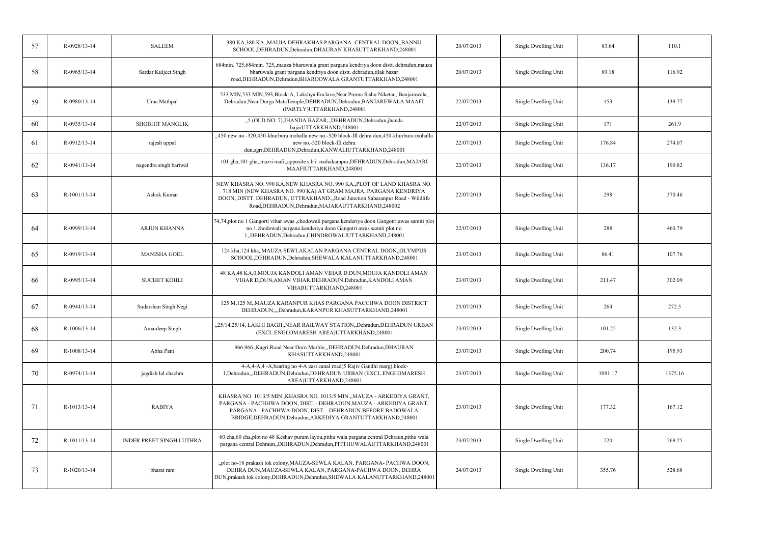| 57 | R-0928/13-14 | <b>SALEEM</b>            | 380 KA,380 KA,,MAUJA DEHRAKHAS PARGANA- CENTRAL DOON,,BANNU<br>SCHOOL, DEHRADUN, Dehradun, DHAURAN KHASUTTARKHAND, 248001                                                                                                                                                     | 20/07/2013 | Single Dwelling Unit | 83.64   | 110.1   |
|----|--------------|--------------------------|-------------------------------------------------------------------------------------------------------------------------------------------------------------------------------------------------------------------------------------------------------------------------------|------------|----------------------|---------|---------|
| 58 | R-0965/13-14 | Sardar Kuljeet Singh     | 684min. 725,684min. 725,,mauza bharuwala grant pargana kendriya doon distt. dehradun,mauza<br>bharuwala grant pargana kendriya doon distt. dehradun, tilak bazar<br>road, DEHRADUN, Dehradun, BHAROOWALA GRANTUTTARKHAND, 248001                                              | 20/07/2013 | Single Dwelling Unit | 89.18   | 116.92  |
| 59 | R-0980/13-14 | Uma Mathpal              | 533 MIN,533 MIN,593, Block-A, Lakshya Enclave, Near Prerna Sishu Niketan, Banjarawala,<br>Dehradun, Near Durga MataTemple, DEHRADUN, Dehradun, BANJAREWALA MAAFI<br>(PARTLY)UTTARKHAND,248001                                                                                 | 22/07/2013 | Single Dwelling Unit | 153     | 139.77  |
| 60 | R-0935/13-14 | <b>SHOBHIT MANGLIK</b>   | "5 (OLD NO. 7), JHANDA BAZAR, "DEHRADUN, Dehradun, jhanda<br>bajarUTTARKHAND,248001                                                                                                                                                                                           | 22/07/2013 | Single Dwelling Unit | 171     | 261.9   |
| 61 | R-0912/13-14 | rajesh uppal             | "450 new no.-320,450-khurbura mohalla new no.-320 block-III dehra dun,450-khurbura mohalla<br>new no.-320 block-III dehra<br>dun,sgrr,DEHRADUN,Dehradun,KANWALIUTTARKHAND,248001                                                                                              | 22/07/2013 | Single Dwelling Unit | 176.84  | 274.07  |
| 62 | R-0941/13-14 | nagendra singh bartwal   | 101 gha,101 gha,,mazri mafi,,apposite s.b.i. mohakampur,DEHRADUN,Dehradun,MAJARI<br>MAAFIUTTARKHAND,248001                                                                                                                                                                    | 22/07/2013 | Single Dwelling Unit | 136.17  | 190.82  |
| 63 | R-1001/13-14 | <b>Ashok Kumar</b>       | NEW KHASRA NO. 990 KA,NEW KHASRA NO. 990 KA,,PLOT OF LAND KHASRA NO.<br>718 MIN (NEW KHASRA NO. 990 KA) AT GRAM MAJRA, PARGANA KENDRIYA<br>DOON, DISTT. DEHRADUN, UTTRAKHAND.,,Road Junction Saharanpur Road - Wildlife<br>Road, DEHRADUN, Dehradun, MAJARAUTTARKHAND, 248002 | 22/07/2013 | Single Dwelling Unit | 298     | 370.46  |
| 64 | R-0999/13-14 | <b>ARJUN KHANNA</b>      | 74,74,plot no 1 Gangorti vihar awas ,chodowali pargana kenderiya doon Gangotri awas samiti plot<br>no 1,chodowali pargana kenderiya doon Gangotri awas samiti plot no<br>1,,DEHRADUN,Dehradun,CHINDROWALIUTTARKHAND,248001                                                    | 22/07/2013 | Single Dwelling Unit | 288     | 460.79  |
| 65 | R-0919/13-14 | <b>MANISHA GOEL</b>      | 124 kha,124 kha,,MAUZA SEWLAKALAN PARGANA CENTRAL DOON,,OLYMPUS<br>SCHOOL, DEHRADUN, Dehradun, SHEWALA KALANUTTARKHAND, 248001                                                                                                                                                | 23/07/2013 | Single Dwelling Unit | 86.41   | 107.76  |
| 66 | R-0995/13-14 | <b>SUCHET KOHLI</b>      | 48 KA,48 KA,0,MOUJA KANDOLI AMAN VIHAR D.DUN,MOUJA KANDOLI AMAN<br>VIHAR D,DUN, AMAN VIHAR, DEHRADUN, Dehradun, KANDOLI AMAN<br>VIHARUTTARKHAND,248001                                                                                                                        | 23/07/2013 | Single Dwelling Unit | 211.47  | 302.09  |
| 67 | R-0944/13-14 | Sudarshan Singh Negi     | 125 M,125 M, MAUZA KARANPUR KHAS PARGANA PACCHWA DOON DISTRICT<br>DEHRADUN,,,,Dehradun,KARANPUR KHASUTTARKHAND,248001                                                                                                                                                         | 23/07/2013 | Single Dwelling Unit | 264     | 272.5   |
| 68 | R-1006/13-14 | Amardeep Singh           | "25/14,25/14, LAKHI BAGH, NEAR RAILWAY STATION, Dehradun, DEHRADUN URBAN<br>(EXCL.ENGLOMARESH AREA)UTTARKHAND,248001                                                                                                                                                          | 23/07/2013 | Single Dwelling Unit | 101.25  | 132.3   |
| 69 | R-1008/13-14 | Abha Pant                | 966,966, Kagri Road Near Dorn Marble, , DEHRADUN, Dehradun, DHAURAN<br>KHASUTTARKHAND,248001                                                                                                                                                                                  | 23/07/2013 | Single Dwelling Unit | 200.74  | 195.93  |
| 70 | R-0974/13-14 | jagdish lal chachra      | 4-A,4-A,4 -A, bearing no 4-A east canal road(5 Rajiv Gandhi marg), block-<br>1, Dehradun, "DEHRADUN, Dehradun, DEHRADUN URBAN (EXCL.ENGLOMARESH<br>AREA)UTTARKHAND,248001                                                                                                     | 23/07/2013 | Single Dwelling Unit | 1091.17 | 1375.16 |
| 71 | R-1013/13-14 | <b>RABIYA</b>            | KHASRA NO. 1013/5 MIN., KHASRA NO. 1013/5 MIN., , MAUZA - ARKEDIYA GRANT,<br>PARGANA - PACHHWA DOON, DIST. - DEHRADUN, MAUZA - ARKEDIYA GRANT,<br>PARGANA - PACHHWA DOON, DIST. - DEHRADUN, BEFORE BADOWALA<br>BRIDGE, DEHRADUN, Dehradun, ARKEDIYA GRANTUTTARKHAND, 248001   | 23/07/2013 | Single Dwelling Unit | 177.32  | 167.12  |
| 72 | R-1011/13-14 | INDER PREET SINGH LUTHRA | 60 cha,60 cha,plot no 48 Keshav puram layou,pithu wala pargana central Dehraun,pithu wala<br>pargana central Dehraun, DEHRADUN, Dehradun, PITTHUWALAUTTARKHAND, 248001                                                                                                        | 23/07/2013 | Single Dwelling Unit | 220     | 269.25  |
| 73 | R-1020/13-14 | bharat ram               | "plot no-18 prakash lok colony, MAUZA-SEWLA KALAN, PARGANA-PACHWA DOON,<br>DEHRA DUN, MAUZA-SEWLA KALAN, PARGANA-PACHWA DOON, DEHRA<br>DUN, prakash lok colony, DEHRADUN, Dehradun, SHEWALA KALANUTTARKHAND, 248001                                                           | 24/07/2013 | Single Dwelling Unit | 355.76  | 528.68  |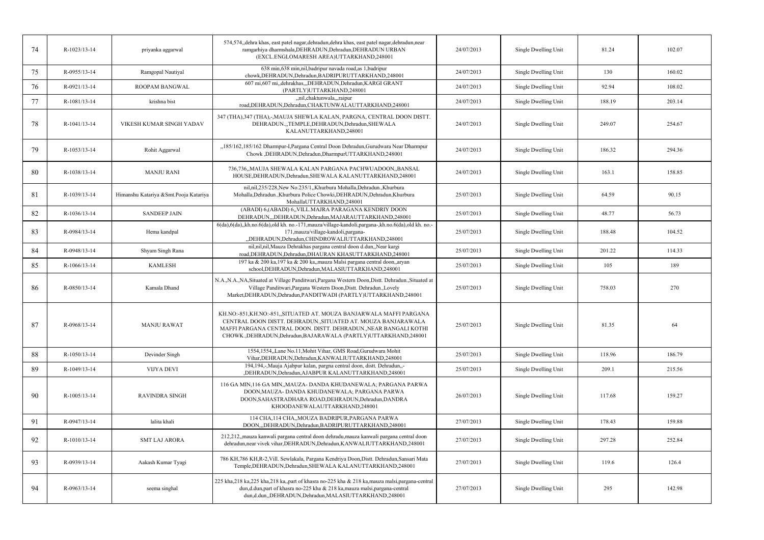| 74 | R-1023/13-14   | priyanka aggarwal                     | 574,574,,dehra khas, east patel nagar,dehradun,dehra khas, east patel nagar,dehradun,near<br>ramgarhiya dharmshala, DEHRADUN, Dehradun, DEHRADUN URBAN<br>(EXCL.ENGLOMARESH AREA)UTTARKHAND,248001                                                                            | 24/07/2013 | Single Dwelling Unit | 81.24  | 102.07 |
|----|----------------|---------------------------------------|-------------------------------------------------------------------------------------------------------------------------------------------------------------------------------------------------------------------------------------------------------------------------------|------------|----------------------|--------|--------|
| 75 | R-0955/13-14   | Ramgopal Nautiyal                     | 638 min, 638 min, nil, badripur navada road, as 1, badripur<br>chowk, DEHRADUN, Dehradun, BADRIPURUTTARKHAND, 248001                                                                                                                                                          | 24/07/2013 | Single Dwelling Unit | 130    | 160.02 |
| 76 | R-0921/13-14   | ROOPAM BANGWAL                        | 607 mi,607 mi,,dehrakhas,,,DEHRADUN,Dehradun,KARGI GRANT<br>(PARTLY)UTTARKHAND,248001                                                                                                                                                                                         | 24/07/2013 | Single Dwelling Unit | 92.94  | 108.02 |
| 77 | R-1081/13-14   | krishna bist                          | "nil,chaktunwala",raipur<br>road, DEHRADUN, Dehradun, CHAKTUNWALAUTTARKHAND, 248001                                                                                                                                                                                           | 24/07/2013 | Single Dwelling Unit | 188.19 | 203.14 |
| 78 | R-1041/13-14   | VIKESH KUMAR SINGH YADAV              | 347 (THA), 347 (THA), -, MAUJA SHEWLA KALAN, PARGNA, CENTRAL DOON DISTT.<br>DEHRADUN.,,TEMPLE,DEHRADUN,Dehradun,SHEWALA<br>KALANUTTARKHAND,248001                                                                                                                             | 24/07/2013 | Single Dwelling Unit | 249.07 | 254.67 |
| 79 | R-1053/13-14   | Rohit Aggarwal                        | "185/162,185/162 Dharmpur-I, Pargana Central Doon Dehradun, Gurudwara Near Dharmpur<br>Chowk , DEHRADUN, Dehradun, DharmpurUTTARKHAND, 248001                                                                                                                                 | 24/07/2013 | Single Dwelling Unit | 186.32 | 294.36 |
| 80 | R-1038/13-14   | <b>MANJU RANI</b>                     | 736.736. MAUJA SHEWALA KALAN PARGANA PACHWUADOON. BANSAL<br>HOUSE, DEHRADUN, Dehradun, SHEWALA KALANUTTARKHAND, 248001                                                                                                                                                        | 24/07/2013 | Single Dwelling Unit | 163.1  | 158.85 |
| 81 | R-1039/13-14   | Himanshu Katariya &Smt.Pooja Katariya | nil,nil,235/228,New No.235/1,,Khurbura Mohalla,Dehradun.,Khurbura<br>Mohalla, Dehradun., Khurbura Police Chowki, DEHRADUN, Dehradun, Khurbura<br>MohallaUTTARKHAND.248001                                                                                                     | 25/07/2013 | Single Dwelling Unit | 64.59  | 90.15  |
| 82 | R-1036/13-14   | <b>SANDEEP JAIN</b>                   | (ABADI) 6, (ABADI) 6, VILL.MAJRA PARAGANA KENDRIY DOON<br>DEHRADUN,,,DEHRADUN,Dehradun,MAJARAUTTARKHAND,248001                                                                                                                                                                | 25/07/2013 | Single Dwelling Unit | 48.77  | 56.73  |
| 83 | R-0984/13-14   | Hema kandpal                          | 6(da),6(da),kh.no.6(da),old kh. no.-171,mauza/village-kandoli,pargana-,kh.no.6(da),old kh. no.-<br>171, mauza/village-kandoli, pargana-<br>"DEHRADUN, Dehradun, CHINDROWALIUTTARKHAND, 248001                                                                                 | 25/07/2013 | Single Dwelling Unit | 188.48 | 104.52 |
| 84 | R-0948/13-14   | Shyam Singh Rana                      | nil,nil,nil,Mauza Dehrakhas pargana central doon d.dun,,Near kargi<br>road, DEHRADUN, Dehradun, DHAURAN KHASUTTARKHAND, 248001                                                                                                                                                | 25/07/2013 | Single Dwelling Unit | 201.22 | 114.33 |
| 85 | $R-1066/13-14$ | <b>KAMLESH</b>                        | 197 ka & 200 ka,197 ka & 200 ka,,mauza Malsi pargana central doon,,aryan<br>school, DEHRADUN, Dehradun, MALASIUTTARKHAND, 248001                                                                                                                                              | 25/07/2013 | Single Dwelling Unit | 105    | 189    |
| 86 | R-0850/13-14   | Kamala Dhand                          | N.A., N.A., NA, Situated at Village Panditwari, Pargana Western Doon, Distt. Dehradun., Situated at<br>Village Panditwari, Pargana Western Doon, Distt. Dehradun., Lovely<br>Market, DEHRADUN, Dehradun, PANDITWADI (PARTLY) UTTARKHAND, 248001                               | 25/07/2013 | Single Dwelling Unit | 758.03 | 270    |
| 87 | R-0968/13-14   | <b>MANJU RAWAT</b>                    | KH.NO:-851,KH.NO:-851,,SITUATED AT. MOUZA BANJARWALA MAFFI PARGANA<br>CENTRAL DOON DISTT. DEHRADUN., SITUATED AT. MOUZA BANJARAWALA<br>MAFFI PARGANA CENTRAL DOON. DISTT. DEHRADUN., NEAR BANGALI KOTHI<br>CHOWK., DEHRADUN, Dehradun, BAJARAWALA (PARTLY) UTTARKHAND, 248001 | 25/07/2013 | Single Dwelling Unit | 81.35  | 64     |
| 88 | R-1050/13-14   | Devinder Singh                        | 1554,1554, Lane No.11, Mohit Vihar, GMS Road, Gurudwara Mohit<br>Vihar, DEHRADUN, Dehradun, KANWALIUTTARKHAND, 248001                                                                                                                                                         | 25/07/2013 | Single Dwelling Unit | 118.96 | 186.79 |
| 89 | R-1049/13-14   | VIJYA DEVI                            | 194,194,-,Mauja Ajabpur kalan, pargna central doon, distt. Dehradun,,-<br>,DEHRADUN,Dehradun,AJABPUR KALANUTTARKHAND,248001                                                                                                                                                   | 25/07/2013 | Single Dwelling Unit | 209.1  | 215.56 |
| 90 | R-1005/13-14   | <b>RAVINDRA SINGH</b>                 | 116 GA MIN,116 GA MIN,,MAUZA- DANDA KHUDANEWALA; PARGANA PARWA<br>DOON, MAUZA- DANDA KHUDANEWALA; PARGANA PARWA<br>DOON, SAHASTRADHARA ROAD, DEHRADUN, Dehradun, DANDRA<br>KHOODANEWALAUTTARKHAND,248001                                                                      | 26/07/2013 | Single Dwelling Unit | 117.68 | 159.27 |
| 91 | R-0947/13-14   | lalita khali                          | 114 CHA,114 CHA,,MOUZA BADRIPUR,PARGANA PARWA<br>DOON,,,DEHRADUN,Dehradun,BADRIPURUTTARKHAND,248001                                                                                                                                                                           | 27/07/2013 | Single Dwelling Unit | 178.43 | 159.88 |
| 92 | R-1010/13-14   | <b>SMT LAJ ARORA</b>                  | 212,212, mauza kanwali pargana central doon dehradu, mauza kanwali pargana central doon<br>dehradun, near vivek vihar, DEHRADUN, Dehradun, KANWALIUTTARKHAND, 248001                                                                                                          | 27/07/2013 | Single Dwelling Unit | 297.28 | 252.84 |
| 93 | R-0939/13-14   | Aakash Kumar Tyagi                    | 786 KH, 786 KH, R-2, Vill. Sewlakala, Pargana Kendriya Doon, Distt. Dehradun, Sansari Mata<br>Temple, DEHRADUN, Dehradun, SHEWALA KALANUTTARKHAND, 248001                                                                                                                     | 27/07/2013 | Single Dwelling Unit | 119.6  | 126.4  |
| 94 | R-0963/13-14   | seema singhal                         | 225 kha, 218 ka, 225 kha, 218 ka, part of khasra no-225 kha & 218 ka, mauza malsi, pargana-central<br>dun,d.dun,part of khasra no-225 kha & 218 ka,mauza malsi,pargana-central<br>dun,d.dun,,DEHRADUN,Dehradun,MALASIUTTARKHAND,248001                                        | 27/07/2013 | Single Dwelling Unit | 295    | 142.98 |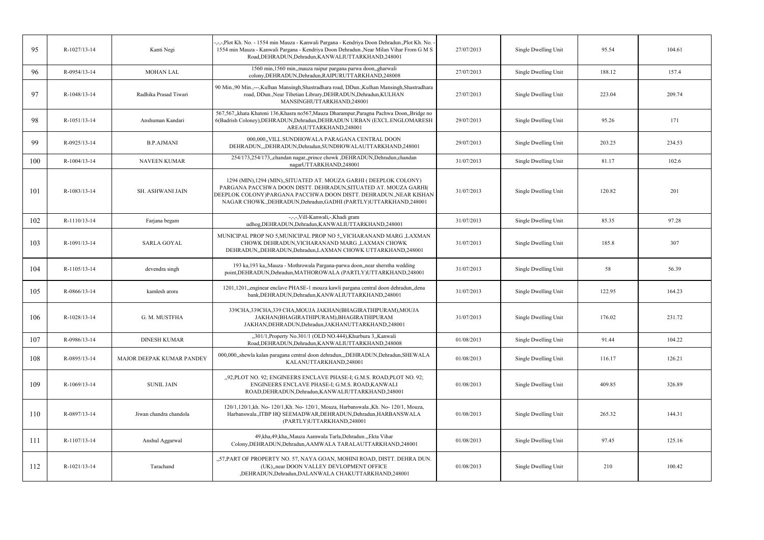| 95  | R-1027/13-14   | Kanti Negi                | -,-,-,Plot Kh. No. - 1554 min Mauza - Kanwali Pargana - Kendriya Doon Dehradun.,Plot Kh. No.<br>1554 min Mauza - Kanwali Pargana - Kendriya Doon Dehradun., Near Milan Vihar From G M S<br>Road, DEHRADUN, Dehradun, KANWALIUTTARKHAND, 248001                                    | 27/07/2013 | Single Dwelling Unit | 95.54  | 104.61 |
|-----|----------------|---------------------------|-----------------------------------------------------------------------------------------------------------------------------------------------------------------------------------------------------------------------------------------------------------------------------------|------------|----------------------|--------|--------|
| 96  | R-0954/13-14   | <b>MOHAN LAL</b>          | 1560 min,1560 min, mauza raipur pargana parwa doon, gharwali<br>colony, DEHRADUN, Dehradun, RAIPURUTTARKHAND, 248008                                                                                                                                                              | 27/07/2013 | Single Dwelling Unit | 188.12 | 157.4  |
| 97  | R-1048/13-14   | Radhika Prasad Tiwari     | 90 Min.,90 Min.,---,Kulhan Mansingh,Shastradhara road, DDun.,Kulhan Mansingh,Shastradhara<br>road, DDun., Near Tibetian Library, DEHRADUN, Dehradun, KULHAN<br>MANSINGHUTTARKHAND,248001                                                                                          | 27/07/2013 | Single Dwelling Unit | 223.04 | 209.74 |
| 98  | R-1051/13-14   | Anshuman Kandari          | 567,567, khata Khatoni 136, Khasra no 567, Mauza Dharampur, Paragna Pachwa Doon, Bridge no<br>6(Badrish Coloney), DEHRADUN, Dehradun, DEHRADUN URBAN (EXCL.ENGLOMARESH<br>AREA)UTTARKHAND,248001                                                                                  | 29/07/2013 | Single Dwelling Unit | 95.26  | 171    |
| 99  | R-0925/13-14   | <b>B.P.AJMANI</b>         | 000,000, VILL.SUNDHOWALA PARAGANA CENTRAL DOON<br>DEHRADUN,,,DEHRADUN,Dehradun,SUNDHOWALAUTTARKHAND,248001                                                                                                                                                                        | 29/07/2013 | Single Dwelling Unit | 203.25 | 234.53 |
| 100 | $R-1004/13-14$ | <b>NAVEEN KUMAR</b>       | 254/173,254/173,chandan nagar,prince chowk ,DEHRADUN,Dehradun,chandan<br>nagarUTTARKHAND,248001                                                                                                                                                                                   | 31/07/2013 | Single Dwelling Unit | 81.17  | 102.6  |
| 101 | R-1083/13-14   | <b>SH. ASHWANI JAIN</b>   | 1294 (MIN), 1294 (MIN), SITUATED AT. MOUZA GARHI ( DEEPLOK COLONY)<br>PARGANA PACCHWA DOON DISTT. DEHRADUN, SITUATED AT. MOUZA GARHI(<br>DEEPLOK COLONY)PARGANA PACCHWA DOON DISTT. DEHRADUN., NEAR KISHAN<br>NAGAR CHOWK., DEHRADUN, Dehradun, GADHI (PARTLY) UTTARKHAND, 248001 | 31/07/2013 | Single Dwelling Unit | 120.82 | 201    |
| 102 | R-1110/13-14   | Farjana begam             | -,-,-,Vill-Kanwali,-,Khadi gram<br>udhog, DEHRADUN, Dehradun, KANWALIUTTARKHAND, 248001                                                                                                                                                                                           | 31/07/2013 | Single Dwelling Unit | 85.35  | 97.28  |
| 103 | R-1091/13-14   | <b>SARLA GOYAL</b>        | MUNICIPAL PROP NO 5, MUNICIPAL PROP NO 5, VICHARANAND MARG , LAXMAN<br>CHOWK DEHRADUN, VICHARANAND MARG , LAXMAN CHOWK<br>DEHRADUN, DEHRADUN, Dehradun, LAXMAN CHOWK UTTARKHAND, 248001                                                                                           | 31/07/2013 | Single Dwelling Unit | 185.8  | 307    |
| 104 | R-1105/13-14   | devendra singh            | 193 ka, 193 ka, Mauza - Mothrowala Pargana-parwa doon, near sherstha wedding<br>point, DEHRADUN, Dehradun, MATHOROWALA (PARTLY) UTTARKHAND, 248001                                                                                                                                | 31/07/2013 | Single Dwelling Unit | 58     | 56.39  |
| 105 | R-0866/13-14   | kamlesh arora             | 1201,1201, enginear enclave PHASE-1 mouza kawli pargana central doon dehradun, dena<br>bank, DEHRADUN, Dehradun, KANWALIUTTARKHAND, 248001                                                                                                                                        | 31/07/2013 | Single Dwelling Unit | 122.95 | 164.23 |
| 106 | R-1028/13-14   | G. M. MUSTFHA             | 339CHA, 339CHA, 339 CHA, MOUJA JAKHAN (BHAGIRATHIPURAM), MOUJA<br>JAKHAN(BHAGIRATHIPURAM), BHAGIRATHIPURAM<br>JAKHAN, DEHRADUN, Dehradun, JAKHANUTTARKHAND, 248001                                                                                                                | 31/07/2013 | Single Dwelling Unit | 176.02 | 231.72 |
| 107 | R-0986/13-14   | <b>DINESH KUMAR</b>       | "301/1, Property No.301/1 (OLD NO.444), Khurbura 3, Kanwali<br>Road, DEHRADUN, Dehradun, KANWALIUTTARKHAND, 248008                                                                                                                                                                | 01/08/2013 | Single Dwelling Unit | 91.44  | 104.22 |
| 108 | R-0895/13-14   | MAJOR DEEPAK KUMAR PANDEY | 000,000,,shewla kalan paragana central doon dehradun,,,DEHRADUN,Dehradun,SHEWALA<br>KALANUTTARKHAND,248001                                                                                                                                                                        | 01/08/2013 | Single Dwelling Unit | 116.17 | 126.21 |
| 109 | R-1069/13-14   | <b>SUNIL JAIN</b>         | "92, PLOT NO. 92; ENGINEERS ENCLAVE PHASE-I; G.M.S. ROAD, PLOT NO. 92;<br>ENGINEERS ENCLAVE PHASE-I; G.M.S. ROAD, KANWALI<br>ROAD, DEHRADUN, Dehradun, KANWALIUTTARKHAND, 248001                                                                                                  | 01/08/2013 | Single Dwelling Unit | 409.85 | 326.89 |
| 110 | R-0897/13-14   | Jiwan chandra chandola    | 120/1,120/1,kh. No- 120/1,Kh. No- 120/1, Mouza, Harbanswala.,Kh. No- 120/1, Mouza,<br>Harbanswala., ITBP HQ SEEMADWAR, DEHRADUN, Dehradun, HARBANSWALA<br>(PARTLY)UTTARKHAND,248001                                                                                               | 01/08/2013 | Single Dwelling Unit | 265.32 | 144.31 |
| 111 | R-1107/13-14   | Anshul Aggarwal           | 49, kha, 49, kha, Mauza Aamwala Tarla, Dehradun., Ekta Vihar<br>Colony, DEHRADUN, Dehradun, AAMWALA TARALAUTTARKHAND, 248001                                                                                                                                                      | 01/08/2013 | Single Dwelling Unit | 97.45  | 125.16 |
| 112 | R-1021/13-14   | Tarachand                 | "57, PART OF PROPERTY NO. 57, NAYA GOAN, MOHINI ROAD, DISTT. DEHRA DUN.<br>(UK), near DOON VALLEY DEVLOPMENT OFFICE<br>,DEHRADUN,Dehradun,DALANWALA CHAKUTTARKHAND,248001                                                                                                         | 01/08/2013 | Single Dwelling Unit | 210    | 100.42 |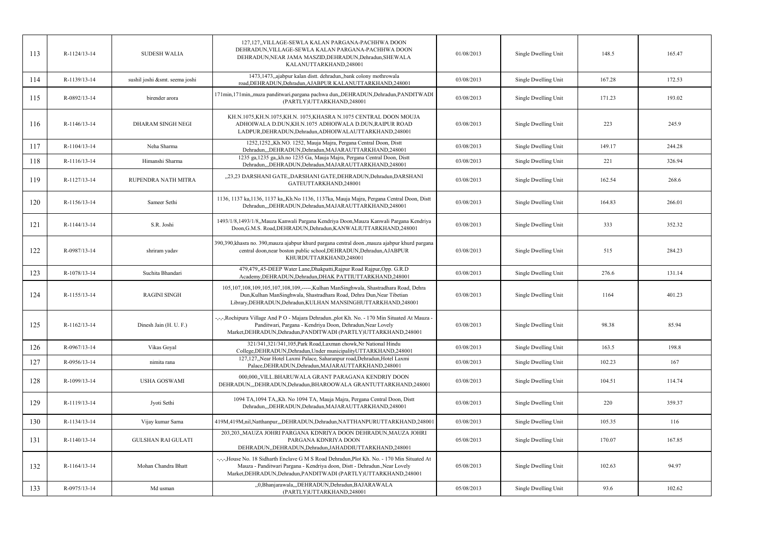| 113 | R-1124/13-14 | <b>SUDESH WALIA</b>            | 127,127,,VILLAGE-SEWLA KALAN PARGANA-PACHHWA DOON<br>DEHRADUN, VILLAGE-SEWLA KALAN PARGANA-PACHHWA DOON<br>DEHRADUN, NEAR JAMA MASZID, DEHRADUN, Dehradun, SHEWALA<br>KALANUTTARKHAND,248001                                                    | 01/08/2013 | Single Dwelling Unit | 148.5  | 165.47 |
|-----|--------------|--------------------------------|-------------------------------------------------------------------------------------------------------------------------------------------------------------------------------------------------------------------------------------------------|------------|----------------------|--------|--------|
| 114 | R-1139/13-14 | sushil joshi &smt. seema joshi | 1473,1473, ajabpur kalan distt. dehradun, bank colony mothrowala<br>road, DEHRADUN, Dehradun, AJABPUR KALANUTTARKHAND, 248001                                                                                                                   | 03/08/2013 | Single Dwelling Unit | 167.28 | 172.53 |
| 115 | R-0892/13-14 | birender arora                 | 171min, 171min, muza panditwari, pargana pachwa dun, DEHRADUN, Dehradun, PANDITWADI<br>(PARTLY)UTTARKHAND,248001                                                                                                                                | 03/08/2013 | Single Dwelling Unit | 171.23 | 193.02 |
| 116 | R-1146/13-14 | DHARAM SINGH NEGI              | KH.N.1075,KH.N.1075,KH.N. 1075,KHASRA N.1075 CENTRAL DOON MOUJA<br>ADHOIWALA D.DUN, KH.N.1075 ADHOIWALA D.DUN, RAIPUR ROAD<br>LADPUR, DEHRADUN, Dehradun, ADHOIWALAUTTARKHAND, 248001                                                           | 03/08/2013 | Single Dwelling Unit | 223    | 245.9  |
| 117 | R-1104/13-14 | Neha Sharma                    | 1252,1252, Kh.NO. 1252, Mauja Majra, Pergana Central Doon, Distt<br>Dehradun,,,DEHRADUN,Dehradun,MAJARAUTTARKHAND,248001                                                                                                                        | 03/08/2013 | Single Dwelling Unit | 149.17 | 244.28 |
| 118 | R-1116/13-14 | Himanshi Sharma                | 1235 ga,1235 ga,,kh.no 1235 Ga, Mauja Majra, Pergana Central Doon, Distt<br>Dehradun,,,DEHRADUN,Dehradun,MAJARAUTTARKHAND,248001                                                                                                                | 03/08/2013 | Single Dwelling Unit | 221    | 326.94 |
| 119 | R-1127/13-14 | RUPENDRA NATH MITRA            | "23,23 DARSHANI GATE, DARSHANI GATE, DEHRADUN, Dehradun, DARSHANI<br>GATEUTTARKHAND,248001                                                                                                                                                      | 03/08/2013 | Single Dwelling Unit | 162.54 | 268.6  |
| 120 | R-1156/13-14 | Sameer Sethi                   | 1136, 1137 ka, 1136, 1137 ka, Kh. No 1136, 1137 ka, Mauja Majra, Pergana Central Doon, Distt<br>Dehradun,,,DEHRADUN,Dehradun,MAJARAUTTARKHAND,248001                                                                                            | 03/08/2013 | Single Dwelling Unit | 164.83 | 266.01 |
| 121 | R-1144/13-14 | S.R. Joshi                     | 1493/1/8,1493/1/8, Mauza Kanwali Pargana Kendriya Doon, Mauza Kanwali Pargana Kendriya<br>Doon, G.M.S. Road, DEHRADUN, Dehradun, KANWALIUTTARKHAND, 248001                                                                                      | 03/08/2013 | Single Dwelling Unit | 333    | 352.32 |
| 122 | R-0987/13-14 | shriram yadav                  | 390,390, khasra no. 390, mauza ajabpur khurd pargana central doon., mauza ajabpur khurd pargana<br>central doon, near boston public school, DEHRADUN, Dehradun, AJABPUR<br>KHURDUTTARKHAND,248001                                               | 03/08/2013 | Single Dwelling Unit | 515    | 284.23 |
| 123 | R-1078/13-14 | Suchita Bhandari               | 479,479,,45-DEEP Water Lane, Dhakpatti, Rajpur Road Rajpur, Opp. G.R.D<br>Academy, DEHRADUN, Dehradun, DHAK PATTIUTTARKHAND, 248001                                                                                                             | 03/08/2013 | Single Dwelling Unit | 276.6  | 131.14 |
| 124 | R-1155/13-14 | <b>RAGINI SINGH</b>            | 105,107,108,109,105,107,108,109,-----, Kulhan ManSinghwala, Shastradhara Road, Dehra<br>Dun, Kulhan ManSinghwala, Shastradhara Road, Dehra Dun, Near Tibetian<br>Library, DEHRADUN, Dehradun, KULHAN MANSINGHUTTARKHAND, 248001                 | 03/08/2013 | Single Dwelling Unit | 1164   | 401.23 |
| 125 | R-1162/13-14 | Dinesh Jain (H. U. F.)         | -,-,-,Rochipura Village And P O - Majara Dehradun.,plot Kh. No. - 170 Min Situated At Mauza<br>Panditwari, Pargana - Kendriya Doon, Dehradun, Near Lovely<br>Market, DEHRADUN, Dehradun, PANDITWADI (PARTLY) UTTARKHAND, 248001                 | 03/08/2013 | Single Dwelling Unit | 98.38  | 85.94  |
| 126 | R-0967/13-14 | Vikas Goyal                    | 321/341,321/341,105, Park Road, Laxman chowk, Nr National Hindu<br>College, DEHRADUN, Dehradun, Under municipality UTTARKHAND, 248001                                                                                                           | 03/08/2013 | Single Dwelling Unit | 163.5  | 198.8  |
| 127 | R-0956/13-14 | nimita rana                    | 127,127, Near Hotel Laxmi Palace, Saharanpur road, Dehradun, Hotel Laxmi<br>Palace, DEHRADUN, Dehradun, MAJARAUTTARKHAND, 248001                                                                                                                | 03/08/2013 | Single Dwelling Unit | 102.23 | 167    |
| 128 | R-1099/13-14 | <b>USHA GOSWAMI</b>            | 000,000, VILL.BHARUWALA GRANT PARAGANA KENDRIY DOON<br>DEHRADUN,"DEHRADUN, Dehradun, BHAROOWALA GRANTUTTARKHAND, 248001                                                                                                                         | 03/08/2013 | Single Dwelling Unit | 104.51 | 114.74 |
| 129 | R-1119/13-14 | Jyoti Sethi                    | 1094 TA,1094 TA,,Kh. No 1094 TA, Mauja Majra, Pergana Central Doon, Distt<br>Dehradun,,,DEHRADUN,Dehradun,MAJARAUTTARKHAND,248001                                                                                                               | 03/08/2013 | Single Dwelling Unit | 220    | 359.37 |
| 130 | R-1134/13-14 | Vijay kumar Sarna              | 419M,419M,nil,Natthanpur,,,DEHRADUN,Dehradun,NATTHANPURUTTARKHAND,248001                                                                                                                                                                        | 03/08/2013 | Single Dwelling Unit | 105.35 | 116    |
| 131 | R-1140/13-14 | <b>GULSHAN RAI GULATI</b>      | 203,203,,MAUZA JOHRI PARGANA KDNRIYA DOON DEHRADUN,MAUZA JOHRI<br>PARGANA KDNRIYA DOON<br>DEHRADUN, DEHRADUN, Dehradun, JAHADDIUTTARKHAND, 248001                                                                                               | 05/08/2013 | Single Dwelling Unit | 170.07 | 167.85 |
| 132 | R-1164/13-14 | Mohan Chandra Bhatt            | -,-,-,House No. 18 Sidharth Enclave G M S Road Dehradun, Plot Kh. No. - 170 Min Situated At<br>Mauza - Panditwari Pargana - Kendriya doon, Distt - Dehradun., Near Lovely<br>Market, DEHRADUN, Dehradun, PANDITWADI (PARTLY) UTTARKHAND, 248001 | 05/08/2013 | Single Dwelling Unit | 102.63 | 94.97  |
| 133 | R-0975/13-14 | Md usman                       | "0,Bhanjarawala,"DEHRADUN,Dehradun,BAJARAWALA<br>(PARTLY)UTTARKHAND,248001                                                                                                                                                                      | 05/08/2013 | Single Dwelling Unit | 93.6   | 102.62 |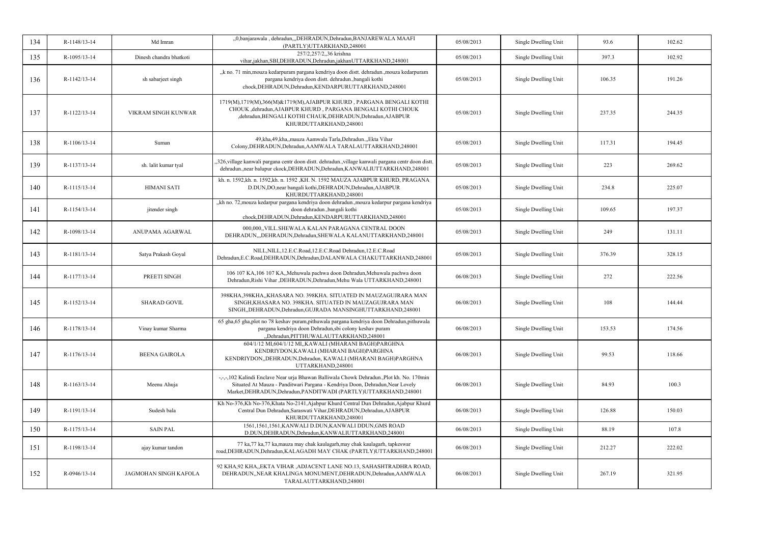| 134 | R-1148/13-14 | Md Imran                | "0,banjarawala, dehradun,"DEHRADUN,Dehradun,BANJAREWALA MAAFI<br>(PARTLY)UTTARKHAND,248001                                                                                                                                                      | 05/08/2013 | Single Dwelling Unit | 93.6   | 102.62 |
|-----|--------------|-------------------------|-------------------------------------------------------------------------------------------------------------------------------------------------------------------------------------------------------------------------------------------------|------------|----------------------|--------|--------|
| 135 | R-1095/13-14 | Dinesh chandra bhatkoti | 257/2,257/2,,36 krishna<br>vihar,jakhan,SBI,DEHRADUN,Dehradun,jakhanUTTARKHAND,248001                                                                                                                                                           | 05/08/2013 | Single Dwelling Unit | 397.3  | 102.92 |
| 136 | R-1142/13-14 | sh sabarjeet singh      | "k no. 71 min, mouza kedarpuram pargana kendriya doon distt. dehradun., mouza kedarpuram<br>pargana kendriya doon distt. dehradun., bangali kothi<br>chock, DEHRADUN, Dehradun, KENDARPURUTTARKHAND, 248001                                     | 05/08/2013 | Single Dwelling Unit | 106.35 | 191.26 |
| 137 | R-1122/13-14 | VIKRAM SINGH KUNWAR     | 1719(M),1719(M),366(M)&1719(M),AJABPUR KHURD, PARGANA BENGALI KOTHI<br>CHOUK ,dehradun, AJABPUR KHURD, PARGANA BENGALI KOTHI CHOUK<br>,dehradun, BENGALI KOTHI CHAUK, DEHRADUN, Dehradun, AJABPUR<br>KHURDUTTARKHAND,248001                     | 05/08/2013 | Single Dwelling Unit | 237.35 | 244.35 |
| 138 | R-1106/13-14 | Suman                   | 49, kha, 49, kha, mauza Aamwala Tarla, Dehradun, Ekta Vihar<br>Colony, DEHRADUN, Dehradun, AAMWALA TARALAUTTARKHAND, 248001                                                                                                                     | 05/08/2013 | Single Dwelling Unit | 117.31 | 194.45 |
| 139 | R-1137/13-14 | sh. lalit kumar tyal    | ,326, village kanwali pargana centr doon distt. dehradun., village kanwali pargana centr doon distt.<br>dehradun.,near balupur ckock,DEHRADUN,Dehradun,KANWALIUTTARKHAND,248001                                                                 | 05/08/2013 | Single Dwelling Unit | 223    | 269.62 |
| 140 | R-1115/13-14 | <b>HIMANI SATI</b>      | kh. n. 1592, kh. n. 1592, kh. n. 1592, KH. N. 1592 MAUZA AJABPUR KHURD, PRAGANA<br>D.DUN,DO,near bangali kothi,DEHRADUN,Dehradun,AJABPUR<br>KHURDUTTARKHAND,248001                                                                              | 05/08/2013 | Single Dwelling Unit | 234.8  | 225.07 |
| 141 | R-1154/13-14 | jitender singh          | "kh no. 72, mouza kedarpur pargana kendriya doon dehradun., mouza kedarpur pargana kendriya<br>doon dehradun., bangali kothi<br>chock, DEHRADUN, Dehradun, KENDARPURUTTARKHAND, 248001                                                          | 05/08/2013 | Single Dwelling Unit | 109.65 | 197.37 |
| 142 | R-1098/13-14 | ANUPAMA AGARWAL         | 000,000, VILL.SHEWALA KALAN PARAGANA CENTRAL DOON<br>DEHRADUN,"DEHRADUN,Dehradun,SHEWALA KALANUTTARKHAND,248001                                                                                                                                 | 05/08/2013 | Single Dwelling Unit | 249    | 131.11 |
| 143 | R-1181/13-14 | Satya Prakash Goyal     | NILL, NILL, 12.E.C.Road, 12.E.C.Road Dehradun, 12.E.C.Road<br>Dehradun, E.C.Road, DEHRADUN, Dehradun, DALANWALA CHAKUTTARKHAND, 248001                                                                                                          | 05/08/2013 | Single Dwelling Unit | 376.39 | 328.15 |
| 144 | R-1177/13-14 | PREETI SINGH            | 106 107 KA, 106 107 KA, Mehuwala pachwa doon Dehradun, Mehuwala pachwa doon<br>Dehradun, Rishi Vihar, DEHRADUN, Dehradun, Mehu Wala UTTARKHAND, 248001                                                                                          | 06/08/2013 | Single Dwelling Unit | 272    | 222.56 |
| 145 | R-1152/13-14 | <b>SHARAD GOVIL</b>     | 398KHA, 398KHA,, KHASARA NO. 398KHA. SITUATED IN MAUZAGUJRARA MAN<br>SINGH, KHASARA NO. 398KHA. SITUATED IN MAUZAGUJRARA MAN<br>SINGH, DEHRADUN, Dehradun, GUJRADA MANSINGHUTTARKHAND, 248001                                                   | 06/08/2013 | Single Dwelling Unit | 108    | 144.44 |
| 146 | R-1178/13-14 | Vinay kumar Sharma      | 65 gha,65 gha,plot no 78 keshav puram,pithuwala pargana kendriya doon Dehradun,pithuwala<br>pargana kendriya doon Dehradun,sbi colony keshav puram<br>"Dehradun, PITTHUWALAUTTARKHAND, 248001                                                   | 06/08/2013 | Single Dwelling Unit | 153.53 | 174.56 |
| 147 | R-1176/13-14 | <b>BEENA GAIROLA</b>    | 604/1/12 MI,604/1/12 MI,,KAWALI (MHARANI BAGH)PARGHNA<br>KENDRIYDON, KAWALI (MHARANI BAGH)PARGHNA<br>KENDRIYDON, DEHRADUN, Dehradun, KAWALI (MHARANI BAGH)PARGHNA<br>UTTARKHAND,248001                                                          | 06/08/2013 | Single Dwelling Unit | 99.53  | 118.66 |
| 148 | R-1163/13-14 | Meenu Ahuja             | -,-,-,102 Kalindi Enclave Near urja Bhawan Balliwala Chowk Dehradun.,Plot kh. No. 170min<br>Situated At Mauza - Panditwari Pargana - Kendriya Doon, Dehradun, Near Lovely<br>Market, DEHRADUN, Dehradun, PANDITWADI (PARTLY) UTTARKHAND, 248001 | 06/08/2013 | Single Dwelling Unit | 84.93  | 100.3  |
| 149 | R-1191/13-14 | Sudesh bala             | Kh No-376, Kh No-376, Khata No-2141, Ajabpur Khurd Central Dun Dehradun, Ajabpur Khurd<br>Central Dun Dehradun, Saraswati Vihar, DEHRADUN, Dehradun, AJABPUR<br>KHURDUTTARKHAND,248001                                                          | 06/08/2013 | Single Dwelling Unit | 126.88 | 150.03 |
| 150 | R-1175/13-14 | <b>SAIN PAL</b>         | 1561,1561,1561,KANWALI D.DUN,KANWALI DDUN,GMS ROAD<br>D.DUN, DEHRADUN, Dehradun, KANWALIUTTARKHAND, 248001                                                                                                                                      | 06/08/2013 | Single Dwelling Unit | 88.19  | 107.8  |
| 151 | R-1198/13-14 | ajay kumar tandon       | 77 ka, 77 ka, 77 ka, mauza may chak kaulagarh, may chak kaulagarh, tapkeswar<br>road, DEHRADUN, Dehradun, KALAGADH MAY CHAK (PARTLY) UTTARKHAND, 248001                                                                                         | 06/08/2013 | Single Dwelling Unit | 212.27 | 222.02 |
| 152 | R-0946/13-14 | JAGMOHAN SINGH KAFOLA   | 92 KHA,92 KHA,,EKTA VIHAR, ADJACENT LANE NO.13, SAHASHTRADHRA ROAD,<br>DEHRADUN, NEAR KHALINGA MONUMENT, DEHRADUN, Dehradun, AAMWALA<br>TARALAUTTARKHAND,248001                                                                                 | 06/08/2013 | Single Dwelling Unit | 267.19 | 321.95 |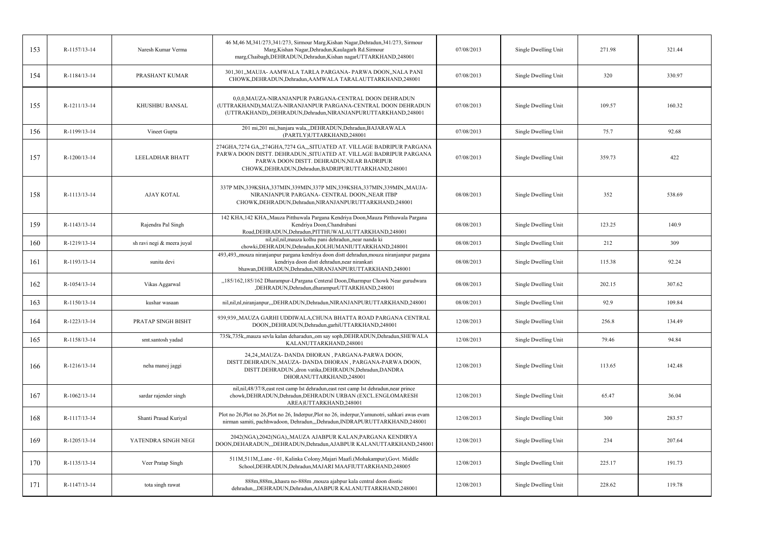| 153 | R-1157/13-14   | Naresh Kumar Verma         | 46 M, 46 M, 341/273, 341/273, Sirmour Marg, Kishan Nagar, Dehradun, 341/273, Sirmour<br>Marg, Kishan Nagar, Dehradun, Kaulagarh Rd. Sirmour<br>marg, Chaibagh, DEHRADUN, Dehradun, Kishan nagar UTTARKHAND, 248001                                 | 07/08/2013 | Single Dwelling Unit | 271.98 | 321.44 |
|-----|----------------|----------------------------|----------------------------------------------------------------------------------------------------------------------------------------------------------------------------------------------------------------------------------------------------|------------|----------------------|--------|--------|
| 154 | R-1184/13-14   | PRASHANT KUMAR             | 301,301,,MAUJA- AAMWALA TARLA PARGANA- PARWA DOON,,NALA PANI<br>CHOWK, DEHRADUN, Dehradun, AAMWALA TARALAUTTARKHAND, 248001                                                                                                                        | 07/08/2013 | Single Dwelling Unit | 320    | 330.97 |
| 155 | R-1211/13-14   | KHUSHBU BANSAL             | 0.0.0. MAUZA-NIRANJANPUR PARGANA-CENTRAL DOON DEHRADUN<br>(UTTRAKHAND), MAUZA-NIRANJANPUR PARGANA-CENTRAL DOON DEHRADUN<br>(UTTRAKHAND),,DEHRADUN,Dehradun,NIRANJANPURUTTARKHAND,248001                                                            | 07/08/2013 | Single Dwelling Unit | 109.57 | 160.32 |
| 156 | R-1199/13-14   | Vineet Gupta               | 201 mi,201 mi,,banjara wala,,,DEHRADUN,Dehradun,BAJARAWALA<br>(PARTLY)UTTARKHAND,248001                                                                                                                                                            | 07/08/2013 | Single Dwelling Unit | 75.7   | 92.68  |
| 157 | $R-1200/13-14$ | <b>LEELADHAR BHATT</b>     | 274GHA,7274 GA,,274GHA,7274 GA,,,SITUATED AT. VILLAGE BADRIPUR PARGANA<br>PARWA DOON DISTT. DEHRADUN., SITUATED AT. VILLAGE BADRIPUR PARGANA<br>PARWA DOON DISTT. DEHRADUN, NEAR BADRIPUR<br>CHOWK, DEHRADUN, Dehradun, BADRIPURUTTARKHAND, 248001 | 07/08/2013 | Single Dwelling Unit | 359.73 | 422    |
| 158 | R-1113/13-14   | <b>AJAY KOTAL</b>          | 337P MIN,339KSHA,337MIN,339MIN,337P MIN,339KSHA,337MIN,339MIN,,MAUJA-<br>NIRANJANPUR PARGANA- CENTRAL DOON, NEAR ITBP<br>CHOWK, DEHRADUN, Dehradun, NIRANJANPURUTTARKHAND, 248001                                                                  | 08/08/2013 | Single Dwelling Unit | 352    | 538.69 |
| 159 | R-1143/13-14   | Rajendra Pal Singh         | 142 KHA, 142 KHA,,Mauza Pitthuwala Pargana Kendriya Doon,Mauza Pitthuwala Pargana<br>Kendriya Doon, Chandrabani<br>Road, DEHRADUN, Dehradun, PITTHUWALAUTTARKHAND, 248001                                                                          | 08/08/2013 | Single Dwelling Unit | 123.25 | 140.9  |
| 160 | R-1219/13-14   | sh ravi negi & meera juyal | nil,nil,nil,mauza kolhu pani dehradun,,near nanda ki<br>chowki, DEHRADUN, Dehradun, KOLHUMANIUTTARKHAND, 248001                                                                                                                                    | 08/08/2013 | Single Dwelling Unit | 212    | 309    |
| 161 | R-1193/13-14   | sunita devi                | 493,493, mouza niranjanpur pargana kendriya doon distt dehradun, mouza niranjanpur pargana<br>kendriya doon distt dehradun, near nirankari<br>bhawan, DEHRADUN, Dehradun, NIRANJANPURUTTARKHAND, 248001                                            | 08/08/2013 | Single Dwelling Unit | 115.38 | 92.24  |
| 162 | R-1054/13-14   | Vikas Aggarwal             | "185/162,185/162 Dharampur-I, Pargana Centeral Doon, Dharmpur Chowk Near gurudwara<br>,DEHRADUN,Dehradun,dharampurUTTARKHAND,248001                                                                                                                | 08/08/2013 | Single Dwelling Unit | 202.15 | 307.62 |
| 163 | R-1150/13-14   | kushar wasaan              | nil,nil,nl,niranjanpur,,,DEHRADUN,Dehradun,NIRANJANPURUTTARKHAND,248001                                                                                                                                                                            | 08/08/2013 | Single Dwelling Unit | 92.9   | 109.84 |
| 164 | R-1223/13-14   | PRATAP SINGH BISHT         | 939,939,,MAUZA GARHI UDDIWALA,CHUNA BHATTA ROAD PARGANA CENTRAL<br>DOON, DEHRADUN, Dehradun, garhiUTTARKHAND, 248001                                                                                                                               | 12/08/2013 | Single Dwelling Unit | 256.8  | 134.49 |
| 165 | R-1158/13-14   | smt.santosh yadad          | 735k,735k, mauza sevla kalan deharadun, om say soph, DEHRADUN, Dehradun, SHEWALA<br>KALANUTTARKHAND,248001                                                                                                                                         | 12/08/2013 | Single Dwelling Unit | 79.46  | 94.84  |
| 166 | R-1216/13-14   | neha manoj jaggi           | 24,24,,MAUZA-DANDA DHORAN, PARGANA-PARWA DOON,<br>DISTT.DEHRADUN., MAUZA- DANDA DHORAN, PARGANA-PARWA DOON,<br>DISTT.DEHRADUN.,dron vatika,DEHRADUN,Dehradun,DANDRA<br>DHORANUTTARKHAND,248001                                                     | 12/08/2013 | Single Dwelling Unit | 113.65 | 142.48 |
| 167 | $R-1062/13-14$ | sardar rajender singh      | nil,nil,48/37/8,east rest camp Ist dehradun,east rest camp Ist dehradun,near prince<br>chowk, DEHRADUN, Dehradun, DEHRADUN URBAN (EXCL.ENGLOMARESH<br>AREA)UTTARKHAND,248001                                                                       | 12/08/2013 | Single Dwelling Unit | 65.47  | 36.04  |
| 168 | R-1117/13-14   | Shanti Prasad Kuriyal      | Plot no 26, Plot no 26, Plot no 26, Inderpur, Plot no 26, inderpur, Yamunotri, sahkari awas evam<br>nirman samiti, pachhwadoon, Dehradun,,,Dehradun,INDRAPURUTTARKHAND,248001                                                                      | 12/08/2013 | Single Dwelling Unit | 300    | 283.57 |
| 169 | R-1205/13-14   | YATENDRA SINGH NEGI        | 2042(NGA),2042(NGA),,MAUZA AJABPUR KALAN,PARGANA KENDIRYA<br>DOON, DEHARADUN, "DEHRADUN, Dehradun, AJABPUR KALANUTTARKHAND, 248001                                                                                                                 | 12/08/2013 | Single Dwelling Unit | 234    | 207.64 |
| 170 | R-1135/13-14   | Veer Pratap Singh          | 511M,511M,Lane - 01, Kalinka Colony,Majari Maafi.(Mohakampur),Govt. Middle<br>School, DEHRADUN, Dehradun, MAJARI MAAFIUTTARKHAND, 248005                                                                                                           | 12/08/2013 | Single Dwelling Unit | 225.17 | 191.73 |
| 171 | R-1147/13-14   | tota singh rawat           | 888m, 888m, khasra no-888m, mouza ajabpur kala central doon disstic<br>dehradun,,,DEHRADUN,Dehradun,AJABPUR KALANUTTARKHAND,248001                                                                                                                 | 12/08/2013 | Single Dwelling Unit | 228.62 | 119.78 |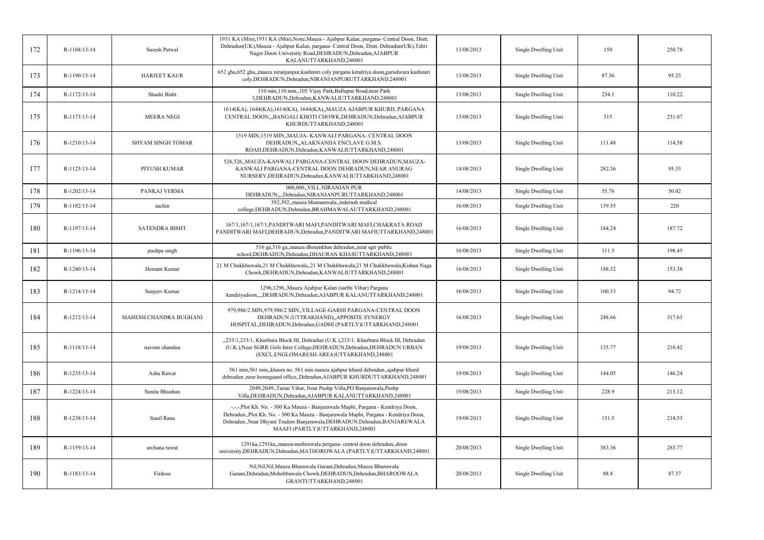| 172 | R-1168/13-14 | Suresh Petwal            | 1931 KA (Min), 1931 KA (Min), None, Mauza - Ajabpur Kalan, pargana- Central Doon, Distt.<br>Dehradun(UK), Mauza - Ajabpur Kalan, pargana- Central Doon, Distt. Dehradun(UK), Tehri<br>Nager Doon University Road, DEHRADUN, Dehradun, AJABPUR<br>KALANUTTARKHAND,248001                   | 13/08/2013 | Single Dwelling Unit | 150    | 250.78 |
|-----|--------------|--------------------------|-------------------------------------------------------------------------------------------------------------------------------------------------------------------------------------------------------------------------------------------------------------------------------------------|------------|----------------------|--------|--------|
| 173 | R-1190/13-14 | <b>HARJEET KAUR</b>      | 652 gha, 652 gha, mauza niranjanpur, kashmiri coly pargana kendriya doon, gurudwara kashmiri<br>coly, DEHRADUN, Dehradun, NIRANJANPURUTTARKHAND, 248001                                                                                                                                   | 13/08/2013 | Single Dwelling Unit | 87.36  | 95.23  |
| 174 | R-1172/13-14 | Shashi Bisht             | 110 min, 110 min,, 105 Vijay Park, Ballupur Road, near Park<br>3, DEHRADUN, Dehradun, KANWALIUTTARKHAND, 248001                                                                                                                                                                           | 13/08/2013 | Single Dwelling Unit | 234.1  | 110.22 |
| 175 | R-1173/13-14 | <b>MEERA NEGI</b>        | 1614(KA), 1644(KA), 1614(KA), 1644(KA), MAUZA AJABPUR KHURD, PARGANA<br>CENTRAL DOON,"BANGALI KHOTI CHOWK,DEHRADUN,Dehradun,AJABPUR<br>KHURDUTTARKHAND,248001                                                                                                                             | 13/08/2013 | Single Dwelling Unit | 315    | 231.07 |
| 176 | R-1210/13-14 | <b>SHYAM SINGH TOMAR</b> | 1519 MIN, 1519 MIN, MAUJA-KANWALI PARGANA- CENTRAL DOON<br>DEHRADUN,, ALAKNANDA ENCLAVE G.M.S.<br>ROAD, DEHRADUN, Dehradun, KANWALIUTTARKHAND, 248001                                                                                                                                     | 13/08/2013 | Single Dwelling Unit | 111.48 | 114.58 |
| 177 | R-1123/13-14 | PIYUSH KUMAR             | 526,526,,MAUZA-KANWALI PARGANA-CENTRAL DOON DEHRADUN,MAUZA-<br>KANWALI PARGANA-CENTRAL DOON DEHRADUN, NEAR ANURAG<br>NURSERY, DEHRADUN, Dehradun, KANWALIUTTARKHAND, 248001                                                                                                               | 14/08/2013 | Single Dwelling Unit | 282.36 | 95.33  |
| 178 | R-1202/13-14 | PANKAJ VERMA             | 000,000, VILL.NIRANJAN PUR<br>DEHRADUN, "Dehradun, NIRANJANPURUTTARKHAND, 248001                                                                                                                                                                                                          | 14/08/2013 | Single Dwelling Unit | 55.76  | 50.02  |
| 179 | R-1182/13-14 | sachin                   | 392,392, mauza bhamanwala, inderash medical<br>college, DEHRADUN, Dehradun, BRAHMAWALAUTTARKHAND, 248001                                                                                                                                                                                  | 16/08/2013 | Single Dwelling Unit | 139.35 | 220    |
| 180 | R-1197/13-14 | <b>SATENDRA BISHT</b>    | 167/1,167/1,167/1,PANDITWARI MAFI,PANDITWARI MAFI,CHAKRATA ROAD<br>PANDITWARI MAFI, DEHRADUN, Dehradun, PANDITWARI MAFIUTTARKHAND, 248001                                                                                                                                                 | 16/08/2013 | Single Dwelling Unit | 184.24 | 187.72 |
| 181 | R-1196/13-14 | pushpa singh             | 516 ga,516 ga,,mauza dhorankhas dehradun,,near sgrr public<br>school, DEHRADUN, Dehradun, DHAURAN KHASUTTARKHAND, 248001                                                                                                                                                                  | 16/08/2013 | Single Dwelling Unit | 111.5  | 198.45 |
| 182 | R-1240/13-14 | Hemant Kumar             | 21 M Chukkhuwala,21 M Chukkhuwala,,21 M Chukkhuwala,21 M Chukkhuwala,Kishan Naga<br>Chowk, DEHRADUN, Dehradun, KANWALIUTTARKHAND, 248001                                                                                                                                                  | 16/08/2013 | Single Dwelling Unit | 188.32 | 153.38 |
| 183 | R-1214/13-14 | Sanjeev Kumar            | 1296,1296,,Mauza Ajabpur Kalan (sarthi Vihar) Pargana<br>kendriyadoon,,,,DEHRADUN,Dehradun,AJABPUR KALANUTTARKHAND,248001                                                                                                                                                                 | 16/08/2013 | Single Dwelling Unit | 100.33 | 94.72  |
| 184 | R-1212/13-14 | MAHESH CHANDRA BUGHANI   | 979,986/2 MIN,979,986/2 MIN,,VILLAGE-GARHI PARGANA-CENTRAL DOON<br>DEHRADUN (UTTRAKHAND), APPOSITE SYNERGY<br>HOSPITAL, DEHRADUN, Dehradun, GADHI (PARTLY) UTTARKHAND, 248001                                                                                                             | 16/08/2013 | Single Dwelling Unit | 248.66 | 317.63 |
| 185 | R-1118/13-14 | naveen chandna           | "233/1,233/1, Khurbura Block III, Dehradun (U.K.),233/1, Khurbura Block III, Dehradun<br>(U.K.), Near SGRR Girls Inter College, DEHRADUN, Dehradun, DEHRADUN URBAN<br>(EXCL.ENGLOMARESH AREA)UTTARKHAND,248001                                                                            | 19/08/2013 | Single Dwelling Unit | 135.77 | 210.42 |
| 186 | R-1235/13-14 | Asha Rawat               | 561 min,561 min, khasra no. 561 min mauza ajabpur khurd dehradun., ajabpur khurd<br>dehradun., near homeguard office, Dehradun, AJABPUR KHURDUTTARKHAND, 248001                                                                                                                           | 19/08/2013 | Single Dwelling Unit | 144.05 | 146.24 |
| 187 | R-1224/13-14 | Sunita Bhushan           | 2049,2049, Tarun Vihar, Near Pushp Villa, PO Banjarawala, Pushp<br>Villa, DEHRADUN, Dehradun, AJABPUR KALANUTTARKHAND, 248001                                                                                                                                                             | 19/08/2013 | Single Dwelling Unit | 228.9  | 213.12 |
| 188 | R-1238/13-14 | Sunil Rana               | -,-,-,Plot Kh. No. - 300 Ka Mauza - Banjarawala Maphi, Pargana - Kendriya Doon,<br>Dehradun., Plot Kh. No. - 300 Ka Mauza - Banjarawala Maphi, Pargana - Kendriya Doon,<br>Dehradun., Near Dhyani Traders Banjarawala, DEHRADUN, Dehradun, BANJAREWALA<br>MAAFI (PARTLY)UTTARKHAND,248001 | 19/08/2013 | Single Dwelling Unit | 131.5  | 214.53 |
| 189 | R-1159/13-14 | archana rawat            | 1291ka, 1291ka, mauza-mothrawala pergana- central doon dehradun, doon<br>university, DEHRADUN, Dehradun, MATHOROWALA (PARTLY) UTTARKHAND, 248001                                                                                                                                          | 20/08/2013 | Single Dwelling Unit | 383.36 | 283.77 |
| 190 | R-1183/13-14 | Firdose                  | Nil, Nil, Nil, Mauza Bharuwala Garant, Dehradun, Mauza Bharuwala<br>Garant, Dehradun, Mohebbawala Chowk, DEHRADUN, Dehradun, BHAROOWALA<br>GRANTUTTARKHAND,248001                                                                                                                         | 20/08/2013 | Single Dwelling Unit | 88.8   | 87.37  |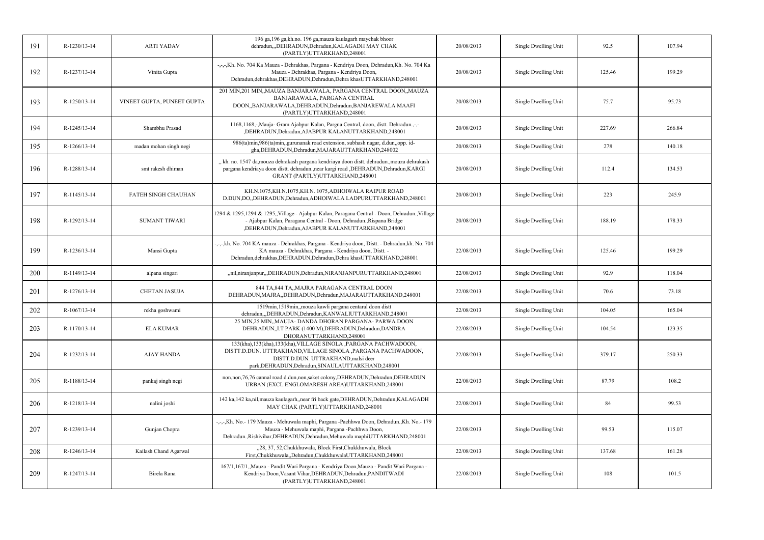| 191 | R-1230/13-14   | <b>ARTI YADAV</b>          | 196 ga, 196 ga, kh.no. 196 ga, mauza kaulagarh maychak bhoor<br>dehradun,,,DEHRADUN,Dehradun,KALAGADH MAY CHAK<br>(PARTLY)UTTARKHAND,248001                                                                                        | 20/08/2013 | Single Dwelling Unit | 92.5   | 107.94 |
|-----|----------------|----------------------------|------------------------------------------------------------------------------------------------------------------------------------------------------------------------------------------------------------------------------------|------------|----------------------|--------|--------|
| 192 | R-1237/13-14   | Vinita Gupta               | -,-,-,Kh. No. 704 Ka Mauza - Dehrakhas, Pargana - Kendriya Doon, Dehradun,Kh. No. 704 Ka<br>Mauza - Dehrakhas, Pargana - Kendriya Doon,<br>Dehradun, dehrakhas, DEHRADUN, Dehradun, Dehra khasUTTARKHAND, 248001                   | 20/08/2013 | Single Dwelling Unit | 125.46 | 199.29 |
| 193 | R-1250/13-14   | VINEET GUPTA, PUNEET GUPTA | 201 MIN,201 MIN,,MAUZA BANJARAWALA, PARGANA CENTRAL DOON,,MAUZA<br>BANJARAWALA, PARGANA CENTRAL<br>DOON,,BANJARAWALA,DEHRADUN,Dehradun,BANJAREWALA MAAFI<br>(PARTLY)UTTARKHAND,248001                                              | 20/08/2013 | Single Dwelling Unit | 75.7   | 95.73  |
| 194 | R-1245/13-14   | Shambhu Prasad             | 1168,1168,-,Mauja- Gram Ajabpur Kalan, Pargna Central, doon, distt. Dehradun.,-,-<br>,DEHRADUN,Dehradun,AJABPUR KALANUTTARKHAND,248001                                                                                             | 20/08/2013 | Single Dwelling Unit | 227.69 | 266.84 |
| 195 | $R-1266/13-14$ | madan mohan singh negi     | 986(ta)min,986(ta)min,,gurunanak road extension, subhash nagar, d.dun,,opp. id-<br>gha, DEHRADUN, Dehradun, MAJARAUTTARKHAND, 248002                                                                                               | 20/08/2013 | Single Dwelling Unit | 278    | 140.18 |
| 196 | R-1288/13-14   | smt rakesh dhiman          | "kh. no. 1547 da, mouza dehrakash pargana kendriaya doon distt. dehradun., mouza dehrakash<br>pargana kendriaya doon distt. dehradun.,near kargi road ,DEHRADUN,Dehradun,KARGI<br>GRANT (PARTLY)UTTARKHAND,248001                  | 20/08/2013 | Single Dwelling Unit | 112.4  | 134.53 |
| 197 | R-1145/13-14   | FATEH SINGH CHAUHAN        | KH.N.1075,KH.N.1075,KH.N. 1075,ADHOIWALA RAIPUR ROAD<br>D.DUN,DO,,DEHRADUN,Dehradun,ADHOIWALA LADPURUTTARKHAND,248001                                                                                                              | 20/08/2013 | Single Dwelling Unit | 223    | 245.9  |
| 198 | R-1292/13-14   | <b>SUMANT TIWARI</b>       | 1294 & 1295, 1294 & 1295, Village - Ajabpur Kalan, Paragana Central - Doon, Dehradun., Village<br>- Ajabpur Kalan, Paragana Central - Doon, Dehradun., Rispana Bridge<br>,DEHRADUN,Dehradun,AJABPUR KALANUTTARKHAND,248001         | 20/08/2013 | Single Dwelling Unit | 188.19 | 178.33 |
| 199 | R-1236/13-14   | Mansi Gupta                | -,-,-,kh. No. 704 KA mauza - Dehrakhas, Pargana - Kendriya doon, Distt. - Dehradun,kh. No. 704<br>KA mauza - Dehrakhas, Pargana - Kendriya doon, Distt. -<br>Dehradun, dehrakhas, DEHRADUN, Dehradun, Dehra khasUTTARKHAND, 248001 | 22/08/2013 | Single Dwelling Unit | 125.46 | 199.29 |
| 200 | R-1149/13-14   | alpana singari             | "nil,niranjanpur,"DEHRADUN,Dehradun,NIRANJANPURUTTARKHAND,248001                                                                                                                                                                   | 22/08/2013 | Single Dwelling Unit | 92.9   | 118.04 |
| 201 | R-1276/13-14   | <b>CHETAN JASUJA</b>       | 844 TA, 844 TA, MAJRA PARAGANA CENTRAL DOON<br>DEHRADUN, MAJRA, , DEHRADUN, Dehradun, MAJARAUTTARKHAND, 248001                                                                                                                     | 22/08/2013 | Single Dwelling Unit | 70.6   | 73.18  |
| 202 | R-1067/13-14   | rekha goshwami             | 1519min, 1519min, mouza kawli pargana centaral doon distt<br>dehradun,,,DEHRADUN,Dehradun,KANWALIUTTARKHAND,248001                                                                                                                 | 22/08/2013 | Single Dwelling Unit | 104.05 | 165.04 |
| 203 | R-1170/13-14   | <b>ELA KUMAR</b>           | 25 MIN,25 MIN,,MAUJA- DANDA DHORAN PARGANA- PARWA DOON<br>DEHRADUN, I.T PARK (1400 M), DEHRADUN, Dehradun, DANDRA<br>DHORANUTTARKHAND,248001                                                                                       | 22/08/2013 | Single Dwelling Unit | 104.54 | 123.35 |
| 204 | R-1232/13-14   | <b>AJAY HANDA</b>          | 133(kha), 133(kha), 133(kha), VILLAGE SINOLA , PARGANA PACHWADOON,<br>DISTT.D.DUN. UTTRAKHAND, VILLAGE SINOLA , PARGANA PACHWADOON,<br>DISTT.D.DUN. UTTRAKHAND, malsi deer<br>park, DEHRADUN, Dehradun, SINAULAUTTARKHAND, 248001  | 22/08/2013 | Single Dwelling Unit | 379.17 | 250.33 |
| 205 | R-1188/13-14   | pankaj singh negi          | non,non,76,76 cannal road d.dun,non,saket colony,DEHRADUN,Dehradun,DEHRADUN<br>URBAN (EXCL.ENGLOMARESH AREA)UTTARKHAND,248001                                                                                                      | 22/08/2013 | Single Dwelling Unit | 87.79  | 108.2  |
| 206 | R-1218/13-14   | nalini joshi               | 142 ka, 142 ka, nil, mauza kaulagarh, near fri back gate, DEHRADUN, Dehradun, KALAGADH<br>MAY CHAK (PARTLY)UTTARKHAND,248001                                                                                                       | 22/08/2013 | Single Dwelling Unit | 84     | 99.53  |
| 207 | R-1239/13-14   | Gunjan Chopra              | -,-,-,Kh. No.- 179 Mauza - Mehuwala maphi, Pargana -Pachhwa Doon, Dehradun.,Kh. No.- 179<br>Mauza - Mehuwala maphi, Pargana -Pachhwa Doon,<br>Dehradun., Rishivihar, DEHRADUN, Dehradun, Mehuwala maphiUTTARKHAND, 248001          | 22/08/2013 | Single Dwelling Unit | 99.53  | 115.07 |
| 208 | R-1246/13-14   | Kailash Chand Agarwal      | "28, 37, 52, Chukkhuwala, Block First, Chukkhuwala, Block<br>First, Chukkhuwala, Dehradun, ChukkhuwalaUTTARKHAND, 248001                                                                                                           | 22/08/2013 | Single Dwelling Unit | 137.68 | 161.28 |
| 209 | R-1247/13-14   | Birela Rana                | 167/1,167/1,,Mauza - Pandit Wari Pargana - Kendriya Doon,Mauza - Pandit Wari Pargana -<br>Kendriya Doon, Vasant Vihar, DEHRADUN, Dehradun, PANDITWADI<br>(PARTLY)UTTARKHAND,248001                                                 | 22/08/2013 | Single Dwelling Unit | 108    | 101.5  |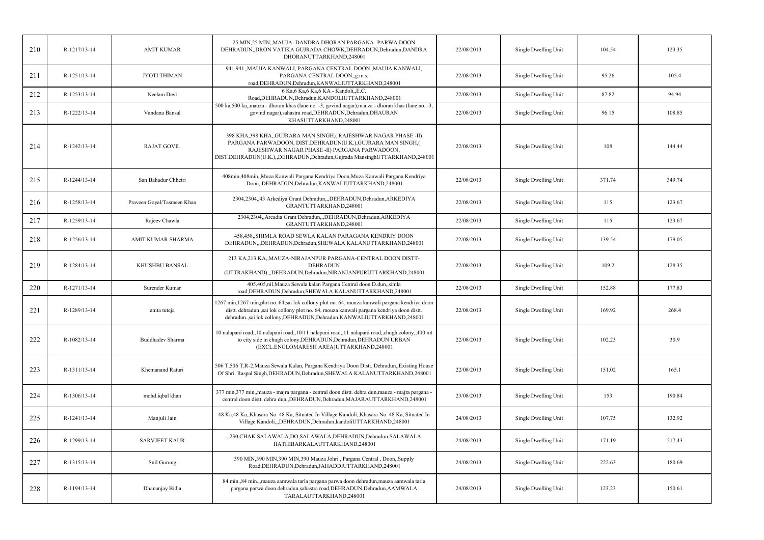| 210 | R-1217/13-14 | <b>AMIT KUMAR</b>          | 25 MIN, 25 MIN,, MAUJA- DANDRA DHORAN PARGANA- PARWA DOON<br>DEHRADUN, DRON VATIKA GUJRADA CHOWK, DEHRADUN, Dehradun, DANDRA<br>DHORANUTTARKHAND,248001                                                                                                                   | 22/08/2013 | Single Dwelling Unit | 104.54 | 123.35 |
|-----|--------------|----------------------------|---------------------------------------------------------------------------------------------------------------------------------------------------------------------------------------------------------------------------------------------------------------------------|------------|----------------------|--------|--------|
| 211 | R-1251/13-14 | JYOTI THIMAN               | 941,941,,MAUJA KANWALI, PARGANA CENTRAL DOON,,MAUJA KANWALI,<br>PARGANA CENTRAL DOON,,g.m.s.<br>road, DEHRADUN, Dehradun, KANWALIUTTARKHAND, 248001                                                                                                                       | 22/08/2013 | Single Dwelling Unit | 95.26  | 105.4  |
| 212 | R-1253/13-14 | Neelam Devi                | 6 Ka, 6 Ka, 6 Ka, 6 KA - Kandoli, E.C.<br>Road, DEHRADUN, Dehradun, KANDOLIUTTARKHAND, 248001                                                                                                                                                                             | 22/08/2013 | Single Dwelling Unit | 87.82  | 94.94  |
| 213 | R-1222/13-14 | Vandana Bansal             | 500 ka,500 ka, mauza - dhoran khas (lane no. -3, govind nagar), mauza - dhoran khas (lane no. -3,<br>govind nagar),sahastra road,DEHRADUN,Dehradun,DHAURAN<br>KHASUTTARKHAND,248001                                                                                       | 22/08/2013 | Single Dwelling Unit | 96.15  | 108.85 |
| 214 | R-1242/13-14 | <b>RAJAT GOVIL</b>         | 398 KHA,398 KHA,,GUJRARA MAN SINGH,( RAJESHWAR NAGAR PHASE -II)<br>PARGANA PARWADOON, DIST.DEHRADUN(U.K.), GUJRARA MAN SINGH, (<br>RAJESHWAR NAGAR PHASE - II) PARGANA PARWADOON,<br>DIST.DEHRADUN(U.K.),,DEHRADUN,Dehradun,Gujrada MansinghUTTARKHAND,248001             | 22/08/2013 | Single Dwelling Unit | 108    | 144.44 |
| 215 | R-1244/13-14 | San Bahadur Chhetri        | 408min,408min,,Muza Kanwali Pargana Kendriya Doon,Muza Kanwali Pargana Kendriya<br>Doon,,DEHRADUN,Dehradun,KANWALIUTTARKHAND,248001                                                                                                                                       | 22/08/2013 | Single Dwelling Unit | 371.74 | 349.74 |
| 216 | R-1258/13-14 | Praveen Goyal/Tasmeen Khan | 2304,2304,,43 Arkediya Grant Dehradun,,,DEHRADUN,Dehradun,ARKEDIYA<br>GRANTUTTARKHAND,248001                                                                                                                                                                              | 22/08/2013 | Single Dwelling Unit | 115    | 123.67 |
| 217 | R-1259/13-14 | Rajeev Chawla              | 2304,2304, Arcadia Grant Dehradun, DEHRADUN, Dehradun, ARKEDIYA<br>GRANTUTTARKHAND,248001                                                                                                                                                                                 | 22/08/2013 | Single Dwelling Unit | 115    | 123.67 |
| 218 | R-1256/13-14 | AMIT KUMAR SHARMA          | 458,458, SHIMLA ROAD SEWLA KALAN PARAGANA KENDRIY DOON<br>DEHRADUN, "DEHRADUN, Dehradun, SHEWALA KALANUTTARKHAND, 248001                                                                                                                                                  | 22/08/2013 | Single Dwelling Unit | 139.54 | 179.05 |
| 219 | R-1284/13-14 | KHUSHBU BANSAL             | 213 KA,213 KA,,MAUZA-NIRAJANPUR PARGANA-CENTRAL DOON DISTT-<br><b>DEHRADUN</b><br>(UTTRAKHAND),,,DEHRADUN,Dehradun,NIRANJANPURUTTARKHAND,248001                                                                                                                           | 22/08/2013 | Single Dwelling Unit | 109.2  | 128.35 |
| 220 | R-1271/13-14 | Surender Kumar             | 405,405,nil,Mauza Sewala kalan Pargana Central doon D.dun,,simla<br>road, DEHRADUN, Dehradun, SHEWALA KALANUTTARKHAND, 248001                                                                                                                                             | 22/08/2013 | Single Dwelling Unit | 152.88 | 177.83 |
| 221 | R-1289/13-14 | anita tuteja               | 1267 min, 1267 min, plot no. 64, sai lok collony plot no. 64, mouza kanwali pargana kendriya doon<br>distt. dehradun.,sai lok collony plot no. 64, mouza kanwali pargana kendriya doon distt.<br>dehradun.,sai lok collony, DEHRADUN, Dehradun, KANWALIUTTARKHAND, 248001 | 22/08/2013 | Single Dwelling Unit | 169.92 | 268.4  |
| 222 | R-1082/13-14 | Buddhadev Sharma           | 10 nalapani road,,10 nalapani road,,10/11 nalapani road,,11 nalapani road,,chugh colony,,400 mt<br>to city side in chugh colony, DEHRADUN, Dehradun, DEHRADUN URBAN<br>(EXCL.ENGLOMARESH AREA)UTTARKHAND,248001                                                           | 22/08/2013 | Single Dwelling Unit | 102.23 | 30.9   |
| 223 | R-1311/13-14 | Khemanand Raturi           | 506 T,506 T,R-2, Mauza Sewala Kalan, Pargana Kendriya Doon Distt. Dehradun, Existing House<br>Of Shri. Raspal Singh, DEHRADUN, Dehradun, SHEWALA KALANUTTARKHAND, 248001                                                                                                  | 22/08/2013 | Single Dwelling Unit | 151.02 | 165.1  |
| 224 | R-1306/13-14 | mohd.iqbal khan            | 377 min, 377 min, mauza - majra pargana - central doon distt. dehra dun, mauza - majra pargana -<br>central doon distt. dehra dun, DEHRADUN, Dehradun, MAJARAUTTARKHAND, 248001                                                                                           | 23/08/2013 | Single Dwelling Unit | 153    | 190.84 |
| 225 | R-1241/13-14 | Manjuli Jain               | 48 Ka, 48 Ka, Khasara No. 48 Ka, Situated In Village Kandoli, Khasara No. 48 Ka, Situated In<br>Village Kandoli,,,DEHRADUN,Dehradun,kandoliUTTARKHAND,248001                                                                                                              | 24/08/2013 | Single Dwelling Unit | 107.75 | 132.92 |
| 226 | R-1299/13-14 | <b>SARVJEET KAUR</b>       | "230, CHAK SALAWALA, DO, SALAWALA, DEHRADUN, Dehradun, SALAWALA<br>HATHIBARKALAUTTARKHAND,248001                                                                                                                                                                          | 24/08/2013 | Single Dwelling Unit | 171.19 | 217.43 |
| 227 | R-1315/13-14 | Snil Gurung                | 390 MIN,390 MIN,390 MIN,390 Mauza Johri, Pargana Central, Doon,,Supply<br>Road, DEHRADUN, Dehradun, JAHADDIUTTARKHAND, 248001                                                                                                                                             | 24/08/2013 | Single Dwelling Unit | 222.63 | 180.69 |
| 228 | R-1194/13-14 | Dhananjay Bidla            | 84 min., 84 min., mauza aamwala tarla pargana parwa doon dehradun, mauza aamwala tarla<br>pargana parwa doon dehradun,sahastra road, DEHRADUN, Dehradun, AAMWALA<br>TARALAUTTARKHAND,248001                                                                               | 24/08/2013 | Single Dwelling Unit | 123.23 | 150.61 |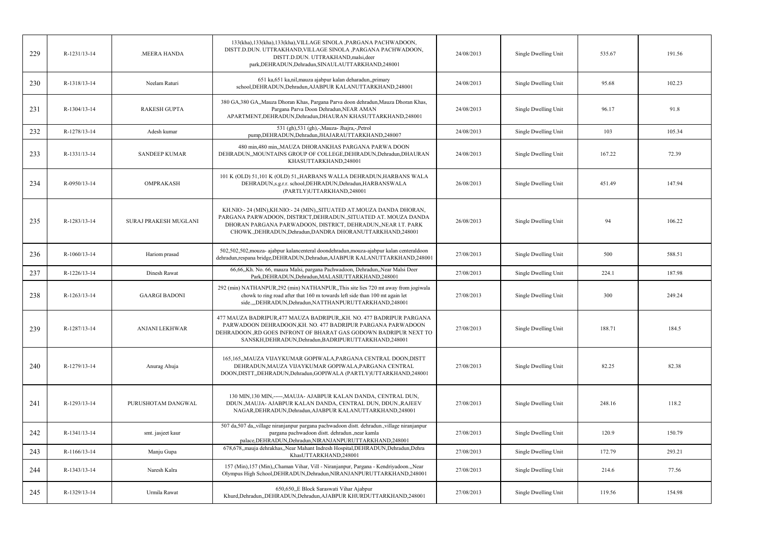| 229 | R-1231/13-14       | MEERA HANDA           | 133(kha), 133(kha), 133(kha), VILLAGE SINOLA, PARGANA PACHWADOON,<br>DISTT.D.DUN. UTTRAKHAND, VILLAGE SINOLA , PARGANA PACHWADOON,<br>DISTT.D.DUN. UTTRAKHAND, malsi, deer<br>park, DEHRADUN, Dehradun, SINAULAUTTARKHAND, 248001                                      | 24/08/2013 | Single Dwelling Unit | 535.67 | 191.56 |
|-----|--------------------|-----------------------|------------------------------------------------------------------------------------------------------------------------------------------------------------------------------------------------------------------------------------------------------------------------|------------|----------------------|--------|--------|
| 230 | R-1318/13-14       | Neelam Raturi         | 651 ka,651 ka,nil,mauza ajabpur kalan deharadun,,primary<br>school, DEHRADUN, Dehradun, AJABPUR KALANUTTARKHAND, 248001                                                                                                                                                | 24/08/2013 | Single Dwelling Unit | 95.68  | 102.23 |
| 231 | R-1304/13-14       | <b>RAKESH GUPTA</b>   | 380 GA,380 GA,,Mauza Dhoran Khas, Pargana Parva doon dehradun,Mauza Dhoran Khas,<br>Pargana Parva Doon Dehradun, NEAR AMAN<br>APARTMENT, DEHRADUN, Dehradun, DHAURAN KHASUTTARKHAND, 248001                                                                            | 24/08/2013 | Single Dwelling Unit | 96.17  | 91.8   |
| 232 | R-1278/13-14       | Adesh kumar           | 531 (gh), 531 (gh), -, Mauza- Jhajra, -, Petrol<br>pump, DEHRADUN, Dehradun, JHAJARAUTTARKHAND, 248007                                                                                                                                                                 | 24/08/2013 | Single Dwelling Unit | 103    | 105.34 |
| 233 | R-1331/13-14       | <b>SANDEEP KUMAR</b>  | 480 min,480 min,,MAUZA DHORANKHAS PARGANA PARWA DOON<br>DEHRADUN, MOUNTAINS GROUP OF COLLEGE, DEHRADUN, Dehradun, DHAURAN<br>KHASUTTARKHAND,248001                                                                                                                     | 24/08/2013 | Single Dwelling Unit | 167.22 | 72.39  |
| 234 | $R - 0950/13 - 14$ | <b>OMPRAKASH</b>      | 101 K (OLD) 51,101 K (OLD) 51, HARBANS WALLA DEHRADUN, HARBANS WALA<br>DEHRADUN, s.g.r.r. school, DEHRADUN, Dehradun, HARBANSWALA<br>(PARTLY)UTTARKHAND,248001                                                                                                         | 26/08/2013 | Single Dwelling Unit | 451.49 | 147.94 |
| 235 | R-1283/13-14       | SURAJ PRAKESH MUGLANI | KH.NIO:-24 (MIN), KH.NIO:-24 (MIN), SITUATED AT.MOUZA DANDA DHORAN,<br>PARGANA PARWADOON, DISTRICT, DEHRADUN., SITUATED AT. MOUZA DANDA<br>DHORAN PARGANA PARWADOON, DISTRICT, DEHRADUN, NEAR I.T. PARK<br>CHOWK., DEHRADUN, Dehradun, DANDRA DHORANUTTARKHAND, 248001 | 26/08/2013 | Single Dwelling Unit | 94     | 106.22 |
| 236 | $R-1060/13-14$     | Hariom prasad         | 502,502,502, mouza- ajabpur kalancenteral doondehradun, mouza-ajabpur kalan centeraldoon<br>dehradun, respana bridge, DEHRADUN, Dehradun, AJABPUR KALANUTTARKHAND, 248001                                                                                              | 27/08/2013 | Single Dwelling Unit | 500    | 588.51 |
| 237 | R-1226/13-14       | Dinesh Rawat          | 66,66, Kh. No. 66, mauza Malsi, pargana Pachwadoon, Dehradun, Near Malsi Deer<br>Park, DEHRADUN, Dehradun, MALASIUTTARKHAND, 248001                                                                                                                                    | 27/08/2013 | Single Dwelling Unit | 224.1  | 187.98 |
| 238 | R-1263/13-14       | <b>GAARGI BADONI</b>  | 292 (min) NATHANPUR, 292 (min) NATHANPUR, This site lies 720 mt away from jogiwala<br>chowk to ring road after that 160 m towards left side than 100 mt again let<br>side.,,,DEHRADUN,Dehradun,NATTHANPURUTTARKHAND,248001                                             | 27/08/2013 | Single Dwelling Unit | 300    | 249.24 |
| 239 | R-1287/13-14       | ANJANI LEKHWAR        | 477 MAUZA BADRIPUR, 477 MAUZA BADRIPUR,, KH. NO. 477 BADRIPUR PARGANA<br>PARWADOON DEHRADOON, KH. NO. 477 BADRIPUR PARGANA PARWADOON<br>DEHRADOON., RD GOES INFRONT OF BHARAT GAS GODOWN BADRIPUR NEXT TO<br>SANSKH, DEHRADUN, Dehradun, BADRIPURUTTARKHAND, 248001    | 27/08/2013 | Single Dwelling Unit | 188.71 | 184.5  |
| 240 | R-1279/13-14       | Anurag Ahuja          | 165,165,,MAUZA VIJAYKUMAR GOPIWALA,PARGANA CENTRAL DOON,DISTT<br>DEHRADUN, MAUZA VIJAYKUMAR GOPIWALA, PARGANA CENTRAL<br>DOON, DISTT, DEHRADUN, Dehradun, GOPIWALA (PARTLY) UTTARKHAND, 248001                                                                         | 27/08/2013 | Single Dwelling Unit | 82.25  | 82.38  |
| 241 | R-1293/13-14       | PURUSHOTAM DANGWAL    | 130 MIN, 130 MIN,-----, MAUJA- AJABPUR KALAN DANDA, CENTRAL DUN,<br>DDUN., MAUJA- AJABPUR KALAN DANDA, CENTRAL DUN, DDUN., RAJEEV<br>NAGAR, DEHRADUN, Dehradun, AJABPUR KALANUTTARKHAND, 248001                                                                        | 27/08/2013 | Single Dwelling Unit | 248.16 | 118.2  |
| 242 | R-1341/13-14       | smt. jasjeet kaur     | 507 da,507 da,,village niranjanpur pargana pachwadoon distt. dehradun.,village niranjanpur<br>pargana pachwadoon distt. dehradun., near kamla<br>palace, DEHRADUN, Dehradun, NIRANJANPURUTTARKHAND, 248001                                                             | 27/08/2013 | Single Dwelling Unit | 120.9  | 150.79 |
| 243 | R-1166/13-14       | Manju Gupa            | 678,678, mauja dehrakhas, Near Mahant Indresh Hospital, DEHRADUN, Dehradun, Dehra<br>KhasUTTARKHAND,248001                                                                                                                                                             | 27/08/2013 | Single Dwelling Unit | 172.79 | 293.21 |
| 244 | R-1343/13-14       | Naresh Kalra          | 157 (Min), 157 (Min), Chaman Vihar, Vill - Niranjanpur, Pargana - Kendriyadoon., Near<br>Olympus High School, DEHRADUN, Dehradun, NIRANJANPURUTTARKHAND, 248001                                                                                                        | 27/08/2013 | Single Dwelling Unit | 214.6  | 77.56  |
| 245 | R-1329/13-14       | Urmila Rawat          | 650,650, E Block Saraswati Vihar Ajabpur<br>Khurd, Dehradun, DEHRADUN, Dehradun, AJABPUR KHURDUTTARKHAND, 248001                                                                                                                                                       | 27/08/2013 | Single Dwelling Unit | 119.56 | 154.98 |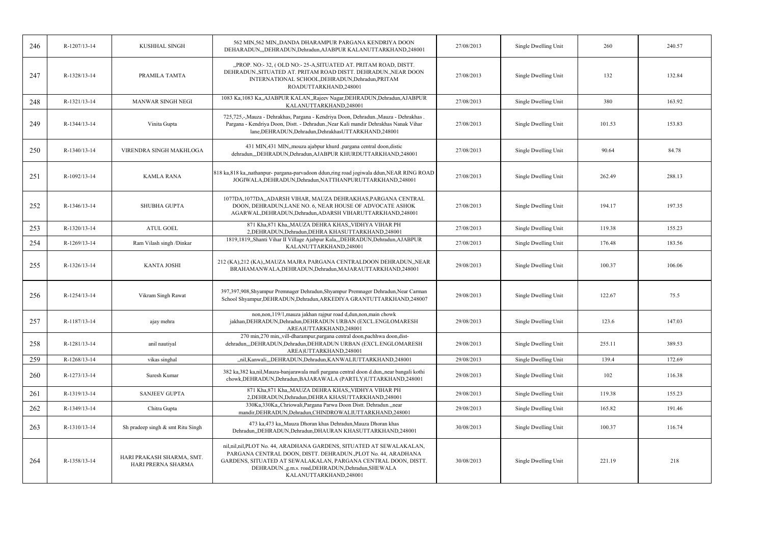| 246 | R-1207/13-14 | KUSHHAL SINGH                                   | 562 MIN, 562 MIN, DANDA DHARAMPUR PARGANA KENDRIYA DOON<br>DEHARADUN, "DEHRADUN, Dehradun, AJABPUR KALANUTTARKHAND, 248001                                                                                                                                                                      | 27/08/2013 | Single Dwelling Unit | 260    | 240.57 |
|-----|--------------|-------------------------------------------------|-------------------------------------------------------------------------------------------------------------------------------------------------------------------------------------------------------------------------------------------------------------------------------------------------|------------|----------------------|--------|--------|
| 247 | R-1328/13-14 | PRAMILA TAMTA                                   | "PROP. NO:-32, (OLD NO:-25-A, SITUATED AT. PRITAM ROAD, DISTT.<br>DEHRADUN., SITUATED AT. PRITAM ROAD DISTT. DEHRADUN., NEAR DOON<br>INTERNATIONAL SCHOOL, DEHRADUN, Dehradun, PRITAM<br>ROADUTTARKHAND,248001                                                                                  | 27/08/2013 | Single Dwelling Unit | 132    | 132.84 |
| 248 | R-1321/13-14 | <b>MANWAR SINGH NEGI</b>                        | 1083 Ka, 1083 Ka, AJABPUR KALAN, Rajeev Nagar, DEHRADUN, Dehradun, AJABPUR<br>KALANUTTARKHAND,248001                                                                                                                                                                                            | 27/08/2013 | Single Dwelling Unit | 380    | 163.92 |
| 249 | R-1344/13-14 | Vinita Gupta                                    | 725,725,-,Mauza - Dehrakhas, Pargana - Kendriya Doon, Dehradun.,Mauza - Dehrakhas.<br>Pargana - Kendriya Doon, Distt. - Dehradun., Near Kali mandir Dehrakhas Nanak Vihar<br>lane, DEHRADUN, Dehradun, DehrakhasUTTARKHAND, 248001                                                              | 27/08/2013 | Single Dwelling Unit | 101.53 | 153.83 |
| 250 | R-1340/13-14 | VIRENDRA SINGH MAKHLOGA                         | 431 MIN,431 MIN, mouza ajabpur khurd , pargana central doon, distic<br>dehradun,,,DEHRADUN,Dehradun,AJABPUR KHURDUTTARKHAND,248001                                                                                                                                                              | 27/08/2013 | Single Dwelling Unit | 90.64  | 84.78  |
| 251 | R-1092/13-14 | <b>KAMLA RANA</b>                               | 818 ka,818 ka,nathanpur- pargana-parvadoon ddun,ring road jogiwala ddun,NEAR RING ROAD<br>JOGIWALA, DEHRADUN, Dehradun, NATTHANPURUTTARKHAND, 248001                                                                                                                                            | 27/08/2013 | Single Dwelling Unit | 262.49 | 288.13 |
| 252 | R-1346/13-14 | SHUBHA GUPTA                                    | 1077DA, 1077DA, ADARSH VIHAR, MAUZA DEHRAKHAS, PARGANA CENTRAL<br>DOON, DEHRADUN, LANE NO. 6, NEAR HOUSE OF ADVOCATE ASHOK<br>AGARWAL, DEHRADUN, Dehradun, ADARSH VIHARUTTARKHAND, 248001                                                                                                       | 27/08/2013 | Single Dwelling Unit | 194.17 | 197.35 |
| 253 | R-1320/13-14 | <b>ATUL GOEL</b>                                | 871 Kha, 871 Kha,, MAUZA DEHRA KHAS,, VIDHYA VIHAR PH<br>2, DEHRADUN, Dehradun, DEHRA KHASUTTARKHAND, 248001                                                                                                                                                                                    | 27/08/2013 | Single Dwelling Unit | 119.38 | 155.23 |
| 254 | R-1269/13-14 | Ram Vilash singh /Dinkar                        | 1819,1819,,Shanti Vihar II Village Ajabpur Kala,,,DEHRADUN,Dehradun,AJABPUR<br>KALANUTTARKHAND,248001                                                                                                                                                                                           | 27/08/2013 | Single Dwelling Unit | 176.48 | 183.56 |
| 255 | R-1326/13-14 | <b>KANTA JOSHI</b>                              | 212 (KA),212 (KA),,MAUZA MAJRA PARGANA CENTRALDOON DEHRADUN,,NEAR<br>BRAHAMANWALA, DEHRADUN, Dehradun, MAJARAUTTARKHAND, 248001                                                                                                                                                                 | 29/08/2013 | Single Dwelling Unit | 100.37 | 106.06 |
| 256 | R-1254/13-14 | Vikram Singh Rawat                              | 397,397,908,Shyampur Premnager Dehradun,Shyampur Premnager Dehradun,Near Carman<br>School Shyampur, DEHRADUN, Dehradun, ARKEDIYA GRANTUTTARKHAND, 248007                                                                                                                                        | 29/08/2013 | Single Dwelling Unit | 122.67 | 75.5   |
| 257 | R-1187/13-14 | ajay mehra                                      | non, non, 119/1, mauza jakhan rajpur road d, dun, non, main chowk<br>jakhan, DEHRADUN, Dehradun, DEHRADUN URBAN (EXCL. ENGLOMARESH<br>AREA)UTTARKHAND,248001                                                                                                                                    | 29/08/2013 | Single Dwelling Unit | 123.6  | 147.03 |
| 258 | R-1281/13-14 | anil nautiyal                                   | 270 min, 270 min, vill-dharampur, pargana central doon, pachhwa doon, dist-<br>dehradun,,,DEHRADUN,Dehradun,DEHRADUN URBAN (EXCL.ENGLOMARESH<br>AREA)UTTARKHAND,248001                                                                                                                          | 29/08/2013 | Single Dwelling Unit | 255.11 | 389.53 |
| 259 | R-1268/13-14 | vikas singhal                                   | "nil, Kanwali, "DEHRADUN, Dehradun, KANWALIUTTARKHAND, 248001                                                                                                                                                                                                                                   | 29/08/2013 | Single Dwelling Unit | 139.4  | 172.69 |
| 260 | R-1273/13-14 | Suresh Kumar                                    | 382 ka, 382 ka, nil, Mauza-banjarawala mafi pargana central doon d.dun, near bangali kothi<br>chowk, DEHRADUN, Dehradun, BAJARAWALA (PARTLY) UTTARKHAND, 248001                                                                                                                                 | 29/08/2013 | Single Dwelling Unit | 102    | 116.38 |
| 261 | R-1319/13-14 | <b>SANJEEV GUPTA</b>                            | 871 Kha, 871 Kha,, MAUZA DEHRA KHAS,, VIDHYA VIHAR PH<br>2, DEHRADUN, Dehradun, DEHRA KHASUTTARKHAND, 248001                                                                                                                                                                                    | 29/08/2013 | Single Dwelling Unit | 119.38 | 155.23 |
| 262 | R-1349/13-14 | Chitra Gupta                                    | 330Ka, 330Ka, Chriowali, Pargana Parwa Doon Distt. Dehradun., near<br>mandir, DEHRADUN, Dehradun, CHINDROWALIUTTARKHAND, 248001                                                                                                                                                                 | 29/08/2013 | Single Dwelling Unit | 165.82 | 191.46 |
| 263 | R-1310/13-14 | Sh pradeep singh & smt Ritu Singh               | 473 ka,473 ka,,Mauza Dhoran khas Dehradun,Mauza Dhoran khas<br>Dehradun, DEHRADUN, Dehradun, DHAURAN KHASUTTARKHAND, 248001                                                                                                                                                                     | 30/08/2013 | Single Dwelling Unit | 100.37 | 116.74 |
| 264 | R-1358/13-14 | HARI PRAKASH SHARMA, SMT.<br>HARI PRERNA SHARMA | nil, nil, nil, nil, PLOT No. 44, ARADHANA GARDENS, SITUATED AT SEWALAKALAN,<br>PARGANA CENTRAL DOON, DISTT. DEHRADUN., PLOT No. 44, ARADHANA<br>GARDENS, SITUATED AT SEWALAKALAN, PARGANA CENTRAL DOON, DISTT.<br>DEHRADUN., g.m.s. road, DEHRADUN, Dehradun, SHEWALA<br>KALANUTTARKHAND,248001 | 30/08/2013 | Single Dwelling Unit | 221.19 | 218    |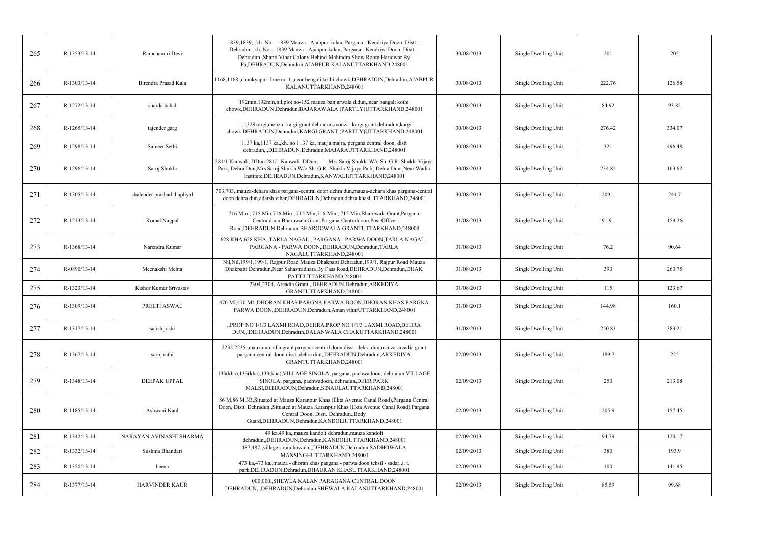| 265 | R-1353/13-14   | Ramchandri Devi             | 1839, 1839, -, kh. No. - 1839 Mauza - Ajabpur kalan, Pargana - Kendriya Doon, Distt. -<br>Dehradun., kh. No. - 1839 Mauza - Ajabpur kalan, Pargana - Kendriya Doon, Distt. -<br>Dehradun., Shanti Vihar Colony Behind Mahindra Show Room Haridwar By<br>Pa, DEHRADUN, Dehradun, AJABPUR KALANUTTARKHAND, 248001 | 30/08/2013 | Single Dwelling Unit | 201    | 205    |
|-----|----------------|-----------------------------|-----------------------------------------------------------------------------------------------------------------------------------------------------------------------------------------------------------------------------------------------------------------------------------------------------------------|------------|----------------------|--------|--------|
| 266 | R-1303/13-14   | Birendra Prasad Kala        | 1168,1168, chankyapuri lane no-1, near bengali kothi chowk, DEHRADUN, Dehradun, AJABPUR<br>KALANUTTARKHAND,248001                                                                                                                                                                                               | 30/08/2013 | Single Dwelling Unit | 222.76 | 126.58 |
| 267 | R-1272/13-14   | sharda bahal                | 192min, 192min, nil, plot no-152 mauza banjarwala d.dun, near bangali kothi<br>chowk, DEHRADUN, Dehradun, BAJARAWALA (PARTLY) UTTARKHAND, 248001                                                                                                                                                                | 30/08/2013 | Single Dwelling Unit | 84.92  | 93.82  |
| 268 | R-1265/13-14   | tajender garg               | --,--,329kargi,mouza- kargi grant dehradun,mouza- kargi grant dehradun,kargi<br>chowk, DEHRADUN, Dehradun, KARGI GRANT (PARTLY) UTTARKHAND, 248001                                                                                                                                                              | 30/08/2013 | Single Dwelling Unit | 276.42 | 334.07 |
| 269 | R-1298/13-14   | Sameer Sethi                | 1137 ka, 1137 ka, kh. no 1137 ka, mauja majra, pergana central doon, distt<br>dehradun,,,DEHRADUN,Dehradun,MAJARAUTTARKHAND,248001                                                                                                                                                                              | 30/08/2013 | Single Dwelling Unit | 321    | 496.48 |
| 270 | R-1296/13-14   | Saroj Shukla                | 281/1 Kanwali, DDun, 281/1 Kanwali, DDun,-----, Mrs Saroj Shukla W/o Sh. G.R. Shukla Vijaya<br>Park, Dehra Dun, Mrs Saroj Shukla W/o Sh. G.R. Shukla Vijaya Park, Dehra Dun., Near Wadia<br>Institute, DEHRADUN, Dehradun, KANWALIUTTARKHAND, 248001                                                            | 30/08/2013 | Single Dwelling Unit | 234.85 | 163.62 |
| 271 | $R-1305/13-14$ | shalender prashad thapliyal | 703,703, mauza-dehara khas pargana-central doon dehra dun, mauza-dehara khas pargana-central<br>doon dehra dun, adarsh vihar, DEHRADUN, Dehradun, dehra khasUTTARKHAND, 248001                                                                                                                                  | 30/08/2013 | Single Dwelling Unit | 209.1  | 244.7  |
| 272 | R-1213/13-14   | Komal Nagpal                | 716 Min, 715 Min, 716 Min, 715 Min, 716 Min, 715 Min, Bharuwala Grant, Pargana-<br>Centraldoon, Bharuwala Grant, Pargana-Centraldoon, Post Office<br>Road, DEHRADUN, Dehradun, BHAROOWALA GRANTUTTARKHAND, 248008                                                                                               | 31/08/2013 | Single Dwelling Unit | 91.91  | 159.26 |
| 273 | R-1368/13-14   | Narendra Kumar              | 628 KHA, 628 KHA, TARLA NAGAL, PARGANA - PARWA DOON, TARLA NAGAL<br>PARGANA - PARWA DOON, DEHRADUN, Dehradun, TARLA<br>NAGALUTTARKHAND,248001                                                                                                                                                                   | 31/08/2013 | Single Dwelling Unit | 76.2   | 90.64  |
| 274 | R-0890/13-14   | Meenakshi Mehta             | Nil, Nil, 199/1, 199/1, Rajpur Road Mauza Dhakpatti Dehradun, 199/1, Rajpur Road Mauza<br>Dhakpatti Dehradun, Near Sahastradhara By Pass Road, DEHRADUN, Dehradun, DHAK<br>PATTIUTTARKHAND,248001                                                                                                               | 31/08/2013 | Single Dwelling Unit | 390    | 260.75 |
| 275 | R-1323/13-14   | Kishor Kumar Srivastav      | 2304,2304, Arcadia Grant, "DEHRADUN, Dehradun, ARKEDIYA<br>GRANTUTTARKHAND,248001                                                                                                                                                                                                                               | 31/08/2013 | Single Dwelling Unit | 115    | 123.67 |
| 276 | R-1309/13-14   | PREETI ASWAL                | 470 MI,470 MI,,DHORAN KHAS PARGNA PARWA DOON,DHORAN KHAS PARGNA<br>PARWA DOON, DEHRADUN, Dehradun, Aman viharUTTARKHAND, 248001                                                                                                                                                                                 | 31/08/2013 | Single Dwelling Unit | 144.98 | 160.1  |
| 277 | R-1317/13-14   | satish joshi                | "PROP NO 1/1/3 LAXMI ROAD, DEHRA, PROP NO 1/1/3 LAXMI ROAD, DEHRA<br>DUN,,,DEHRADUN,Dehradun,DALANWALA CHAKUTTARKHAND,248001                                                                                                                                                                                    | 31/08/2013 | Single Dwelling Unit | 250.83 | 383.21 |
| 278 | R-1367/13-14   | saroj rathi                 | 2235,2235, mauza-arcadia grant pargana-central doon disst.-dehra dun, mauza-arcadia grant<br>pargana-central doon disst.-dehra dun,,DEHRADUN,Dehradun,ARKEDIYA<br>GRANTUTTARKHAND,248001                                                                                                                        | 02/09/2013 | Single Dwelling Unit | 189.7  | 225    |
| 279 | R-1348/13-14   | <b>DEEPAK UPPAL</b>         | 133(kha), 133(kha), 133(kha), VILLAGE SINOLA, pargana, pachwadoon, dehradun, VILLAGE<br>SINOLA, pargana, pachwadoon, dehradun, DEER PARK<br>MALSI, DEHRADUN, Dehradun, SINAULAUTTARKHAND, 248001                                                                                                                | 02/09/2013 | Single Dwelling Unit | 250    | 213.08 |
| 280 | R-1185/13-14   | Ashwani Kaul                | 86 M, 86 M, 3B, Situated at Mauza Karanpur Khas (Ekta Avenue Canal Road), Pargana Central<br>Doon, Distt. Dehradun., Situated at Mauza Karanpur Khas (Ekta Avenue Canal Road), Pargana<br>Central Doon, Distt. Dehradun., Body<br>Guard, DEHRADUN, Dehradun, KANDOLIUTTARKHAND, 248001                          | 02/09/2013 | Single Dwelling Unit | 205.9  | 157.45 |
| 281 | R-1342/13-14   | NARAYAN AVINASHI SHARMA     | 49 ka,49 ka,,mauza kandoli dehradun,mauza kandoli<br>dehradun, DEHRADUN, Dehradun, KANDOLIUTTARKHAND, 248001                                                                                                                                                                                                    | 02/09/2013 | Single Dwelling Unit | 94.79  | 120.17 |
| 282 | R-1332/13-14   | Sushma Bhandari             | 487,487,,village soundhowala,,,DEHRADUN,Dehradun,SADHOWALA<br>MANSINGHUTTARKHAND,248001                                                                                                                                                                                                                         | 02/09/2013 | Single Dwelling Unit | 380    | 193.9  |
| 283 | R-1350/13-14   | beena                       | 473 ka,473 ka,,mauza - dhoran khas pargana - parwa doon tehsil - sadar,,i.t.<br>park, DEHRADUN, Dehradun, DHAURAN KHASUTTARKHAND, 248001                                                                                                                                                                        | 02/09/2013 | Single Dwelling Unit | 100    | 141.95 |
| 284 | R-1377/13-14   | <b>HARVINDER KAUR</b>       | 000,000, SHEWLA KALAN PARAGANA CENTRAL DOON<br>DEHRADUN, "DEHRADUN, Dehradun, SHEWALA KALANUTTARKHAND, 248001                                                                                                                                                                                                   | 02/09/2013 | Single Dwelling Unit | 85.59  | 99.68  |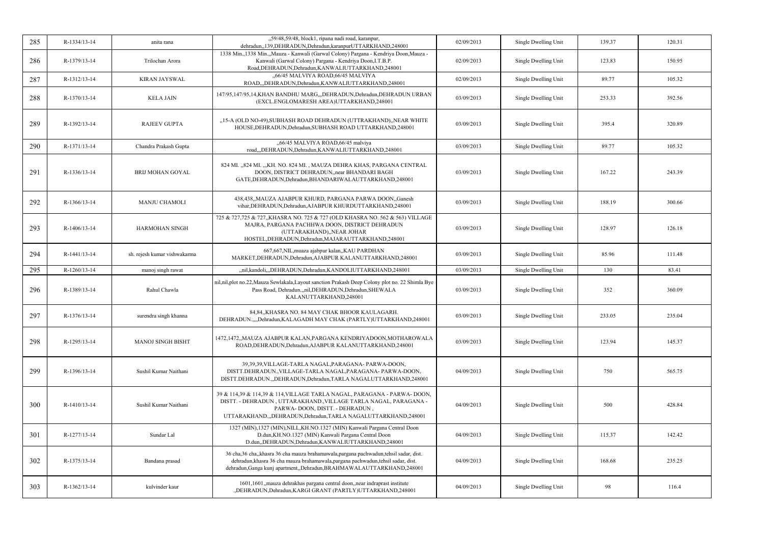| 285 | R-1334/13-14   | anita rana                   | "59/48,59/48, block1, ripana nadi road, karanpur,<br>dehradun, 139, DEHRADUN, Dehradun, karanpur UTTARKHAND, 248001                                                                                                                                 | 02/09/2013 | Single Dwelling Unit | 139.37 | 120.31 |
|-----|----------------|------------------------------|-----------------------------------------------------------------------------------------------------------------------------------------------------------------------------------------------------------------------------------------------------|------------|----------------------|--------|--------|
| 286 | R-1379/13-14   | Trilochan Arora              | 1338 Min., 1338 Min.,, Mauza - Kanwali (Garwal Colony) Pargana - Kendriya Doon, Mauza -<br>Kanwali (Garwal Colony) Pargana - Kendriya Doon, I.T.B.P.<br>Road, DEHRADUN, Dehradun, KANWALIUTTARKHAND, 248001                                         | 02/09/2013 | Single Dwelling Unit | 123.83 | 150.95 |
| 287 | R-1312/13-14   | <b>KIRAN JAYSWAL</b>         | "66/45 MALVIYA ROAD, 66/45 MALVIYA<br>ROAD,,,DEHRADUN,Dehradun,KANWALIUTTARKHAND,248001                                                                                                                                                             | 02/09/2013 | Single Dwelling Unit | 89.77  | 105.32 |
| 288 | R-1370/13-14   | <b>KELA JAIN</b>             | 147/95,147/95,14,KHAN BANDHU MARG,,,DEHRADUN,Dehradun,DEHRADUN URBAN<br>(EXCL.ENGLOMARESH AREA)UTTARKHAND,248001                                                                                                                                    | 03/09/2013 | Single Dwelling Unit | 253.33 | 392.56 |
| 289 | R-1392/13-14   | <b>RAJEEV GUPTA</b>          | "15-A (OLD NO-49), SUBHASH ROAD DEHRADUN (UTTRAKHAND), NEAR WHITE<br>HOUSE, DEHRADUN, Dehradun, SUBHASH ROAD UTTARKHAND, 248001                                                                                                                     | 03/09/2013 | Single Dwelling Unit | 395.4  | 320.89 |
| 290 | R-1371/13-14   | Chandra Prakash Gupta        | "66/45 MALVIYA ROAD, 66/45 malviya<br>road,,,DEHRADUN,Dehradun,KANWALIUTTARKHAND,248001                                                                                                                                                             | 03/09/2013 | Single Dwelling Unit | 89.77  | 105.32 |
| 291 | R-1336/13-14   | <b>BRIJ MOHAN GOYAL</b>      | 824 MI., 824 MI., "KH. NO. 824 MI., MAUZA DEHRA KHAS, PARGANA CENTRAL<br>DOON, DISTRICT DEHRADUN, near BHANDARI BAGH<br>GATE, DEHRADUN, Dehradun, BHANDARIWALAUTTARKHAND, 248001                                                                    | 03/09/2013 | Single Dwelling Unit | 167.22 | 243.39 |
| 292 | R-1366/13-14   | <b>MANJU CHAMOLI</b>         | 438,438, MAUZA AJABPUR KHURD, PARGANA PARWA DOON, Ganesh<br>vihar, DEHRADUN, Dehradun, AJABPUR KHURDUTTARKHAND, 248001                                                                                                                              | 03/09/2013 | Single Dwelling Unit | 188.19 | 300.66 |
| 293 | $R-1406/13-14$ | <b>HARMOHAN SINGH</b>        | 725 & 727,725 & 727,,KHASRA NO. 725 & 727 (OLD KHASRA NO. 562 & 563) VILLAGE<br>MAJRA, PARGANA PACHHWA DOON, DISTRICT DEHRADUN<br>(UTTARAKHAND),,NEAR JOHAR<br>HOSTEL, DEHRADUN, Dehradun, MAJARAUTTARKHAND, 248001                                 | 03/09/2013 | Single Dwelling Unit | 128.97 | 126.18 |
|     | R-1441/13-14   | sh. rejesh kumar vishwakarma | 667,667, NIL, muaza ajabpur kalan,, KAU PARDHAN                                                                                                                                                                                                     | 03/09/2013 | Single Dwelling Unit | 85.96  | 111.48 |
| 294 |                |                              | MARKET, DEHRADUN, Dehradun, AJABPUR KALANUTTARKHAND, 248001                                                                                                                                                                                         |            |                      |        |        |
| 295 | R-1260/13-14   | manoj singh rawat            | "nil,kandoli,"DEHRADUN,Dehradun,KANDOLIUTTARKHAND,248001                                                                                                                                                                                            | 03/09/2013 | Single Dwelling Unit | 130    | 83.41  |
| 296 | R-1389/13-14   | Rahul Chawla                 | nil, nil, plot no. 22, Mauza Sewlakala, Layout sanction Prakash Deep Colony plot no. 22 Shimla Bye<br>Pass Road, Dehradun.,,nil,DEHRADUN,Dehradun,SHEWALA<br>KALANUTTARKHAND,248001                                                                 | 03/09/2013 | Single Dwelling Unit | 352    | 360.09 |
| 297 | R-1376/13-14   | surendra singh khanna        | 84,84,,KHASRA NO. 84 MAY CHAK BHOOR KAULAGARH.<br>DEHRADUN.,,,,Dehradun,KALAGADH MAY CHAK (PARTLY)UTTARKHAND,248001                                                                                                                                 | 03/09/2013 | Single Dwelling Unit | 233.05 | 235.04 |
| 298 | R-1295/13-14   | <b>MANOJ SINGH BISHT</b>     | 1472,1472,,MAUZA AJABPUR KALAN,PARGANA KENDRIYADOON,MOTHAROWALA<br>ROAD, DEHRADUN, Dehradun, AJABPUR KALANUTTARKHAND, 248001                                                                                                                        | 03/09/2013 | Single Dwelling Unit | 123.94 | 145.37 |
| 299 | R-1396/13-14   | Sushil Kumar Naithani        | 39,39,39, VILLAGE-TARLA NAGAL, PARAGANA- PARWA-DOON,<br>DISTT.DEHRADUN., VILLAGE-TARLA NAGAL, PARAGANA- PARWA-DOON,<br>DISTT.DEHRADUN.,,DEHRADUN,Dehradun,TARLA NAGALUTTARKHAND,248001                                                              | 04/09/2013 | Single Dwelling Unit | 750    | 565.75 |
| 300 | R-1410/13-14   | Sushil Kumar Naithani        | 39 & 114,39 & 114,39 & 114,VILLAGE TARLA NAGAL, PARAGANA - PARWA- DOON,<br>DISTT. - DEHRADUN, UTTARAKHAND., VILLAGE TARLA NAGAL, PARAGANA -<br>PARWA-DOON, DISTT. - DEHRADUN,<br>UTTARAKHAND.,DEHRADUN,Dehradun,TARLA NAGALUTTARKHAND,248001        | 04/09/2013 | Single Dwelling Unit | 500    | 428.84 |
| 301 | R-1277/13-14   | Sundar Lal                   | 1327 (MIN), 1327 (MIN), NILL, KH. NO. 1327 (MIN) Kanwali Pargana Central Doon<br>D.dun, KH.NO.1327 (MIN) Kanwali Pargana Central Doon<br>D.dun,,DEHRADUN,Dehradun,KANWALIUTTARKHAND,248001                                                          | 04/09/2013 | Single Dwelling Unit | 115.37 | 142.42 |
| 302 | R-1375/13-14   | Bandana prasad               | 36 cha,36 cha,,khasra 36 cha mauza brahamawala,pargana pachwadun,tehsil sadar, dist.<br>dehradun, khasra 36 cha mauza brahamawala, pargana pachwadun, tehsil sadar, dist.<br>dehradun, Ganga kunj apartment, Dehradun, BRAHMAWALAUTTARKHAND, 248001 | 04/09/2013 | Single Dwelling Unit | 168.68 | 235.25 |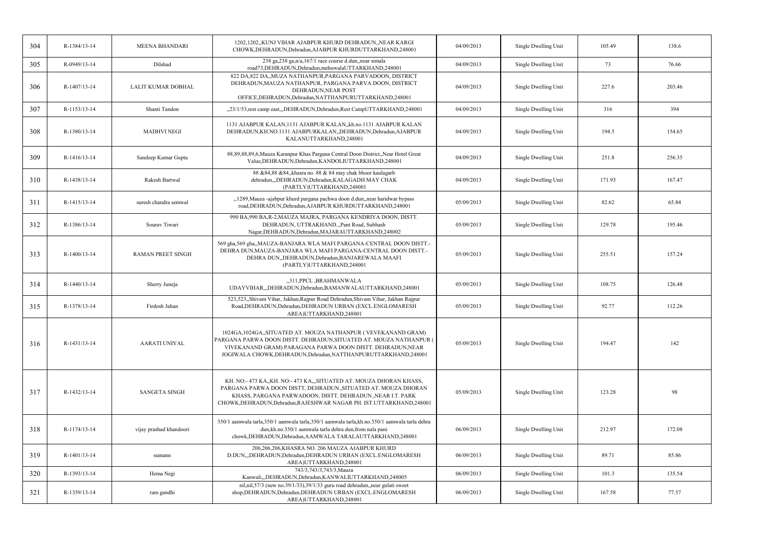| 304 | R-1384/13-14   | <b>MEENA BHANDARI</b>    | 1202,1202,,KUNJ VIHAR AJABPUR KHURD DEHRADUN,,NEAR KARGI<br>CHOWK, DEHRADUN, Dehradun, AJABPUR KHURDUTTARKHAND, 248001                                                                                                                                                       | 04/09/2013 | Single Dwelling Unit | 105.49 | 138.6  |
|-----|----------------|--------------------------|------------------------------------------------------------------------------------------------------------------------------------------------------------------------------------------------------------------------------------------------------------------------------|------------|----------------------|--------|--------|
| 305 | R-0949/13-14   | Dilshad                  | 238 ga, 238 ga, n/a, 167/1 race course d.dun, near simala<br>road73,DEHRADUN,Dehradun,mehuwalaUTTARKHAND,248001                                                                                                                                                              | 04/09/2013 | Single Dwelling Unit | 73     | 76.66  |
| 306 | R-1407/13-14   | LALIT KUMAR DOBHAL       | 822 DA, 822 DA, MUZA NATHANPUR, PARGANA PARVADOON, DISTRICT<br>DEHRADUN, MAUZA NATHANPUR, PARGANA PARVA DOON, DISTRICT<br>DEHRADUN, NEAR POST<br>OFFICE, DEHRADUN, Dehradun, NATTHANPURUTTARKHAND, 248001                                                                    | 04/09/2013 | Single Dwelling Unit | 227.6  | 203.46 |
| 307 | R-1153/13-14   | Shanti Tandon            | "23/1/53, rest camp east, "DEHRADUN, Dehradun, Rest CampUTTARKHAND, 248001                                                                                                                                                                                                   | 04/09/2013 | Single Dwelling Unit | 316    | 394    |
| 308 | R-1380/13-14   | <b>MADHVI NEGI</b>       | 1131 AJABPUR KALAN, 1131 AJABPUR KALAN, kh.no.1131 AJABPUR KALAN<br>DEHRADUN, KH.NO.1131 AJABPURKALAN, DEHRADUN, Dehradun, AJABPUR<br>KALANUTTARKHAND,248001                                                                                                                 | 04/09/2013 | Single Dwelling Unit | 194.5  | 154.65 |
| 309 | R-1416/13-14   | Sandeep Kumar Gupta      | 88,89,88,89,6, Mauza Karanpur Khas Pargana Central Doon District, Near Hotel Great<br>Value, DEHRADUN, Dehradun, KANDOLIUTTARKHAND, 248001                                                                                                                                   | 04/09/2013 | Single Dwelling Unit | 251.8  | 256.35 |
| 310 | R-1438/13-14   | <b>Rakesh Bartwal</b>    | 88 & 84,88 & 84,, khasra no. 88 & 84 may chak bhoor kaulagarh<br>dehradun,,,DEHRADUN,Dehradun,KALAGADH MAY CHAK<br>(PARTLY)UTTARKHAND,248001                                                                                                                                 | 04/09/2013 | Single Dwelling Unit | 171.93 | 167.47 |
| 311 | R-1415/13-14   | suresh chandra semwal    | "1289, Mauza -ajabpur khurd pargana pachwa doon d.dun, near haridwar bypass<br>road, DEHRADUN, Dehradun, AJABPUR KHURDUTTARKHAND, 248001                                                                                                                                     | 05/09/2013 | Single Dwelling Unit | 82.62  | 65.84  |
| 312 | R-1386/13-14   | Sourav Tiwari            | 990 BA,990 BA,R-2,MAUZA MAJRA, PARGANA KENDRIYA DOON, DISTT.<br>DEHRADUN, UTTRAKHAND.,,Pant Road, Subhash<br>Nagar, DEHRADUN, Dehradun, MAJARAUTTARKHAND, 248002                                                                                                             | 05/09/2013 | Single Dwelling Unit | 129.78 | 195.46 |
| 313 | $R-1400/13-14$ | <b>RAMAN PREET SINGH</b> | 569 gha,569 gha,,MAUZA-BANJARA WLA MAFI PARGANA-CENTRAL DOON DISTT.-<br>DEHRA DUN, MAUZA-BANJARA WLA MAFI PARGANA-CENTRAL DOON DISTT.-<br>DEHRA DUN, DEHRADUN, Dehradun, BANJAREWALA MAAFI<br>(PARTLY)UTTARKHAND,248001                                                      | 05/09/2013 | Single Dwelling Unit | 255.51 | 157.24 |
| 314 | R-1440/13-14   | Sherry Juneja            | "311, PPCL , BRAHMANWALA<br>UDAYVIHAR,,,DEHRADUN,Dehradun,BAMANWALAUTTARKHAND,248001                                                                                                                                                                                         | 05/09/2013 | Single Dwelling Unit | 108.75 | 126.48 |
| 315 | R-1378/13-14   | Firdosh Jahan            | 523,523, Shivam Vihar, Jakhan, Rajpur Road Dehradun, Shivam Vihar, Jakhan Rajpur<br>Road, DEHRADUN, Dehradun, DEHRADUN URBAN (EXCL. ENGLOMARESH<br>AREA)UTTARKHAND,248001                                                                                                    | 05/09/2013 | Single Dwelling Unit | 92.77  | 112.26 |
| 316 | R-1431/13-14   | <b>AARATI UNIYAL</b>     | 1024GA,1024GA,,SITUATED AT. MOUZA NATHANPUR (VEVEKANAND GRAM)<br>PARGANA PARWA DOON DISTT. DEHRADUN, SITUATED AT. MOUZA NATHANPUR (<br>VIVEKANAND GRAM) PARAGANA PARWA DOON DISTT. DEHRADUN, NEAR<br>JOGIWALA CHOWK, DEHRADUN, Dehradun, NATTHANPURUTTARKHAND, 248001        | 05/09/2013 | Single Dwelling Unit | 194.47 | 142    |
| 317 | R-1432/13-14   | <b>SANGETA SINGH</b>     | KH. NO:-473 KA., KH. NO:-473 KA., SITUATED AT. MOUZA DHORAN KHASS,<br>PARGANA PARWA DOON DISTT, DEHRADUN., SITUATED AT. MOUZA DHORAN<br>KHASS, PARGANA PARWADOON, DISTT. DEHRADUN., NEAR I.T. PARK<br>CHOWK, DEHRADUN, Dehradun, RAJESHWAR NAGAR PH. IST. UTTARKHAND, 248001 | 05/09/2013 | Single Dwelling Unit | 123.28 | 98     |
| 318 | R-1174/13-14   | vijay prashad khandoori  | 350/1 aamwala tarla,350/1 aamwala tarla,350/1 aamwala tarla,kh.no.350/1 aamwala tarla dehra<br>dun, kh.no.350/1 aamwala tarla dehra dun, from nala pani<br>chowk, DEHRADUN, Dehradun, AAMWALA TARALAUTTARKHAND, 248001                                                       | 06/09/2013 | Single Dwelling Unit | 212.97 | 172.08 |
| 319 | R-1401/13-14   | sumann                   | 206,206,206,KHASRA NO. 206 MAUZA AJABPUR KHURD<br>D.DUN,,,DEHRADUN,Dehradun,DEHRADUN URBAN (EXCL.ENGLOMARESH<br>AREA)UTTARKHAND,248001                                                                                                                                       | 06/09/2013 | Single Dwelling Unit | 89.71  | 85.86  |
| 320 | R-1393/13-14   | Hema Negi                | 743/3,743/3,743/3, Mauza<br>Kanwali,,,DEHRADUN,Dehradun,KANWALIUTTARKHAND,248005                                                                                                                                                                                             | 06/09/2013 | Single Dwelling Unit | 101.3  | 135.54 |
| 321 | R-1359/13-14   | ram gandhi               | nil,nil,57/3 (new no.39/1/33),39/1/33 guru road dehradun,,near gulati sweet<br>shop, DEHRADUN, Dehradun, DEHRADUN URBAN (EXCL. ENGLOMARESH<br>AREA)UTTARKHAND,248001                                                                                                         | 06/09/2013 | Single Dwelling Unit | 167.58 | 77.57  |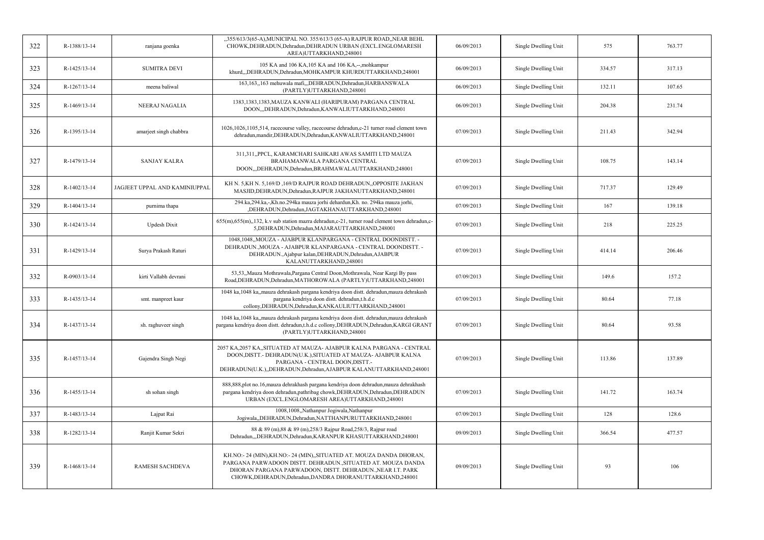| 322 | R-1388/13-14 | ranjana goenka                | "355/613/3(65-A),MUNICIPAL NO. 355/613/3 (65-A) RAJPUR ROAD,,NEAR BEHL<br>CHOWK, DEHRADUN, Dehradun, DEHRADUN URBAN (EXCL.ENGLOMARESH<br>AREA)UTTARKHAND,248001                                                                                                  | 06/09/2013 | Single Dwelling Unit | 575    | 763.77 |
|-----|--------------|-------------------------------|------------------------------------------------------------------------------------------------------------------------------------------------------------------------------------------------------------------------------------------------------------------|------------|----------------------|--------|--------|
| 323 | R-1425/13-14 | <b>SUMITRA DEVI</b>           | 105 KA and 106 KA, 105 KA and 106 KA,--, mohkampur<br>khurd,,,DEHRADUN,Dehradun,MOHKAMPUR KHURDUTTARKHAND,248001                                                                                                                                                 | 06/09/2013 | Single Dwelling Unit | 334.57 | 317.13 |
| 324 | R-1267/13-14 | meena baliwal                 | 163,163,,163 mehuwala mafi,,,DEHRADUN,Dehradun,HARBANSWALA<br>(PARTLY)UTTARKHAND,248001                                                                                                                                                                          | 06/09/2013 | Single Dwelling Unit | 132.11 | 107.65 |
| 325 | R-1469/13-14 | NEERAJ NAGALIA                | 1383,1383,1383, MAUZA KANWALI (HARIPURAM) PARGANA CENTRAL<br>DOON,,,DEHRADUN,Dehradun,KANWALIUTTARKHAND,248001                                                                                                                                                   | 06/09/2013 | Single Dwelling Unit | 204.38 | 231.74 |
| 326 | R-1395/13-14 | amarjeet singh chabbra        | 1026,1026,1105,514, racecourse valley, racecourse dehradun,c-21 turner road clement town<br>dehradun, mandir, DEHRADUN, Dehradun, KANWALIUTTARKHAND, 248001                                                                                                      | 07/09/2013 | Single Dwelling Unit | 211.43 | 342.94 |
| 327 | R-1479/13-14 | <b>SANJAY KALRA</b>           | 311,311,,PPCL, KARAMCHARI SAHKARI AWAS SAMITI LTD MAUZA<br>BRAHAMANWALA PARGANA CENTRAL<br>DOON,,,DEHRADUN,Dehradun,BRAHMAWALAUTTARKHAND,248001                                                                                                                  | 07/09/2013 | Single Dwelling Unit | 108.75 | 143.14 |
| 328 | R-1402/13-14 | JAGJEET UPPAL AND KAMINIUPPAI | KH N. 5, KH N. 5, 169/D, 169/D RAJPUR ROAD DEHRADUN, OPPOSITE JAKHAN<br>MASJID, DEHRADUN, Dehradun, RAJPUR JAKHANUTTARKHAND, 248001                                                                                                                              | 07/09/2013 | Single Dwelling Unit | 717.37 | 129.49 |
| 329 | R-1404/13-14 | purnima thapa                 | 294.ka, 294.ka, -, Kh.no. 294ka mauza jorhi dehardun, Kh. no. 294ka mauza jorhi,<br>,DEHRADUN,Dehradun,JAGTAKHANAUTTARKHAND,248001                                                                                                                               | 07/09/2013 | Single Dwelling Unit | 167    | 139.18 |
| 330 | R-1424/13-14 | <b>Updesh Dixit</b>           | 655(m), 655(m), 132, k.v sub station mazra dehradun, c-21, turner road clement town dehradun, c-<br>5, DEHRADUN, Dehradun, MAJARAUTTARKHAND, 248001                                                                                                              | 07/09/2013 | Single Dwelling Unit | 218    | 225.25 |
| 331 | R-1429/13-14 | Surya Prakash Raturi          | 1048,1048,,MOUZA - AJABPUR KLANPARGANA - CENTRAL DOONDISTT. -<br>DEHRADUN., MOUZA - AJABPUR KLANPARGANA - CENTRAL DOONDISTT. -<br>DEHRADUN., Ajabpur kalan, DEHRADUN, Dehradun, AJABPUR<br>KALANUTTARKHAND,248001                                                | 07/09/2013 | Single Dwelling Unit | 414.14 | 206.46 |
| 332 | R-0903/13-14 | kirti Vallabh devrani         | 53,53, Mauza Mothrawala, Pargana Central Doon, Mothrawala, Near Kargi By pass<br>Road, DEHRADUN, Dehradun, MATHOROWALA (PARTLY) UTTARKHAND, 248001                                                                                                               | 07/09/2013 | Single Dwelling Unit | 149.6  | 157.2  |
| 333 | R-1435/13-14 | smt. manpreet kaur            | 1048 ka,1048 ka,,mauza dehrakash pargana kendriya doon distt. dehradun,mauza dehrakash<br>pargana kendriya doon distt. dehradun,t.h.d.c<br>collony, DEHRADUN, Dehradun, KANKAULIUTTARKHAND, 248001                                                               | 07/09/2013 | Single Dwelling Unit | 80.64  | 77.18  |
| 334 | R-1437/13-14 | sh. raghuveer singh           | 1048 ka,1048 ka, mauza dehrakash pargana kendriya doon distt. dehradun, mauza dehrakash<br>pargana kendriya doon distt. dehradun,t.h.d.c collony,DEHRADUN,Dehradun,KARGI GRANT<br>(PARTLY)UTTARKHAND,248001                                                      | 07/09/2013 | Single Dwelling Unit | 80.64  | 93.58  |
| 335 | R-1457/13-14 | Gajendra Singh Negi           | 2057 KA, 2057 KA, SITUATED AT MAUZA- AJABPUR KALNA PARGANA - CENTRAL<br>DOON, DISTT. - DEHRADUN(U.K.), SITUATED AT MAUZA- AJABPUR KALNA<br>PARGANA - CENTRAL DOON, DISTT.-<br>DEHRADUN(U.K.),,DEHRADUN,Dehradun,AJABPUR KALANUTTARKHAND,248001                   | 07/09/2013 | Single Dwelling Unit | 113.86 | 137.89 |
| 336 | R-1455/13-14 | sh sohan singh                | 888,888, plot no.16, mauza dehrakhash pargana kendriya doon dehradun, mauza dehrakhash<br>pargana kendriya doon dehradun, pathribag chowk, DEHRADUN, Dehradun, DEHRADUN<br>URBAN (EXCL.ENGLOMARESH AREA)UTTARKHAND,248001                                        | 07/09/2013 | Single Dwelling Unit | 141.72 | 163.74 |
| 337 | R-1483/13-14 | Lajpat Rai                    | 1008,1008,,Nathanpur Jogiwala,Nathanpur<br>Jogiwala,,DEHRADUN,Dehradun,NATTHANPURUTTARKHAND,248001                                                                                                                                                               | 07/09/2013 | Single Dwelling Unit | 128    | 128.6  |
| 338 | R-1282/13-14 | Ranjit Kumar Sekri            | 88 & 89 (m), 88 & 89 (m), 258/3 Rajpur Road, 258/3, Rajpur road<br>Dehradun,,,DEHRADUN,Dehradun,KARANPUR KHASUTTARKHAND,248001                                                                                                                                   | 09/09/2013 | Single Dwelling Unit | 366.54 | 477.57 |
| 339 | R-1468/13-14 | RAMESH SACHDEVA               | KH.NO:- 24 (MIN), KH.NO:- 24 (MIN), SITUATED AT. MOUZA DANDA DHORAN,<br>PARGANA PARWADOON DISTT. DEHRADUN., SITUATED AT. MOUZA DANDA<br>DHORAN PARGANA PARWADOON, DISTT. DEHRADUN., NEAR I.T. PARK<br>CHOWK, DEHRADUN, Dehradun, DANDRA DHORANUTTARKHAND, 248001 | 09/09/2013 | Single Dwelling Unit | 93     | 106    |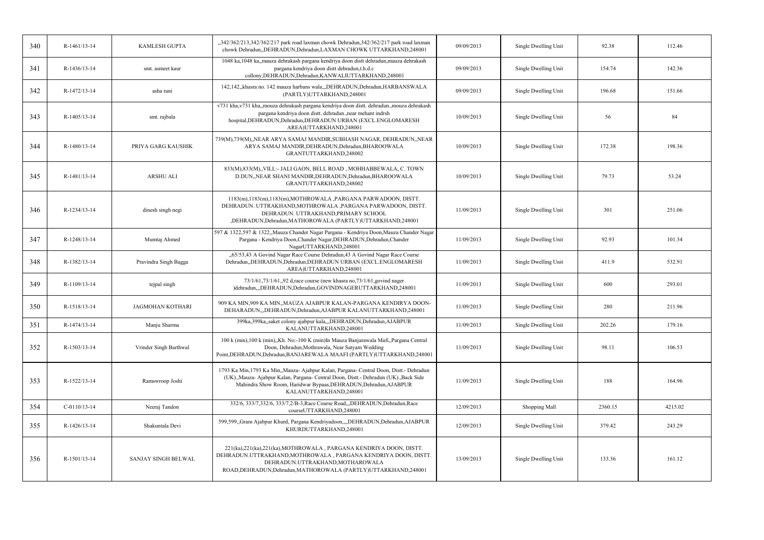| 340 | R-1461/13-14   | <b>KAMLESH GUPTA</b>    | "342/362/213,342/362/217 park road laxman chowk Dehradun,342/362/217 park road laxman<br>chowk Dehradun, DEHRADUN, Dehradun, LAXMAN CHOWK UTTARKHAND, 248001                                                                                                                   | 09/09/2013 | Single Dwelling Unit | 92.38   | 112.46  |
|-----|----------------|-------------------------|--------------------------------------------------------------------------------------------------------------------------------------------------------------------------------------------------------------------------------------------------------------------------------|------------|----------------------|---------|---------|
| 341 | R-1436/13-14   | smt. asmeet kaur        | 1048 ka,1048 ka, mauza dehrakash pargana kendriya doon distt dehradun, mauza dehrakash<br>pargana kendriya doon distt dehradun,t.h.d.c<br>collony, DEHRADUN, Dehradun, KANWALIUTTARKHAND, 248001                                                                               | 09/09/2013 | Single Dwelling Unit | 154.74  | 142.36  |
| 342 | R-1472/13-14   | asha rani               | 142,142, khasra no. 142 mauza harbans wala, "DEHRADUN, Dehradun, HARBANSWALA<br>(PARTLY)UTTARKHAND,248001                                                                                                                                                                      | 09/09/2013 | Single Dwelling Unit | 196.68  | 151.66  |
| 343 | R-1405/13-14   | smt. rajbala            | v731 kha, v731 kha, mouza dehrakash pargana kendriya doon distt. dehradun. mouza dehrakash<br>pargana kendriya doon distt. dehradun., near mehant indrsh<br>hospital, DEHRADUN, Dehradun, DEHRADUN URBAN (EXCL.ENGLOMARESH<br>AREA)UTTARKHAND,248001                           | 10/09/2013 | Single Dwelling Unit | 56      | 84      |
| 344 | R-1480/13-14   | PRIYA GARG KAUSHIK      | 739(M),739(M),,NEAR ARYA SAMAJ MANDIR,SUBHASH NAGAR, DEHRADUN,,NEAR<br>ARYA SAMAJ MANDIR, DEHRADUN, Dehradun, BHAROOWALA<br>GRANTUTTARKHAND,248002                                                                                                                             | 10/09/2013 | Single Dwelling Unit | 172.38  | 198.36  |
| 345 | R-1481/13-14   | <b>ARSHU ALI</b>        | 833(M),833(M),,VILL:- JALI GAON, BELL ROAD, MOHHABBEWALA, C. TOWN<br>D.DUN,,NEAR SHANI MANDIR,DEHRADUN,Dehradun,BHAROOWALA<br>GRANTUTTARKHAND,248002                                                                                                                           | 10/09/2013 | Single Dwelling Unit | 79.73   | 53.24   |
| 346 | R-1234/13-14   | dinesh singh negi       | 1183(m), 1183(m), 1183(m), MOTHROWALA, PARGANA PARWADOON, DISTT.<br>DEHRADUN. UTTRAKHAND, MOTHROWALA, PARGANA PARWADOON, DISTT.<br>DEHRADUN. UTTRAKHAND, PRIMARY SCHOOL<br>,DEHRADUN,Dehradun,MATHOROWALA (PARTLY)UTTARKHAND,248001                                            | 11/09/2013 | Single Dwelling Unit | 301     | 251.06  |
| 347 | R-1248/13-14   | Mumtaj Ahmed            | 597 & 1322,597 & 1322,,Mauza Chander Nagar Pargana - Kendriya Doon,Mauza Chander Nagar<br>Pargana - Kendriya Doon, Chander Nagar, DEHRADUN, Dehradun, Chander<br>NagarUTTARKHAND,248001                                                                                        | 11/09/2013 | Single Dwelling Unit | 92.93   | 101.34  |
| 348 | R-1382/13-14   | Pravindra Singh Bagga   | "65/53,43 A Govind Nagar Race Course Dehradun,43 A Govind Nagar Race Course<br>Dehradun,,DEHRADUN,Dehradun,DEHRADUN URBAN (EXCL.ENGLOMARESH<br>AREA)UTTARKHAND,248001                                                                                                          | 11/09/2013 | Single Dwelling Unit | 411.9   | 532.91  |
| 349 | R-1109/13-14   | tejpal singh            | 73/1/61,73/1/61,,92 d,race course (new khasra no,73/1/61, govind nager<br>)dehradun,,,DEHRADUN,Dehradun,GOVINDNAGERUTTARKHAND,248001                                                                                                                                           | 11/09/2013 | Single Dwelling Unit | 600     | 293.01  |
| 350 | R-1518/13-14   | <b>JAGMOHAN KOTHARI</b> | 909 KA MIN,909 KA MIN,,MAUZA AJABPUR KALAN-PARGANA KENDIRYA DOON-<br>DEHARADUN, "DEHRADUN, Dehradun, AJABPUR KALANUTTARKHAND, 248001                                                                                                                                           | 11/09/2013 | Single Dwelling Unit | 280     | 211.96  |
| 351 | R-1474/13-14   | Manju Sharma            | 399ka, 399ka, saket colony ajabpur kala, "DEHRADUN, Dehradun, AJABPUR<br>KALANUTTARKHAND,248001                                                                                                                                                                                | 11/09/2013 | Single Dwelling Unit | 202.26  | 179.16  |
| 352 | R-1503/13-14   | Vrinder Singh Barthwal  | 100 k (min), 100 k (min), Kh. No:-100 K (min) In Mauza Banjarawala Mafi, Pargana Central<br>Doon, Dehradun, Mothrawala, Near Satyam Wedding<br>Point, DEHRADUN, Dehradun, BANJAREWALA MAAFI (PARTLY) UTTARKHAND, 248001                                                        | 11/09/2013 | Single Dwelling Unit | 98.11   | 106.53  |
| 353 | R-1522/13-14   | Ramswroop Joshi         | 1793 Ka Min, 1793 Ka Min, Mauza- Ajabpur Kalan, Pargana- Central Doon, Distt.- Dehradun<br>(UK)., Mauza- Ajabpur Kalan, Pargana- Central Doon, Distt.- Dehradun (UK)., Back Side<br>Mahindra Show Room, Haridwar Bypaas, DEHRADUN, Dehradun, AJABPUR<br>KALANUTTARKHAND,248001 | 11/09/2013 | Single Dwelling Unit | 188     | 164.96  |
| 354 | $C-0110/13-14$ | Neeraj Tandon           | 332/6, 333/7,332/6, 333/7,2/B-3, Race Course Road,,,DEHRADUN,Dehradun,Race<br>courseUTTARKHAND,248001                                                                                                                                                                          | 12/09/2013 | Shopping Mall        | 2360.15 | 4215.02 |
| 355 | R-1426/13-14   | Shakuntala Devi         | 599,599,,Gram Ajabpur Khurd, Pargana Kendriyadoon,,,,DEHRADUN,Dehradun,AJABPUR<br>KHURDUTTARKHAND,248001                                                                                                                                                                       | 12/09/2013 | Single Dwelling Unit | 379.42  | 243.29  |
| 356 | R-1501/13-14   | SANJAY SINGH BELWAL     | 221(ka), 221(ka), 221(ka), MOTHROWALA, PARGANA KENDRIYA DOON, DISTT.<br>DEHRADUN.UTTRAKHAND, MOTHROWALA, PARGANA KENDRIYA DOON, DISTT<br>DEHRADUN.UTTRAKHAND, MOTHAROWALA<br>ROAD, DEHRADUN, Dehradun, MATHOROWALA (PARTLY) UTTARKHAND, 248001                                 | 13/09/2013 | Single Dwelling Unit | 133.36  | 161.12  |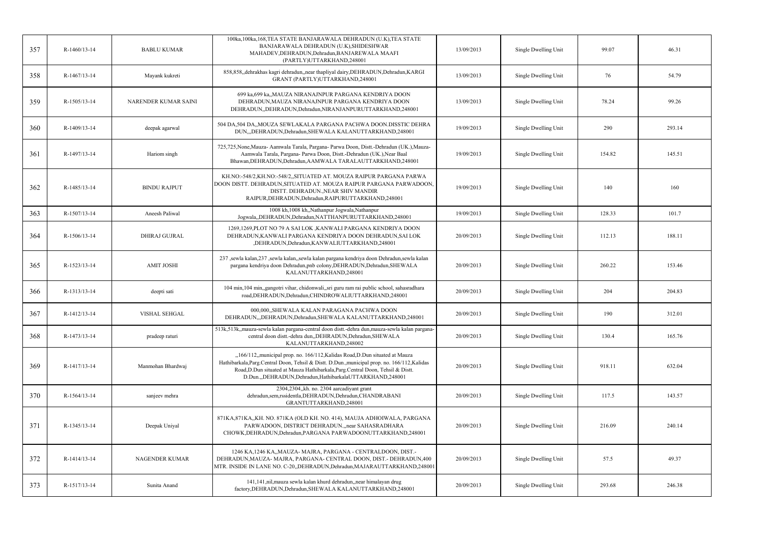| 357 | R-1460/13-14 | <b>BABLU KUMAR</b>    | 100ka,100ka,168,TEA STATE BANJARAWALA DEHRADUN (U.K),TEA STATE<br>BANJARAWALA DEHRADUN (U.K), SHIDESHWAR<br>MAHADEV, DEHRADUN, Dehradun, BANJAREWALA MAAFI<br>(PARTLY)UTTARKHAND,248001                                                                                                                                           | 13/09/2013 | Single Dwelling Unit | 99.07  | 46.31  |
|-----|--------------|-----------------------|-----------------------------------------------------------------------------------------------------------------------------------------------------------------------------------------------------------------------------------------------------------------------------------------------------------------------------------|------------|----------------------|--------|--------|
| 358 | R-1467/13-14 | Mayank kukreti        | 858,858,,dehrakhas kagri dehradun,,near thapliyal dairy,DEHRADUN,Dehradun,KARGI<br>GRANT (PARTLY)UTTARKHAND,248001                                                                                                                                                                                                                | 13/09/2013 | Single Dwelling Unit | 76     | 54.79  |
| 359 | R-1505/13-14 | NARENDER KUMAR SAINI  | 699 ka,699 ka,,MAUZA NIRANAJNPUR PARGANA KENDRIYA DOON<br>DEHRADUN, MAUZA NIRANAJNPUR PARGANA KENDRIYA DOON<br>DEHRADUN, DEHRADUN, Dehradun, NIRANJANPURUTTARKHAND, 248001                                                                                                                                                        | 13/09/2013 | Single Dwelling Unit | 78.24  | 99.26  |
| 360 | R-1409/13-14 | deepak agarwal        | 504 DA.504 DA., MOUZA SEWLAKALA PARGANA PACHWA DOON.DISSTIC DEHRA<br>DUN,,,DEHRADUN,Dehradun,SHEWALA KALANUTTARKHAND,248001                                                                                                                                                                                                       | 19/09/2013 | Single Dwelling Unit | 290    | 293.14 |
| 361 | R-1497/13-14 | Hariom singh          | 725,725, None, Mauza- Aamwala Tarala, Pargana- Parwa Doon, Distt.-Dehradun (UK.), Mauza-<br>Aamwala Tarala, Pargana- Parwa Doon, Distt.-Dehradun (UK.), Near Baal<br>Bhawan, DEHRADUN, Dehradun, AAMWALA TARALAUTTARKHAND, 248001                                                                                                 | 19/09/2013 | Single Dwelling Unit | 154.82 | 145.51 |
| 362 | R-1485/13-14 | <b>BINDU RAJPUT</b>   | KH.NO:-548/2,KH.NO:-548/2,,SITUATED AT. MOUZA RAIPUR PARGANA PARWA<br>DOON DISTT. DEHRADUN, SITUATED AT. MOUZA RAIPUR PARGANA PARWADOON,<br>DISTT. DEHRADUN., NEAR SHIV MANDIR<br>RAIPUR, DEHRADUN, Dehradun, RAIPURUTTARKHAND, 248001                                                                                            | 19/09/2013 | Single Dwelling Unit | 140    | 160    |
| 363 | R-1507/13-14 | Aneesh Paliwal        | 1008 kh, 1008 kh,, Nathanpur Jogwala, Nathanpur<br>Jogwala,,DEHRADUN,Dehradun,NATTHANPURUTTARKHAND,248001                                                                                                                                                                                                                         | 19/09/2013 | Single Dwelling Unit | 128.33 | 101.7  |
| 364 | R-1506/13-14 | <b>DHIRAJ GUJRAL</b>  | 1269,1269,PLOT NO 79 A SAI LOK ,KANWALI PARGANA KENDRIYA DOON<br>DEHRADUN, KANWALI PARGANA KENDRIYA DOON DEHRADUN, SAI LOK<br>,DEHRADUN,Dehradun,KANWALIUTTARKHAND,248001                                                                                                                                                         | 20/09/2013 | Single Dwelling Unit | 112.13 | 188.11 |
| 365 | R-1523/13-14 | <b>AMIT JOSHI</b>     | 237 ,sewla kalan,237 ,sewla kalan,,sewla kalan pargana kendriya doon Dehradun,sewla kalan<br>pargana kendriya doon Dehradun,pnb colony,DEHRADUN,Dehradun,SHEWALA<br>KALANUTTARKHAND,248001                                                                                                                                        | 20/09/2013 | Single Dwelling Unit | 260.22 | 153.46 |
| 366 | R-1313/13-14 | deepti sati           | 104 min, 104 min, gangotri vihar, chidonwali, sri guru ram rai public school, sahasradhara<br>road, DEHRADUN, Dehradun, CHINDROWALIUTTARKHAND, 248001                                                                                                                                                                             | 20/09/2013 | Single Dwelling Unit | 204    | 204.83 |
| 367 | R-1412/13-14 | <b>VISHAL SEHGAL</b>  | 000,000, SHEWALA KALAN PARAGANA PACHWA DOON<br>DEHRADUN, "DEHRADUN, Dehradun, SHEWALA KALANUTTARKHAND, 248001                                                                                                                                                                                                                     | 20/09/2013 | Single Dwelling Unit | 190    | 312.01 |
| 368 | R-1473/13-14 | pradeep raturi        | 513k,513k, mauza-sewla kalan pargana-central doon distt.-dehra dun, mauza-sewla kalan pargana-<br>central doon distt.-dehra dun,,DEHRADUN,Dehradun,SHEWALA<br>KALANUTTARKHAND,248002                                                                                                                                              | 20/09/2013 | Single Dwelling Unit | 130.4  | 165.76 |
| 369 | R-1417/13-14 | Manmohan Bhardwaj     | "166/112, municipal prop. no. 166/112, Kalidas Road, D. Dun situated at Mauza<br>Hathibarkala, Parg. Central Doon, Tehsil & Distt. D.Dun., municipal prop. no. 166/112, Kalidas<br>Road, D. Dun situated at Mauza Hathibarkala, Parg. Central Doon, Tehsil & Distt.<br>D.Dun., DEHRADUN, Dehradun, HathibarkalaUTTARKHAND, 248001 | 20/09/2013 | Single Dwelling Unit | 918.11 | 632.04 |
| 370 | R-1564/13-14 | sanjeev mehra         | 2304,2304,,kh. no. 2304 aarcadiyant grant<br>dehradun,sem,rssidentla,DEHRADUN,Dehradun,CHANDRABANI<br>GRANTUTTARKHAND,248001                                                                                                                                                                                                      | 20/09/2013 | Single Dwelling Unit | 117.5  | 143.57 |
| 371 | R-1345/13-14 | Deepak Uniyal         | 871KA, 871KA, KH. NO. 871KA (OLD KH. NO. 414), MAUJA ADHOIWALA, PARGANA<br>PARWADOON, DISTRICT DEHRADUN., near SAHASRADHARA<br>CHOWK, DEHRADUN, Dehradun, PARGANA PARWADOONUTTARKHAND, 248001                                                                                                                                     | 20/09/2013 | Single Dwelling Unit | 216.09 | 240.14 |
| 372 | R-1414/13-14 | <b>NAGENDER KUMAR</b> | 1246 KA, 1246 KA, MAUZA-MAJRA, PARGANA - CENTRALDOON, DIST.-<br>DEHRADUN, MAUZA- MAJRA, PARGANA- CENTRAL DOON, DIST.- DEHRADUN, 400<br>MTR. INSIDE IN LANE NO. C-20, DEHRADUN, Dehradun, MAJARAUTTARKHAND, 248001                                                                                                                 | 20/09/2013 | Single Dwelling Unit | 57.5   | 49.37  |
| 373 | R-1517/13-14 | Sunita Anand          | 141,141,nil,mauza sewla kalan khurd dehradun,,near himalayan drug<br>factory, DEHRADUN, Dehradun, SHEWALA KALANUTTARKHAND, 248001                                                                                                                                                                                                 | 20/09/2013 | Single Dwelling Unit | 293.68 | 246.38 |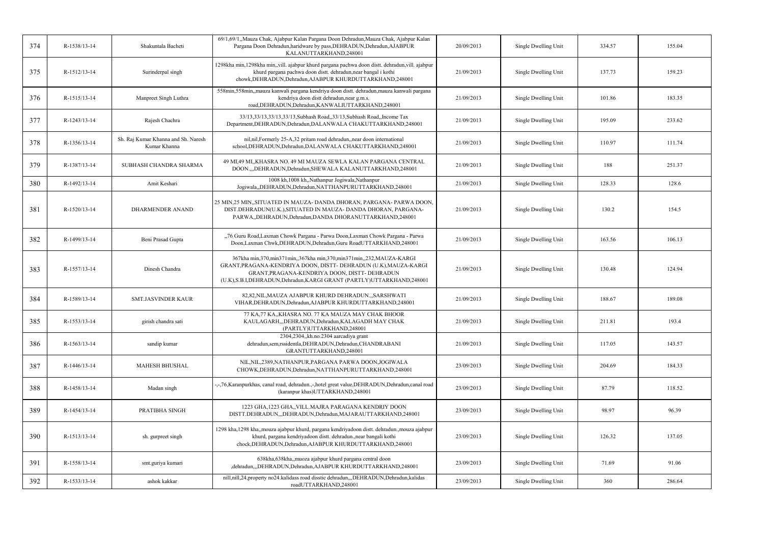| 374 | R-1538/13-14 | Shakuntala Bacheti                                  | 69/1,69/1,,Mauza Chak, Ajabpur Kalan Pargana Doon Dehradun,Mauza Chak, Ajabpur Kalan<br>Pargana Doon Dehradun, haridware by pass, DEHRADUN, Dehradun, AJABPUR<br>KALANUTTARKHAND,248001                                                                                        | 20/09/2013 | Single Dwelling Unit | 334.57 | 155.04 |
|-----|--------------|-----------------------------------------------------|--------------------------------------------------------------------------------------------------------------------------------------------------------------------------------------------------------------------------------------------------------------------------------|------------|----------------------|--------|--------|
| 375 | R-1512/13-14 | Surinderpal singh                                   | 1298kha min, 1298kha min,, vill. ajabpur khurd pargana pachwa doon distt. dehradun, vill. ajabpur<br>khurd pargana pachwa doon distt. dehradun, near bangal i kothi<br>chowk, DEHRADUN, Dehradun, AJABPUR KHURDUTTARKHAND, 248001                                              | 21/09/2013 | Single Dwelling Unit | 137.73 | 159.23 |
| 376 | R-1515/13-14 | Manpreet Singh Luthra                               | 558min,558min, mauza kanwali pargana kendriya doon distt. dehradun, mauza kanwali pargana<br>kendriya doon distt dehradun, near g.m.s.<br>road, DEHRADUN, Dehradun, KANWALIUTTARKHAND, 248001                                                                                  | 21/09/2013 | Single Dwelling Unit | 101.86 | 183.35 |
| 377 | R-1243/13-14 | Rajesh Chachra                                      | 33/13,33/13,33/13,33/13,Subhash Road,,33/13,Subhash Road,,Income Tax<br>Department, DEHRADUN, Dehradun, DALANWALA CHAKUTTARKHAND, 248001                                                                                                                                       | 21/09/2013 | Single Dwelling Unit | 195.09 | 233.62 |
| 378 | R-1356/13-14 | Sh. Raj Kumar Khanna and Sh. Naresh<br>Kumar Khanna | nil, nil, Formerly 25-A, 32 pritam road dehradun, near doon international<br>school, DEHRADUN, Dehradun, DALANWALA CHAKUTTARKHAND, 248001                                                                                                                                      | 21/09/2013 | Single Dwelling Unit | 110.97 | 111.74 |
| 379 | R-1387/13-14 | SUBHASH CHANDRA SHARMA                              | 49 MI 49 MI KHASRA NO. 49 MI MAUZA SEWLA KALAN PARGANA CENTRAL<br>DOON.,,,DEHRADUN,Dehradun,SHEWALA KALANUTTARKHAND,248001                                                                                                                                                     | 21/09/2013 | Single Dwelling Unit | 188    | 251.37 |
| 380 | R-1492/13-14 | Amit Keshari                                        | 1008 kh, 1008 kh,,Nathanpur Jogiwala,Nathanpur<br>Jogiwala, DEHRADUN, Dehradun, NATTHANPURUTTARKHAND, 248001                                                                                                                                                                   | 21/09/2013 | Single Dwelling Unit | 128.33 | 128.6  |
| 381 | R-1520/13-14 | <b>DHARMENDER ANAND</b>                             | 25 MIN,25 MIN,,SITUATED IN MAUZA- DANDA DHORAN, PARGANA- PARWA DOON,<br>DIST.DEHRADUN(U.K.), SITUATED IN MAUZA- DANDA DHORAN, PARGANA-<br>PARWA,,DEHRADUN,Dehradun,DANDA DHORANUTTARKHAND,248001                                                                               | 21/09/2013 | Single Dwelling Unit | 130.2  | 154.5  |
| 382 | R-1499/13-14 | Beni Prasad Gupta                                   | "76 Guru Road, Laxman Chowk Pargana - Parwa Doon, Laxman Chowk Pargana - Parwa<br>Doon, Laxman Chwk, DEHRADUN, Dehradun, Guru RoadUTTARKHAND, 248001                                                                                                                           | 21/09/2013 | Single Dwelling Unit | 163.56 | 106.13 |
| 383 | R-1557/13-14 | Dinesh Chandra                                      | 367kha min, 370, min 371 min, 367kha min, 370, min 371 min, 232, MAUZA-KARGI<br>GRANT, PRAGANA-KENDRIYA DOON, DISTT- DEHRADUN (U.K), MAUZA-KARGI<br>GRANT, PRAGANA-KENDRIYA DOON, DISTT- DEHRADUN<br>(U.K), S.B.I, DEHRADUN, Dehradun, KARGI GRANT (PARTLY) UTTARKHAND, 248001 | 21/09/2013 | Single Dwelling Unit | 130.48 | 124.94 |
| 384 | R-1589/13-14 | <b>SMT.JASVINDER KAUR</b>                           | 82,82, NIL, MAUZA AJABPUR KHURD DEHRADUN SARSHWATI<br>VIHAR, DEHRADUN, Dehradun, AJABPUR KHURDUTTARKHAND, 248001                                                                                                                                                               | 21/09/2013 | Single Dwelling Unit | 188.67 | 189.08 |
| 385 | R-1553/13-14 | girish chandra sati                                 | 77 KA, 77 KA, KHASRA NO. 77 KA MAUZA MAY CHAK BHOOR<br>KAULAGARH,"DEHRADUN,Dehradun,KALAGADH MAY CHAK<br>(PARTLY)UTTARKHAND,248001                                                                                                                                             | 21/09/2013 | Single Dwelling Unit | 211.81 | 193.4  |
| 386 | R-1563/13-14 | sandip kumar                                        | 2304,2304, kh.no.2304 aarcadiya grant<br>dehradun,sem,rssidentla,DEHRADUN,Dehradun,CHANDRABANI<br>GRANTUTTARKHAND,248001                                                                                                                                                       | 21/09/2013 | Single Dwelling Unit | 117.05 | 143.57 |
| 387 | R-1446/13-14 | <b>MAHESH BHUSHAL</b>                               | NIL, NIL, 2389, NATHANPUR, PARGANA PARWA DOON, JOGIWALA<br>CHOWK, DEHRADUN, Dehradun, NATTHANPURUTTARKHAND, 248001                                                                                                                                                             | 23/09/2013 | Single Dwelling Unit | 204.69 | 184.33 |
| 388 | R-1458/13-14 | Madan singh                                         | -,-,76, Karanpurkhas, canal road, dehradun.,-,hotel great value, DEHRADUN, Dehradun, canal road<br>(karanpur khas)UTTARKHAND,248001                                                                                                                                            | 23/09/2013 | Single Dwelling Unit | 87.79  | 118.52 |
| 389 | R-1454/13-14 | PRATIBHA SINGH                                      | 1223 GHA, 1223 GHA, VILL. MAJRA PARAGANA KENDRIY DOON<br>DISTT.DEHRADUN,,,DEHRADUN,Dehradun,MAJARAUTTARKHAND,248001                                                                                                                                                            | 23/09/2013 | Single Dwelling Unit | 98.97  | 96.39  |
| 390 | R-1513/13-14 | sh. gurpreet singh                                  | 1298 kha, 1298 kha, mouza ajabpur khurd, pargana kendriyadoon distt. dehradun. mouza ajabpur<br>khurd, pargana kendriyadoon distt. dehradun., near bangali kothi<br>chock, DEHRADUN, Dehradun, AJABPUR KHURDUTTARKHAND, 248001                                                 | 23/09/2013 | Single Dwelling Unit | 126.32 | 137.05 |
| 391 | R-1558/13-14 | smt.guriya kumari                                   | 638kha, 638kha, muoza ajabpur khurd pargana central doon<br>,dehradun,,,DEHRADUN,Dehradun,AJABPUR KHURDUTTARKHAND,248001                                                                                                                                                       | 23/09/2013 | Single Dwelling Unit | 71.69  | 91.06  |
| 392 | R-1533/13-14 | ashok kakkar                                        | nill,nill,24,property no24.kalidass road disstic dehradun,,,DEHRADUN,Dehradun,kalidas<br>roadUTTARKHAND,248001                                                                                                                                                                 | 23/09/2013 | Single Dwelling Unit | 360    | 286.64 |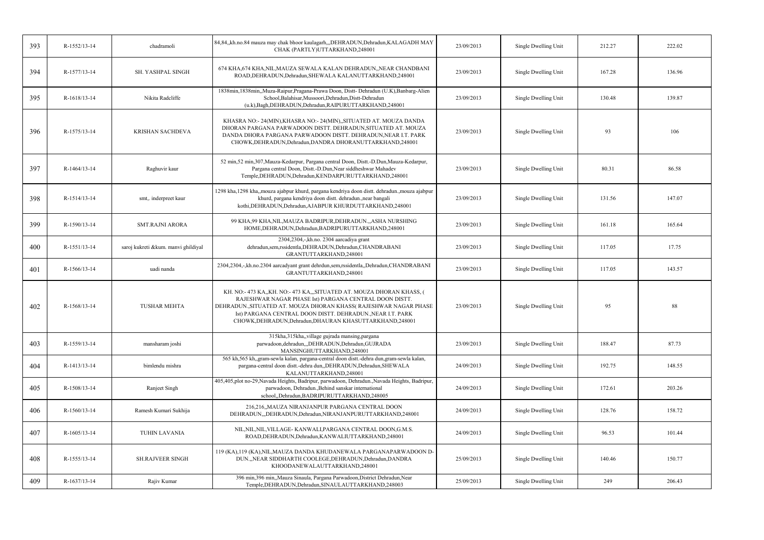| 393 | R-1552/13-14 | chadramoli                          | 84,84,kh.no.84 mauza may chak bhoor kaulagarh,,,DEHRADUN,Dehradun,KALAGADH MAY<br>CHAK (PARTLY)UTTARKHAND,248001                                                                                                                                                                                                               | 23/09/2013 | Single Dwelling Unit | 212.27 | 222.02 |
|-----|--------------|-------------------------------------|--------------------------------------------------------------------------------------------------------------------------------------------------------------------------------------------------------------------------------------------------------------------------------------------------------------------------------|------------|----------------------|--------|--------|
| 394 | R-1577/13-14 | SH. YASHPAL SINGH                   | 674 KHA, 674 KHA, NIL, MAUZA SEWALA KALAN DEHRADUN, , NEAR CHANDBANI<br>ROAD, DEHRADUN, Dehradun, SHEWALA KALANUTTARKHAND, 248001                                                                                                                                                                                              | 23/09/2013 | Single Dwelling Unit | 167.28 | 136.96 |
| 395 | R-1618/13-14 | Nikita Radcliffe                    | 1838min, 1838min,,Muza-Raipur,Pragana-Prawa Doon, Distt- Dehradun (U.K),Banbarg-Alien<br>School, Balahisar, Mussoori, Dehradun, Distt-Dehradun<br>(u.k), Bagh, DEHRADUN, Dehradun, RAIPURUTTARKHAND, 248001                                                                                                                    | 23/09/2013 | Single Dwelling Unit | 130.48 | 139.87 |
| 396 | R-1575/13-14 | <b>KRISHAN SACHDEVA</b>             | KHASRA NO:-24(MIN), KHASRA NO:-24(MIN), SITUATED AT. MOUZA DANDA<br>DHORAN PARGANA PARWADOON DISTT. DEHRADUN, SITUATED AT. MOUZA<br>DANDA DHORA PARGANA PARWADOON DISTT. DEHRADUN, NEAR I.T. PARK<br>CHOWK, DEHRADUN, Dehradun, DANDRA DHORANUTTARKHAND, 248001                                                                | 23/09/2013 | Single Dwelling Unit | 93     | 106    |
| 397 | R-1464/13-14 | Raghuvir kaur                       | 52 min, 52 min, 307, Mauza-Kedarpur, Pargana central Doon, Distt.-D.Dun, Mauza-Kedarpur,<br>Pargana central Doon, Distt.-D.Dun, Near siddheshwar Mahadev<br>Temple, DEHRADUN, Dehradun, KENDARPURUTTARKHAND, 248001                                                                                                            | 23/09/2013 | Single Dwelling Unit | 80.31  | 86.58  |
| 398 | R-1514/13-14 | smt,. inderpreet kaur               | 1298 kha, 1298 kha, mouza ajabpur khurd, pargana kendriya doon distt. dehradun. mouza ajabpur<br>khurd, pargana kendriya doon distt. dehradun., near bangali<br>kothi, DEHRADUN, Dehradun, AJABPUR KHURDUTTARKHAND, 248001                                                                                                     | 23/09/2013 | Single Dwelling Unit | 131.56 | 147.07 |
| 399 | R-1590/13-14 | <b>SMT.RAJNI ARORA</b>              | 99 KHA,99 KHA, NIL, MAUZA BADRIPUR, DEHRADUN., ASHA NURSHING<br>HOME, DEHRADUN, Dehradun, BADRIPURUTTARKHAND, 248001                                                                                                                                                                                                           | 23/09/2013 | Single Dwelling Unit | 161.18 | 165.64 |
| 400 | R-1551/13-14 | saroj kukreti &kum. manvi ghildiyal | 2304,2304,-,kh.no. 2304 aarcadiya grant<br>dehradun,sem,rssidentla,DEHRADUN,Dehradun,CHANDRABANI<br>GRANTUTTARKHAND,248001                                                                                                                                                                                                     | 23/09/2013 | Single Dwelling Unit | 117.05 | 17.75  |
| 401 | R-1566/13-14 | uadi nanda                          | 2304,2304,-,kh.no.2304 aarcadyant grant dehrdun,sem,rssidentla,,Dehradun,CHANDRABANI<br>GRANTUTTARKHAND,248001                                                                                                                                                                                                                 | 23/09/2013 | Single Dwelling Unit | 117.05 | 143.57 |
| 402 | R-1568/13-14 | <b>TUSHAR MEHTA</b>                 | KH. NO:- 473 KA,,KH. NO:- 473 KA,,,SITUATED AT. MOUZA DHORAN KHASS, (<br>RAJESHWAR NAGAR PHASE Ist) PARGANA CENTRAL DOON DISTT<br>DEHRADUN., SITUATED AT. MOUZA DHORAN KHASS( RAJESHWAR NAGAR PHASE<br>Ist) PARGANA CENTRAL DOON DISTT. DEHRADUN., NEAR I.T. PARK<br>CHOWK, DEHRADUN, Dehradun, DHAURAN KHASUTTARKHAND, 248001 | 23/09/2013 | Single Dwelling Unit | 95     | 88     |
| 403 | R-1559/13-14 | mansharam joshi                     | 315kha, 315kha, village gujrada mansing, pargana<br>parwadoon, dehradun, "DEHRADUN, Dehradun, GUJRADA<br>MANSINGHUTTARKHAND,248001                                                                                                                                                                                             | 23/09/2013 | Single Dwelling Unit | 188.47 | 87.73  |
| 404 | R-1413/13-14 | bimlendu mishra                     | 565 kh,565 kh, gram-sewla kalan, pargana-central doon distt.-dehra dun, gram-sewla kalan,<br>pargana-central doon distt.-dehra dun, DEHRADUN, Dehradun, SHEWALA<br>KALANUTTARKHAND,248001                                                                                                                                      | 24/09/2013 | Single Dwelling Unit | 192.75 | 148.55 |
| 405 | R-1508/13-14 | Ranjeet Singh                       | 405,405,plot no-29,Navada Heights, Badripur, parwadoon, Dehradun.,Navada Heights, Badripur,<br>parwadoon, Dehradun., Behind sanskar international<br>school,,Dehradun,BADRIPURUTTARKHAND,248005                                                                                                                                | 24/09/2013 | Single Dwelling Unit | 172.61 | 203.26 |
| 406 | R-1560/13-14 | Ramesh Kumari Sukhija               | 216,216,,MAUZA NIRANJANPUR PARGANA CENTRAL DOON<br>DEHRADUN,,,DEHRADUN,Dehradun,NIRANJANPURUTTARKHAND,248001                                                                                                                                                                                                                   | 24/09/2013 | Single Dwelling Unit | 128.76 | 158.72 |
| 407 | R-1605/13-14 | <b>TUHIN LAVANIA</b>                | NIL, NIL, NIL, VILLAGE - KANWALI, PARGANA CENTRAL DOON, G.M.S.<br>ROAD, DEHRADUN, Dehradun, KANWALIUTTARKHAND, 248001                                                                                                                                                                                                          | 24/09/2013 | Single Dwelling Unit | 96.53  | 101.44 |
| 408 | R-1555/13-14 | <b>SH.RAJVEER SINGH</b>             | 119 (KA), 119 (KA), NIL, MAUZA DANDA KHUDANEWALA PARGANAPARWADOON D-<br>DUN., NEAR SIDDHARTH COOLEGE, DEHRADUN, Dehradun, DANDRA<br>KHOODANEWALAUTTARKHAND,248001                                                                                                                                                              | 25/09/2013 | Single Dwelling Unit | 140.46 | 150.77 |
| 409 | R-1637/13-14 | Rajiv Kumar                         | 396 min,396 min,,Mauza Sinaula, Pargana Parwadoon,District Dehradun,Near<br>Temple, DEHRADUN, Dehradun, SINAULAUTTARKHAND, 248003                                                                                                                                                                                              | 25/09/2013 | Single Dwelling Unit | 249    | 206.43 |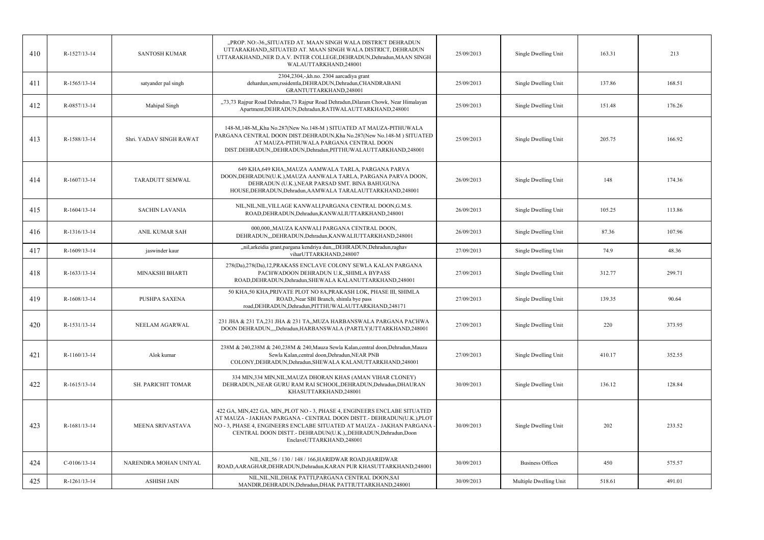| 410 | R-1527/13-14   | <b>SANTOSH KUMAR</b>    | "PROP. NO:-36,,SITUATED AT. MAAN SINGH WALA DISTRICT DEHRADUN<br>UTTARAKHAND,,SITUATED AT. MAAN SINGH WALA DISTRICT, DEHRADUN<br>UTTARAKHAND,, NER D.A.V. INTER COLLEGE, DEHRADUN, Dehradun, MAAN SINGH<br>WALAUTTARKHAND,248001                                                                                          | 25/09/2013 | Single Dwelling Unit    | 163.31 | 213    |
|-----|----------------|-------------------------|---------------------------------------------------------------------------------------------------------------------------------------------------------------------------------------------------------------------------------------------------------------------------------------------------------------------------|------------|-------------------------|--------|--------|
| 411 | R-1565/13-14   | satyander pal singh     | 2304,2304,-,kh.no. 2304 aarcadiya grant<br>dehardun, sem, rssidentla, DEHRADUN, Dehradun, CHANDRABANI<br>GRANTUTTARKHAND,248001                                                                                                                                                                                           | 25/09/2013 | Single Dwelling Unit    | 137.86 | 168.51 |
| 412 | R-0857/13-14   | Mahipal Singh           | "73,73 Rajpur Road Dehradun,73 Rajpur Road Dehradun, Dilaram Chowk, Near Himalayan<br>Apartment, DEHRADUN, Dehradun, RATIWALAUTTARKHAND, 248001                                                                                                                                                                           | 25/09/2013 | Single Dwelling Unit    | 151.48 | 176.26 |
| 413 | R-1588/13-14   | Shri. YADAV SINGH RAWAT | 148-M, 148-M, Kha No.287 (New No.148-M) SITUATED AT MAUZA-PITHUWALA<br>PARGANA CENTRAL DOON DIST.DEHRADUN, Kha No.287(New No.148-M) SITUATED<br>AT MAUZA-PITHUWALA PARGANA CENTRAL DOON<br>DIST.DEHRADUN,,DEHRADUN,Dehradun,PITTHUWALAUTTARKHAND,248001                                                                   | 25/09/2013 | Single Dwelling Unit    | 205.75 | 166.92 |
| 414 | $R-1607/13-14$ | <b>TARADUTT SEMWAL</b>  | 649 KHA,649 KHA,,MAUZA AAMWALA TARLA, PARGANA PARVA<br>DOON, DEHRADUN(U.K.), MAUZA AANWALA TARLA, PARGANA PARVA DOON,<br>DEHRADUN (U.K.), NEAR PARSAD SMT. BINA BAHUGUNA<br>HOUSE, DEHRADUN, Dehradun, AAMWALA TARALAUTTARKHAND, 248001                                                                                   | 26/09/2013 | Single Dwelling Unit    | 148    | 174.36 |
| 415 | $R-1604/13-14$ | <b>SACHIN LAVANIA</b>   | NIL, NIL, NIL, VILLAGE KANWALI, PARGANA CENTRAL DOON, G.M.S.<br>ROAD, DEHRADUN, Dehradun, KANWALIUTTARKHAND, 248001                                                                                                                                                                                                       | 26/09/2013 | Single Dwelling Unit    | 105.25 | 113.86 |
| 416 | R-1316/13-14   | <b>ANIL KUMAR SAH</b>   | 000,000,,MAUZA KANWALI PARGANA CENTRAL DOON,<br>DEHRADUN, DEHRADUN, Dehradun, KANWALIUTTARKHAND, 248001                                                                                                                                                                                                                   | 26/09/2013 | Single Dwelling Unit    | 87.36  | 107.96 |
| 417 | R-1609/13-14   | jaswinder kaur          | "nil, arkeidia grant, pargana kendriya dun, "DEHRADUN, Dehradun, raghav<br>viharUTTARKHAND,248007                                                                                                                                                                                                                         | 27/09/2013 | Single Dwelling Unit    | 74.9   | 48.36  |
| 418 | R-1633/13-14   | MINAKSHI BHARTI         | 278(Da),278(Da),12,PRAKASS ENCLAVE COLONY SEWLA KALAN PARGANA<br>PACHWADOON DEHRADUN U.K., SHIMLA BYPASS<br>ROAD, DEHRADUN, Dehradun, SHEWALA KALANUTTARKHAND, 248001                                                                                                                                                     | 27/09/2013 | Single Dwelling Unit    | 312.77 | 299.71 |
| 419 | R-1608/13-14   | PUSHPA SAXENA           | 50 KHA,50 KHA, PRIVATE PLOT NO 8A, PRAKASH LOK, PHASE III, SHIMLA<br>ROAD,,Near SBI Branch, shimla bye pass<br>road, DEHRADUN, Dehradun, PITTHUWALAUTTARKHAND, 248171                                                                                                                                                     | 27/09/2013 | Single Dwelling Unit    | 139.35 | 90.64  |
| 420 | R-1531/13-14   | NEELAM AGARWAL          | 231 JHA & 231 TA, 231 JHA & 231 TA, MUZA HARBANSWALA PARGANA PACHWA<br>DOON DEHRADUN,,,,Dehradun,HARBANSWALA (PARTLY)UTTARKHAND,248001                                                                                                                                                                                    | 27/09/2013 | Single Dwelling Unit    | 220    | 373.95 |
| 421 | R-1160/13-14   | Alok kumar              | 238M & 240.238M & 240.238M & 240. Mauza Sewla Kalan.central doon. Dehradun. Mauza<br>Sewla Kalan, central doon, Dehradun, NEAR PNB<br>COLONY, DEHRADUN, Dehradun, SHEWALA KALANUTTARKHAND, 248001                                                                                                                         | 27/09/2013 | Single Dwelling Unit    | 410.17 | 352.55 |
| 422 | R-1615/13-14   | SH. PARICHIT TOMAR      | 334 MIN,334 MIN, NIL, MAUZA DHORAN KHAS (AMAN VIHAR CLONEY)<br>DEHRADUN, NEAR GURU RAM RAI SCHOOL, DEHRADUN, Dehradun, DHAURAN<br>KHASUTTARKHAND,248001                                                                                                                                                                   | 30/09/2013 | Single Dwelling Unit    | 136.12 | 128.84 |
| 423 | R-1681/13-14   | MEENA SRIVASTAVA        | 422 GA, MIN, 422 GA, MIN, PLOT NO - 3, PHASE 4, ENGINEERS ENCLABE SITUATED<br>AT MAUZA - JAKHAN PARGANA - CENTRAL DOON DISTT.- DEHRADUN(U.K.), PLOT<br>NO - 3, PHASE 4, ENGINEERS ENCLABE SITUATED AT MAUZA - JAKHAN PARGANA<br>CENTRAL DOON DISTT.- DEHRADUN(U.K.), DEHRADUN, Dehradun, Doon<br>EnclaveUTTARKHAND,248001 | 30/09/2013 | Single Dwelling Unit    | 202    | 233.52 |
| 424 | $C-0106/13-14$ | NARENDRA MOHAN UNIYAL   | NIL, NIL, 56 / 130 / 148 / 166, HARIDWAR ROAD, HARIDWAR<br>ROAD, AARAGHAR, DEHRADUN, Dehradun, KARAN PUR KHASUTTARKHAND, 248001                                                                                                                                                                                           | 30/09/2013 | <b>Business Offices</b> | 450    | 575.57 |
| 425 | R-1261/13-14   | <b>ASHISH JAIN</b>      | NIL, NIL, NIL, DHAK PATTI, PARGANA CENTRAL DOON, SAI<br>MANDIR, DEHRADUN, Dehradun, DHAK PATTIUTTARKHAND, 248001                                                                                                                                                                                                          | 30/09/2013 | Multiple Dwelling Unit  | 518.61 | 491.01 |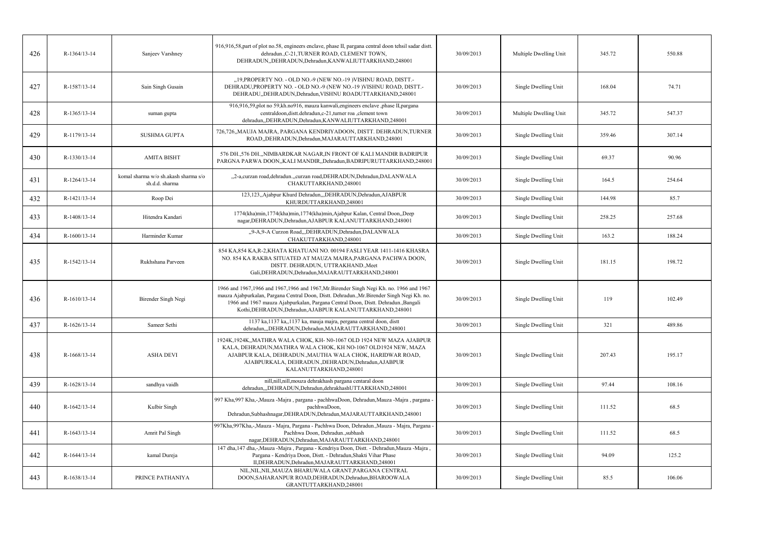| 426 | R-1364/13-14 | Sanjeev Varshney                                       | 916,916,58, part of plot no.58, engineers enclave, phase II, pargana central doon tehsil sadar distt.<br>dehradun., C-21, TURNER ROAD, CLEMENT TOWN,<br>DEHRADUN, DEHRADUN, Dehradun, KANWALIUTTARKHAND, 248001                                                                                                                            | 30/09/2013 | Multiple Dwelling Unit | 345.72 | 550.88 |
|-----|--------------|--------------------------------------------------------|--------------------------------------------------------------------------------------------------------------------------------------------------------------------------------------------------------------------------------------------------------------------------------------------------------------------------------------------|------------|------------------------|--------|--------|
| 427 | R-1587/13-14 | Sain Singh Gusain                                      | "19, PROPERTY NO. - OLD NO.-9 (NEW NO.-19) VISHNU ROAD, DISTT.-<br>DEHRADU, PROPERTY NO. - OLD NO.-9 (NEW NO.-19 )VISHNU ROAD, DISTT.-<br>DEHRADU,,DEHRADUN,Dehradun,VISHNU ROADUTTARKHAND,248001                                                                                                                                          | 30/09/2013 | Single Dwelling Unit   | 168.04 | 74.71  |
| 428 | R-1365/13-14 | suman gupta                                            | 916,916,59,plot no 59,kh.no916, mauza kanwali,engineers enclave ,phase II,pargana<br>centraldoon, dist. dehradun, c-21, turner roa, clement town<br>dehradun, DEHRADUN, Dehradun, KANWALIUTTARKHAND, 248001                                                                                                                                | 30/09/2013 | Multiple Dwelling Unit | 345.72 | 547.37 |
| 429 | R-1179/13-14 | <b>SUSHMA GUPTA</b>                                    | 726,726,,MAUJA MAJRA, PARGANA KENDRIYADOON, DISTT. DEHRADUN,TURNER<br>ROAD, DEHRADUN, Dehradun, MAJARAUTTARKHAND, 248001                                                                                                                                                                                                                   | 30/09/2013 | Single Dwelling Unit   | 359.46 | 307.14 |
| 430 | R-1330/13-14 | <b>AMITA BISHT</b>                                     | 576 DH., 576 DH., NIMBARDKAR NAGAR, IN FRONT OF KALI MANDIR BADRIPUR<br>PARGNA PARWA DOON,,KALI MANDIR,,Dehradun,BADRIPURUTTARKHAND,248001                                                                                                                                                                                                 | 30/09/2013 | Single Dwelling Unit   | 69.37  | 90.96  |
| 431 | R-1264/13-14 | komal sharma w/o sh.akash sharma s/o<br>sh.d.d. sharma | "2-a,curzan road,dehradun.,,curzan road,DEHRADUN,Dehradun,DALANWALA<br>CHAKUTTARKHAND,248001                                                                                                                                                                                                                                               | 30/09/2013 | Single Dwelling Unit   | 164.5  | 254.64 |
| 432 | R-1421/13-14 | Roop Dei                                               | 123,123,,Ajabpur Khurd Dehradun,,,DEHRADUN,Dehradun,AJABPUR<br>KHURDUTTARKHAND,248001                                                                                                                                                                                                                                                      | 30/09/2013 | Single Dwelling Unit   | 144.98 | 85.7   |
| 433 | R-1408/13-14 | Hitendra Kandari                                       | 1774(kha)min, 1774(kha)min, 1774(kha)min, Ajabpur Kalan, Central Doon, Deep<br>nagar, DEHRADUN, Dehradun, AJABPUR KALANUTTARKHAND, 248001                                                                                                                                                                                                  | 30/09/2013 | Single Dwelling Unit   | 258.25 | 257.68 |
| 434 | R-1600/13-14 | Harminder Kumar                                        | "9-A,9-A Curzon Road, "DEHRADUN, Dehradun, DALANWALA<br>CHAKUTTARKHAND,248001                                                                                                                                                                                                                                                              | 30/09/2013 | Single Dwelling Unit   | 163.2  | 188.24 |
| 435 | R-1542/13-14 | Rukhshana Parveen                                      | 854 KA, 854 KA, R-2, KHATA KHATUANI NO. 00194 FASLI YEAR 1411-1416 KHASRA<br>NO. 854 KA RAKBA SITUATED AT MAUZA MAJRA, PARGANA PACHWA DOON,<br>DISTT. DEHRADUN, UTTRAKHAND., Meet<br>Gali, DEHRADUN, Dehradun, MAJARAUTTARKHAND, 248001                                                                                                    | 30/09/2013 | Single Dwelling Unit   | 181.15 | 198.72 |
| 436 | R-1610/13-14 | Birender Singh Negi                                    | 1966 and 1967,1966 and 1967,1966 and 1967, Mr. Birender Singh Negi Kh. no. 1966 and 1967<br>mauza Ajabpurkalan, Pargana Central Doon, Distt. Dehradun., Mr. Birender Singh Negi Kh. no.<br>1966 and 1967 mauza Ajabpurkalan, Pargana Central Doon, Distt. Dehradun., Bangali<br>Kothi, DEHRADUN, Dehradun, AJABPUR KALANUTTARKHAND, 248001 | 30/09/2013 | Single Dwelling Unit   | 119    | 102.49 |
| 437 | R-1626/13-14 | Sameer Sethi                                           | 1137 ka, 1137 ka,, 1137 ka, mauja majra, pergana central doon, distt<br>dehradun,,,DEHRADUN,Dehradun,MAJARAUTTARKHAND,248001                                                                                                                                                                                                               | 30/09/2013 | Single Dwelling Unit   | 321    | 489.86 |
| 438 | R-1668/13-14 | <b>ASHA DEVI</b>                                       | 1924K, 1924K, MATHRA WALA CHOK, KH-N0-1067 OLD 1924 NEW MAZA AJABPUR<br>KALA, DEHRADUN, MATHRA WALA CHOK, KH NO-1067 OLD1924 NEW, MAZA<br>AJABPUR KALA, DEHRADUN., MAUTHA WALA CHOK, HARIDWAR ROAD,<br>AJABPURKALA, DEHRADUN., DEHRADUN, Dehradun, AJABPUR<br>KALANUTTARKHAND,248001                                                       | 30/09/2013 | Single Dwelling Unit   | 207.43 | 195.17 |
| 439 | R-1628/13-14 | sandhya vaidh                                          | nill, nill, nill, mouza dehrakhash pargana centaral doon<br>dehradun,,,DEHRADUN,Dehradun,dehrakhashUTTARKHAND,248001                                                                                                                                                                                                                       | 30/09/2013 | Single Dwelling Unit   | 97.44  | 108.16 |
| 440 | R-1642/13-14 | Kulbir Singh                                           | 997 Kha, 997 Kha, -, Mauza - Majra, pargana - pachhwaDoon, Dehradun, Mauza - Majra, pargana<br>pachhwaDoon,<br>Dehradun, Subhashnagar, DEHRADUN, Dehradun, MAJARAUTTARKHAND, 248001                                                                                                                                                        | 30/09/2013 | Single Dwelling Unit   | 111.52 | 68.5   |
| 441 | R-1643/13-14 | Amrit Pal Singh                                        | 997Kha, 997Kha, -, Mauza - Majra, Pargana - Pachhwa Doon, Dehradun., Mauza - Majra, Pargana -<br>Pachhwa Doon, Dehradun., subhash<br>nagar, DEHRADUN, Dehradun, MAJARAUTTARKHAND, 248001                                                                                                                                                   | 30/09/2013 | Single Dwelling Unit   | 111.52 | 68.5   |
| 442 | R-1644/13-14 | kamal Dureja                                           | 147 dha, 147 dha,-,Mauza -Majra, Pargana - Kendriya Doon, Distt. - Dehradun,Mauza -Majra,<br>Pargana - Kendriya Doon, Distt. - Dehradun, Shakti Vihar Phase<br>II, DEHRADUN, Dehradun, MAJARAUTTARKHAND, 248001                                                                                                                            | 30/09/2013 | Single Dwelling Unit   | 94.09  | 125.2  |
| 443 | R-1638/13-14 | PRINCE PATHANIYA                                       | NIL, NIL, NIL, MAUZA BHARUWALA GRANT, PARGANA CENTRAL<br>DOON, SAHARANPUR ROAD, DEHRADUN, Dehradun, BHAROOWALA<br>GRANTUTTARKHAND,248001                                                                                                                                                                                                   | 30/09/2013 | Single Dwelling Unit   | 85.5   | 106.06 |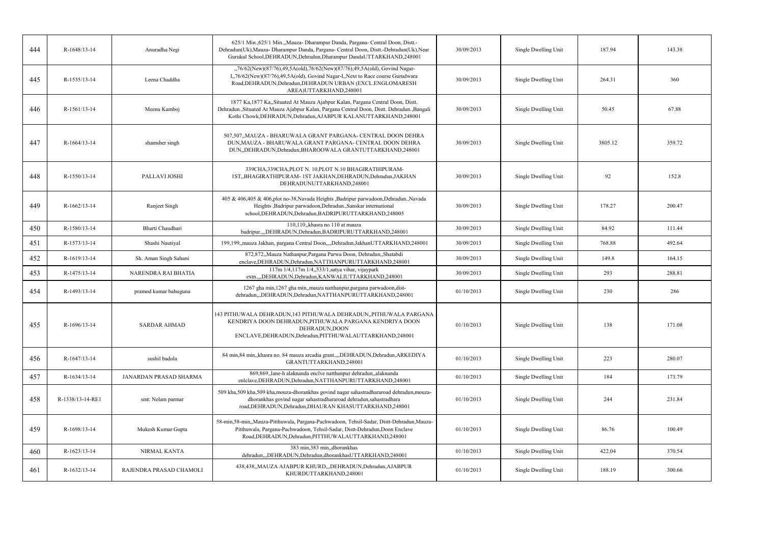| 444 | R-1648/13-14     | Anuradha Negi           | 625/1 Min., 625/1 Min., Mauza- Dharampur Danda, Pargana- Central Doon, Distt.-<br>Dehradun(Uk), Mauza- Dharampur Danda, Pargana- Central Doon, Distt.-Dehradun(Uk), Near<br>Gurukul School, DEHRADUN, Dehradun, Dharampur DandaUTTARKHAND, 248001      | 30/09/2013 | Single Dwelling Unit | 187.94  | 143.38 |
|-----|------------------|-------------------------|--------------------------------------------------------------------------------------------------------------------------------------------------------------------------------------------------------------------------------------------------------|------------|----------------------|---------|--------|
| 445 | R-1535/13-14     | Leena Chaddha           | "76/62(New)(87/76),49,5A(old),76/62(New)(87/76),49,5A(old), Govind Nagar-<br>I, 76/62(New)(87/76), 49, 5A(old), Govind Nagar-I, Next to Race course Gurudwara<br>Road, DEHRADUN, Dehradun, DEHRADUN URBAN (EXCL. ENGLOMARESH<br>AREA)UTTARKHAND,248001 | 30/09/2013 | Single Dwelling Unit | 264.31  | 360    |
| 446 | R-1561/13-14     | Meenu Kamboj            | 1877 Ka, 1877 Ka, Situated At Mauza Ajabpur Kalan, Pargana Central Doon, Distt.<br>Dehradun., Situated At Mauza Ajabpur Kalan, Pargana Central Doon, Distt. Dehradun., Bangali<br>Kothi Chowk, DEHRADUN, Dehradun, AJABPUR KALANUTTARKHAND, 248001     | 30/09/2013 | Single Dwelling Unit | 50.45   | 67.88  |
| 447 | R-1664/13-14     | shamsher singh          | 507,507,,MAUZA - BHARUWALA GRANT PARGANA- CENTRAL DOON DEHRA<br>DUN, MAUZA - BHARUWALA GRANT PARGANA- CENTRAL DOON DEHRA<br>DUN, DEHRADUN, Dehradun, BHAROOWALA GRANTUTTARKHAND, 248001                                                                | 30/09/2013 | Single Dwelling Unit | 3805.12 | 359.72 |
| 448 | R-1550/13-14     | PALLAVI JOSHI           | 339CHA, 339CHA, PLOT N. 10, PLOT N.10 BHAGIRATHIPURAM-<br>1ST,,BHAGIRATHIPURAM-1ST JAKHAN,DEHRADUN,Dehradun,JAKHAN<br>DEHRADUNUTTARKHAND,248001                                                                                                        | 30/09/2013 | Single Dwelling Unit | 92      | 152.8  |
| 449 | $R-1662/13-14$   | Ranjeet Singh           | 405 & 406,405 & 406,plot no-38, Navada Heights , Badripur parwadoon, Dehradun., Navada<br>Heights , Badripur parwadoon, Dehradun., Sanskar international<br>school, DEHRADUN, Dehradun, BADRIPURUTTARKHAND, 248005                                     | 30/09/2013 | Single Dwelling Unit | 178.27  | 200.47 |
| 450 | R-1580/13-14     | Bharti Chaudhari        | 110,110, khasra no 110 at mauza<br>badripur.,,,DEHRADUN,Dehradun,BADRIPURUTTARKHAND,248001                                                                                                                                                             | 30/09/2013 | Single Dwelling Unit | 84.92   | 111.44 |
| 451 | R-1573/13-14     | Shashi Nautiyal         | 199,199, mauza Jakhan, pargana Central Doon, ", Dehradun, JakhanUTTARKHAND, 248001                                                                                                                                                                     | 30/09/2013 | Single Dwelling Unit | 768.88  | 492.64 |
| 452 | R-1619/13-14     | Sh. Aman Singh Sahani   | 872,872,,Mauza Nathanpur,Pargana Parwa Doon, Dehradun,,Shatabdi<br>enclave, DEHRADUN, Dehradun, NATTHANPURUTTARKHAND, 248001                                                                                                                           | 30/09/2013 | Single Dwelling Unit | 149.8   | 164.15 |
| 453 | R-1475/13-14     | NARENDRA RAI BHATIA     | 117m 1/4,117m 1/4,,533/1,satya vihar, vijaypark<br>extn.,,,DEHRADUN,Dehradun,KANWALIUTTARKHAND,248001                                                                                                                                                  | 30/09/2013 | Single Dwelling Unit | 293     | 288.81 |
| 454 | R-1493/13-14     | pramod kumar bahuguna   | 1267 gha min, 1267 gha min, mauza natthanpur, pargana parwadoon, dist-<br>dehradun,,,DEHRADUN,Dehradun,NATTHANPURUTTARKHAND,248001                                                                                                                     | 01/10/2013 | Single Dwelling Unit | 230     | 286    |
| 455 | R-1696/13-14     | <b>SARDAR AHMAD</b>     | 143 PITHUWALA DEHRADUN, 143 PITHUWALA DEHRADUN, PITHUWALA PARGANA<br>KENDRIYA DOON DEHRADUN, PITHUWALA PARGANA KENDRIYA DOON<br>DEHRADUN, DOON<br>ENCLAVE, DEHRADUN, Dehradun, PITTHUWALAUTTARKHAND, 248001                                            | 01/10/2013 | Single Dwelling Unit | 138     | 171.08 |
| 456 | R-1647/13-14     | sushil badola           | 84 min, 84 min, khasra no. 84 mauza arcadia grant, DEHRADUN, Dehradun, ARKEDIYA<br>GRANTUTTARKHAND,248001                                                                                                                                              | 01/10/2013 | Single Dwelling Unit | 223     | 280.07 |
| 457 | R-1634/13-14     | JANARDAN PRASAD SHARMA  | 869,869, lane-h alaknanda enclve natthanpur dehradun, alaknanda<br>enlclave, DEHRADUN, Dehradun, NATTHANPURUTTARKHAND, 248001                                                                                                                          | 01/10/2013 | Single Dwelling Unit | 184     | 173.79 |
| 458 | R-1338/13-14-RE1 | smt: Nelam parmar       | 509 kha,509 kha,509 kha,mouza-dhorankhas govind nagar sahastradhararoad dehradun,mouza-<br>dhorankhas govind nagar sahastradhararoad dehradun, sahastradhara<br>road, DEHRADUN, Dehradun, DHAURAN KHASUTTARKHAND, 248001                               | 01/10/2013 | Single Dwelling Unit | 244     | 231.84 |
| 459 | R-1698/13-14     | Mukesh Kumar Gupta      | 58-min, 58-min, Mauza-Pitthuwala, Pargana-Pachwadoon, Tehsil-Sadar, Distt-Dehradun, Mauza-<br>Pitthuwala, Pargana-Pachwadoon, Tehsil-Sadar, Distt-Dehradun, Doon Enclave<br>Road, DEHRADUN, Dehradun, PITTHUWALAUTTARKHAND, 248001                     | 01/10/2013 | Single Dwelling Unit | 86.76   | 100.49 |
| 460 | R-1623/13-14     | NIRMAL KANTA            | 383 min, 383 min, dhorankhas<br>dehradun,,,DEHRADUN,Dehradun,dhorankhasUTTARKHAND,248001                                                                                                                                                               | 01/10/2013 | Single Dwelling Unit | 422.04  | 370.54 |
| 461 | R-1632/13-14     | RAJENDRA PRASAD CHAMOLI | 438,438,,MAUZA AJABPUR KHURD,,,DEHRADUN,Dehradun,AJABPUR<br>KHURDUTTARKHAND,248001                                                                                                                                                                     | 01/10/2013 | Single Dwelling Unit | 188.19  | 300.66 |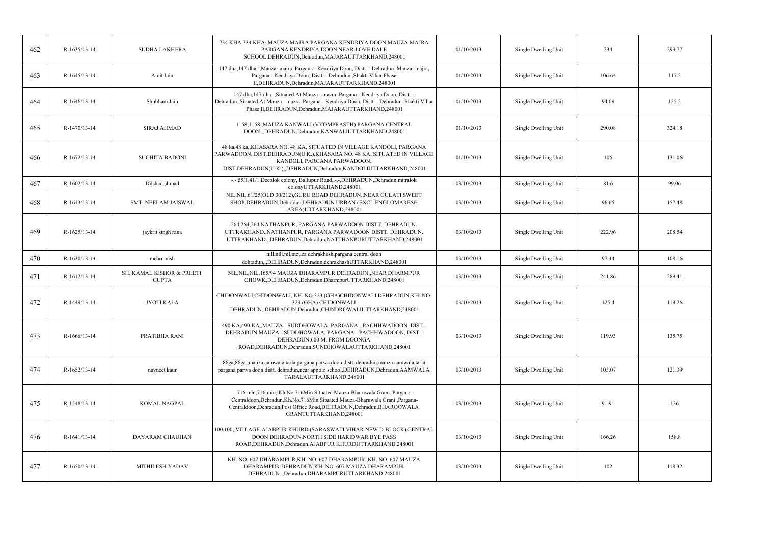| 462 | R-1635/13-14 | <b>SUDHA LAKHERA</b>                      | 734 KHA,734 KHA,,MAUZA MAJRA PARGANA KENDRIYA DOON,MAUZA MAJRA<br>PARGANA KENDRIYA DOON, NEAR LOVE DALE<br>SCHOOL, DEHRADUN, Dehradun, MAJARAUTTARKHAND, 248001                                                                                                | 01/10/2013 | Single Dwelling Unit | 234    | 293.77 |
|-----|--------------|-------------------------------------------|----------------------------------------------------------------------------------------------------------------------------------------------------------------------------------------------------------------------------------------------------------------|------------|----------------------|--------|--------|
| 463 | R-1645/13-14 | Amit Jain                                 | 147 dha, 147 dha,-,Mauza- majra, Pargana - Kendriya Doon, Distt. - Dehradun.,Mauza- majra,<br>Pargana - Kendriya Doon, Distt. - Dehradun., Shakti Vihar Phase<br>II, DEHRADUN, Dehradun, MAJARAUTTARKHAND, 248001                                              | 01/10/2013 | Single Dwelling Unit | 106.64 | 117.2  |
| 464 | R-1646/13-14 | Shubham Jain                              | 147 dha, 147 dha,-,Situated At Mauza - mazra, Pargana - Kendriya Doon, Distt. -<br>Dehradun., Situated At Mauza - mazra, Pargana - Kendriya Doon, Distt. - Dehradun., Shakti Vihar<br>Phase II, DEHRADUN, Dehradun, MAJARAUTTARKHAND, 248001                   | 01/10/2013 | Single Dwelling Unit | 94.09  | 125.2  |
| 465 | R-1470/13-14 | <b>SIRAJ AHMAD</b>                        | 1158,1158,,MAUZA KANWALI (VYOMPRASTH) PARGANA CENTRAL<br>DOON,,,DEHRADUN,Dehradun,KANWALIUTTARKHAND,248001                                                                                                                                                     | 01/10/2013 | Single Dwelling Unit | 290.08 | 324.18 |
| 466 | R-1672/13-14 | <b>SUCHITA BADONI</b>                     | 48 ka,48 ka,,KHASARA NO. 48 KA, SITUATED IN VILLAGE KANDOLI, PARGANA<br>PARWADOON, DIST.DEHRADUN(U.K.),KHASARA NO. 48 KA, SITUATED IN VILLAGE<br>KANDOLI, PARGANA PARWADOON,<br>DIST.DEHRADUN(U.K.),,DEHRADUN,Dehradun,KANDOLIUTTARKHAND,248001                | 01/10/2013 | Single Dwelling Unit | 106    | 131.06 |
| 467 | R-1602/13-14 | Dilshad ahmad                             | -,-,55/1,41/1 Deeplok colony, Ballupur Road.,-,-,DEHRADUN,Dehradun,mitralok<br>colonyUTTARKHAND,248001                                                                                                                                                         | 03/10/2013 | Single Dwelling Unit | 81.6   | 99.06  |
| 468 | R-1613/13-14 | SMT. NEELAM JAISWAL                       | NIL, NIL, 61/25(OLD 30/212), GURU ROAD DEHRADUN, NEAR GULATI SWEET<br>SHOP, DEHRADUN, Dehradun, DEHRADUN URBAN (EXCL. ENGLOMARESH<br>AREA)UTTARKHAND,248001                                                                                                    | 03/10/2013 | Single Dwelling Unit | 96.65  | 157.48 |
| 469 | R-1625/13-14 | jaykrit singh rana                        | 264,264,264,NATHANPUR, PARGANA PARWADOON DISTT. DEHRADUN.<br>UTTRAKHAND., NATHANPUR, PARGANA PARWADOON DISTT. DEHRADUN.<br>UTTRAKHAND., DEHRADUN, Dehradun, NATTHANPURUTTARKHAND, 248001                                                                       | 03/10/2013 | Single Dwelling Unit | 222.96 | 208.54 |
| 470 | R-1630/13-14 | mehru nish                                | nill,nill,nil,mouza dehrakhash.pargana central doon<br>dehradun,,,DEHRADUN,Dehradun,dehrakhashUTTARKHAND,248001                                                                                                                                                | 03/10/2013 | Single Dwelling Unit | 97.44  | 108.16 |
| 471 | R-1612/13-14 | SH. KAMAL KISHOR & PREETI<br><b>GUPTA</b> | NIL, NIL, NIL, 165/94 MAUZA DHARAMPUR DEHRADUN, , NEAR DHARMPUR<br>CHOWK, DEHRADUN, Dehradun, DharmpurUTTARKHAND, 248001                                                                                                                                       | 03/10/2013 | Single Dwelling Unit | 241.86 | 289.41 |
| 472 | R-1449/13-14 | JYOTI KALA                                | CHIDONWALI, CHIDONWALI, KH. NO.323 (GHA)CHIDONWALI DEHRADUN, KH. NO.<br>323 (GHA) CHIDONWALI<br>DEHRADUN, DEHRADUN, Dehradun, CHINDROWALIUTTARKHAND, 248001                                                                                                    | 03/10/2013 | Single Dwelling Unit | 125.4  | 119.26 |
| 473 | R-1666/13-14 | PRATIBHA RANI                             | 490 KA,490 KA,,MAUZA - SUDDHOWALA, PARGANA - PACHHWADOON, DIST.-<br>DEHRADUN, MAUZA - SUDDHOWALA, PARGANA - PACHHWADOON, DIST.-<br>DEHRADUN,600 M. FROM DOONGA<br>ROAD, DEHRADUN, Dehradun, SUNDHOWALAUTTARKHAND, 248001                                       | 03/10/2013 | Single Dwelling Unit | 119.93 | 135.75 |
| 474 | R-1652/13-14 | navneet kaur                              | 86ga, 86ga, mauza aamwala tarla pargana parwa doon distt. dehradun, mauza aamwala tarla<br>pargana parwa doon distt. dehradun,near appolo school,DEHRADUN,Dehradun,AAMWALA<br>TARALAUTTARKHAND,248001                                                          | 03/10/2013 | Single Dwelling Unit | 103.07 | 121.39 |
| 475 | R-1548/13-14 | KOMAL NAGPAL                              | 716 min, 716 min, Kh.No.716Min Situated Mauza-Bharuwala Grant, Pargana-<br>Centraldoon, Dehradun, Kh. No. 716Min Situated Mauza-Bharuwala Grant, Pargana-<br>Centraldoon, Dehradun, Post Office Road, DEHRADUN, Dehradun, BHAROOWALA<br>GRANTUTTARKHAND,248001 | 03/10/2013 | Single Dwelling Unit | 91.91  | 136    |
| 476 | R-1641/13-14 | DAYARAM CHAUHAN                           | 100,100, VILLAGE-AJABPUR KHURD (SARASWATI VIHAR NEW D-BLOCK), CENTRAL<br>DOON DEHRADUN, NORTH SIDE HARIDWAR BYE PASS<br>ROAD, DEHRADUN, Dehradun, AJABPUR KHURDUTTARKHAND, 248001                                                                              | 03/10/2013 | Single Dwelling Unit | 166.26 | 158.8  |
| 477 | R-1650/13-14 | MITHILESH YADAV                           | KH. NO. 607 DHARAMPUR, KH. NO. 607 DHARAMPUR, KH. NO. 607 MAUZA<br>DHARAMPUR DEHRADUN, KH. NO. 607 MAUZA DHARAMPUR<br>DEHRADUN, "Dehradun, DHARAMPURUTTARKHAND, 248001                                                                                         | 03/10/2013 | Single Dwelling Unit | 102    | 118.32 |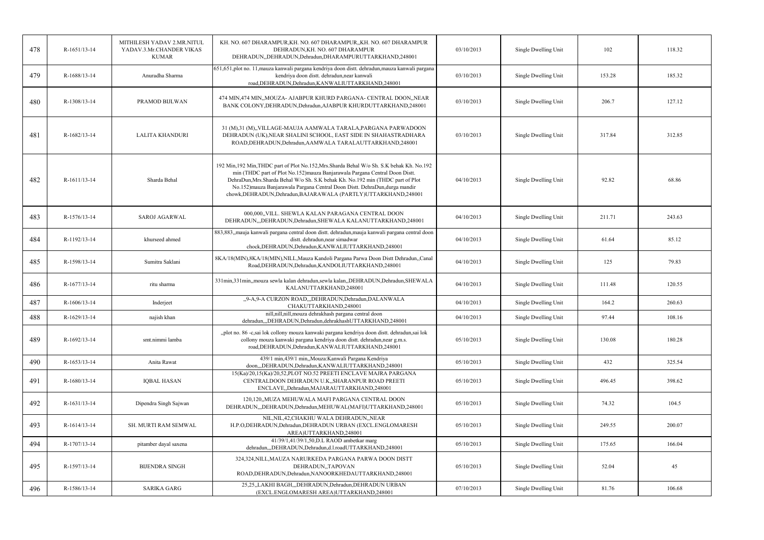| 478 | R-1651/13-14 | MITHILESH YADAV 2.MR.NITUL<br>YADAV.3.Mr.CHANDER VIKAS<br><b>KUMAR</b> | KH. NO. 607 DHARAMPUR, KH. NO. 607 DHARAMPUR, KH. NO. 607 DHARAMPUR<br>DEHRADUN, KH. NO. 607 DHARAMPUR<br>DEHRADUN, DEHRADUN, Dehradun, DHARAMPURUTTARKHAND, 248001                                                                                                                                                                                                                                                | 03/10/2013 | Single Dwelling Unit | 102    | 118.32 |
|-----|--------------|------------------------------------------------------------------------|--------------------------------------------------------------------------------------------------------------------------------------------------------------------------------------------------------------------------------------------------------------------------------------------------------------------------------------------------------------------------------------------------------------------|------------|----------------------|--------|--------|
| 479 | R-1688/13-14 | Anuradha Sharma                                                        | 651,651,plot no. 11,mauza kanwali pargana kendriya doon distt. dehradun,mauza kanwali pargana<br>kendriya doon distt. dehradun, near kanwali<br>road, DEHRADUN, Dehradun, KANWALIUTTARKHAND, 248001                                                                                                                                                                                                                | 03/10/2013 | Single Dwelling Unit | 153.28 | 185.32 |
| 480 | R-1308/13-14 | PRAMOD BIJLWAN                                                         | 474 MIN,474 MIN,, MOUZA- AJABPUR KHURD PARGANA- CENTRAL DOON,, NEAR<br>BANK COLONY, DEHRADUN, Dehradun, AJABPUR KHURDUTTARKHAND, 248001                                                                                                                                                                                                                                                                            | 03/10/2013 | Single Dwelling Unit | 206.7  | 127.12 |
| 481 | R-1682/13-14 | <b>LALITA KHANDURI</b>                                                 | 31 (M),31 (M),,VILLAGE-MAUJA AAMWALA TARALA,PARGANA PARWADOON<br>DEHRADUN (UK), NEAR SHALINI SCHOOL, EAST SIDE IN SHAHASTRADHARA<br>ROAD, DEHRADUN, Dehradun, AAMWALA TARALAUTTARKHAND, 248001                                                                                                                                                                                                                     | 03/10/2013 | Single Dwelling Unit | 317.84 | 312.85 |
| 482 | R-1611/13-14 | Sharda Behal                                                           | 192 Min, 192 Min, THDC part of Plot No.152, Mrs. Sharda Behal W/o Sh. S.K behak Kh. No.192<br>min (THDC part of Plot No.152)mauza Banjarawala Pargana Central Doon Distt.<br>DehraDun, Mrs. Sharda Behal W/o Sh. S.K behak Kh. No. 192 min (THDC part of Plot<br>No.152) mauza Banjarawala Pargana Central Doon Distt. DehraDun, durga mandir<br>chowk, DEHRADUN, Dehradun, BAJARAWALA (PARTLY) UTTARKHAND, 248001 | 04/10/2013 | Single Dwelling Unit | 92.82  | 68.86  |
| 483 | R-1576/13-14 | <b>SAROJ AGARWAL</b>                                                   | 000.000. VILL. SHEWLA KALAN PARAGANA CENTRAL DOON<br>DEHRADUN, "DEHRADUN, Dehradun, SHEWALA KALANUTTARKHAND, 248001                                                                                                                                                                                                                                                                                                | 04/10/2013 | Single Dwelling Unit | 211.71 | 243.63 |
| 484 | R-1192/13-14 | khurseed ahmed                                                         | 883,883, mauja kanwali pargana central doon distt. dehradun, mauja kanwali pargana central doon<br>distt. dehradun, near simadwar<br>chock, DEHRADUN, Dehradun, KANWALIUTTARKHAND, 248001                                                                                                                                                                                                                          | 04/10/2013 | Single Dwelling Unit | 61.64  | 85.12  |
| 485 | R-1598/13-14 | Sumitra Saklani                                                        | 8KA/18(MIN), 8KA/18(MIN), NILL, Mauza Kandoli Pargana Parwa Doon Distt Dehradun, Canal<br>Road, DEHRADUN, Dehradun, KANDOLIUTTARKHAND, 248001                                                                                                                                                                                                                                                                      | 04/10/2013 | Single Dwelling Unit | 125    | 79.83  |
| 486 | R-1677/13-14 | ritu sharma                                                            | 331min, 331min, mouza sewla kalan dehradun, sewla kalan, , DEHRADUN, Dehradun, SHEWALA<br>KALANUTTARKHAND,248001                                                                                                                                                                                                                                                                                                   | 04/10/2013 | Single Dwelling Unit | 111.48 | 120.55 |
| 487 | R-1606/13-14 | Inderjeet                                                              | "9-A,9-A CURZON ROAD,"DEHRADUN, Dehradun, DALANWALA<br>CHAKUTTARKHAND,248001                                                                                                                                                                                                                                                                                                                                       | 04/10/2013 | Single Dwelling Unit | 164.2  | 260.63 |
| 488 | R-1629/13-14 | najish khan                                                            | nill,nill,nill,mouza dehrakhash pargana central doon<br>dehradun,,,DEHRADUN,Dehradun,dehrakhashUTTARKHAND,248001                                                                                                                                                                                                                                                                                                   | 04/10/2013 | Single Dwelling Unit | 97.44  | 108.16 |
| 489 | R-1692/13-14 | smt.nimmi lamba                                                        | "plot no. 86 -c,sai lok collony mouza kanwaki pargana kendriya doon distt. dehradun,sai lok<br>collony mouza kanwaki pargana kendriya doon distt. dehradun, near g.m.s.<br>road, DEHRADUN, Dehradun, KANWALIUTTARKHAND, 248001                                                                                                                                                                                     | 05/10/2013 | Single Dwelling Unit | 130.08 | 180.28 |
| 490 | R-1653/13-14 | Anita Rawat                                                            | 439/1 min,439/1 min,,Mouza:Kanwali Pargana Kendriya<br>doon,,,DEHRADUN,Dehradun,KANWALIUTTARKHAND,248001                                                                                                                                                                                                                                                                                                           | 05/10/2013 | Single Dwelling Unit | 432    | 325.54 |
| 491 | R-1680/13-14 | <b>IQBAL HASAN</b>                                                     | 15(Ka)/20,15(Ka)/20,52, PLOT NO.52 PREETI ENCLAVE MAJRA PARGANA<br>CENTRALDOON DEHRADUN U.K., SHARANPUR ROAD PREETI<br>ENCLAVE, Dehradun, MAJARAUTTARKHAND, 248001                                                                                                                                                                                                                                                 | 05/10/2013 | Single Dwelling Unit | 496.45 | 398.62 |
| 492 | R-1631/13-14 | Dipendra Singh Sajwan                                                  | 120,120, MUZA MEHUWALA MAFI PARGANA CENTRAL DOON<br>DEHRADUN, "DEHRADUN, Dehradun, MEHUWAL (MAFI) UTTARKHAND, 248001                                                                                                                                                                                                                                                                                               | 05/10/2013 | Single Dwelling Unit | 74.32  | 104.5  |
| 493 | R-1614/13-14 | SH. MURTI RAM SEMWAL                                                   | NIL, NIL, 42, CHAKHU WALA DEHRADUN, , NEAR<br>H.P.O,DEHRADUN,Dehradun,DEHRADUN URBAN (EXCL.ENGLOMARESH<br>AREA)UTTARKHAND,248001                                                                                                                                                                                                                                                                                   | 05/10/2013 | Single Dwelling Unit | 249.55 | 200.07 |
| 494 | R-1707/13-14 | pitamber dayal saxena                                                  | 41/39/1,41/39/1,50,D.L RAOD ambetkar marg<br>dehradun,,,DEHRADUN,Dehradun,d.l.roadUTTARKHAND,248001                                                                                                                                                                                                                                                                                                                | 05/10/2013 | Single Dwelling Unit | 175.65 | 166.04 |
| 495 | R-1597/13-14 | <b>BIJENDRA SINGH</b>                                                  | 324,324, NILL, MAUZA NARURKEDA PARGANA PARWA DOON DISTT<br>DEHRADUN, TAPOVAN<br>ROAD, DEHRADUN, Dehradun, NANOORKHEDAUTTARKHAND, 248001                                                                                                                                                                                                                                                                            | 05/10/2013 | Single Dwelling Unit | 52.04  | 45     |
| 496 | R-1586/13-14 | SARIKA GARG                                                            | 25,25, LAKHI BAGH, DEHRADUN, Dehradun, DEHRADUN URBAN<br>(EXCL.ENGLOMARESH AREA)UTTARKHAND,248001                                                                                                                                                                                                                                                                                                                  | 07/10/2013 | Single Dwelling Unit | 81.76  | 106.68 |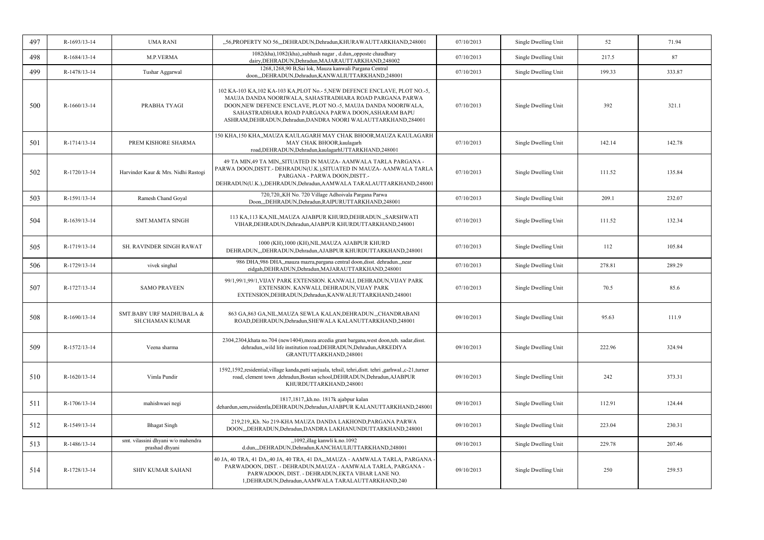| 497 | R-1693/13-14 | <b>UMA RANI</b>                                      | "56, PROPERTY NO 56, "DEHRADUN, Dehradun, KHURAWAUTTARKHAND, 248001                                                                                                                                                                                                                                                                  | 07/10/2013 | Single Dwelling Unit | 52     | 71.94  |
|-----|--------------|------------------------------------------------------|--------------------------------------------------------------------------------------------------------------------------------------------------------------------------------------------------------------------------------------------------------------------------------------------------------------------------------------|------------|----------------------|--------|--------|
| 498 | R-1684/13-14 | M.P.VERMA                                            | 1082(kha), 1082(kha), subhash nagar, d.dun, opposte chaudhary<br>dairy, DEHRADUN, Dehradun, MAJARAUTTARKHAND, 248002                                                                                                                                                                                                                 | 07/10/2013 | Single Dwelling Unit | 217.5  | 87     |
| 499 | R-1478/13-14 | Tushar Aggarwal                                      | 1268,1268,90 B,Sai lok, Mauza kanwali Pargana Central<br>doon,,,DEHRADUN,Dehradun,KANWALIUTTARKHAND,248001                                                                                                                                                                                                                           | 07/10/2013 | Single Dwelling Unit | 199.33 | 333.87 |
| 500 | R-1660/13-14 | PRABHA TYAGI                                         | 102 KA-103 KA, 102 KA-103 KA, PLOT No. - 5, NEW DEFENCE ENCLAVE, PLOT NO. - 5,<br>MAUJA DANDA NOORIWALA, SAHASTRADHARA ROAD PARGANA PARWA<br>DOON, NEW DEFENCE ENCLAVE, PLOT NO.-5, MAUJA DANDA NOORIWALA,<br>SAHASTRADHARA ROAD PARGANA PARWA DOON, ASHARAM BAPU<br>ASHRAM, DEHRADUN, Dehradun, DANDRA NOORI WALAUTTARKHAND, 284001 | 07/10/2013 | Single Dwelling Unit | 392    | 321.1  |
| 501 | R-1714/13-14 | PREM KISHORE SHARMA                                  | 150 KHA,150 KHA,,MAUZA KAULAGARH MAY CHAK BHOOR,MAUZA KAULAGARH<br>MAY CHAK BHOOR, kaulagarh<br>road, DEHRADUN, Dehradun, kaulagarhUTTARKHAND, 248001                                                                                                                                                                                | 07/10/2013 | Single Dwelling Unit | 142.14 | 142.78 |
| 502 | R-1720/13-14 | Harvinder Kaur & Mrs. Nidhi Rastogi                  | 49 TA MIN,49 TA MIN,,SITUATED IN MAUZA- AAMWALA TARLA PARGANA -<br>PARWA DOON, DISTT. - DEHRADUN(U.K.), SITUATED IN MAUZA - AAMWALA TARLA<br>PARGANA - PARWA DOON, DISTT.-<br>DEHRADUN(U.K.),,DEHRADUN,Dehradun,AAMWALA TARALAUTTARKHAND,248001                                                                                      | 07/10/2013 | Single Dwelling Unit | 111.52 | 135.84 |
| 503 | R-1591/13-14 | Ramesh Chand Goyal                                   | 720,720,,KH No. 720 Village Adhoivala Pargana Parwa<br>Doon,,,DEHRADUN,Dehradun,RAIPURUTTARKHAND,248001                                                                                                                                                                                                                              | 07/10/2013 | Single Dwelling Unit | 209.1  | 232.07 |
| 504 | R-1639/13-14 | <b>SMT.MAMTA SINGH</b>                               | 113 KA,113 KA,NIL,MAUZA AJABPUR KHURD,DEHRADUN.,,SARSHWATI<br>VIHAR, DEHRADUN, Dehradun, AJABPUR KHURDUTTARKHAND, 248001                                                                                                                                                                                                             | 07/10/2013 | Single Dwelling Unit | 111.52 | 132.34 |
| 505 | R-1719/13-14 | <b>SH. RAVINDER SINGH RAWAT</b>                      | 1000 (KH), 1000 (KH), NIL, MAUZA AJABPUR KHURD<br>DEHRADUN,"DEHRADUN, Dehradun, AJABPUR KHURDUTTARKHAND, 248001                                                                                                                                                                                                                      | 07/10/2013 | Single Dwelling Unit | 112    | 105.84 |
| 506 | R-1729/13-14 | vivek singhal                                        | 986 DHA,986 DHA,,mauza mazra,pargana central doon,disst. dehradun.,,near<br>eidgah, DEHRADUN, Dehradun, MAJARAUTTARKHAND, 248001                                                                                                                                                                                                     | 07/10/2013 | Single Dwelling Unit | 278.81 | 289.29 |
| 507 | R-1727/13-14 | <b>SAMO PRAVEEN</b>                                  | 99/1,99/1,99/1,VIJAY PARK EXTENSION. KANWALI, DEHRADUN,VIJAY PARK<br>EXTENSION. KANWALI, DEHRADUN, VIJAY PARK<br>EXTENSION, DEHRADUN, Dehradun, KANWALIUTTARKHAND, 248001                                                                                                                                                            | 07/10/2013 | Single Dwelling Unit | 70.5   | 85.6   |
| 508 | R-1690/13-14 | SMT.BABY URF MADHUBALA &<br>SH.CHAMAN KUMAR          | 863 GA, 863 GA, NIL, MAUZA SEWLA KALAN, DEHRADUN, CHANDRABANI<br>ROAD, DEHRADUN, Dehradun, SHEWALA KALANUTTARKHAND, 248001                                                                                                                                                                                                           | 09/10/2013 | Single Dwelling Unit | 95.63  | 111.9  |
| 509 | R-1572/13-14 | Veena sharma                                         | 2304,2304, khata no. 704 (new1404), moza arcedia grant bargana, west doon, teh. sadar, disst.<br>dehradun, wild life institution road, DEHRADUN, Dehradun, ARKEDIYA<br>GRANTUTTARKHAND,248001                                                                                                                                        | 09/10/2013 | Single Dwelling Unit | 222.96 | 324.94 |
| 510 | R-1620/13-14 | Vimla Pundir                                         | 1592,1592,residential, village kanda, patti sarjuala, tehsil, tehri, distt. tehri , garhwal., c-21, turner<br>road, clement town , dehradun, Bostan school, DEHRADUN, Dehradun, AJABPUR<br>KHURDUTTARKHAND,248001                                                                                                                    | 09/10/2013 | Single Dwelling Unit | 242    | 373.31 |
| 511 | R-1706/13-14 | mahishwaei negi                                      | 1817,1817, kh.no. 1817k ajabpur kalan<br>dehardun,sem,rssidentla,DEHRADUN,Dehradun,AJABPUR KALANUTTARKHAND,248001                                                                                                                                                                                                                    | 09/10/2013 | Single Dwelling Unit | 112.91 | 124.44 |
| 512 | R-1549/13-14 | <b>Bhagat Singh</b>                                  | 219,219,,Kh. No 219-KHA MAUZA DANDA LAKHOND,PARGANA PARWA<br>DOON,,,DEHRADUN,Dehradun,DANDRA LAKHANUNDUTTARKHAND,248001                                                                                                                                                                                                              | 09/10/2013 | Single Dwelling Unit | 223.04 | 230.31 |
| 513 | R-1486/13-14 | smt. vilassini dhyani w/o mahendra<br>prashad dhyani | "1092, illag kanwli k.no.1092<br>d.dun,,,DEHRADUN,Dehradun,KANCHAULIUTTARKHAND,248001                                                                                                                                                                                                                                                | 09/10/2013 | Single Dwelling Unit | 229.78 | 207.46 |
| 514 | R-1728/13-14 | SHIV KUMAR SAHANI                                    | 40 JA, 40 TRA, 41 DA,,40 JA, 40 TRA, 41 DA,,,MAUZA - AAMWALA TARLA, PARGANA -<br>PARWADOON, DIST. - DEHRADUN, MAUZA - AAMWALA TARLA, PARGANA -<br>PARWADOON, DIST. - DEHRADUN, EKTA VIHAR LANE NO.<br>1, DEHRADUN, Dehradun, AAMWALA TARALAUTTARKHAND, 240                                                                           | 09/10/2013 | Single Dwelling Unit | 250    | 259.53 |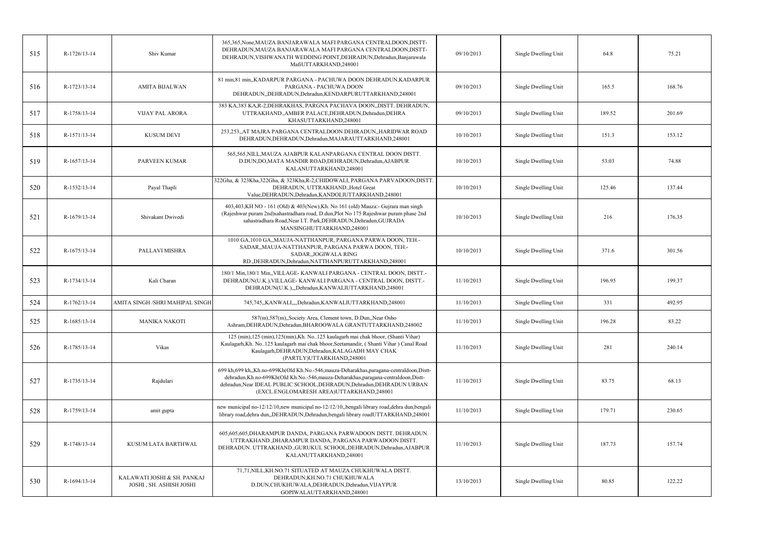| 515 | R-1726/13-14 | Shiv Kumar                                             | 365,365, None, MAUZA BANJARAWALA MAFI PARGANA CENTRALDOON, DISTT-<br>DEHRADUN, MAUZA BANJARAWALA MAFI PARGANA CENTRALDOON, DISTT-<br>DEHRADUN, VISHWANATH WEDDING POINT, DEHRADUN, Dehradun, Banjarawala<br>MafiUTTARKHAND,248001                                                                         | 09/10/2013 | Single Dwelling Unit | 64.8   | 75.21  |
|-----|--------------|--------------------------------------------------------|-----------------------------------------------------------------------------------------------------------------------------------------------------------------------------------------------------------------------------------------------------------------------------------------------------------|------------|----------------------|--------|--------|
| 516 | R-1723/13-14 | <b>AMITA BIJALWAN</b>                                  | 81 min, 81 min, KADARPUR PARGANA - PACHUWA DOON DEHRADUN, KADARPUR<br>PARGANA - PACHUWA DOON<br>DEHRADUN, DEHRADUN, Dehradun, KENDARPURUTTARKHAND, 248001                                                                                                                                                 | 09/10/2013 | Single Dwelling Unit | 165.5  | 168.76 |
| 517 | R-1758/13-14 | <b>VIJAY PAL ARORA</b>                                 | 383 KA, 383 KA, R-2, DEHRAKHAS, PARGNA PACHAVA DOON, DISTT. DEHRADUN,<br>UTTRAKHAND., AMBER PALACE, DEHRADUN, Dehradun, DEHRA<br>KHASUTTARKHAND,248001                                                                                                                                                    | 09/10/2013 | Single Dwelling Unit | 189.52 | 201.69 |
| 518 | R-1571/13-14 | <b>KUSUM DEVI</b>                                      | 253,253,,AT MAJRA PARGANA CENTRALDOON DEHRADUN,,HARIDWAR ROAD<br>DEHRADUN, DEHRADUN, Dehradun, MAJARAUTTARKHAND, 248001                                                                                                                                                                                   | 10/10/2013 | Single Dwelling Unit | 151.3  | 153.12 |
| 519 | R-1657/13-14 | <b>PARVEEN KUMAR</b>                                   | 565,565, NILL, MAUZA AJABPUR KALANPARGANA CENTRAL DOON DISTT.<br>D.DUN, DO, MATA MANDIR ROAD, DEHRADUN, Dehradun, AJABPUR<br>KALANUTTARKHAND,248001                                                                                                                                                       | 10/10/2013 | Single Dwelling Unit | 53.03  | 74.88  |
| 520 | R-1532/13-14 | Payal Thapli                                           | 322Gha, & 323Kha, 322Gha, & 323Kha, R-2, CHIDOWALI, PARGANA PARVADOON, DISTT.<br>DEHRADUN, UTTRAKHAND., Hotel Great<br>Value, DEHRADUN, Dehradun, KANDOLIUTTARKHAND, 248001                                                                                                                               | 10/10/2013 | Single Dwelling Unit | 125.46 | 137.44 |
| 521 | R-1679/13-14 | Shivakant Dwivedi                                      | 403,403,KH NO - 161 (Old) & 403(New),Kh. No 161 (old) Mauza:- Gujrara man singh<br>(Rajeshwar puram 2nd)sahastradhara road, D.dun, Plot No 175 Rajeshwar puram phase 2nd<br>sahastradhara Road, Near I.T. Park, DEHRADUN, Dehradun, GUJRADA<br>MANSINGHUTTARKHAND,248001                                  | 10/10/2013 | Single Dwelling Unit | 216    | 176.35 |
| 522 | R-1675/13-14 | PALLAVI MISHRA                                         | 1010 GA, 1010 GA, MAUJA-NATTHANPUR, PARGANA PARWA DOON, TEH.-<br>SADAR,, MAUJA-NATTHANPUR, PARGANA PARWA DOON, TEH.-<br>SADAR, JOGIWALA RING<br>RD., DEHRADUN, Dehradun, NATTHANPURUTTARKHAND, 248001                                                                                                     | 10/10/2013 | Single Dwelling Unit | 371.6  | 301.56 |
| 523 | R-1734/13-14 | Kali Charan                                            | 180/1 Min,180/1 Min,,VILLAGE-KANWALI PARGANA - CENTRAL DOON, DISTT.-<br>DEHRADUN(U.K.), VILLAGE-KANWALI PARGANA - CENTRAL DOON, DISTT.-<br>DEHRADUN(U.K.),,,Dehradun,KANWALIUTTARKHAND,248001                                                                                                             | 11/10/2013 | Single Dwelling Unit | 196.95 | 199.37 |
| 524 | R-1762/13-14 | AMITA SINGH / SHRI MAHIPAL SINGH                       | 745,745,,KANWALI,,,Dehradun,KANWALIUTTARKHAND,248001                                                                                                                                                                                                                                                      | 11/10/2013 | Single Dwelling Unit | 331    | 492.95 |
| 525 | R-1685/13-14 | <b>MANIKA NAKOTI</b>                                   | 587(m), 587(m), Society Area, Clement town, D.Dun, Near Osho<br>Ashram, DEHRADUN, Dehradun, BHAROOWALA GRANTUTTARKHAND, 248002                                                                                                                                                                            | 11/10/2013 | Single Dwelling Unit | 196.28 | 83.22  |
| 526 | R-1785/13-14 | Vikas                                                  | 125 (min), 125 (min), 125 (min), Kh. No. 125 kaulagarh mai chak bhoor, (Shanti Vihar)<br>Kaulagarh, Kh. No. 125 kaulagarh mai chak bhoor, Seetamandir, (Shanti Vihar) Canal Road<br>Kaulagarh, DEHRADUN, Dehradun, KALAGADH MAY CHAK<br>(PARTLY)UTTARKHAND,248001                                         | 11/10/2013 | Single Dwelling Unit | 281    | 240.14 |
| 527 | R-1735/13-14 | Rajdulari                                              | 699 kh, 699 kh, Kh.no-699Kh (Old Kh.No.-546, mauza-Deharakhas, paragana-centraldoon, Distt-<br>dehradun, Kh.no-699Kh(Old Kh.No.-546, mauza-Deharakhas, paragana-centraldoon, Distt-<br>dehradun, Near IDEAL PUBLIC SCHOOL, DEHRADUN, Dehradun, DEHRADUN URBAN<br>(EXCL.ENGLOMARESH AREA)UTTARKHAND,248001 | 11/10/2013 | Single Dwelling Unit | 83.75  | 68.13  |
| 528 | R-1759/13-14 | amit gupta                                             | new municipal no-12/12/10, new municipal no-12/12/10, bengali library road, dehra dun, bengali<br>library road, dehra dun, DEHRADUN, Dehradun, bengali library roadUTTARKHAND, 248001                                                                                                                     | 11/10/2013 | Single Dwelling Unit | 179.71 | 230.65 |
| 529 | R-1748/13-14 | KUSUM LATA BARTHWAL                                    | 605,605,605,DHARAMPUR DANDA, PARGANA PARWADOON DISTT. DEHRADUN.<br>UTTRAKHAND., DHARAMPUR DANDA, PARGANA PARWADOON DISTT<br>DEHRADUN. UTTRAKHAND., GURUKUL SCHOOL, DEHRADUN, Dehradun, AJABPUR<br>KALANUTTARKHAND,248001                                                                                  | 11/10/2013 | Single Dwelling Unit | 187.73 | 157.74 |
| 530 | R-1694/13-14 | KALAWATI JOSHI & SH. PANKAJ<br>JOSHI, SH. ASHISH JOSHI | 71,71, NILL, KH.NO.71 SITUATED AT MAUZA CHUKHUWALA DISTT.<br>DEHRADUN, KH.NO.71 CHUKHUWALA<br>D.DUN, CHUKHUWALA, DEHRADUN, Dehradun, VIJAYPUR<br>GOPIWALAUTTARKHAND,248001                                                                                                                                | 13/10/2013 | Single Dwelling Unit | 80.85  | 122.22 |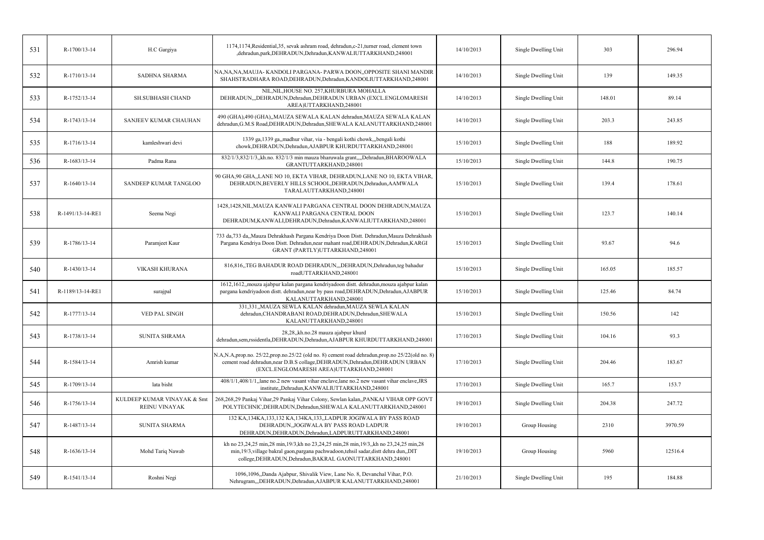| 531 | R-1700/13-14     | H.C Gargiya                                  | 1174,1174, Residential, 35, sevak ashram road, dehradun, c-21, turner road, clement town<br>,dehradun,park,DEHRADUN,Dehradun,KANWALIUTTARKHAND,248001                                                                                       | 14/10/2013 | Single Dwelling Unit | 303    | 296.94  |
|-----|------------------|----------------------------------------------|---------------------------------------------------------------------------------------------------------------------------------------------------------------------------------------------------------------------------------------------|------------|----------------------|--------|---------|
| 532 | R-1710/13-14     | <b>SADHNA SHARMA</b>                         | NA, NA, NA, MAUJA-KANDOLI PARGANA-PARWA DOON, OPPOSITE SHANI MANDIR<br>SHAHSTRADHARA ROAD, DEHRADUN, Dehradun, KANDOLIUTTARKHAND, 248001                                                                                                    | 14/10/2013 | Single Dwelling Unit | 139    | 149.35  |
| 533 | R-1752/13-14     | <b>SH.SUBHASH CHAND</b>                      | NIL, NIL, HOUSE NO. 257, KHURBURA MOHALLA<br>DEHRADUN,"DEHRADUN,Dehradun,DEHRADUN URBAN (EXCL.ENGLOMARESH<br>AREA)UTTARKHAND,248001                                                                                                         | 14/10/2013 | Single Dwelling Unit | 148.01 | 89.14   |
| 534 | R-1743/13-14     | SANJEEV KUMAR CHAUHAN                        | 490 (GHA),490 (GHA),,MAUZA SEWALA KALAN dehradun,MAUZA SEWALA KALAN<br>dehradun, G.M.S Road, DEHRADUN, Dehradun, SHEWALA KALANUTTARKHAND, 248001                                                                                            | 14/10/2013 | Single Dwelling Unit | 203.3  | 243.85  |
| 535 | R-1716/13-14     | kamleshwari devi                             | 1339 ga,1339 ga,,madhur vihar, via - bengali kothi chowk,,,bengali kothi<br>chowk, DEHRADUN, Dehradun, AJABPUR KHURDUTTARKHAND, 248001                                                                                                      | 15/10/2013 | Single Dwelling Unit | 188    | 189.92  |
| 536 | R-1683/13-14     | Padma Rana                                   | 832/1/3,832/1/3, kh.no. 832/1/3 min mauza bharuwala grant,,,,Dehradun,BHAROOWALA<br>GRANTUTTARKHAND,248001                                                                                                                                  | 15/10/2013 | Single Dwelling Unit | 144.8  | 190.75  |
| 537 | R-1640/13-14     | SANDEEP KUMAR TANGLOO                        | 90 GHA, 90 GHA, LANE NO 10, EKTA VIHAR, DEHRADUN, LANE NO 10, EKTA VIHAR,<br>DEHRADUN, BEVERLY HILLS SCHOOL, DEHRADUN, Dehradun, AAMWALA<br>TARALAUTTARKHAND,248001                                                                         | 15/10/2013 | Single Dwelling Unit | 139.4  | 178.61  |
| 538 | R-1491/13-14-RE1 | Seema Negi                                   | 1428,1428,NIL,MAUZA KANWALI PARGANA CENTRAL DOON DEHRADUN,MAUZA<br>KANWALI PARGANA CENTRAL DOON<br>DEHRADUM, KANWALI, DEHRADUN, Dehradun, KANWALIUTTARKHAND, 248001                                                                         | 15/10/2013 | Single Dwelling Unit | 123.7  | 140.14  |
| 539 | R-1786/13-14     | Paramjeet Kaur                               | 733 da, 733 da, Mauza Dehrakhash Pargana Kendriya Doon Distt. Dehradun, Mauza Dehrakhash<br>Pargana Kendriya Doon Distt. Dehradun, near mahant road, DEHRADUN, Dehradun, KARGI<br>GRANT (PARTLY)UTTARKHAND,248001                           | 15/10/2013 | Single Dwelling Unit | 93.67  | 94.6    |
| 540 | R-1430/13-14     | <b>VIKASH KHURANA</b>                        | 816,816,,TEG BAHADUR ROAD DEHRADUN,,,DEHRADUN,Dehradun,teg bahadur<br>roadUTTARKHAND,248001                                                                                                                                                 | 15/10/2013 | Single Dwelling Unit | 165.05 | 185.57  |
| 541 | R-1189/13-14-RE1 | surajpal                                     | 1612,1612, mouza ajabpur kalan pargana kendriyadoon distt. dehradun, mouza ajabpur kalan<br>pargana kendriyadoon distt. dehradun,near by pass road,DEHRADUN,Dehradun,AJABPUR<br>KALANUTTARKHAND,248001                                      | 15/10/2013 | Single Dwelling Unit | 125.46 | 84.74   |
| 542 | R-1777/13-14     | VED PAL SINGH                                | 331,331,,MAUZA SEWLA KALAN dehradun,MAUZA SEWLA KALAN<br>dehradun, CHANDRABANI ROAD, DEHRADUN, Dehradun, SHEWALA<br>KALANUTTARKHAND,248001                                                                                                  | 15/10/2013 | Single Dwelling Unit | 150.56 | 142     |
| 543 | R-1738/13-14     | <b>SUNITA SHRAMA</b>                         | 28,28, kh.no.28 mauza ajabpur khurd<br>dehradun,sem,rssidentla,DEHRADUN,Dehradun,AJABPUR KHURDUTTARKHAND,248001                                                                                                                             | 17/10/2013 | Single Dwelling Unit | 104.16 | 93.3    |
| 544 | R-1584/13-14     | Amrish kumar                                 | N.A,N.A,prop.no. 25/22,prop.no.25/22 (old no. 8) cement road dehradun,prop.no 25/22(old no. 8)<br>cement road dehradun, near D.B.S collage, DEHRADUN, Dehradun, DEHRADUN URBAN<br>(EXCL.ENGLOMARESH AREA)UTTARKHAND,248001                  | 17/10/2013 | Single Dwelling Unit | 204.46 | 183.67  |
| 545 | R-1709/13-14     | lata bisht                                   | 408/1/1,408/1/1,,lane no.2 new vasant vihar enclave,lane no.2 new vasant vihar enclave, JRS<br>institute, Dehradun, KANWALIUTTARKHAND, 248001                                                                                               | 17/10/2013 | Single Dwelling Unit | 165.7  | 153.7   |
| 546 | R-1756/13-14     | KULDEEP KUMAR VINAYAK & Smt<br>REINU VINAYAK | 268,268,29 Pankaj Vihar,29 Pankaj Vihar Colony, Sewlan kalan,,PANKAJ VIHAR OPP GOVT<br>POLYTECHNIC, DEHRADUN, Dehradun, SHEWALA KALANUTTARKHAND, 248001                                                                                     | 19/10/2013 | Single Dwelling Unit | 204.38 | 247.72  |
| 547 | R-1487/13-14     | <b>SUNITA SHARMA</b>                         | 132 KA, 134KA, 133, 132 KA, 134KA, 133, LADPUR JOGIWALA BY PASS ROAD<br>DEHRADUN, JOGIWALA BY PASS ROAD LADPUR<br>DEHRADUN, DEHRADUN, Dehradun, LADPURUTTARKHAND, 248001                                                                    | 19/10/2013 | Group Housing        | 2310   | 3970.59 |
| 548 | R-1636/13-14     | Mohd Tariq Nawab                             | kh no 23,24,25 min,28 min,19/3,kh no 23,24,25 min,28 min,19/3,kh no 23,24,25 min,28<br>min, 19/3, village bakral gaon, pargana pachwadoon, tehsil sadar, distt dehra dun, DIT<br>college, DEHRADUN, Dehradun, BAKRAL GAONUTTARKHAND, 248001 | 19/10/2013 | Group Housing        | 5960   | 12516.4 |
| 549 | R-1541/13-14     | Roshni Negi                                  | 1096,1096, Danda Ajabpur, Shivalik View, Lane No. 8, Devanchal Vihar, P.O.<br>Nehrugram,,,DEHRADUN,Dehradun,AJABPUR KALANUTTARKHAND,248001                                                                                                  | 21/10/2013 | Single Dwelling Unit | 195    | 184.88  |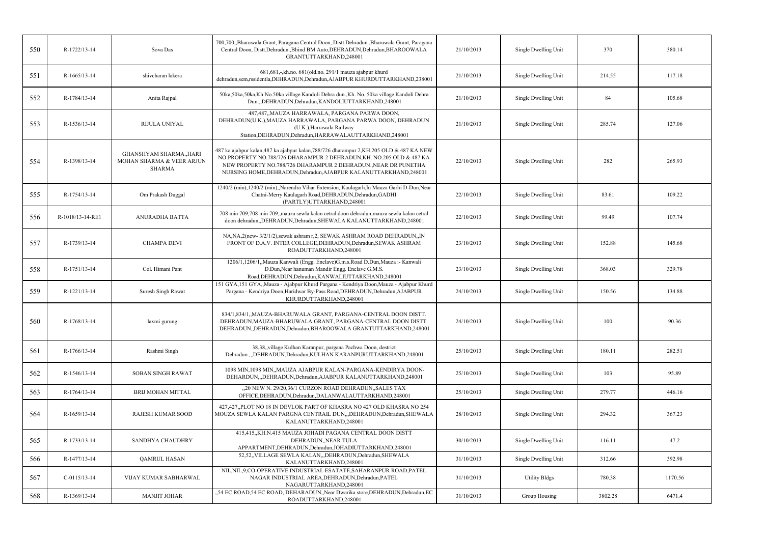| 550 | R-1722/13-14     | Sova Das                                                                    | 700,700,,Bharuwala Grant, Paragana Central Doon, Distt.Dehradun.,Bharuwala Grant, Paragana<br>Central Doon, Distt.Dehradun.,Bhind BM Auto,DEHRADUN,Dehradun,BHAROOWALA<br>GRANTUTTARKHAND,248001                                                                                                         | 21/10/2013 | Single Dwelling Unit | 370     | 380.14  |
|-----|------------------|-----------------------------------------------------------------------------|----------------------------------------------------------------------------------------------------------------------------------------------------------------------------------------------------------------------------------------------------------------------------------------------------------|------------|----------------------|---------|---------|
| 551 | R-1665/13-14     | shivcharan lakera                                                           | 681,681,-,kh.no. 681(old.no. 291/1 mauza ajabpur khurd<br>dehradun,sem,rssidentla,DEHRADUN,Dehradun,AJABPUR KHURDUTTARKHAND,238001                                                                                                                                                                       | 21/10/2013 | Single Dwelling Unit | 214.55  | 117.18  |
| 552 | R-1784/13-14     | Anita Rajpal                                                                | 50ka,50ka,50ka,Kh.No.50ka village Kandoli Dehra dun.,Kh. No. 50ka village Kandoli Dehra<br>Dun.,,DEHRADUN,Dehradun,KANDOLIUTTARKHAND,248001                                                                                                                                                              | 21/10/2013 | Single Dwelling Unit | 84      | 105.68  |
| 553 | R-1536/13-14     | RIJULA UNIYAL                                                               | 487,487,,MAUZA HARRAWALA, PARGANA PARWA DOON,<br>DEHRADUN(U.K.), MAUZA HARRAWALA, PARGANA PARWA DOON, DEHRADUN<br>(U.K.), Harrawala Railway<br>Station, DEHRADUN, Dehradun, HARRAWALAUTTARKHAND, 248001                                                                                                  | 21/10/2013 | Single Dwelling Unit | 285.74  | 127.06  |
| 554 | R-1398/13-14     | <b>GHANSHYAM SHARMA, HARI</b><br>MOHAN SHARMA & VEER ARJUN<br><b>SHARMA</b> | 487 ka ajabpur kalan, 487 ka ajabpur kalan, 788/726 dharampur 2, KH. 205 OLD & 487 KA NEW<br>NO.PROPERTY NO.788/726 DHARAMPUR 2 DEHRADUN, KH. NO.205 OLD & 487 KA<br>NEW PROPERTY NO.788/726 DHARAMPUR 2 DEHRADUN., NEAR DR PUNETHA<br>NURSING HOME, DEHRADUN, Dehradun, AJABPUR KALANUTTARKHAND, 248001 | 22/10/2013 | Single Dwelling Unit | 282     | 265.93  |
| 555 | R-1754/13-14     | Om Prakash Duggal                                                           | 1240/2 (min), 1240/2 (min), Narendra Vihar Extension, Kaulagarh, In Mauza Garhi D-Dun, Near<br>Chatni-Merry Kaulagarh Road, DEHRADUN, Dehradun, GADHI<br>(PARTLY)UTTARKHAND,248001                                                                                                                       | 22/10/2013 | Single Dwelling Unit | 83.61   | 109.22  |
| 556 | R-1018/13-14-RE1 | <b>ANURADHA BATTA</b>                                                       | 708 min 709,708 min 709,,mauza sewla kalan cetral doon dehradun,mauza sewla kalan cetral<br>doon dehradun, DEHRADUN, Dehradun, SHEWALA KALANUTTARKHAND, 248001                                                                                                                                           | 22/10/2013 | Single Dwelling Unit | 99.49   | 107.74  |
| 557 | R-1739/13-14     | <b>CHAMPA DEVI</b>                                                          | NA, NA, 2(new-3/2/1/2), sewak ashram r, 2, SEWAK ASHRAM ROAD DEHRADUN, IN<br>FRONT OF D.A.V. INTER COLLEGE, DEHRADUN, Dehradun, SEWAK ASHRAM<br>ROADUTTARKHAND,248001                                                                                                                                    | 23/10/2013 | Single Dwelling Unit | 152.88  | 145.68  |
| 558 | R-1751/13-14     | Col. Himani Pant                                                            | 1206/1,1206/1,,Mauza Kanwali (Engg. Enclave)G.m.s.Road D.Dun,Mauza :- Kanwali<br>D.Dun, Near hanuman Mandir Engg. Enclave G.M.S.<br>Road, DEHRADUN, Dehradun, KANWALIUTTARKHAND, 248001                                                                                                                  | 23/10/2013 | Single Dwelling Unit | 368.03  | 329.78  |
| 559 | R-1221/13-14     | Suresh Singh Rawat                                                          | 151 GYA,151 GYA,,Mauza - Ajabpur Khurd Pargana - Kendriya Doon,Mauza - Ajabpur Khurd<br>Pargana - Kendriya Doon, Haridwar By-Pass Road, DEHRADUN, Dehradun, AJABPUR<br>KHURDUTTARKHAND,248001                                                                                                            | 24/10/2013 | Single Dwelling Unit | 150.56  | 134.88  |
| 560 | R-1768/13-14     | laxmi gurung                                                                | 834/1,834/1,,MAUZA-BHARUWALA GRANT, PARGANA-CENTRAL DOON DISTT.<br>DEHRADUN, MAUZA-BHARUWALA GRANT, PARGANA-CENTRAL DOON DISTT.<br>DEHRADUN, DEHRADUN, Dehradun, BHAROOWALA GRANTUTTARKHAND, 248001                                                                                                      | 24/10/2013 | Single Dwelling Unit | 100     | 90.36   |
| 561 | R-1766/13-14     | Rashmi Singh                                                                | 38,38, village Kulhan Karanpur, pargana Pachwa Doon, destrict<br>Dehradun.,,,DEHRADUN,Dehradun,KULHAN KARANPURUTTARKHAND,248001                                                                                                                                                                          | 25/10/2013 | Single Dwelling Unit | 180.11  | 282.51  |
| 562 | R-1546/13-14     | <b>SOBAN SINGH RAWAT</b>                                                    | 1098 MIN, 1098 MIN,, MAUZA AJABPUR KALAN-PARGANA-KENDIRYA DOON-<br>DEHARDUN, DEHRADUN, Dehradun, AJABPUR KALANUTTARKHAND, 248001                                                                                                                                                                         | 25/10/2013 | Single Dwelling Unit | 103     | 95.89   |
| 563 | R-1764/13-14     | <b>BRIJ MOHAN MITTAL</b>                                                    | 20 NEW N. 29/20.36/1 CURZON ROAD DEHRADUN. SALES TAX<br>OFFICE, DEHRADUN, Dehradun, DALANWALAUTTARKHAND, 248001                                                                                                                                                                                          | 25/10/2013 | Single Dwelling Unit | 279.77  | 446.16  |
| 564 | R-1659/13-14     | <b>RAJESH KUMAR SOOD</b>                                                    | 427,427,,PLOT NO 18 IN DEVLOK PART OF KHASRA NO 427 OLD KHASRA NO 254<br>MOUZA SEWLA KALAN PARGNA CENTRAIL DUN,,,DEHRADUN,Dehradun,SHEWALA<br>KALANUTTARKHAND,248001                                                                                                                                     | 28/10/2013 | Single Dwelling Unit | 294.32  | 367.23  |
| 565 | R-1733/13-14     | <b>SANDHYA CHAUDHRY</b>                                                     | 415,415,,KH.N.415 MAUZA JOHADI PAGANA CENTRAL DOON DISTT<br>DEHRADUN, NEAR TULA<br>APPARTMENT, DEHRADUN, Dehradun, JOHADIUTTARKHAND, 248001                                                                                                                                                              | 30/10/2013 | Single Dwelling Unit | 116.11  | 47.2    |
| 566 | R-1477/13-14     | <b>QAMRUL HASAN</b>                                                         | 52,52, VILLAGE SEWLA KALAN, "DEHRADUN, Dehradun, SHEWALA<br>KALANUTTARKHAND,248001                                                                                                                                                                                                                       | 31/10/2013 | Single Dwelling Unit | 312.66  | 392.98  |
| 567 | $C-0115/13-14$   | VIJAY KUMAR SABHARWAL                                                       | NIL, NIL, 9, CO-OPERATIVE INDUSTRIAL ESATATE, SAHARANPUR ROAD, PATEL<br>NAGAR INDUSTRIAL AREA, DEHRADUN, Dehradun, PATEL<br>NAGARUTTARKHAND,248001                                                                                                                                                       | 31/10/2013 | <b>Utility Bldgs</b> | 780.38  | 1170.56 |
| 568 | R-1369/13-14     | <b>MANJIT JOHAR</b>                                                         | "54 EC ROAD,54 EC ROAD, DEHARADUN, Near Dwarika store, DEHRADUN, Dehradun, EC<br>ROADUTTARKHAND,248001                                                                                                                                                                                                   | 31/10/2013 | Group Housing        | 3802.28 | 6471.4  |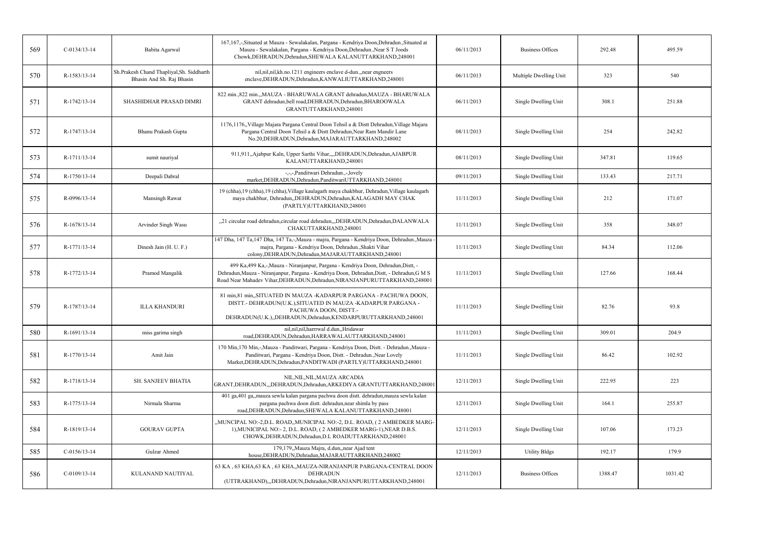| 569 | $C-0134/13-14$ | Babita Agarwal                                                         | 167,167,-,Situated at Mauza - Sewalakalan, Pargana - Kendriya Doon,Dehradun.,Situated at<br>Mauza - Sewalakalan, Pargana - Kendriya Doon, Dehradun., Near ST Joods<br>Chowk, DEHRADUN, Dehradun, SHEWALA KALANUTTARKHAND, 248001                             | 06/11/2013 | Business Offices        | 292.48  | 495.59  |
|-----|----------------|------------------------------------------------------------------------|--------------------------------------------------------------------------------------------------------------------------------------------------------------------------------------------------------------------------------------------------------------|------------|-------------------------|---------|---------|
| 570 | R-1583/13-14   | Sh.Prakesh Chand Thapliyal, Sh. Siddharth<br>Bhasin And Sh. Raj Bhasin | nil, nil, nil, kh. no. 1211 engineers enclave d-dun., , near engneers<br>enclave, DEHRADUN, Dehradun, KANWALIUTTARKHAND, 248001                                                                                                                              | 06/11/2013 | Multiple Dwelling Unit  | 323     | 540     |
| 571 | R-1742/13-14   | <b>SHASHIDHAR PRASAD DIMRI</b>                                         | 822 min., 822 min., MAUZA - BHARUWALA GRANT dehradun, MAUZA - BHARUWALA<br>GRANT dehradun, bell road, DEHRADUN, Dehradun, BHAROOWALA<br>GRANTUTTARKHAND,248001                                                                                               | 06/11/2013 | Single Dwelling Unit    | 308.1   | 251.88  |
| 572 | R-1747/13-14   | Bhanu Prakash Gupta                                                    | 1176,1176, Village Majara Pargana Central Doon Tehsil a & Distt Dehradun, Village Majara<br>Pargana Central Doon Tehsil a & Distt Dehradun, Near Ram Mandir Lane<br>No.20, DEHRADUN, Dehradun, MAJARAUTTARKHAND, 248002                                      | 08/11/2013 | Single Dwelling Unit    | 254     | 242.82  |
| 573 | R-1711/13-14   | sumit nauriyal                                                         | 911,911,,Ajabpur Kaln, Upper Sarthi Vihar,,,,DEHRADUN,Dehradun,AJABPUR<br>KALANUTTARKHAND,248001                                                                                                                                                             | 08/11/2013 | Single Dwelling Unit    | 347.81  | 119.65  |
| 574 | R-1750/13-14   | Deepali Dabral                                                         | -,-,-,Panditwari Dehradun.,-,lovely<br>market, DEHRADUN, Dehradun, PanditwariUTTARKHAND, 248001                                                                                                                                                              | 09/11/2013 | Single Dwelling Unit    | 133.43  | 217.71  |
| 575 | R-0996/13-14   | Mansingh Rawat                                                         | 19 (chha), 19 (chha), 19 (chha), Village kaulagarh maya chakbhur, Dehradun, Village kaulagarh<br>maya chakbhur, Dehradun, DEHRADUN, Dehradun, KALAGADH MAY CHAK<br>(PARTLY)UTTARKHAND,248001                                                                 | 11/11/2013 | Single Dwelling Unit    | 212     | 171.07  |
| 576 | R-1678/13-14   | Arvinder Singh Wasu                                                    | "21 circular road dehradun, circular road dehradun, DEHRADUN, Dehradun, DALANWALA<br>CHAKUTTARKHAND,248001                                                                                                                                                   | 11/11/2013 | Single Dwelling Unit    | 358     | 348.07  |
| 577 | R-1771/13-14   | Dinesh Jain (H. U. F.)                                                 | 147 Dha, 147 Ta, 147 Dha, 147 Ta,-,Mauza - majra, Pargana - Kendriya Doon, Dehradun.,Mauza<br>majra, Pargana - Kendriya Doon, Dehradun., Shakti Vihar<br>colony, DEHRADUN, Dehradun, MAJARAUTTARKHAND, 248001                                                | 11/11/2013 | Single Dwelling Unit    | 84.34   | 112.06  |
| 578 | R-1772/13-14   | Pramod Mangalik                                                        | 499 Ka,499 Ka,-,Mauza - Niranjanpur, Pargana - Kendriya Doon, Dehradun, Distt, -<br>Dehradun, Mauza - Niranjanpur, Pargana - Kendriya Doon, Dehradun, Distt, - Dehradun, G M S<br>Road Near Mahadev Vihar, DEHRADUN, Dehradun, NIRANJANPURUTTARKHAND, 248001 | 11/11/2013 | Single Dwelling Unit    | 127.66  | 168.44  |
| 579 | R-1787/13-14   | <b>ILLA KHANDURI</b>                                                   | 81 min, 81 min, SITUATED IN MAUZA -KADARPUR PARGANA - PACHUWA DOON,<br>DISTT.- DEHRADUN(U.K.), SITUATED IN MAUZA -KADARPUR PARGANA -<br>PACHUWA DOON, DISTT.-<br>DEHRADUN(U.K.),,DEHRADUN,Dehradun,KENDARPURUTTARKHAND,248001                                | 11/11/2013 | Single Dwelling Unit    | 82.76   | 93.8    |
| 580 | R-1691/13-14   | miss garima singh                                                      | nil, nil, nil, harrrwal d.dun, Hridawar<br>road, DEHRADUN, Dehradun, HARRAWALAUTTARKHAND, 248001                                                                                                                                                             | 11/11/2013 | Single Dwelling Unit    | 309.01  | 204.9   |
| 581 | R-1770/13-14   | Amit Jain                                                              | 170 Min, 170 Min,-, Mauza - Panditwari, Pargana - Kendriya Doon, Distt. - Dehradun., Mauza -<br>Panditwari, Pargana - Kendriya Doon, Distt. - Dehradun., Near Lovely<br>Market, DEHRADUN, Dehradun, PANDITWADI (PARTLY) UTTARKHAND, 248001                   | 11/11/2013 | Single Dwelling Unit    | 86.42   | 102.92  |
| 582 | R-1718/13-14   | SH. SANJEEV BHATIA                                                     | NIL, NIL, NIL, MAUZA ARCADIA<br>GRANT, DEHRADUN, "DEHRADUN, Dehradun, ARKEDIYA GRANTUTTARKHAND, 248001                                                                                                                                                       | 12/11/2013 | Single Dwelling Unit    | 222.95  | 223     |
| 583 | R-1775/13-14   | Nirmala Sharma                                                         | 401 ga,401 ga,,mauza sewla kalan pargana pachwa doon distt. dehradun,mauza sewla kalan<br>pargana pachwa doon distt. dehradun, near shimla by pass<br>road, DEHRADUN, Dehradun, SHEWALA KALANUTTARKHAND, 248001                                              | 12/11/2013 | Single Dwelling Unit    | 164.1   | 255.87  |
| 584 | R-1819/13-14   | <b>GOURAV GUPTA</b>                                                    | "MUNCIPAL NO:-2,D.L. ROAD"MUNICIPAL NO:-2, D.L. ROAD, (2 AMBEDKER MARG-<br>1), MUNICIPAL NO:-2, D.L. ROAD, (2 AMBEDKER MARG-1), NEAR D.B.S.<br>CHOWK, DEHRADUN, Dehradun, D.L ROADUTTARKHAND, 248001                                                         | 12/11/2013 | Single Dwelling Unit    | 107.06  | 173.23  |
| 585 | $C-0156/13-14$ | Gulzar Ahmed                                                           | 179,179,,Mauza Majra, d.dun,,near Ajad tent<br>house, DEHRADUN, Dehradun, MAJARAUTTARKHAND, 248002                                                                                                                                                           | 12/11/2013 | <b>Utility Bldgs</b>    | 192.17  | 179.9   |
| 586 | $C-0109/13-14$ | KULANAND NAUTIYAL                                                      | 63 KA, 63 KHA, 63 KA, 63 KHA,, MAUZA-NIRANJANPUR PARGANA-CENTRAL DOON<br><b>DEHRADUN</b><br>(UTTRAKHAND),,,DEHRADUN,Dehradun,NIRANJANPURUTTARKHAND,248001                                                                                                    | 12/11/2013 | <b>Business Offices</b> | 1388.47 | 1031.42 |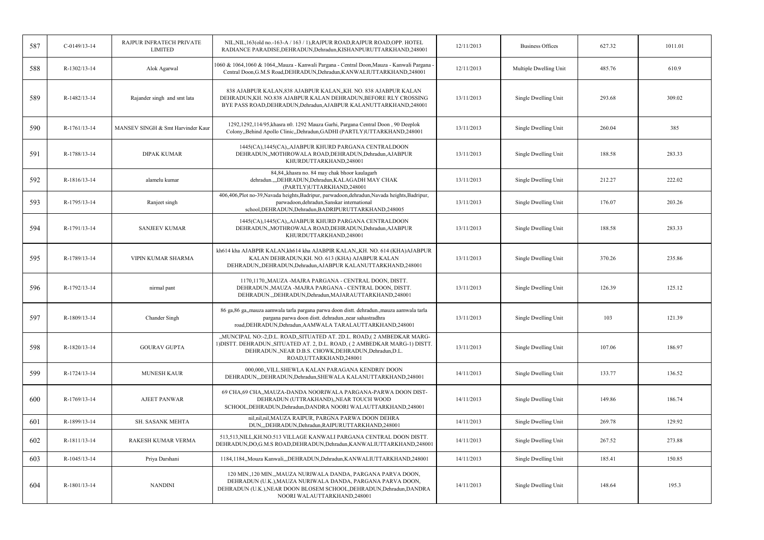| 587 | $C-0149/13-14$ | RAJPUR INFRATECH PRIVATE<br><b>LIMITED</b> | NIL, NIL, 163(old no. - 163-A / 163 / 1), RAJPUR ROAD, RAJPUR ROAD, OPP. HOTEL<br>RADIANCE PARADISE, DEHRADUN, Dehradun, KISHANPURUTTARKHAND, 248001                                                                                    | 12/11/2013 | <b>Business Offices</b> | 627.32 | 1011.01 |
|-----|----------------|--------------------------------------------|-----------------------------------------------------------------------------------------------------------------------------------------------------------------------------------------------------------------------------------------|------------|-------------------------|--------|---------|
| 588 | R-1302/13-14   | Alok Agarwal                               | 1060 & 1064,1060 & 1064,, Mauza - Kanwali Pargana - Central Doon, Mauza - Kanwali Pargana -<br>Central Doon, G.M.S Road, DEHRADUN, Dehradun, KANWALIUTTARKHAND, 248001                                                                  | 12/11/2013 | Multiple Dwelling Unit  | 485.76 | 610.9   |
| 589 | R-1482/13-14   | Rajander singh and smt lata                | 838 AJABPUR KALAN,838 AJABPUR KALAN,,KH. NO. 838 AJABPUR KALAN<br>DEHRADUN, KH. NO.838 AJABPUR KALAN DEHRADUN, BEFORE RLY CROSSING<br>BYE PASS ROAD, DEHRADUN, Dehradun, AJABPUR KALANUTTARKHAND, 248001                                | 13/11/2013 | Single Dwelling Unit    | 293.68 | 309.02  |
| 590 | R-1761/13-14   | MANSEV SINGH & Smt Harvinder Kaur          | 1292,1292,114/95, khasra n0. 1292 Mauza Garhi, Pargana Central Doon, 90 Deeplok<br>Colony, Behind Apollo Clinic, Dehradun, GADHI (PARTLY) UTTARKHAND, 248001                                                                            | 13/11/2013 | Single Dwelling Unit    | 260.04 | 385     |
| 591 | R-1788/13-14   | <b>DIPAK KUMAR</b>                         | 1445(CA),1445(CA),,AJABPUR KHURD PARGANA CENTRALDOON<br>DEHRADUN,,MOTHROWALA ROAD,DEHRADUN,Dehradun,AJABPUR<br>KHURDUTTARKHAND,248001                                                                                                   | 13/11/2013 | Single Dwelling Unit    | 188.58 | 283.33  |
| 592 | R-1816/13-14   | alamelu kumar                              | 84,84, khasra no. 84 may chak bhoor kaulagarh<br>dehradun.,,,DEHRADUN,Dehradun,KALAGADH MAY CHAK<br>(PARTLY)UTTARKHAND,248001                                                                                                           | 13/11/2013 | Single Dwelling Unit    | 212.27 | 222.02  |
| 593 | R-1795/13-14   | Ranjeet singh                              | 406,406,Plot no-39,Navada heights,Badripur, parwadoon,dehradun,Navada heights,Badripur,<br>parwadoon, dehradun, Sanskar international<br>school, DEHRADUN, Dehradun, BADRIPURUTTARKHAND, 248005                                         | 13/11/2013 | Single Dwelling Unit    | 176.07 | 203.26  |
| 594 | R-1791/13-14   | <b>SANJEEV KUMAR</b>                       | 1445(CA), 1445(CA), AJABPUR KHURD PARGANA CENTRALDOON<br>DEHRADUN,,MOTHROWALA ROAD,DEHRADUN,Dehradun,AJABPUR<br>KHURDUTTARKHAND,248001                                                                                                  | 13/11/2013 | Single Dwelling Unit    | 188.58 | 283.33  |
| 595 | R-1789/13-14   | VIPIN KUMAR SHARMA                         | kh614 kha AJABPIR KALAN, kh614 kha AJABPIR KALAN, ,KH. NO. 614 (KHA) AJABPUR<br>KALAN DEHRADUN, KH. NO. 613 (KHA) AJABPUR KALAN<br>DEHRADUN, DEHRADUN, Dehradun, AJABPUR KALANUTTARKHAND, 248001                                        | 13/11/2013 | Single Dwelling Unit    | 370.26 | 235.86  |
| 596 | R-1792/13-14   | nirmal pant                                | 1170,1170,,MAUZA -MAJRA PARGANA - CENTRAL DOON, DISTT.<br>DEHRADUN., MAUZA - MAJRA PARGANA - CENTRAL DOON, DISTT.<br>DEHRADUN.,DEHRADUN,Dehradun,MAJARAUTTARKHAND,248001                                                                | 13/11/2013 | Single Dwelling Unit    | 126.39 | 125.12  |
| 597 | R-1809/13-14   | Chander Singh                              | 86 ga, 86 ga, mauza aamwala tarla pargana parwa doon distt. dehradun., mauza aamwala tarla<br>pargana parwa doon distt. dehradun., near sahastradhra<br>road, DEHRADUN, Dehradun, AAMWALA TARALAUTTARKHAND, 248001                      | 13/11/2013 | Single Dwelling Unit    | 103    | 121.39  |
| 598 | R-1820/13-14   | <b>GOURAV GUPTA</b>                        | "MUNCIPAL NO:-2,D.L. ROAD"SITUATED AT. 2D.L. ROAD,(2 AMBEDKAR MARG-<br>1) DISTT. DEHRADUN., SITUATED AT. 2, D.L. ROAD, (2 AMBEDKAR MARG-1) DISTT.<br>DEHRADUN., NEAR D.B.S. CHOWK, DEHRADUN, Dehradun, D.L.<br>ROAD, UTTARKHAND, 248001 | 13/11/2013 | Single Dwelling Unit    | 107.06 | 186.97  |
| 599 | R-1724/13-14   | <b>MUNESH KAUR</b>                         | 000,000, VILL.SHEWLA KALAN PARAGANA KENDRIY DOON<br>DEHRADUN, "DEHRADUN, Dehradun, SHEWALA KALANUTTARKHAND, 248001                                                                                                                      | 14/11/2013 | Single Dwelling Unit    | 133.77 | 136.52  |
| 600 | R-1769/13-14   | <b>AJEET PANWAR</b>                        | 69 CHA, 69 CHA,, MAUZA-DANDA NOORIWALA PARGANA-PARWA DOON DIST-<br>DEHRADUN (UTTRAKHAND), NEAR TOUCH WOOD<br>SCHOOL, DEHRADUN, Dehradun, DANDRA NOORI WALAUTTARKHAND, 248001                                                            | 14/11/2013 | Single Dwelling Unit    | 149.86 | 186.74  |
| 601 | R-1899/13-14   | SH. SASANK MEHTA                           | nil,nil,nil,MAUZA RAIPUR, PARGNA PARWA DOON DEHRA<br>DUN,,,DEHRADUN,Dehradun,RAIPURUTTARKHAND,248001                                                                                                                                    | 14/11/2013 | Single Dwelling Unit    | 269.78 | 129.92  |
| 602 | R-1811/13-14   | RAKESH KUMAR VERMA                         | 513,513,NILL,KH.NO.513 VILLAGE KANWALI PARGANA CENTRAL DOON DISTT.<br>DEHRADUN, DO, G.M.S ROAD, DEHRADUN, Dehradun, KANWALIUTTARKHAND, 248001                                                                                           | 14/11/2013 | Single Dwelling Unit    | 267.52 | 273.88  |
| 603 | R-1045/13-14   | Priya Darshani                             | 1184,1184,,Mouza Kanwali,,,DEHRADUN,Dehradun,KANWALIUTTARKHAND,248001                                                                                                                                                                   | 14/11/2013 | Single Dwelling Unit    | 185.41 | 150.85  |
| 604 | R-1801/13-14   | <b>NANDINI</b>                             | 120 MIN., 120 MIN.,,MAUZA NURIWALA DANDA, PARGANA PARVA DOON,<br>DEHRADUN (U.K.), MAUZA NURIWALA DANDA, PARGANA PARVA DOON,<br>DEHRADUN (U.K.), NEAR DOON BLOSEM SCHOOL, DEHRADUN, Dehradun, DANDRA<br>NOORI WALAUTTARKHAND,248001      | 14/11/2013 | Single Dwelling Unit    | 148.64 | 195.3   |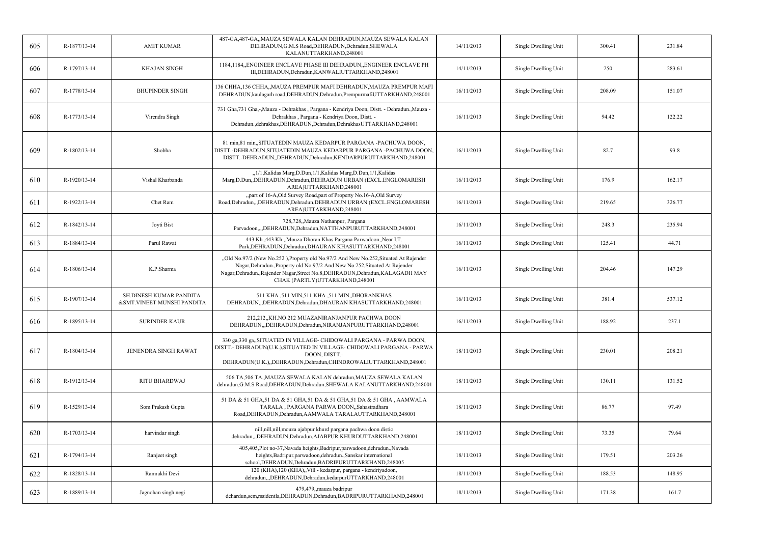| 605 | R-1877/13-14 | <b>AMIT KUMAR</b>                                     | 487-GA,487-GA,,MAUZA SEWALA KALAN DEHRADUN,MAUZA SEWALA KALAN<br>DEHRADUN, G.M.S Road, DEHRADUN, Dehradun, SHEWALA<br>KALANUTTARKHAND,248001                                                                                                                                             | 14/11/2013 | Single Dwelling Unit | 300.41 | 231.84 |
|-----|--------------|-------------------------------------------------------|------------------------------------------------------------------------------------------------------------------------------------------------------------------------------------------------------------------------------------------------------------------------------------------|------------|----------------------|--------|--------|
| 606 | R-1797/13-14 | <b>KHAJAN SINGH</b>                                   | 1184,1184,,ENGINEER ENCLAVE PHASE III DEHRADUN,,ENGINEER ENCLAVE PH<br>III, DEHRADUN, Dehradun, KANWALIUTTARKHAND, 248001                                                                                                                                                                | 14/11/2013 | Single Dwelling Unit | 250    | 283.61 |
| 607 | R-1778/13-14 | <b>BHUPINDER SINGH</b>                                | 136 CHHA,136 CHHA,,MAUZA PREMPUR MAFI DEHRADUN,MAUZA PREMPUR MAFI<br>DEHRADUN, kaulagarh road, DEHRADUN, Dehradun, PrempurmafiUTTARKHAND, 248001                                                                                                                                         | 16/11/2013 | Single Dwelling Unit | 208.09 | 151.07 |
| 608 | R-1773/13-14 | Virendra Singh                                        | 731 Gha, 731 Gha, -, Mauza - Dehrakhas, Pargana - Kendriya Doon, Distt. - Dehradun., Mauza -<br>Dehrakhas, Pargana - Kendriya Doon, Distt. -<br>Dehradun., dehrakhas, DEHRADUN, Dehradun, Dehrakhas UTTARKHAND, 248001                                                                   | 16/11/2013 | Single Dwelling Unit | 94.42  | 122.22 |
| 609 | R-1802/13-14 | Shobha                                                | 81 min, 81 min, SITUATEDIN MAUZA KEDARPUR PARGANA -PACHUWA DOON,<br>DISTT.-DEHRADUN, SITUATEDIN MAUZA KEDARPUR PARGANA -PACHUWA DOON,<br>DISTT.-DEHRADUN, DEHRADUN, Dehradun, KENDARPURUTTARKHAND, 248001                                                                                | 16/11/2013 | Single Dwelling Unit | 82.7   | 93.8   |
| 610 | R-1920/13-14 | Vishal Kharbanda                                      | "1/1, Kalidas Marg, D. Dun, 1/1, Kalidas Marg, D. Dun, 1/1, Kalidas<br>Marg, D.Dun, ,DEHRADUN, Dehradun, DEHRADUN URBAN (EXCL.ENGLOMARESH<br>AREA)UTTARKHAND,248001                                                                                                                      | 16/11/2013 | Single Dwelling Unit | 176.9  | 162.17 |
| 611 | R-1922/13-14 | Chet Ram                                              | "part of 16-A, Old Survey Road, part of Property No.16-A, Old Survey<br>Road, Dehradun,,, DEHRADUN, Dehradun, DEHRADUN URBAN (EXCL. ENGLOMARESH<br>AREA)UTTARKHAND,248001                                                                                                                | 16/11/2013 | Single Dwelling Unit | 219.65 | 326.77 |
| 612 | R-1842/13-14 | Joyti Bist                                            | 728,728,,Mauza Nathanpur, Pargana<br>Parvadoon,,,,DEHRADUN,Dehradun,NATTHANPURUTTARKHAND,248001                                                                                                                                                                                          | 16/11/2013 | Single Dwelling Unit | 248.3  | 235.94 |
| 613 | R-1884/13-14 | Parul Rawat                                           | 443 Kh.,443 Kh.,,Mouza Dhoran Khas Pargana Parwadoon,,Near I.T.<br>Park, DEHRADUN, Dehradun, DHAURAN KHASUTTARKHAND, 248001                                                                                                                                                              | 16/11/2013 | Single Dwelling Unit | 125.41 | 44.71  |
| 614 | R-1806/13-14 | K.P.Sharma                                            | "Old No.97/2 (New No.252), Property old No.97/2 And New No.252, Situated At Rajender<br>Nagar, Dehradun., Property old No.97/2 And New No.252, Situated At Rajender<br>Nagar, Dehradun., Rajender Nagar, Street No.8, DEHRADUN, Dehradun, KALAGADH MAY<br>CHAK (PARTLY)UTTARKHAND,248001 | 16/11/2013 | Single Dwelling Unit | 204.46 | 147.29 |
| 615 | R-1907/13-14 | SH.DINESH KUMAR PANDITA<br>&SMT.VINEET MUNSHI PANDITA | 511 KHA ,511 MIN,511 KHA ,511 MIN,,DHORANKHAS<br>DEHRADUN, DEHRADUN, Dehradun, DHAURAN KHASUTTARKHAND, 248001                                                                                                                                                                            | 16/11/2013 | Single Dwelling Unit | 381.4  | 537.12 |
| 616 | R-1895/13-14 | <b>SURINDER KAUR</b>                                  | 212.212KH.NO 212 MUAZANIRANJANPUR PACHWA DOON<br>DEHRADUN,,,DEHRADUN,Dehradun,NIRANJANPURUTTARKHAND,248001                                                                                                                                                                               | 16/11/2013 | Single Dwelling Unit | 188.92 | 237.1  |
| 617 | R-1804/13-14 | <b>JENENDRA SINGH RAWAT</b>                           | 330 ga, 330 ga, SITUATED IN VILLAGE- CHIDOWALI PARGANA - PARWA DOON,<br>DISTT.- DEHRADUN(U.K.), SITUATED IN VILLAGE- CHIDOWALI PARGANA - PARWA<br>DOON, DISTT.-<br>DEHRADUN(U.K.),,DEHRADUN,Dehradun,CHINDROWALIUTTARKHAND,248001                                                        | 18/11/2013 | Single Dwelling Unit | 230.01 | 208.21 |
| 618 | R-1912/13-14 | RITU BHARDWAJ                                         | 506 TA, 506 TA, MAUZA SEWALA KALAN dehradun, MAUZA SEWALA KALAN<br>dehradun, G.M.S Road, DEHRADUN, Dehradun, SHEWALA KALANUTTARKHAND, 248001                                                                                                                                             | 18/11/2013 | Single Dwelling Unit | 130.11 | 131.52 |
| 619 | R-1529/13-14 | Som Prakash Gupta                                     | 51 DA & 51 GHA,51 DA & 51 GHA,51 DA & 51 GHA,51 DA & 51 GHA, AAMWALA<br>TARALA, PARGANA PARWA DOON,,Sahastradhara<br>Road, DEHRADUN, Dehradun, AAMWALA TARALAUTTARKHAND, 248001                                                                                                          | 18/11/2013 | Single Dwelling Unit | 86.77  | 97.49  |
| 620 | R-1703/13-14 | harvindar singh                                       | nill, nill, nill, mouza ajabpur khurd pargana pachwa doon distic<br>dehradun,,,DEHRADUN,Dehradun,AJABPUR KHURDUTTARKHAND,248001                                                                                                                                                          | 18/11/2013 | Single Dwelling Unit | 73.35  | 79.64  |
| 621 | R-1794/13-14 | Ranjeet singh                                         | 405,405,Plot no-37,Navada heights,Badripur,parwadoon,dehradun.,Navada<br>heights, Badripur, parwadoon, dehradun., Sanskar international<br>school, DEHRADUN, Dehradun, BADRIPURUTTARKHAND, 248005                                                                                        | 18/11/2013 | Single Dwelling Unit | 179.51 | 203.26 |
| 622 | R-1828/13-14 | Ramrakhi Devi                                         | 120 (KHA), 120 (KHA), Vill - kedarpur, pargana - kendriyadoon,<br>dehradun,,,DEHRADUN,Dehradun,kedarpurUTTARKHAND,248001                                                                                                                                                                 | 18/11/2013 | Single Dwelling Unit | 188.53 | 148.95 |
| 623 | R-1889/13-14 | Jagnohan singh negi                                   | 479,479, mauza badripur<br>dehardun, sem, rssidentla, DEHRADUN, Dehradun, BADRIPURUTTARKHAND, 248001                                                                                                                                                                                     | 18/11/2013 | Single Dwelling Unit | 171.38 | 161.7  |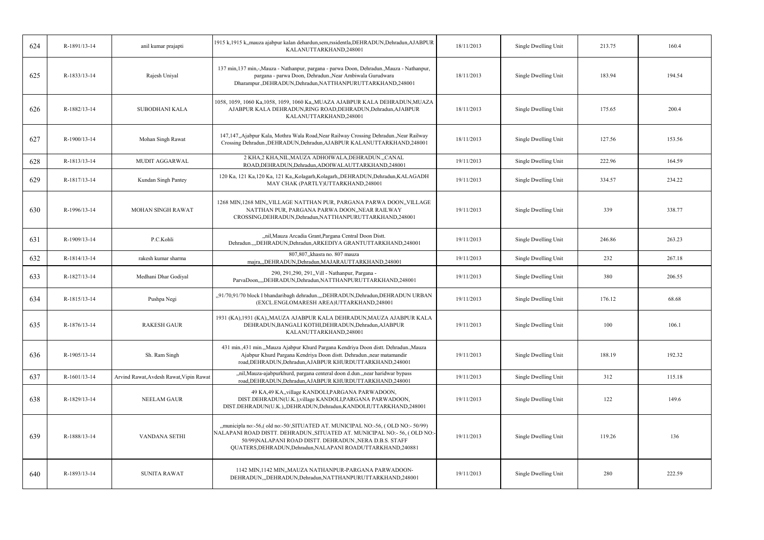| 624 | R-1891/13-14 | anil kumar prajapti                     | 1915 k,1915 k,,mauza ajabpur kalan dehardun,sem,rssidentla,DEHRADUN,Dehradun,AJABPUR<br>KALANUTTARKHAND,248001                                                                                                                                                                        | 18/11/2013 | Single Dwelling Unit | 213.75 | 160.4  |
|-----|--------------|-----------------------------------------|---------------------------------------------------------------------------------------------------------------------------------------------------------------------------------------------------------------------------------------------------------------------------------------|------------|----------------------|--------|--------|
| 625 | R-1833/13-14 | Rajesh Uniyal                           | 137 min, 137 min, -, Mauza - Nathanpur, pargana - parwa Doon, Dehradun., Mauza - Nathanpur,<br>pargana - parwa Doon, Dehradun., Near Ambiwala Gurudwara<br>Dharampur., DEHRADUN, Dehradun, NATTHANPURUTTARKHAND, 248001                                                               | 18/11/2013 | Single Dwelling Unit | 183.94 | 194.54 |
| 626 | R-1882/13-14 | SUBODHANI KALA                          | 1058, 1059, 1060 Ka, 1058, 1059, 1060 Ka, MUAZA AJABPUR KALA DEHRADUN, MUAZA<br>AJABPUR KALA DEHRADUN, RING ROAD, DEHRADUN, Dehradun, AJABPUR<br>KALANUTTARKHAND,248001                                                                                                               | 18/11/2013 | Single Dwelling Unit | 175.65 | 200.4  |
| 627 | R-1900/13-14 | Mohan Singh Rawat                       | 147,147, Ajabpur Kala, Mothra Wala Road, Near Railway Crossing Dehradun., Near Railway<br>Crossing Dehradun., DEHRADUN, Dehradun, AJABPUR KALANUTTARKHAND, 248001                                                                                                                     | 18/11/2013 | Single Dwelling Unit | 127.56 | 153.56 |
| 628 | R-1813/13-14 | MUDIT AGGARWAL                          | 2 KHA,2 KHA, NIL, MAUZA ADHOIWALA, DEHRADUN., ,CANAL<br>ROAD, DEHRADUN, Dehradun, ADOIWALAUTTARKHAND, 248001                                                                                                                                                                          | 19/11/2013 | Single Dwelling Unit | 222.96 | 164.59 |
| 629 | R-1817/13-14 | Kundan Singh Pantey                     | 120 Ka, 121 Ka, 120 Ka, 121 Ka, Kolagarh, Kolagarh, DEHRADUN, Dehradun, KALAGADH<br>MAY CHAK (PARTLY)UTTARKHAND,248001                                                                                                                                                                | 19/11/2013 | Single Dwelling Unit | 334.57 | 234.22 |
| 630 | R-1996/13-14 | MOHAN SINGH RAWAT                       | 1268 MIN, 1268 MIN, VILLAGE NATTHAN PUR, PARGANA PARWA DOON, VILLAGE<br>NATTHAN PUR, PARGANA PARWA DOON,, NEAR RAILWAY<br>CROSSING, DEHRADUN, Dehradun, NATTHANPURUTTARKHAND, 248001                                                                                                  | 19/11/2013 | Single Dwelling Unit | 339    | 338.77 |
| 631 | R-1909/13-14 | P.C.Kohli                               | "nil, Mauza Arcadia Grant, Pargana Central Doon Distt.<br>Dehradun.,,,DEHRADUN,Dehradun,ARKEDIYA GRANTUTTARKHAND,248001                                                                                                                                                               | 19/11/2013 | Single Dwelling Unit | 246.86 | 263.23 |
| 632 | R-1814/13-14 | rakesh kumar sharma                     | 807,807, khasra no. 807 mauza<br>majra,,,DEHRADUN,Dehradun,MAJARAUTTARKHAND,248001                                                                                                                                                                                                    | 19/11/2013 | Single Dwelling Unit | 232    | 267.18 |
| 633 | R-1827/13-14 | Medhani Dhar Godiyal                    | 290, 291, 290, 291, Vill - Nathanpur, Pargana -<br>ParvaDoon,,,,DEHRADUN,Dehradun,NATTHANPURUTTARKHAND,248001                                                                                                                                                                         | 19/11/2013 | Single Dwelling Unit | 380    | 206.55 |
| 634 | R-1815/13-14 | Pushpa Negi                             | "91/70,91/70 block I bhandaribagh dehradun.,,,DEHRADUN,Dehradun,DEHRADUN URBAN<br>(EXCL.ENGLOMARESH AREA)UTTARKHAND,248001                                                                                                                                                            | 19/11/2013 | Single Dwelling Unit | 176.12 | 68.68  |
| 635 | R-1876/13-14 | <b>RAKESH GAUR</b>                      | 1931 (KA),1931 (KA),,MAUZA AJABPUR KALA DEHRADUN,MAUZA AJABPUR KALA<br>DEHRADUN, BANGALI KOTHI, DEHRADUN, Dehradun, AJABPUR<br>KALANUTTARKHAND,248001                                                                                                                                 | 19/11/2013 | Single Dwelling Unit | 100    | 106.1  |
| 636 | R-1905/13-14 | Sh. Ram Singh                           | 431 min.,431 min.,,Mauza Ajabpur Khurd Pargana Kendriya Doon distt. Dehradun.,Mauza<br>Ajabpur Khurd Pargana Kendriya Doon distt. Dehradun., near matamandir<br>road, DEHRADUN, Dehradun, AJABPUR KHURDUTTARKHAND, 248001                                                             | 19/11/2013 | Single Dwelling Unit | 188.19 | 192.32 |
| 637 | R-1601/13-14 | Arvind Rawat, Avdesh Rawat, Vipin Rawat | "nil, Mauza-ajabpurkhurd, pargana centeral doon d.dun., near haridwar bypass<br>road, DEHRADUN, Dehradun, AJABPUR KHURDUTTARKHAND, 248001                                                                                                                                             | 19/11/2013 | Single Dwelling Unit | 312    | 115.18 |
| 638 | R-1829/13-14 | <b>NEELAM GAUR</b>                      | 49 KA,49 KA,,village KANDOLI,PARGANA PARWADOON,<br>DIST.DEHRADUN(U.K.), village KANDOLI, PARGANA PARWADOON,<br>DIST.DEHRADUN(U.K.),,DEHRADUN,Dehradun,KANDOLIUTTARKHAND,248001                                                                                                        | 19/11/2013 | Single Dwelling Unit | 122    | 149.6  |
| 639 | R-1888/13-14 | VANDANA SETHI                           | "municipla no:-56,(old no:-50/,SITUATED AT. MUNICIPAL NO:-56, (OLD NO:-50/99)<br>NALAPANI ROAD DISTT. DEHRADUN., SITUATED AT. MUNICIPAL NO:- 56, (OLD NO:-<br>50/99)NALAPANI ROAD DISTT. DEHRADUN., NERA D.B.S. STAFF<br>QUATERS, DEHRADUN, Dehradun, NALAPANI ROADUTTARKHAND, 240881 | 19/11/2013 | Single Dwelling Unit | 119.26 | 136    |
| 640 | R-1893/13-14 | <b>SUNITA RAWAT</b>                     | 1142 MIN,1142 MIN,,MAUZA NATHANPUR-PARGANA PARWADOON-<br>DEHRADUN, "DEHRADUN, Dehradun, NATTHANPURUTTARKHAND, 248001                                                                                                                                                                  | 19/11/2013 | Single Dwelling Unit | 280    | 222.59 |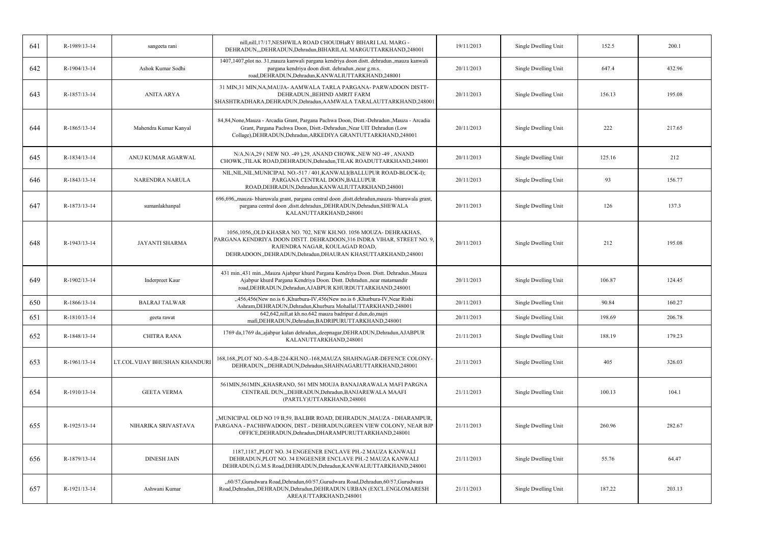| 641 | R-1989/13-14 | sangeeta rani                 | nill,nill,17/17,NESHWILA ROAD CHOUDHaRY BIHARI LAL MARG -<br>DEHRADUN,,,DEHRADUN,Dehradun,BIHARILAL MARGUTTARKHAND,248001                                                                                                                 | 19/11/2013 | Single Dwelling Unit | 152.5  | 200.1  |
|-----|--------------|-------------------------------|-------------------------------------------------------------------------------------------------------------------------------------------------------------------------------------------------------------------------------------------|------------|----------------------|--------|--------|
| 642 | R-1904/13-14 | Ashok Kumar Sodhi             | 1407,1407,plot no. 31, mauza kanwali pargana kendriya doon distt. dehradun., mauza kanwali<br>pargana kendriya doon distt. dehradun., near g.m.s.<br>road, DEHRADUN, Dehradun, KANWALIUTTARKHAND, 248001                                  | 20/11/2013 | Single Dwelling Unit | 647.4  | 432.96 |
| 643 | R-1857/13-14 | <b>ANITA ARYA</b>             | 31 MIN, 31 MIN, NA, MAUJA-AAMWALA TARLA PARGANA-PARWADOON DISTT-<br>DEHRADUN, BEHIND AMRIT FARM<br>SHASHTRADHARA, DEHRADUN, Dehradun, AAMWALA TARALAUTTARKHAND, 248001                                                                    | 20/11/2013 | Single Dwelling Unit | 156.13 | 195.08 |
| 644 | R-1865/13-14 | Mahendra Kumar Kanyal         | 84,84, None, Mauza - Arcadia Grant, Pargana Pachwa Doon, Distt.-Dehradun., Mauza - Arcadia<br>Grant, Pargana Pachwa Doon, Distt.-Dehradun., Near UIT Dehradun (Low<br>Collage), DEHRADUN, Dehradun, ARKEDIYA GRANTUTTARKHAND, 248001      | 20/11/2013 | Single Dwelling Unit | 222    | 217.65 |
| 645 | R-1834/13-14 | ANUJ KUMAR AGARWAL            | $N/A, N/A, 29$ (NEW NO. -49), 29, ANAND CHOWK., NEW NO -49, ANAND<br>CHOWK., TILAK ROAD, DEHRADUN, Dehradun, TILAK ROADUTTARKHAND, 248001                                                                                                 | 20/11/2013 | Single Dwelling Unit | 125.16 | 212    |
| 646 | R-1843/13-14 | NARENDRA NARULA               | NIL, NIL, NIL, MUNICIPAL NO.-517 / 401, KANWALI (BALLUPUR ROAD-BLOCK-I);<br>PARGANA CENTRAL DOON, BALLUPUR<br>ROAD, DEHRADUN, Dehradun, KANWALIUTTARKHAND, 248001                                                                         | 20/11/2013 | Single Dwelling Unit | 93     | 156.77 |
| 647 | R-1873/13-14 | sumanlakhanpal                | 696,696, mauza- bharuwala grant, pargana central doon , distt.dehradun, mauza- bharuwala grant,<br>pargana central doon , distt.dehradun, DEHRADUN, Dehradun, SHEWALA<br>KALANUTTARKHAND,248001                                           | 20/11/2013 | Single Dwelling Unit | 126    | 137.3  |
| 648 | R-1943/13-14 | <b>JAYANTI SHARMA</b>         | 1056,1056,,OLD KHASRA NO. 702, NEW KH.NO. 1056 MOUZA- DEHRAKHAS,<br>PARGANA KENDRIYA DOON DISTT. DEHRADOON,316 INDRA VIHAR, STREET NO. 9,<br>RAJENDRA NAGAR, KOULAGAD ROAD,<br>DEHRADOON,,DEHRADUN,Dehradun,DHAURAN KHASUTTARKHAND,248001 | 20/11/2013 | Single Dwelling Unit | 212    | 195.08 |
| 649 | R-1902/13-14 | Inderpreet Kaur               | 431 min.,431 min.,,Mauza Ajabpur khurd Pargana Kendriya Doon. Distt. Dehradun.,Mauza<br>Ajabpur khurd Pargana Kendriya Doon. Distt. Dehradun., near matamandir<br>road, DEHRADUN, Dehradun, AJABPUR KHURDUTTARKHAND, 248001               | 20/11/2013 | Single Dwelling Unit | 106.87 | 124.45 |
| 650 | R-1866/13-14 | <b>BALRAJ TALWAR</b>          | "456,456(New no.is 6 ,Khurbura-IV,456(New no.is 6 ,Khurbura-IV,Near Rishi<br>Ashram, DEHRADUN, Dehradun, Khurbura MohallaUTTARKHAND, 248001                                                                                               | 20/11/2013 | Single Dwelling Unit | 90.84  | 160.27 |
| 651 | R-1810/13-14 | geeta rawat                   | 642,642, nill, at kh.no.642 mauza badripur d.dun, do, majri<br>mafi, DEHRADUN, Dehradun, BADRIPURUTTARKHAND, 248001                                                                                                                       | 20/11/2013 | Single Dwelling Unit | 198.69 | 206.78 |
| 652 | R-1848/13-14 | CHITRA RANA                   | 1769 da, 1769 da,,ajabpur kalan dehradun,,deepnagar,DEHRADUN,Dehradun,AJABPUR<br>KALANUTTARKHAND,248001                                                                                                                                   | 21/11/2013 | Single Dwelling Unit | 188.19 | 179.23 |
| 653 | R-1961/13-14 | LT.COL.VIJAY BHUSHAN KHANDURI | 168,168,,PLOT NO.-S-4,B-224-KH.NO.-168,MAUZA SHAHNAGAR-DEFENCE COLONY-<br>DEHRADUN,,,DEHRADUN,Dehradun,SHAHNAGARUTTARKHAND,248001                                                                                                         | 21/11/2013 | Single Dwelling Unit | 405    | 326.03 |
| 654 | R-1910/13-14 | <b>GEETA VERMA</b>            | 561MIN, 561MIN, KHASRANO, 561 MIN MOUJA BANAJARAWALA MAFI PARGNA<br>CENTRAIL DUN,,,DEHRADUN,Dehradun,BANJAREWALA MAAFI<br>(PARTLY)UTTARKHAND,248001                                                                                       | 21/11/2013 | Single Dwelling Unit | 100.13 | 104.1  |
| 655 | R-1925/13-14 | NIHARIKA SRIVASTAVA           | "MUNICIPAL OLD NO 19 B,59, BALBIR ROAD, DEHRADUN.,MAUZA - DHARAMPUR,<br>PARGANA - PACHHWADOON, DIST. - DEHRADUN, GREEN VIEW COLONY, NEAR BJP<br>OFFICE, DEHRADUN, Dehradun, DHARAMPURUTTARKHAND, 248001                                   | 21/11/2013 | Single Dwelling Unit | 260.96 | 282.67 |
| 656 | R-1879/13-14 | <b>DINESH JAIN</b>            | 1187,1187,,PLOT NO. 34 ENGEENER ENCLAVE PH.-2 MAUZA KANWALI<br>DEHRADUN, PLOT NO. 34 ENGEENER ENCLAVE PH.-2 MAUZA KANWALI<br>DEHRADUN, G.M.S Road, DEHRADUN, Dehradun, KANWALIUTTARKHAND, 248001                                          | 21/11/2013 | Single Dwelling Unit | 55.76  | 64.47  |
| 657 | R-1921/13-14 | Ashwani Kumar                 | "60/57, Gurudwara Road, Dehradun, 60/57, Gurudwara Road, Dehradun, 60/57, Gurudwara<br>Road, Dehradun, DEHRADUN, Dehradun, DEHRADUN URBAN (EXCL.ENGLOMARESH<br>AREA)UTTARKHAND,248001                                                     | 21/11/2013 | Single Dwelling Unit | 187.22 | 203.13 |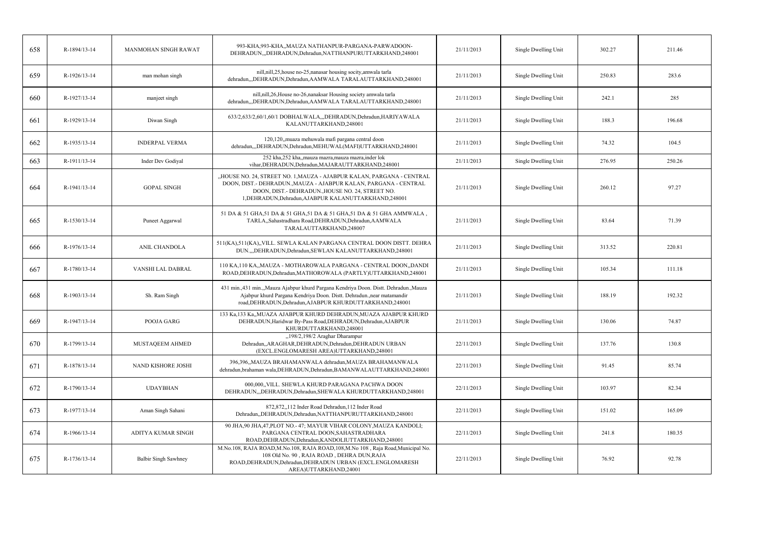| 658 | R-1894/13-14 | MANMOHAN SINGH RAWAT        | 993-KHA,993-KHA,,MAUZA NATHANPUR-PARGANA-PARWADOON-<br>DEHRADUN, DEHRADUN, Dehradun, NATTHANPURUTTARKHAND, 248001                                                                                                                                       | 21/11/2013 | Single Dwelling Unit | 302.27 | 211.46 |
|-----|--------------|-----------------------------|---------------------------------------------------------------------------------------------------------------------------------------------------------------------------------------------------------------------------------------------------------|------------|----------------------|--------|--------|
| 659 | R-1926/13-14 | man mohan singh             | nill,nill,25, house no-25, nanasar housing socity, amwala tarla<br>dehradun,,,DEHRADUN,Dehradun,AAMWALA TARALAUTTARKHAND,248001                                                                                                                         | 21/11/2013 | Single Dwelling Unit | 250.83 | 283.6  |
| 660 | R-1927/13-14 | manjeet singh               | nill, nill, 26, House no-26, nanaksar Housing society amwala tarla<br>dehradun,,,DEHRADUN,Dehradun,AAMWALA TARALAUTTARKHAND,248001                                                                                                                      | 21/11/2013 | Single Dwelling Unit | 242.1  | 285    |
| 661 | R-1929/13-14 | Diwan Singh                 | 633/2,633/2,60/1,60/1 DOBHALWALA,,,DEHRADUN,Dehradun,HARIYAWALA<br>KALANUTTARKHAND,248001                                                                                                                                                               | 21/11/2013 | Single Dwelling Unit | 188.3  | 196.68 |
| 662 | R-1935/13-14 | <b>INDERPAL VERMA</b>       | 120,120, muaza mehuwala mafi pargana central doon<br>dehradun,,,DEHRADUN,Dehradun,MEHUWAL(MAFI)UTTARKHAND,248001                                                                                                                                        | 21/11/2013 | Single Dwelling Unit | 74.32  | 104.5  |
| 663 | R-1911/13-14 | Inder Dev Godiyal           | 252 kha,252 kha,,mauza mazra,mauza mazra,inder lok<br>vihar, DEHRADUN, Dehradun, MAJARAUTTARKHAND, 248001                                                                                                                                               | 21/11/2013 | Single Dwelling Unit | 276.95 | 250.26 |
| 664 | R-1941/13-14 | <b>GOPAL SINGH</b>          | "HOUSE NO. 24, STREET NO. 1,MAUZA - AJABPUR KALAN, PARGANA - CENTRAL<br>DOON, DIST.- DEHRADUN., MAUZA - AJABPUR KALAN, PARGANA - CENTRAL<br>DOON, DIST. - DEHRADUN., HOUSE NO. 24, STREET NO.<br>1, DEHRADUN, Dehradun, AJABPUR KALANUTTARKHAND, 248001 | 21/11/2013 | Single Dwelling Unit | 260.12 | 97.27  |
| 665 | R-1530/13-14 | Puneet Aggarwal             | 51 DA & 51 GHA, 51 DA & 51 GHA, 51 DA & 51 GHA, 51 DA & 51 GHA AMMWALA,<br>TARLA,,Sahastradhara Road,DEHRADUN,Dehradun,AAMWALA<br>TARALAUTTARKHAND,248007                                                                                               | 21/11/2013 | Single Dwelling Unit | 83.64  | 71.39  |
| 666 | R-1976/13-14 | <b>ANIL CHANDOLA</b>        | 511(KA),511(KA),,VILL. SEWLA KALAN PARGANA CENTRAL DOON DISTT. DEHRA<br>DUN.,,,DEHRADUN,Dehradun,SEWLAN KALANUTTARKHAND,248001                                                                                                                          | 21/11/2013 | Single Dwelling Unit | 313.52 | 220.81 |
| 667 | R-1780/13-14 | VANSHI LAL DABRAL           | 110 KA, 110 KA,, MAUZA - MOTHAROWALA PARGANA - CENTRAL DOON,, DANDI<br>ROAD, DEHRADUN, Dehradun, MATHOROWALA (PARTLY) UTTARKHAND, 248001                                                                                                                | 21/11/2013 | Single Dwelling Unit | 105.34 | 111.18 |
| 668 | R-1903/13-14 | Sh. Ram Singh               | 431 min.,431 min.,,Mauza Ajabpur khurd Pargana Kendriya Doon. Distt. Dehradun.,Mauza<br>Ajabpur khurd Pargana Kendriya Doon. Distt. Dehradun., near matamandir<br>road, DEHRADUN, Dehradun, AJABPUR KHURDUTTARKHAND, 248001                             | 21/11/2013 | Single Dwelling Unit | 188.19 | 192.32 |
| 669 | R-1947/13-14 | POOJA GARG                  | 133 Ka, 133 Ka,, MUAZA AJABPUR KHURD DEHRADUN, MUAZA AJABPUR KHURD<br>DEHRADUN, Haridwar By-Pass Road, DEHRADUN, Dehradun, AJABPUR<br>KHURDUTTARKHAND,248001                                                                                            | 21/11/2013 | Single Dwelling Unit | 130.06 | 74.87  |
| 670 | R-1799/13-14 | MUSTAQEEM AHMED             | "198/2,198/2 Araghar Dharampur<br>Dehradun,,ARAGHAR,DEHRADUN,Dehradun,DEHRADUN URBAN<br>(EXCL.ENGLOMARESH AREA)UTTARKHAND,248001                                                                                                                        | 22/11/2013 | Single Dwelling Unit | 137.76 | 130.8  |
| 671 | R-1878/13-14 | NAND KISHORE JOSHI          | 396,396,,MAUZA BRAHAMANWALA dehradun,MAUZA BRAHAMANWALA<br>dehradun, brahaman wala, DEHRADUN, Dehradun, BAMANWALAUTTARKHAND, 248001                                                                                                                     | 22/11/2013 | Single Dwelling Unit | 91.45  | 85.74  |
| 672 | R-1790/13-14 | <b>UDAYBHAN</b>             | 000,000, VILL. SHEWLA KHURD PARAGANA PACHWA DOON<br>DEHRADUN,,,DEHRADUN,Dehradun,SHEWALA KHURDUTTARKHAND,248001                                                                                                                                         | 22/11/2013 | Single Dwelling Unit | 103.97 | 82.34  |
| 673 | R-1977/13-14 | Aman Singh Sahani           | 872,872,,112 Inder Road Dehradun,112 Inder Road<br>Dehradun, DEHRADUN, Dehradun, NATTHANPURUTTARKHAND, 248001                                                                                                                                           | 22/11/2013 | Single Dwelling Unit | 151.02 | 165.09 |
| 674 | R-1966/13-14 | ADITYA KUMAR SINGH          | 90 JHA,90 JHA,47,PLOT NO.-47; MAYUR VIHAR COLONY,MAUZA KANDOLI;<br>PARGANA CENTRAL DOON, SAHASTRADHARA<br>ROAD, DEHRADUN, Dehradun, KANDOLIUTTARKHAND, 248001                                                                                           | 22/11/2013 | Single Dwelling Unit | 241.8  | 180.35 |
| 675 | R-1736/13-14 | <b>Balbir Singh Sawhney</b> | M.No.108, RAJA ROAD, M.No.108, RAJA ROAD, 108, M.No 108, Raja Road, Municipal No.<br>108 Old No. 90, RAJA ROAD, DEHRA DUN, RAJA<br>ROAD, DEHRADUN, Dehradun, DEHRADUN URBAN (EXCL. ENGLOMARESH<br>AREA)UTTARKHAND,24001                                 | 22/11/2013 | Single Dwelling Unit | 76.92  | 92.78  |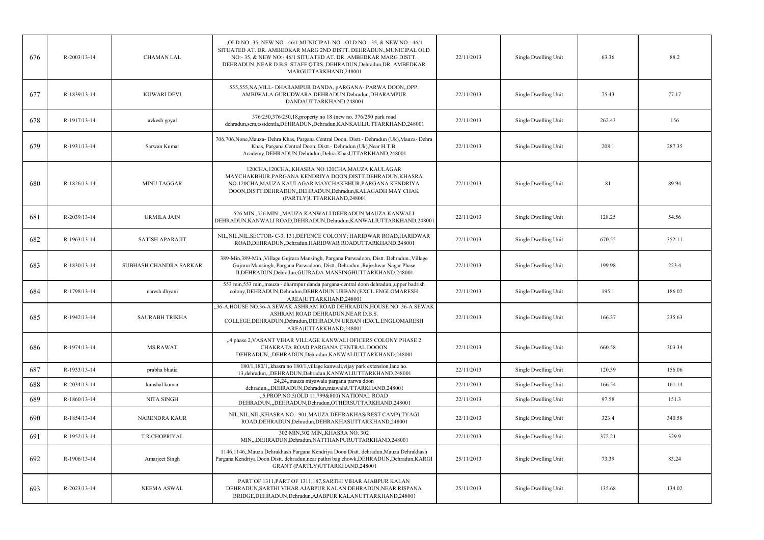| 676 | R-2003/13-14   | <b>CHAMAN LAL</b>      | "OLD NO:-35, NEW NO:-46/1, MUNICIPAL NO:- OLD NO:-35, & NEW NO:-46/1<br>SITUATED AT. DR. AMBEDKAR MARG 2ND DISTT. DEHRADUN., MUNICIPAL OLD<br>NO:-35, & NEW NO:-46/1 SITUATED AT. DR. AMBEDKAR MARG DISTT.<br>DEHRADUN., NEAR D.B.S. STAFF QTRS., DEHRADUN, Dehradun, DR. AMBEDKAR<br>MARGUTTARKHAND,248001 | 22/11/2013 | Single Dwelling Unit | 63.36  | 88.2   |
|-----|----------------|------------------------|-------------------------------------------------------------------------------------------------------------------------------------------------------------------------------------------------------------------------------------------------------------------------------------------------------------|------------|----------------------|--------|--------|
| 677 | R-1839/13-14   | KUWARI DEVI            | 555,555, NA, VILL-DHARAMPUR DANDA, pARGANA-PARWA DOON,, OPP.<br>AMBIWALA GURUDWARA, DEHRADUN, Dehradun, DHARAMPUR<br>DANDAUTTARKHAND,248001                                                                                                                                                                 | 22/11/2013 | Single Dwelling Unit | 75.43  | 77.17  |
| 678 | R-1917/13-14   | avkesh goyal           | 376/250,376/250,18, property no 18 (new no. 376/250 park road<br>dehradun,sem,rssidentla,DEHRADUN,Dehradun,KANKAULIUTTARKHAND,248001                                                                                                                                                                        | 22/11/2013 | Single Dwelling Unit | 262.43 | 156    |
| 679 | R-1931/13-14   | Sarwan Kumar           | 706,706,None,Mauza- Dehra Khas, Pargana Central Doon, Distt.- Dehradun (Uk),Mauza- Dehra<br>Khas, Pargana Central Doon, Distt.- Dehradun (Uk), Near H.T.B.<br>Academy, DEHRADUN, Dehradun, Dehra KhasUTTARKHAND, 248001                                                                                     | 22/11/2013 | Single Dwelling Unit | 208.1  | 287.35 |
| 680 | R-1826/13-14   | <b>MINU TAGGAR</b>     | 120CHA, 120CHA, KHASRA NO.120CHA, MAUZA KAULAGAR<br>MAYCHAKBHUR, PARGANA KENDRIYA DOON, DISTT. DEHRADUN, KHASRA<br>NO.120CHA, MAUZA KAULAGAR MAYCHAKBHUR, PARGANA KENDRIYA<br>DOON, DISTT. DEHRADUN, DEHRADUN, Dehradun, KALAGADH MAY CHAK<br>(PARTLY)UTTARKHAND,248001                                     | 22/11/2013 | Single Dwelling Unit | 81     | 89.94  |
| 681 | R-2039/13-14   | <b>URMILA JAIN</b>     | 526 MIN., 526 MIN., MAUZA KANWALI DEHRADUN, MAUZA KANWALI<br>DEHRADUN, KANWALI ROAD, DEHRADUN, Dehradun, KANWALIUTTARKHAND, 248001                                                                                                                                                                          | 22/11/2013 | Single Dwelling Unit | 128.25 | 54.56  |
| 682 | R-1963/13-14   | <b>SATISH APARAJIT</b> | NIL, NIL, NIL, SECTOR- C-3, 131, DEFENCE COLONY; HARIDWAR ROAD, HARIDWAR<br>ROAD, DEHRADUN, Dehradun, HARIDWAR ROADUTTARKHAND, 248001                                                                                                                                                                       | 22/11/2013 | Single Dwelling Unit | 670.55 | 352.11 |
| 683 | R-1830/13-14   | SUBHASH CHANDRA SARKAR | 389-Min, 389-Min, Village Gujrara Mansingh, Pargana Parwadoon, Distt. Dehradun., Village<br>Gujrara Mansingh, Pargana Parwadoon, Distt. Dehradun., Rajeshwar Nagar Phase<br>II, DEHRADUN, Dehradun, GUJRADA MANSINGHUTTARKHAND, 248001                                                                      | 22/11/2013 | Single Dwelling Unit | 199.98 | 223.4  |
| 684 | R-1798/13-14   | naresh dhyani          | 553 min,553 min, mauza - dharmpur danda pargana-central doon dehradun, upper badrish<br>colony, DEHRADUN, Dehradun, DEHRADUN URBAN (EXCL.ENGLOMARESH<br>AREA)UTTARKHAND,248001                                                                                                                              | 22/11/2013 | Single Dwelling Unit | 195.1  | 186.02 |
| 685 | R-1942/13-14   | <b>SAURABH TRIKHA</b>  | ,36-A,HOUSE NO.36-A SEWAK ASHRAM ROAD DEHRADUN,HOUSE NO. 36-A SEWAK<br>ASHRAM ROAD DEHRADUN, NEAR D.B.S.<br>COLLEGE, DEHRADUN, Dehradun, DEHRADUN URBAN (EXCL. ENGLOMARESH<br>AREA)UTTARKHAND,248001                                                                                                        | 22/11/2013 | Single Dwelling Unit | 166.37 | 235.63 |
| 686 | R-1974/13-14   | <b>MS.RAWAT</b>        | "4 phase 2, VASANT VIHAR VILLAGE KANWALI OFICERS COLONY PHASE 2<br>CHAKRATA ROAD PARGANA CENTRAL DOOON<br>DEHRADUN,,DEHRADUN,Dehradun,KANWALIUTTARKHAND,248001                                                                                                                                              | 22/11/2013 | Single Dwelling Unit | 660.58 | 303.34 |
| 687 | R-1933/13-14   | prabha bhatia          | 180/1,180/1, khasra no 180/1, village kanwali, vijay park extension, lane no.<br>13, dehradun, "DEHRADUN, Dehradun, KANWALIUTTARKHAND, 248001                                                                                                                                                               | 22/11/2013 | Single Dwelling Unit | 120.39 | 156.06 |
| 688 | R-2034/13-14   | kaushal kumar          | 24,24, mauza miyawala pargana parwa doon<br>dehradun,,,DEHRADUN,Dehradun,miawalaUTTARKHAND,248001                                                                                                                                                                                                           | 22/11/2013 | Single Dwelling Unit | 166.54 | 161.14 |
| 689 | $R-1860/13-14$ | NITA SINGH             | "5, PROP.NO.5(OLD 11, 799&800) NATIONAL ROAD<br>DEHRADUN, DEHRADUN, Dehradun, OTHERSUTTARKHAND, 248001                                                                                                                                                                                                      | 22/11/2013 | Single Dwelling Unit | 97.58  | 151.3  |
| 690 | R-1854/13-14   | <b>NARENDRA KAUR</b>   | NIL, NIL, NIL, KHASRA NO. - 901, MAUZA DEHRAKHAS (REST CAMP), TYAGI<br>ROAD, DEHRADUN, Dehradun, DEHRAKHASUTTARKHAND, 248001                                                                                                                                                                                | 22/11/2013 | Single Dwelling Unit | 323.4  | 340.58 |
| 691 | R-1952/13-14   | T.R.CHOPRIYAL          | 302 MIN, 302 MIN, KHASRA NO. 302<br>MIN,,,DEHRADUN,Dehradun,NATTHANPURUTTARKHAND,248001                                                                                                                                                                                                                     | 22/11/2013 | Single Dwelling Unit | 372.21 | 329.9  |
| 692 | R-1906/13-14   | Amarjeet Singh         | 1146,1146,,Mauza Dehrakhash Pargana Kendriya Doon Distt. dehradun,Mauza Dehrakhash<br>Pargana Kendriya Doon Distt. dehradun,near pathri bag chowk,DEHRADUN,Dehradun,KARGI<br>GRANT (PARTLY)UTTARKHAND,248001                                                                                                | 25/11/2013 | Single Dwelling Unit | 73.39  | 83.24  |
| 693 | R-2023/13-14   | <b>NEEMA ASWAL</b>     | PART OF 1311, PART OF 1311, 187, SARTHI VIHAR AJABPUR KALAN<br>DEHRADUN, SARTHI VIHAR AJABPUR KALAN DEHRADUN, NEAR RISPANA<br>BRIDGE, DEHRADUN, Dehradun, AJABPUR KALANUTTARKHAND, 248001                                                                                                                   | 25/11/2013 | Single Dwelling Unit | 135.68 | 134.02 |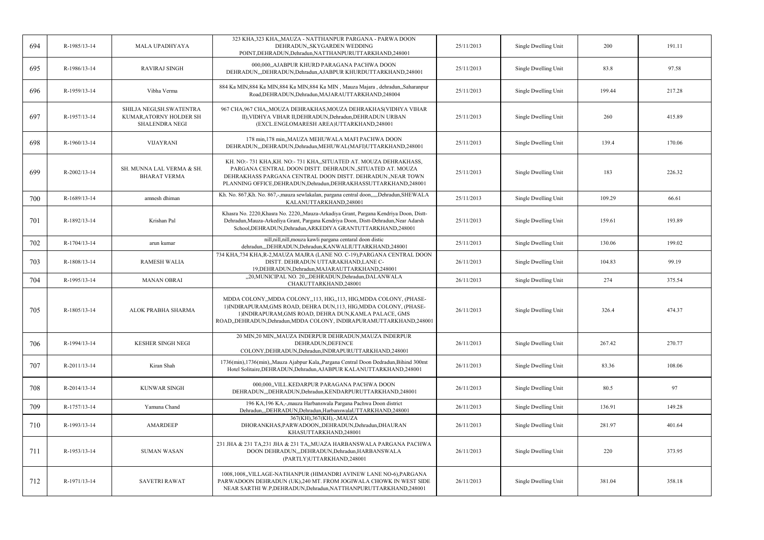| 694 | R-1985/13-14   | <b>MALA UPADHYAYA</b>                                                          | 323 KHA, 323 KHA,, MAUZA - NATTHANPUR PARGANA - PARWA DOON<br>DEHRADUN,, SKYGARDEN WEDDING<br>POINT, DEHRADUN, Dehradun, NATTHANPURUTTARKHAND, 248001                                                                                                                          | 25/11/2013 | Single Dwelling Unit | 200    | 191.11 |
|-----|----------------|--------------------------------------------------------------------------------|--------------------------------------------------------------------------------------------------------------------------------------------------------------------------------------------------------------------------------------------------------------------------------|------------|----------------------|--------|--------|
| 695 | R-1986/13-14   | <b>RAVIRAJ SINGH</b>                                                           | 000,000, AJABPUR KHURD PARAGANA PACHWA DOON<br>DEHRADUN, "DEHRADUN, Dehradun, AJABPUR KHURDUTTARKHAND, 248001                                                                                                                                                                  | 25/11/2013 | Single Dwelling Unit | 83.8   | 97.58  |
| 696 | R-1959/13-14   | Vibha Verma                                                                    | 884 Ka MIN, 884 Ka MIN, 884 Ka MIN, 884 Ka MIN, Mauza Majara, dehradun, Saharanpur<br>Road, DEHRADUN, Dehradun, MAJARAUTTARKHAND, 248004                                                                                                                                       | 25/11/2013 | Single Dwelling Unit | 199.44 | 217.28 |
| 697 | R-1957/13-14   | SHILJA NEGI, SH. SWATENTRA<br>KUMAR, ATORNY HOLDER SH<br><b>SHALENDRA NEGI</b> | 967 CHA, 967 CHA, MOUZA DEHRAKHAS, MOUZA DEHRAKHAS (VIDHYA VIHAR<br>II), VIDHYA VIHAR II, DEHRADUN, Dehradun, DEHRADUN URBAN<br>(EXCL.ENGLOMARESH AREA)UTTARKHAND,248001                                                                                                       | 25/11/2013 | Single Dwelling Unit | 260    | 415.89 |
| 698 | R-1960/13-14   | <b>VIJAYRANI</b>                                                               | 178 min, 178 min, MAUZA MEHUWALA MAFI PACHWA DOON<br>DEHRADUN, "DEHRADUN, Dehradun, MEHUWAL (MAFI) UTTARKHAND, 248001                                                                                                                                                          | 25/11/2013 | Single Dwelling Unit | 139.4  | 170.06 |
| 699 | R-2002/13-14   | SH. MUNNA LAL VERMA & SH.<br><b>BHARAT VERMA</b>                               | KH. NO:-731 KHA, KH. NO:-731 KHA, SITUATED AT. MOUZA DEHRAKHASS,<br>PARGANA CENTRAL DOON DISTT. DEHRADUN., SITUATED AT. MOUZA<br>DEHRAKHASS PARGANA CENTRAL DOON DISTT. DEHRADUN., NEAR TOWN<br>PLANNING OFFICE, DEHRADUN, Dehradun, DEHRAKHASSUTTARKHAND, 248001              | 25/11/2013 | Single Dwelling Unit | 183    | 226.32 |
| 700 | R-1689/13-14   | amnesh dhiman                                                                  | Kh. No. 867,Kh. No. 867,-,mauza sewlakalan, pargana central doon,,,,,Dehradun,SHEWALA<br>KALANUTTARKHAND,248001                                                                                                                                                                | 25/11/2013 | Single Dwelling Unit | 109.29 | 66.61  |
| 701 | R-1892/13-14   | Krishan Pal                                                                    | Khasra No. 2220, Khasra No. 2220,, Mauza-Arkadiya Grant, Pargana Kendriya Doon, Distt-<br>Dehradun, Mauza-Arkediya Grant, Pargana Kendriya Doon, Distt-Dehradun, Near Adarsh<br>School, DEHRADUN, Dehradun, ARKEDIYA GRANTUTTARKHAND, 248001                                   | 25/11/2013 | Single Dwelling Unit | 159.61 | 193.89 |
| 702 | R-1704/13-14   | arun kumar                                                                     | nill, nill, nill, mouza kawli pargana centaral doon distic<br>dehradun,,,DEHRADUN,Dehradun,KANWALIUTTARKHAND,248001                                                                                                                                                            | 25/11/2013 | Single Dwelling Unit | 130.06 | 199.02 |
| 703 | R-1808/13-14   | <b>RAMESH WALIA</b>                                                            | 734 KHA,734 KHA,R-2,MAUZA MAJRA (LANE NO. C-19),PARGANA CENTRAL DOON<br>DISTT. DEHRADUN UTTARAKHAND, LANE C-<br>19, DEHRADUN, Dehradun, MAJARAUTTARKHAND, 248001                                                                                                               | 26/11/2013 | Single Dwelling Unit | 104.83 | 99.19  |
| 704 | R-1995/13-14   | <b>MANAN OBRAI</b>                                                             | "20, MUNICIPAL NO. 20, "DEHRADUN, Dehradun, DALANWALA<br>CHAKUTTARKHAND,248001                                                                                                                                                                                                 | 26/11/2013 | Single Dwelling Unit | 274    | 375.54 |
| 705 | R-1805/13-14   | ALOK PRABHA SHARMA                                                             | MDDA COLONY,, MDDA COLONY,, 113, HIG,, 113, HIG, MDDA COLONY, (PHASE-<br>1) INDIRAPURAM, GMS ROAD, DEHRA DUN, 113, HIG, MDDA COLONY, (PHASE-<br>1) INDIRAPURAM, GMS ROAD, DEHRA DUN, KAMLA PALACE, GMS<br>ROAD, DEHRADUN, Dehradun, MDDA COLONY, INDIRAPURAMUTTARKHAND, 248001 | 26/11/2013 | Single Dwelling Unit | 326.4  | 474.37 |
| 706 | R-1994/13-14   | <b>KESHER SINGH NEGI</b>                                                       | 20 MIN,20 MIN,,MAUZA INDERPUR DEHRADUN,MAUZA INDERPUR<br>DEHRADUN.DEFENCE<br>COLONY, DEHRADUN, Dehradun, INDRAPURUTTARKHAND, 248001                                                                                                                                            | 26/11/2013 | Single Dwelling Unit | 267.42 | 270.77 |
| 707 | $R-2011/13-14$ | Kiran Shah                                                                     | 1736(min), 1736(min), Mauza Ajabpur Kala, Pargana Central Doon Dedradun, Bihind 300mt<br>Hotel Solitaire, DEHRADUN, Dehradun, AJABPUR KALANUTTARKHAND, 248001                                                                                                                  | 26/11/2013 | Single Dwelling Unit | 83.36  | 108.06 |
| 708 | $R-2014/13-14$ | KUNWAR SINGH                                                                   | 000,000, VILL.KEDARPUR PARAGANA PACHWA DOON<br>DEHRADUN, DEHRADUN, Dehradun, KENDARPURUTTARKHAND, 248001                                                                                                                                                                       | 26/11/2013 | Single Dwelling Unit | 80.5   | 97     |
| 709 | R-1757/13-14   | Yamuna Chand                                                                   | 196 KA, 196 KA, -, mauza Harbanswala Pargana Pachwa Doon district<br>Dehradun,,,DEHRADUN,Dehradun,HarbanswalaUTTARKHAND,248001                                                                                                                                                 | 26/11/2013 | Single Dwelling Unit | 136.91 | 149.28 |
| 710 | R-1993/13-14   | AMARDEEP                                                                       | 367(KH), 367(KH), -, MAUZA<br>DHORANKHAS, PARWADOON, , DEHRADUN, Dehradun, DHAURAN<br>KHASUTTARKHAND,248001                                                                                                                                                                    | 26/11/2013 | Single Dwelling Unit | 281.97 | 401.64 |
| 711 | R-1953/13-14   | <b>SUMAN WASAN</b>                                                             | 231 JHA & 231 TA, 231 JHA & 231 TA,, MUAZA HARBANSWALA PARGANA PACHWA<br>DOON DEHRADUN, ,DEHRADUN, Dehradun, HARBANSWALA<br>(PARTLY)UTTARKHAND,248001                                                                                                                          | 26/11/2013 | Single Dwelling Unit | 220    | 373.95 |
| 712 | R-1971/13-14   | <b>SAVETRI RAWAT</b>                                                           | 1008,1008, VILLAGE-NATHANPUR (HIMANDRI AVINEW LANE NO-6), PARGANA<br>PARWADOON DEHRADUN (UK),240 MT. FROM JOGIWALA CHOWK IN WEST SIDE<br>NEAR SARTHI W.P, DEHRADUN, Dehradun, NATTHANPURUTTARKHAND, 248001                                                                     | 26/11/2013 | Single Dwelling Unit | 381.04 | 358.18 |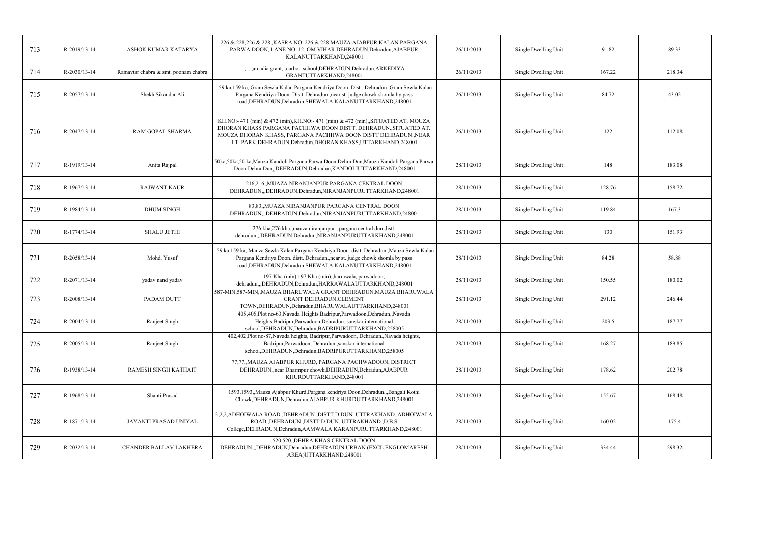| 713 | R-2019/13-14 | ASHOK KUMAR KATARYA                  | 226 & 228,226 & 228,,KASRA NO. 226 & 228 MAUZA AJABPUR KALAN PARGANA<br>PARWA DOON,,LANE NO. 12, OM VIHAR,DEHRADUN,Dehradun,AJABPUR<br>KALANUTTARKHAND,248001                                                                                                                           | 26/11/2013 | Single Dwelling Unit | 91.82  | 89.33  |
|-----|--------------|--------------------------------------|-----------------------------------------------------------------------------------------------------------------------------------------------------------------------------------------------------------------------------------------------------------------------------------------|------------|----------------------|--------|--------|
| 714 | R-2030/13-14 | Ramavtar chabra & smt. poonam chabra | -,-,-,arcadia grant,-,carbon school,DEHRADUN,Dehradun,ARKEDIYA<br>GRANTUTTARKHAND,248001                                                                                                                                                                                                | 26/11/2013 | Single Dwelling Unit | 167.22 | 218.34 |
| 715 | R-2057/13-14 | Shekh Sikandar Ali                   | 159 ka,159 ka,,Gram Sewla Kalan Pargana Kendriya Doon. Distt. Dehradun.,Gram Sewla Kalan<br>Pargana Kendriya Doon. Distt. Dehradun., near st. judge chowk shomla by pass<br>road, DEHRADUN, Dehradun, SHEWALA KALANUTTARKHAND, 248001                                                   | 26/11/2013 | Single Dwelling Unit | 84.72  | 43.02  |
| 716 | R-2047/13-14 | RAM GOPAL SHARMA                     | KH.NO:-471 (min) & 472 (min), KH.NO:-471 (min) & 472 (min), SITUATED AT. MOUZA<br>DHORAN KHASS PARGANA PACHHWA DOON DISTT. DEHRADUN., SITUATED AT.<br>MOUZA DHORAN KHASS, PARGANA PACHHWA DOON DISTT DEHRADUN., NEAR<br>I.T. PARK, DEHRADUN, Dehradun, DHORAN KHASS, UTTARKHAND, 248001 | 26/11/2013 | Single Dwelling Unit | 122    | 112.08 |
| 717 | R-1919/13-14 | Anita Rajpal                         | 50ka,50ka,50 ka,Mauza Kandoli Pargana Parwa Doon Dehra Dun,Mauza Kandoli Pargana Parwa<br>Doon Dehra Dun, DEHRADUN, Dehradun, KANDOLIUTTARKHAND, 248001                                                                                                                                 | 28/11/2013 | Single Dwelling Unit | 148    | 183.08 |
| 718 | R-1967/13-14 | <b>RAJWANT KAUR</b>                  | 216,216, MUAZA NIRANJANPUR PARGANA CENTRAL DOON<br>DEHRADUN,,,DEHRADUN,Dehradun,NIRANJANPURUTTARKHAND,248001                                                                                                                                                                            | 28/11/2013 | Single Dwelling Unit | 128.76 | 158.72 |
| 719 | R-1984/13-14 | <b>DHUM SINGH</b>                    | 83,83, MUAZA NIRANJANPUR PARGANA CENTRAL DOON<br>DEHRADUN,,,DEHRADUN,Dehradun,NIRANJANPURUTTARKHAND,248001                                                                                                                                                                              | 28/11/2013 | Single Dwelling Unit | 119.84 | 167.3  |
| 720 | R-1774/13-14 | <b>SHALU JETHI</b>                   | 276 kha,276 kha,,mauza niranjanpur, pargana central dun distt.<br>dehradun,,,DEHRADUN,Dehradun,NIRANJANPURUTTARKHAND,248001                                                                                                                                                             | 28/11/2013 | Single Dwelling Unit | 130    | 151.93 |
| 721 | R-2058/13-14 | Mohd. Yusuf                          | 159 ka,159 ka,,Mauza Sewla Kalan Pargana Kendriya Doon. distt. Dehradun.,Mauza Sewla Kalan<br>Pargana Kendriya Doon. distt. Dehradun., near st. judge chowk shomla by pass<br>road, DEHRADUN, Dehradun, SHEWALA KALANUTTARKHAND, 248001                                                 | 28/11/2013 | Single Dwelling Unit | 84.28  | 58.88  |
| 722 | R-2071/13-14 | yadav nand yadav                     | 197 Kha (min), 197 Kha (min), harrawala, parwadoon,<br>dehradun,,,DEHRADUN,Dehradun,HARRAWALAUTTARKHAND,248001                                                                                                                                                                          | 28/11/2013 | Single Dwelling Unit | 150.55 | 180.02 |
| 723 | R-2008/13-14 | PADAM DUTT                           | 587-MIN, 587-MIN, MAUZA BHARUWALA GRANT DEHRADUN, MAUZA BHARUWALA<br><b>GRANT DEHRADUN, CLEMENT</b><br>TOWN, DEHRADUN, Dehradun, BHARUWALAUTTARKHAND, 248001                                                                                                                            | 28/11/2013 | Single Dwelling Unit | 291.12 | 246.44 |
| 724 | R-2004/13-14 | Ranjeet Singh                        | 405,405,Plot no-63,Navada Heights.Badripur,Parwadoon,Dehradun.,Navada<br>Heights.Badripur,Parwadoon,Dehradun.,sanskar international<br>school, DEHRADUN, Dehradun, BADRIPURUTTARKHAND, 258005                                                                                           | 28/11/2013 | Single Dwelling Unit | 203.5  | 187.77 |
| 725 | R-2005/13-14 | Ranjeet Singh                        | 402,402,Plot no-87,Navada heights, Badripur,Parwadoon, Dehradun.,Navada heights,<br>Badripur, Parwadoon, Dehradun., sanskar international<br>school, DEHRADUN, Dehradun, BADRIPURUTTARKHAND, 258005                                                                                     | 28/11/2013 | Single Dwelling Unit | 168.27 | 189.85 |
| 726 | R-1938/13-14 | RAMESH SINGH KATHAIT                 | 77,77,,MAUZA AJABPUR KHURD, PARGANA PACHWADOON, DISTRICT<br>DEHRADUN, near Dharmpur chowk, DEHRADUN, Dehradun, AJABPUR<br>KHURDUTTARKHAND,248001                                                                                                                                        | 28/11/2013 | Single Dwelling Unit | 178.62 | 202.78 |
| 727 | R-1968/13-14 | Shanti Prasad                        | 1593,1593,,Mauza Ajabpur Khurd,Pargana kendriya Doon,Dehradun.,,Bangali Kothi<br>Chowk, DEHRADUN, Dehradun, AJABPUR KHURDUTTARKHAND, 248001                                                                                                                                             | 28/11/2013 | Single Dwelling Unit | 155.67 | 168.48 |
| 728 | R-1871/13-14 | JAYANTI PRASAD UNIYAL                | 2,2,2,ADHOIWALA ROAD ,DEHRADUN ,DISTT.D.DUN. UTTRAKHAND.,ADHOIWALA<br>ROAD , DEHRADUN , DISTT.D.DUN. UTTRAKHAND., D.B.S<br>College, DEHRADUN, Dehradun, AAMWALA KARANPURUTTARKHAND, 248001                                                                                              | 28/11/2013 | Single Dwelling Unit | 160.02 | 175.4  |
| 729 | R-2032/13-14 | CHANDER BALLAV LAKHERA               | 520,520, DEHRA KHAS CENTRAL DOON<br>DEHRADUN, "DEHRADUN, Dehradun, DEHRADUN URBAN (EXCL. ENGLOMARESH<br>AREA)UTTARKHAND,248001                                                                                                                                                          | 28/11/2013 | Single Dwelling Unit | 334.44 | 298.32 |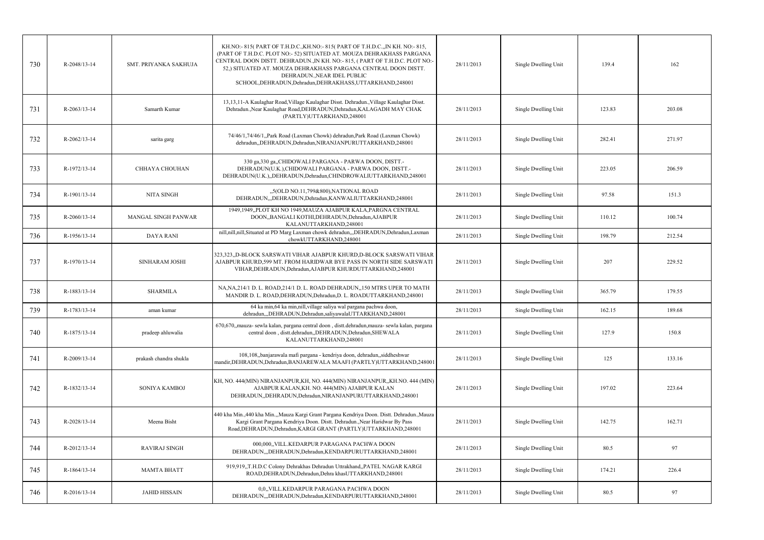|     |                    |                            | KH.NO:-815(PART OF T.H.D.C.,KH.NO:-815(PART OF T.H.D.C.,,IN KH. NO:-815,                                                                                                                                                                                                                                           |            |                      |        |        |
|-----|--------------------|----------------------------|--------------------------------------------------------------------------------------------------------------------------------------------------------------------------------------------------------------------------------------------------------------------------------------------------------------------|------------|----------------------|--------|--------|
| 730 | R-2048/13-14       | SMT. PRIYANKA SAKHUJA      | (PART OF T.H.D.C. PLOT NO:- 52) SITUATED AT. MOUZA DEHRAKHASS PARGANA<br>CENTRAL DOON DISTT. DEHRADUN., IN KH. NO:-815, (PART OF T.H.D.C. PLOT NO:-<br>52.) SITUATED AT. MOUZA DEHRAKHASS PARGANA CENTRAL DOON DISTT.<br>DEHRADUN., NEAR IDEL PUBLIC<br>SCHOOL, DEHRADUN, Dehradun, DEHRAKHASS, UTTARKHAND, 248001 | 28/11/2013 | Single Dwelling Unit | 139.4  | 162    |
| 731 | $R - 2063/13 - 14$ | Samarth Kumar              | 13,13,11-A Kaulaghar Road, Village Kaulaghar Disst. Dehradun., Village Kaulaghar Disst.<br>Dehradun., Near Kaulaghar Road, DEHRADUN, Dehradun, KALAGADH MAY CHAK<br>(PARTLY)UTTARKHAND,248001                                                                                                                      | 28/11/2013 | Single Dwelling Unit | 123.83 | 203.08 |
| 732 | $R - 2062/13 - 14$ | sarita garg                | 74/46/1,74/46/1,Park Road (Laxman Chowk) dehradun,Park Road (Laxman Chowk)<br>dehradun, DEHRADUN, Dehradun, NIRANJANPURUTTARKHAND, 248001                                                                                                                                                                          | 28/11/2013 | Single Dwelling Unit | 282.41 | 271.97 |
| 733 | R-1972/13-14       | <b>CHHAYA CHOUHAN</b>      | 330 ga, 330 ga, CHIDOWALI PARGANA - PARWA DOON, DISTT.-<br>DEHRADUN(U.K.),CHIDOWALI PARGANA - PARWA DOON, DISTT.-<br>DEHRADUN(U.K.),,DEHRADUN,Dehradun,CHINDROWALIUTTARKHAND,248001                                                                                                                                | 28/11/2013 | Single Dwelling Unit | 223.05 | 206.59 |
| 734 | R-1901/13-14       | NITA SINGH                 | "5(OLD NO.11,799&800), NATIONAL ROAD<br>DEHRADUN,"DEHRADUN, Dehradun, KANWALIUTTARKHAND, 248001                                                                                                                                                                                                                    | 28/11/2013 | Single Dwelling Unit | 97.58  | 151.3  |
| 735 | $R - 2060/13 - 14$ | <b>MANGAL SINGH PANWAR</b> | 1949,1949,,PLOT KH NO 1949,MAUZA AJABPUR KALA,PARGNA CENTRAL<br>DOON,, BANGALI KOTHI, DEHRADUN, Dehradun, AJABPUR<br>KALANUTTARKHAND,248001                                                                                                                                                                        | 28/11/2013 | Single Dwelling Unit | 110.12 | 100.74 |
| 736 | R-1956/13-14       | <b>DAYA RANI</b>           | nill,nill,nill,Situated at PD Marg Laxman chowk dehradun,,,DEHRADUN,Dehradun,Laxman<br>chowkUTTARKHAND,248001                                                                                                                                                                                                      | 28/11/2013 | Single Dwelling Unit | 198.79 | 212.54 |
| 737 | R-1970/13-14       | SINHARAM JOSHI             | 323,323,,D-BLOCK SARSWATI VIHAR AJABPUR KHURD,D-BLOCK SARSWATI VIHAR<br>AJABPUR KHURD, 599 MT. FROM HARIDWAR BYE PASS IN NORTH SIDE SARSWATI<br>VIHAR, DEHRADUN, Dehradun, AJABPUR KHURDUTTARKHAND, 248001                                                                                                         | 28/11/2013 | Single Dwelling Unit | 207    | 229.52 |
| 738 | R-1883/13-14       | <b>SHARMILA</b>            | NA, NA, 214/1 D. L. ROAD, 214/1 D. L. ROAD DEHRADUN, 150 MTRS UPER TO MATH<br>MANDIR D. L. ROAD, DEHRADUN, Dehradun, D. L. ROADUTTARKHAND, 248001                                                                                                                                                                  | 28/11/2013 | Single Dwelling Unit | 365.79 | 179.55 |
| 739 | R-1783/13-14       | aman kumar                 | 64 ka min, 64 ka min, nill, village saliya wal pargana pachwa doon,<br>dehradun,,,DEHRADUN,Dehradun,saliyawalaUTTARKHAND,248001                                                                                                                                                                                    | 28/11/2013 | Single Dwelling Unit | 162.15 | 189.68 |
| 740 | R-1875/13-14       | pradeep ahluwalia          | 670,670, mauza- sewla kalan, pargana central doon, distt.dehradun, mauza- sewla kalan, pargana<br>central doon, distt.dehradun,,DEHRADUN,Dehradun,SHEWALA<br>KALANUTTARKHAND,248001                                                                                                                                | 28/11/2013 | Single Dwelling Unit | 127.9  | 150.8  |
| 741 | R-2009/13-14       | prakash chandra shukla     | 108,108, banjarawala mafi pargana - kendriya doon, dehradun, siddheshwar<br>mandir, DEHRADUN, Dehradun, BANJAREWALA MAAFI (PARTLY) UTTARKHAND, 248001                                                                                                                                                              | 28/11/2013 | Single Dwelling Unit | 125    | 133.16 |
| 742 | R-1832/13-14       | SONIYA KAMBOJ              | KH, NO. 444(MIN) NIRANJANPUR, KH, NO. 444(MIN) NIRANJANPUR,, KH.NO. 444 (MIN)<br>AJABPUR KALAN, KH. NO. 444(MIN) AJABPUR KALAN<br>DEHRADUN, DEHRADUN, Dehradun, NIRANJANPURUTTARKHAND, 248001                                                                                                                      | 28/11/2013 | Single Dwelling Unit | 197.02 | 223.64 |
| 743 | R-2028/13-14       | Meena Bisht                | 440 kha Min.,440 kha Min.,,Mauza Kargi Grant Pargana Kendriya Doon. Distt. Dehradun.,Mauza<br>Kargi Grant Pargana Kendriya Doon. Distt. Dehradun., Near Haridwar By Pass<br>Road, DEHRADUN, Dehradun, KARGI GRANT (PARTLY) UTTARKHAND, 248001                                                                      | 28/11/2013 | Single Dwelling Unit | 142.75 | 162.71 |
| 744 | $R-2012/13-14$     | <b>RAVIRAJ SINGH</b>       | 000,000, VILL.KEDARPUR PARAGANA PACHWA DOON<br>DEHRADUN,"DEHRADUN, Dehradun, KENDARPURUTTARKHAND, 248001                                                                                                                                                                                                           | 28/11/2013 | Single Dwelling Unit | 80.5   | 97     |
| 745 | R-1864/13-14       | <b>MAMTA BHATT</b>         | 919,919,,T.H.D.C Colony Dehrakhas Dehradun Uttrakhand,,PATEL NAGAR KARGI<br>ROAD, DEHRADUN, Dehradun, Dehra khasUTTARKHAND, 248001                                                                                                                                                                                 | 28/11/2013 | Single Dwelling Unit | 174.21 | 226.4  |
| 746 | R-2016/13-14       | <b>JAHID HISSAIN</b>       | 0,0,,VILL.KEDARPUR PARAGANA PACHWA DOON<br>DEHRADUN, "DEHRADUN, Dehradun, KENDARPURUTTARKHAND, 248001                                                                                                                                                                                                              | 28/11/2013 | Single Dwelling Unit | 80.5   | 97     |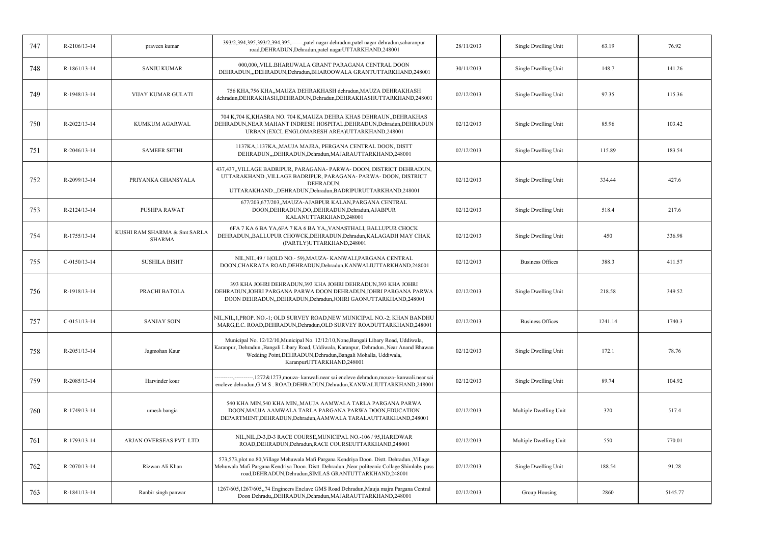| 747 | R-2106/13-14       | praveen kumar                                 | 393/2,394,395,393/2,394,395,------,patel nagar dehradun,patel nagar dehradun,saharanpur<br>road, DEHRADUN, Dehradun, patel nagarUTTARKHAND, 248001                                                                                                                               | 28/11/2013 | Single Dwelling Unit    | 63.19   | 76.92   |
|-----|--------------------|-----------------------------------------------|----------------------------------------------------------------------------------------------------------------------------------------------------------------------------------------------------------------------------------------------------------------------------------|------------|-------------------------|---------|---------|
| 748 | R-1861/13-14       | <b>SANJU KUMAR</b>                            | 000,000, VILL.BHARUWALA GRANT PARAGANA CENTRAL DOON<br>DEHRADUN,,,DEHRADUN,Dehradun,BHAROOWALA GRANTUTTARKHAND,248001                                                                                                                                                            | 30/11/2013 | Single Dwelling Unit    | 148.7   | 141.26  |
| 749 | R-1948/13-14       | <b>VIJAY KUMAR GULATI</b>                     | 756 KHA, 756 KHA,, MAUZA DEHRAKHASH dehradun, MAUZA DEHRAKHASH<br>dehradun, DEHRAKHASH, DEHRADUN, Dehradun, DEHRAKHASHUTTARKHAND, 248001                                                                                                                                         | 02/12/2013 | Single Dwelling Unit    | 97.35   | 115.36  |
| 750 | $R - 2022/13 - 14$ | KUMKUM AGARWAL                                | 704 K,704 K,KHASRA NO. 704 K,MAUZA DEHRA KHAS DEHRAUN.,DEHRAKHAS<br>DEHRADUN, NEAR MAHANT INDRESH HOSPITAL, DEHRADUN, Dehradun, DEHRADUN<br>URBAN (EXCL.ENGLOMARESH AREA)UTTARKHAND,248001                                                                                       | 02/12/2013 | Single Dwelling Unit    | 85.96   | 103.42  |
| 751 | $R - 2046/13 - 14$ | <b>SAMEER SETHI</b>                           | 1137KA, 1137KA,, MAUJA MAJRA, PERGANA CENTRAL DOON, DISTT<br>DEHRADUN, "DEHRADUN, Dehradun, MAJARAUTTARKHAND, 248001                                                                                                                                                             | 02/12/2013 | Single Dwelling Unit    | 115.89  | 183.54  |
| 752 | R-2099/13-14       | PRIYANKA GHANSYALA                            | 437,437,,VILLAGE BADRIPUR, PARAGANA- PARWA- DOON, DISTRICT DEHRADUN,<br>UTTARAKHAND., VILLAGE BADRIPUR, PARAGANA- PARWA- DOON, DISTRICT<br>DEHRADUN,<br>UTTARAKHAND.,DEHRADUN,Dehradun,BADRIPURUTTARKHAND,248001                                                                 | 02/12/2013 | Single Dwelling Unit    | 334.44  | 427.6   |
| 753 | R-2124/13-14       | PUSHPA RAWAT                                  | 677/203,677/203,,MAUZA-AJABPUR KALAN,PARGANA CENTRAL<br>DOON, DEHRADUN, DO, DEHRADUN, Dehradun, AJABPUR<br>KALANUTTARKHAND,248001                                                                                                                                                | 02/12/2013 | Single Dwelling Unit    | 518.4   | 217.6   |
| 754 | R-1755/13-14       | KUSHI RAM SHARMA & Smt SARLA<br><b>SHARMA</b> | 6FA 7 KA 6 BA YA, 6FA 7 KA 6 BA YA,, VANASTHALI, BALLUPUR CHOCK<br>DEHRADUN, BALLUPUR CHOWCK, DEHRADUN, Dehradun, KALAGADH MAY CHAK<br>(PARTLY)UTTARKHAND,248001                                                                                                                 | 02/12/2013 | Single Dwelling Unit    | 450     | 336.98  |
| 755 | $C-0150/13-14$     | <b>SUSHILA BISHT</b>                          | NIL, NIL, 49 / 1 (OLD NO. - 59), MAUZA - KANWALI, PARGANA CENTRAL<br>DOON, CHAKRATA ROAD, DEHRADUN, Dehradun, KANWALIUTTARKHAND, 248001                                                                                                                                          | 02/12/2013 | <b>Business Offices</b> | 388.3   | 411.57  |
| 756 | R-1918/13-14       | PRACHI BATOLA                                 | 393 KHA JOHRI DEHRADUN, 393 KHA JOHRI DEHRADUN, 393 KHA JOHRI<br>DEHRADUN, JOHRI PARGANA PARWA DOON DEHRADUN, JOHRI PARGANA PARWA<br>DOON DEHRADUN, DEHRADUN, Dehradun, JOHRI GAONUTTARKHAND, 248001                                                                             | 02/12/2013 | Single Dwelling Unit    | 218.58  | 349.52  |
| 757 | $C-0151/13-14$     | <b>SANJAY SOIN</b>                            | NIL, NIL, 1, PROP. NO.-1; OLD SURVEY ROAD, NEW MUNICIPAL NO.-2; KHAN BANDHU<br>MARG, E.C. ROAD, DEHRADUN, Dehradun, OLD SURVEY ROADUTTARKHAND, 248001                                                                                                                            | 02/12/2013 | <b>Business Offices</b> | 1241.14 | 1740.3  |
| 758 | R-2051/13-14       | Jagmohan Kaur                                 | Municipal No. 12/12/10, Municipal No. 12/12/10, None, Bangali Libary Road, Uddiwala,<br>Karanpur, Dehradun., Bangali Libary Road, Uddiwala, Karanpur, Dehradun., Near Anand Bhawan<br>Wedding Point, DEHRADUN, Dehradun, Bangali Mohalla, Uddiwala,<br>KaranpurUTTARKHAND,248001 | 02/12/2013 | Single Dwelling Unit    | 172.1   | 78.76   |
| 759 | R-2085/13-14       | Harvinder kour                                | ----------,----------,1272&1273,mouza- kanwali.near sai encleve dehradun,mouza- kanwali.near sai<br>encleve dehradun, G M S . ROAD, DEHRADUN, Dehradun, KANWALIUTTARKHAND, 248001                                                                                                | 02/12/2013 | Single Dwelling Unit    | 89.74   | 104.92  |
| 760 | R-1749/13-14       | umesh bangia                                  | 540 KHA MIN,540 KHA MIN,,MAUJA AAMWALA TARLA PARGANA PARWA<br>DOON, MAUJA AAMWALA TARLA PARGANA PARWA DOON, EDUCATION<br>DEPARTMENT, DEHRADUN, Dehradun, AAMWALA TARALAUTTARKHAND, 248001                                                                                        | 02/12/2013 | Multiple Dwelling Unit  | 320     | 517.4   |
| 761 | R-1793/13-14       | ARJAN OVERSEAS PVT. LTD.                      | NIL, NIL, D-3, D-3 RACE COURSE, MUNICIPAL NO.-106 / 95, HARIDWAR<br>ROAD, DEHRADUN, Dehradun, RACE COURSEUTTARKHAND, 248001                                                                                                                                                      | 02/12/2013 | Multiple Dwelling Unit  | 550     | 770.01  |
| 762 | R-2070/13-14       | Rizwan Ali Khan                               | 573,573,plot no.80, Village Mehuwala Mafi Pargana Kendriya Doon. Distt. Dehradun., Village<br>Mehuwala Mafi Pargana Kendriya Doon. Distt. Dehradun., Near politecnic Collage Shimlaby pass<br>road, DEHRADUN, Dehradun, SIMLAS GRANTUTTARKHAND, 248001                           | 02/12/2013 | Single Dwelling Unit    | 188.54  | 91.28   |
| 763 | R-1841/13-14       | Ranbir singh panwar                           | 1267/605,1267/605,,74 Engineers Enclave GMS Road Dehradun, Mauja majra Pargana Central<br>Doon Dehradu, DEHRADUN, Dehradun, MAJARAUTTARKHAND, 248001                                                                                                                             | 02/12/2013 | Group Housing           | 2860    | 5145.77 |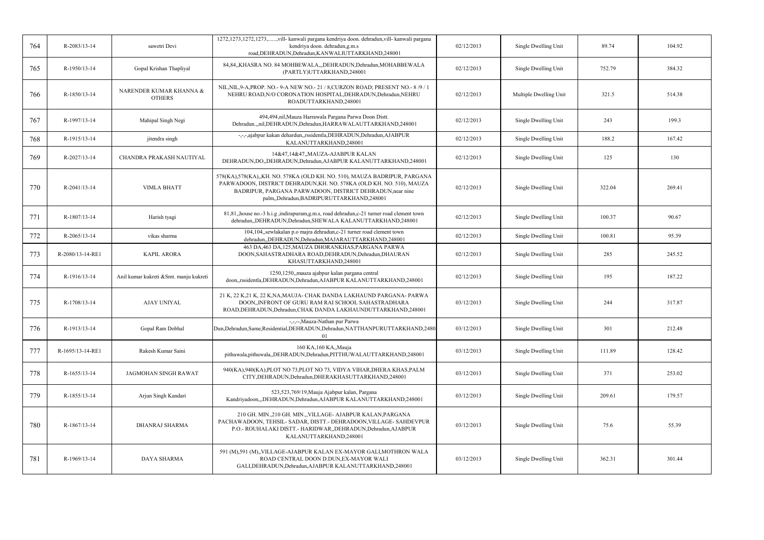| 764 | R-2083/13-14     | sawetri Devi                             | 1272,1273,1272,1273,,vill- kanwali pargana kendriya doon. dehradun,vill- kanwali pargana<br>kendriya doon. dehradun, g.m.s<br>road, DEHRADUN, Dehradun, KANWALIUTTARKHAND, 248001                                                                           | 02/12/2013 | Single Dwelling Unit   | 89.74  | 104.92 |
|-----|------------------|------------------------------------------|-------------------------------------------------------------------------------------------------------------------------------------------------------------------------------------------------------------------------------------------------------------|------------|------------------------|--------|--------|
| 765 | R-1950/13-14     | Gopal Krishan Thapliyal                  | 84,84,,KHASRA NO. 84 MOHBEWALA,,,DEHRADUN,Dehradun,MOHABBEWALA<br>(PARTLY)UTTARKHAND,248001                                                                                                                                                                 | 02/12/2013 | Single Dwelling Unit   | 752.79 | 384.32 |
| 766 | R-1850/13-14     | NARENDER KUMAR KHANNA &<br><b>OTHERS</b> | NIL, NIL, 9-A, PROP. NO. - 9-A NEW NO. - 21 / 8, CURZON ROAD; PRESENT NO. - 8 /9 / 1<br>NEHRU ROAD, N/O CORONATION HOSPITAL, DEHRADUN, Dehradun, NEHRU<br>ROADUTTARKHAND,248001                                                                             | 02/12/2013 | Multiple Dwelling Unit | 321.5  | 514.38 |
| 767 | R-1997/13-14     | Mahipal Singh Negi                       | 494,494,nil, Mauza Harrawala Pargana Parwa Doon Distt.<br>Dehradun.,,nil,DEHRADUN,Dehradun,HARRAWALAUTTARKHAND,248001                                                                                                                                       | 02/12/2013 | Single Dwelling Unit   | 243    | 199.3  |
| 768 | R-1915/13-14     | jitendra singh                           | -,-,-,ajabpur kakan dehardun,,rssidentla,DEHRADUN,Dehradun,AJABPUR<br>KALANUTTARKHAND,248001                                                                                                                                                                | 02/12/2013 | Single Dwelling Unit   | 188.2  | 167.42 |
| 769 | R-2027/13-14     | CHANDRA PRAKASH NAUTIYAL                 | 14&47,14&47,,MAUZA-AJABPUR KALAN<br>DEHRADUN, DO,, DEHRADUN, Dehradun, AJABPUR KALANUTTARKHAND, 248001                                                                                                                                                      | 02/12/2013 | Single Dwelling Unit   | 125    | 130    |
| 770 | R-2041/13-14     | <b>VIMLA BHATT</b>                       | 578(KA), 578(KA), KH. NO. 578KA (OLD KH. NO. 510), MAUZA BADRIPUR, PARGANA<br>PARWADOON, DISTRICT DEHRADUN, KH. NO. 578KA (OLD KH. NO. 510), MAUZA<br>BADRIPUR, PARGANA PARWADOON, DISTRICT DEHRADUN, near nine<br>palm,,Dehradun,BADRIPURUTTARKHAND,248001 | 02/12/2013 | Single Dwelling Unit   | 322.04 | 269.41 |
| 771 | R-1807/13-14     | Harish tyagi                             | 81,81, house no.-3 h.i.g , indirapuram, g.m.s, road dehradun, c-21 turner road clement town<br>dehradun,,DEHRADUN,Dehradun,SHEWALA KALANUTTARKHAND,248001                                                                                                   | 02/12/2013 | Single Dwelling Unit   | 100.37 | 90.67  |
| 772 | $R-2065/13-14$   | vikas sharma                             | 104,104,,sewlakalan p.o majra dehradun,c-21 turner road clement town<br>dehradun, DEHRADUN, Dehradun, MAJARAUTTARKHAND, 248001                                                                                                                              | 02/12/2013 | Single Dwelling Unit   | 100.81 | 95.39  |
| 773 | R-2080/13-14-RE1 | <b>KAPIL ARORA</b>                       | 463 DA,463 DA,125, MAUZA DHORANKHAS, PARGANA PARWA<br>DOON, SAHASTRADHARA ROAD, DEHRADUN, Dehradun, DHAURAN<br>KHASUTTARKHAND,248001                                                                                                                        | 02/12/2013 | Single Dwelling Unit   | 285    | 245.52 |
| 774 | R-1916/13-14     | Anil kumar kukreti &Smt. manju kukreti   | 1250,1250, mauza ajabpur kalan pargana central<br>doon, rssidentla, DEHRADUN, Dehradun, AJABPUR KALANUTTARKHAND, 248001                                                                                                                                     | 02/12/2013 | Single Dwelling Unit   | 195    | 187.22 |
| 775 | R-1708/13-14     | <b>AJAY UNIYAL</b>                       | 21 K, 22 K, 21 K, 22 K, NA, MAUJA- CHAK DANDA LAKHAUND PARGANA- PARWA<br>DOON, INFRONT OF GURU RAM RAI SCHOOL SAHASTRADHARA<br>ROAD, DEHRADUN, Dehradun, CHAK DANDA LAKHAUNDUTTARKHAND, 248001                                                              | 03/12/2013 | Single Dwelling Unit   | 244    | 317.87 |
| 776 | R-1913/13-14     | Gopal Ram Dobhal                         | -,-,--, Mauza-Nathan pur Parwa<br>Dun, Dehradun, Same, Residential, DEHRADUN, Dehradun, NATTHANPURUTTARKHAND, 2480<br>01                                                                                                                                    | 03/12/2013 | Single Dwelling Unit   | 301    | 212.48 |
| 777 | R-1695/13-14-RE1 | Rakesh Kumar Saini                       | 160 KA, 160 KA, Mauja<br>pithuwala,pithuwala,,DEHRADUN,Dehradun,PITTHUWALAUTTARKHAND,248001                                                                                                                                                                 | 03/12/2013 | Single Dwelling Unit   | 111.89 | 128.42 |
| 778 | R-1655/13-14     | JAGMOHAN SINGH RAWAT                     | 940(KA),940(KA),PLOT NO 73,PLOT NO 73, VIDYA VIHAR,DHERA KHAS,PALM<br>CITY, DEHRADUN, Dehradun, DHERAKHASUTTARKHAND, 248001                                                                                                                                 | 03/12/2013 | Single Dwelling Unit   | 371    | 253.02 |
| 779 | R-1855/13-14     | Arjun Singh Kandari                      | 523,523,769/19, Mauja Ajabpur kalan, Pargana<br>Kandriyadoon,,,DEHRADUN,Dehradun,AJABPUR KALANUTTARKHAND,248001                                                                                                                                             | 03/12/2013 | Single Dwelling Unit   | 209.61 | 179.57 |
| 780 | R-1867/13-14     | DHANRAJ SHARMA                           | 210 GH. MIN., 210 GH. MIN., VILLAGE- AJABPUR KALAN, PARGANA<br>PACHAWADOON, TEHSIL- SADAR, DISTT.- DEHRADOON, VILLAGE- SAHDEVPUR<br>P.O.- ROUHALAKI DISTT.- HARIDWAR, DEHRADUN, Dehradun, AJABPUR<br>KALANUTTARKHAND,248001                                 | 03/12/2013 | Single Dwelling Unit   | 75.6   | 55.39  |
| 781 | R-1969/13-14     | DAYA SHARMA                              | 591 (M),591 (M),,VILLAGE-AJABPUR KALAN EX-MAYOR GALI, MOTHRON WALA<br>ROAD CENTRAL DOON D.DUN, EX-MAYOR WALI<br>GALI, DEHRADUN, Dehradun, AJABPUR KALANUTTARKHAND, 248001                                                                                   | 03/12/2013 | Single Dwelling Unit   | 362.31 | 301.44 |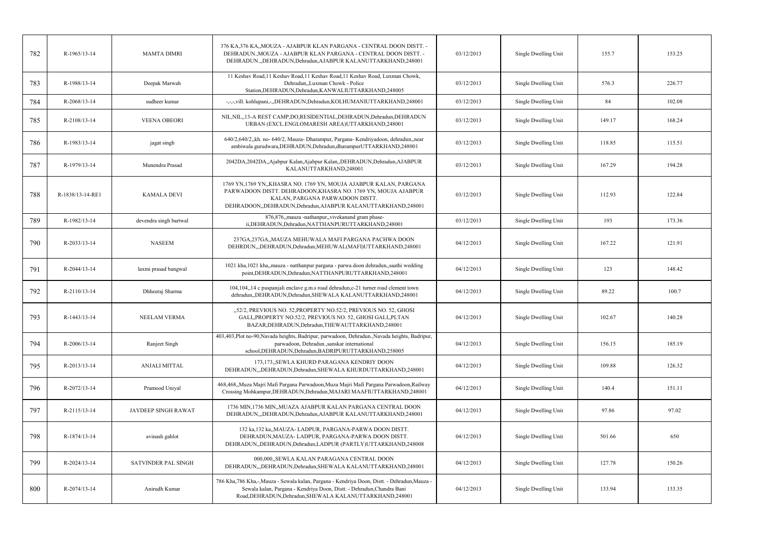| 782 | R-1965/13-14     | <b>MAMTA DIMRI</b>         | 376 KA,376 KA,,MOUZA - AJABPUR KLAN PARGANA - CENTRAL DOON DISTT. -<br>DEHRADUN., MOUZA - AJABPUR KLAN PARGANA - CENTRAL DOON DISTT. -<br>DEHRADUN.,,DEHRADUN,Dehradun,AJABPUR KALANUTTARKHAND,248001                                 | 03/12/2013 | Single Dwelling Unit | 155.7  | 153.25 |
|-----|------------------|----------------------------|---------------------------------------------------------------------------------------------------------------------------------------------------------------------------------------------------------------------------------------|------------|----------------------|--------|--------|
| 783 | R-1988/13-14     | Deepak Marwah              | 11 Keshav Road, 11 Keshav Road, 11 Keshav Road, 11 Keshav Road, Luxman Chowk,<br>Dehradun, Luxman Chowk - Police<br>Station, DEHRADUN, Dehradun, KANWALIUTTARKHAND, 248005                                                            | 03/12/2013 | Single Dwelling Unit | 576.3  | 226.77 |
| 784 | R-2068/13-14     | sudheer kumar              | -,-,-,vill. kohlupani,-,,DEHRADUN,Dehradun,KOLHUMANIUTTARKHAND,248001                                                                                                                                                                 | 03/12/2013 | Single Dwelling Unit | 84     | 102.08 |
| 785 | R-2108/13-14     | <b>VEENA OBEORI</b>        | NIL, NIL, 13-A REST CAMP, DO, RESIDENTIAL, DEHRADUN, Dehradun, DEHRADUN<br>URBAN (EXCL.ENGLOMARESH AREA)UTTARKHAND,248001                                                                                                             | 03/12/2013 | Single Dwelling Unit | 149.17 | 168.24 |
| 786 | R-1983/13-14     | jagat singh                | 640/2,640/2,,kh. no- 640/2, Mauza- Dharampur, Pargana- Kendriyadoon, dehradun, near<br>ambiwala gurudwara, DEHRADUN, Dehradun, dharampurUTTARKHAND, 248001                                                                            | 03/12/2013 | Single Dwelling Unit | 118.85 | 115.51 |
| 787 | R-1979/13-14     | Munendra Prasad            | 2042DA,2042DA,,Ajabpur Kalan,Ajabpur Kalan,,DEHRADUN,Dehradun,AJABPUR<br>KALANUTTARKHAND,248001                                                                                                                                       | 03/12/2013 | Single Dwelling Unit | 167.29 | 194.28 |
| 788 | R-1838/13-14-RE1 | <b>KAMALA DEVI</b>         | 1769 YN,1769 YN,,KHASRA NO. 1769 YN, MOUJA AJABPUR KALAN, PARGANA<br>PARWADOON DISTT. DEHRADOON, KHASRA NO. 1769 YN, MOUJA AJABPUR<br>KALAN, PARGANA PARWADOON DISTT.<br>DEHRADOON,,DEHRADUN,Dehradun,AJABPUR KALANUTTARKHAND,248001  | 03/12/2013 | Single Dwelling Unit | 112.93 | 122.84 |
| 789 | R-1982/13-14     | devendra singh bartwal     | 876,876, mauza -nathanpur, vivekanand gram phase-<br>ii, DEHRADUN, Dehradun, NATTHANPURUTTARKHAND, 248001                                                                                                                             | 03/12/2013 | Single Dwelling Unit | 193    | 173.36 |
| 790 | R-2033/13-14     | <b>NASEEM</b>              | 237GA,237GA,,MAUZA MEHUWALA MAFI PARGANA PACHWA DOON<br>DEHRDUN,,,DEHRADUN,Dehradun,MEHUWAL(MAFI)UTTARKHAND,248001                                                                                                                    | 04/12/2013 | Single Dwelling Unit | 167.22 | 121.91 |
| 791 | R-2044/13-14     | laxmi prasad bangwal       | 1021 kha, 1021 kha, mauza - natthanpur pargana - parwa doon dehradun, saathi wedding<br>point, DEHRADUN, Dehradun, NATTHANPURUTTARKHAND, 248001                                                                                       | 04/12/2013 | Single Dwelling Unit | 123    | 148.42 |
| 792 | R-2110/13-14     | Dhheeraj Sharma            | 104,104,,14 c puspanjali enclave g.m.s road dehradun,c-21 turner road clement town<br>dehradun, DEHRADUN, Dehradun, SHEWALA KALANUTTARKHAND, 248001                                                                                   | 04/12/2013 | Single Dwelling Unit | 89.22  | 100.7  |
| 793 | R-1443/13-14     | NEELAM VERMA               | "52/2, PREVIOUS NO. 52, PROPERTY NO.52/2, PREVIOUS NO. 52, GHOSI<br>GALI, PROPERTY NO.52/2, PREVIOUS NO. 52, GHOSI GALI, PLTAN<br>BAZAR, DEHRADUN, Dehradun, THEWAUTTARKHAND, 248001                                                  | 04/12/2013 | Single Dwelling Unit | 102.67 | 140.28 |
| 794 | $R-2006/13-14$   | Ranjeet Singh              | 403,403,Plot no-90,Navada heights, Badripur, parwadoon, Dehradun.,Navada heights, Badripur,<br>parwadoon, Dehradun., sanskar international<br>school, DEHRADUN, Dehradun, BADRIPURUTTARKHAND, 258005                                  | 04/12/2013 | Single Dwelling Unit | 156.15 | 185.19 |
| 795 | R-2013/13-14     | ANJALI MITTAL              | 173,173,,SEWLA KHURD PARAGANA KENDRIY DOON<br>DEHRADUN,,,DEHRADUN,Dehradun,SHEWALA KHURDUTTARKHAND,248001                                                                                                                             | 04/12/2013 | Single Dwelling Unit | 109.88 | 126.32 |
| 796 | R-2072/13-14     | Pramood Uniyal             | 468,468,,Muza Majri Mafi Pargana Parwadoon,Muza Majri Mafi Pargana Parwadoon,Railway<br>Crossing Mohkampur, DEHRADUN, Dehradun, MAJARI MAAFIUTTARKHAND, 248001                                                                        | 04/12/2013 | Single Dwelling Unit | 140.4  | 151.11 |
| 797 | R-2115/13-14     | JAYDEEP SINGH RAWAT        | 1736 MIN,1736 MIN,, MUAZA AJABPUR KALAN PARGANA CENTRAL DOON<br>DEHRADUN,,DEHRADUN,Dehradun,AJABPUR KALANUTTARKHAND,248001                                                                                                            | 04/12/2013 | Single Dwelling Unit | 97.86  | 97.02  |
| 798 | R-1874/13-14     | avinash gahlot             | 132 ka, 132 ka, MAUZA-LADPUR, PARGANA-PARWA DOON DISTT.<br>DEHRADUN, MAUZA- LADPUR, PARGANA-PARWA DOON DISTT.<br>DEHRADUN, DEHRADUN, Dehradun, LADPUR (PARTLY) UTTARKHAND, 248008                                                     | 04/12/2013 | Single Dwelling Unit | 501.66 | 650    |
| 799 | R-2024/13-14     | <b>SATVINDER PAL SINGH</b> | 000,000, SEWLA KALAN PARAGANA CENTRAL DOON<br>DEHRADUN, "DEHRADUN, Dehradun, SHEWALA KALANUTTARKHAND, 248001                                                                                                                          | 04/12/2013 | Single Dwelling Unit | 127.78 | 150.26 |
| 800 | R-2074/13-14     | Anirudh Kumar              | 786 Kha, 786 Kha, -, Mauza - Sewala kalan, Pargana - Kendriya Doon, Distt. - Dehradun, Mauza -<br>Sewala kalan, Pargana - Kendriya Doon, Distt. - Dehradun, Chandra Bani<br>Road, DEHRADUN, Dehradun, SHEWALA KALANUTTARKHAND, 248001 | 04/12/2013 | Single Dwelling Unit | 133.94 | 133.35 |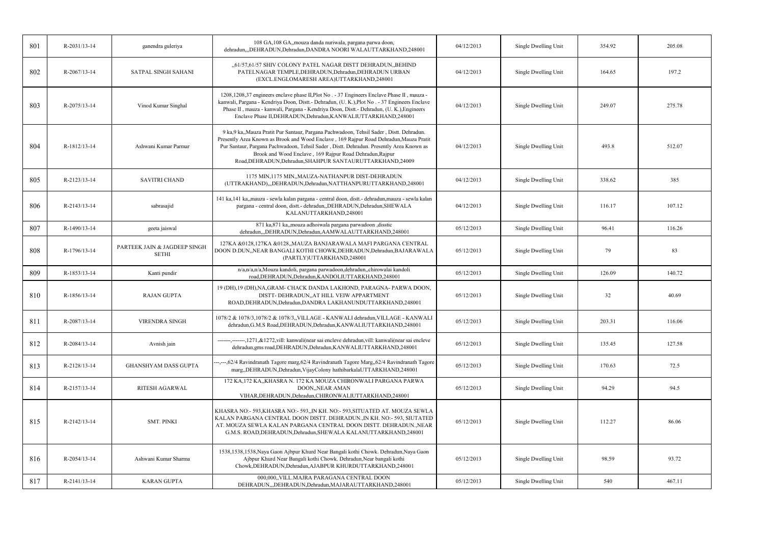| 801 | R-2031/13-14 | ganendra guleriya                            | 108 GA,108 GA,,mouza danda nuriwala, pargana parwa doon,<br>dehradun,,,DEHRADUN,Dehradun,DANDRA NOORI WALAUTTARKHAND,248001                                                                                                                                                                                                                                                                             | 04/12/2013 | Single Dwelling Unit | 354.92 | 205.08 |
|-----|--------------|----------------------------------------------|---------------------------------------------------------------------------------------------------------------------------------------------------------------------------------------------------------------------------------------------------------------------------------------------------------------------------------------------------------------------------------------------------------|------------|----------------------|--------|--------|
| 802 | R-2067/13-14 | <b>SATPAL SINGH SAHANI</b>                   | "61/57,61/57 SHIV COLONY PATEL NAGAR DISTT DEHRADUN, BEHIND<br>PATELNAGAR TEMPLE, DEHRADUN, Dehradun, DEHRADUN URBAN<br>(EXCL.ENGLOMARESH AREA)UTTARKHAND,248001                                                                                                                                                                                                                                        | 04/12/2013 | Single Dwelling Unit | 164.65 | 197.2  |
| 803 | R-2075/13-14 | Vinod Kumar Singhal                          | 1208,1208,37 engineers enclave phase II, Plot No. - 37 Engineers Enclave Phase II, mauza -<br>kanwali, Pargana - Kendriya Doon, Distt.- Dehradun, (U. K.), Plot No. - 37 Engineers Enclave<br>Phase II, mauza - kanwali, Pargana - Kendriya Doon, Distt.- Dehradun, (U. K.), Engineers<br>Enclave Phase II, DEHRADUN, Dehradun, KANWALIUTTARKHAND, 248001                                               | 04/12/2013 | Single Dwelling Unit | 249.07 | 275.78 |
| 804 | R-1812/13-14 | Ashwani Kumar Parmar                         | 9 ka, 9 ka, Mauza Pratit Pur Santaur, Pargana Pachwadoon, Tehsil Sader, Distt. Dehradun.<br>Presently Area Known as Brook and Wood Enclave, 169 Rajpur Road Dehradun, Mauza Pratit<br>Pur Santaur, Pargana Pachwadoon, Tehsil Sader, Distt. Dehradun. Presently Area Known as<br>Brook and Wood Enclave, 169 Rajpur Road Dehradun, Rajpur<br>Road, DEHRADUN, Dehradun, SHAHPUR SANTAURUTTARKHAND, 24009 | 04/12/2013 | Single Dwelling Unit | 493.8  | 512.07 |
| 805 | R-2123/13-14 | <b>SAVITRI CHAND</b>                         | 1175 MIN, 1175 MIN, MAUZA-NATHANPUR DIST-DEHRADUN<br>(UTTRAKHAND),,,DEHRADUN,Dehradun,NATTHANPURUTTARKHAND,248001                                                                                                                                                                                                                                                                                       | 04/12/2013 | Single Dwelling Unit | 338.62 | 385    |
| 806 | R-2143/13-14 | sabrasajid                                   | 141 ka, 141 ka, mauza - sewla kalan pargana - central doon, distt. - dehradun, mauza - sewla kalan<br>pargana - central doon, distt.- dehradun, DEHRADUN, Dehradun, SHEWALA<br>KALANUTTARKHAND,248001                                                                                                                                                                                                   | 04/12/2013 | Single Dwelling Unit | 116.17 | 107.12 |
| 807 | R-1490/13-14 | geeta jaiswal                                | 871 ka,871 ka, mouza adhoiwala pargana parwadoon , disstic<br>dehradun,,,DEHRADUN,Dehradun,AAMWALAUTTARKHAND,248001                                                                                                                                                                                                                                                                                     | 05/12/2013 | Single Dwelling Unit | 96.41  | 116.26 |
| 808 | R-1796/13-14 | PARTEEK JAIN & JAGDEEP SINGH<br><b>SETHI</b> | 127KA &0128,127KA &0128,,MAUZA BANJARAWALA MAFI PARGANA CENTRAL<br>DOON D.DUN,,NEAR BANGALI KOTHI CHOWK,DEHRADUN,Dehradun,BAJARAWALA<br>(PARTLY)UTTARKHAND,248001                                                                                                                                                                                                                                       | 05/12/2013 | Single Dwelling Unit | 79     | 83     |
| 809 | R-1853/13-14 | Kanti pundir                                 | n/a,n/a,n/a,Mouza kandoli, pargana parwadoon,dehradun,,chirowalai kandoli<br>road, DEHRADUN, Dehradun, KANDOLIUTTARKHAND, 248001                                                                                                                                                                                                                                                                        | 05/12/2013 | Single Dwelling Unit | 126.09 | 140.72 |
| 810 | R-1856/13-14 | <b>RAJAN GUPTA</b>                           | 19 (DH), 19 (DH), NA, GRAM- CHACK DANDA LAKHOND, PARAGNA- PARWA DOON,<br>DISTT- DEHRADUN, AT HILL VEIW APPARTMENT<br>ROAD, DEHRADUN, Dehradun, DANDRA LAKHANUNDUTTARKHAND, 248001                                                                                                                                                                                                                       | 05/12/2013 | Single Dwelling Unit | 32     | 40.69  |
| 811 | R-2087/13-14 | VIRENDRA SINGH                               | 1078/2 & 1078/3,1078/2 & 1078/3,,VILLAGE - KANWALI dehradun,VILLAGE - KANWALI<br>dehradun, G.M.S Road, DEHRADUN, Dehradun, KANWALIUTTARKHAND, 248001                                                                                                                                                                                                                                                    | 05/12/2013 | Single Dwelling Unit | 203.31 | 116.06 |
| 812 | R-2084/13-14 | Avnish jain                                  | -------,--------,1271,&1272,vill: kanwali(near sai encleve dehradun,vill: kanwali(near sai encleve<br>dehradun,gms road,DEHRADUN,Dehradun,KANWALIUTTARKHAND,248001                                                                                                                                                                                                                                      | 05/12/2013 | Single Dwelling Unit | 135.45 | 127.58 |
| 813 | R-2128/13-14 | GHANSHYAM DASS GUPTA                         | ---,---,62/4 Ravindranath Tagore marg,62/4 Ravindranath Tagore Marg,,62/4 Ravindranath Tagore<br>marg,,DEHRADUN,Dehradun,VijayColony hathibarkalaUTTARKHAND,248001                                                                                                                                                                                                                                      | 05/12/2013 | Single Dwelling Unit | 170.63 | 72.5   |
| 814 | R-2157/13-14 | <b>RITESH AGARWAL</b>                        | 172 KA,172 KA,,KHASRA N. 172 KA MOUZA CHIRONWALI PARGANA PARWA<br>DOON,, NEAR AMAN<br>VIHAR, DEHRADUN, Dehradun, CHIRONWALIUTTARKHAND, 248001                                                                                                                                                                                                                                                           | 05/12/2013 | Single Dwelling Unit | 94.29  | 94.5   |
| 815 | R-2142/13-14 | SMT. PINKI                                   | KHASRA NO:- 593, KHASRA NO:- 593, IN KH. NO:- 593, SITUATED AT. MOUZA SEWLA<br>KALAN PARGANA CENTRAL DOON DISTT. DEHRADUN., IN KH. NO:- 593, SIUTATED<br>AT. MOUZA SEWLA KALAN PARGANA CENTRAL DOON DISTT. DEHRADUN., NEAR<br>G.M.S. ROAD, DEHRADUN, Dehradun, SHEWALA KALANUTTARKHAND, 248001                                                                                                          | 05/12/2013 | Single Dwelling Unit | 112.27 | 86.06  |
| 816 | R-2054/13-14 | Ashwani Kumar Sharma                         | 1538,1538,1538,Naya Gaon Ajbpur Khurd Near Bangali kothi Chowk. Dehradun,Naya Gaon<br>Ajbpur Khurd Near Bangali kothi Chowk. Dehradun, Near bangali kothi<br>Chowk, DEHRADUN, Dehradun, AJABPUR KHURDUTTARKHAND, 248001                                                                                                                                                                                 | 05/12/2013 | Single Dwelling Unit | 98.59  | 93.72  |
| 817 | R-2141/13-14 | <b>KARAN GUPTA</b>                           | 000,000, VILL.MAJRA PARAGANA CENTRAL DOON<br>DEHRADUN,,,DEHRADUN,Dehradun,MAJARAUTTARKHAND,248001                                                                                                                                                                                                                                                                                                       | 05/12/2013 | Single Dwelling Unit | 540    | 467.11 |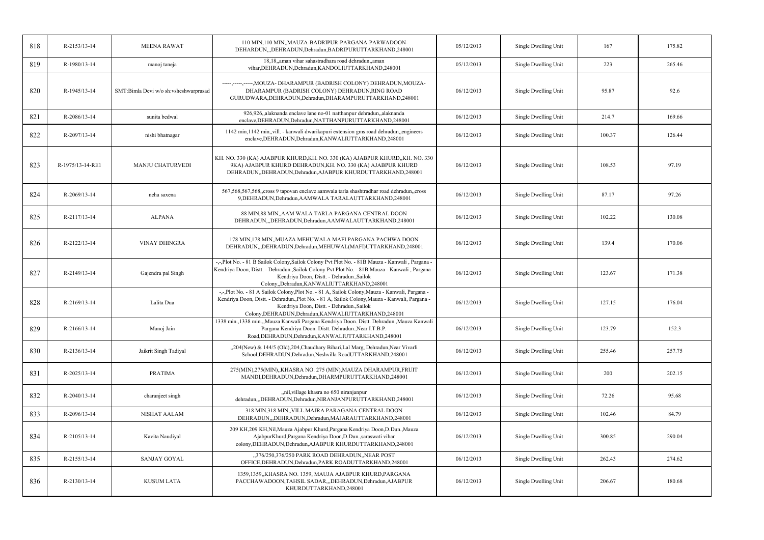| 818 | R-2153/13-14     | <b>MEENA RAWAT</b>                    | 110 MIN, 110 MIN, MAUZA-BADRIPUR-PARGANA-PARWADOON-<br>DEHARDUN, DEHRADUN, Dehradun, BADRIPURUTTARKHAND, 248001                                                                                                                                                                                    | 05/12/2013 | Single Dwelling Unit | 167    | 175.82 |
|-----|------------------|---------------------------------------|----------------------------------------------------------------------------------------------------------------------------------------------------------------------------------------------------------------------------------------------------------------------------------------------------|------------|----------------------|--------|--------|
| 819 | R-1980/13-14     | manoj taneja                          | 18,18, aman vihar sahastradhara road dehradun, aman<br>vihar, DEHRADUN, Dehradun, KANDOLIUTTARKHAND, 248001                                                                                                                                                                                        | 05/12/2013 | Single Dwelling Unit | 223    | 265.46 |
| 820 | R-1945/13-14     | SMT:Bimla Devi w/o sh:vsheshwarprasad | -----,-----,----, MOUZA- DHARAMPUR (BADRISH COLONY) DEHRADUN, MOUZA-<br>DHARAMPUR (BADRISH COLONY) DEHRADUN, RING ROAD<br>GURUDWARA, DEHRADUN, Dehradun, DHARAMPURUTTARKHAND, 248001                                                                                                               | 06/12/2013 | Single Dwelling Unit | 95.87  | 92.6   |
| 821 | R-2086/13-14     | sunita bedwal                         | 926,926, alaknanda enclave lane no-01 natthanpur dehradun, alaknanda<br>enclave, DEHRADUN, Dehradun, NATTHANPURUTTARKHAND, 248001                                                                                                                                                                  | 06/12/2013 | Single Dwelling Unit | 214.7  | 169.66 |
| 822 | R-2097/13-14     | nishi bhatnagar                       | 1142 min, 1142 min, vill. - kanwali dwarikapuri extension gms road dehradun, engineers<br>enclave, DEHRADUN, Dehradun, KANWALIUTTARKHAND, 248001                                                                                                                                                   | 06/12/2013 | Single Dwelling Unit | 100.37 | 126.44 |
| 823 | R-1975/13-14-RE1 | <b>MANJU CHATURVEDI</b>               | KH. NO. 330 (KA) AJABPUR KHURD, KH. NO. 330 (KA) AJABPUR KHURD, KH. NO. 330<br>9KA) AJABPUR KHURD DEHRADUN,KH. NO. 330 (KA) AJABPUR KHURD<br>DEHRADUN, DEHRADUN, Dehradun, AJABPUR KHURDUTTARKHAND, 248001                                                                                         | 06/12/2013 | Single Dwelling Unit | 108.53 | 97.19  |
| 824 | R-2069/13-14     | neha saxena                           | 567,568,567,568,cross 9 tapovan enclave aamwala tarla shashtradhar road dehradun,cross<br>9, DEHRADUN, Dehradun, AAMWALA TARALAUTTARKHAND, 248001                                                                                                                                                  | 06/12/2013 | Single Dwelling Unit | 87.17  | 97.26  |
| 825 | R-2117/13-14     | <b>ALPANA</b>                         | 88 MIN, 88 MIN,, AAM WALA TARLA PARGANA CENTRAL DOON<br>DEHRADUN, "DEHRADUN, Dehradun, AAMWALAUTTARKHAND, 248001                                                                                                                                                                                   | 06/12/2013 | Single Dwelling Unit | 102.22 | 130.08 |
| 826 | R-2122/13-14     | <b>VINAY DHINGRA</b>                  | 178 MIN, 178 MIN,, MUAZA MEHUWALA MAFI PARGANA PACHWA DOON<br>DEHRADUN, "DEHRADUN, Dehradun, MEHUWAL (MAFI) UTTARKHAND, 248001                                                                                                                                                                     | 06/12/2013 | Single Dwelling Unit | 139.4  | 170.06 |
| 827 | R-2149/13-14     | Gajendra pal Singh                    | -,-,Plot No. - 81 B Sailok Colony,Sailok Colony Pvt Plot No. - 81B Mauza - Kanwali, Pargana -<br>Kendriya Doon, Distt. - Dehradun., Sailok Colony Pvt Plot No. - 81B Mauza - Kanwali, Pargana -<br>Kendriya Doon, Distt. - Dehradun., Sailok<br>Colony,,Dehradun,KANWALIUTTARKHAND,248001          | 06/12/2013 | Single Dwelling Unit | 123.67 | 171.38 |
| 828 | R-2169/13-14     | Lalita Dua                            | -,-,Plot No. - 81 A Sailok Colony,Plot No. - 81 A, Sailok Colony,Mauza - Kanwali, Pargana -<br>Kendriya Doon, Distt. - Dehradun., Plot No. - 81 A, Sailok Colony, Mauza - Kanwali, Pargana -<br>Kendriya Doon, Distt. - Dehradun., Sailok<br>Colony, DEHRADUN, Dehradun, KANWALIUTTARKHAND, 248001 | 06/12/2013 | Single Dwelling Unit | 127.15 | 176.04 |
| 829 | R-2166/13-14     | Manoj Jain                            | 1338 min., 1338 min.,,Mauza Kanwali Pargana Kendriya Doon. Distt. Dehradun.,Mauza Kanwali<br>Pargana Kendriya Doon. Distt. Dehradun., Near I.T.B.P.<br>Road, DEHRADUN, Dehradun, KANWALIUTTARKHAND, 248001                                                                                         | 06/12/2013 | Single Dwelling Unit | 123.79 | 152.3  |
| 830 | R-2136/13-14     | Jaikrit Singh Tadiyal                 | "204(New) & 144/5 (Old),204, Chaudhary Bihari, Lal Marg, Dehradun, Near Vivarli<br>School, DEHRADUN, Dehradun, Neshvilla RoadUTTARKHAND, 248001                                                                                                                                                    | 06/12/2013 | Single Dwelling Unit | 255.46 | 257.75 |
| 831 | R-2025/13-14     | <b>PRATIMA</b>                        | 275(MIN),275(MIN),,KHASRA NO. 275 (MIN),MAUZA DHARAMPUR,FRUIT<br>MANDI, DEHRADUN, Dehradun, DHARMPURUTTARKHAND, 248001                                                                                                                                                                             | 06/12/2013 | Single Dwelling Unit | 200    | 202.15 |
| 832 | R-2040/13-14     | charanjeet singh                      | "nil, village khasra no 650 niranjanpur<br>dehradun,,,DEHRADUN,Dehradun,NIRANJANPURUTTARKHAND,248001                                                                                                                                                                                               | 06/12/2013 | Single Dwelling Unit | 72.26  | 95.68  |
| 833 | R-2096/13-14     | NISHAT AALAM                          | 318 MIN,318 MIN,, VILL.MAJRA PARAGANA CENTRAL DOON<br>DEHRADUN,,,DEHRADUN,Dehradun,MAJARAUTTARKHAND,248001                                                                                                                                                                                         | 06/12/2013 | Single Dwelling Unit | 102.46 | 84.79  |
| 834 | R-2105/13-14     | Kavita Naudiyal                       | 209 KH,209 KH,Nil,Mauza Ajabpur Khurd,Pargana Kendriya Doon,D.Dun.,Mauza<br>AjabpurKhurd, Pargana Kendriya Doon, D. Dun., saraswati vihar<br>colony, DEHRADUN, Dehradun, AJABPUR KHURDUTTARKHAND, 248001                                                                                           | 06/12/2013 | Single Dwelling Unit | 300.85 | 290.04 |
| 835 | R-2155/13-14     | <b>SANJAY GOYAL</b>                   | "376/250,376/250 PARK ROAD DEHRADUN, NEAR POST<br>OFFICE, DEHRADUN, Dehradun, PARK ROADUTTARKHAND, 248001                                                                                                                                                                                          | 06/12/2013 | Single Dwelling Unit | 262.43 | 274.62 |
| 836 | R-2130/13-14     | <b>KUSUM LATA</b>                     | 1359,1359,,KHASRA NO. 1359, MAUJA AJABPUR KHURD,PARGANA<br>PACCHAWADOON,TAHSIL SADAR,,,DEHRADUN,Dehradun,AJABPUR<br>KHURDUTTARKHAND,248001                                                                                                                                                         | 06/12/2013 | Single Dwelling Unit | 206.67 | 180.68 |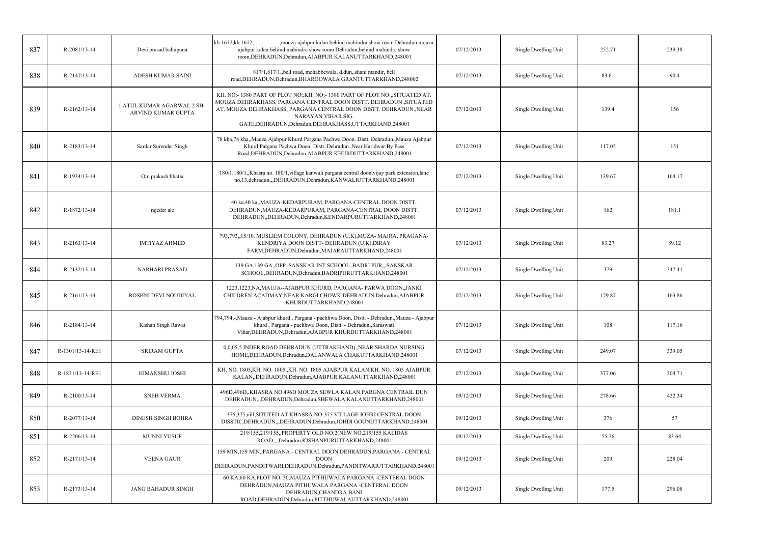| 837 | R-2081/13-14     | Devi prasad bahuguna                             | kh.1612,kh.1612,--------------,mouza-ajabpur kalan behind mahindra show room Dehradun,mouza-<br>ajabpur kalan behind mahindra show room Dehradun, behind mahindra show<br>room, DEHRADUN, Dehradun, AJABPUR KALANUTTARKHAND, 248001                                                                       | 07/12/2013 | Single Dwelling Unit | 252.71 | 239.38 |
|-----|------------------|--------------------------------------------------|-----------------------------------------------------------------------------------------------------------------------------------------------------------------------------------------------------------------------------------------------------------------------------------------------------------|------------|----------------------|--------|--------|
| 838 | R-2147/13-14     | ADESH KUMAR SAINI                                | 817/1,817/1,,bell road, mohabbewala, d.dun,,shani mandir, bell<br>road, DEHRADUN, Dehradun, BHAROOWALA GRANTUTTARKHAND, 248002                                                                                                                                                                            | 07/12/2013 | Single Dwelling Unit | 83.61  | 90.4   |
| 839 | R-2162/13-14     | 1 ATUL KUMAR AGARWAL 2 SH.<br>ARVIND KUMAR GUPTA | KH. NO:- 1380 PART OF PLOT NO:, KH. NO:- 1380 PART OF PLOT NO:,, SITUATED AT.<br>MOUZA DEHRAKHASS, PARGANA CENTRAL DOON DISTT. DEHRADUN., SITUATED<br>AT. MOUZA DEHRAKHASS, PARGANA CENTRAL DOON DISTT. DEHRADUN., NEAR<br>NARAYAN VIHAR SIG.<br>GATE, DEHRADUN, Dehradun, DEHRAKHASS, UTTARKHAND, 248001 | 07/12/2013 | Single Dwelling Unit | 139.4  | 156    |
| 840 | R-2183/13-14     | Sardar Surender Singh                            | 78 kha, 78 kha, Mauza Ajabpur Khurd Pargana Pachwa Doon. Distt. Dehradun., Mauza Ajabpur<br>Khurd Pargana Pachwa Doon. Distt. Dehradun., Near Haridwar By Pass<br>Road, DEHRADUN, Dehradun, AJABPUR KHURDUTTARKHAND, 248001                                                                               | 07/12/2013 | Single Dwelling Unit | 117.05 | 151    |
| 841 | R-1934/13-14     | Om prakash bhatia                                | 180/1,180/1, Khasra no. 180/1, village kanwali pargana central doon, vijay park extension, lane<br>no.13, dehradun, "DEHRADUN, Dehradun, KANWALIUTTARKHAND, 248001                                                                                                                                        | 07/12/2013 | Single Dwelling Unit | 139.67 | 164.17 |
| 842 | R-1872/13-14     | rajeder ale                                      | 40 ka,40 ka,,MAUZA-KEDARPURAM, PARGANA-CENTRAL DOON DISTT.<br>DEHRADUN, MAUZA-KEDARPURAM, PARGANA-CENTRAL DOON DISTT.<br>DEHRADUN, DEHRADUN, Dehradun, KENDARPURUTTARKHAND, 248001                                                                                                                        | 07/12/2013 | Single Dwelling Unit | 162    | 181.1  |
| 843 | R-2163/13-14     | <b>IMTIYAZ AHMED</b>                             | 793,793,,15/10. MUSLIEM COLONY, DEHRADUN (U.K), MUZA-MAJRA, PRAGANA-<br>KENDRIYA DOON DISTT- DEHRADUN (U.K), DIRAY<br>FARM, DEHRADUN, Dehradun, MAJARAUTTARKHAND, 248001                                                                                                                                  | 07/12/2013 | Single Dwelling Unit | 83.27  | 89.12  |
| 844 | R-2132/13-14     | NARHARI PRASAD                                   | 139 GA, 139 GA, OPP. SANSKAR INT SCHOOL , BADRI PUR, "SANSKAR<br>SCHOOL, DEHRADUN, Dehradun, BADRIPURUTTARKHAND, 248001                                                                                                                                                                                   | 07/12/2013 | Single Dwelling Unit | 379    | 347.41 |
| 845 | R-2161/13-14     | ROSHNI DEVI NOUDIYAL                             | 1223, 1223, NA, MAUJA--AJABPUR KHURD, PARGANA- PARWA DOON, JANKI<br>CHILDREN ACADMAY, NEAR KARGI CHOWK, DEHRADUN, Dehradun, AJABPUR<br>KHURDUTTARKHAND,248001                                                                                                                                             | 07/12/2013 | Single Dwelling Unit | 179.87 | 163.86 |
| 846 | R-2184/13-14     | Kishan Singh Rawat                               | 794,794,-,Mauza - Ajabpur khurd , Pargana - pachhwa Doon, Distt. - Dehradun.,Mauza - Ajabpur<br>khurd, Pargana - pachhwa Doon, Distt. - Dehradun., Saraswati<br>Vihar, DEHRADUN, Dehradun, AJABPUR KHURDUTTARKHAND, 248001                                                                                | 07/12/2013 | Single Dwelling Unit | 108    | 117.16 |
| 847 | R-1301/13-14-RE1 | <b>SRIRAM GUPTA</b>                              | 0,0,05,5 INDER ROAD DEHRADUN (UTTRAKHAND),,NEAR SHARDA NURSING<br>HOME, DEHRADUN, Dehradun, DALANWALA CHAKUTTARKHAND, 248001                                                                                                                                                                              | 07/12/2013 | Single Dwelling Unit | 249.07 | 339.05 |
| 848 | R-1831/13-14-RE1 | HIMANSHU JOSHI                                   | KH. NO. 1805, KH. NO. 1805, KH. NO. 1805 AJABPUR KALAN, KH. NO. 1805 AJABPUR<br>KALAN, DEHRADUN, Dehradun, AJABPUR KALANUTTARKHAND, 248001                                                                                                                                                                | 07/12/2013 | Single Dwelling Unit | 377.06 | 304.71 |
| 849 | R-2100/13-14     | <b>SNEH VERMA</b>                                | 496D,496D,,KHASRA NO 496D MOUZA SEWLA KALAN PARGNA CENTRAIL DUN<br>DEHRADUN, "DEHRADUN, Dehradun, SHEWALA KALANUTTARKHAND, 248001                                                                                                                                                                         | 09/12/2013 | Single Dwelling Unit | 278.66 | 422.34 |
| 850 | R-2077/13-14     | <b>DINESH SINGH BOHRA</b>                        | 375,375, nill, SITUTED AT KHASRA NO-375 VILLAGE JOHRI CENTRAL DOON<br>DISSTIC, DEHRADUN,, DEHRADUN, Dehradun, JOHDI GOUNUTTARKHAND, 248001                                                                                                                                                                | 09/12/2013 | Single Dwelling Unit | 376    | 57     |
| 851 | R-2206/13-14     | MUNNI YUSUF                                      | 219/155,219/155,,PROPERTY OLD NO.2(NEW NO.219/155 KALIDAS<br>ROAD,,,,Dehradun,KISHANPURUTTARKHAND,248001                                                                                                                                                                                                  | 09/12/2013 | Single Dwelling Unit | 55.76  | 83.64  |
| 852 | R-2171/13-14     | <b>VEENA GAUR</b>                                | 159 MIN,159 MIN,,PARGANA - CENTRAL DOON DEHRADUN,PARGANA - CENTRAL<br><b>DOON</b><br>DEHRADUN, PANDITWARI, DEHRADUN, Dehradun, PANDITWARIUTTARKHAND, 248001                                                                                                                                               | 09/12/2013 | Single Dwelling Unit | 209    | 228.04 |
| 853 | R-2173/13-14     | <b>JANG BAHADUR SINGH</b>                        | 60 KA, 60 KA, PLOT NO. 30, MAUZA PITHUWALA PARGANA -CENTERAL DOON<br>DEHRADUN, MAUZA PITHUWALA PARGANA -CENTERAL DOON<br>DEHRADUN, CHANDRA BANI<br>ROAD, DEHRADUN, Dehradun, PITTHUWALAUTTARKHAND, 248001                                                                                                 | 09/12/2013 | Single Dwelling Unit | 177.5  | 296.08 |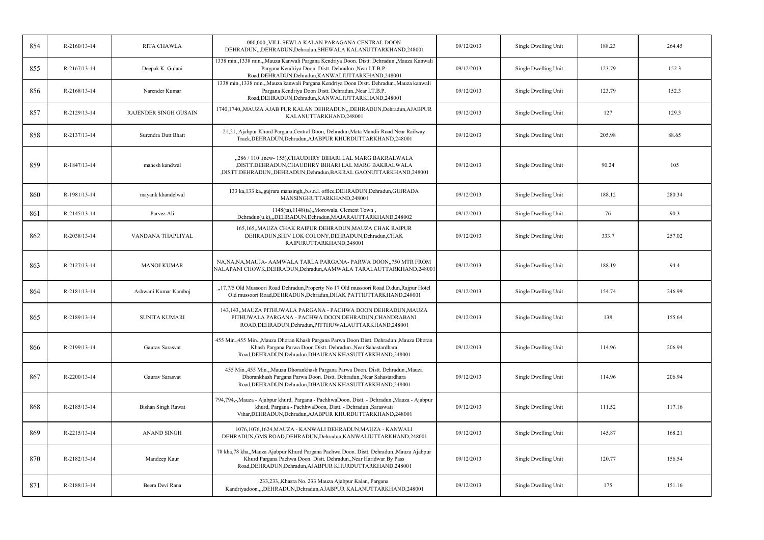| 854 | $R-2160/13-14$ | <b>RITA CHAWLA</b>           | 000,000, VILL.SEWLA KALAN PARAGANA CENTRAL DOON<br>DEHRADUN, "DEHRADUN, Dehradun, SHEWALA KALANUTTARKHAND, 248001                                                                                                           | 09/12/2013 | Single Dwelling Unit | 188.23 | 264.45 |
|-----|----------------|------------------------------|-----------------------------------------------------------------------------------------------------------------------------------------------------------------------------------------------------------------------------|------------|----------------------|--------|--------|
| 855 | $R-2167/13-14$ | Deepak K. Gulani             | 1338 min., 1338 min.,,Mauza Kanwali Pargana Kendriya Doon. Distt. Dehradun.,Mauza Kanwali<br>Pargana Kendriya Doon. Distt. Dehradun., Near I.T.B.P.<br>Road, DEHRADUN, Dehradun, KANWALIUTTARKHAND, 248001                  | 09/12/2013 | Single Dwelling Unit | 123.79 | 152.3  |
| 856 | R-2168/13-14   | Narender Kumar               | 1338 min., 1338 min.,,Mauza kanwali Pargana Kendriya Doon Distt. Dehradun.,Mauza kanwali<br>Pargana Kendriya Doon Distt. Dehradun., Near I.T.B.P.<br>Road, DEHRADUN, Dehradun, KANWALIUTTARKHAND, 248001                    | 09/12/2013 | Single Dwelling Unit | 123.79 | 152.3  |
| 857 | R-2129/13-14   | <b>RAJENDER SINGH GUSAIN</b> | 1740,1740,,MAUZA AJAB PUR KALAN DEHRADUN,,,DEHRADUN,Dehradun,AJABPUR<br>KALANUTTARKHAND,248001                                                                                                                              | 09/12/2013 | Single Dwelling Unit | 127    | 129.3  |
| 858 | R-2137/13-14   | Surendra Dutt Bhatt          | 21,21,,Ajabpur Khurd Pargana,Central Doon, Dehradun,Mata Mandir Road Near Railway<br>Track, DEHRADUN, Dehradun, AJABPUR KHURDUTTARKHAND, 248001                                                                             | 09/12/2013 | Single Dwelling Unit | 205.98 | 88.65  |
| 859 | R-1847/13-14   | mahesh kandwal               | "286 / 110 ,(new-155),CHAUDHRY BIHARI LAL MARG BAKRALWALA<br>,DISTT.DEHRADUN,CHAUDHRY BIHARI LAL MARG BAKRALWALA<br>,DISTT.DEHRADUN,,DEHRADUN,Dehradun,BAKRAL GAONUTTARKHAND,248001                                         | 09/12/2013 | Single Dwelling Unit | 90.24  | 105    |
| 860 | R-1981/13-14   | mayank khandelwal            | 133 ka, 133 ka, gujrara mansingh, b.s.n.l. office, DEHRADUN, Dehradun, GUJRADA<br>MANSINGHUTTARKHAND,248001                                                                                                                 | 09/12/2013 | Single Dwelling Unit | 188.12 | 280.34 |
| 861 | R-2145/13-14   | Parvez Ali                   | 1148(ta), 1148(ta), Morowala, Clement Town<br>Dehradun(u.k),,,DEHRADUN,Dehradun,MAJARAUTTARKHAND,248002                                                                                                                     | 09/12/2013 | Single Dwelling Unit | 76     | 90.3   |
| 862 | R-2038/13-14   | VANDANA THAPLIYAL            | 165,165,,MAUZA CHAK RAIPUR DEHRADUN,MAUZA CHAK RAIPUR<br>DEHRADUN, SHIV LOK COLONY, DEHRADUN, Dehradun, CHAK<br>RAIPURUTTARKHAND,248001                                                                                     | 09/12/2013 | Single Dwelling Unit | 333.7  | 257.02 |
| 863 | R-2127/13-14   | <b>MANOJ KUMAR</b>           | NA, NA, NA, MAUJA- AAMWALA TARLA PARGANA- PARWA DOON, 750 MTR FROM<br>NALAPANI CHOWK, DEHRADUN, Dehradun, AAMWALA TARALAUTTARKHAND, 248001                                                                                  | 09/12/2013 | Single Dwelling Unit | 188.19 | 94.4   |
| 864 | R-2181/13-14   | Ashwani Kumar Kamboj         | "17,7/5 Old Mussoori Road Dehradun, Property No 17 Old mussoori Road D.dun, Rajpur Hotel<br>Old mussoori Road, DEHRADUN, Dehradun, DHAK PATTIUTTARKHAND, 248001                                                             | 09/12/2013 | Single Dwelling Unit | 154.74 | 246.99 |
| 865 | R-2189/13-14   | <b>SUNITA KUMARI</b>         | 143,143,,MAUZA PITHUWALA PARGANA - PACHWA DOON DEHRADUN,MAUZA<br>PITHUWALA PARGANA - PACHWA DOON DEHRADUN, CHANDRABANI<br>ROAD, DEHRADUN, Dehradun, PITTHUWALAUTTARKHAND, 248001                                            | 09/12/2013 | Single Dwelling Unit | 138    | 155.64 |
| 866 | R-2199/13-14   | Gaurav Sarasvat              | 455 Min.,455 Min.,,Mauza Dhoran Khash Pargana Parwa Doon Distt. Dehradun.,Mauza Dhoran<br>Khash Pargana Parwa Doon Distt. Dehradun., Near Sahastardhara<br>Road, DEHRADUN, Dehradun, DHAURAN KHASUTTARKHAND, 248001         | 09/12/2013 | Single Dwelling Unit | 114.96 | 206.94 |
| 867 | R-2200/13-14   | Gaurav Sarasvat              | 455 Min.,455 Min.,,Mauza Dhorankhash Pargana Parwa Doon. Distt. Dehradun.,Mauza<br>Dhorankhash Pargana Parwa Doon. Distt. Dehradun., Near Sahastardhara<br>Road, DEHRADUN, Dehradun, DHAURAN KHASUTTARKHAND, 248001         | 09/12/2013 | Single Dwelling Unit | 114.96 | 206.94 |
| 868 | R-2185/13-14   | <b>Bishan Singh Rawat</b>    | 794,794,-,Mauza - Ajabpur khurd, Pargana - PachhwaDoon, Distt. - Dehradun.,Mauza - Ajabpur<br>khurd, Pargana - PachhwaDoon, Distt. - Dehradun., Saraswati<br>Vihar, DEHRADUN, Dehradun, AJABPUR KHURDUTTARKHAND, 248001     | 09/12/2013 | Single Dwelling Unit | 111.52 | 117.16 |
| 869 | R-2215/13-14   | <b>ANAND SINGH</b>           | 1076,1076,1624, MAUZA - KANWALI DEHRADUN, MAUZA - KANWALI<br>DEHRADUN, GMS ROAD, DEHRADUN, Dehradun, KANWALIUTTARKHAND, 248001                                                                                              | 09/12/2013 | Single Dwelling Unit | 145.87 | 168.21 |
| 870 | R-2182/13-14   | Mandeep Kaur                 | 78 kha, 78 kha, Mauza Ajabpur Khurd Pargana Pachwa Doon. Distt. Dehradun., Mauza Ajabpur<br>Khurd Pargana Pachwa Doon. Distt. Dehradun., Near Haridwar By Pass<br>Road, DEHRADUN, Dehradun, AJABPUR KHURDUTTARKHAND, 248001 | 09/12/2013 | Single Dwelling Unit | 120.77 | 156.54 |
| 871 | R-2188/13-14   | Beera Devi Rana              | 233,233, Khasra No. 233 Mauza Ajabpur Kalan, Pargana<br>Kandriyadoon.,,,DEHRADUN,Dehradun,AJABPUR KALANUTTARKHAND,248001                                                                                                    | 09/12/2013 | Single Dwelling Unit | 175    | 151.16 |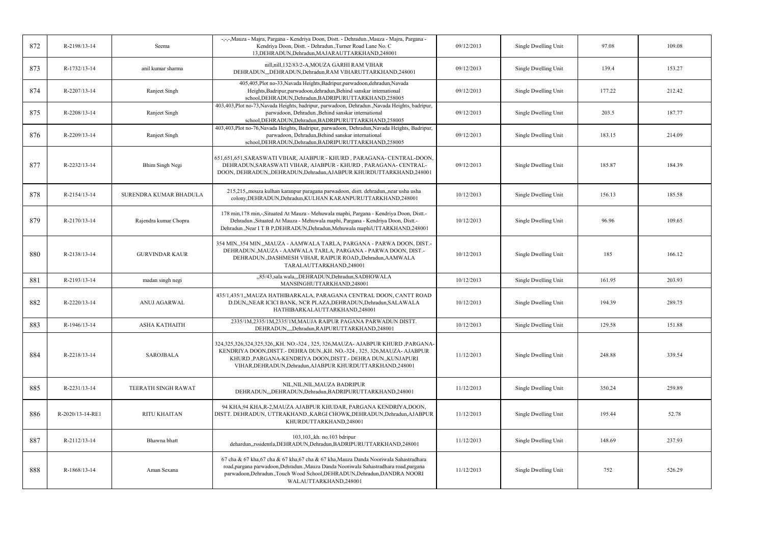| 872 | R-2198/13-14     | Seema                  | -,-,-,Mauza - Majra, Pargana - Kendriya Doon, Distt. - Dehradun.,Mauza - Majra, Pargana -<br>Kendriya Doon, Distt. - Dehradun., Turner Road Lane No. C<br>13, DEHRADUN, Dehradun, MAJARAUTTARKHAND, 248001                                                                             | 09/12/2013 | Single Dwelling Unit | 97.08  | 109.08 |
|-----|------------------|------------------------|----------------------------------------------------------------------------------------------------------------------------------------------------------------------------------------------------------------------------------------------------------------------------------------|------------|----------------------|--------|--------|
| 873 | R-1732/13-14     | anil kumar sharma      | nill, nill, 132/83/2-A, MOUZA GARHI RAM VIHAR<br>DEHRADUN, "DEHRADUN, Dehradun, RAM VIHARUTTARKHAND, 248001                                                                                                                                                                            | 09/12/2013 | Single Dwelling Unit | 139.4  | 153.27 |
| 874 | R-2207/13-14     | Ranjeet Singh          | 405,405,Plot no-33,Navada Heights,Badripur,parwadoon,dehradun,Navada<br>Heights, Badripur, parwadoon, dehradun, Behind sanskar international<br>school, DEHRADUN, Dehradun, BADRIPURUTTARKHAND, 258005                                                                                 | 09/12/2013 | Single Dwelling Unit | 177.22 | 212.42 |
| 875 | R-2208/13-14     | Ranjeet Singh          | 403,403,Plot no-73,Navada Heights, badripur, parwadoon, Dehradun.,Navada Heights, badripur,<br>parwadoon, Dehradun., Behind sanskar international<br>school, DEHRADUN, Dehradun, BADRIPURUTTARKHAND, 258005                                                                            | 09/12/2013 | Single Dwelling Unit | 203.5  | 187.77 |
| 876 | R-2209/13-14     | Ranjeet Singh          | 403,403,Plot no-76,Navada Heights, Badripur, parwadoon, Dehradun,Navada Heights, Badripur,<br>parwadoon, Dehradun, Behind sanskar international<br>school, DEHRADUN, Dehradun, BADRIPURUTTARKHAND, 258005                                                                              | 09/12/2013 | Single Dwelling Unit | 183.15 | 214.09 |
| 877 | R-2232/13-14     | <b>Bhim Singh Negi</b> | 651,651,651,SARASWATI VIHAR, AJABPUR - KHURD, PARAGANA- CENTRAL-DOON,<br>DEHRADUN, SARASWATI VIHAR, AJABPUR - KHURD, PARAGANA- CENTRAL-<br>DOON, DEHRADUN, DEHRADUN, Dehradun, AJABPUR KHURDUTTARKHAND, 248001                                                                         | 09/12/2013 | Single Dwelling Unit | 185.87 | 184.39 |
| 878 | R-2154/13-14     | SURENDRA KUMAR BHADULA | 215,215, mouza kulhan karanpur paragana parwadoon, distt. dehradun, near usha usha<br>colony, DEHRADUN, Dehradun, KULHAN KARANPURUTTARKHAND, 248001                                                                                                                                    | 10/12/2013 | Single Dwelling Unit | 156.13 | 185.58 |
| 879 | R-2170/13-14     | Rajendra kumar Chopra  | 178 min, 178 min,-,Situated At Mauza - Mehuwala maphi, Pargana - Kendriya Doon, Distt.-<br>Dehradun., Situated At Mauza - Mehuwala maphi, Pargana - Kendriya Doon, Distt.-<br>Dehradun., Near I T B P, DEHRADUN, Dehradun, Mehuwala maphiUTTARKHAND, 248001                            | 10/12/2013 | Single Dwelling Unit | 96.96  | 109.65 |
| 880 | R-2138/13-14     | <b>GURVINDAR KAUR</b>  | 354 MIN., 354 MIN., MAUZA - AAMWALA TARLA, PARGANA - PARWA DOON, DIST.-<br>DEHRADUN., MAUZA - AAMWALA TARLA, PARGANA - PARWA DOON, DIST.-<br>DEHRADUN., DASHMESH VIHAR, RAIPUR ROAD, Dehradun, AAMWALA<br>TARALAUTTARKHAND,248001                                                      | 10/12/2013 | Single Dwelling Unit | 185    | 166.12 |
| 881 | R-2193/13-14     | madan singh negi       | "85/43, sala wala, "DEHRADUN, Dehradun, SADHOWALA<br>MANSINGHUTTARKHAND,248001                                                                                                                                                                                                         | 10/12/2013 | Single Dwelling Unit | 161.95 | 203.93 |
| 882 | R-2220/13-14     | <b>ANUJ AGARWAL</b>    | 435/1,435/1,,MAUZA HATHIBARKALA, PARAGANA CENTRAL DOON, CANTT ROAD<br>D.DUN,, NEAR ICICI BANK, NCR PLAZA, DEHRADUN, Dehradun, SALAWALA<br>HATHIBARKALAUTTARKHAND,248001                                                                                                                | 10/12/2013 | Single Dwelling Unit | 194.39 | 289.75 |
| 883 | R-1946/13-14     | <b>ASHA KATHAITH</b>   | 2335/1M,2335/1M,2335/1M,MAUJA RAIPUR PAGANA PARWADUN DISTT.<br>DEHRADUN,,,,Dehradun,RAIPURUTTARKHAND,248001                                                                                                                                                                            | 10/12/2013 | Single Dwelling Unit | 129.58 | 151.88 |
| 884 | R-2218/13-14     | <b>SAROJBALA</b>       | 324,325,326,324,325,326,,KH. NO.-324, 325, 326,MAUZA- AJABPUR KHURD ,PARGANA-<br>KENDRIYA DOON, DISTT. - DEHRA DUN., KH. NO.-324, 325, 326, MAUZA - AJABPUR<br>KHURD ,PARGANA-KENDRIYA DOON,DISTT.- DEHRA DUN.,KUNJAPURI<br>VIHAR, DEHRADUN, Dehradun, AJABPUR KHURDUTTARKHAND, 248001 | 11/12/2013 | Single Dwelling Unit | 248.88 | 339.54 |
| 885 | R-2231/13-14     | TEERATH SINGH RAWAT    | NIL, NIL, NIL, MAUZA BADRIPUR<br>DEHRADUN,,,DEHRADUN,Dehradun,BADRIPURUTTARKHAND,248001                                                                                                                                                                                                | 11/12/2013 | Single Dwelling Unit | 350.24 | 259.89 |
| 886 | R-2020/13-14-RE1 | <b>RITU KHAITAN</b>    | 94 KHA, 94 KHA, R-2, MAUZA AJABPUR KHUDAR, PARGANA KENDRIYA, DOON,<br>DISTT. DEHRADUN, UTTRAKHAND., KARGI CHOWK, DEHRADUN, Dehradun, AJABPUR<br>KHURDUTTARKHAND,248001                                                                                                                 | 11/12/2013 | Single Dwelling Unit | 195.44 | 52.78  |
| 887 | R-2112/13-14     | Bhawna bhatt           | 103,103, kh. no.103 bdripur<br>dehardun, rssidentla, DEHRADUN, Dehradun, BADRIPURUTTARKHAND, 248001                                                                                                                                                                                    | 11/12/2013 | Single Dwelling Unit | 148.69 | 237.93 |
| 888 | R-1868/13-14     | Aman Sexana            | 67 cha & 67 kha, 67 cha & 67 kha, 67 cha & 67 kha, Mauza Danda Nooriwala Sahastradhara<br>road, pargana parwadoon, Dehradun., Mauza Danda Nooriwala Sahastradhara road, pargana<br>parwadoon, Dehradun., Touch Wood School, DEHRADUN, Dehradun, DANDRA NOORI<br>WALAUTTARKHAND,248001  | 11/12/2013 | Single Dwelling Unit | 752    | 526.29 |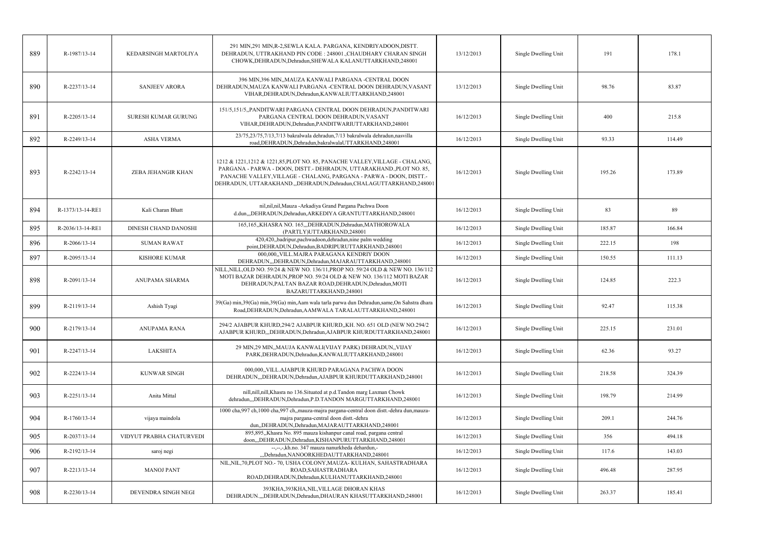| 889 | R-1987/13-14       | KEDARSINGH MARTOLIYA        | 291 MIN, 291 MIN, R-2, SEWLA KALA, PARGANA, KENDRIYADOON, DISTT.<br>DEHRADUN, UTTRAKHAND PIN CODE : 248001., CHAUDHARY CHARAN SINGH<br>CHOWK, DEHRADUN, Dehradun, SHEWALA KALANUTTARKHAND, 248001                                                                                                 | 13/12/2013 | Single Dwelling Unit | 191    | 178.1  |
|-----|--------------------|-----------------------------|---------------------------------------------------------------------------------------------------------------------------------------------------------------------------------------------------------------------------------------------------------------------------------------------------|------------|----------------------|--------|--------|
| 890 | R-2237/13-14       | <b>SANJEEV ARORA</b>        | 396 MIN,396 MIN,,MAUZA KANWALI PARGANA -CENTRAL DOON<br>DEHRADUN, MAUZA KANWALI PARGANA -CENTRAL DOON DEHRADUN, VASANT<br>VIHAR, DEHRADUN, Dehradun, KANWALIUTTARKHAND, 248001                                                                                                                    | 13/12/2013 | Single Dwelling Unit | 98.76  | 83.87  |
| 891 | $R - 2205/13 - 14$ | <b>SURESH KUMAR GURUNG</b>  | 151/5,151/5,,PANDITWARI PARGANA CENTRAL DOON DEHRADUN,PANDITWARI<br>PARGANA CENTRAL DOON DEHRADUN, VASANT<br>VIHAR, DEHRADUN, Dehradun, PANDITWARIUTTARKHAND, 248001                                                                                                                              | 16/12/2013 | Single Dwelling Unit | 400    | 215.8  |
| 892 | R-2249/13-14       | <b>ASHA VERMA</b>           | 23/75,23/75,7/13,7/13 bakralwala dehradun,7/13 bakralwala dehradun,nasvilla<br>road, DEHRADUN, Dehradun, bakralwalaUTTARKHAND, 248001                                                                                                                                                             | 16/12/2013 | Single Dwelling Unit | 93.33  | 114.49 |
| 893 | R-2242/13-14       | <b>ZEBA JEHANGIR KHAN</b>   | 1212 & 1221, 1212 & 1221, 85, PLOT NO. 85, PANACHE VALLEY, VILLAGE - CHALANG,<br>PARGANA - PARWA - DOON, DISTT. - DEHRADUN, UTTARAKHAND., PLOT NO. 85,<br>PANACHE VALLEY, VILLAGE - CHALANG, PARGANA - PARWA - DOON, DISTT.-<br>DEHRADUN, UTTARAKHAND.,,DEHRADUN,Dehradun,CHALAGUTTARKHAND,248001 | 16/12/2013 | Single Dwelling Unit | 195.26 | 173.89 |
| 894 | R-1373/13-14-RE1   | Kali Charan Bhatt           | nil,nil,nil,Mauza -Arkadiya Grand Pargana Pachwa Doon<br>d.dun,,,DEHRADUN,Dehradun,ARKEDIYA GRANTUTTARKHAND,248001                                                                                                                                                                                | 16/12/2013 | Single Dwelling Unit | 83     | 89     |
| 895 | R-2036/13-14-RE1   | <b>DINESH CHAND DANOSHI</b> | 165,165,,KHASRA NO. 165,,,DEHRADUN,Dehradun,MATHOROWALA<br>(PARTLY)UTTARKHAND,248001                                                                                                                                                                                                              | 16/12/2013 | Single Dwelling Unit | 185.87 | 166.84 |
| 896 | R-2066/13-14       | <b>SUMAN RAWAT</b>          | 420,420,,badripur,pachwadoon,dehradun,nine palm wedding<br>point, DEHRADUN, Dehradun, BADRIPURUTTARKHAND, 248001                                                                                                                                                                                  | 16/12/2013 | Single Dwelling Unit | 222.15 | 198    |
| 897 | R-2095/13-14       | <b>KISHORE KUMAR</b>        | 000,000, VILL.MAJRA PARAGANA KENDRIY DOON<br>DEHRADUN,,DEHRADUN,Dehradun,MAJARAUTTARKHAND,248001                                                                                                                                                                                                  | 16/12/2013 | Single Dwelling Unit | 150.55 | 111.13 |
| 898 | R-2091/13-14       | ANUPAMA SHARMA              | NILL, NILL, OLD NO. 59/24 & NEW NO. 136/11, PROP NO. 59/24 OLD & NEW NO. 136/112<br>MOTI BAZAR DEHRADUN, PROP NO. 59/24 OLD & NEW NO. 136/112 MOTI BAZAR<br>DEHRADUN, PALTAN BAZAR ROAD, DEHRADUN, Dehradun, MOTI<br>BAZARUTTARKHAND,248001                                                       | 16/12/2013 | Single Dwelling Unit | 124.85 | 222.3  |
| 899 | R-2119/13-14       | Ashish Tyagi                | 39(Ga) min, 39(Ga) min, 39(Ga) min, Aam wala tarla parwa dun Dehradun, same, On Sahstra dhara<br>Road, DEHRADUN, Dehradun, AAMWALA TARALAUTTARKHAND, 248001                                                                                                                                       | 16/12/2013 | Single Dwelling Unit | 92.47  | 115.38 |
| 900 | R-2179/13-14       | ANUPAMA RANA                | 294/2 AJABPUR KHURD, 294/2 AJABPUR KHURD, KH. NO. 651 OLD (NEW NO.294/2)<br>AJABPUR KHURD, DEHRADUN, Dehradun, AJABPUR KHURDUTTARKHAND, 248001                                                                                                                                                    | 16/12/2013 | Single Dwelling Unit | 225.15 | 231.01 |
| 901 | R-2247/13-14       | <b>LAKSHITA</b>             | 29 MIN,29 MIN,,MAUJA KANWALI(VIJAY PARK) DEHRADUN,,VIJAY<br>PARK, DEHRADUN, Dehradun, KANWALIUTTARKHAND, 248001                                                                                                                                                                                   | 16/12/2013 | Single Dwelling Unit | 62.36  | 93.27  |
| 902 | R-2224/13-14       | <b>KUNWAR SINGH</b>         | 000.000. VILL. AJABPUR KHURD PARAGANA PACHWA DOON<br>DEHRADUN, "DEHRADUN, Dehradun, AJABPUR KHURDUTTARKHAND, 248001                                                                                                                                                                               | 16/12/2013 | Single Dwelling Unit | 218.58 | 324.39 |
| 903 | R-2251/13-14       | Anita Mittal                | nill, nill, nill, Khasra no 136. Situated at p.d. Tandon marg Laxman Chowk<br>dehradun,,,DEHRADUN,Dehradun,P.D.TANDON MARGUTTARKHAND,248001                                                                                                                                                       | 16/12/2013 | Single Dwelling Unit | 198.79 | 214.99 |
| 904 | R-1760/13-14       | vijaya maindola             | 1000 cha,997 ch,1000 cha,997 ch,,mauza-majra pargana-central doon distt.-dehra dun,mauza-<br>majra pargana-central doon distt.-dehra<br>dun, DEHRADUN, Dehradun, MAJARAUTTARKHAND, 248001                                                                                                         | 16/12/2013 | Single Dwelling Unit | 209.1  | 244.76 |
| 905 | R-2037/13-14       | VIDYUT PRABHA CHATURVEDI    | 895,895, Khasra No. 895 mauza kishanpur canal road, pargana central<br>doon,,,DEHRADUN,Dehradun,KISHANPURUTTARKHAND,248001                                                                                                                                                                        | 16/12/2013 | Single Dwelling Unit | 356    | 494.18 |
| 906 | R-2192/13-14       | saroj negi                  | --,--,-,kh.no. 347 mauza nanurkheda dehardun,-<br>",Dehradun,NANOORKHEDAUTTARKHAND,248001                                                                                                                                                                                                         | 16/12/2013 | Single Dwelling Unit | 117.6  | 143.03 |
| 907 | R-2213/13-14       | <b>MANOJ PANT</b>           | NIL, NIL, 70, PLOT NO. - 70, USHA COLONY, MAUZA - KULHAN, SAHASTRADHARA<br>ROAD, SAHASTRADHARA<br>ROAD, DEHRADUN, Dehradun, KULHANUTTARKHAND, 248001                                                                                                                                              | 16/12/2013 | Single Dwelling Unit | 496.48 | 287.95 |
| 908 | R-2230/13-14       | DEVENDRA SINGH NEGI         | 393KHA, 393KHA, NIL, VILLAGE DHORAN KHAS<br>DEHRADUN.,,,DEHRADUN,Dehradun,DHAURAN KHASUTTARKHAND,248001                                                                                                                                                                                           | 16/12/2013 | Single Dwelling Unit | 263.37 | 185.41 |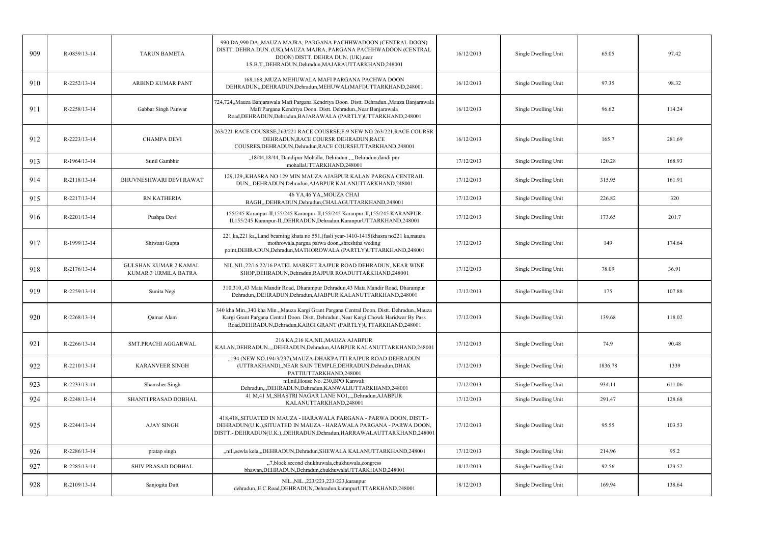| 909 | R-0859/13-14   | <b>TARUN BAMETA</b>                                         | 990 DA,990 DA,, MAUZA MAJRA, PARGANA PACHHWADOON (CENTRAL DOON)<br>DISTT. DEHRA DUN. (UK), MAUZA MAJRA, PARGANA PACHHWADOON (CENTRAL<br>DOON) DISTT. DEHRA DUN. (UK), near<br>I.S.B.T., DEHRADUN, Dehradun, MAJARAUTTARKHAND, 248001                      | 16/12/2013 | Single Dwelling Unit | 65.05   | 97.42  |
|-----|----------------|-------------------------------------------------------------|-----------------------------------------------------------------------------------------------------------------------------------------------------------------------------------------------------------------------------------------------------------|------------|----------------------|---------|--------|
| 910 | R-2252/13-14   | ARBIND KUMAR PANT                                           | 168,168, MUZA MEHUWALA MAFI PARGANA PACHWA DOON<br>DEHRADUN,,,DEHRADUN,Dehradun,MEHUWAL(MAFI)UTTARKHAND,248001                                                                                                                                            | 16/12/2013 | Single Dwelling Unit | 97.35   | 98.32  |
| 911 | R-2258/13-14   | Gabbar Singh Panwar                                         | 724,724,,Mauza Banjarawala Mafi Pargana Kendriya Doon. Distt. Dehradun.,Mauza Banjarawala<br>Mafi Pargana Kendriya Doon. Distt. Dehradun., Near Banjarawala<br>Road, DEHRADUN, Dehradun, BAJARAWALA (PARTLY) UTTARKHAND, 248001                           | 16/12/2013 | Single Dwelling Unit | 96.62   | 114.24 |
| 912 | R-2223/13-14   | <b>CHAMPA DEVI</b>                                          | 263/221 RACE COUSRSE, 263/221 RACE COUSRSE, F-9 NEW NO 263/221, RACE COURSR<br>DEHRADUN, RACE COURSR DEHRADUN, RACE<br>COUSRES, DEHRADUN, Dehradun, RACE COURSEUTTARKHAND, 248001                                                                         | 16/12/2013 | Single Dwelling Unit | 165.7   | 281.69 |
| 913 | R-1964/13-14   | Sunil Gambhir                                               | "18/44,18/44, Dandipur Mohalla, Dehradun.,,,,Dehradun,dandi pur<br>mohallaUTTARKHAND,248001                                                                                                                                                               | 17/12/2013 | Single Dwelling Unit | 120.28  | 168.93 |
| 914 | R-2118/13-14   | BHUVNESHWARI DEVI RAWAT                                     | 129,129, KHASRA NO 129 MIN MAUZA AJABPUR KALAN PARGNA CENTRAIL<br>DUN,,,DEHRADUN,Dehradun,AJABPUR KALANUTTARKHAND,248001                                                                                                                                  | 17/12/2013 | Single Dwelling Unit | 315.95  | 161.91 |
| 915 | R-2217/13-14   | <b>RN KATHERIA</b>                                          | 46 YA, 46 YA, MOUZA CHAI<br>BAGH,,,DEHRADUN,Dehradun,CHALAGUTTARKHAND,248001                                                                                                                                                                              | 17/12/2013 | Single Dwelling Unit | 226.82  | 320    |
| 916 | R-2201/13-14   | Pushpa Devi                                                 | 155/245 Karanpur-II,155/245 Karanpur-II,155/245 Karanpur-II,155/245 KARANPUR-<br>II,155/245 Karanpur-II,,DEHRADUN,Dehradun,KaranpurUTTARKHAND,248001                                                                                                      | 17/12/2013 | Single Dwelling Unit | 173.65  | 201.7  |
| 917 | R-1999/13-14   | Shiwani Gupta                                               | 221 ka, 221 ka, Land bearning khata no 551, (fasli year-1410-1415) khasra no 221 ka, mauza<br>mothrowala, pargna parwa doon,, shreshtha weding<br>point, DEHRADUN, Dehradun, MATHOROWALA (PARTLY) UTTARKHAND, 248001                                      | 17/12/2013 | Single Dwelling Unit | 149     | 174.64 |
| 918 | $R-2176/13-14$ | <b>GULSHAN KUMAR 2 KAMAL</b><br><b>KUMAR 3 URMILA BATRA</b> | NIL, NIL, 22/16, 22/16 PATEL MARKET RAJPUR ROAD DEHRADUN, , NEAR WINE<br>SHOP, DEHRADUN, Dehradun, RAJPUR ROADUTTARKHAND, 248001                                                                                                                          | 17/12/2013 | Single Dwelling Unit | 78.09   | 36.91  |
| 919 | R-2259/13-14   | Sunita Negi                                                 | 310,310,,43 Mata Mandir Road, Dharampur Dehradun,43 Mata Mandir Road, Dharampur<br>Dehradun, DEHRADUN, Dehradun, AJABPUR KALANUTTARKHAND, 248001                                                                                                          | 17/12/2013 | Single Dwelling Unit | 175     | 107.88 |
| 920 | R-2268/13-14   | Qamar Alam                                                  | 340 kha Min., 340 kha Min., Mauza Kargi Grant Pargana Central Doon. Distt. Dehradun., Mauza<br>Kargi Grant Pargana Central Doon. Distt. Dehradun., Near Kargi Chowk Haridwar By Pass<br>Road, DEHRADUN, Dehradun, KARGI GRANT (PARTLY) UTTARKHAND, 248001 | 17/12/2013 | Single Dwelling Unit | 139.68  | 118.02 |
| 921 | R-2266/13-14   | SMT.PRACHI AGGARWAL                                         | 216 KA,216 KA,NIL,MAUZA AJABPUR<br>KALAN, DEHRADUN.,,,DEHRADUN, Dehradun, AJABPUR KALANUTTARKHAND, 248001                                                                                                                                                 | 17/12/2013 | Single Dwelling Unit | 74.9    | 90.48  |
| 922 | R-2210/13-14   | <b>KARANVEER SINGH</b>                                      | "194 (NEW NO.194/3/237), MAUZA-DHAKPATTI RAJPUR ROAD DEHRADUN<br>(UTTRAKHAND), NEAR SAIN TEMPLE, DEHRADUN, Dehradun, DHAK<br>PATTIUTTARKHAND,248001                                                                                                       | 17/12/2013 | Single Dwelling Unit | 1836.78 | 1339   |
| 923 | R-2233/13-14   | Shamsher Singh                                              | nil, nil, House No. 230, BPO Kanwali<br>Dehradun,,,DEHRADUN,Dehradun,KANWALIUTTARKHAND,248001                                                                                                                                                             | 17/12/2013 | Single Dwelling Unit | 934.11  | 611.06 |
| 924 | R-2248/13-14   | SHANTI PRASAD DOBHAL                                        | 41 M,41 M,,SHASTRI NAGAR LANE NO1,,,,Dehradun,AJABPUR<br>KALANUTTARKHAND,248001                                                                                                                                                                           | 17/12/2013 | Single Dwelling Unit | 291.47  | 128.68 |
| 925 | R-2244/13-14   | <b>AJAY SINGH</b>                                           | 418,418, SITUATED IN MAUZA - HARAWALA PARGANA - PARWA DOON, DISTT.-<br>DEHRADUN(U.K.), SITUATED IN MAUZA - HARAWALA PARGANA - PARWA DOON,<br>DISTT.- DEHRADUN(U.K.),,DEHRADUN,Dehradun,HARRAWALAUTTARKHAND,248001                                         | 17/12/2013 | Single Dwelling Unit | 95.55   | 103.53 |
| 926 | R-2286/13-14   | pratap singh                                                | "nill,sewla kela",DEHRADUN,Dehradun,SHEWALA KALANUTTARKHAND,248001                                                                                                                                                                                        | 17/12/2013 | Single Dwelling Unit | 214.96  | 95.2   |
| 927 | R-2285/13-14   | SHIV PRASAD DOBHAL                                          | "7, block second chukhuwala, chukhuwala, congress<br>bhawan, DEHRADUN, Dehradun, chukhuwalaUTTARKHAND, 248001                                                                                                                                             | 18/12/2013 | Single Dwelling Unit | 92.56   | 123.52 |
| 928 | R-2109/13-14   | Sanjogita Dutt                                              | NIL., NIL., 223/223, 223/223, karanpur<br>dehradun,,E.C.Road,DEHRADUN,Dehradun,karanpurUTTARKHAND,248001                                                                                                                                                  | 18/12/2013 | Single Dwelling Unit | 169.94  | 138.64 |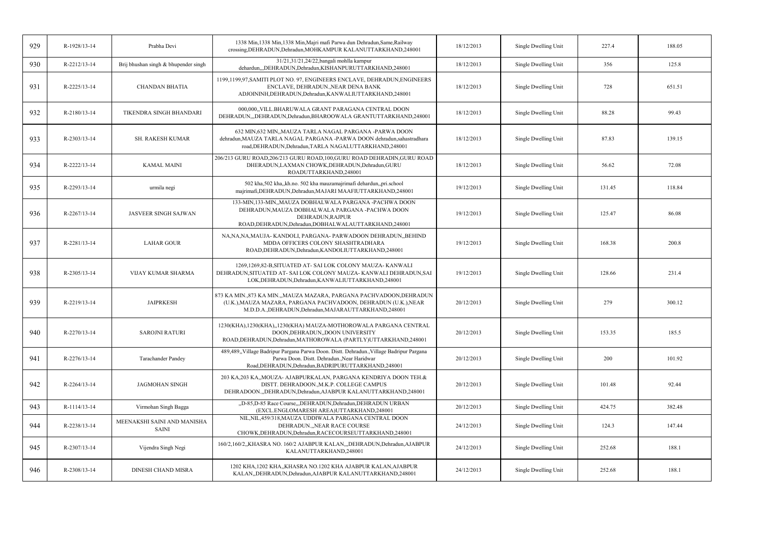| 929 | R-1928/13-14       | Prabha Devi                          | 1338 Min, 1338 Min, 1338 Min, Majri mafi Parwa dun Dehradun, Same, Railway<br>crossing, DEHRADUN, Dehradun, MOHKAMPUR KALANUTTARKHAND, 248001                                                     | 18/12/2013 | Single Dwelling Unit | 227.4  | 188.05 |
|-----|--------------------|--------------------------------------|---------------------------------------------------------------------------------------------------------------------------------------------------------------------------------------------------|------------|----------------------|--------|--------|
| 930 | R-2212/13-14       | Brij bhushan singh & bhupender singh | 31/21,31/21,24/22,bangali mohlla karnpur<br>dehardun, ,,DEHRADUN,Dehradun,KISHANPURUTTARKHAND,248001                                                                                              | 18/12/2013 | Single Dwelling Unit | 356    | 125.8  |
| 931 | R-2225/13-14       | <b>CHANDAN BHATIA</b>                | 1199,1199,97,SAMITI PLOT NO. 97, ENGINEERS ENCLAVE, DEHRADUN,ENGINEERS<br>ENCLAVE, DEHRADUN., NEAR DENA BANK<br>ADJOININH, DEHRADUN, Dehradun, KANWALIUTTARKHAND, 248001                          | 18/12/2013 | Single Dwelling Unit | 728    | 651.51 |
| 932 | $R - 2180/13 - 14$ | TIKENDRA SINGH BHANDARI              | 000,000, VILL.BHARUWALA GRANT PARAGANA CENTRAL DOON<br>DEHRADUN,,,DEHRADUN,Dehradun,BHAROOWALA GRANTUTTARKHAND,248001                                                                             | 18/12/2013 | Single Dwelling Unit | 88.28  | 99.43  |
| 933 | $R - 2303/13 - 14$ | <b>SH. RAKESH KUMAR</b>              | 632 MIN,632 MIN,, MAUZA TARLA NAGAL PARGANA -PARWA DOON<br>dehradun, MAUZA TARLA NAGAL PARGANA -PARWA DOON dehradun, sahastradhara<br>road, DEHRADUN, Dehradun, TARLA NAGALUTTARKHAND, 248001     | 18/12/2013 | Single Dwelling Unit | 87.83  | 139.15 |
| 934 | R-2222/13-14       | <b>KAMAL MAINI</b>                   | 206/213 GURU ROAD,206/213 GURU ROAD,100,GURU ROAD DEHRADIN,GURU ROAD<br>DHERADUN, LAXMAN CHOWK, DEHRADUN, Dehradun, GURU<br>ROADUTTARKHAND,248001                                                 | 18/12/2013 | Single Dwelling Unit | 56.62  | 72.08  |
| 935 | R-2293/13-14       | urmila negi                          | 502 kha,502 kha,,kh.no. 502 kha mauzamajrimafi dehardun,,pri.school<br>majrimafi, DEHRADUN, Dehradun, MAJARI MAAFIUTTARKHAND, 248001                                                              | 19/12/2013 | Single Dwelling Unit | 131.45 | 118.84 |
| 936 | R-2267/13-14       | <b>JASVEER SINGH SAJWAN</b>          | 133-MIN,133-MIN,,MAUZA DOBHALWALA PARGANA -PACHWA DOON<br>DEHRADUN, MAUZA DOBHALWALA PARGANA -PACHWA DOON<br>DEHRADUN, RAJPUR<br>ROAD, DEHRADUN, Dehradun, DOBHAL WALAUTTARKHAND, 248001          | 19/12/2013 | Single Dwelling Unit | 125.47 | 86.08  |
| 937 | R-2281/13-14       | <b>LAHAR GOUR</b>                    | NA, NA, NA, MAUJA - KANDOLI, PARGANA - PARWADOON DEHRADUN, BEHIND<br>MDDA OFFICERS COLONY SHASHTRADHARA<br>ROAD, DEHRADUN, Dehradun, KANDOLIUTTARKHAND, 248001                                    | 19/12/2013 | Single Dwelling Unit | 168.38 | 200.8  |
| 938 | R-2305/13-14       | <b>VIJAY KUMAR SHARMA</b>            | 1269,1269,82-B,SITUATED AT-SAI LOK COLONY MAUZA-KANWALI<br>DEHRADUN, SITUATED AT- SAI LOK COLONY MAUZA-KANWALI DEHRADUN, SAI<br>LOK, DEHRADUN, Dehradun, KANWALIUTTARKHAND, 248001                | 19/12/2013 | Single Dwelling Unit | 128.66 | 231.4  |
| 939 | R-2219/13-14       | <b>JAIPRKESH</b>                     | 873 KA MIN., 873 KA MIN., MAUZA MAZARA, PARGANA PACHVADOON, DEHRADUN<br>(U.K.), MAUZA MAZARA, PARGANA PACHVADOON, DEHRADUN (U.K.), NEAR<br>M.D.D.A., DEHRADUN, Dehradun, MAJARAUTTARKHAND, 248001 | 20/12/2013 | Single Dwelling Unit | 279    | 300.12 |
| 940 | R-2270/13-14       | <b>SAROJNI RATURI</b>                | 1230(KHA), 1230(KHA), 1230(KHA) MAUZA-MOTHOROWALA PARGANA CENTRAL<br>DOON, DEHRADUN,, DOON UNIVERSITY<br>ROAD, DEHRADUN, Dehradun, MATHOROWALA (PARTLY) UTTARKHAND, 248001                        | 20/12/2013 | Single Dwelling Unit | 153.35 | 185.5  |
| 941 | R-2276/13-14       | <b>Tarachander Pandey</b>            | 489,489, Village Badripur Pargana Parwa Doon. Distt. Dehradun., Village Badripur Pargana<br>Parwa Doon. Distt. Dehradun., Near Haridwar<br>Road, DEHRADUN, Dehradun, BADRIPURUTTARKHAND, 248001   | 20/12/2013 | Single Dwelling Unit | 200    | 101.92 |
| 942 | R-2264/13-14       | <b>JAGMOHAN SINGH</b>                | 203 KA,203 KA,, MOUZA- AJABPURKALAN, PARGANA KENDRIYA DOON TEH.&<br>DISTT. DEHRADOON., M.K.P. COLLEGE CAMPUS<br>DEHRADOON., DEHRADUN, Dehradun, AJABPUR KALANUTTARKHAND, 248001                   | 20/12/2013 | Single Dwelling Unit | 101.48 | 92.44  |
| 943 | R-1114/13-14       | Virmohan Singh Bagga                 | "D-85,D-85 Race Course, "DEHRADUN, Dehradun, DEHRADUN URBAN<br>(EXCL.ENGLOMARESH AREA)UTTARKHAND,248001                                                                                           | 20/12/2013 | Single Dwelling Unit | 424.75 | 382.48 |
| 944 | R-2238/13-14       | MEENAKSHI SAINI AND MANISHA<br>SAINI | NIL, NIL, 459/318, MAUZA UDDIWALA PARGANA CENTRAL DOON<br>DEHRADUN., NEAR RACE COURSE<br>CHOWK, DEHRADUN, Dehradun, RACECOURSEUTTARKHAND, 248001                                                  | 24/12/2013 | Single Dwelling Unit | 124.3  | 147.44 |
| 945 | R-2307/13-14       | Vijendra Singh Negi                  | 160/2,160/2,,KHASRA NO. 160/2 AJABPUR KALAN,,,DEHRADUN,Dehradun,AJABPUR<br>KALANUTTARKHAND,248001                                                                                                 | 24/12/2013 | Single Dwelling Unit | 252.68 | 188.1  |
| 946 | R-2308/13-14       | DINESH CHAND MISRA                   | 1202 KHA, 1202 KHA, KHASRA NO.1202 KHA AJABPUR KALAN, AJABPUR<br>KALAN, DEHRADUN, Dehradun, AJABPUR KALANUTTARKHAND, 248001                                                                       | 24/12/2013 | Single Dwelling Unit | 252.68 | 188.1  |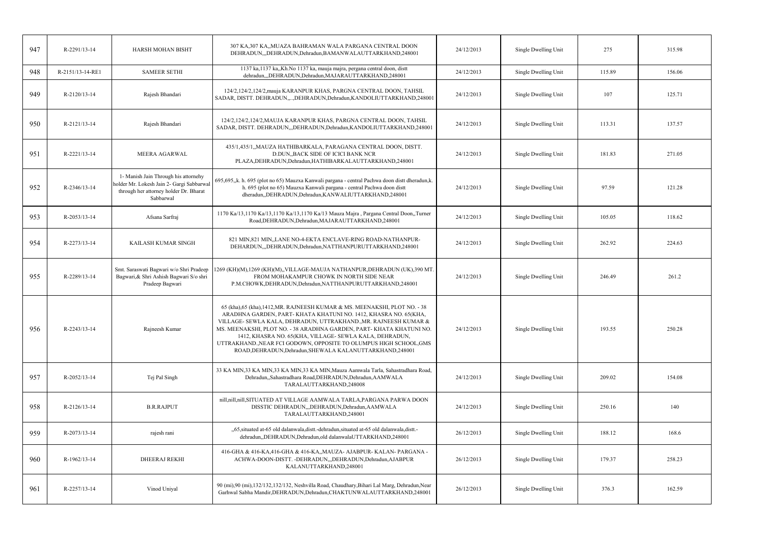| 947 | R-2291/13-14     | HARSH MOHAN BISHT                                                                                                                        | 307 KA,307 KA,,MUAZA BAHRAMAN WALA PARGANA CENTRAL DOON<br>DEHRADUN, DEHRADUN, Dehradun, BAMANWALAUTTARKHAND, 248001                                                                                                                                                                                                                                                                                                                                                                     | 24/12/2013 | Single Dwelling Unit | 275    | 315.98 |
|-----|------------------|------------------------------------------------------------------------------------------------------------------------------------------|------------------------------------------------------------------------------------------------------------------------------------------------------------------------------------------------------------------------------------------------------------------------------------------------------------------------------------------------------------------------------------------------------------------------------------------------------------------------------------------|------------|----------------------|--------|--------|
| 948 | R-2151/13-14-RE1 | <b>SAMEER SETHI</b>                                                                                                                      | 1137 ka, 1137 ka, Kh. No 1137 ka, mauja majra, pergana central doon, distt<br>dehradun,,,DEHRADUN,Dehradun,MAJARAUTTARKHAND,248001                                                                                                                                                                                                                                                                                                                                                       | 24/12/2013 | Single Dwelling Unit | 115.89 | 156.06 |
| 949 | R-2120/13-14     | Rajesh Bhandari                                                                                                                          | 124/2,124/2,124/2, mauja KARANPUR KHAS, PARGNA CENTRAL DOON, TAHSIL<br>SADAR, DISTT. DEHRADUN,, DEHRADUN, Dehradun, KANDOLIUTTARKHAND, 248001                                                                                                                                                                                                                                                                                                                                            | 24/12/2013 | Single Dwelling Unit | 107    | 125.71 |
| 950 | R-2121/13-14     | Rajesh Bhandari                                                                                                                          | 124/2,124/2,124/2, MAUJA KARANPUR KHAS, PARGNA CENTRAL DOON, TAHSIL<br>SADAR, DISTT. DEHRADUN, "DEHRADUN, Dehradun, KANDOLIUTTARKHAND, 248001                                                                                                                                                                                                                                                                                                                                            | 24/12/2013 | Single Dwelling Unit | 113.31 | 137.57 |
| 951 | R-2221/13-14     | MEERA AGARWAL                                                                                                                            | 435/1,435/1,,MAUZA HATHIBARKALA, PARAGANA CENTRAL DOON, DISTT.<br>D.DUN,, BACK SIDE OF ICICI BANK NCR<br>PLAZA, DEHRADUN, Dehradun, HATHIBARKALAUTTARKHAND, 248001                                                                                                                                                                                                                                                                                                                       | 24/12/2013 | Single Dwelling Unit | 181.83 | 271.05 |
| 952 | R-2346/13-14     | 1- Manish Jain Through his attornehy<br>holder Mr. Lokesh Jain 2- Gargi Sabbarwal<br>through her attorney holder Dr. Bharat<br>Sabbarwal | 695,695,,k. h. 695 (plot no 65) Mauzxa Kanwali pargana - central Pachwa doon distt dheradun,k.<br>h. 695 (plot no 65) Mauzxa Kanwali pargana - central Pachwa doon distt<br>dheradun, DEHRADUN, Dehradun, KANWALIUTTARKHAND, 248001                                                                                                                                                                                                                                                      | 24/12/2013 | Single Dwelling Unit | 97.59  | 121.28 |
| 953 | R-2053/13-14     | Afsana Sarfraj                                                                                                                           | 1170 Ka/13,1170 Ka/13,1170 Ka/13,1170 Ka/13 Mauza Majra, Pargana Central Doon, Turner<br>Road, DEHRADUN, Dehradun, MAJARAUTTARKHAND, 248001                                                                                                                                                                                                                                                                                                                                              | 24/12/2013 | Single Dwelling Unit | 105.05 | 118.62 |
| 954 | R-2273/13-14     | KAILASH KUMAR SINGH                                                                                                                      | 821 MIN,821 MIN,,LANE NO-4-EKTA ENCLAVE-RING ROAD-NATHANPUR-<br>DEHARDUN, DEHRADUN, Dehradun, NATTHANPURUTTARKHAND, 248001                                                                                                                                                                                                                                                                                                                                                               | 24/12/2013 | Single Dwelling Unit | 262.92 | 224.63 |
| 955 | R-2289/13-14     | Smt. Saraswati Bagwari w/o Shri Pradeep<br>Bagwari, & Shri Ashish Bagwari S/o shri<br>Pradeep Bagwari                                    | 1269 (KH)(M),1269 (KH)(M),,VILLAGE-MAUJA NATHANPUR,DEHRADUN (UK),390 MT.<br>FROM MOHAKAMPUR CHOWK IN NORTH SIDE NEAR<br>P.M.CHOWK,DEHRADUN,Dehradun,NATTHANPURUTTARKHAND,248001                                                                                                                                                                                                                                                                                                          | 24/12/2013 | Single Dwelling Unit | 246.49 | 261.2  |
| 956 | R-2243/13-14     | Rajneesh Kumar                                                                                                                           | 65 (kha), 65 (kha), 1412, MR. RAJNEESH KUMAR & MS. MEENAKSHI, PLOT NO. - 38<br>ARADHNA GARDEN, PART-KHATA KHATUNI NO. 1412, KHASRA NO. 65(KHA,<br>VILLAGE- SEWLA KALA, DEHRADUN, UTTRAKHAND., MR. RAJNEESH KUMAR &<br>MS. MEENAKSHI, PLOT NO. - 38 ARADHNA GARDEN, PART- KHATA KHATUNI NO.<br>1412, KHASRA NO. 65(KHA, VILLAGE- SEWLA KALA, DEHRADUN,<br>UTTRAKHAND., NEAR FCI GODOWN, OPPOSITE TO OLUMPUS HIGH SCHOOL, GMS<br>ROAD, DEHRADUN, Dehradun, SHEWALA KALANUTTARKHAND, 248001 | 24/12/2013 | Single Dwelling Unit | 193.55 | 250.28 |
| 957 | R-2052/13-14     | Tej Pal Singh                                                                                                                            | 33 KA MIN, 33 KA MIN, 33 KA MIN, 33 KA MIN, Mauza Aamwala Tarla, Sahastradhara Road,<br>Dehradun, Sahastradhara Road, DEHRADUN, Dehradun, AAMWALA<br>TARALAUTTARKHAND,248008                                                                                                                                                                                                                                                                                                             | 24/12/2013 | Single Dwelling Unit | 209.02 | 154.08 |
| 958 | R-2126/13-14     | <b>B.R.RAJPUT</b>                                                                                                                        | nill, nill, SITUATED AT VILLAGE AAMWALA TARLA, PARGANA PARWA DOON<br>DISSTIC DEHRADUN, "DEHRADUN, Dehradun, AAMWALA<br>TARALAUTTARKHAND,248001                                                                                                                                                                                                                                                                                                                                           | 24/12/2013 | Single Dwelling Unit | 250.16 | 140    |
| 959 | R-2073/13-14     | rajesh rani                                                                                                                              | "65, situated at-65 old dalanwala, distt.-dehradun, situated at-65 old dalanwala, distt.-<br>dehradun, DEHRADUN, Dehradun, old dalanwalaUTTARKHAND, 248001                                                                                                                                                                                                                                                                                                                               | 26/12/2013 | Single Dwelling Unit | 188.12 | 168.6  |
| 960 | R-1962/13-14     | <b>DHEERAJ REKHI</b>                                                                                                                     | 416-GHA & 416-KA,416-GHA & 416-KA,,MAUZA-AJABPUR-KALAN-PARGANA -<br>ACHWA-DOON-DISTT. - DEHRADUN, DEHRADUN, Dehradun, AJABPUR<br>KALANUTTARKHAND,248001                                                                                                                                                                                                                                                                                                                                  | 26/12/2013 | Single Dwelling Unit | 179.37 | 258.23 |
| 961 | R-2257/13-14     | Vinod Uniyal                                                                                                                             | 90 (mi),90 (mi),132/132,132/132, Neshvilla Road, Chaudhary, Bihari Lal Marg, Dehradun, Near<br>Garhwal Sabha Mandir, DEHRADUN, Dehradun, CHAKTUNWALAUTTARKHAND, 248001                                                                                                                                                                                                                                                                                                                   | 26/12/2013 | Single Dwelling Unit | 376.3  | 162.59 |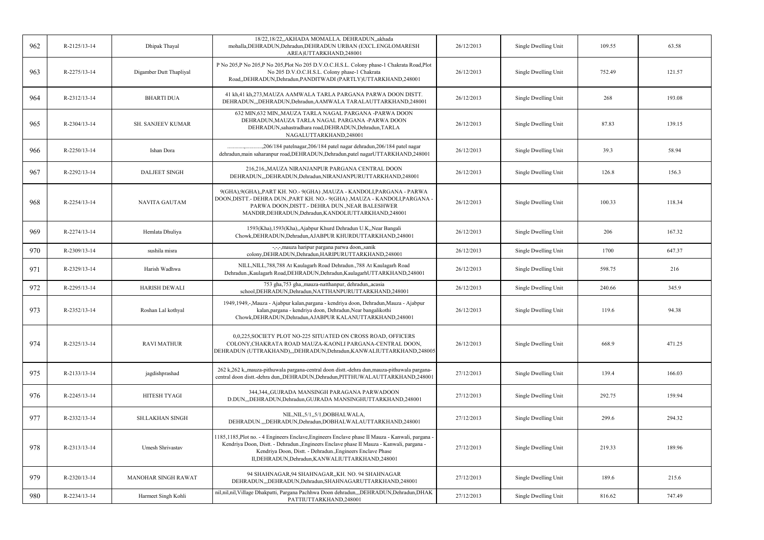| 962 | R-2125/13-14 | Dhipak Thayal              | 18/22,18/22,,AKHADA MOMALLA. DEHRADUN,,akhada<br>mohalla, DEHRADUN, Dehradun, DEHRADUN URBAN (EXCL. ENGLOMARESH<br>AREA)UTTARKHAND,248001                                                                                                                                                                       | 26/12/2013 | Single Dwelling Unit | 109.55 | 63.58  |
|-----|--------------|----------------------------|-----------------------------------------------------------------------------------------------------------------------------------------------------------------------------------------------------------------------------------------------------------------------------------------------------------------|------------|----------------------|--------|--------|
| 963 | R-2275/13-14 | Digamber Dutt Thapliyal    | P No 205,P No 205,P No 205,Plot No 205 D.V.O.C.H.S.L. Colony phase-1 Chakrata Road,Plot<br>No 205 D.V.O.C.H.S.L. Colony phase-1 Chakrata<br>Road,,DEHRADUN,Dehradun,PANDITWADI (PARTLY)UTTARKHAND,248001                                                                                                        | 26/12/2013 | Single Dwelling Unit | 752.49 | 121.57 |
| 964 | R-2312/13-14 | <b>BHARTI DUA</b>          | 41 kh,41 kh,273, MAUZA AAMWALA TARLA PARGANA PARWA DOON DISTT.<br>DEHRADUN,,,DEHRADUN,Dehradun,AAMWALA TARALAUTTARKHAND,248001                                                                                                                                                                                  | 26/12/2013 | Single Dwelling Unit | 268    | 193.08 |
| 965 | R-2304/13-14 | <b>SH. SANJEEV KUMAR</b>   | 632 MIN, 632 MIN, MAUZA TARLA NAGAL PARGANA -PARWA DOON<br>DEHRADUN, MAUZA TARLA NAGAL PARGANA -PARWA DOON<br>DEHRADUN, sahastradhara road, DEHRADUN, Dehradun, TARLA<br>NAGALUTTARKHAND,248001                                                                                                                 | 26/12/2013 | Single Dwelling Unit | 87.83  | 139.15 |
| 966 | R-2250/13-14 | Ishan Dora                 | .,206/184 patelnagar,206/184 patel nagar dehradun,206/184 patel nagar<br>dehradun, main saharanpur road, DEHRADUN, Dehradun, patel nagarUTTARKHAND, 248001                                                                                                                                                      | 26/12/2013 | Single Dwelling Unit | 39.3   | 58.94  |
| 967 | R-2292/13-14 | <b>DALJEET SINGH</b>       | 216,216,,MAUZA NIRANJANPUR PARGANA CENTRAL DOON<br>DEHRADUN,,,DEHRADUN,Dehradun,NIRANJANPURUTTARKHAND,248001                                                                                                                                                                                                    | 26/12/2013 | Single Dwelling Unit | 126.8  | 156.3  |
| 968 | R-2254/13-14 | <b>NAVITA GAUTAM</b>       | 9(GHA), 9(GHA), PART KH. NO. - 9(GHA), MAUZA - KANDOLI, PARGANA - PARWA<br>DOON, DISTT. - DEHRA DUN., PART KH. NO. - 9(GHA), MAUZA - KANDOLI, PARGANA -<br>PARWA DOON, DISTT.- DEHRA DUN., NEAR BALESHWER<br>MANDIR, DEHRADUN, Dehradun, KANDOLIUTTARKHAND, 248001                                              | 26/12/2013 | Single Dwelling Unit | 100.33 | 118.34 |
| 969 | R-2274/13-14 | Hemlata Dhuliya            | 1593(Kha), 1593(Kha), Ajabpur Khurd Dehradun U.K, Near Bangali<br>Chowk, DEHRADUN, Dehradun, AJABPUR KHURDUTTARKHAND, 248001                                                                                                                                                                                    | 26/12/2013 | Single Dwelling Unit | 206    | 167.32 |
| 970 | R-2309/13-14 | sushila misra              | -,-,-,mauza haripur pargana parwa doon,,sanik<br>colony, DEHRADUN, Dehradun, HARIPURUTTARKHAND, 248001                                                                                                                                                                                                          | 26/12/2013 | Single Dwelling Unit | 1700   | 647.37 |
| 971 | R-2329/13-14 | Harish Wadhwa              | NILL, NILL, 788, 788 At Kaulagarh Road Dehradun., 788 At Kaulagarh Road<br>Dehradun., Kaulagarh Road, DEHRADUN, Dehradun, Kaulagarh UTTARKHAND, 248001                                                                                                                                                          | 26/12/2013 | Single Dwelling Unit | 598.75 | 216    |
| 972 | R-2295/13-14 | <b>HARISH DEWALI</b>       | 753 gha, 753 gha, mauza-natthanpur, dehradun, acasia<br>school, DEHRADUN, Dehradun, NATTHANPURUTTARKHAND, 248001                                                                                                                                                                                                | 26/12/2013 | Single Dwelling Unit | 240.66 | 345.9  |
| 973 | R-2352/13-14 | Roshan Lal kothyal         | 1949,1949,-,Mauza - Ajabpur kalan,pargana - kendriya doon, Dehradun,Mauza - Ajabpur<br>kalan, pargana - kendriya doon, Dehradun, Near bangalikothi<br>Chowk, DEHRADUN, Dehradun, AJABPUR KALANUTTARKHAND, 248001                                                                                                | 26/12/2013 | Single Dwelling Unit | 119.6  | 94.38  |
| 974 | R-2325/13-14 | <b>RAVI MATHUR</b>         | 0.0.225. SOCIETY PLOT NO-225 SITUATED ON CROSS ROAD, OFFICERS<br>COLONY, CHAKRATA ROAD MAUZA-KAONLI PARGANA-CENTRAL DOON,<br>DEHRADUN (UTTRAKHAND),,,DEHRADUN,Dehradun,KANWALIUTTARKHAND,248005                                                                                                                 | 26/12/2013 | Single Dwelling Unit | 668.9  | 471.25 |
| 975 | R-2133/13-14 | jagdishprashad             | 262 k,262 k, mauza-pithuwala pargana-central doon distt.-dehra dun, mauza-pithuwala pargana-<br>central doon distt.-dehra dun,,DEHRADUN,Dehradun,PITTHUWALAUTTARKHAND,248001                                                                                                                                    | 27/12/2013 | Single Dwelling Unit | 139.4  | 166.03 |
| 976 | R-2245/13-14 | <b>HITESH TYAGI</b>        | 344,344,,GUJRADA MANSINGH PARAGANA PARWADOON<br>D.DUN,,,DEHRADUN,Dehradun,GUJRADA MANSINGHUTTARKHAND,248001                                                                                                                                                                                                     | 27/12/2013 | Single Dwelling Unit | 292.75 | 159.94 |
| 977 | R-2332/13-14 | <b>SH.LAKHAN SINGH</b>     | NIL, NIL, 5/1, 5/1, DOBHALWALA,<br>DEHRADUN.,,,DEHRADUN,Dehradun,DOBHALWALAUTTARKHAND,248001                                                                                                                                                                                                                    | 27/12/2013 | Single Dwelling Unit | 299.6  | 294.32 |
| 978 | R-2313/13-14 | Umesh Shrivastav           | 1185,1185, Plot no. - 4 Engineers Enclave, Engineers Enclave phase II Mauza - Kanwali, pargana -<br>Kendriya Doon, Distt. - Dehradun., Engineers Enclave phase II Mauza - Kanwali, pargana -<br>Kendriya Doon, Distt. - Dehradun., Engineers Enclave Phase<br>II, DEHRADUN, Dehradun, KANWALIUTTARKHAND, 248001 | 27/12/2013 | Single Dwelling Unit | 219.33 | 189.96 |
| 979 | R-2320/13-14 | <b>MANOHAR SINGH RAWAT</b> | 94 SHAHNAGAR, 94 SHAHNAGAR, KH. NO. 94 SHAHNAGAR<br>DEHRADUN,,,DEHRADUN,Dehradun,SHAHNAGARUTTARKHAND,248001                                                                                                                                                                                                     | 27/12/2013 | Single Dwelling Unit | 189.6  | 215.6  |
| 980 | R-2234/13-14 | Harmeet Singh Kohli        | nil,nil,nil,Village Dhakpatti, Pargana Pachhwa Doon dehradun,,,DEHRADUN,Dehradun,DHAK<br>PATTIUTTARKHAND,248001                                                                                                                                                                                                 | 27/12/2013 | Single Dwelling Unit | 816.62 | 747.49 |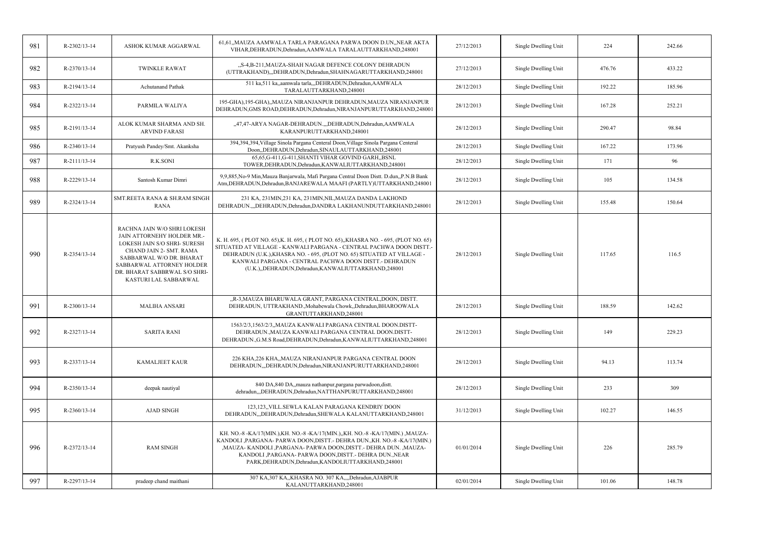| 981 | R-2302/13-14 | ASHOK KUMAR AGGARWAL                                                                                                                                                                                                                    | 61,61,,MAUZA AAMWALA TARLA PARAGANA PARWA DOON D.UN,,NEAR AKTA<br>VIHAR, DEHRADUN, Dehradun, AAMWALA TARALAUTTARKHAND, 248001                                                                                                                                                                                                                             | 27/12/2013 | Single Dwelling Unit | 224    | 242.66 |
|-----|--------------|-----------------------------------------------------------------------------------------------------------------------------------------------------------------------------------------------------------------------------------------|-----------------------------------------------------------------------------------------------------------------------------------------------------------------------------------------------------------------------------------------------------------------------------------------------------------------------------------------------------------|------------|----------------------|--------|--------|
| 982 | R-2370/13-14 | <b>TWINKLE RAWAT</b>                                                                                                                                                                                                                    | "S-4,B-211, MAUZA-SHAH NAGAR DEFENCE COLONY DEHRADUN<br>(UTTRAKHAND),,,DEHRADUN,Dehradun,SHAHNAGARUTTARKHAND,248001                                                                                                                                                                                                                                       | 27/12/2013 | Single Dwelling Unit | 476.76 | 433.22 |
| 983 | R-2194/13-14 | <b>Achutanand Pathak</b>                                                                                                                                                                                                                | 511 ka,511 ka,,aamwala tarla,,,DEHRADUN,Dehradun,AAMWALA<br>TARALAUTTARKHAND,248001                                                                                                                                                                                                                                                                       | 28/12/2013 | Single Dwelling Unit | 192.22 | 185.96 |
| 984 | R-2322/13-14 | PARMILA WALIYA                                                                                                                                                                                                                          | 195-GHA), 195-GHA),,MAUZA NIRANJANPUR DEHRADUN,MAUZA NIRANJANPUR<br>DEHRADUN, GMS ROAD, DEHRADUN, Dehradun, NIRANJANPURUTTARKHAND, 248001                                                                                                                                                                                                                 | 28/12/2013 | Single Dwelling Unit | 167.28 | 252.21 |
| 985 | R-2191/13-14 | ALOK KUMAR SHARMA AND SH<br><b>ARVIND FARASI</b>                                                                                                                                                                                        | "47,47-ARYA NAGAR-DEHRADUN.",DEHRADUN,Dehradun,AAMWALA<br>KARANPURUTTARKHAND,248001                                                                                                                                                                                                                                                                       | 28/12/2013 | Single Dwelling Unit | 290.47 | 98.84  |
| 986 | R-2340/13-14 | Pratyush Pandey/Smt. Akanksha                                                                                                                                                                                                           | 394,394,394, Village Sinola Pargana Centeral Doon, Village Sinola Pargana Centeral<br>Doon,,DEHRADUN,Dehradun,SINAULAUTTARKHAND,248001                                                                                                                                                                                                                    | 28/12/2013 | Single Dwelling Unit | 167.22 | 173.96 |
| 987 | R-2111/13-14 | R.K.SONI                                                                                                                                                                                                                                | 65,65,G-411,G-411,SHANTI VIHAR GOVIND GARH,,BSNL<br>TOWER, DEHRADUN, Dehradun, KANWALIUTTARKHAND, 248001                                                                                                                                                                                                                                                  | 28/12/2013 | Single Dwelling Unit | 171    | 96     |
| 988 | R-2229/13-14 | Santosh Kumar Dimri                                                                                                                                                                                                                     | 9,9,885, No-9 Min, Mauza Banjarwala, Mafi Pargana Central Doon Distt. D.dun, ,P.N.B Bank<br>Atm,DEHRADUN,Dehradun,BANJAREWALA MAAFI (PARTLY)UTTARKHAND,248001                                                                                                                                                                                             | 28/12/2013 | Single Dwelling Unit | 105    | 134.58 |
| 989 | R-2324/13-14 | SMT.REETA RANA & SH.RAM SINGH<br><b>RANA</b>                                                                                                                                                                                            | 231 KA, 231MIN,231 KA, 231MIN,NIL,MAUZA DANDA LAKHOND<br>DEHRADUN.,,,DEHRADUN,Dehradun,DANDRA LAKHANUNDUTTARKHAND,248001                                                                                                                                                                                                                                  | 28/12/2013 | Single Dwelling Unit | 155.48 | 150.64 |
| 990 | R-2354/13-14 | RACHNA JAIN W/O SHRI LOKESH<br>JAIN ATTORNEHY HOLDER MR.-<br>LOKESH JAIN S/O SHRI- SURESH<br>CHAND JAIN 2- SMT. RAMA<br>SABBARWAL W/O DR. BHARAT<br>SABBARWAL ATTORNEY HOLDER<br>DR. BHARAT SABBRWAL S/O SHRI-<br>KASTURI LAL SABBARWAL | K. H. 695, (PLOT NO. 65), K. H. 695, (PLOT NO. 65), , KHASRA NO. - 695, (PLOT NO. 65)<br>SITUATED AT VILLAGE - KANWALI PARGANA - CENTRAL PACHWA DOON DISTT.-<br>DEHRADUN (U.K.), KHASRA NO. - 695, (PLOT NO. 65) SITUATED AT VILLAGE -<br>KANWALI PARGANA - CENTRAL PACHWA DOON DISTT - DEHRADUN<br>(U.K.), DEHRADUN, Dehradun, KANWALIUTTARKHAND, 248001 | 28/12/2013 | Single Dwelling Unit | 117.65 | 116.5  |
| 991 | R-2300/13-14 | <b>MALIHA ANSARI</b>                                                                                                                                                                                                                    | "R-3, MAUZA BHARUWALA GRANT, PARGANA CENTRAL, DOON, DISTT.<br>DEHRADUN, UTTRAKHAND., Mohabewala Chowk, Dehradun, BHAROOWALA<br>GRANTUTTARKHAND,248001                                                                                                                                                                                                     | 28/12/2013 | Single Dwelling Unit | 188.59 | 142.62 |
| 992 | R-2327/13-14 | <b>SARITA RANI</b>                                                                                                                                                                                                                      | 1563/2/3,1563/2/3,,MAUZA KANWALI PARGANA CENTRAL DOON.DISTT-<br>DEHRADUN., MAUZA KANWALI PARGANA CENTRAL DOON.DISTT-<br>DEHRADUN., G.M.S Road, DEHRADUN, Dehradun, KANWALIUTTARKHAND, 248001                                                                                                                                                              | 28/12/2013 | Single Dwelling Unit | 149    | 229.23 |
| 993 | R-2337/13-14 | <b>KAMALJEET KAUR</b>                                                                                                                                                                                                                   | 226 KHA,226 KHA,,MAUZA NIRANJANPUR PARGANA CENTRAL DOON<br>DEHRADUN, "DEHRADUN, Dehradun, NIRANJANPURUTTARKHAND, 248001                                                                                                                                                                                                                                   | 28/12/2013 | Single Dwelling Unit | 94.13  | 113.74 |
| 994 | R-2350/13-14 | deepak nautiyal                                                                                                                                                                                                                         | 840 DA,840 DA,,mauza nathanpur,pargana parwadoon,distt.<br>dehradun,,,DEHRADUN,Dehradun,NATTHANPURUTTARKHAND,248001                                                                                                                                                                                                                                       | 28/12/2013 | Single Dwelling Unit | 233    | 309    |
| 995 | R-2360/13-14 | <b>AJAD SINGH</b>                                                                                                                                                                                                                       | 123,123,,VILL.SEWLA KALAN PARAGANA KENDRIY DOON<br>DEHRADUN, "DEHRADUN, Dehradun, SHEWALA KALANUTTARKHAND, 248001                                                                                                                                                                                                                                         | 31/12/2013 | Single Dwelling Unit | 102.27 | 146.55 |
| 996 | R-2372/13-14 | <b>RAM SINGH</b>                                                                                                                                                                                                                        | KH. NO.-8 -KA/17(MIN.),KH. NO.-8 -KA/17(MIN.),,KH. NO.-8 -KA/17(MIN.),MAUZA-<br>KANDOLI ,PARGANA- PARWA DOON,DISTT.- DEHRA DUN.,KH. NO.-8 -KA/17(MIN.)<br>,MAUZA-KANDOLI ,PARGANA-PARWA DOON,DISTT.- DEHRA DUN. ,MAUZA-<br>KANDOLI ,PARGANA- PARWA DOON,DISTT.- DEHRA DUN.,NEAR<br>PARK, DEHRADUN, Dehradun, KANDOLIUTTARKHAND, 248001                    | 01/01/2014 | Single Dwelling Unit | 226    | 285.79 |
| 997 | R-2297/13-14 | pradeep chand maithani                                                                                                                                                                                                                  | 307 KA, 307 KA, KHASRA NO. 307 KA, ", Dehradun, AJABPUR<br>KALANUTTARKHAND,248001                                                                                                                                                                                                                                                                         | 02/01/2014 | Single Dwelling Unit | 101.06 | 148.78 |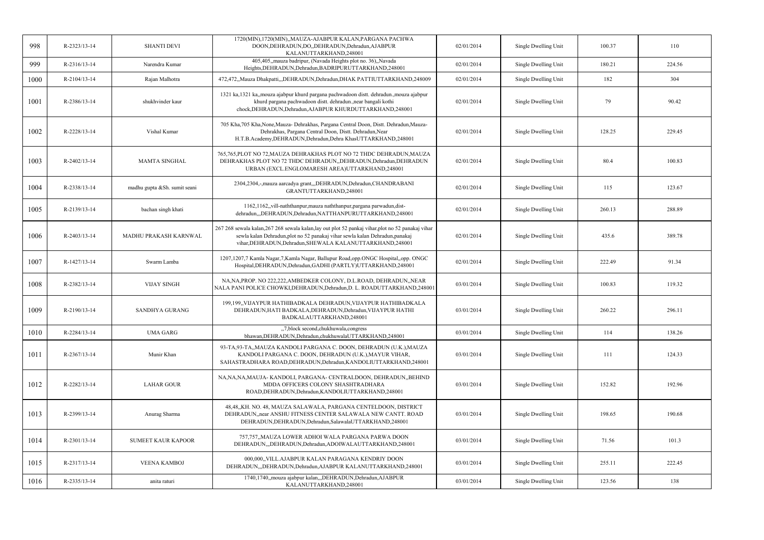| 998  | R-2323/13-14       | <b>SHANTI DEVI</b>           | 1720(MIN), 1720(MIN), MAUZA-AJABPUR KALAN, PARGANA PACHWA<br>DOON, DEHRADUN, DO., DEHRADUN, Dehradun, AJABPUR<br>KALANUTTARKHAND,248001                                                                                                          | 02/01/2014 | Single Dwelling Unit | 100.37 | 110    |
|------|--------------------|------------------------------|--------------------------------------------------------------------------------------------------------------------------------------------------------------------------------------------------------------------------------------------------|------------|----------------------|--------|--------|
| 999  | R-2316/13-14       | Narendra Kumar               | 405,405, mauza badripur, (Navada Heights plot no. 36), Navada<br>Heights, DEHRADUN, Dehradun, BADRIPURUTTARKHAND, 248001                                                                                                                         | 02/01/2014 | Single Dwelling Unit | 180.21 | 224.56 |
| 1000 | R-2104/13-14       | Rajan Malhotra               | 472,472,,Mauza Dhakpatti,,,DEHRADUN,Dehradun,DHAK PATTIUTTARKHAND,248009                                                                                                                                                                         | 02/01/2014 | Single Dwelling Unit | 182    | 304    |
| 1001 | R-2386/13-14       | shukhvinder kaur             | 1321 ka, 1321 ka, mouza ajabpur khurd pargana pachwadoon distt. dehradun., mouza ajabpur<br>khurd pargana pachwadoon distt. dehradun., near bangali kothi<br>chock, DEHRADUN, Dehradun, AJABPUR KHURDUTTARKHAND, 248001                          | 02/01/2014 | Single Dwelling Unit | 79     | 90.42  |
| 1002 | R-2228/13-14       | Vishal Kumar                 | 705 Kha, 705 Kha, None, Mauza- Dehrakhas, Pargana Central Doon, Distt. Dehradun, Mauza-<br>Dehrakhas, Pargana Central Doon, Distt. Dehradun, Near<br>H.T.B.Academy,DEHRADUN,Dehradun,Dehra KhasUTTARKHAND,248001                                 | 02/01/2014 | Single Dwelling Unit | 128.25 | 229.45 |
| 1003 | $R - 2402/13 - 14$ | <b>MAMTA SINGHAL</b>         | 765,765,PLOT NO 72, MAUZA DEHRAKHAS PLOT NO 72 THDC DEHRADUN, MAUZA<br>DEHRAKHAS PLOT NO 72 THDC DEHRADUN, DEHRADUN, Dehradun, DEHRADUN<br>URBAN (EXCL.ENGLOMARESH AREA)UTTARKHAND,248001                                                        | 02/01/2014 | Single Dwelling Unit | 80.4   | 100.83 |
| 1004 | R-2338/13-14       | madhu gupta &Sh. sumit seani | 2304,2304,-,mauza aarcadya grant,,,DEHRADUN,Dehradun,CHANDRABANI<br>GRANTUTTARKHAND,248001                                                                                                                                                       | 02/01/2014 | Single Dwelling Unit | 115    | 123.67 |
| 1005 | R-2139/13-14       | bachan singh khati           | 1162,1162, vill-naththanpur, mauza naththanpur, pargana parwadun, dist-<br>dehradun,,,DEHRADUN,Dehradun,NATTHANPURUTTARKHAND,248001                                                                                                              | 02/01/2014 | Single Dwelling Unit | 260.13 | 288.89 |
| 1006 | R-2403/13-14       | MADHU PRAKASH KARNWAL        | 267 268 sewala kalan, 267 268 sewala kalan, lay out plot 52 pankaj vihar, plot no 52 panakaj vihar<br>sewla kalan Dehradun, plot no 52 panakaj vihar sewla kalan Dehradun, panakaj<br>vihar, DEHRADUN, Dehradun, SHEWALA KALANUTTARKHAND, 248001 | 02/01/2014 | Single Dwelling Unit | 435.6  | 389.78 |
| 1007 | R-1427/13-14       | Swarm Lamba                  | 1207,1207,7 Kamla Nagar,7,Kamla Nagar, Ballupur Road,opp.ONGC Hospital,,opp. ONGC<br>Hospital, DEHRADUN, Dehradun, GADHI (PARTLY) UTTARKHAND, 248001                                                                                             | 02/01/2014 | Single Dwelling Unit | 222.49 | 91.34  |
| 1008 | R-2382/13-14       | <b>VIJAY SINGH</b>           | NA, NA, PROP. NO 222, 222, AMBEDKER COLONY, D.L.ROAD, DEHRADUN, , NEAR<br>NALA PANI POLICE CHOWKI, DEHRADUN, Dehradun, D. L. ROADUTTARKHAND, 248001                                                                                              | 03/01/2014 | Single Dwelling Unit | 100.83 | 119.32 |
| 1009 | R-2190/13-14       | <b>SANDHYA GURANG</b>        | 199,199, VIJAYPUR HATHIBADKALA DEHRADUN, VIJAYPUR HATHIBADKALA<br>DEHRADUN, HATI BADKALA, DEHRADUN, Dehradun, VIJAYPUR HATHI<br>BADKALAUTTARKHAND,248001                                                                                         | 03/01/2014 | Single Dwelling Unit | 260.22 | 296.11 |
| 1010 | R-2284/13-14       | <b>UMA GARG</b>              | "7, block second, chukhuwala, congress<br>bhawan, DEHRADUN, Dehradun, chukhuwalaUTTARKHAND, 248001                                                                                                                                               | 03/01/2014 | Single Dwelling Unit | 114    | 138.26 |
| 1011 | R-2367/13-14       | Munir Khan                   | 93-TA,93-TA,,MAUZA KANDOLI PARGANA C. DOON, DEHRADUN (U.K.),MAUZA<br>KANDOLI PARGANA C. DOON, DEHRADUN (U.K.), MAYUR VIHAR,<br>SAHASTRADHARA ROAD, DEHRADUN, Dehradun, KANDOLIUTTARKHAND, 248001                                                 | 03/01/2014 | Single Dwelling Unit | 111    | 124.33 |
| 1012 | R-2282/13-14       | <b>LAHAR GOUR</b>            | NA, NA, NA, MAUJA - KANDOLI, PARGANA - CENTRALDOON, DEHRADUN, BEHIND<br>MDDA OFFICERS COLONY SHASHTRADHARA<br>ROAD, DEHRADUN, Dehradun, KANDOLIUTTARKHAND, 248001                                                                                | 03/01/2014 | Single Dwelling Unit | 152.82 | 192.96 |
| 1013 | R-2399/13-14       | Anurag Sharma                | 48,48,,KH. NO. 48, MAUZA SALAWALA, PARGANA CENTELDOON, DISTRICT<br>DEHRADUN, near ANSHU FITNESS CENTER SALAWALA NEW CANTT. ROAD<br>DEHRADUN, DEHRADUN, Dehradun, SalawalaUTTARKHAND, 248001                                                      | 03/01/2014 | Single Dwelling Unit | 198.65 | 190.68 |
| 1014 | R-2301/13-14       | <b>SUMEET KAUR KAPOOR</b>    | 757,757,,MAUZA LOWER ADHOI WALA PARGANA PARWA DOON<br>DEHRADUN,,,DEHRADUN,Dehradun,ADOIWALAUTTARKHAND,248001                                                                                                                                     | 03/01/2014 | Single Dwelling Unit | 71.56  | 101.3  |
| 1015 | R-2317/13-14       | <b>VEENA KAMBOJ</b>          | 000,000, VILL.AJABPUR KALAN PARAGANA KENDRIY DOON<br>DEHRADUN,,,DEHRADUN,Dehradun,AJABPUR KALANUTTARKHAND,248001                                                                                                                                 | 03/01/2014 | Single Dwelling Unit | 255.11 | 222.45 |
| 1016 | R-2335/13-14       | anita raturi                 | 1740,1740, mouza ajabpur kalan, "DEHRADUN, Dehradun, AJABPUR<br>KALANUTTARKHAND,248001                                                                                                                                                           | 03/01/2014 | Single Dwelling Unit | 123.56 | 138    |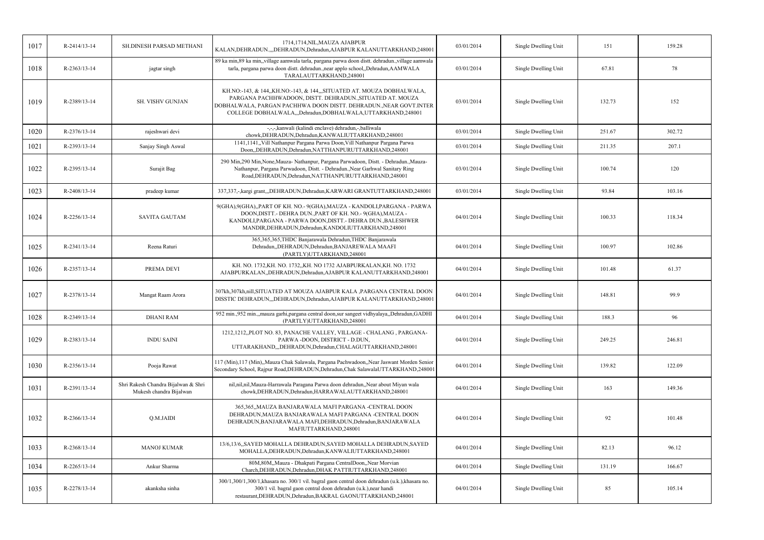| 1017 | R-2414/13-14       | SH.DINESH PARSAD METHANI                                       | 1714,1714,NIL,MAUZA AJABPUR<br>KALAN, DEHRADUN, ", DEHRADUN, Dehradun, AJABPUR KALANUTTARKHAND, 248001                                                                                                                                                                | 03/01/2014 | Single Dwelling Unit | 151    | 159.28 |
|------|--------------------|----------------------------------------------------------------|-----------------------------------------------------------------------------------------------------------------------------------------------------------------------------------------------------------------------------------------------------------------------|------------|----------------------|--------|--------|
| 1018 | $R - 2363/13 - 14$ | jagtar singh                                                   | 89 ka min, 89 ka min,,village aamwala tarla, pargana parwa doon distt. dehradun.,village aamwala<br>tarla, pargana parwa doon distt. dehradun.,near applo school,,Dehradun,AAMWALA<br>TARALAUTTARKHAND,248001                                                         | 03/01/2014 | Single Dwelling Unit | 67.81  | 78     |
| 1019 | R-2389/13-14       | SH. VISHV GUNJAN                                               | KH.NO:-143, & 144,,KH.NO:-143, & 144,,,SITUATED AT. MOUZA DOBHALWALA,<br>PARGANA PACHHWADOON, DISTT. DEHRADUN., SITUATED AT. MOUZA<br>DOBHALWALA, PARGAN PACHHWA DOON DISTT. DEHRADUN., NEAR GOVT.INTER<br>COLLEGE DOBHALWALA,,,Dehradun,DOBHALWALA,UTTARKHAND,248001 | 03/01/2014 | Single Dwelling Unit | 132.73 | 152    |
| 1020 | R-2376/13-14       | rajeshwari devi                                                | -,-,-,kanwali (kalindi enclave) dehradun,-,balliwala<br>chowk, DEHRADUN, Dehradun, KANWALIUTTARKHAND, 248001                                                                                                                                                          | 03/01/2014 | Single Dwelling Unit | 251.67 | 302.72 |
| 1021 | R-2393/13-14       | Sanjay Singh Aswal                                             | 1141,1141, Vill Nathanpur Pargana Parwa Doon, Vill Nathanpur Pargana Parwa<br>Doon,,DEHRADUN,Dehradun,NATTHANPURUTTARKHAND,248001                                                                                                                                     | 03/01/2014 | Single Dwelling Unit | 211.35 | 207.1  |
| 1022 | R-2395/13-14       | Surajit Bag                                                    | 290 Min, 290 Min, None, Mauza-Nathanpur, Pargana Parwadoon, Distt. - Dehradun., Mauza-<br>Nathanpur, Pargana Parwadoon, Distt. - Dehradun., Near Garhwal Sanitary Ring<br>Road, DEHRADUN, Dehradun, NATTHANPURUTTARKHAND, 248001                                      | 03/01/2014 | Single Dwelling Unit | 100.74 | 120    |
| 1023 | R-2408/13-14       | pradeep kumar                                                  | 337,337,-, kargi grant,,, DEHRADUN, Dehradun, KARWARI GRANTUTTARKHAND, 248001                                                                                                                                                                                         | 03/01/2014 | Single Dwelling Unit | 93.84  | 103.16 |
| 1024 | R-2256/13-14       | <b>SAVITA GAUTAM</b>                                           | 9(GHA), 9(GHA), PART OF KH. NO. - 9(GHA), MAUZA - KANDOLI, PARGANA - PARWA<br>DOON, DISTT. - DEHRA DUN., PART OF KH. NO. - 9(GHA), MAUZA -<br>KANDOLI, PARGANA - PARWA DOON, DISTT. - DEHRA DUN., BALESHWER<br>MANDIR, DEHRADUN, Dehradun, KANDOLIUTTARKHAND, 248001  | 04/01/2014 | Single Dwelling Unit | 100.33 | 118.34 |
| 1025 | R-2341/13-14       | Reena Raturi                                                   | 365,365,365,THDC Banjarawala Dehradun,THDC Banjarawala<br>Dehradun, DEHRADUN, Dehradun, BANJAREWALA MAAFI<br>(PARTLY)UTTARKHAND,248001                                                                                                                                | 04/01/2014 | Single Dwelling Unit | 100.97 | 102.86 |
| 1026 | R-2357/13-14       | PREMA DEVI                                                     | KH. NO. 1732, KH. NO. 1732, KH. NO 1732 AJABPURKALAN, KH. NO. 1732<br>AJABPURKALAN, DEHRADUN, Dehradun, AJABPUR KALANUTTARKHAND, 248001                                                                                                                               | 04/01/2014 | Single Dwelling Unit | 101.48 | 61.37  |
| 1027 | R-2378/13-14       | Mangat Raam Arora                                              | 307kh,307kh,nill,SITUATED AT MOUZA AJABPUR KALA ,PARGANA CENTRAL DOON<br>DISSTIC DEHRADUN,,,DEHRADUN,Dehradun,AJABPUR KALANUTTARKHAND,248001                                                                                                                          | 04/01/2014 | Single Dwelling Unit | 148.81 | 99.9   |
| 1028 | R-2349/13-14       | <b>DHANI RAM</b>                                               | 952 min.,952 min.,,mauza garhi,pargana central doon,sur sangeet vidhyalaya,,Dehradun,GADHI<br>(PARTLY)UTTARKHAND,248001                                                                                                                                               | 04/01/2014 | Single Dwelling Unit | 188.3  | 96     |
| 1029 | R-2383/13-14       | <b>INDU SAINI</b>                                              | 1212,1212,,PLOT NO. 83, PANACHE VALLEY, VILLAGE - CHALANG, PARGANA-<br>PARWA-DOON, DISTRICT - D.DUN,<br>UTTARAKHAND,,,DEHRADUN,Dehradun,CHALAGUTTARKHAND,248001                                                                                                       | 04/01/2014 | Single Dwelling Unit | 249.25 | 246.81 |
| 1030 | R-2356/13-14       | Pooja Rawat                                                    | 117 (Min), 117 (Min), Mauza Chak Salawala, Pargana Pachwadoon, Near Jaswant Morden Senior<br>Secondary School, Rajpur Road, DEHRADUN, Dehradun, Chak SalawalaUTTARKHAND, 248001                                                                                       | 04/01/2014 | Single Dwelling Unit | 139.82 | 122.09 |
| 1031 | R-2391/13-14       | Shri Rakesh Chandra Bijalwan & Shri<br>Mukesh chandra Bijalwan | nil,nil,nil,Mauza-Harrawala Paragana Parwa doon dehradun,,Near about Miyan wala<br>chowk, DEHRADUN, Dehradun, HARRAWALAUTTARKHAND, 248001                                                                                                                             | 04/01/2014 | Single Dwelling Unit | 163    | 149.36 |
| 1032 | R-2366/13-14       | Q.M.JAIDI                                                      | 365,365,,MAUZA BANJARAWALA MAFI PARGANA -CENTRAL DOON<br>DEHRADUN, MAUZA BANJARAWALA MAFI PARGANA -CENTRAL DOON<br>DEHRADUN, BANJARAWALA MAFI, DEHRADUN, Dehradun, BANJARAWALA<br>MAFIUTTARKHAND,248001                                                               | 04/01/2014 | Single Dwelling Unit | 92     | 101.48 |
| 1033 | R-2368/13-14       | <b>MANOJ KUMAR</b>                                             | 13/6,13/6,,SAYED MOHALLA DEHRADUN,SAYED MOHALLA DEHRADUN,SAYED<br>MOHALLA, DEHRADUN, Dehradun, KANWALIUTTARKHAND, 248001                                                                                                                                              | 04/01/2014 | Single Dwelling Unit | 82.13  | 96.12  |
| 1034 | R-2265/13-14       | Ankur Sharma                                                   | 80M,80M,,Mauza - Dhakpati Pargana CentralDoon,,Near Morvian<br>Charch, DEHRADUN, Dehradun, DHAK PATTIUTTARKHAND, 248001                                                                                                                                               | 04/01/2014 | Single Dwelling Unit | 131.19 | 166.67 |
| 1035 | R-2278/13-14       | akanksha sinha                                                 | 300/1,300/1,300/1, khasara no. 300/1 vil. bagral gaon central doon dehradun (u.k.), khasara no.<br>300/1 vil. bagral gaon central doon dehradun (u.k.), near handi<br>restaurant, DEHRADUN, Dehradun, BAKRAL GAONUTTARKHAND, 248001                                   | 04/01/2014 | Single Dwelling Unit | 85     | 105.14 |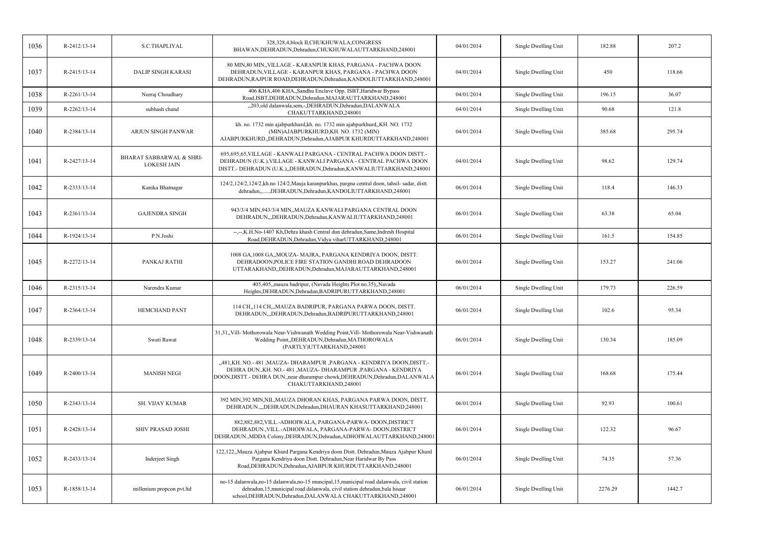| 1036 | R-2412/13-14 | <b>S.C.THAPLIYAL</b>                                      | 328,328,4,block II,CHUKHUWALA,CONGRESS<br>BHAWAN, DEHRADUN, Dehradun, CHUKHUWALAUTTARKHAND, 248001                                                                                                                                               | 04/01/2014 | Single Dwelling Unit | 182.88  | 207.2  |
|------|--------------|-----------------------------------------------------------|--------------------------------------------------------------------------------------------------------------------------------------------------------------------------------------------------------------------------------------------------|------------|----------------------|---------|--------|
| 1037 | R-2415/13-14 | <b>DALIP SINGH KARASI</b>                                 | 80 MIN,80 MIN,,VILLAGE - KARANPUR KHAS, PARGANA - PACHWA DOON<br>DEHRADUN, VILLAGE - KARANPUR KHAS, PARGANA - PACHWA DOON<br>DEHRADUN, RAJPUR ROAD, DEHRADUN, Dehradun, KANDOLIUTTARKHAND, 248001                                                | 04/01/2014 | Single Dwelling Unit | 450     | 118.66 |
| 1038 | R-2261/13-14 | Neeraj Choudhary                                          | 406 KHA,406 KHA,,Sandhu Enclave Opp. ISBT,Haridwar Bypass<br>Road, ISBT, DEHRADUN, Dehradun, MAJARAUTTARKHAND, 248001                                                                                                                            | 04/01/2014 | Single Dwelling Unit | 196.15  | 36.07  |
| 1039 | R-2262/13-14 | subhash chand                                             | "203,old dalanwala,sem,-,DEHRADUN,Dehradun,DALANWALA<br>CHAKUTTARKHAND,248001                                                                                                                                                                    | 04/01/2014 | Single Dwelling Unit | 90.68   | 121.8  |
| 1040 | R-2384/13-14 | ARJUN SINGH PANWAR                                        | kh. no. 1732 min ajabpurkhurd, kh. no. 1732 min ajabpurkhurd, KH. NO. 1732<br>(MIN) AJABPURKHURD, KH. NO. 1732 (MIN)<br>AJABPURKHURD,,DEHRADUN,Dehradun,AJABPUR KHURDUTTARKHAND,248001                                                           | 04/01/2014 | Single Dwelling Unit | 385.68  | 295.74 |
| 1041 | R-2427/13-14 | <b>BHARAT SABBARWAL &amp; SHRI-</b><br><b>LOKESH JAIN</b> | 695,695,65, VILLAGE - KANWALI PARGANA - CENTRAL PACHWA DOON DISTT.-<br>DEHRADUN (U.K.), VILLAGE - KANWALI PARGANA - CENTRAL PACHWA DOON<br>DISTT.- DEHRADUN (U.K.),,DEHRADUN,Dehradun,KANWALIUTTARKHAND,248001                                   | 04/01/2014 | Single Dwelling Unit | 98.62   | 129.74 |
| 1042 | R-2333/13-14 | Kanika Bhatnagar                                          | 124/2,124/2,124/2,kh.no 124/2, Mauja karanpurkhas, pargna central doon, tahsil-sadar, distt.<br>dehradun,,DEHRADUN,Dehradun,KANDOLIUTTARKHAND,248001                                                                                             | 06/01/2014 | Single Dwelling Unit | 118.4   | 146.33 |
| 1043 | R-2361/13-14 | <b>GAJENDRA SINGH</b>                                     | 943/3/4 MIN,943/3/4 MIN,,MAUZA KANWALI PARGANA CENTRAL DOON<br>DEHRADUN,,,DEHRADUN,Dehradun,KANWALIUTTARKHAND,248001                                                                                                                             | 06/01/2014 | Single Dwelling Unit | 63.38   | 65.04  |
| 1044 | R-1924/13-14 | P.N.Joshi                                                 | --,--,K.H.No-1407 Kh,Dehra khash Central dun dehradun,Same,Indresh Hospital<br>Road, DEHRADUN, Dehradun, Vidya viharUTTARKHAND, 248001                                                                                                           | 06/01/2014 | Single Dwelling Unit | 161.5   | 154.85 |
| 1045 | R-2272/13-14 | PANKAJ RATHI                                              | 1008 GA, 1008 GA, MOUZA- MAJRA, PARGANA KENDRIYA DOON, DISTT.<br>DEHRADOON, POLICE FIRE STATION GANDHI ROAD DEHRADOON<br>UTTARAKHAND, DEHRADUN, Dehradun, MAJARAUTTARKHAND, 248001                                                               | 06/01/2014 | Single Dwelling Unit | 153.27  | 241.06 |
| 1046 | R-2315/13-14 | Narendra Kumar                                            | 405,405, mauza badripur, (Navada Heights Plot no.35), Navada<br>Heights, DEHRADUN, Dehradun, BADRIPURUTTARKHAND, 248001                                                                                                                          | 06/01/2014 | Single Dwelling Unit | 179.73  | 226.59 |
| 1047 | R-2364/13-14 | <b>HEMCHAND PANT</b>                                      | 114 CH,,114 CH,,,MAUZA BADRIPUR, PARGANA PARWA DOON, DISTT.<br>DEHRADUN, DEHRADUN, Dehradun, BADRIPURUTTARKHAND, 248001                                                                                                                          | 06/01/2014 | Single Dwelling Unit | 102.6   | 95.34  |
| 1048 | R-2339/13-14 | Swati Rawat                                               | 31,31,,Vill- Mothorowala Near-Vishwanath Wedding Point,Vill- Mothorowala Near-Vishwanath<br>Wedding Point,,DEHRADUN,Dehradun,MATHOROWALA<br>(PARTLY)UTTARKHAND,248001                                                                            | 06/01/2014 | Single Dwelling Unit | 130.34  | 185.09 |
| 1049 | R-2400/13-14 | <b>MANISH NEGI</b>                                        | "481, KH. NO.-481, MAUZA-DHARAMPUR, PARGANA - KENDRIYA DOON, DISTT.-<br>DEHRA DUN., KH. NO.- 481, MAUZA- DHARAMPUR, PARGANA - KENDRIYA<br>DOON, DISTT.- DEHRA DUN., near dharampur chowk, DEHRADUN, Dehradun, DALANWALA<br>CHAKUTTARKHAND,248001 | 06/01/2014 | Single Dwelling Unit | 168.68  | 175.44 |
| 1050 | R-2343/13-14 | SH. VIJAY KUMAR                                           | 392 MIN,392 MIN,NIL,MAUZA DHORAN KHAS, PARGANA PARWA DOON, DISTT.<br>DEHRADUN.,,,DEHRADUN,Dehradun,DHAURAN KHASUTTARKHAND,248001                                                                                                                 | 06/01/2014 | Single Dwelling Unit | 92.93   | 100.61 |
| 1051 | R-2428/13-14 | <b>SHIV PRASAD JOSHI</b>                                  | 882,882,882, VILL.-ADHOIWALA, PARGANA-PARWA-DOON, DISTRICT<br>DEHRADUN., VILL.-ADHOIWALA, PARGANA-PARWA-DOON, DISTRICT<br>DEHRADUN., MDDA Colony, DEHRADUN, Dehradun, ADHOIWALAUTTARKHAND, 248001                                                | 06/01/2014 | Single Dwelling Unit | 122.32  | 96.67  |
| 1052 | R-2433/13-14 | Inderjeet Singh                                           | 122,122,,Mauza Ajabpur Khurd Pargana Kendriya doon Distt. Dehradun,Mauza Ajabpur Khurd<br>Pargana Kendriya doon Distt. Dehradun, Near Haridwar By Pass<br>Road, DEHRADUN, Dehradun, AJABPUR KHURDUTTARKHAND, 248001                              | 06/01/2014 | Single Dwelling Unit | 74.35   | 57.36  |
| 1053 | R-1858/13-14 | millenium propcon pvt.ltd                                 | no-15 dalanwala,no-15 dalanwala,no-15 muncipal,15,municipal road dalanwala, civil station<br>dehradun, 15, municipal road dalanwala, civil station dehradun, bala hisaar<br>school, DEHRADUN, Dehradun, DALANWALA CHAKUTTARKHAND, 248001         | 06/01/2014 | Single Dwelling Unit | 2276.29 | 1442.7 |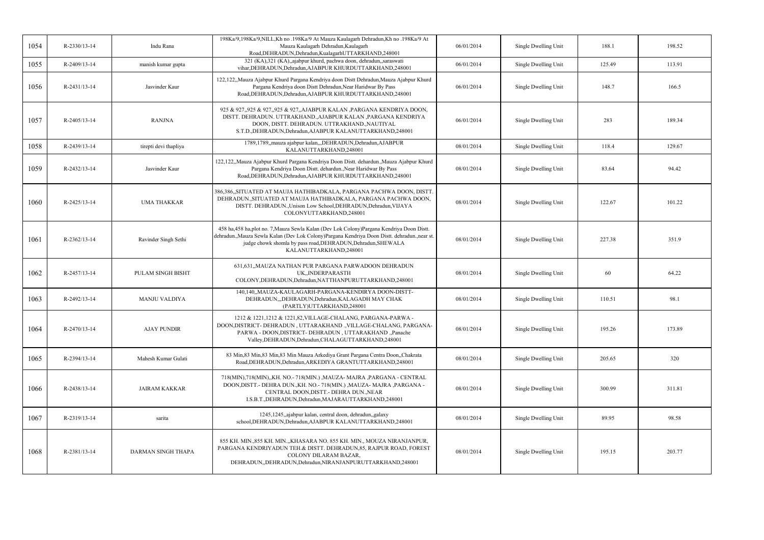| R-2330/13-14 | Indu Rana             | 198Ka/9,198Ka/9,NILL,Kh no .198Ka/9 At Mauza Kaulagarh Dehradun,Kh no .198Ka/9 At<br>Mauza Kaulagarh Dehradun, Kaulagarh<br>Road, DEHRADUN, Dehradun, Kualagarh UTTARKHAND, 248001                                                                                                   | 06/01/2014 | Single Dwelling Unit | 188.1  | 198.52 |
|--------------|-----------------------|--------------------------------------------------------------------------------------------------------------------------------------------------------------------------------------------------------------------------------------------------------------------------------------|------------|----------------------|--------|--------|
| R-2409/13-14 | manish kumar gupta    | 321 (KA),321 (KA),,ajabpur khurd, pachwa doon, dehradun,,saraswati<br>vihar, DEHRADUN, Dehradun, AJABPUR KHURDUTTARKHAND, 248001                                                                                                                                                     | 06/01/2014 | Single Dwelling Unit | 125.49 | 113.91 |
| R-2431/13-14 | Jasvinder Kaur        | 122,122,,Mauza Ajabpur Khurd Pargana Kendriya doon Distt Dehradun,Mauza Ajabpur Khurd<br>Pargana Kendriya doon Distt Dehradun, Near Haridwar By Pass<br>Road, DEHRADUN, Dehradun, AJABPUR KHURDUTTARKHAND, 248001                                                                    | 06/01/2014 | Single Dwelling Unit | 148.7  | 166.5  |
| R-2405/13-14 | <b>RANJNA</b>         | 925 & 927,,925 & 927,,925 & 927,,AJABPUR KALAN, PARGANA KENDRIYA DOON,<br>DISTT. DEHRADUN. UTTRAKHAND.,AJABPUR KALAN ,PARGANA KENDRIYA<br>DOON, DISTT. DEHRADUN. UTTRAKHAND., NAUTIYAL<br>S.T.D., DEHRADUN, Dehradun, AJABPUR KALANUTTARKHAND, 248001                                | 06/01/2014 | Single Dwelling Unit | 283    | 189.34 |
| R-2439/13-14 | tirepti devi thapliya | 1789,1789, mauza ajabpur kalan, "DEHRADUN, Dehradun, AJABPUR<br>KALANUTTARKHAND,248001                                                                                                                                                                                               | 08/01/2014 | Single Dwelling Unit | 118.4  | 129.67 |
| R-2432/13-14 | Jasvinder Kaur        | 122,122,,Mauza Ajabpur Khurd Pargana Kendriya Doon Distt. dehardun.,Mauza Ajabpur Khurd<br>Pargana Kendriya Doon Distt. dehardun., Near Haridwar By Pass<br>Road, DEHRADUN, Dehradun, AJABPUR KHURDUTTARKHAND, 248001                                                                | 08/01/2014 | Single Dwelling Unit | 83.64  | 94.42  |
| R-2425/13-14 | <b>UMA THAKKAR</b>    | 386,386,,SITUATED AT MAUJA HATHIBADKALA, PARGANA PACHWA DOON, DISTT.<br>DEHRADUN., SITUATED AT MAUJA HATHIBADKALA, PARGANA PACHWA DOON,<br>DISTT. DEHRADUN., Unison Low School, DEHRADUN, Dehradun, VIJAYA<br>COLONYUTTARKHAND,248001                                                | 08/01/2014 | Single Dwelling Unit | 122.67 | 101.22 |
| R-2362/13-14 | Ravinder Singh Sethi  | 458 ha,458 ha,plot no. 7, Mauza Sewla Kalan (Dev Lok Colony) Pargana Kendriya Doon Distt.<br>dehradun., Mauza Sewla Kalan (Dev Lok Colony) Pargana Kendriya Doon Distt. dehradun., near st<br>judge chowk shomla by pass road, DEHRADUN, Dehradun, SHEWALA<br>KALANUTTARKHAND,248001 | 08/01/2014 | Single Dwelling Unit | 227.38 | 351.9  |
| R-2457/13-14 | PULAM SINGH BISHT     | 631,631,,MAUZA NATHAN PUR PARGANA PARWADOON DEHRADUN<br>UK, INDERPARASTH<br>COLONY, DEHRADUN, Dehradun, NATTHANPURUTTARKHAND, 248001                                                                                                                                                 | 08/01/2014 | Single Dwelling Unit | 60     | 64.22  |
| R-2492/13-14 | <b>MANJU VALDIYA</b>  | 140,140, MAUZA-KAULAGARH-PARGANA-KENDIRYA DOON-DISTT-<br>DEHRADUN,"DEHRADUN, Dehradun, KALAGADH MAY CHAK<br>(PARTLY)UTTARKHAND,248001                                                                                                                                                | 08/01/2014 | Single Dwelling Unit | 110.51 | 98.1   |
| R-2470/13-14 | <b>AJAY PUNDIR</b>    | 1212 & 1221,1212 & 1221,82, VILLAGE-CHALANG, PARGANA-PARWA-<br>DOON, DISTRICT- DEHRADUN, UTTARAKHAND ., VILLAGE-CHALANG, PARGANA-<br>PARWA - DOON, DISTRICT- DEHRADUN, UTTARAKHAND ., Panache<br>Valley, DEHRADUN, Dehradun, CHALAGUTTARKHAND, 248001                                | 08/01/2014 | Single Dwelling Unit | 195.26 | 173.89 |
| R-2394/13-14 | Mahesh Kumar Gulati   | 83 Min, 83 Min, 83 Min, 83 Min Mauza Arkediya Grant Pargana Centra Doon, Chakrata<br>Road, DEHRADUN, Dehradun, ARKEDIYA GRANTUTTARKHAND, 248001                                                                                                                                      | 08/01/2014 | Single Dwelling Unit | 205.65 | 320    |
| R-2438/13-14 | <b>JAIRAM KAKKAR</b>  | 718(MIN),718(MIN),,KH. NO.-718(MIN.),MAUZA-MAJRA,PARGANA - CENTRAL<br>DOON, DISTT. - DEHRA DUN., KH. NO. - 718 (MIN.) , MAUZA - MAJRA , PARGANA -<br>CENTRAL DOON, DISTT. - DEHRA DUN., NEAR<br>I.S.B.T., DEHRADUN, Dehradun, MAJARAUTTARKHAND, 248001                               | 08/01/2014 | Single Dwelling Unit | 300.99 | 311.81 |
| R-2319/13-14 | sarita                | 1245,1245, ajabpur kalan, central doon, dehradun, galaxy<br>school, DEHRADUN, Dehradun, AJABPUR KALANUTTARKHAND, 248001                                                                                                                                                              | 08/01/2014 | Single Dwelling Unit | 89.95  | 98.58  |
| R-2381/13-14 | DARMAN SINGH THAPA    | 855 KH. MIN., 855 KH. MIN.,, KHASARA NO. 855 KH. MIN., MOUZA NIRANJANPUR,<br>PARGANA KENDRIYADUN TEH.& DISTT. DEHRADUN, 85, RAJPUR ROAD, FOREST<br>COLONY DILARAM BAZAR,<br>DEHRADUN, DEHRADUN, Dehradun, NIRANJANPURUTTARKHAND, 248001                                              | 08/01/2014 | Single Dwelling Unit | 195.15 | 203.77 |
|              |                       |                                                                                                                                                                                                                                                                                      |            |                      |        |        |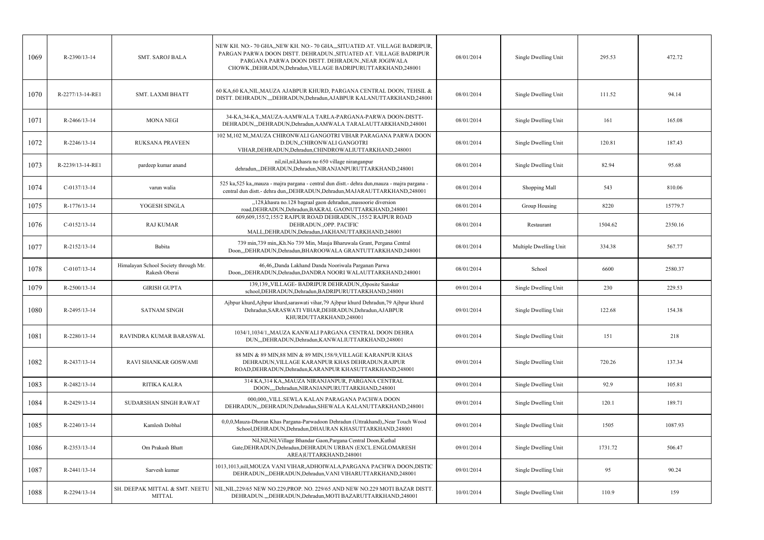| 1069 | R-2390/13-14     | <b>SMT. SAROJ BALA</b>                                | NEW KH. NO:-70 GHA, NEW KH. NO:-70 GHA, SITUATED AT. VILLAGE BADRIPUR,<br>PARGAN PARWA DOON DISTT. DEHRADUN., SITUATED AT. VILLAGE BADRIPUR<br>PARGANA PARWA DOON DISTT. DEHRADUN., NEAR JOGIWALA<br>CHOWK., DEHRADUN, Dehradun, VILLAGE BADRIPURUTTARKHAND, 248001 | 08/01/2014 | Single Dwelling Unit   | 295.53  | 472.72  |
|------|------------------|-------------------------------------------------------|---------------------------------------------------------------------------------------------------------------------------------------------------------------------------------------------------------------------------------------------------------------------|------------|------------------------|---------|---------|
| 1070 | R-2277/13-14-RE1 | <b>SMT. LAXMI BHATT</b>                               | 60 KA, 60 KA, NIL, MAUZA AJABPUR KHURD, PARGANA CENTRAL DOON, TEHSIL &<br>DISTT. DEHRADUN.,,,DEHRADUN,Dehradun,AJABPUR KALANUTTARKHAND,248001                                                                                                                       | 08/01/2014 | Single Dwelling Unit   | 111.52  | 94.14   |
| 1071 | R-2466/13-14     | <b>MONA NEGI</b>                                      | 34-KA.34-KA., MAUZA-AAMWALA TARLA-PARGANA-PARWA DOON-DISTT-<br>DEHRADUN,,,DEHRADUN,Dehradun,AAMWALA TARALAUTTARKHAND,248001                                                                                                                                         | 08/01/2014 | Single Dwelling Unit   | 161     | 165.08  |
| 1072 | R-2246/13-14     | <b>RUKSANA PRAVEEN</b>                                | 102 M,102 M,,MAUZA CHIRONWALI GANGOTRI VIHAR PARAGANA PARWA DOON<br>D.DUN,,CHIRONWALI GANGOTRI<br>VIHAR, DEHRADUN, Dehradun, CHINDROWALIUTTARKHAND, 248001                                                                                                          | 08/01/2014 | Single Dwelling Unit   | 120.81  | 187.43  |
| 1073 | R-2239/13-14-RE1 | pardeep kumar anand                                   | nil, nil, nil, khasra no 650 village niranganpur<br>dehradun,,,DEHRADUN,Dehradun,NIRANJANPURUTTARKHAND,248001                                                                                                                                                       | 08/01/2014 | Single Dwelling Unit   | 82.94   | 95.68   |
| 1074 | $C-0137/13-14$   | varun walia                                           | 525 ka, 525 ka, mauza - majra pargana - central dun distt. - dehra dun mauza - majra pargana<br>central dun distt.- dehra dun, DEHRADUN, Dehradun, MAJARAUTTARKHAND, 248001                                                                                         | 08/01/2014 | Shopping Mall          | 543     | 810.06  |
| 1075 | R-1776/13-14     | YOGESH SINGLA                                         | "128, khasra no.128 bagraal gaon dehradun, massoorie diversion<br>road, DEHRADUN, Dehradun, BAKRAL GAONUTTARKHAND, 248001                                                                                                                                           | 08/01/2014 | Group Housing          | 8220    | 15779.7 |
| 1076 | $C-0152/13-14$   | <b>RAJ KUMAR</b>                                      | 609,609,155/2,155/2 RAJPUR ROAD DEHRADUN.,155/2 RAJPUR ROAD<br>DEHRADUN., OPP. PACIFIC<br>MALL, DEHRADUN, Dehradun, JAKHANUTTARKHAND, 248001                                                                                                                        | 08/01/2014 | Restaurant             | 1504.62 | 2350.16 |
| 1077 | R-2152/13-14     | Babita                                                | 739 min, 739 min, Kh. No 739 Min, Mauja Bharuwala Grant, Pergana Central<br>Doon,,,DEHRADUN,Dehradun,BHAROOWALA GRANTUTTARKHAND,248001                                                                                                                              | 08/01/2014 | Multiple Dwelling Unit | 334.38  | 567.77  |
| 1078 | $C-0107/13-14$   | Himalayan School Society through Mr.<br>Rakesh Oberai | 46,46, Danda Lakhand Danda Nooriwala Parganan Parwa<br>Doon,,,DEHRADUN,Dehradun,DANDRA NOORI WALAUTTARKHAND,248001                                                                                                                                                  | 08/01/2014 | School                 | 6600    | 2580.37 |
| 1079 | $R-2500/13-14$   | <b>GIRISH GUPTA</b>                                   | 139,139, VILLAGE- BADRIPUR DEHRADUN, Oposite Sanskar<br>school.DEHRADUN.Dehradun.BADRIPURUTTARKHAND.248001                                                                                                                                                          | 09/01/2014 | Single Dwelling Unit   | 230     | 229.53  |
| 1080 | R-2495/13-14     | <b>SATNAM SINGH</b>                                   | Ajbpur khurd, Ajbpur khurd, saraswati vihar, 79 Ajbpur khurd Dehradun, 79 Ajbpur khurd<br>Dehradun, SARASWATI VIHAR, DEHRADUN, Dehradun, AJABPUR<br>KHURDUTTARKHAND,248001                                                                                          | 09/01/2014 | Single Dwelling Unit   | 122.68  | 154.38  |
| 1081 | R-2280/13-14     | RAVINDRA KUMAR BARASWAL                               | 1034/1,1034/1,,MAUZA KANWALI PARGANA CENTRAL DOON DEHRA<br>DUN,,,DEHRADUN,Dehradun,KANWALIUTTARKHAND,248001                                                                                                                                                         | 09/01/2014 | Single Dwelling Unit   | 151     | 218     |
| 1082 | R-2437/13-14     | RAVI SHANKAR GOSWAMI                                  | 88 MIN & 89 MIN, 88 MIN & 89 MIN, 158/9, VILLAGE KARANPUR KHAS<br>DEHRADUN, VILLAGE KARANPUR KHAS DEHRADUN, RAJPUR<br>ROAD, DEHRADUN, Dehradun, KARANPUR KHASUTTARKHAND, 248001                                                                                     | 09/01/2014 | Single Dwelling Unit   | 720.26  | 137.34  |
| 1083 | R-2482/13-14     | RITIKA KALRA                                          | 314 KA, 314 KA, MAUZA NIRANJANPUR, PARGANA CENTRAL<br>DOON,,,,Dehradun,NIRANJANPURUTTARKHAND,248001                                                                                                                                                                 | 09/01/2014 | Single Dwelling Unit   | 92.9    | 105.81  |
| 1084 | R-2429/13-14     | SUDARSHAN SINGH RAWAT                                 | 000,000, VILL.SEWLA KALAN PARAGANA PACHWA DOON<br>DEHRADUN, "DEHRADUN, Dehradun, SHEWALA KALANUTTARKHAND, 248001                                                                                                                                                    | 09/01/2014 | Single Dwelling Unit   | 120.1   | 189.71  |
| 1085 | R-2240/13-14     | Kamlesh Dobhal                                        | 0,0,0,Mauza-Dhoran Khas Pargana-Parwadoon Dehradun (Uttrakhand),,Near Touch Wood<br>School, DEHRADUN, Dehradun, DHAURAN KHASUTTARKHAND, 248001                                                                                                                      | 09/01/2014 | Single Dwelling Unit   | 1505    | 1087.93 |
| 1086 | R-2353/13-14     | Om Prakash Bhatt                                      | Nil, Nil, Nil, Village Bhandar Gaon, Pargana Central Doon, Kuthal<br>Gate, DEHRADUN, Dehradun, DEHRADUN URBAN (EXCL.ENGLOMARESH<br>AREA)UTTARKHAND,248001                                                                                                           | 09/01/2014 | Single Dwelling Unit   | 1731.72 | 506.47  |
| 1087 | R-2441/13-14     | Sarvesh kumar                                         | 1013,1013,nill,MOUZA VANI VIHAR,ADHOIWALA,PARGANA PACHWA DOON,DISTIC<br>DEHRADUN,,,DEHRADUN,Dehradun,VANI VIHARUTTARKHAND,248001                                                                                                                                    | 09/01/2014 | Single Dwelling Unit   | 95      | 90.24   |
| 1088 | R-2294/13-14     | SH. DEEPAK MITTAL & SMT. NEETU<br><b>MITTAL</b>       | NIL, NIL, 229/65 NEW NO.229, PROP. NO. 229/65 AND NEW NO.229 MOTI BAZAR DISTT.<br>DEHRADUN.,,DEHRADUN,Dehradun,MOTI BAZARUTTARKHAND,248001                                                                                                                          | 10/01/2014 | Single Dwelling Unit   | 110.9   | 159     |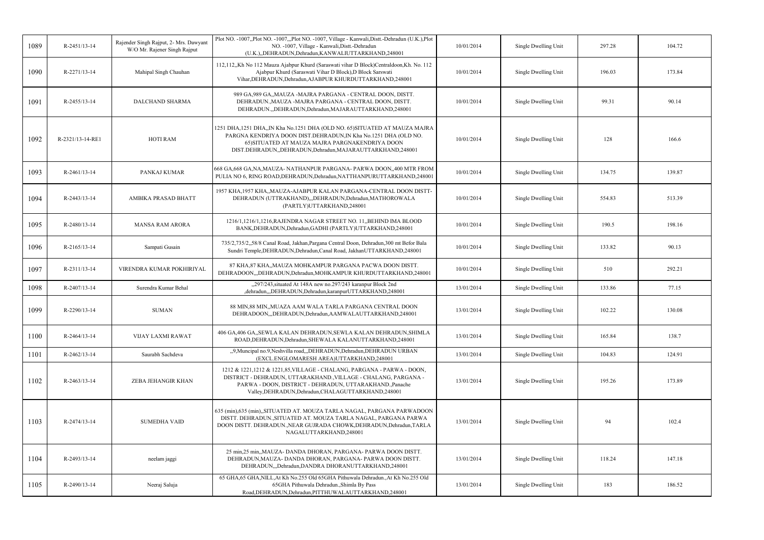| 1089 | R-2451/13-14       | Rajender Singh Rajput, 2- Mrs. Dawyant<br>W/O Mr. Rajener Singh Rajput | Plot NO. -1007, Plot NO. -1007, Plot NO. -1007, Village - Kanwali, Distt.-Dehradun (U.K.), Plot<br>NO. -1007, Village - Kanwali, Distt.-Dehradun<br>(U.K.),,DEHRADUN,Dehradun,KANWALIUTTARKHAND,248001                                                        | 10/01/2014 | Single Dwelling Unit | 297.28 | 104.72 |
|------|--------------------|------------------------------------------------------------------------|---------------------------------------------------------------------------------------------------------------------------------------------------------------------------------------------------------------------------------------------------------------|------------|----------------------|--------|--------|
| 1090 | R-2271/13-14       | Mahipal Singh Chauhan                                                  | 112,112,,Kh No 112 Mauza Ajabpur Khurd (Saraswati vihar D Block)Centraldoon,Kh. No. 112<br>Ajabpur Khurd (Saraswati Vihar D Block), D Block Sarswati<br>Vihar, DEHRADUN, Dehradun, AJABPUR KHURDUTTARKHAND, 248001                                            | 10/01/2014 | Single Dwelling Unit | 196.03 | 173.84 |
| 1091 | R-2455/13-14       | <b>DALCHAND SHARMA</b>                                                 | 989 GA, 989 GA, MAUZA - MAJRA PARGANA - CENTRAL DOON, DISTT.<br>DEHRADUN., MAUZA -MAJRA PARGANA - CENTRAL DOON, DISTT.<br>DEHRADUN., DEHRADUN, Dehradun, MAJARAUTTARKHAND, 248001                                                                             | 10/01/2014 | Single Dwelling Unit | 99.31  | 90.14  |
| 1092 | R-2321/13-14-RE1   | <b>HOTI RAM</b>                                                        | 1251 DHA,1251 DHA,,IN Kha No.1251 DHA (OLD NO. 65)SITUATED AT MAUZA MAJRA<br>PARGNA KENDRIYA DOON DIST.DEHRADUN,IN Kha No.1251 DHA (OLD NO.<br>65) SITUATED AT MAUZA MAJRA PARGNAKENDRIYA DOON<br>DIST.DEHRADUN, DEHRADUN, Dehradun, MAJARAUTTARKHAND, 248001 | 10/01/2014 | Single Dwelling Unit | 128    | 166.6  |
| 1093 | R-2461/13-14       | PANKAJ KUMAR                                                           | 668 GA, 668 GA, NA, MAUZA- NATHANPUR PARGANA- PARWA DOON, 400 MTR FROM<br>PULIA NO 6, RING ROAD, DEHRADUN, Dehradun, NATTHANPURUTTARKHAND, 248001                                                                                                             | 10/01/2014 | Single Dwelling Unit | 134.75 | 139.87 |
| 1094 | R-2443/13-14       | AMBIKA PRASAD BHATT                                                    | 1957 KHA,1957 KHA,,MAUZA-AJABPUR KALAN PARGANA-CENTRAL DOON DISTT-<br>DEHRADUN (UTTRAKHAND),,,DEHRADUN,Dehradun,MATHOROWALA<br>(PARTLY)UTTARKHAND,248001                                                                                                      | 10/01/2014 | Single Dwelling Unit | 554.83 | 513.39 |
| 1095 | R-2480/13-14       | <b>MANSA RAM ARORA</b>                                                 | 1216/1,1216/1,1216, RAJENDRA NAGAR STREET NO. 11, BEHIND IMA BLOOD<br>BANK, DEHRADUN, Dehradun, GADHI (PARTLY) UTTARKHAND, 248001                                                                                                                             | 10/01/2014 | Single Dwelling Unit | 190.5  | 198.16 |
| 1096 | R-2165/13-14       | Sampati Gusain                                                         | 735/2,735/2,,58/8 Canal Road, Jakhan, Pargana Central Doon, Dehradun, 300 mt Befor Bala<br>Sundri Temple, DEHRADUN, Dehradun, Canal Road, JakhanUTTARKHAND, 248001                                                                                            | 10/01/2014 | Single Dwelling Unit | 133.82 | 90.13  |
| 1097 | R-2311/13-14       | VIRENDRA KUMAR POKHIRIYAL                                              | 87 KHA, 87 KHA,, MAUZA MOHKAMPUR PARGANA PACWA DOON DISTT.<br>DEHRADOON,,,DEHRADUN,Dehradun,MOHKAMPUR KHURDUTTARKHAND,248001                                                                                                                                  | 10/01/2014 | Single Dwelling Unit | 510    | 292.21 |
| 1098 | R-2407/13-14       | Surendra Kumar Behal                                                   | "297/243, situated At 148A new no.297/243 karanpur Block 2nd<br>,dehradun,,,DEHRADUN,Dehradun,karanpurUTTARKHAND,248001                                                                                                                                       | 13/01/2014 | Single Dwelling Unit | 133.86 | 77.15  |
| 1099 | R-2290/13-14       | <b>SUMAN</b>                                                           | 88 MIN,88 MIN,,MUAZA AAM WALA TARLA PARGANA CENTRAL DOON<br>DEHRADOON,,,DEHRADUN,Dehradun,AAMWALAUTTARKHAND,248001                                                                                                                                            | 13/01/2014 | Single Dwelling Unit | 102.22 | 130.08 |
| 1100 | $R - 2464/13 - 14$ | VIJAY LAXMI RAWAT                                                      | 406 GA,406 GA,,SEWLA KALAN DEHRADUN,SEWLA KALAN DEHRADUN,SHIMLA<br>ROAD, DEHRADUN, Dehradun, SHEWALA KALANUTTARKHAND, 248001                                                                                                                                  | 13/01/2014 | Single Dwelling Unit | 165.84 | 138.7  |
| 1101 | $R-2462/13-14$     | Saurabh Sachdeva                                                       | "9,Muncipal no.9,Neshvilla road",DEHRADUN,Dehradun,DEHRADUN URBAN<br>(EXCL.ENGLOMARESH AREA)UTTARKHAND,248001                                                                                                                                                 | 13/01/2014 | Single Dwelling Unit | 104.83 | 124.91 |
| 1102 | R-2463/13-14       | ZEBA JEHANGIR KHAN                                                     | 1212 & 1221,1212 & 1221,85, VILLAGE - CHALANG, PARGANA - PARWA - DOON,<br>DISTRICT - DEHRADUN, UTTARAKHAND., VILLAGE - CHALANG, PARGANA -<br>PARWA - DOON, DISTRICT - DEHRADUN, UTTARAKHAND., Panache<br>Valley, DEHRADUN, Dehradun, CHALAGUTTARKHAND, 248001 | 13/01/2014 | Single Dwelling Unit | 195.26 | 173.89 |
| 1103 | R-2474/13-14       | <b>SUMEDHA VAID</b>                                                    | 635 (min),635 (min),,SITUATED AT. MOUZA TARLA NAGAL, PARGANA PARWADOON<br>DISTT. DEHRADUN., SITUATED AT. MOUZA TARLA NAGAL, PARGANA PARWA<br>DOON DISTT. DEHRADUN., NEAR GUJRADA CHOWK, DEHRADUN, Dehradun, TARLA<br>NAGALUTTARKHAND,248001                   | 13/01/2014 | Single Dwelling Unit | 94     | 102.4  |
| 1104 | R-2493/13-14       | neelam jaggi                                                           | 25 min, 25 min, MAUZA- DANDA DHORAN, PARGANA- PARWA DOON DISTT.<br>DEHRADUN, MAUZA- DANDA DHORAN, PARGANA- PARWA DOON DISTT.<br>DEHRADUN, "Dehradun, DANDRA DHORANUTTARKHAND, 248001                                                                          | 13/01/2014 | Single Dwelling Unit | 118.24 | 147.18 |
| 1105 | R-2490/13-14       | Neeraj Saluja                                                          | 65 GHA,65 GHA,NILL,At Kh No.255 Old 65GHA Pithuwala Dehradun.,At Kh No.255 Old<br>65GHA Pithuwala Dehradun., Shimla By Pass<br>Road, DEHRADUN, Dehradun, PITTHUWALAUTTARKHAND, 248001                                                                         | 13/01/2014 | Single Dwelling Unit | 183    | 186.52 |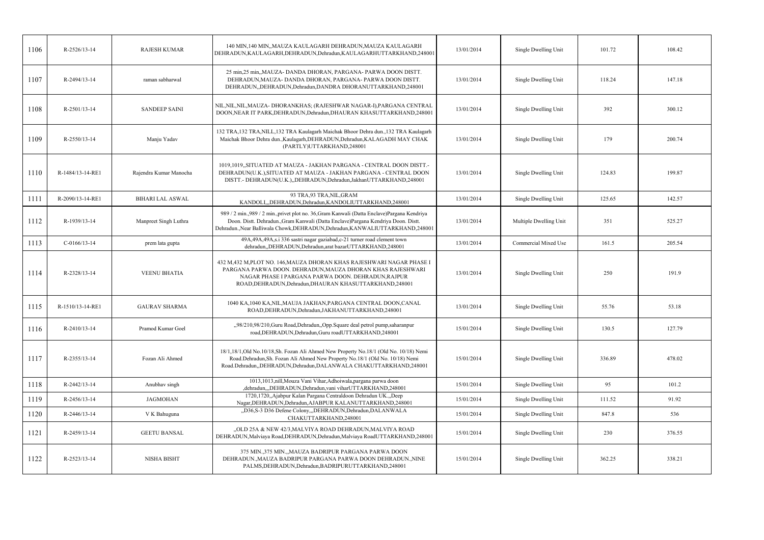| 1106 | R-2526/13-14       | <b>RAJESH KUMAR</b>     | 140 MIN,140 MIN,,MAUZA KAULAGARH DEHRADUN,MAUZA KAULAGARH                                                                                                                                                                                                            | 13/01/2014 | Single Dwelling Unit   | 101.72 | 108.42 |
|------|--------------------|-------------------------|----------------------------------------------------------------------------------------------------------------------------------------------------------------------------------------------------------------------------------------------------------------------|------------|------------------------|--------|--------|
|      |                    |                         | DEHRADUN, KAULAGARH, DEHRADUN, Dehradun, KAULAGARHUTTARKHAND, 248001                                                                                                                                                                                                 |            |                        |        |        |
| 1107 | R-2494/13-14       | raman sabharwal         | 25 min, 25 min, MAUZA- DANDA DHORAN, PARGANA- PARWA DOON DISTT.<br>DEHRADUN, MAUZA- DANDA DHORAN, PARGANA- PARWA DOON DISTT.<br>DEHRADUN, DEHRADUN, Dehradun, DANDRA DHORANUTTARKHAND, 248001                                                                        | 13/01/2014 | Single Dwelling Unit   | 118.24 | 147.18 |
| 1108 | R-2501/13-14       | <b>SANDEEP SAINI</b>    | NIL, NIL, NIL, MAUZA- DHORANKHAS; (RAJESHWAR NAGAR-I), PARGANA CENTRAL<br>DOON, NEAR IT PARK, DEHRADUN, Dehradun, DHAURAN KHASUTTARKHAND, 248001                                                                                                                     | 13/01/2014 | Single Dwelling Unit   | 392    | 300.12 |
| 1109 | $R - 2550/13 - 14$ | Manju Yadav             | 132 TRA, 132 TRA, NILL, 132 TRA Kaulagarh Maichak Bhoor Dehra dun., 132 TRA Kaulagarh<br>Maichak Bhoor Dehra dun., Kaulagarh, DEHRADUN, Dehradun, KALAGADH MAY CHAK<br>(PARTLY)UTTARKHAND,248001                                                                     | 13/01/2014 | Single Dwelling Unit   | 179    | 200.74 |
| 1110 | R-1484/13-14-RE1   | Rajendra Kumar Manocha  | 1019,1019,,SITUATED AT MAUZA - JAKHAN PARGANA - CENTRAL DOON DISTT.-<br>DEHRADUN(U.K.), SITUATED AT MAUZA - JAKHAN PARGANA - CENTRAL DOON<br>DISTT.- DEHRADUN(U.K.),,DEHRADUN,Dehradun,JakhanUTTARKHAND,248001                                                       | 13/01/2014 | Single Dwelling Unit   | 124.83 | 199.87 |
| 1111 | R-2090/13-14-RE1   | <b>BIHARI LAL ASWAL</b> | 93 TRA, 93 TRA, NIL, GRAM<br>KANDOLI,,,DEHRADUN,Dehradun,KANDOLIUTTARKHAND,248001                                                                                                                                                                                    | 13/01/2014 | Single Dwelling Unit   | 125.65 | 142.57 |
| 1112 | R-1939/13-14       | Manpreet Singh Luthra   | 989 / 2 min.,989 / 2 min., privet plot no. 36, Gram Kanwali (Datta Enclave) Pargana Kendriya<br>Doon. Distt. Dehradun., Gram Kanwali (Datta Enclave) Pargana Kendriya Doon. Distt.<br>Dehradun., Near Balliwala Chowk, DEHRADUN, Dehradun, KANWALIUTTARKHAND, 248001 | 13/01/2014 | Multiple Dwelling Unit | 351    | 525.27 |
| 1113 | $C-0166/13-14$     | prem lata gupta         | 49A, 49A, 49A, s.i 336 sastri nagar gaziabad, c-21 turner road clement town<br>dehradun, DEHRADUN, Dehradun, arat bazarUTTARKHAND, 248001                                                                                                                            | 13/01/2014 | Commercial Mixed Use   | 161.5  | 205.54 |
| 1114 | R-2328/13-14       | <b>VEENU BHATIA</b>     | 432 M,432 M,PLOT NO. 146,MAUZA DHORAN KHAS RAJESHWARI NAGAR PHASE I<br>PARGANA PARWA DOON. DEHRADUN, MAUZA DHORAN KHAS RAJESHWARI<br>NAGAR PHASE I PARGANA PARWA DOON. DEHRADUN, RAJPUR<br>ROAD, DEHRADUN, Dehradun, DHAURAN KHASUTTARKHAND, 248001                  | 13/01/2014 | Single Dwelling Unit   | 250    | 191.9  |
| 1115 | R-1510/13-14-RE1   | <b>GAURAV SHARMA</b>    | 1040 KA,1040 KA,NIL,MAUJA JAKHAN,PARGANA CENTRAL DOON,CANAL<br>ROAD, DEHRADUN, Dehradun, JAKHANUTTARKHAND, 248001                                                                                                                                                    | 13/01/2014 | Single Dwelling Unit   | 55.76  | 53.18  |
| 1116 | $R-2410/13-14$     | Pramod Kumar Goel       | "98/210,98/210, Guru Road, Dehradun, Opp. Square deal petrol pump, saharanpur<br>road, DEHRADUN, Dehradun, Guru roadUTTARKHAND, 248001                                                                                                                               | 15/01/2014 | Single Dwelling Unit   | 130.5  | 127.79 |
| 1117 | R-2355/13-14       | Fozan Ali Ahmed         | 18/1,18/1,0ld No.10/18,Sh. Fozan Ali Ahmed New Property No.18/1 (Old No. 10/18) Nemi<br>Road.Dehradun,Sh. Fozan Ali Ahmed New Property No.18/1 (Old No. 10/18) Nemi<br>Road.Dehradun,,DEHRADUN,Dehradun,DALANWALA CHAKUTTARKHAND,248001                              | 15/01/2014 | Single Dwelling Unit   | 336.89 | 478.02 |
| 1118 | R-2442/13-14       | Anubhav singh           | 1013,1013,nill,Mouza Vani Vihar,Adhoiwala,pargana parwa doon<br>,dehradun,,,DEHRADUN,Dehradun,vani viharUTTARKHAND,248001                                                                                                                                            | 15/01/2014 | Single Dwelling Unit   | 95     | 101.2  |
| 1119 | R-2456/13-14       | <b>JAGMOHAN</b>         | 1720,1720, Ajabpur Kalan Pargana Centraldoon Dehradun UK., Deep<br>Nagar, DEHRADUN, Dehradun, AJABPUR KALANUTTARKHAND, 248001                                                                                                                                        | 15/01/2014 | Single Dwelling Unit   | 111.52 | 91.92  |
| 1120 | R-2446/13-14       | V K Bahuguna            | "D36,S-3 D36 Defene Colony,"DEHRADUN,Dehradun,DALANWALA<br>CHAKUTTARKHAND,248001                                                                                                                                                                                     | 15/01/2014 | Single Dwelling Unit   | 847.8  | 536    |
| 1121 | R-2459/13-14       | <b>GEETU BANSAL</b>     | "OLD 25A & NEW 42/3, MALVIYA ROAD DEHRADUN, MALVIYA ROAD<br>DEHRADUN, Malviaya Road, DEHRADUN, Dehradun, Malviaya RoadUTTARKHAND, 248001                                                                                                                             | 15/01/2014 | Single Dwelling Unit   | 230    | 376.55 |
| 1122 | R-2523/13-14       | NISHA BISHT             | 375 MIN., 375 MIN., , MAUZA BADRIPUR PARGANA PARWA DOON<br>DEHRADUN., MAUZA BADRIPUR PARGANA PARWA DOON DEHRADUN., NINE<br>PALMS, DEHRADUN, Dehradun, BADRIPURUTTARKHAND, 248001                                                                                     | 15/01/2014 | Single Dwelling Unit   | 362.25 | 338.21 |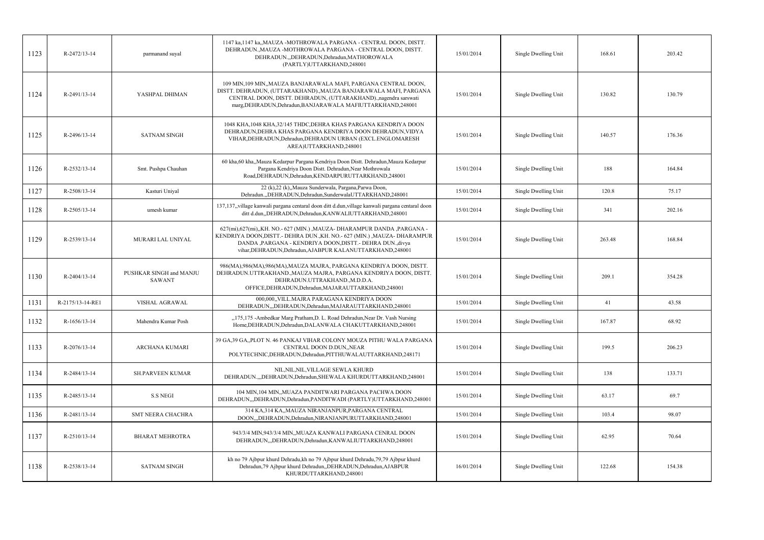| 1123 | R-2472/13-14     | parmanand suyal                          | 1147 ka, 1147 ka, MAUZA - MOTHROWALA PARGANA - CENTRAL DOON, DISTT.<br>DEHRADUN., MAUZA - MOTHROWALA PARGANA - CENTRAL DOON, DISTT.<br>DEHRADUN., DEHRADUN, Dehradun, MATHOROWALA<br>(PARTLY)UTTARKHAND,248001                                                            | 15/01/2014 | Single Dwelling Unit | 168.61 | 203.42 |
|------|------------------|------------------------------------------|---------------------------------------------------------------------------------------------------------------------------------------------------------------------------------------------------------------------------------------------------------------------------|------------|----------------------|--------|--------|
| 1124 | R-2491/13-14     | YASHPAL DHIMAN                           | 109 MIN, 109 MIN, MAUZA BANJARAWALA MAFI, PARGANA CENTRAL DOON,<br>DISTT. DEHRADUN, (UTTARAKHAND)., MAUZA BANJARAWALA MAFI, PARGANA<br>CENTRAL DOON, DISTT. DEHRADUN, (UTTARAKHAND).,nagendra sarswati<br>marg, DEHRADUN, Dehradun, BANJARAWALA MAFIUTTARKHAND, 248001    | 15/01/2014 | Single Dwelling Unit | 130.82 | 130.79 |
| 1125 | R-2496/13-14     | <b>SATNAM SINGH</b>                      | 1048 KHA.1048 KHA.32/145 THDC.DEHRA KHAS PARGANA KENDRIYA DOON<br>DEHRADUN, DEHRA KHAS PARGANA KENDRIYA DOON DEHRADUN, VIDYA<br>VIHAR, DEHRADUN, Dehradun, DEHRADUN URBAN (EXCL. ENGLOMARESH<br>AREA)UTTARKHAND,248001                                                    | 15/01/2014 | Single Dwelling Unit | 140.57 | 176.36 |
| 1126 | R-2532/13-14     | Smt. Pushpa Chauhan                      | 60 kha,60 kha,,Mauza Kedarpur Pargana Kendriya Doon Distt. Dehradun,Mauza Kedarpur<br>Pargana Kendriya Doon Distt. Dehradun, Near Mothrowala<br>Road, DEHRADUN, Dehradun, KENDARPURUTTARKHAND, 248001                                                                     | 15/01/2014 | Single Dwelling Unit | 188    | 164.84 |
| 1127 | R-2508/13-14     | Kasturi Uniyal                           | 22 (k),22 (k),,Mauza Sunderwala, Pargana,Parwa Doon,<br>Dehradun., DEHRADUN, Dehradun, SunderwalaUTTARKHAND, 248001                                                                                                                                                       | 15/01/2014 | Single Dwelling Unit | 120.8  | 75.17  |
| 1128 | R-2505/13-14     | umesh kumar                              | 137,137, village kanwali pargana centaral doon ditt d.dun, village kanwali pargana centaral doon<br>ditt d.dun, DEHRADUN, Dehradun, KANWALIUTTARKHAND, 248001                                                                                                             | 15/01/2014 | Single Dwelling Unit | 341    | 202.16 |
| 1129 | R-2539/13-14     | MURARI LAL UNIYAL                        | 627(mi), 627(mi), KH. NO.-627 (MIN.), MAUZA-DHARAMPUR DANDA, PARGANA -<br>KENDRIYA DOON,DISTT.- DEHRA DUN.,KH. NO.- 627 (MIN.) ,MAUZA- DHARAMPUR<br>DANDA ,PARGANA - KENDRIYA DOON,DISTT.- DEHRA DUN.,divya<br>vihar, DEHRADUN, Dehradun, AJABPUR KALANUTTARKHAND, 248001 | 15/01/2014 | Single Dwelling Unit | 263.48 | 168.84 |
| 1130 | R-2404/13-14     | PUSHKAR SINGH and MANJU<br><b>SAWANT</b> | 986(MA),986(MA),986(MA),MAUZA MAJRA, PARGANA KENDRIYA DOON, DISTT.<br>DEHRADUN.UTTRAKHAND., MAUZA MAJRA, PARGANA KENDRIYA DOON, DISTT.<br>DEHRADUN.UTTRAKHAND., M.D.D.A.<br>OFFICE, DEHRADUN, Dehradun, MAJARAUTTARKHAND, 248001                                          | 15/01/2014 | Single Dwelling Unit | 209.1  | 354.28 |
| 1131 | R-2175/13-14-RE1 |                                          | 000,000, VILL.MAJRA PARAGANA KENDRIYA DOON                                                                                                                                                                                                                                |            |                      |        |        |
|      |                  | VISHAL AGRAWAL                           | DEHRADUN, DEHRADUN, Dehradun, MAJARAUTTARKHAND, 248001                                                                                                                                                                                                                    | 15/01/2014 | Single Dwelling Unit | 41     | 43.58  |
| 1132 | R-1656/13-14     | Mahendra Kumar Posh                      | "175,175 -Ambedkar Marg Pratham, D. L. Road Dehradun, Near Dr. Vash Nursing<br>Home, DEHRADUN, Dehradun, DALANWALA CHAKUTTARKHAND, 248001                                                                                                                                 | 15/01/2014 | Single Dwelling Unit | 167.87 | 68.92  |
| 1133 | R-2076/13-14     | <b>ARCHANA KUMARI</b>                    | 39 GA, 39 GA, PLOT N. 46 PANKAJ VIHAR COLONY MOUZA PITHU WALA PARGANA<br>CENTRAL DOON D.DUN, NEAR<br>POLYTECHNIC, DEHRADUN, Dehradun, PITTHUWALAUTTARKHAND, 248171                                                                                                        | 15/01/2014 | Single Dwelling Unit | 199.5  | 206.23 |
| 1134 | R-2484/13-14     | <b>SH.PARVEEN KUMAR</b>                  | NIL, NIL, NIL, VILLAGE SEWLA KHURD<br>DEHRADUN.,,,DEHRADUN,Dehradun,SHEWALA KHURDUTTARKHAND,248001                                                                                                                                                                        | 15/01/2014 | Single Dwelling Unit | 138    | 133.71 |
| 1135 | R-2485/13-14     | <b>S.S NEGI</b>                          | 104 MIN, 104 MIN,, MUAZA PANDITWARI PARGANA PACHWA DOON<br>DEHRADUN, "DEHRADUN, Dehradun, PANDITWADI (PARTLY) UTTARKHAND, 248001                                                                                                                                          | 15/01/2014 | Single Dwelling Unit | 63.17  | 69.7   |
| 1136 | R-2481/13-14     | SMT NEERA CHACHRA                        | 314 KA,314 KA,,MAUZA NIRANJANPUR,PARGANA CENTRAL<br>DOON,,,DEHRADUN,Dehradun,NIRANJANPURUTTARKHAND,248001                                                                                                                                                                 | 15/01/2014 | Single Dwelling Unit | 103.4  | 98.07  |
| 1137 | $R-2510/13-14$   | <b>BHARAT MEHROTRA</b>                   | 943/3/4 MIN,943/3/4 MIN,,MUAZA KANWALI PARGANA CENRAL DOON<br>DEHRADUN,,,DEHRADUN,Dehradun,KANWALIUTTARKHAND,248001                                                                                                                                                       | 15/01/2014 | Single Dwelling Unit | 62.95  | 70.64  |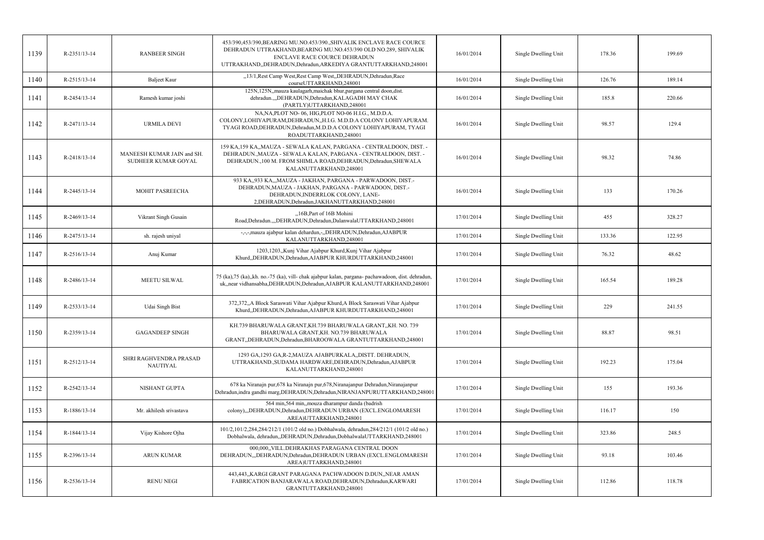| 1139 | R-2351/13-14   | <b>RANBEER SINGH</b>                              | 453/390,453/390,BEARING MU.NO.453/390, SHIVALIK ENCLAVE RACE COURCE<br>DEHRADUN UTTRAKHAND, BEARING MU.NO.453/390 OLD NO.289, SHIVALIK<br><b>ENCLAVE RACE COURCE DEHRADUN</b><br>UTTRAKHAND,,DEHRADUN,Dehradun,ARKEDIYA GRANTUTTARKHAND,248001 | 16/01/2014 | Single Dwelling Unit | 178.36 | 199.69 |
|------|----------------|---------------------------------------------------|------------------------------------------------------------------------------------------------------------------------------------------------------------------------------------------------------------------------------------------------|------------|----------------------|--------|--------|
| 1140 | R-2515/13-14   | Baljeet Kaur                                      | "13/1, Rest Camp West, Rest Camp West, DEHRADUN, Dehradun, Race<br>courseUTTARKHAND,248001                                                                                                                                                     | 16/01/2014 | Single Dwelling Unit | 126.76 | 189.14 |
| 1141 | R-2454/13-14   | Ramesh kumar joshi                                | 125N, 125N, mauza kaulagarh, maichak bhur, pargana central doon, dist.<br>dehradun.,,,DEHRADUN,Dehradun,KALAGADH MAY CHAK<br>(PARTLY)UTTARKHAND,248001                                                                                         | 16/01/2014 | Single Dwelling Unit | 185.8  | 220.66 |
| 1142 | R-2471/13-14   | <b>URMILA DEVI</b>                                | NA, NA, PLOT NO-06, HIG, PLOT NO-06 H.I.G., M.D.D.A.<br>COLONY, LOHIYAPURAM, DEHRADUN,, H.I.G. M.D.D.A COLONY LOHIYAPURAM.<br>TYAGI ROAD, DEHRADUN, Dehradun, M.D.D.A COLONY LOHIYAPURAM, TYAGI<br>ROADUTTARKHAND,248001                       | 16/01/2014 | Single Dwelling Unit | 98.57  | 129.4  |
| 1143 | R-2418/13-14   | MANEESH KUMAR JAIN and SH.<br>SUDHEER KUMAR GOYAL | 159 KA,159 KA,,MAUZA - SEWALA KALAN, PARGANA - CENTRALDOON, DIST. -<br>DEHRADUN., MAUZA - SEWALA KALAN, PARGANA - CENTRALDOON, DIST. -<br>DEHRADUN.,100 M. FROM SHIMLA ROAD, DEHRADUN, Dehradun, SHEWALA<br>KALANUTTARKHAND,248001             | 16/01/2014 | Single Dwelling Unit | 98.32  | 74.86  |
| 1144 | R-2445/13-14   | MOHIT PASREECHA                                   | 933 KA,,933 KA,,,MAUZA - JAKHAN, PARGANA - PARWADOON, DIST.-<br>DEHRADUN, MAUZA - JAKHAN, PARGANA - PARWADOON, DIST.-<br>DEHRADUN, INDERRLOK COLONY, LANE-<br>2, DEHRADUN, Dehradun, JAKHANUTTARKHAND, 248001                                  | 16/01/2014 | Single Dwelling Unit | 133    | 170.26 |
| 1145 | R-2469/13-14   | Vikrant Singh Gusain                              | "16B, Part of 16B Mohini<br>Road, Dehradun.,,, DEHRADUN, Dehradun, DalanwalaUTTARKHAND, 248001                                                                                                                                                 | 17/01/2014 | Single Dwelling Unit | 455    | 328.27 |
| 1146 | R-2475/13-14   | sh. rajesh uniyal                                 | -,-,-,mauza ajabpur kalan dehardun,-,,DEHRADUN,Dehradun,AJABPUR<br>KALANUTTARKHAND,248001                                                                                                                                                      | 17/01/2014 | Single Dwelling Unit | 133.36 | 122.95 |
| 1147 | $R-2516/13-14$ | Anuj Kumar                                        | 1203,1203, Kunj Vihar Ajabpur Khurd, Kunj Vihar Ajabpur<br>Khurd,,DEHRADUN,Dehradun,AJABPUR KHURDUTTARKHAND,248001                                                                                                                             | 17/01/2014 | Single Dwelling Unit | 76.32  | 48.62  |
| 1148 | R-2486/13-14   | MEETU SILWAL                                      | 75 (ka), 75 (ka), kh. no. - 75 (ka), vill- chak ajabpur kalan, pargana- pachawadoon, dist. dehradun,<br>uk, near vidhansabha, DEHRADUN, Dehradun, AJABPUR KALANUTTARKHAND, 248001                                                              | 17/01/2014 | Single Dwelling Unit | 165.54 | 189.28 |
| 1149 | R-2533/13-14   | <b>Udai Singh Bist</b>                            | 372,372,,A Block Saraswati Vihar Ajabpur Khurd,A Block Saraswati Vihar Ajabpur<br>Khurd,,DEHRADUN,Dehradun,AJABPUR KHURDUTTARKHAND,248001                                                                                                      | 17/01/2014 | Single Dwelling Unit | 229    | 241.55 |
| 1150 | R-2359/13-14   | <b>GAGANDEEP SINGH</b>                            | KH.739 BHARUWALA GRANT, KH.739 BHARUWALA GRANT, KH. NO. 739<br>BHARUWALA GRANT, KH. NO.739 BHARUWALA<br>GRANT, DEHRADUN, Dehradun, BHAROOWALA GRANTUTTARKHAND, 248001                                                                          | 17/01/2014 | Single Dwelling Unit | 88.87  | 98.51  |
| 1151 | R-2512/13-14   | SHRI RAGHVENDRA PRASAD<br><b>NAUTIYAL</b>         | 1293 GA, 1293 GA, R-2, MAUZA AJABPURKALA, DISTT. DEHRADUN,<br>UTTRAKHAND., SUDAMA HARDWARE, DEHRADUN, Dehradun, AJABPUR<br>KALANUTTARKHAND,248001                                                                                              | 17/01/2014 | Single Dwelling Unit | 192.23 | 175.04 |
| 1152 | R-2542/13-14   | NISHANT GUPTA                                     | 678 ka Niranajn pur, 678 ka Niranajn pur, 678, Niranajanpur Dehradun, Niranajanpur<br>Dehradun, indra gandhi marg, DEHRADUN, Dehradun, NIRANJANPURUTTARKHAND, 248001                                                                           | 17/01/2014 | Single Dwelling Unit | 155    | 193.36 |
| 1153 | R-1886/13-14   | Mr. akhilesh srivastava                           | 564 min, 564 min, mouza dharampur danda (badrish<br>colony),,,DEHRADUN,Dehradun,DEHRADUN URBAN (EXCL.ENGLOMARESH<br>AREA)UTTARKHAND,248001                                                                                                     | 17/01/2014 | Single Dwelling Unit | 116.17 | 150    |
| 1154 | R-1844/13-14   | Vijay Kishore Ojha                                | 101/2,101/2,284,284/212/1 (101/2 old no.) Dobhalwala, dehradun,284/212/1 (101/2 old no.)<br>Dobhalwala, dehradun, DEHRADUN, Dehradun, DobhalwalaUTTARKHAND, 248001                                                                             | 17/01/2014 | Single Dwelling Unit | 323.86 | 248.5  |
| 1155 | R-2396/13-14   | <b>ARUN KUMAR</b>                                 | 000,000, VILL.DEHRAKHAS PARAGANA CENTRAL DOON<br>DEHRADUN,"DEHRADUN,Dehradun,DEHRADUN URBAN (EXCL.ENGLOMARESH<br>AREA)UTTARKHAND,248001                                                                                                        | 17/01/2014 | Single Dwelling Unit | 93.18  | 103.46 |
| 1156 | R-2536/13-14   | <b>RENU NEGI</b>                                  | 443,443,,KARGI GRANT PARAGANA PACHWADOON D.DUN,,NEAR AMAN<br>FABRICATION BANJARAWALA ROAD, DEHRADUN, Dehradun, KARWARI<br>GRANTUTTARKHAND,248001                                                                                               | 17/01/2014 | Single Dwelling Unit | 112.86 | 118.78 |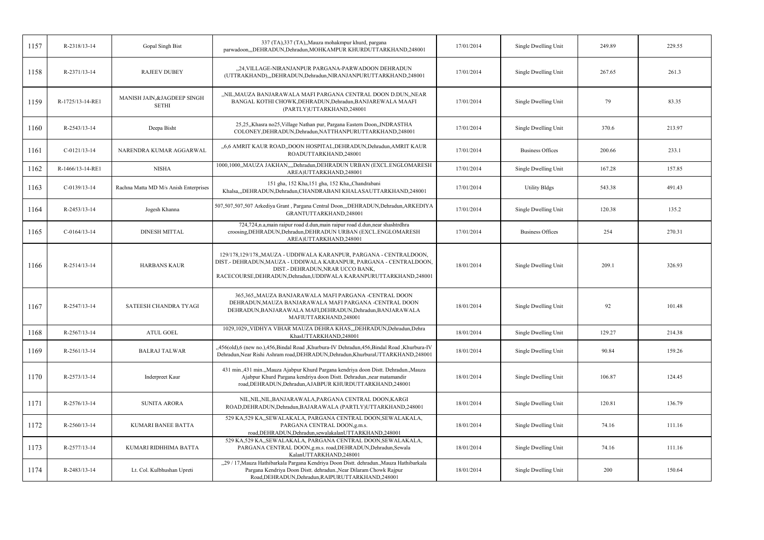| 1157 | R-2318/13-14     | Gopal Singh Bist                             | 337 (TA), 337 (TA), Mauza mohakmpur khurd, pargana<br>parwadoon,,,DEHRADUN,Dehradun,MOHKAMPUR KHURDUTTARKHAND,248001                                                                                                                                | 17/01/2014 | Single Dwelling Unit    | 249.89 | 229.55 |
|------|------------------|----------------------------------------------|-----------------------------------------------------------------------------------------------------------------------------------------------------------------------------------------------------------------------------------------------------|------------|-------------------------|--------|--------|
| 1158 | R-2371/13-14     | <b>RAJEEV DUBEY</b>                          | "24, VILLAGE-NIRANJANPUR PARGANA-PARWADOON DEHRADUN<br>(UTTRAKHAND),,,DEHRADUN,Dehradun,NIRANJANPURUTTARKHAND,248001                                                                                                                                | 17/01/2014 | Single Dwelling Unit    | 267.65 | 261.3  |
| 1159 | R-1725/13-14-RE1 | MANISH JAIN, & JAGDEEP SINGH<br><b>SETHI</b> | "NIL, MAUZA BANJARAWALA MAFI PARGANA CENTRAL DOON D.DUN, NEAR<br>BANGAL KOTHI CHOWK, DEHRADUN, Dehradun, BANJAREWALA MAAFI<br>(PARTLY)UTTARKHAND,248001                                                                                             | 17/01/2014 | Single Dwelling Unit    | 79     | 83.35  |
| 1160 | R-2543/13-14     | Deepa Bisht                                  | 25,25,,Khasra no25,Village Nathan pur, Pargana Eastern Doon,,INDRASTHA<br>COLONEY, DEHRADUN, Dehradun, NATTHANPURUTTARKHAND, 248001                                                                                                                 | 17/01/2014 | Single Dwelling Unit    | 370.6  | 213.97 |
| 1161 | $C-0121/13-14$   | NARENDRA KUMAR AGGARWAL                      | "6,6 AMRIT KAUR ROAD, DOON HOSPITAL, DEHRADUN, Dehradun, AMRIT KAUR<br>ROADUTTARKHAND,248001                                                                                                                                                        | 17/01/2014 | <b>Business Offices</b> | 200.66 | 233.1  |
| 1162 | R-1466/13-14-RE1 | <b>NISHA</b>                                 | 1000,1000,,MAUZA JAKHAN,,,,Dehradun,DEHRADUN URBAN (EXCL.ENGLOMARESH<br>AREA)UTTARKHAND,248001                                                                                                                                                      | 17/01/2014 | Single Dwelling Unit    | 167.28 | 157.85 |
| 1163 | $C-0139/13-14$   | Rachna Matta MD M/s Anish Enterprises        | 151 gha, 152 Kha, 151 gha, 152 Kha, Chandrabani<br>Khalsa,,,DEHRADUN,Dehradun,CHANDRABANI KHALASAUTTARKHAND,248001                                                                                                                                  | 17/01/2014 | <b>Utility Bldgs</b>    | 543.38 | 491.43 |
| 1164 | R-2453/13-14     | Jogesh Khanna                                | 507,507,507,507 Arkediya Grant , Pargana Central Doon,,,DEHRADUN,Dehradun,ARKEDIYA<br>GRANTUTTARKHAND,248001                                                                                                                                        | 17/01/2014 | Single Dwelling Unit    | 120.38 | 135.2  |
| 1165 | $C-0164/13-14$   | <b>DINESH MITTAL</b>                         | 724,724,n.a,main raipur road d.dun,main raipur road d.dun,near shashtrdhra<br>croosing, DEHRADUN, Dehradun, DEHRADUN URBAN (EXCL.ENGLOMARESH<br>AREA)UTTARKHAND,248001                                                                              | 17/01/2014 | <b>Business Offices</b> | 254    | 270.31 |
| 1166 | R-2514/13-14     | <b>HARBANS KAUR</b>                          | 129/178,129/178,,MAUZA - UDDIWALA KARANPUR, PARGANA - CENTRALDOON,<br>DIST.- DEHRADUN, MAUZA - UDDIWALA KARANPUR, PARGANA - CENTRALDOON,<br>DIST.- DEHRADUN, NRAR UCCO BANK,<br>RACECOURSE, DEHRADUN, Dehradun, UDDIWALA KARANPURUTTARKHAND, 248001 | 18/01/2014 | Single Dwelling Unit    | 209.1  | 326.93 |
| 1167 | R-2547/13-14     | SATEESH CHANDRA TYAGI                        | 365,365,,MAUZA BANJARAWALA MAFI PARGANA -CENTRAL DOON<br>DEHRADUN, MAUZA BANJARAWALA MAFI PARGANA -CENTRAL DOON<br>DEHRADUN, BANJARAWALA MAFI, DEHRADUN, Dehradun, BANJARAWALA<br>MAFIUTTARKHAND,248001                                             | 18/01/2014 | Single Dwelling Unit    | 92     | 101.48 |
| 1168 | $R-2567/13-14$   | <b>ATUL GOEL</b>                             | 1029,1029,,VIDHYA VIHAR MAUZA DEHRA KHAS,,,DEHRADUN,Dehradun,Dehra<br>KhasUTTARKHAND,248001                                                                                                                                                         | 18/01/2014 | Single Dwelling Unit    | 129.27 | 214.38 |
| 1169 | R-2561/13-14     | <b>BALRAJ TALWAR</b>                         | "456(old),6 (new no.),456,Bindal Road ,Khurbura-IV Dehradun,456,Bindal Road ,Khurbura-IV<br>Dehradun, Near Rishi Ashram road, DEHRADUN, Dehradun, KhurburaUTTARKHAND, 248001                                                                        | 18/01/2014 | Single Dwelling Unit    | 90.84  | 159.26 |
| 1170 | R-2573/13-14     | Inderpreet Kaur                              | 431 min.,431 min.,,Mauza Ajabpur Khurd Pargana kendriya doon Distt. Dehradun.,Mauza<br>Ajabpur Khurd Pargana kendriya doon Distt. Dehradun.,near matamandir<br>road, DEHRADUN, Dehradun, AJABPUR KHURDUTTARKHAND, 248001                            | 18/01/2014 | Single Dwelling Unit    | 106.87 | 124.45 |
| 1171 | R-2576/13-14     | <b>SUNITA ARORA</b>                          | NIL, NIL, NIL, BANJARAWALA, PARGANA CENTRAL DOON, KARGI<br>ROAD, DEHRADUN, Dehradun, BAJARAWALA (PARTLY) UTTARKHAND, 248001                                                                                                                         | 18/01/2014 | Single Dwelling Unit    | 120.81 | 136.79 |
| 1172 | $R-2560/13-14$   | KUMARI BANEE BATTA                           | 529 KA, 529 KA, SEWALAKALA, PARGANA CENTRAL DOON, SEWALAKALA,<br>PARGANA CENTRAL DOON, g.m.s.<br>road, DEHRADUN, Dehradun, sewalakalan UTTARKHAND, 248001                                                                                           | 18/01/2014 | Single Dwelling Unit    | 74.16  | 111.16 |
| 1173 | R-2577/13-14     | KUMARI RIDHHIMA BATTA                        | 529 KA, 529 KA, SEWALAKALA, PARGANA CENTRAL DOON, SEWALAKALA,<br>PARGANA CENTRAL DOON, g.m.s. road, DEHRADUN, Dehradun, Sewala<br>KalanUTTARKHAND,248001                                                                                            | 18/01/2014 | Single Dwelling Unit    | 74.16  | 111.16 |
| 1174 | R-2483/13-14     | Lt. Col. Kulbhushan Upreti                   | "29 / 17, Mauza Hathibarkala Pargana Kendriya Doon Distt. dehradun., Mauza Hathibarkala<br>Pargana Kendriya Doon Distt. dehradun., Near Dilaram Chowk Rajpur<br>Road, DEHRADUN, Dehradun, RAIPURUTTARKHAND, 248001                                  | 18/01/2014 | Single Dwelling Unit    | 200    | 150.64 |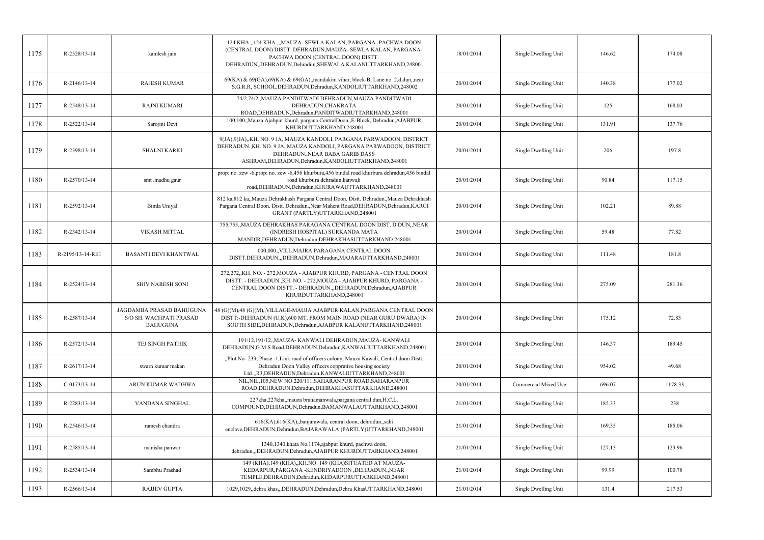| 1175 | R-2528/13-14     | kamlesh jain                                                           | 124 KHA "124 KHA "MAUZA- SEWLA KALAN, PARGANA- PACHWA DOON<br>(CENTRAL DOON) DISTT. DEHRADUN, MAUZA- SEWLA KALAN, PARGANA-<br>PACHWA DOON (CENTRAL DOON) DISTT.<br>DEHRADUN, DEHRADUN, Dehradun, SHEWALA KALANUTTARKHAND, 248001          | 18/01/2014 | Single Dwelling Unit | 146.62 | 174.08  |
|------|------------------|------------------------------------------------------------------------|-------------------------------------------------------------------------------------------------------------------------------------------------------------------------------------------------------------------------------------------|------------|----------------------|--------|---------|
| 1176 | $R-2146/13-14$   | <b>RAJESH KUMAR</b>                                                    | $69(KA)$ & $69(GA)$ , $69(KA)$ & $69(GA)$ , mandakini vihar, block-B, Lane no. 2,d.dun, near<br>S.G.R.R, SCHOOL, DEHRADUN, Dehradun, KANDOLIUTTARKHAND, 248002                                                                            | 20/01/2014 | Single Dwelling Unit | 140.38 | 177.02  |
| 1177 | R-2548/13-14     | <b>RAJNI KUMARI</b>                                                    | 74/2,74/2,,MAUZA PANDITWADI DEHRADUN,MAUZA PANDITWADI<br>DEHRADUN, CHAKRATA<br>ROAD, DEHRADUN, Dehradun, PANDITWADIUTTARKHAND, 248001                                                                                                     | 20/01/2014 | Single Dwelling Unit | 125    | 168.03  |
| 1178 | R-2522/13-14     | Sarojini Devi                                                          | 100,100,,Mauza Ajabpur khurd, pargana CentralDoon,,E-Block,,Dehradun,AJABPUR<br>KHURDUTTARKHAND,248001                                                                                                                                    | 20/01/2014 | Single Dwelling Unit | 131.91 | 137.76  |
| 1179 | R-2398/13-14     | <b>SHALNI KARKI</b>                                                    | 9(JA), 9(JA), KH. NO. 9 JA, MAUZA KANDOLI, PARGANA PARWADOON, DISTRICT<br>DEHRADUN., KH. NO. 9 JA, MAUZA KANDOLI, PARGANA PARWADOON, DISTRICT<br>DEHRADUN., NEAR BABA GARIB DASS<br>ASHRAM, DEHRADUN, Dehradun, KANDOLIUTTARKHAND, 248001 | 20/01/2014 | Single Dwelling Unit | 206    | 197.8   |
| 1180 | R-2570/13-14     | smt .madhu gaur                                                        | prop: no. zew -6,prop: no. zew -6,456 khurbura,456 bindal road khurbura dehradun,456 bindal<br>road khurbura dehradun, kanwali<br>road, DEHRADUN, Dehradun, KHURAWAUTTARKHAND, 248001                                                     | 20/01/2014 | Single Dwelling Unit | 90.84  | 117.15  |
| 1181 | R-2592/13-14     | Bimla Uniyal                                                           | 812 ka, 812 ka, Mauza Dehrakhash Pargana Central Doon. Distt. Dehradun., Mauza Dehrakhash<br>Pargana Central Doon. Distt. Dehradun., Near Mahent Road, DEHRADUN, Dehradun, KARGI<br>GRANT (PARTLY)UTTARKHAND,248001                       | 20/01/2014 | Single Dwelling Unit | 102.21 | 89.88   |
| 1182 | R-2342/13-14     | VIKASH MITTAL                                                          | 755,755, MAUZA DEHRAKHAS PARAGANA CENTRAL DOON DIST. D.DUN, NEAR<br>(INDRESH HOSPITAL) SURKANDA MATA<br>MANDIR, DEHRADUN, Dehradun, DEHRAKHASUTTARKHAND, 248001                                                                           | 20/01/2014 | Single Dwelling Unit | 59.48  | 77.82   |
| 1183 | R-2195/13-14-RE1 | BASANTI DEVI KHANTWAL                                                  | 000,000, VILL.MAJRA PARAGANA CENTRAL DOON<br>DISTT.DEHRADUN,,,DEHRADUN,Dehradun,MAJARAUTTARKHAND,248001                                                                                                                                   | 20/01/2014 | Single Dwelling Unit | 111.48 | 181.8   |
| 1184 | R-2524/13-14     | <b>SHIV NARESH SONI</b>                                                | 272,272, KH. NO. - 272, MOUZA - AJABPUR KHURD, PARGANA - CENTRAL DOON<br>DISTT. - DEHRADUN., KH. NO. - 272, MOUZA - AJABPUR KHURD, PARGANA -<br>CENTRAL DOON DISTT. - DEHRADUN.,,DEHRADUN,Dehradun,AJABPUR<br>KHURDUTTARKHAND,248001      | 20/01/2014 | Single Dwelling Unit | 275.09 | 281.36  |
| 1185 | R-2587/13-14     | JAGDAMBA PRASAD BAHUGUNA<br>S/O SH. WACHPATI PRASAD<br><b>BAHUGUNA</b> | 48 (G)(M),48 (G)(M),,VILLAGE-MAUJA AJABPUR KALAN,PARGANA CENTRAL DOON<br>DISTT:-DEHRADUN (U.K),600 MT. FROM MAIN ROAD (NEAR GURU DWARA) IN<br>SOUTH SIDE, DEHRADUN, Dehradun, AJABPUR KALANUTTARKHAND, 248001                             | 20/01/2014 | Single Dwelling Unit | 175.12 | 72.83   |
| 1186 | R-2572/13-14     | TEJ SINGH PATHIK                                                       | 191/12,191/12,,MAUZA-KANWALI DEHRADUN,MAUZA-KANWALI<br>DEHRADUN, G.M.S Road, DEHRADUN, Dehradun, KANWALIUTTARKHAND, 248001                                                                                                                | 20/01/2014 | Single Dwelling Unit | 146.37 | 189.45  |
| 1187 | R-2617/13-14     | swarn kumar makan                                                      | "Plot No-233, Phase -1, Link road of officers colony, Mauza Kawali, Central doon Distt.<br>Dehradun Doon Valley officers copprative housing society<br>Ltd.,,R3,DEHRADUN,Dehradun,KANWALIUTTARKHAND,248001                                | 20/01/2014 | Single Dwelling Unit | 954.02 | 49.68   |
| 1188 | $C-0173/13-14$   | ARUN KUMAR WADHWA                                                      | NIL, NIL, 105, NEW NO.220/111, SAHARANPUR ROAD, SAHARANPUR<br>ROAD, DEHRADUN, Dehradun, DEHRAKHASUTTARKHAND, 248001                                                                                                                       | 20/01/2014 | Commercial Mixed Use | 696.07 | 1178.33 |
| 1189 | R-2283/13-14     | VANDANA SINGHAL                                                        | 227kha, 227kha, mauza brahamanwala, pargana central dun, H.C.L.<br>COMPOUND, DEHRADUN, Dehradun, BAMANWALAUTTARKHAND, 248001                                                                                                              | 21/01/2014 | Single Dwelling Unit | 185.33 | 238     |
| 1190 | $R-2546/13-14$   | ramesh chandra                                                         | 616(KA),616(KA),,banjarawala, central doon, dehradun,,sahi<br>enclave, DEHRADUN, Dehradun, BAJARAWALA (PARTLY) UTTARKHAND, 248001                                                                                                         | 21/01/2014 | Single Dwelling Unit | 169.35 | 185.06  |
| 1191 | R-2585/13-14     | manisha panwar                                                         | 1340,1340, khata No.1174, ajabpur khurd, pachwa doon,<br>dehradun,,,DEHRADUN,Dehradun,AJABPUR KHURDUTTARKHAND,248001                                                                                                                      | 21/01/2014 | Single Dwelling Unit | 127.13 | 123.96  |
| 1192 | R-2534/13-14     | Sambhu Prashad                                                         | 149 (KHA), 149 (KHA), KH.NO. 149 (KHA) SITUATED AT MAUZA-<br>KEDARPUR, PARGANA - KENDRIYADOON, DEHRADUN, NEAR<br>TEMPLE, DEHRADUN, Dehradun, KEDARPURUTTARKHAND, 248001                                                                   | 21/01/2014 | Single Dwelling Unit | 99.99  | 100.78  |
| 1193 | R-2566/13-14     | <b>RAJJEV GUPTA</b>                                                    | 1029,1029,,dehra khas,,,DEHRADUN,Dehradun,Dehra KhasUTTARKHAND,248001                                                                                                                                                                     | 21/01/2014 | Single Dwelling Unit | 131.4  | 217.53  |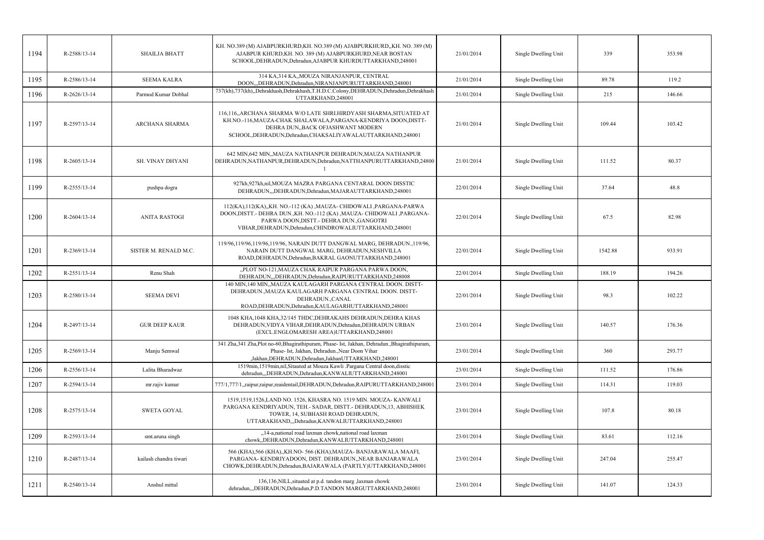| 1194 | R-2588/13-14   | <b>SHAILJA BHATT</b>   | KH. NO.389 (M) AJABPURKHURD, KH. NO.389 (M) AJABPURKHURD, KH. NO. 389 (M)<br>AJABPUR KHURD, KH. NO. 389 (M) AJABPURKHURD, NEAR BOSTAN<br>SCHOOL, DEHRADUN, Dehradun, AJABPUR KHURDUTTARKHAND, 248001                                                   | 21/01/2014 | Single Dwelling Unit | 339     | 353.98 |
|------|----------------|------------------------|--------------------------------------------------------------------------------------------------------------------------------------------------------------------------------------------------------------------------------------------------------|------------|----------------------|---------|--------|
| 1195 | R-2586/13-14   | <b>SEEMA KALRA</b>     | 314 KA,314 KA,,MOUZA NIRANJANPUR, CENTRAL<br>DOON,,,DEHRADUN,Dehradun,NIRANJANPURUTTARKHAND,248001                                                                                                                                                     | 21/01/2014 | Single Dwelling Unit | 89.78   | 119.2  |
| 1196 | R-2626/13-14   | Parmod Kumar Dobhal    | 737(kh),737(kh),,Dehrakhash,Dehrakhash,T.H.D.C.Colony,DEHRADUN,Dehradun,Dehrakhash<br>UTTARKHAND,248001                                                                                                                                                | 21/01/2014 | Single Dwelling Unit | 215     | 146.66 |
| 1197 | R-2597/13-14   | <b>ARCHANA SHARMA</b>  | 116,116,,ARCHANA SHARMA W/O LATE SHRI.HIRDYASH SHARMA,SITUATED AT<br>KH.NO.-116, MAUZA-CHAK SHALAWALA, PARGANA-KENDRIYA DOON, DISTT-<br>DEHRA DUN,, BACK OFJASHWANT MODERN<br>SCHOOL, DEHRADUN, Dehradun, CHAKSALIYAWALAUTTARKHAND, 248001             | 21/01/2014 | Single Dwelling Unit | 109.44  | 103.42 |
| 1198 | $R-2605/13-14$ | SH. VINAY DHYANI       | 642 MIN, 642 MIN,, MAUZA NATHANPUR DEHRADUN, MAUZA NATHANPUR<br>DEHRADUN, NATHANPUR, DEHRADUN, Dehradun, NATTHANPURUTTARKHAND, 24800                                                                                                                   | 21/01/2014 | Single Dwelling Unit | 111.52  | 80.37  |
| 1199 | R-2555/13-14   | pushpa dogra           | 927kh,927kh,nil,MOUZA MAZRA PARGANA CENTARAL DOON DISSTIC<br>DEHRADUN,,,DEHRADUN,Dehradun,MAJARAUTTARKHAND,248001                                                                                                                                      | 22/01/2014 | Single Dwelling Unit | 37.64   | 48.8   |
| 1200 | $R-2604/13-14$ | <b>ANITA RASTOGI</b>   | 112(KA),112(KA),,KH. NO.-112 (KA),MAUZA- CHIDOWALI, PARGANA-PARWA<br>DOON, DISTT. - DEHRA DUN., KH. NO.-112 (KA), MAUZA - CHIDOWALI, PARGANA-<br>PARWA DOON, DISTT. - DEHRA DUN., GANGOTRI<br>VIHAR, DEHRADUN, Dehradun, CHINDROWALIUTTARKHAND, 248001 | 22/01/2014 | Single Dwelling Unit | 67.5    | 82.98  |
| 1201 | R-2369/13-14   | SISTER M. RENALD M.C.  | 119/96,119/96,119/96,119/96, NARAIN DUTT DANGWAL MARG, DEHRADUN.,119/96,<br>NARAIN DUTT DANGWAL MARG, DEHRADUN, NESHVILLA<br>ROAD, DEHRADUN, Dehradun, BAKRAL GAONUTTARKHAND, 248001                                                                   | 22/01/2014 | Single Dwelling Unit | 1542.88 | 933.91 |
| 1202 | R-2551/13-14   | Renu Shah              | "PLOT NO-121, MAUZA CHAK RAIPUR PARGANA PARWA DOON,<br>DEHRADUN,,,DEHRADUN,Dehradun,RAIPURUTTARKHAND,248008                                                                                                                                            | 22/01/2014 | Single Dwelling Unit | 188.19  | 194.26 |
| 1203 | R-2580/13-14   | <b>SEEMA DEVI</b>      | 140 MIN,140 MIN,, MAUZA KAULAGARH PARGANA CENTRAL DOON. DISTT-<br>DEHRADUN., MAUZA KAULAGARH PARGANA CENTRAL DOON. DISTT-<br>DEHRADUN., CANAL<br>ROAD, DEHRADUN, Dehradun, KAULAGARHUTTARKHAND, 248001                                                 | 22/01/2014 | Single Dwelling Unit | 98.3    | 102.22 |
| 1204 | R-2497/13-14   | <b>GUR DEEP KAUR</b>   | 1048 KHA, 1048 KHA, 32/145 THDC, DEHRAKAHS DEHRADUN, DEHRA KHAS<br>DEHRADUN, VIDYA VIHAR, DEHRADUN, Dehradun, DEHRADUN URBAN<br>(EXCL.ENGLOMARESH AREA)UTTARKHAND,248001                                                                               | 23/01/2014 | Single Dwelling Unit | 140.57  | 176.36 |
| 1205 | R-2569/13-14   | Manju Semwal           | 341 Zha, 341 Zha, Plot no-60, Bhagirathipuram, Phase- Ist, Jakhan, Dehradun., Bhagirathipuram,<br>Phase- Ist, Jakhan, Dehradun., Near Doon Vihar<br>,Jakhan,DEHRADUN,Dehradun,JakhanUTTARKHAND,248001                                                  | 23/01/2014 | Single Dwelling Unit | 360     | 293.77 |
| 1206 | R-2556/13-14   | Lalita Bharadwaz       | 1519min, 1519min, nil, Sitauted at Mouza Kawli .Pargana Central doon, disstic<br>dehradun,,,DEHRADUN,Dehradun,KANWALIUTTARKHAND,248001                                                                                                                 | 23/01/2014 | Single Dwelling Unit | 111.52  | 176.86 |
| 1207 | R-2594/13-14   | mr.rajiv kumar         | 777/1,777/1,raipur,raipur,reaidentail,DEHRADUN,Dehradun,RAIPURUTTARKHAND,248001                                                                                                                                                                        | 23/01/2014 | Single Dwelling Unit | 114.31  | 119.03 |
| 1208 | R-2575/13-14   | <b>SWETA GOYAL</b>     | 1519,1519,1526,LAND NO. 1526, KHASRA NO. 1519 MIN. MOUZA-KANWALI<br>PARGANA KENDRIYADUN, TEH.- SADAR, DISTT.- DEHRADUN, 13, ABHISHEK<br>TOWER, 14, SUBHASH ROAD DEHRADUN,<br>UTTARAKHAND,,,Dehradun,KANWALIUTTARKHAND,248001                           | 23/01/2014 | Single Dwelling Unit | 107.8   | 80.18  |
| 1209 | R-2593/13-14   | smt.aruna singh        | "14-a,national road laxman chowk,national road laxman<br>chowk, DEHRADUN, Dehradun, KANWALIUTTARKHAND, 248001                                                                                                                                          | 23/01/2014 | Single Dwelling Unit | 83.61   | 112.16 |
| 1210 | R-2487/13-14   | kailash chandra tiwari | 566 (KHA),566 (KHA),,KH.NO-566 (KHA),MAUZA-BANJARAWALA MAAFI,<br>PARGANA-KENDRIYADOON, DIST. DEHRADUN, NEAR BANJARAWALA<br>CHOWK, DEHRADUN, Dehradun, BAJARAWALA (PARTLY) UTTARKHAND, 248001                                                           | 23/01/2014 | Single Dwelling Unit | 247.04  | 255.47 |
| 1211 | R-2540/13-14   | Anshul mittal          | 136,136, NILL, situated at p.d. tandon marg, laxman chowk<br>dehradun,,,DEHRADUN,Dehradun,P.D.TANDON MARGUTTARKHAND,248001                                                                                                                             | 23/01/2014 | Single Dwelling Unit | 141.07  | 124.33 |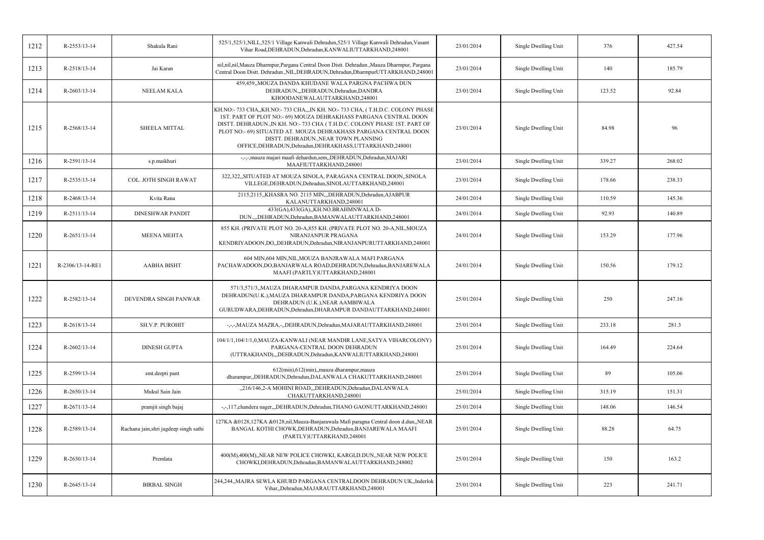| 1212 | R-2553/13-14       | Shakula Rani                           | 525/1,525/1,NILL,525/1 Village Kanwali Dehradun,525/1 Village Kanwali Dehradun, Vasant<br>Vihar Road, DEHRADUN, Dehradun, KANWALIUTTARKHAND, 248001                                                                                                                                                                                                                                                  | 23/01/2014 | Single Dwelling Unit | 376    | 427.54 |
|------|--------------------|----------------------------------------|------------------------------------------------------------------------------------------------------------------------------------------------------------------------------------------------------------------------------------------------------------------------------------------------------------------------------------------------------------------------------------------------------|------------|----------------------|--------|--------|
| 1213 | R-2518/13-14       | Jai Karan                              | nil,nil,nil,Mauza Dharmpur,Pargana Central Doon Distt. Dehradun.,Mauza Dharmpur, Pargana<br>Central Doon Distt. Dehradun., NIL, DEHRADUN, Dehradun, DharmpurUTTARKHAND, 248001                                                                                                                                                                                                                       | 23/01/2014 | Single Dwelling Unit | 140    | 185.79 |
| 1214 | $R - 2603/13 - 14$ | NEELAM KALA                            | 459,459,,MOUZA DANDA KHUDANE WALA PARGNA PACHWA DUN<br>DEHRADUN,,,DEHRADUN,Dehradun,DANDRA<br>KHOODANEWALAUTTARKHAND,248001                                                                                                                                                                                                                                                                          | 23/01/2014 | Single Dwelling Unit | 123.52 | 92.84  |
| 1215 | R-2568/13-14       | SHEELA MITTAL                          | KH.NO:-733 CHA,,KH.NO:-733 CHA,,,IN KH. NO:-733 CHA, (T.H.D.C. COLONY PHASE<br>1ST. PART OF PLOT NO:- 69) MOUZA DEHRAKHASS PARGANA CENTRAL DOON<br>DISTT. DEHRADUN.,IN KH. NO:-733 CHA (T.H.D.C. COLONY PHASE 1ST. PART OF<br>PLOT NO:- 69) SITUATED AT. MOUZA DEHRAKHASS PARGANA CENTRAL DOON<br>DISTT. DEHRADUN., NEAR TOWN PLANNING<br>OFFICE, DEHRADUN, Dehradun, DEHRAKHASS, UTTARKHAND, 248001 | 23/01/2014 | Single Dwelling Unit | 84.98  | 96     |
| 1216 | R-2591/13-14       | s.p.maikhuri                           | -,-,-,mauza majari maafi dehardun,sem,,DEHRADUN,Dehradun,MAJARI<br>MAAFIUTTARKHAND,248001                                                                                                                                                                                                                                                                                                            | 23/01/2014 | Single Dwelling Unit | 339.27 | 268.02 |
| 1217 | R-2535/13-14       | COL. JOTH SINGH RAWAT                  | 322,322, SITUATED AT MOUZA SINOLA, PARAGANA CENTRAL DOON, SINOLA<br>VILLEGE, DEHRADUN, Dehradun, SINOLAUTTARKHAND, 248001                                                                                                                                                                                                                                                                            | 23/01/2014 | Single Dwelling Unit | 178.66 | 238.33 |
| 1218 | R-2468/13-14       | Kvita Rana                             | 2115,2115,,KHASRA NO. 2115 MIN,,,DEHRADUN,Dehradun,AJABPUR<br>KALANUTTARKHAND,248001                                                                                                                                                                                                                                                                                                                 | 24/01/2014 | Single Dwelling Unit | 110.59 | 145.36 |
| 1219 | R-2511/13-14       | <b>DINESHWAR PANDIT</b>                | 433(GA),433(GA),,KH.NO.BRAHMNWALA D-<br>DUN.,,,DEHRADUN,Dehradun,BAMANWALAUTTARKHAND,248001                                                                                                                                                                                                                                                                                                          | 24/01/2014 | Single Dwelling Unit | 92.93  | 140.89 |
| 1220 | R-2651/13-14       | <b>MEENA MEHTA</b>                     | 855 KH. (PRIVATE PLOT NO. 20-A,855 KH. (PRIVATE PLOT NO. 20-A, NIL, MOUZA<br>NIRANJANPUR PRAGANA<br>KENDRIYADOON,DO,,DEHRADUN,Dehradun,NIRANJANPURUTTARKHAND,248001                                                                                                                                                                                                                                  | 24/01/2014 | Single Dwelling Unit | 153.29 | 177.96 |
| 1221 | R-2306/13-14-RE1   | <b>AABHA BISHT</b>                     | 604 MIN, 604 MIN, NIL, MOUZA BANJRAWALA MAFI PARGANA<br>PACHAWADOON,DO,BANJARWALA ROAD,DEHRADUN,Dehradun,BANJAREWALA<br>MAAFI (PARTLY)UTTARKHAND,248001                                                                                                                                                                                                                                              | 24/01/2014 | Single Dwelling Unit | 150.56 | 179.12 |
| 1222 | R-2582/13-14       | DEVENDRA SINGH PANWAR                  | 571/3,571/3,,MAUZA DHARAMPUR DANDA,PARGANA KENDRIYA DOON<br>DEHRADUN(U.K.), MAUZA DHARAMPUR DANDA, PARGANA KENDRIYA DOON<br>DEHRADUN (U.K.), NEAR AAMBIWALA<br>GURUDWARA, DEHRADUN, Dehradun, DHARAMPUR DANDAUTTARKHAND, 248001                                                                                                                                                                      | 25/01/2014 | Single Dwelling Unit | 250    | 247.16 |
| 1223 | R-2618/13-14       | SH.V.P. PUROHIT                        | -,-,-,MAUZA MAZRA,-,,DEHRADUN,Dehradun,MAJARAUTTARKHAND,248001                                                                                                                                                                                                                                                                                                                                       | 25/01/2014 | Single Dwelling Unit | 233.18 | 281.3  |
| 1224 | $R-2602/13-14$     | <b>DINESH GUPTA</b>                    | 104/1/1,104/1/1,0,MAUZA-KANWALI (NEAR MANDIR LANE,SATYA VIHARCOLONY)<br>PARGANA-CENTRAL DOON DEHRADUN<br>(UTTRAKHAND),,,DEHRADUN,Dehradun,KANWALIUTTARKHAND,248001                                                                                                                                                                                                                                   | 25/01/2014 | Single Dwelling Unit | 164.49 | 224.64 |
| 1225 | R-2599/13-14       | smt.deepti pant                        | 612(min), 612(min), mauza dharampur, mauza<br>dharampur,,DEHRADUN,Dehradun,DALANWALA CHAKUTTARKHAND,248001                                                                                                                                                                                                                                                                                           | 25/01/2014 | Single Dwelling Unit | 89     | 105.06 |
| 1226 | $R-2650/13-14$     | Mukul Sain Jain                        | "216/146,2-A MOHINI ROAD, "DEHRADUN, Dehradun, DALANWALA<br>CHAKUTTARKHAND,248001                                                                                                                                                                                                                                                                                                                    | 25/01/2014 | Single Dwelling Unit | 315.19 | 151.31 |
| 1227 | R-2671/13-14       | pramjit singh bajaj                    | -,-,117, chandera nager,,, DEHRADUN, Dehradun, THANO GAONUTTARKHAND, 248001                                                                                                                                                                                                                                                                                                                          | 25/01/2014 | Single Dwelling Unit | 148.06 | 146.54 |
| 1228 | R-2589/13-14       | Rachana jain, shri jagdeep singh sathi | 127KA &0128,127KA &0128,nil, Mauza-Banjarawala Mafi paragna Central doon d.dun,, NEAR<br>BANGAL KOTHI CHOWK, DEHRADUN, Dehradun, BANJAREWALA MAAFI<br>(PARTLY)UTTARKHAND,248001                                                                                                                                                                                                                      | 25/01/2014 | Single Dwelling Unit | 88.28  | 64.75  |
| 1229 | $R - 2630/13 - 14$ | Premlata                               | 400(M),400(M),,NEAR NEW POLICE CHOWKI, KARGI,D.DUN,,NEAR NEW POLICE<br>CHOWKI, DEHRADUN, Dehradun, BAMANWALAUTTARKHAND, 248002                                                                                                                                                                                                                                                                       | 25/01/2014 | Single Dwelling Unit | 150    | 163.2  |
| 1230 | R-2645/13-14       | <b>BIRBAL SINGH</b>                    | 244,244,,MAJRA SEWLA KHURD PARGANA CENTRALDOON DEHRADUN UK,,Inderlok<br>Vihar,,Dehradun,MAJARAUTTARKHAND,248001                                                                                                                                                                                                                                                                                      | 25/01/2014 | Single Dwelling Unit | 223    | 241.71 |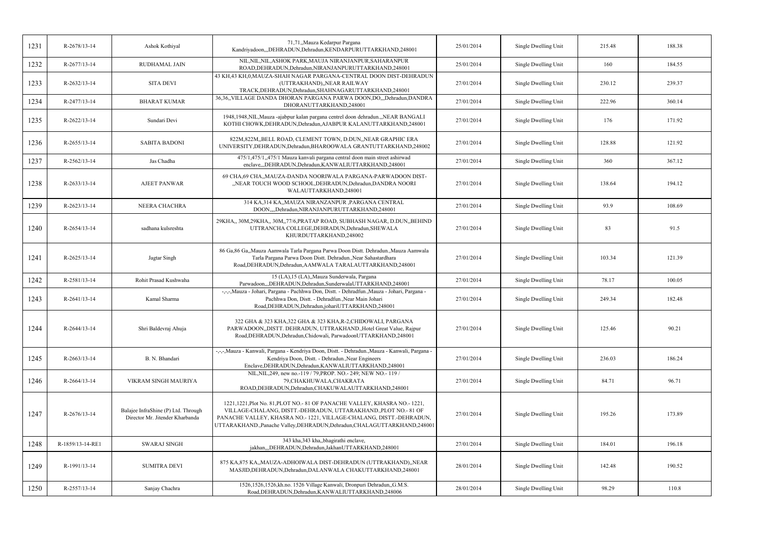| 1231 | R-2678/13-14     | Ashok Kothiyal                                                         | 71,71,,Mauza Kedarpur Pargana<br>Kandriyadoon,,,DEHRADUN,Dehradun,KENDARPURUTTARKHAND,248001                                                                                                                                                                                                    | 25/01/2014 | Single Dwelling Unit | 215.48 | 188.38 |
|------|------------------|------------------------------------------------------------------------|-------------------------------------------------------------------------------------------------------------------------------------------------------------------------------------------------------------------------------------------------------------------------------------------------|------------|----------------------|--------|--------|
| 1232 | R-2677/13-14     | <b>RUDHAMAL JAIN</b>                                                   | NIL, NIL, NIL, ASHOK PARK, MAUJA NIRANJANPUR, SAHARANPUR<br>ROAD, DEHRADUN, Dehradun, NIRANJANPURUTTARKHAND, 248001                                                                                                                                                                             | 25/01/2014 | Single Dwelling Unit | 160    | 184.55 |
| 1233 | R-2632/13-14     | <b>SITA DEVI</b>                                                       | 43 KH,43 KH,0,MAUZA-SHAH NAGAR PARGANA-CENTRAL DOON DIST-DEHRADUN<br>(UTTRAKHAND),,NEAR RAILWAY<br>TRACK, DEHRADUN, Dehradun, SHAHNAGARUTTARKHAND, 248001                                                                                                                                       | 27/01/2014 | Single Dwelling Unit | 230.12 | 239.37 |
| 1234 | R-2477/13-14     | <b>BHARAT KUMAR</b>                                                    | 36,36,,VILLAGE DANDA DHORAN PARGANA PARWA DOON,DO.,,Dehradun,DANDRA<br>DHORANUTTARKHAND,248001                                                                                                                                                                                                  | 27/01/2014 | Single Dwelling Unit | 222.96 | 360.14 |
| 1235 | R-2622/13-14     | Sundari Devi                                                           | 1948, 1948, NIL, Mauza -ajabpur kalan pargana centrel doon dehradun., NEAR BANGALI<br>KOTHI CHOWK, DEHRADUN, Dehradun, AJABPUR KALANUTTARKHAND, 248001                                                                                                                                          | 27/01/2014 | Single Dwelling Unit | 176    | 171.92 |
| 1236 | R-2655/13-14     | <b>SABITA BADONI</b>                                                   | 822M, 822M, BELL ROAD, CLEMENT TOWN, D.DUN, NEAR GRAPHIC ERA<br>UNIVERSITY, DEHRADUN, Dehradun, BHAROOWALA GRANTUTTARKHAND, 248002                                                                                                                                                              | 27/01/2014 | Single Dwelling Unit | 128.88 | 121.92 |
| 1237 | R-2562/13-14     | Jas Chadha                                                             | 475/1,475/1,475/1 Mauza kanvali pargana central doon main street ashirwad<br>enclave,,,DEHRADUN,Dehradun,KANWALIUTTARKHAND,248001                                                                                                                                                               | 27/01/2014 | Single Dwelling Unit | 360    | 367.12 |
| 1238 | R-2633/13-14     | <b>AJEET PANWAR</b>                                                    | 69 CHA, 69 CHA,, MAUZA-DANDA NOORIWALA PARGANA-PARWADOON DIST-<br>"NEAR TOUCH WOOD SCHOOL, DEHRADUN, Dehradun, DANDRA NOORI<br>WALAUTTARKHAND,248001                                                                                                                                            | 27/01/2014 | Single Dwelling Unit | 138.64 | 194.12 |
| 1239 | R-2623/13-14     | NEERA CHACHRA                                                          | 314 KA, 314 KA, MAUZA NIRANZANPUR, PARGANA CENTRAL<br>DOON,,,,Dehradun,NIRANJANPURUTTARKHAND,248001                                                                                                                                                                                             | 27/01/2014 | Single Dwelling Unit | 93.9   | 108.69 |
| 1240 | R-2654/13-14     | sadhana kulsreshta                                                     | 29KHA,, 30M,29KHA,, 30M,,77/6,PRATAP ROAD, SUBHASH NAGAR, D.DUN,,BEHIND<br>UTTRANCHA COLLEGE, DEHRADUN, Dehradun, SHEWALA<br>KHURDUTTARKHAND,248002                                                                                                                                             | 27/01/2014 | Single Dwelling Unit | 83     | 91.5   |
| 1241 | R-2625/13-14     | Jagtar Singh                                                           | 86 Ga, 86 Ga, Mauza Aamwala Tarla Pargana Parwa Doon Distt. Dehradun., Mauza Aamwala<br>Tarla Pargana Parwa Doon Distt. Dehradun., Near Sahastardhara<br>Road, DEHRADUN, Dehradun, AAMWALA TARALAUTTARKHAND, 248001                                                                             | 27/01/2014 | Single Dwelling Unit | 103.34 | 121.39 |
| 1242 | R-2581/13-14     | Rohit Prasad Kushwaha                                                  | 15 (LA), 15 (LA),,Mauza Sunderwala, Pargana<br>Parwadoon,,,DEHRADUN,Dehradun,SunderwalaUTTARKHAND,248001                                                                                                                                                                                        | 27/01/2014 | Single Dwelling Unit | 78.17  | 100.05 |
| 1243 | R-2641/13-14     | Kamal Sharma                                                           | -,-,-,Mauza - Johari, Pargana - Pachhwa Don, Distt. - Dehradfun.,Mauza - Johari, Pargana -<br>Pachhwa Don, Distt. - Dehradfun., Near Main Johari<br>Road, DEHRADUN, Dehradun, johari UTTARKHAND, 248001                                                                                         | 27/01/2014 | Single Dwelling Unit | 249.34 | 182.48 |
| 1244 | R-2644/13-14     | Shri Baldevraj Ahuja                                                   | 322 GHA & 323 KHA, 322 GHA & 323 KHA, R-2, CHIDOWALI, PARGANA<br>PARWADOON,,DISTT. DEHRADUN, UTTRAKHAND.,Hotel Great Value, Rajpur<br>Road, DEHRADUN, Dehradun, Chidowali, ParwadoonUTTARKHAND, 248001                                                                                          | 27/01/2014 | Single Dwelling Unit | 125.46 | 90.21  |
| 1245 | R-2663/13-14     | B. N. Bhandari                                                         | -,-,-,Mauza - Kanwali, Pargana - Kendriya Doon, Distt. - Dehradun.,Mauza - Kanwali, Pargana -<br>Kendriya Doon, Distt. - Dehradun., Near Engineers<br>Enclave, DEHRADUN, Dehradun, KANWALIUTTARKHAND, 248001                                                                                    | 27/01/2014 | Single Dwelling Unit | 236.03 | 186.24 |
| 1246 | R-2664/13-14     | VIKRAM SINGH MAURIYA                                                   | NIL, NIL, 249, new no.-119 / 79, PROP. NO.-249; NEW NO.-119 /<br>79, CHAKHUWALA, CHAKRATA<br>ROAD, DEHRADUN, Dehradun, CHAKUWALAUTTARKHAND, 248001                                                                                                                                              | 27/01/2014 | Single Dwelling Unit | 84.71  | 96.71  |
| 1247 | R-2676/13-14     | Balajee InfraShine (P) Ltd. Through<br>Director Mr. Jitender Kharbanda | 1221, 1221, Plot No. 81, PLOT NO. - 81 OF PANACHE VALLEY, KHASRA NO. - 1221,<br>VILLAGE-CHALANG, DISTT.-DEHRADUN, UTTARAKHAND., PLOT NO. - 81 OF<br>PANACHE VALLEY, KHASRA NO.-1221, VILLAGE-CHALANG, DISTT.-DEHRADUN,<br>UTTARAKHAND.,Panache Valley,DEHRADUN,Dehradun,CHALAGUTTARKHAND,248001 | 27/01/2014 | Single Dwelling Unit | 195.26 | 173.89 |
| 1248 | R-1859/13-14-RE1 | <b>SWARAJ SINGH</b>                                                    | 343 kha,343 kha,bhagirathi enclave,<br>jakhan,,,DEHRADUN,Dehradun,JakhanUTTARKHAND,248001                                                                                                                                                                                                       | 27/01/2014 | Single Dwelling Unit | 184.01 | 196.18 |
| 1249 | R-1991/13-14     | <b>SUMITRA DEVI</b>                                                    | 875 KA, 875 KA,, MAUZA-ADHOIWALA DIST-DEHRADUN (UTTRAKHAND), ,NEAR<br>MASJID, DEHRADUN, Dehradun, DALANWALA CHAKUTTARKHAND, 248001                                                                                                                                                              | 28/01/2014 | Single Dwelling Unit | 142.48 | 190.52 |
| 1250 | R-2557/13-14     | Sanjay Chachra                                                         | 1526,1526,1526,kh.no. 1526 Village Kanwali, Dronpuri Dehradun,,G.M.S.<br>Road, DEHRADUN, Dehradun, KANWALIUTTARKHAND, 248006                                                                                                                                                                    | 28/01/2014 | Single Dwelling Unit | 98.29  | 110.8  |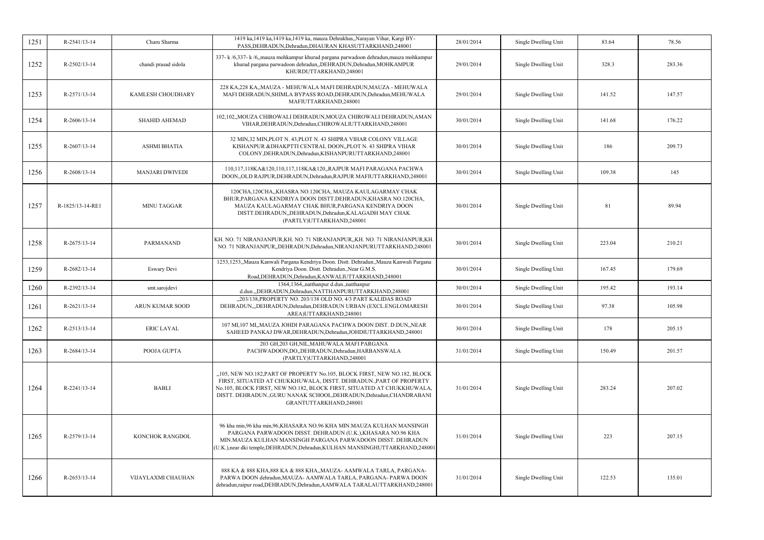| 1251 | R-2541/13-14       | Charu Sharma           | 1419 ka, 1419 ka, 1419 ka, 1419 ka, mauza Dehrakhas,, Narayan Vihar, Kargi BY-<br>PASS, DEHRADUN, Dehradun, DHAURAN KHASUTTARKHAND, 248001                                                                                                                                                                                  | 28/01/2014 | Single Dwelling Unit | 83.64  | 78.56  |
|------|--------------------|------------------------|-----------------------------------------------------------------------------------------------------------------------------------------------------------------------------------------------------------------------------------------------------------------------------------------------------------------------------|------------|----------------------|--------|--------|
| 1252 | R-2502/13-14       | chandi prasad sidola   | 337- k /6,337- k /6, mauza mohkampur khurad pargana parwadoon dehradun, mauza mohkampur<br>khurad pargana parwadoon dehradun, DEHRADUN, Dehradun, MOHKAMPUR<br>KHURDUTTARKHAND,248001                                                                                                                                       | 29/01/2014 | Single Dwelling Unit | 328.3  | 283.36 |
| 1253 | R-2571/13-14       | KAMLESH CHOUDHARY      | 228 KA, 228 KA, MAUZA - MEHUWALA MAFI DEHRADUN, MAUZA - MEHUWALA<br>MAFI DEHRADUN, SHIMLA BYPASS ROAD, DEHRADUN, Dehradun, MEHUWALA<br>MAFIUTTARKHAND,248001                                                                                                                                                                | 29/01/2014 | Single Dwelling Unit | 141.52 | 147.57 |
| 1254 | $R-2606/13-14$     | <b>SHAHID AHEMAD</b>   | 102,102,,MOUZA CHIROWALI DEHRADUN,MOUZA CHIROWALI DEHRADUN,AMAN<br>VIHAR, DEHRADUN, Dehradun, CHIROWALIUTTARKHAND, 248001                                                                                                                                                                                                   | 30/01/2014 | Single Dwelling Unit | 141.68 | 176.22 |
| 1255 | R-2607/13-14       | <b>ASHMI BHATIA</b>    | 32 MIN, 32 MIN, PLOT N. 43, PLOT N. 43 SHIPRA VIHAR COLONY VILLAGE<br>KISHANPUR & DHAKPTTI CENTRAL DOON, PLOT N. 43 SHIPRA VIHAR<br>COLONY, DEHRADUN, Dehradun, KISHANPURUTTARKHAND, 248001                                                                                                                                 | 30/01/2014 | Single Dwelling Unit | 186    | 209.73 |
| 1256 | R-2608/13-14       | <b>MANJARI DWIVEDI</b> | 110,117,118KA&120,110,117,118KA&120,,RAJPUR MAFI PARAGANA PACHWA<br>DOON,,OLD RAJPUR,DEHRADUN,Dehradun,RAJPUR MAFIUTTARKHAND,248001                                                                                                                                                                                         | 30/01/2014 | Single Dwelling Unit | 109.38 | 145    |
| 1257 | R-1825/13-14-RE1   | <b>MINU TAGGAR</b>     | 120CHA,120CHA,,KHASRA NO.120CHA, MAUZA KAULAGARMAY CHAK<br>BHUR, PARGANA KENDRIYA DOON DISTT. DEHRADUN, KHASRA NO. 120CHA,<br>MAUZA KAULAGARMAY CHAK BHUR, PARGANA KENDRIYA DOON<br>DISTT.DEHRADUN,,DEHRADUN,Dehradun,KALAGADH MAY CHAK<br>(PARTLY)UTTARKHAND,248001                                                        | 30/01/2014 | Single Dwelling Unit | 81     | 89.94  |
| 1258 | $R-2675/13-14$     | <b>PARMANAND</b>       | KH. NO. 71 NIRANJANPUR, KH. NO. 71 NIRANJANPUR, KH. NO. 71 NIRANJANPUR, KH.<br>NO. 71 NIRANJANPUR, DEHRADUN, Dehradun, NIRANJANPURUTTARKHAND, 248001                                                                                                                                                                        | 30/01/2014 | Single Dwelling Unit | 223.04 | 210.21 |
| 1259 | R-2682/13-14       | Eswary Devi            | 1253,1253,,Mauza Kanwali Pargana Kendriya Doon. Distt. Dehradun.,Mauza Kanwali Pargana<br>Kendriya Doon. Distt. Dehradun., Near G.M.S.<br>Road, DEHRADUN, Dehradun, KANWALIUTTARKHAND, 248001                                                                                                                               | 30/01/2014 | Single Dwelling Unit | 167.45 | 179.69 |
| 1260 | R-2392/13-14       | smt.sarojdevi          | 1364,1364,,natthanpur d.dun.,natthanpur<br>d.dun.,,DEHRADUN,Dehradun,NATTHANPURUTTARKHAND,248001                                                                                                                                                                                                                            | 30/01/2014 | Single Dwelling Unit | 195.42 | 193.14 |
| 1261 | R-2621/13-14       | ARUN KUMAR SOOD        | "203/138, PROPERTY NO. 203/138 OLD NO. 4/3 PART KALIDAS ROAD<br>DEHRADUN,"DEHRADUN, Dehradun, DEHRADUN URBAN (EXCL.ENGLOMARESH<br>AREA)UTTARKHAND,248001                                                                                                                                                                    | 30/01/2014 | Single Dwelling Unit | 97.38  | 105.98 |
| 1262 | R-2513/13-14       | <b>ERIC LAYAL</b>      | 107 MI, 107 MI, MAUZA JOHDI PARAGANA PACHWA DOON DIST. D.DUN, NEAR<br>SAHEED PANKAJ DWAR, DEHRADUN, Dehradun, JOHDIUTTARKHAND, 248001                                                                                                                                                                                       | 30/01/2014 | Single Dwelling Unit | 178    | 205.15 |
| 1263 | R-2684/13-14       | POOJA GUPTA            | 203 GH,203 GH,NIL,MAHUWALA MAFI PARGANA<br>PACHWADOON,DO,,DEHRADUN,Dehradun,HARBANSWALA<br>(PARTLY)UTTARKHAND,248001                                                                                                                                                                                                        | 31/01/2014 | Single Dwelling Unit | 150.49 | 201.57 |
| 1264 | $R - 2241/13 - 14$ | <b>BABLI</b>           | "105, NEW NO.182, PART OF PROPERTY No.105, BLOCK FIRST, NEW NO.182, BLOCK<br>FIRST, SITUATED AT CHUKKHUWALA, DISTT. DEHRADUN., PART OF PROPERTY<br>No.105, BLOCK FIRST, NEW NO.182, BLOCK FIRST, SITUATED AT CHUKKHUWALA,<br>DISTT. DEHRADUN., GURU NANAK SCHOOL, DEHRADUN, Dehradun, CHANDRABANI<br>GRANTUTTARKHAND,248001 | 31/01/2014 | Single Dwelling Unit | 283.24 | 207.02 |
| 1265 | R-2579/13-14       | KONCHOK RANGDOL        | 96 kha min,96 kha min,96,KHASARA NO.96 KHA MIN.MAUZA KULHAN MANSINGH<br>PARGANA PARWADOON DISST. DEHRADUN (U.K.), KHASARA NO.96 KHA<br>MIN.MAUZA KULHAN MANSINGH PARGANA PARWADOON DISST. DEHRADUN<br>U.K.), near dki temple, DEHRADUN, Dehradun, KULHAN MANSINGHUTTARKHAND, 248001                                         | 31/01/2014 | Single Dwelling Unit | 223    | 207.15 |
| 1266 | R-2653/13-14       | VIJAYLAXMI CHAUHAN     | 888 KA & 888 KHA, 888 KA & 888 KHA,, MAUZA- AAMWALA TARLA, PARGANA-<br>PARWA DOON dehradun, MAUZA- AAMWALA TARLA, PARGANA- PARWA DOON<br>dehradun,raipur road,DEHRADUN,Dehradun,AAMWALA TARALAUTTARKHAND,248001                                                                                                             | 31/01/2014 | Single Dwelling Unit | 122.53 | 135.01 |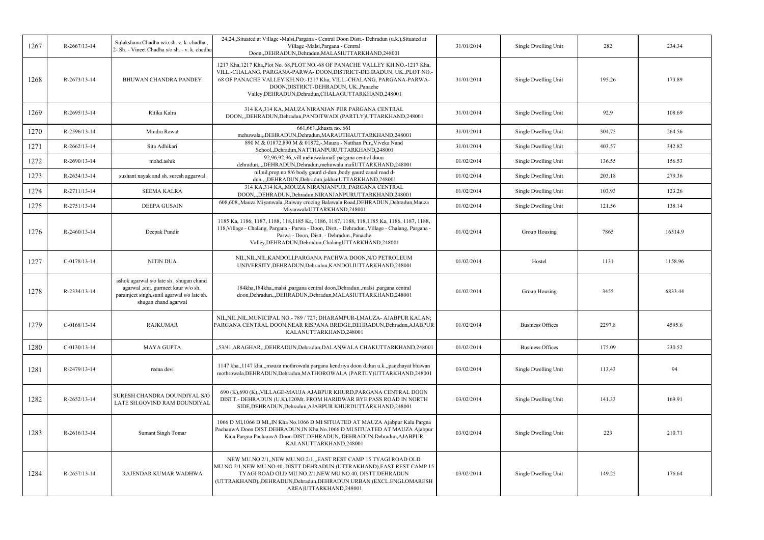| 1267 | R-2667/13-14       | Sulakshana Chadha w/o sh. v. k. chadha.<br>2- Sh. - Vineet Chadha s/o sh. - v. k. chadha                                                              | 24,24, Situated at Village -Malsi, Pargana - Central Doon Distt. - Dehradun (u.k.), Situated at<br>Village -Malsi, Pargana - Central<br>Doon,,DEHRADUN,Dehradun,MALASIUTTARKHAND,248001                                                                                                                                               | 31/01/2014 | Single Dwelling Unit    | 282    | 234.34  |
|------|--------------------|-------------------------------------------------------------------------------------------------------------------------------------------------------|---------------------------------------------------------------------------------------------------------------------------------------------------------------------------------------------------------------------------------------------------------------------------------------------------------------------------------------|------------|-------------------------|--------|---------|
| 1268 | R-2673/13-14       | <b>BHUWAN CHANDRA PANDEY</b>                                                                                                                          | 1217 Kha, 1217 Kha, Plot No. 68, PLOT NO. - 68 OF PANACHE VALLEY KH. NO. - 1217 Kha,<br>VILL.-CHALANG, PARGANA-PARWA- DOON, DISTRICT-DEHRADUN, UK., PLOT NO.-<br>68 OF PANACHE VALLEY KH.NO.-1217 Kha, VILL.-CHALANG, PARGANA-PARWA-<br>DOON, DISTRICT-DEHRADUN, UK., Panache<br>Valley, DEHRADUN, Dehradun, CHALAGUTTARKHAND, 248001 | 31/01/2014 | Single Dwelling Unit    | 195.26 | 173.89  |
| 1269 | R-2695/13-14       | Ritika Kalra                                                                                                                                          | 314 KA,314 KA,,MAUZA NIRANJAN PUR PARGANA CENTRAL<br>DOON,,,DEHRADUN,Dehradun,PANDITWADI (PARTLY)UTTARKHAND,248001                                                                                                                                                                                                                    | 31/01/2014 | Single Dwelling Unit    | 92.9   | 108.69  |
| 1270 | R-2596/13-14       | Mindra Rawat                                                                                                                                          | 661,661, khasra no. 661<br>mehuwala,,,DEHRADUN,Dehradun,MARAUTHAUTTARKHAND,248001                                                                                                                                                                                                                                                     | 31/01/2014 | Single Dwelling Unit    | 304.75 | 264.56  |
| 1271 | $R-2662/13-14$     | Sita Adhikari                                                                                                                                         | 890 M & 01872,890 M & 01872,-,Mauza - Natthan Pur,,Viveka Nand<br>School, Dehradun, NATTHANPURUTTARKHAND, 248001                                                                                                                                                                                                                      | 31/01/2014 | Single Dwelling Unit    | 403.57 | 342.82  |
| 1272 | R-2690/13-14       | mohd.ashik                                                                                                                                            | 92,96,92,96,,vill.mehuwalamafi pargana central doon<br>dehradun,DEHRADUN,Dehradun,mehuwala mafiUTTARKHAND,248001                                                                                                                                                                                                                      | 01/02/2014 | Single Dwelling Unit    | 136.55 | 156.53  |
| 1273 | R-2634/13-14       | sushant nayak and sh. suresh aggarwal                                                                                                                 | nil,nil,prop.no.8/6 body gaurd d-dun.,body gaurd canal road d-<br>dun.,,,DEHRADUN,Dehradun,jakhanUTTARKHAND,248001                                                                                                                                                                                                                    | 01/02/2014 | Single Dwelling Unit    | 203.18 | 279.36  |
| 1274 | R-2711/13-14       | <b>SEEMA KALRA</b>                                                                                                                                    | 314 KA, 314 KA, MOUZA NIRANJANPUR, PARGANA CENTRAL<br>DOONDEHRADUN.Dehradun.NIRANJANPURUTTARKHAND.248001                                                                                                                                                                                                                              | 01/02/2014 | Single Dwelling Unit    | 103.93 | 123.26  |
| 1275 | R-2751/13-14       | <b>DEEPA GUSAIN</b>                                                                                                                                   | 608,608, Mauza Miyanwala, Raiway crocing Balawala Road, DEHRADUN, Dehradun, Mauza<br>MiyanwalaUTTARKHAND,248001                                                                                                                                                                                                                       | 01/02/2014 | Single Dwelling Unit    | 121.56 | 138.14  |
| 1276 | $R - 2460/13 - 14$ | Deepak Pundir                                                                                                                                         | 1185 Ka, 1186, 1187, 1188, 118, 1185 Ka, 1186, 1187, 1188, 118, 1185 Ka, 1186, 1187, 1188,<br>118, Village - Chalang, Pargana - Parwa - Doon, Distt. - Dehradun., Village - Chalang, Pargana -<br>Parwa - Doon, Distt. - Dehradun., Panache<br>Valley, DEHRADUN, Dehradun, ChalangUTTARKHAND, 248001                                  | 01/02/2014 | Group Housing           | 7865   | 16514.9 |
| 1277 | $C-0178/13-14$     | NITIN DUA                                                                                                                                             | NIL, NIL, NIL, KANDOLI, PARGANA PACHWA DOON, N/O PETROLEUM<br>UNIVERSITY, DEHRADUN, Dehradun, KANDOLIUTTARKHAND, 248001                                                                                                                                                                                                               | 01/02/2014 | Hostel                  | 1131   | 1158.96 |
| 1278 | R-2334/13-14       | ashok agarwal s/o late sh . shugan chand<br>agarwal ,smt. gurmeet kaur w/o sh.<br>paramjeet singh, sunil agarwal s/o late sh.<br>shugan chand agarwal | 184kha, 184kha, malsi , pargana central doon, Dehradun., malsi , pargana central<br>doon, Dehradun., , DEHRADUN, Dehradun, MALASIUTTARKHAND, 248001                                                                                                                                                                                   | 01/02/2014 | Group Housing           | 3455   | 6833.44 |
| 1279 | $C-0168/13-14$     | <b>RAJKUMAR</b>                                                                                                                                       | NIL, NIL, NIL, MUNICIPAL NO. - 789 / 727; DHARAMPUR-I, MAUZA- AJABPUR KALAN;<br>PARGANA CENTRAL DOON, NEAR RISPANA BRIDGE, DEHRADUN, Dehradun, AJABPUR<br>KALANUTTARKHAND,248001                                                                                                                                                      | 01/02/2014 | <b>Business Offices</b> | 2297.8 | 4595.6  |
| 1280 | $C-0130/13-14$     | MAYA GUPTA                                                                                                                                            | "53/41, ARAGHAR, "DEHRADUN, Dehradun, DALANWALA CHAKUTTARKHAND, 248001                                                                                                                                                                                                                                                                | 01/02/2014 | <b>Business Offices</b> | 175.09 | 230.52  |
| 1281 | R-2479/13-14       | reena devi                                                                                                                                            | 1147 kha.,1147 kha.,,mouza mothrowala pargana kendriya doon d.dun u.k.,,panchayat bhawan<br>mothrowala, DEHRADUN, Dehradun, MATHOROWALA (PARTLY) UTTARKHAND, 248001                                                                                                                                                                   | 03/02/2014 | Single Dwelling Unit    | 113.43 | 94      |
| 1282 | R-2652/13-14       | SURESH CHANDRA DOUNDIYAL S/O<br>LATE SH.GOVIND RAM DOUNDIYAI                                                                                          | 690 (K),690 (K),,VILLAGE-MAUJA AJABPUR KHURD,PARGANA CENTRAL DOON<br>DISTT.- DEHRADUN (U.K), 120Mt. FROM HARIDWAR BYE PASS ROAD IN NORTH<br>SIDE, DEHRADUN, Dehradun, AJABPUR KHURDUTTARKHAND, 248001                                                                                                                                 | 03/02/2014 | Single Dwelling Unit    | 141.33 | 169.91  |
| 1283 | R-2616/13-14       | Sumant Singh Tomar                                                                                                                                    | 1066 D MI,1066 D MI,,IN Kha No.1066 D MI SITUATED AT MAUZA Ajabpur Kala Pargna<br>PachauwA Doon DIST.DEHRADUN, IN Kha No.1066 D MI SITUATED AT MAUZA Ajabpur<br>Kala Pargna PachauwA Doon DIST.DEHRADUN, DEHRADUN, Dehradun, AJABPUR<br>KALANUTTARKHAND,248001                                                                        | 03/02/2014 | Single Dwelling Unit    | 223    | 210.71  |
| 1284 | R-2657/13-14       | RAJENDAR KUMAR WADHWA                                                                                                                                 | NEW MU.NO.2/1,,NEW MU.NO.2/1,,,EAST REST CAMP 15 TYAGI ROAD OLD<br>MU.NO.2/1, NEW MU.NO.40, DISTT.DEHRADUN (UTTRAKHAND), EAST REST CAMP 15<br>TYAGI ROAD OLD MU.NO.2/1,NEW MU.NO.40, DISTT.DEHRADUN<br>(UTTRAKHAND),,DEHRADUN,Dehradun,DEHRADUN URBAN (EXCL.ENGLOMARESH<br>AREA)UTTARKHAND,248001                                     | 03/02/2014 | Single Dwelling Unit    | 149.25 | 176.64  |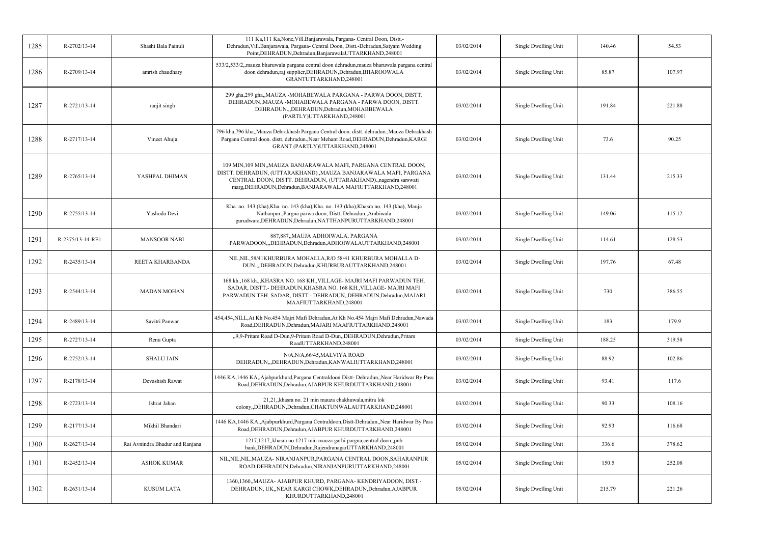| 1285 | R-2702/13-14     | Shashi Bala Painuli             | 111 Ka, 111 Ka, None, Vill. Banjarawala, Pargana- Central Doon, Distt.-<br>Dehradun, Vill.Banjarawala, Pargana- Central Doon, Distt.-Dehradun, Satyam Wedding<br>Point, DEHRADUN, Dehradun, BanjarawalaUTTARKHAND, 248001                                               | 03/02/2014 | Single Dwelling Unit | 140.46 | 54.53  |
|------|------------------|---------------------------------|-------------------------------------------------------------------------------------------------------------------------------------------------------------------------------------------------------------------------------------------------------------------------|------------|----------------------|--------|--------|
| 1286 | R-2709/13-14     | amrish chaudhary                | 533/2,533/2,,mauza bharuwala pargana central doon dehradun,mauza bharuwala pargana central<br>doon dehradun,raj supplier,DEHRADUN,Dehradun,BHAROOWALA<br>GRANTUTTARKHAND,248001                                                                                         | 03/02/2014 | Single Dwelling Unit | 85.87  | 107.97 |
| 1287 | R-2721/13-14     | ranjit singh                    | 299 gha,299 gha,,MAUZA -MOHABEWALA PARGANA - PARWA DOON, DISTT.<br>DEHRADUN., MAUZA - MOHABEWALA PARGANA - PARWA DOON, DISTT.<br>DEHRADUN.,DEHRADUN,Dehradun,MOHABBEWALA<br>(PARTLY)UTTARKHAND,248001                                                                   | 03/02/2014 | Single Dwelling Unit | 191.84 | 221.88 |
| 1288 | R-2717/13-14     | Vineet Ahuja                    | 796 kha, 796 kha,, Mauza Dehrakhash Pargana Central doon. distt. dehradun., Mauza Dehrakhash<br>Pargana Central doon. distt. dehradun., Near Mehant Road, DEHRADUN, Dehradun, KARGI<br>GRANT (PARTLY)UTTARKHAND,248001                                                  | 03/02/2014 | Single Dwelling Unit | 73.6   | 90.25  |
| 1289 | R-2765/13-14     | YASHPAL DHIMAN                  | 109 MIN, 109 MIN,, MAUZA BANJARAWALA MAFI, PARGANA CENTRAL DOON,<br>DISTT. DEHRADUN, (UTTARAKHAND)., MAUZA BANJARAWALA MAFI, PARGANA<br>CENTRAL DOON, DISTT. DEHRADUN, (UTTARAKHAND).,nagendra sarswati<br>marg, DEHRADUN, Dehradun, BANJARAWALA MAFIUTTARKHAND, 248001 | 03/02/2014 | Single Dwelling Unit | 131.44 | 215.33 |
| 1290 | R-2755/13-14     | Yashoda Devi                    | Kha. no. 143 (kha), Kha. no. 143 (kha), Kha. no. 143 (kha), Khasra no. 143 (kha), Mauja<br>Nathanpur., Pargna parwa doon, Distt, Dehradun., Ambiwala<br>gurudwara, DEHRADUN, Dehradun, NATTHANPURUTTARKHAND, 248001                                                     | 03/02/2014 | Single Dwelling Unit | 149.06 | 115.12 |
| 1291 | R-2375/13-14-RE1 | <b>MANSOOR NABI</b>             | 887,887,,MAUJA ADHOIWALA, PARGANA<br>PARWADOON,,,DEHRADUN,Dehradun,ADHOIWALAUTTARKHAND,248001                                                                                                                                                                           | 03/02/2014 | Single Dwelling Unit | 114.61 | 128.53 |
| 1292 | R-2435/13-14     | REETA KHARBANDA                 | NIL, NIL, 58/41 KHURBURA MOHALLA, R/O 58/41 KHURBURA MOHALLA D-<br>DUN.,,,DEHRADUN,Dehradun,KHURBURAUTTARKHAND,248001                                                                                                                                                   | 03/02/2014 | Single Dwelling Unit | 197.76 | 67.48  |
| 1293 | R-2544/13-14     | <b>MADAN MOHAN</b>              | 168 kh., 168 kh., KHASRA NO. 168 KH., VILLAGE-MAJRI MAFI PARWADUN TEH.<br>SADAR, DISTT.- DEHRADUN, KHASRA NO. 168 KH., VILLAGE-MAJRI MAFI<br>PARWADUN TEH. SADAR, DISTT.- DEHRADUN, DEHRADUN, Dehradun, MAJARI<br>MAAFIUTTARKHAND,248001                                | 03/02/2014 | Single Dwelling Unit | 730    | 386.55 |
| 1294 | R-2489/13-14     | Savitri Panwar                  | 454,454,NILL,At Kh No.454 Majri Mafi Dehradun,At Kh No.454 Majri Mafi Dehradun,Nawada<br>Road, DEHRADUN, Dehradun, MAJARI MAAFIUTTARKHAND, 248001                                                                                                                       | 03/02/2014 | Single Dwelling Unit | 183    | 179.9  |
| 1295 | R-2727/13-14     | Renu Gupta                      | "9,9-Pritam Road D-Dun,9-Pritam Road D-Dun,,DEHRADUN,Dehradun,Pritam<br>RoadUTTARKHAND,248001                                                                                                                                                                           | 03/02/2014 | Single Dwelling Unit | 188.25 | 319.58 |
| 1296 | R-2752/13-14     | <b>SHALU JAIN</b>               | N/A,N/A,66/45,MALVIYA ROAD<br>DEHRADUN,"DEHRADUN, Dehradun, KANWALIUTTARKHAND, 248001                                                                                                                                                                                   | 03/02/2014 | Single Dwelling Unit | 88.92  | 102.86 |
| 1297 | R-2178/13-14     | Devashish Rawat                 | 1446 KA, 1446 KA, Ajabpurkhurd, Pargana Centraldoon Distt- Dehradun, Near Haridwar By Pass<br>Road, DEHRADUN, Dehradun, AJABPUR KHURDUTTARKHAND, 248001                                                                                                                 | 03/02/2014 | Single Dwelling Unit | 93.41  | 117.6  |
| 1298 | R-2723/13-14     | Ishrat Jahan                    | 21,21, khasra no. 21 min mauza chakhuwala, mitra lok<br>colony,,DEHRADUN,Dehradun,CHAKTUNWALAUTTARKHAND,248001                                                                                                                                                          | 03/02/2014 | Single Dwelling Unit | 90.33  | 108.16 |
| 1299 | R-2177/13-14     | Mikhil Bhandari                 | 1446 KA, 1446 KA, Ajabpurkhurd, Pargana Centraldoon, Distt-Dehradun, Near Haridwar By Pass<br>Road, DEHRADUN, Dehradun, AJABPUR KHURDUTTARKHAND, 248001                                                                                                                 | 03/02/2014 | Single Dwelling Unit | 92.93  | 116.68 |
| 1300 | R-2627/13-14     | Rai Avnindra Bhadur and Ranjana | 1217,1217, khasra no 1217 min mauza garhi pargna, central doon, pnb<br>bank, DEHRADUN, Dehradun, Rajendranagar UTTARKHAND, 248001                                                                                                                                       | 05/02/2014 | Single Dwelling Unit | 336.6  | 378.62 |
| 1301 | R-2452/13-14     | <b>ASHOK KUMAR</b>              | NIL, NIL, NIL, MAUZA- NIRANJANPUR, PARGANA CENTRAL DOON, SAHARANPUR<br>ROAD, DEHRADUN, Dehradun, NIRANJANPURUTTARKHAND, 248001                                                                                                                                          | 05/02/2014 | Single Dwelling Unit | 150.5  | 252.08 |
| 1302 | R-2631/13-14     | <b>KUSUM LATA</b>               | 1360,1360,,MAUZA- AJABPUR KHURD, PARGANA- KENDRIYADOON, DIST.-<br>DEHRADUN, UK,,NEAR KARGI CHOWK,DEHRADUN,Dehradun,AJABPUR<br>KHURDUTTARKHAND,248001                                                                                                                    | 05/02/2014 | Single Dwelling Unit | 215.79 | 221.26 |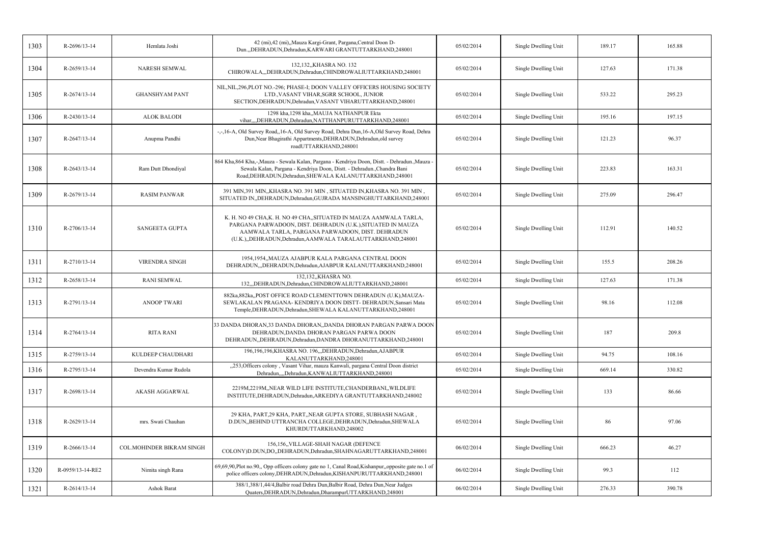| 1303 | R-2696/13-14       | Hemlata Joshi             | 42 (mi),42 (mi),,Mauza Kargi-Grant, Pargana,Central Doon D-<br>Dun.,,DEHRADUN,Dehradun,KARWARI GRANTUTTARKHAND,248001                                                                                                                              | 05/02/2014 | Single Dwelling Unit | 189.17 | 165.88 |
|------|--------------------|---------------------------|----------------------------------------------------------------------------------------------------------------------------------------------------------------------------------------------------------------------------------------------------|------------|----------------------|--------|--------|
| 1304 | $R-2659/13-14$     | NARESH SEMWAL             | 132,132, KHASRA NO. 132<br>CHIROWALA,,,DEHRADUN,Dehradun,CHINDROWALIUTTARKHAND,248001                                                                                                                                                              | 05/02/2014 | Single Dwelling Unit | 127.63 | 171.38 |
| 1305 | $R-2674/13-14$     | <b>GHANSHYAM PANT</b>     | NIL, NIL, 296, PLOT NO.-296; PHASE-I; DOON VALLEY OFFICERS HOUSING SOCIETY<br>LTD., VASANT VIHAR, SGRR SCHOOL, JUNIOR<br>SECTION, DEHRADUN, Dehradun, VASANT VIHARUTTARKHAND, 248001                                                               | 05/02/2014 | Single Dwelling Unit | 533.22 | 295.23 |
| 1306 | $R - 2430/13 - 14$ | <b>ALOK BALODI</b>        | 1298 kha, 1298 kha,, MAUJA NATHANPUR Ekta<br>vihar,,,,DEHRADUN,Dehradun,NATTHANPURUTTARKHAND,248001                                                                                                                                                | 05/02/2014 | Single Dwelling Unit | 195.16 | 197.15 |
| 1307 | $R-2647/13-14$     | Anupma Pandhi             | -,-,16-A, Old Survey Road,,16-A, Old Survey Road, Dehra Dun,16-A, Old Survey Road, Dehra<br>Dun, Near Bhagirathi Appartments, DEHRADUN, Dehradun, old survey<br>roadUTTARKHAND,248001                                                              | 05/02/2014 | Single Dwelling Unit | 121.23 | 96.37  |
| 1308 | $R - 2643/13 - 14$ | Ram Dutt Dhondiyal        | 864 Kha, 864 Kha,-, Mauza - Sewala Kalan, Pargana - Kendriya Doon, Distt. - Dehradun., Mauza<br>Sewala Kalan, Pargana - Kendriya Doon, Distt. - Dehradun., Chandra Bani<br>Road, DEHRADUN, Dehradun, SHEWALA KALANUTTARKHAND, 248001               | 05/02/2014 | Single Dwelling Unit | 223.83 | 163.31 |
| 1309 | R-2679/13-14       | <b>RASIM PANWAR</b>       | 391 MIN, 391 MIN, KHASRA NO. 391 MIN, SITUATED IN, KHASRA NO. 391 MIN,<br>SITUATED IN, DEHRADUN, Dehradun, GUJRADA MANSINGHUTTARKHAND, 248001                                                                                                      | 05/02/2014 | Single Dwelling Unit | 275.09 | 296.47 |
| 1310 | R-2706/13-14       | <b>SANGEETA GUPTA</b>     | K. H. NO 49 CHA, K. H. NO 49 CHA, SITUATED IN MAUZA AAMWALA TARLA,<br>PARGANA PARWADOON, DIST. DEHRADUN (U.K.), SITUATED IN MAUZA<br>AAMWALA TARLA, PARGANA PARWADOON, DIST. DEHRADUN<br>(U.K.),,DEHRADUN,Dehradun,AAMWALA TARALAUTTARKHAND,248001 | 05/02/2014 | Single Dwelling Unit | 112.91 | 140.52 |
| 1311 | $R-2710/13-14$     | <b>VIRENDRA SINGH</b>     | 1954,1954, MAUZA AJABPUR KALA PARGANA CENTRAL DOON<br>DEHRADUN,,,DEHRADUN,Dehradun,AJABPUR KALANUTTARKHAND,248001                                                                                                                                  | 05/02/2014 | Single Dwelling Unit | 155.5  | 208.26 |
| 1312 | R-2658/13-14       | <b>RANI SEMWAL</b>        | 132,132, KHASRA NO.<br>132,,,DEHRADUN,Dehradun,CHINDROWALIUTTARKHAND,248001                                                                                                                                                                        | 05/02/2014 | Single Dwelling Unit | 127.63 | 171.38 |
| 1313 | R-2791/13-14       | <b>ANOOP TWARI</b>        | 882ka, 882ka, POST OFFICE ROAD CLEMENTTOWN DEHRADUN (U.K), MAUZA-<br>SEWLAKALAN PRAGANA- KENDRIYA DOON DISTT- DEHRADUN, Sansari Mata<br>Temple, DEHRADUN, Dehradun, SHEWALA KALANUTTARKHAND, 248001                                                | 05/02/2014 | Single Dwelling Unit | 98.16  | 112.08 |
| 1314 | R-2764/13-14       | <b>RITA RANI</b>          | 33 DANDA DHORAN, 33 DANDA DHORAN, DANDA DHORAN PARGAN PARWA DOON<br>DEHRADUN, DANDA DHORAN PARGAN PARWA DOON<br>DEHRADUN, DEHRADUN, Dehradun, DANDRA DHORANUTTARKHAND, 248001                                                                      | 05/02/2014 | Single Dwelling Unit | 187    | 209.8  |
| 1315 | R-2759/13-14       | KULDEEP CHAUDHARI         | 196,196,196,KHASRA NO. 196,,,DEHRADUN,Dehradun,AJABPUR<br>KALANUTTARKHAND,248001                                                                                                                                                                   | 05/02/2014 | Single Dwelling Unit | 94.75  | 108.16 |
| 1316 | R-2795/13-14       | Devendra Kumar Rudola     | "253, Officers colony, Vasant Vihar, mauza Kanwali, pargana Central Doon district<br>Dehradun,,,,Dehradun,KANWALIUTTARKHAND,248001                                                                                                                 | 05/02/2014 | Single Dwelling Unit | 669.14 | 330.82 |
| 1317 | R-2698/13-14       | AKASH AGGARWAL            | 2219M,2219M, NEAR WILD LIFE INSTITUTE, CHANDERBANI, WILDLIFE<br>INSTITUTE, DEHRADUN, Dehradun, ARKEDIYA GRANTUTTARKHAND, 248002                                                                                                                    | 05/02/2014 | Single Dwelling Unit | 133    | 86.66  |
| 1318 | R-2629/13-14       | mrs. Swati Chauhan        | 29 KHA, PART, 29 KHA, PART, NEAR GUPTA STORE, SUBHASH NAGAR,<br>D.DUN, BEHIND UTTRANCHA COLLEGE, DEHRADUN, Dehradun, SHEWALA<br>KHURDUTTARKHAND,248002                                                                                             | 05/02/2014 | Single Dwelling Unit | 86     | 97.06  |
| 1319 | R-2666/13-14       | COL.MOHINDER BIKRAM SINGH | 156,156, VILLAGE-SHAH NAGAR (DEFENCE<br>COLONY)D.DUN,DO,,DEHRADUN,Dehradun,SHAHNAGARUTTARKHAND,248001                                                                                                                                              | 06/02/2014 | Single Dwelling Unit | 666.23 | 46.27  |
| 1320 | R-0959/13-14-RE2   | Nimita singh Rana         | 69,69,90,Plot no.90,, Opp officers colony gate no 1, Canal Road,Kishanpur,,opposite gate no.1 of<br>police officers colony, DEHRADUN, Dehradun, KISHANPURUTTARKHAND, 248001                                                                        | 06/02/2014 | Single Dwelling Unit | 99.3   | 112    |
| 1321 | R-2614/13-14       | Ashok Barat               | 388/1,388/1,44/4,Balbir road Dehra Dun,Balbir Road, Dehra Dun,Near Judges<br>Quaters, DEHRADUN, Dehradun, DharampurUTTARKHAND, 248001                                                                                                              | 06/02/2014 | Single Dwelling Unit | 276.33 | 390.78 |
|      |                    |                           |                                                                                                                                                                                                                                                    |            |                      |        |        |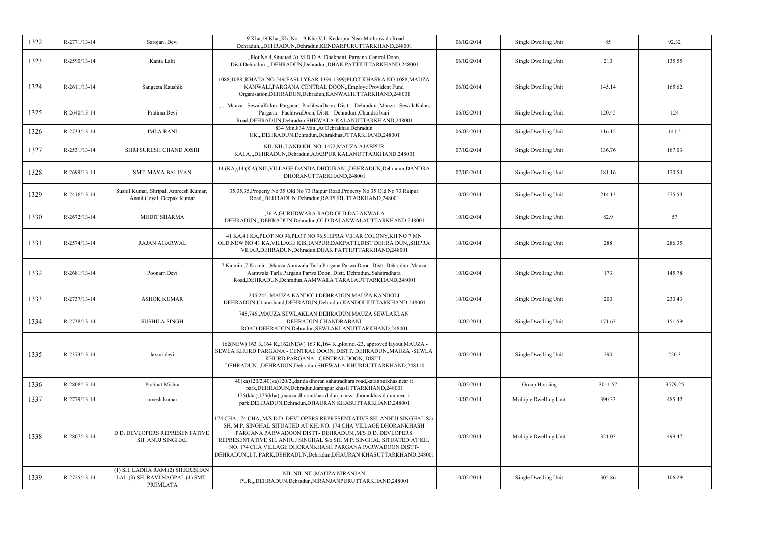| 1322 | R-2771/13-14       | Sarojani Devi                                                                    | 19 Kha, 19 Kha, Kh. No. 19 Kha Vill-Kedarpur Near Mothrowala Road<br>Dehradun,,,DEHRADUN,Dehradun,KENDARPURUTTARKHAND,248001                                                                                                                                                                                                                                                                                              | 06/02/2014 | Single Dwelling Unit   | 85      | 92.32   |
|------|--------------------|----------------------------------------------------------------------------------|---------------------------------------------------------------------------------------------------------------------------------------------------------------------------------------------------------------------------------------------------------------------------------------------------------------------------------------------------------------------------------------------------------------------------|------------|------------------------|---------|---------|
| 1323 | R-2590/13-14       | Kanta Lalit                                                                      | "Plot No.4, Situated At M.D.D.A. Dhakpatti, Pargana-Central Doon,<br>Distt.Dehradun.,,,DEHRADUN,Dehradun,DHAK PATTIUTTARKHAND,248001                                                                                                                                                                                                                                                                                      | 06/02/2014 | Single Dwelling Unit   | 210     | 135.55  |
| 1324 | $R-2611/13-14$     | Sangeeta Kaushik                                                                 | 1088,1088,,KHATA NO 549(FASLI YEAR 1394-1399)PLOT KHASRA NO 1088,MAUZA<br>KANWALI, PARGANA CENTRAL DOON,, Employe Provident Fund<br>Organisation, DEHRADUN, Dehradun, KANWALIUTTARKHAND, 248001                                                                                                                                                                                                                           | 06/02/2014 | Single Dwelling Unit   | 145.14  | 165.62  |
| 1325 | $R - 2640/13 - 14$ | Pratima Devi                                                                     | -,-,-,Mauza - SewalaKalan, Pargana - PachhwaDoon, Distt. - Dehradun.,Mauza - SewalaKalan,<br>Pargana - PachhwaDoon, Distt. - Dehradun., Chandra bani<br>Road, DEHRADUN, Dehradun, SHEWALA KALANUTTARKHAND, 248001                                                                                                                                                                                                         | 06/02/2014 | Single Dwelling Unit   | 120.45  | 124     |
| 1326 | R-2733/13-14       | <b>IMLA RANI</b>                                                                 | 834 Min, 834 Min, At Dehrakhas Dehradun<br>UK,,,DEHRADUN,Dehradun,DehrakhasUTTARKHAND,248001                                                                                                                                                                                                                                                                                                                              | 06/02/2014 | Single Dwelling Unit   | 116.12  | 141.5   |
| 1327 | R-2531/13-14       | SHRI SURESH CHAND JOSHI                                                          | NIL, NIL, LAND KH. NO. 1472, MAUZA AJABPUR<br>KALA,,,DEHRADUN,Dehradun,AJABPUR KALANUTTARKHAND,248001                                                                                                                                                                                                                                                                                                                     | 07/02/2014 | Single Dwelling Unit   | 136.76  | 167.03  |
| 1328 | R-2699/13-14       | <b>SMT. MAYA BALIYAN</b>                                                         | 14 (KA), 14 (KA), NIL, VILLAGE DANDA DHOURAN, "DEHRADUN, Dehradun, DANDRA<br>DHORANUTTARKHAND,248001                                                                                                                                                                                                                                                                                                                      | 07/02/2014 | Single Dwelling Unit   | 181.16  | 170.54  |
| 1329 | R-2416/13-14       | Sushil Kumar, Shripal, Amreesh Kumar,<br>Ansul Goyal, Deepak Kumar               | 35,35,35, Property No 35 Old No 73 Raipur Road, Property No 35 Old No 73 Raipur<br>Road, DEHRADUN, Dehradun, RAIPURUTTARKHAND, 248001                                                                                                                                                                                                                                                                                     | 10/02/2014 | Single Dwelling Unit   | 214.13  | 275.54  |
| 1330 | R-2672/13-14       | <b>MUDIT SHARMA</b>                                                              | "36 A,GURUDWARA RAOD OLD DALANWALA<br>DEHRADUN,"DEHRADUN,Dehradun,OLD DALANWALAUTTARKHAND,248001                                                                                                                                                                                                                                                                                                                          | 10/02/2014 | Single Dwelling Unit   | 82.9    | 57      |
| 1331 | R-2574/13-14       | <b>RAJAN AGARWAL</b>                                                             | 41 KA,41 KA,PLOT NO 96,PLOT NO 96,SHIPRA VIHAR COLONY,KH NO 7 MN<br>OLD, NEW NO 41 KA, VILLAGE KISHANPUR, DAKPATTI, DIST DEHRA DUN, , SHIPRA<br>VIHAR, DEHRADUN, Dehradun, DHAK PATTIUTTARKHAND, 248001                                                                                                                                                                                                                   | 10/02/2014 | Single Dwelling Unit   | 288     | 286.35  |
| 1332 | R-2681/13-14       | Poonam Devi                                                                      | 7 Ka min., 7 Ka min.,, Mauza Aamwala Tarla Pargana Parwa Doon. Distt. Dehradun., Mauza<br>Aamwala Tarla Pargana Parwa Doon. Distt. Dehradun., Sahstradhara<br>Road, DEHRADUN, Dehradun, AAMWALA TARALAUTTARKHAND, 248001                                                                                                                                                                                                  | 10/02/2014 | Single Dwelling Unit   | 173     | 145.78  |
| 1333 | R-2737/13-14       | <b>ASHOK KUMAR</b>                                                               | 245,245,,MAUZA KANDOLI DEHRADUN,MAUZA KANDOLI<br>DEHRADUN, Uttarakhand, DEHRADUN, Dehradun, KANDOLIUTTARKHAND, 248001                                                                                                                                                                                                                                                                                                     | 10/02/2014 | Single Dwelling Unit   | 200     | 230.43  |
| 1334 | R-2738/13-14       | <b>SUSHILA SINGH</b>                                                             | 745,745,,MAUZA SEWLAKLAN DEHRADUN,MAUZA SEWLAKLAN<br>DEHRADUN, CHANDRABANI<br>ROAD, DEHRADUN, Dehradun, SEWLAKLANUTTARKHAND, 248001                                                                                                                                                                                                                                                                                       | 10/02/2014 | Single Dwelling Unit   | 171.63  | 151.59  |
| 1335 | R-2373/13-14       | laxmi devi                                                                       | 162(NEW) 163 K, 164 K, 162(NEW) 163 K, 164 K, plot no.-23, approved layout, MAUZA -<br>SEWLA KHURD PARGANA - CENTRAL DOON, DISTT. DEHRADUN., MAUZA -SEWLA<br>KHURD PARGANA - CENTRAL DOON, DISTT.<br>DEHRADUN., DEHRADUN, Dehradun, SHEWALA KHURDUTTARKHAND, 248110                                                                                                                                                       | 10/02/2014 | Single Dwelling Unit   | 290     | 220.3   |
| 1336 | R-2808/13-14       | Prabhat Mishra                                                                   | 40(ka)120/2,40(ka)120/2,,danda dhoran sahatradhara road,karanpurkhas,near it<br>park, DEHRADUN, Dehradun, karanpur khasUTTARKHAND, 248001                                                                                                                                                                                                                                                                                 | 10/02/2014 | Group Housing          | 3011.57 | 3579.25 |
| 1337 | R-2779/13-14       | umesh kumar                                                                      | 175(kha), 175(kha), mauza dhorankhas d.dun, mauza dhorankhas d.dun, near it<br>park, DEHRADUN, Dehradun, DHAURAN KHASUTTARKHAND, 248001                                                                                                                                                                                                                                                                                   | 10/02/2014 | Multiple Dwelling Unit | 390.33  | 485.42  |
| 1338 | R-2807/13-14       | D.D. DEVLOPERS REPRESENTATIVE<br><b>SH. ANUJ SINGHAL</b>                         | 174 CHA, 174 CHA,, M/S D.D. DEVLOPERS REPRESENTATIVE SH. ANHUJ SINGHAL S/0<br>SH. M.P. SINGHAL SITUATED AT KH. NO. 174 CHA VILLAGE DHORANKHASH<br>PARGANA PARWADOON DISTT- DEHRADUN., M/S D.D. DEVLOPERS<br>REPRESENTATIVE SH. ANHUJ SINGHAL S/0 SH. M.P. SINGHAL SITUATED AT KH.<br>NO. 174 CHA VILLAGE DHORANKHASH PARGANA PARWADOON DISTT-<br>DEHRADUN., I.T. PARK, DEHRADUN, Dehradun, DHAURAN KHASUTTARKHAND, 248001 | 10/02/2014 | Multiple Dwelling Unit | 321.03  | 499.47  |
| 1339 | R-2725/13-14       | (1) SH. LADHA RAM,(2) SH.KRISHAN<br>LAL (3) SH. RAVI NAGPAL (4) SMT.<br>PREMLATA | NIL, NIL, NIL, MAUZA NIRANJAN<br>PUR,,,DEHRADUN,Dehradun,NIRANJANPURUTTARKHAND,248001                                                                                                                                                                                                                                                                                                                                     | 10/02/2014 | Single Dwelling Unit   | 305.86  | 106.29  |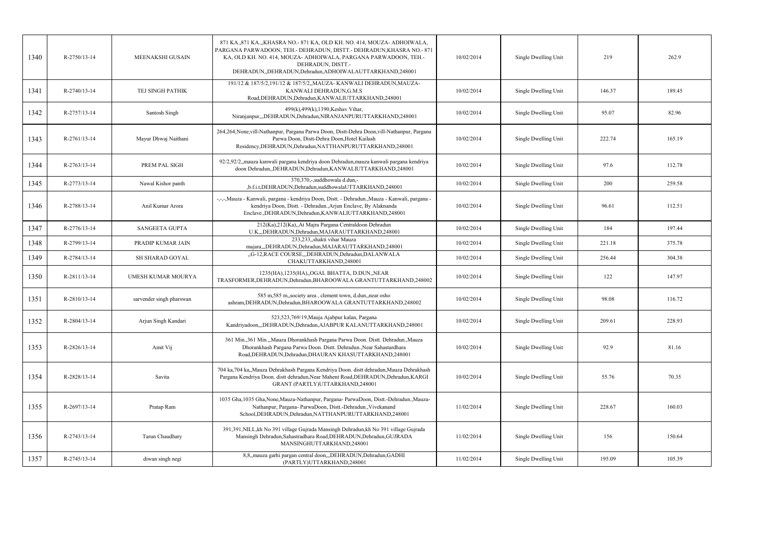| 1340 | R-2750/13-14   | MEENAKSHI GUSAIN         | 871 KA., 871 KA., , KHASRA NO. - 871 KA, OLD KH. NO. 414, MOUZA - ADHOIWALA,<br>PARGANA PARWADOON, TEH.- DEHRADUN, DISTT.- DEHRADUN, KHASRA NO.- 871<br>KA, OLD KH. NO. 414, MOUZA- ADHOIWALA, PARGANA PARWADOON, TEH.-<br>DEHRADUN, DISTT.-<br>DEHRADUN, DEHRADUN, Dehradun, ADHOIWALAUTTARKHAND, 248001 | 10/02/2014 | Single Dwelling Unit | 219    | 262.9  |
|------|----------------|--------------------------|-----------------------------------------------------------------------------------------------------------------------------------------------------------------------------------------------------------------------------------------------------------------------------------------------------------|------------|----------------------|--------|--------|
| 1341 | $R-2740/13-14$ | TEJ SINGH PATHIK         | 191/12 & 187/5/2,191/12 & 187/5/2,, MAUZA-KANWALI DEHRADUN, MAUZA-<br>KANWALI DEHRADUN, G.M.S<br>Road, DEHRADUN, Dehradun, KANWALIUTTARKHAND, 248001                                                                                                                                                      | 10/02/2014 | Single Dwelling Unit | 146.37 | 189.45 |
| 1342 | R-2757/13-14   | Santosh Singh            | 499(k), 499(k), 1390, Keshav Vihar,<br>Niranjanpur,,,DEHRADUN,Dehradun,NIRANJANPURUTTARKHAND,248001                                                                                                                                                                                                       | 10/02/2014 | Single Dwelling Unit | 95.07  | 82.96  |
| 1343 | R-2761/13-14   | Mayur Dhwaj Naithani     | 264,264,None,vill-Nathanpur, Pargana Parwa Doon, Distt-Dehra Doon,vill-Nathanpur, Pargana<br>Parwa Doon, Distt-Dehra Doon, Hotel Kailash<br>Residency, DEHRADUN, Dehradun, NATTHANPURUTTARKHAND, 248001                                                                                                   | 10/02/2014 | Single Dwelling Unit | 222.74 | 165.19 |
| 1344 | R-2763/13-14   | PREM PAL SIGH            | 92/2,92/2,,mauza kanwali pargana kendriya doon Dehradun,mauza kanwali pargana kendriya<br>doon Dehradun, DEHRADUN, Dehradun, KANWALIUTTARKHAND, 248001                                                                                                                                                    | 10/02/2014 | Single Dwelling Unit | 97.6   | 112.78 |
| 1345 | R-2773/13-14   | Nawal Kishor panth       | 370,370,-,suddhowala d.dun,-<br>,b.f.i.t,DEHRADUN,Dehradun,suddhowalaUTTARKHAND,248001                                                                                                                                                                                                                    | 10/02/2014 | Single Dwelling Unit | 200    | 259.58 |
| 1346 | R-2788/13-14   | Anil Kumar Arora         | -,-,-,Mauza - Kanwali, pargana - kendriya Doon, Distt. - Dehradun.,Mauza - Kanwali, pargana -<br>kendriya Doon, Distt. - Dehradun., Arjun Enclave, By Alaknanda<br>Enclave., DEHRADUN, Dehradun, KANWALIUTTARKHAND, 248001                                                                                | 10/02/2014 | Single Dwelling Unit | 96.61  | 112.51 |
| 1347 | R-2776/13-14   | <b>SANGEETA GUPTA</b>    | 212(Ka),212(Ka),,At Majra Pargana Centraldoon Dehradun<br>U.K,,,DEHRADUN,Dehradun,MAJARAUTTARKHAND,248001                                                                                                                                                                                                 | 10/02/2014 | Single Dwelling Unit | 184    | 197.44 |
| 1348 | R-2799/13-14   | PRADIP KUMAR JAIN        | 233,233, shakti vihar Mauza<br>majara,,,DEHRADUN,Dehradun,MAJARAUTTARKHAND,248001                                                                                                                                                                                                                         | 10/02/2014 | Single Dwelling Unit | 221.18 | 375.78 |
| 1349 | R-2784/13-14   | <b>SH SHARAD GOYAL</b>   | "G-12, RACE COURSE", DEHRADUN, Dehradun, DALANWALA<br>CHAKUTTARKHAND,248001                                                                                                                                                                                                                               | 10/02/2014 | Single Dwelling Unit | 256.44 | 304.38 |
| 1350 | R-2811/13-14   | UMESH KUMAR MOURYA       | 1235(HA), 1235(HA), OGAL BHATTA, D.DUN, NEAR<br>TRASFORMER, DEHRADUN, Dehradun, BHAROOWALA GRANTUTTARKHAND, 248002                                                                                                                                                                                        | 10/02/2014 | Single Dwelling Unit | 122    | 147.97 |
| 1351 | $R-2810/13-14$ | sarvender singh pharswan | 585 m,585 m, society area, clement town, d.dun, near osho<br>ashram, DEHRADUN, Dehradun, BHAROOWALA GRANTUTTARKHAND, 248002                                                                                                                                                                               | 10/02/2014 | Single Dwelling Unit | 98.08  | 116.72 |
| 1352 | R-2804/13-14   | Arjun Singh Kandari      | 523,523,769/19, Mauja Ajabpur kalan, Pargana<br>Kandriyadoon,,,DEHRADUN,Dehradun,AJABPUR KALANUTTARKHAND,248001                                                                                                                                                                                           | 10/02/2014 | Single Dwelling Unit | 209.61 | 228.93 |
| 1353 | R-2826/13-14   | Amit Vij                 | 361 Min., 361 Min., , Mauza Dhorankhash Pargana Parwa Doon. Distt. Dehradun., Mauza<br>Dhorankhash Pargana Parwa Doon. Distt. Dehradun., Near Sahastardhara<br>Road, DEHRADUN, Dehradun, DHAURAN KHASUTTARKHAND, 248001                                                                                   | 10/02/2014 | Single Dwelling Unit | 92.9   | 81.16  |
| 1354 | R-2828/13-14   | Savita                   | 704 ka,704 ka,,Mauza Dehrakhash Pargana Kendriya Doon. distt dehradun,Mauza Dehrakhash<br>Pargana Kendriya Doon. distt dehradun, Near Mahent Road, DEHRADUN, Dehradun, KARGI<br>GRANT (PARTLY)UTTARKHAND,248001                                                                                           | 10/02/2014 | Single Dwelling Unit | 55.76  | 70.35  |
| 1355 | R-2697/13-14   | Pratap Ram               | 1035 Gha, 1035 Gha, None, Mauza-Nathanpur, Pargana- ParwaDoon, Distt.-Dehradun., Mauza-<br>Nathanpur, Pargana- ParwaDoon, Distt.-Dehradun., Vivekanand<br>School, DEHRADUN, Dehradun, NATTHANPURUTTARKHAND, 248001                                                                                        | 11/02/2014 | Single Dwelling Unit | 228.67 | 160.03 |
| 1356 | R-2743/13-14   | Tarun Chaudhary          | 391,391, NILL, kh No 391 village Gujrada Mansingh Dehradun, kh No 391 village Gujrada<br>Mansingh Dehradun, Sahastradhara Road, DEHRADUN, Dehradun, GUJRADA<br>MANSINGHUTTARKHAND,248001                                                                                                                  | 11/02/2014 | Single Dwelling Unit | 156    | 150.64 |
| 1357 | R-2745/13-14   | diwan singh negi         | 8,8, mauza garhi pargan central doon, "DEHRADUN, Dehradun, GADHI<br>(PARTLY)UTTARKHAND,248001                                                                                                                                                                                                             | 11/02/2014 | Single Dwelling Unit | 195.09 | 105.39 |
|      |                |                          |                                                                                                                                                                                                                                                                                                           |            |                      |        |        |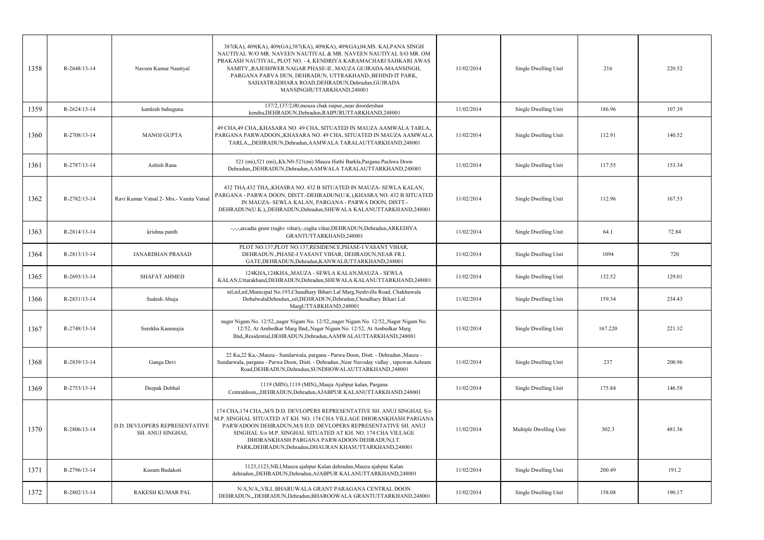| 1358 | R-2648/13-14   | Naveen Kumar Nautiyal                                    | 387(KA), 409(KA), 409(GA), 387(KA), 409(KA), 409(GA), 04, MS. KALPANA SINGH<br>NAUTIYAL W/O MR. NAVEEN NAUTIYAL & MR. NAVEEN NAUTIYAL S/O MR. OM<br>PRAKASH NAUTIYAL, PLOT NO. - 4, KENDRIYA KARAMACHARI SAHKARI AWAS<br>SAMITY,, RAJESHWER NAGAR PHASE-II, MAUZA GUJRADA-MAANSINGH,<br>PARGANA PARVA DUN, DEHRADUN, UTTRAKHAND., BEHIND IT PARK,<br>SAHASTRADHARA ROAD, DEHRADUN, Dehradun, GUJRADA<br>MANSINGHUTTARKHAND,248001 | 11/02/2014 | Single Dwelling Unit   | 216     | 220.52 |
|------|----------------|----------------------------------------------------------|-----------------------------------------------------------------------------------------------------------------------------------------------------------------------------------------------------------------------------------------------------------------------------------------------------------------------------------------------------------------------------------------------------------------------------------|------------|------------------------|---------|--------|
| 1359 | R-2624/13-14   | kamlesh bahuguna                                         | 137/2,137/2,00, mouza chak raipur, near doordershan<br>kendra, DEHRADUN, Dehradun, RAIPURUTTARKHAND, 248001                                                                                                                                                                                                                                                                                                                       | 11/02/2014 | Single Dwelling Unit   | 186.96  | 107.39 |
| 1360 | R-2708/13-14   | <b>MANOJ GUPTA</b>                                       | 49 CHA,49 CHA,,KHASARA NO. 49 CHA, SITUATED IN MAUZA AAMWALA TARLA,<br>PARGANA PARWADOON,,KHASARA NO. 49 CHA, SITUATED IN MAUZA AAMWALA<br>TARLA,,,DEHRADUN,Dehradun,AAMWALA TARALAUTTARKHAND,248001                                                                                                                                                                                                                              | 11/02/2014 | Single Dwelling Unit   | 112.91  | 140.52 |
| 1361 | R-2787/13-14   | Ashish Rana                                              | 521 (mi),521 (mi),,Kh.N0-521(mi) Mauza Hathi Barkla,Pargana Pachwa Doon<br>Dehradun, DEHRADUN, Dehradun, AAMWALA TARALAUTTARKHAND, 248001                                                                                                                                                                                                                                                                                         | 11/02/2014 | Single Dwelling Unit   | 117.55  | 153.34 |
| 1362 | R-2782/13-14   | Ravi Kumar Vatsal 2- Mrs.- Vanita Vatsal                 | 432 THA,432 THA,,KHASRA NO. 432 B SITUATED IN MAUZA- SEWLA KALAN,<br>PARGANA - PARWA DOON, DISTT.-DEHRADUN(U.K.), KHASRA NO. 432 B SITUATED<br>IN MAUZA- SEWLA KALAN, PARGANA - PARWA DOON, DISTT.-<br>DEHRADUN(U.K.),,DEHRADUN,Dehradun,SHEWALA KALANUTTARKHAND,248001                                                                                                                                                           | 11/02/2014 | Single Dwelling Unit   | 112.96  | 167.53 |
| 1363 | $R-2814/13-14$ | krishna panth                                            | -,-,-,arcadia grant (raghv vihar),-,ragha vihar,DEHRADUN,Dehradun,ARKEDIYA<br>GRANTUTTARKHAND,248001                                                                                                                                                                                                                                                                                                                              | 11/02/2014 | Single Dwelling Unit   | 64.1    | 72.84  |
| 1364 | R-2813/13-14   | <b>JANARDHAN PRASAD</b>                                  | PLOT NO.137, PLOT NO.137, RESIDENCE, PHASE-I VASANT VIHAR,<br>DEHRADUN., PHASE-I VASANT VIHAR, DEHRADUN, NEAR FR.I.<br>GATE, DEHRADUN, Dehradun, KANWALIUTTARKHAND, 248001                                                                                                                                                                                                                                                        | 11/02/2014 | Single Dwelling Unit   | 1094    | 720    |
| 1365 | R-2693/13-14   | <b>SHAFAT AHMED</b>                                      | 124KHA, 124KHA,, MAUZA - SEWLA KALAN, MAUZA - SEWLA<br>KALAN, Uttarakhand, DEHRADUN, Dehradun, SHEWALA KALANUTTARKHAND, 248001                                                                                                                                                                                                                                                                                                    | 11/02/2014 | Single Dwelling Unit   | 132.52  | 129.01 |
| 1366 | R-2831/13-14   | Sudesh Ahuja                                             | nil,nil,nil,Municipal No.193,Chaudhary Bihari Lal Marg,Neshvilla Road, Chakhuwala<br>DobalwalaDehradun,,nil,DEHRADUN,Dehradun,Choudhary Bihari Lal<br>MargUTTARKHAND,248001                                                                                                                                                                                                                                                       | 11/02/2014 | Single Dwelling Unit   | 159.34  | 234.43 |
| 1367 | R-2748/13-14   | Surekha Kannaujia                                        | nager Nigam No. 12/52, nager Nigam No. 12/52, nager Nigam No. 12/52, Nager Nigam No.<br>12/52, At Ambedkar Marg IInd,, Nager Nigam No. 12/52, At Ambedkar Marg<br>IInd,,Residential,DEHRADUN,Dehradun,AAMWALAUTTARKHAND,248001                                                                                                                                                                                                    | 11/02/2014 | Single Dwelling Unit   | 167.220 | 221.32 |
| 1368 | R-2839/13-14   | Ganga Devi                                               | 22 Ka, 22 Ka, -, Mauza - Sundarwala, pargana - Parwa Doon, Distt. - Dehradun., Mauza -<br>Sundarwala, pargana - Parwa Doon, Distt. - Dehradun., Near Navoday vidlay, tapowan Ashram<br>Road, DEHRADUN, Dehradun, SUNDHOWALAUTTARKHAND, 248001                                                                                                                                                                                     | 11/02/2014 | Single Dwelling Unit   | 237     | 200.96 |
| 1369 | R-2753/13-14   | Deepak Dobhal                                            | 1119 (MIN), 1119 (MIN), Mauja Ajabpur kalan, Pargana<br>Centraldoon,,,DEHRADUN,Dehradun,AJABPUR KALANUTTARKHAND,248001                                                                                                                                                                                                                                                                                                            | 11/02/2014 | Single Dwelling Unit   | 175.84  | 146.58 |
| 1370 | R-2806/13-14   | D.D. DEVLOPERS REPRESENTATIVE<br><b>SH. ANUJ SINGHAL</b> | 174 CHA, 174 CHA, M/S D.D. DEVLOPERS REPRESENTATIVE SH. ANUJ SINGHAL S/0<br>M.P. SINGHAL SITUATED AT KH. NO. 174 CHA VILLAGE DHORANKHASH PARGANA<br>PARWADOON DEHRADUN, M/S D.D. DEVLOPERS REPRESENTATIVE SH. ANUJ<br>SINGHAL S/o M.P. SINGHAL SITUATED AT KH. NO. 174 CHA VILLAGE<br>DHORANKHASH PARGANA PARWADOON DEHRADUN, I.T.<br>PARK, DEHRADUN, Dehradun, DHAURAN KHASUTTARKHAND, 248001                                    | 11/02/2014 | Multiple Dwelling Unit | 302.3   | 481.36 |
| 1371 | $R-2796/13-14$ | Kusum Budakoti                                           | 1123,1123, NILl, Mauza ajabpur Kalan dehradun, Mauza ajabpur Kalan<br>dehradun,,DEHRADUN,Dehradun,AJABPUR KALANUTTARKHAND,248001                                                                                                                                                                                                                                                                                                  | 11/02/2014 | Single Dwelling Unit   | 200.49  | 191.2  |
| 1372 | R-2802/13-14   | RAKESH KUMAR PAL                                         | N/A,N/A,,VILL.BHARUWALA GRANT PARAGANA CENTRAL DOON<br>DEHRADUN,,,DEHRADUN,Dehradun,BHAROOWALA GRANTUTTARKHAND,248001                                                                                                                                                                                                                                                                                                             | 11/02/2014 | Single Dwelling Unit   | 158.08  | 190.17 |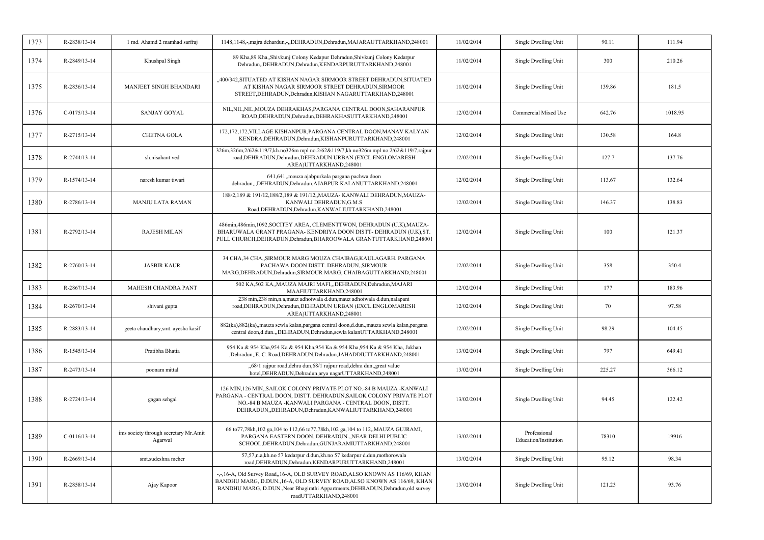| 1373 | R-2838/13-14   | 1 md. Ahamd 2 mamhad sarfraj                     | 1148,1148,-,majra dehardun,-,,DEHRADUN,Dehradun,MAJARAUTTARKHAND,248001                                                                                                                                                                                            | 11/02/2014 | Single Dwelling Unit                  | 90.11  | 111.94  |
|------|----------------|--------------------------------------------------|--------------------------------------------------------------------------------------------------------------------------------------------------------------------------------------------------------------------------------------------------------------------|------------|---------------------------------------|--------|---------|
| 1374 | R-2849/13-14   | Khushpal Singh                                   | 89 Kha, 89 Kha, Shivkunj Colony Kedapur Dehradun, Shivkunj Colony Kedarpur<br>Dehradun, DEHRADUN, Dehradun, KENDARPURUTTARKHAND, 248001                                                                                                                            | 11/02/2014 | Single Dwelling Unit                  | 300    | 210.26  |
| 1375 | R-2836/13-14   | <b>MANJEET SINGH BHANDARI</b>                    | ,,400/342,SITUATED AT KISHAN NAGAR SIRMOOR STREET DEHRADUN,SITUATED<br>AT KISHAN NAGAR SIRMOOR STREET DEHRADUN, SIRMOOR<br>STREET, DEHRADUN, Dehradun, KISHAN NAGARUTTARKHAND, 248001                                                                              | 11/02/2014 | Single Dwelling Unit                  | 139.86 | 181.5   |
| 1376 | $C-0175/13-14$ | <b>SANJAY GOYAL</b>                              | NIL, NIL, NIL, MOUZA DEHRAKHAS, PARGANA CENTRAL DOON, SAHARANPUR<br>ROAD, DEHRADUN, Dehradun, DEHRAKHASUTTARKHAND, 248001                                                                                                                                          | 12/02/2014 | Commercial Mixed Use                  | 642.76 | 1018.95 |
| 1377 | R-2715/13-14   | <b>CHETNA GOLA</b>                               | 172,172,172,VILLAGE KISHANPUR,PARGANA CENTRAL DOON,MANAV KALYAN<br>KENDRA, DEHRADUN, Dehradun, KISHANPURUTTARKHAND, 248001                                                                                                                                         | 12/02/2014 | Single Dwelling Unit                  | 130.58 | 164.8   |
| 1378 | R-2744/13-14   | sh.nisahant ved                                  | 326m, 326m, 2/62&119/7, kh.no326m mpl no.2/62&119/7, kh.no326m mpl no.2/62&119/7, rajpur<br>road, DEHRADUN, Dehradun, DEHRADUN URBAN (EXCL.ENGLOMARESH<br>AREA)UTTARKHAND,248001                                                                                   | 12/02/2014 | Single Dwelling Unit                  | 127.7  | 137.76  |
| 1379 | R-1574/13-14   | naresh kumar tiwari                              | 641,641, mouza ajabpurkala pargana pachwa doon<br>dehradun, ,,DEHRADUN,Dehradun,AJABPUR KALANUTTARKHAND,248001                                                                                                                                                     | 12/02/2014 | Single Dwelling Unit                  | 113.67 | 132.64  |
| 1380 | R-2786/13-14   | <b>MANJU LATA RAMAN</b>                          | 188/2,189 & 191/12,188/2,189 & 191/12,,MAUZA-KANWALI DEHRADUN,MAUZA-<br>KANWALI DEHRADUN.G.M.S<br>Road, DEHRADUN, Dehradun, KANWALIUTTARKHAND, 248001                                                                                                              | 12/02/2014 | Single Dwelling Unit                  | 146.37 | 138.83  |
| 1381 | R-2792/13-14   | <b>RAJESH MILAN</b>                              | 486min, 486min, 1092, SOCITEY AREA, CLEMENTTWON, DEHRADUN (U.K), MAUZA-<br>BHARUWALA GRANT PRAGANA- KENDRIYA DOON DISTT- DEHRADUN (U.K), ST.<br>PULL CHURCH, DEHRADUN, Dehradun, BHAROOWALA GRANTUTTARKHAND, 248001                                                | 12/02/2014 | Single Dwelling Unit                  | 100    | 121.37  |
| 1382 | $R-2760/13-14$ | <b>JASBIR KAUR</b>                               | 34 CHA,34 CHA,,SIRMOUR MARG MOUZA CHAIBAG,KAULAGARH. PARGANA<br>PACHAWA DOON DISTT. DEHRADUN, SIRMOUR<br>MARG, DEHRADUN, Dehradun, SIRMOUR MARG, CHAIBAGUTTARKHAND, 248001                                                                                         | 12/02/2014 | Single Dwelling Unit                  | 358    | 350.4   |
| 1383 | R-2867/13-14   | <b>MAHESH CHANDRA PANT</b>                       | 502 KA, 502 KA, MAUZA MAJRI MAFI, , DEHRADUN, Dehradun, MAJARI<br>MAAFIUTTARKHAND,248001                                                                                                                                                                           | 12/02/2014 | Single Dwelling Unit                  | 177    | 183.96  |
| 1384 | R-2670/13-14   | shivani gupta                                    | 238 min,238 min,n.a,mauz adhoiwala d.dun,mauz adhoiwala d.dun,nalapani<br>road, DEHRADUN, Dehradun, DEHRADUN URBAN (EXCL.ENGLOMARESH<br>AREA)UTTARKHAND,248001                                                                                                     | 12/02/2014 | Single Dwelling Unit                  | 70     | 97.58   |
| 1385 | R-2883/13-14   | geeta chaudhary, smt. ayesha kasif               | 882(ka), 882(ka), mauza sewla kalan, pargana central doon, d.dun., mauza sewla kalan, pargana<br>central doon,d.dun.,,DEHRADUN,Dehradun,sewla kalanUTTARKHAND,248001                                                                                               | 12/02/2014 | Single Dwelling Unit                  | 98.29  | 104.45  |
| 1386 | R-1545/13-14   | Pratibha Bhatia                                  | 954 Ka & 954 Kha.954 Ka & 954 Kha.954 Ka & 954 Kha.954 Ka & 954 Kha. Jakhan<br>,Dehradun,,E. C. Road,DEHRADUN,Dehradun,JAHADDIUTTARKHAND,248001                                                                                                                    | 13/02/2014 | Single Dwelling Unit                  | 797    | 649.41  |
| 1387 | R-2473/13-14   | poonam mittal                                    | "68/1 rajpur road, dehra dun, 68/1 rajpur road, dehra dun, great value<br>hotel, DEHRADUN, Dehradun, arya nagarUTTARKHAND, 248001                                                                                                                                  | 13/02/2014 | Single Dwelling Unit                  | 225.27 | 366.12  |
| 1388 | R-2724/13-14   | gagan sehgal                                     | 126 MIN, 126 MIN, SAILOK COLONY PRIVATE PLOT NO.-84 B MAUZA -KANWALI<br>PARGANA - CENTRAL DOON, DISTT. DEHRADUN, SAILOK COLONY PRIVATE PLOT<br>NO.-84 B MAUZA -KANWALI PARGANA - CENTRAL DOON, DISTT.<br>DEHRADUN, DEHRADUN, Dehradun, KANWALIUTTARKHAND, 248001   | 13/02/2014 | Single Dwelling Unit                  | 94.45  | 122.42  |
| 1389 | $C-0116/13-14$ | ims society through secretary Mr.Amit<br>Agarwal | 66 to 77, 78kh, 102 ga, 104 to 112, 66 to 77, 78kh, 102 ga, 104 to 112, MAUZA GUJRAMI,<br>PARGANA EASTERN DOON, DEHRADUN., NEAR DELHI PUBLIC<br>SCHOOL, DEHRADUN, Dehradun, GUNJARAMIUTTARKHAND, 248001                                                            | 13/02/2014 | Professional<br>Education/Institution | 78310  | 19916   |
| 1390 | R-2669/13-14   | smt.sudeshna meher                               | 57,57,n.a,kh.no 57 kedarpur d.dun,kh.no 57 kedarpur d.dun,mothorowala<br>road, DEHRADUN, Dehradun, KENDARPURUTTARKHAND, 248001                                                                                                                                     | 13/02/2014 | Single Dwelling Unit                  | 95.12  | 98.34   |
| 1391 | R-2858/13-14   | Ajay Kapoor                                      | --,16-A, Old Survey Road, 16-A, OLD SURVEY ROAD, ALSO KNOWN AS 116/69, KHAN<br>BANDHU MARG, D.DUN., 16-A, OLD SURVEY ROAD, ALSO KNOWN AS 116/69, KHAN<br>BANDHU MARG, D.DUN., Near Bhagirathi Appartments, DEHRADUN, Dehradun, old survey<br>roadUTTARKHAND,248001 | 13/02/2014 | Single Dwelling Unit                  | 121.23 | 93.76   |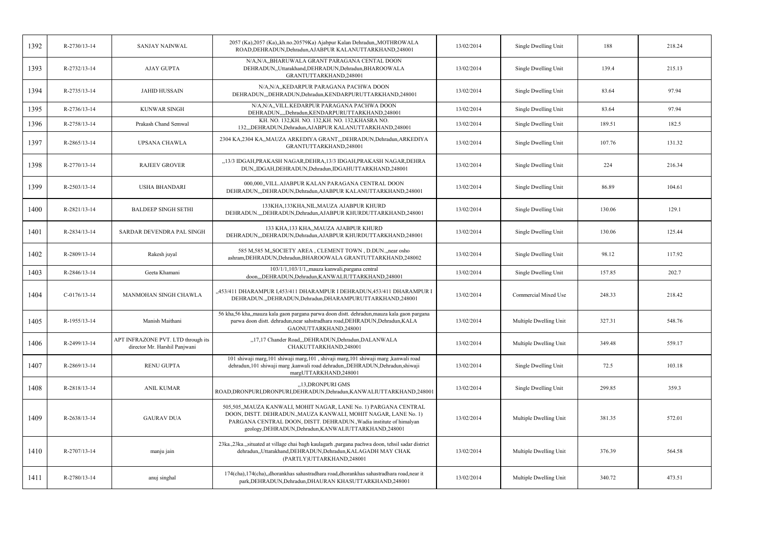| 1392 | R-2730/13-14   | SANJAY NAINWAL                                                      | 2057 (Ka),2057 (Ka),,kh.no.20579Ka) Ajabpur Kalan Dehradun,,MOTHROWALA<br>ROAD, DEHRADUN, Dehradun, AJABPUR KALANUTTARKHAND, 248001                                                                                                                                  | 13/02/2014 | Single Dwelling Unit   | 188    | 218.24 |
|------|----------------|---------------------------------------------------------------------|----------------------------------------------------------------------------------------------------------------------------------------------------------------------------------------------------------------------------------------------------------------------|------------|------------------------|--------|--------|
| 1393 | R-2732/13-14   | <b>AJAY GUPTA</b>                                                   | N/A,N/A,,BHARUWALA GRANT PARAGANA CENTAL DOON<br>DEHRADUN, Uttarakhand, DEHRADUN, Dehradun, BHAROOWALA<br>GRANTUTTARKHAND,248001                                                                                                                                     | 13/02/2014 | Single Dwelling Unit   | 139.4  | 215.13 |
| 1394 | R-2735/13-14   | JAHID HUSSAIN                                                       | N/A,N/A,,KEDARPUR PARAGANA PACHWA DOON<br>DEHRADUN, ,DEHRADUN, Dehradun, KENDARPURUTTARKHAND, 248001                                                                                                                                                                 | 13/02/2014 | Single Dwelling Unit   | 83.64  | 97.94  |
| 1395 | R-2736/13-14   | <b>KUNWAR SINGH</b>                                                 | N/A,N/A,,VILL.KEDARPUR PARAGANA PACHWA DOON<br>DEHRADUN,,,,Dehradun,KENDARPURUTTARKHAND,248001                                                                                                                                                                       | 13/02/2014 | Single Dwelling Unit   | 83.64  | 97.94  |
| 1396 | R-2758/13-14   | Prakash Chand Semwal                                                | KH. NO. 132, KH. NO. 132, KH. NO. 132, KHASRA NO.<br>132,,,DEHRADUN,Dehradun,AJABPUR KALANUTTARKHAND,248001                                                                                                                                                          | 13/02/2014 | Single Dwelling Unit   | 189.51 | 182.5  |
| 1397 | R-2865/13-14   | <b>UPSANA CHAWLA</b>                                                | 2304 KA,2304 KA,,MAUZA ARKEDIYA GRANT,,,DEHRADUN,Dehradun,ARKEDIYA<br>GRANTUTTARKHAND,248001                                                                                                                                                                         | 13/02/2014 | Single Dwelling Unit   | 107.76 | 131.32 |
| 1398 | R-2770/13-14   | <b>RAJEEV GROVER</b>                                                | "13/3 IDGAH, PRAKASH NAGAR, DEHRA, 13/3 IDGAH, PRAKASH NAGAR, DEHRA<br>DUN, IDGAH, DEHRADUN, Dehradun, IDGAHUTTARKHAND, 248001                                                                                                                                       | 13/02/2014 | Single Dwelling Unit   | 224    | 216.34 |
| 1399 | R-2503/13-14   | <b>USHA BHANDARI</b>                                                | 000,000, VILL.AJABPUR KALAN PARAGANA CENTRAL DOON<br>DEHRADUN, "DEHRADUN, Dehradun, AJABPUR KALANUTTARKHAND, 248001                                                                                                                                                  | 13/02/2014 | Single Dwelling Unit   | 86.89  | 104.61 |
| 1400 | R-2821/13-14   | <b>BALDEEP SINGH SETHI</b>                                          | 133KHA, 133KHA, NIL, MAUZA AJABPUR KHURD<br>DEHRADUN.,,,DEHRADUN,Dehradun,AJABPUR KHURDUTTARKHAND,248001                                                                                                                                                             | 13/02/2014 | Single Dwelling Unit   | 130.06 | 129.1  |
| 1401 | R-2834/13-14   | SARDAR DEVENDRA PAL SINGH                                           | 133 KHA, 133 KHA,, MAUZA AJABPUR KHURD<br>DEHRADUN,"DEHRADUN, Dehradun, AJABPUR KHURDUTTARKHAND, 248001                                                                                                                                                              | 13/02/2014 | Single Dwelling Unit   | 130.06 | 125.44 |
| 1402 | R-2809/13-14   | Rakesh juyal                                                        | 585 M, 585 M, SOCIETY AREA, CLEMENT TOWN, D.DUN., near osho<br>ashram, DEHRADUN, Dehradun, BHAROOWALA GRANTUTTARKHAND, 248002                                                                                                                                        | 13/02/2014 | Single Dwelling Unit   | 98.12  | 117.92 |
| 1403 | R-2846/13-14   | Geeta Khamani                                                       | 103/1/1,103/1/1, mauza kanwali, pargana central<br>doon,,,DEHRADUN,Dehradun,KANWALIUTTARKHAND,248001                                                                                                                                                                 | 13/02/2014 | Single Dwelling Unit   | 157.85 | 202.7  |
| 1404 | $C-0176/13-14$ | MANMOHAN SINGH CHAWLA                                               | ,453/411 DHARAMPUR I,453/411 DHARAMPUR I DEHRADUN,453/411 DHARAMPUR I<br>DEHRADUN., DEHRADUN, Dehradun, DHARAMPURUTTARKHAND, 248001                                                                                                                                  | 13/02/2014 | Commercial Mixed Use   | 248.33 | 218.42 |
| 1405 | R-1955/13-14   | Manish Maithani                                                     | 56 kha,56 kha, mauza kala gaon pargana parwa doon distt. dehradun, mauza kala gaon pargana<br>parwa doon distt. dehradun,near sahstradhara road,DEHRADUN,Dehradun,KALA<br>GAONUTTARKHAND,248001                                                                      | 13/02/2014 | Multiple Dwelling Unit | 327.31 | 548.76 |
| 1406 | R-2499/13-14   | APT INFRAZONE PVT. LTD through its<br>director Mr. Harshil Panjwani | "17,17 Chander Road,"DEHRADUN, Dehradun, DALANWALA<br>CHAKUTTARKHAND,248001                                                                                                                                                                                          | 13/02/2014 | Multiple Dwelling Unit | 349.48 | 559.17 |
| 1407 | R-2869/13-14   | <b>RENU GUPTA</b>                                                   | 101 shiwaji marg, 101 shiwaji marg, 101, shivaji marg, 101 shiwaji marg, kanwali road<br>dehradun, 101 shiwaji marg ,kanwali road dehradun, DEHRADUN, Dehradun, shiwaji<br>margUTTARKHAND,248001                                                                     | 13/02/2014 | Single Dwelling Unit   | 72.5   | 103.18 |
| 1408 | R-2818/13-14   | <b>ANIL KUMAR</b>                                                   | "13, DRONPURI GMS<br>ROAD,DRONPURI,DRONPURI,DEHRADUN,Dehradun,KANWALIUTTARKHAND,248001                                                                                                                                                                               | 13/02/2014 | Single Dwelling Unit   | 299.85 | 359.3  |
| 1409 | R-2638/13-14   | <b>GAURAV DUA</b>                                                   | 505,505,,MAUZA KANWALI, MOHIT NAGAR, LANE No. 1) PARGANA CENTRAL<br>DOON, DISTT. DEHRADUN., MAUZA KANWALI, MOHIT NAGAR, LANE No. 1)<br>PARGANA CENTRAL DOON, DISTT. DEHRADUN., Wadia institute of himalyan<br>geology, DEHRADUN, Dehradun, KANWALIUTTARKHAND, 248001 | 13/02/2014 | Multiple Dwelling Unit | 381.35 | 572.01 |
| 1410 | R-2707/13-14   | manju jain                                                          | 23ka.,23ka.,,situated at village chai bagh kaulagarh ,pargana pachwa doon, tehsil sadar district<br>dehradun,,Uttarakhand,DEHRADUN,Dehradun,KALAGADH MAY CHAK<br>(PARTLY)UTTARKHAND,248001                                                                           | 13/02/2014 | Multiple Dwelling Unit | 376.39 | 564.58 |
| 1411 | R-2780/13-14   | anuj singhal                                                        | 174(cha), 174(cha), dhorankhas sahastradhara road, dhorankhas sahastradhara road, near it<br>park, DEHRADUN, Dehradun, DHAURAN KHASUTTARKHAND, 248001                                                                                                                | 13/02/2014 | Multiple Dwelling Unit | 340.72 | 473.51 |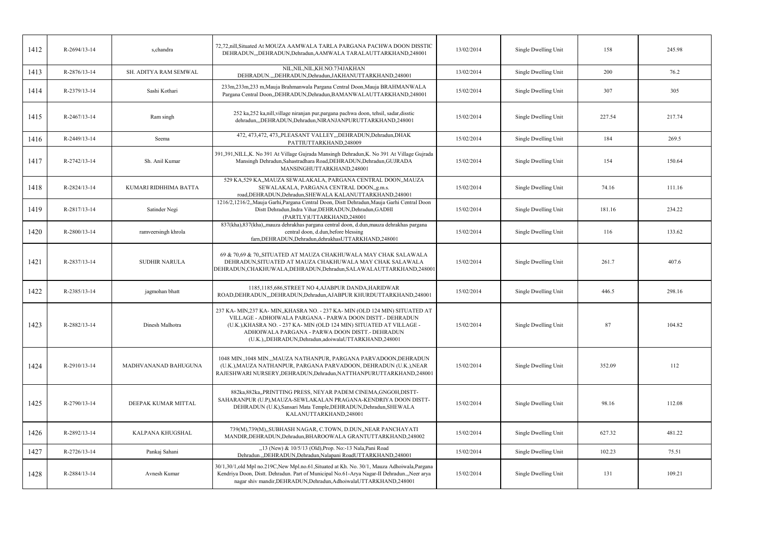| 1412 | R-2694/13-14 | s, chandra            | 72,72,nill,Situated At MOUZA AAMWALA TARLA PARGANA PACHWA DOON DISSTIC<br>DEHRADUN,,,DEHRADUN,Dehradun,AAMWALA TARALAUTTARKHAND,248001                                                                                                                                                                                         | 13/02/2014 | Single Dwelling Unit | 158    | 245.98 |
|------|--------------|-----------------------|--------------------------------------------------------------------------------------------------------------------------------------------------------------------------------------------------------------------------------------------------------------------------------------------------------------------------------|------------|----------------------|--------|--------|
| 1413 | R-2876/13-14 | SH. ADITYA RAM SEMWAL | NIL, NIL, NIL, KH. NO. 734 JAKHAN<br>DEHRADUN.,,,DEHRADUN,Dehradun,JAKHANUTTARKHAND,248001                                                                                                                                                                                                                                     | 13/02/2014 | Single Dwelling Unit | 200    | 76.2   |
| 1414 | R-2379/13-14 | Sashi Kothari         | 233m, 233m, 233 m, Mauja Brahmanwala Pargana Central Doon, Mauja BRAHMANWALA<br>Pargana Central Doon,,DEHRADUN,Dehradun,BAMANWALAUTTARKHAND,248001                                                                                                                                                                             | 15/02/2014 | Single Dwelling Unit | 307    | 305    |
| 1415 | R-2467/13-14 | Ram singh             | 252 ka, 252 ka, nill, village niranjan pur, pargana pachwa doon, tehsil, sadar, disstic<br>dehradun,,,DEHRADUN,Dehradun,NIRANJANPURUTTARKHAND,248001                                                                                                                                                                           | 15/02/2014 | Single Dwelling Unit | 227.54 | 217.74 |
| 1416 | R-2449/13-14 | Seema                 | 472, 473, 472, 473, PLEASANT VALLEY, , DEHRADUN, Dehradun, DHAK<br>PATTIUTTARKHAND,248009                                                                                                                                                                                                                                      | 15/02/2014 | Single Dwelling Unit | 184    | 269.5  |
| 1417 | R-2742/13-14 | Sh. Anil Kumar        | 391,391,NILL,K. No 391 At Village Gujrada Mansingh Dehradun,K. No 391 At Village Gujrada<br>Mansingh Dehradun, Sahastradhara Road, DEHRADUN, Dehradun, GUJRADA<br>MANSINGHUTTARKHAND,248001                                                                                                                                    | 15/02/2014 | Single Dwelling Unit | 154    | 150.64 |
| 1418 | R-2824/13-14 | KUMARI RIDHHIMA BATTA | 529 KA, 529 KA,, MAUZA SEWALAKALA, PARGANA CENTRAL DOON,, MAUZA<br>SEWALAKALA, PARGANA CENTRAL DOON,,g.m.s.<br>road, DEHRADUN, Dehradun, SHEWALA KALANUTTARKHAND, 248001                                                                                                                                                       | 15/02/2014 | Single Dwelling Unit | 74.16  | 111.16 |
| 1419 | R-2817/13-14 | Satinder Negi         | 1216/2,1216/2,,Mauja Garhi,Pargana Central Doon, Distt Dehradun,Mauja Garhi Central Doon<br>Distt Dehradun, Indra Vihar, DEHRADUN, Dehradun, GADHI<br>(PARTLY)UTTARKHAND,248001                                                                                                                                                | 15/02/2014 | Single Dwelling Unit | 181.16 | 234.22 |
| 1420 | R-2800/13-14 | ramveersingh khrola   | 837(kha),837(kha),,mauza dehrakhas pargana central doon, d.dun,mauza dehrakhas pargana<br>central doon, d.dun, before blessing<br>farn, DEHRADUN, Dehradun, dehrakhas UTTARKHAND, 248001                                                                                                                                       | 15/02/2014 | Single Dwelling Unit | 116    | 133.62 |
| 1421 | R-2837/13-14 | <b>SUDHIR NARULA</b>  | 69 & 70,69 & 70,,SITUATED AT MAUZA CHAKHUWALA MAY CHAK SALAWALA<br>DEHRADUN, SITUATED AT MAUZA CHAKHUWALA MAY CHAK SALAWALA<br>DEHRADUN, CHAKHUWALA, DEHRADUN, Dehradun, SALAWALAUTTARKHAND, 248001                                                                                                                            | 15/02/2014 | Single Dwelling Unit | 261.7  | 407.6  |
| 1422 | R-2385/13-14 | jagmohan bhatt        | 1185,1185,686,STREET NO 4,AJABPUR DANDA,HARIDWAR<br>ROAD, DEHRADUN, "DEHRADUN, Dehradun, AJABPUR KHURDUTTARKHAND, 248001                                                                                                                                                                                                       | 15/02/2014 | Single Dwelling Unit | 446.5  | 298.16 |
| 1423 | R-2882/13-14 | Dinesh Malhotra       | 237 KA- MIN, 237 KA- MIN, KHASRA NO. - 237 KA- MIN (OLD 124 MIN) SITUATED AT<br>VILLAGE - ADHOIWALA PARGANA - PARWA DOON DISTT. - DEHRADUN<br>(U.K.), KHASRA NO. - 237 KA-MIN (OLD 124 MIN) SITUATED AT VILLAGE -<br>ADHOIWALA PARGANA - PARWA DOON DISTT.- DEHRADUN<br>(U.K.), DEHRADUN, Dehradun, adoiwalaUTTARKHAND, 248001 | 15/02/2014 | Single Dwelling Unit | 87     | 104.82 |
| 1424 | R-2910/13-14 | MADHVANANAD BAHUGUNA  | 1048 MIN., 1048 MIN., MAUZA NATHANPUR, PARGANA PARVADOON, DEHRADUN<br>(U.K.), MAUZA NATHANPUR, PARGANA PARVADOON, DEHRADUN (U.K.), NEAR<br>RAJESHWARI NURSERY, DEHRADUN, Dehradun, NATTHANPURUTTARKHAND, 248001                                                                                                                | 15/02/2014 | Single Dwelling Unit | 352.09 | 112    |
| 1425 | R-2790/13-14 | DEEPAK KUMAR MITTAL   | 882ka, 882ka, PRINTTING PRESS, NEYAR PADEM CINEMA, GNGOH, DISTT-<br>SAHARANPUR (U.P), MAUZA-SEWLAKALAN PRAGANA-KENDRIYA DOON DISTT-<br>DEHRADUN (U.K), Sansari Mata Temple, DEHRADUN, Dehradun, SHEWALA<br>KALANUTTARKHAND,248001                                                                                              | 15/02/2014 | Single Dwelling Unit | 98.16  | 112.08 |
| 1426 | R-2892/13-14 | KALPANA KHUGSHAL      | 739(M), 739(M), SUBHASH NAGAR, C.TOWN, D.DUN, NEAR PANCHAYATI<br>MANDIR, DEHRADUN, Dehradun, BHAROOWALA GRANTUTTARKHAND, 248002                                                                                                                                                                                                | 15/02/2014 | Single Dwelling Unit | 627.32 | 481.22 |
| 1427 | R-2726/13-14 | Pankaj Sahani         | "13 (New) & 10/5/13 (Old), Prop. No:-13 Nala, Pani Road<br>Dehradun., DEHRADUN, Dehradun, Nalapani RoadUTTARKHAND, 248001                                                                                                                                                                                                      | 15/02/2014 | Single Dwelling Unit | 102.23 | 75.51  |
| 1428 | R-2884/13-14 | Avnesh Kumar          | 30/1,30/1,old Mpl no.219C, New Mpl no.61, Situated at Kh. No. 30/1, Mauza Adhoiwala, Pargana<br>Kendriya Doon, Distt. Dehradun. Part of Municipal No.61-Arya Nagar-II Dehradun., Neer arya<br>nagar shiv mandir, DEHRADUN, Dehradun, AdhoiwalaUTTARKHAND, 248001                                                               | 15/02/2014 | Single Dwelling Unit | 131    | 109.21 |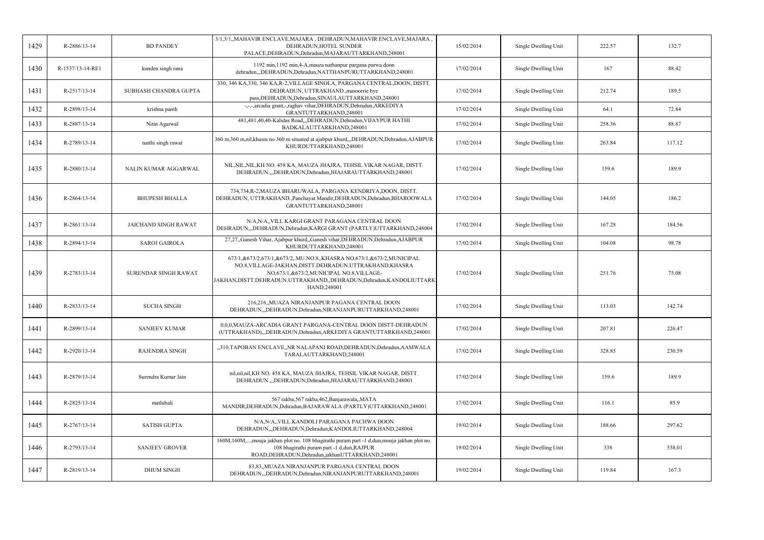| 1429 | R-2886/13-14     | <b>BD PANDEY</b>            | 3/1,3/1,,MAHAVIR ENCLAVE,MAJARA, DEHRADUN,MAHAVIR ENCLAVE,MAJARA<br>DEHRADUN.HOTEL SUNDER<br>PALACE, DEHRADUN, Dehradun, MAJARAUTTARKHAND, 248001                                                                                                                          | 15/02/2014 | Single Dwelling Unit | 222.57 | 132.7  |
|------|------------------|-----------------------------|----------------------------------------------------------------------------------------------------------------------------------------------------------------------------------------------------------------------------------------------------------------------------|------------|----------------------|--------|--------|
| 1430 | R-1537/13-14-RE1 | kunden singh rana           | 1192 min, 1192 min, 4-A, mauza nathanpur pargana parwa doon<br>dehradun,,,DEHRADUN,Dehradun,NATTHANPURUTTARKHAND,248001                                                                                                                                                    | 17/02/2014 | Single Dwelling Unit | 167    | 88.42  |
| 1431 | R-2517/13-14     | SUBHASH CHANDRA GUPTA       | 330, 346 KA, 330, 346 KA, R-2, VILLAGE SINOLA, PARGANA CENTRAL, DOON, DISTT.<br>DEHRADUN, UTTRAKHAND., masoorrie bye<br>pass, DEHRADUN, Dehradun, SINAULAUTTARKHAND, 248001                                                                                                | 17/02/2014 | Single Dwelling Unit | 212.74 | 189.5  |
| 1432 | R-2898/13-14     | krishna panth               | -,-,-,arcadia grant,-,raghav vihar,DEHRADUN,Dehradun,ARKEDIYA<br>GRANTUTTARKHAND,248001                                                                                                                                                                                    | 17/02/2014 | Single Dwelling Unit | 64.1   | 72.84  |
| 1433 | R-2887/13-14     | Nitin Agarwal               | 481,481,40,40-Kalidas Road,,,DEHRADUN,Dehradun,VIJAYPUR HATHI<br>BADKALAUTTARKHAND,248001                                                                                                                                                                                  | 17/02/2014 | Single Dwelling Unit | 258.36 | 88.87  |
| 1434 | R-2789/13-14     | natthi singh rawat          | 360 m,360 m,nil,khasra no 360 m situated at ajabpur khurd,,,DEHRADUN,Dehradun,AJABPUR<br>KHURDUTTARKHAND,248001                                                                                                                                                            | 17/02/2014 | Single Dwelling Unit | 263.84 | 117.12 |
| 1435 | R-2880/13-14     | NALIN KUMAR AGGARWAL        | NIL, NIL, NIL, KH NO. 458 KA, MAUZA JHAJRA, TEHSIL VIKAR NAGAR, DISTT.<br>DEHRADUN.,,,DEHRADUN,Dehradun,JHAJARAUTTARKHAND,248001                                                                                                                                           | 17/02/2014 | Single Dwelling Unit | 159.6  | 189.9  |
| 1436 | R-2864/13-14     | <b>BHUPESH BHALLA</b>       | 734,734,R-2,MAUZA BHARUWALA, PARGANA KENDRIYA,DOON, DISTT.<br>DEHRADUN, UTTRAKHAND., Panchayat Mandir, DEHRADUN, Dehradun, BHAROOWALA<br>GRANTUTTARKHAND,248001                                                                                                            | 17/02/2014 | Single Dwelling Unit | 144.05 | 186.2  |
| 1437 | R-2861/13-14     | <b>JAICHAND SINGH RAWAT</b> | N/A,N/A,,VILL.KARGI GRANT PARAGANA CENTRAL DOON<br>DEHRADUN, DEHRADUN, Dehradun, KARGI GRANT (PARTLY) UTTARKHAND, 248004                                                                                                                                                   | 17/02/2014 | Single Dwelling Unit | 167.28 | 184.56 |
| 1438 | R-2894/13-14     | <b>SAROJ GAIROLA</b>        | 27,27, Ganesh Vihar, Ajabpur khurd, Ganesh vihar, DEHRADUN, Dehradun, AJABPUR<br>KHURDUTTARKHAND,248001                                                                                                                                                                    | 17/02/2014 | Single Dwelling Unit | 104.08 | 98.78  |
| 1439 | R-2783/13-14     | SURENDAR SINGH RAWAT        | 673/1,&673/2,673/1,&673/2,.MU.NO.8,,KHASRA NO.673/1,&673/2,MUNICIPAL<br>NO.8, VILLAGE-JAKHAN, DISTT. DEHRADUN. UTTRAKHAND, KHASRA<br>NO.673/1, & 673/2, MUNICIPAL NO.8, VILLAGE-<br>JAKHAN, DISTT. DEHRADUN. UTTRAKHAND, ,DEHRADUN, Dehradun, KANDOLIUTTARK<br>HAND,248001 | 17/02/2014 | Single Dwelling Unit | 251.76 | 75.08  |
| 1440 | R-2833/13-14     | <b>SUCHA SINGH</b>          | 216,216,,MUAZA NIRANJANPUR PAGANA CENTRAL DOON<br>DEHRADUN,,,DEHRADUN,Dehradun,NIRANJANPURUTTARKHAND,248001                                                                                                                                                                | 17/02/2014 | Single Dwelling Unit | 113.03 | 142.74 |
| 1441 | R-2899/13-14     | <b>SANJEEV KUMAR</b>        | 0,0,0,MAUZA-ARCADIA GRANT PARGANA-CENTRAL DOON DISTT-DEHRADUN<br>(UTTRAKHAND),,,DEHRADUN,Dehradun,ARKEDIYA GRANTUTTARKHAND,248001                                                                                                                                          | 17/02/2014 | Single Dwelling Unit | 207.81 | 226.47 |
| 1442 | R-2920/13-14     | <b>RAJENDRA SINGH</b>       | "310, TAPOBAN ENCLAVE"NR NALAPANI ROAD, DEHRADUN, Dehradun, AAMWALA<br>TARALAUTTARKHAND,248001                                                                                                                                                                             | 17/02/2014 | Single Dwelling Unit | 328.85 | 230.59 |
| 1443 | R-2879/13-14     | Surendra Kumar Jain         | nil, nil, nil, KH NO. 458 KA, MAUZA JHAJRA, TEHSIL VIKAR NAGAR, DISTT.<br>DEHRADUN.,,,DEHRADUN,Dehradun,JHAJARAUTTARKHAND,248001                                                                                                                                           | 17/02/2014 | Single Dwelling Unit | 159.6  | 189.9  |
| 1444 | R-2825/13-14     | matlubali                   | 567 rakba, 567 rakba, 462, Banjarawala,, MATA<br>MANDIR, DEHRADUN, Dehradun, BAJARAWALA (PARTLY) UTTARKHAND, 248001                                                                                                                                                        | 17/02/2014 | Single Dwelling Unit | 116.1  | 85.9   |
| 1445 | R-2767/13-14     | <b>SATISH GUPTA</b>         | N/A,N/A,,VILL.KANDOLI PARAGANA PACHWA DOON<br>DEHRADUN,,,DEHRADUN,Dehradun,KANDOLIUTTARKHAND,248004                                                                                                                                                                        | 19/02/2014 | Single Dwelling Unit | 188.66 | 297.62 |
| 1446 | R-2793/13-14     | <b>SANJEEV GROVER</b>       | 160M,160M,,mouja jakhan plot no. 108 bhagirathi puram part -1 d,dun,mouja jakhan plot no.<br>108 bhagirathi puram part -1 d,dun,RAJPUR<br>ROAD, DEHRADUN, Dehradun, jakhanUTTARKHAND, 248001                                                                               | 19/02/2014 | Single Dwelling Unit | 338    | 538.01 |
| 1447 | R-2819/13-14     | <b>DHUM SINGH</b>           | 83,83,,MUAZA NIRANJANPUR PARGANA CENTRAL DOON<br>DEHRADUN,,,DEHRADUN,Dehradun,NIRANJANPURUTTARKHAND,248001                                                                                                                                                                 | 19/02/2014 | Single Dwelling Unit | 119.84 | 167.3  |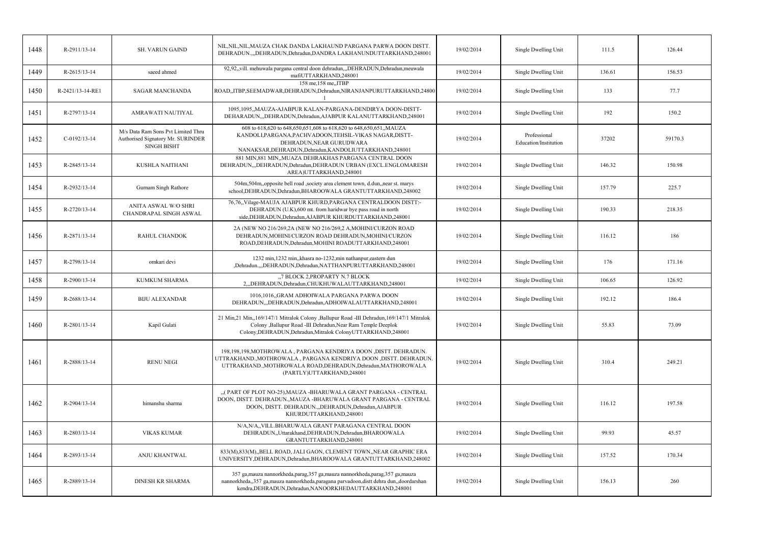| 1448 | R-2911/13-14     | <b>SH. VARUN GAIND</b>                                                                        | NIL.NIL.NIL.MAUZA CHAK DANDA LAKHAUND PARGANA PARWA DOON DISTT.<br>DEHRADUN.,,,DEHRADUN,Dehradun,DANDRA LAKHANUNDUTTARKHAND,248001                                                                                                | 19/02/2014 | Single Dwelling Unit                  | 111.5  | 126.44  |
|------|------------------|-----------------------------------------------------------------------------------------------|-----------------------------------------------------------------------------------------------------------------------------------------------------------------------------------------------------------------------------------|------------|---------------------------------------|--------|---------|
| 1449 | $R-2615/13-14$   | saeed ahmed                                                                                   | 92,92,,vill. mehuwala pargana central doon dehradun,,,DEHRADUN,Dehradun,meuwala<br>mafiUTTARKHAND.248001                                                                                                                          | 19/02/2014 | Single Dwelling Unit                  | 136.61 | 156.53  |
| 1450 | R-2421/13-14-RE1 | <b>SAGAR MANCHANDA</b>                                                                        | 158 me, 158 me, JTBP<br>ROAD,,ITBP,SEEMADWAR,DEHRADUN,Dehradun,NIRANJANPURUTTARKHAND,24800                                                                                                                                        | 19/02/2014 | Single Dwelling Unit                  | 133    | 77.7    |
| 1451 | R-2797/13-14     | AMRAWATI NAUTIYAL                                                                             | 1095,1095,,MAUZA-AJABPUR KALAN-PARGANA-DENDIRYA DOON-DISTT-<br>DEHARADUN,"DEHRADUN, Dehradun, AJABPUR KALANUTTARKHAND, 248001                                                                                                     | 19/02/2014 | Single Dwelling Unit                  | 192    | 150.2   |
| 1452 | $C-0192/13-14$   | M/s Data Ram Sons Pvt Limited Thru<br>Authorised Signatory Mr. SURINDER<br><b>SINGH BISHT</b> | 608 to 618,620 to 648,650,651,608 to 618,620 to 648,650,651,,MAUZA<br>KANDOLI, PARGANA, PACHVADOON, TEHSIL-VIKAS NAGAR, DISTT-<br>DEHRADUN, NEAR GURUDWARA<br>NANAKSAR, DEHRADUN, Dehradun, KANDOLIUTTARKHAND, 248001             | 19/02/2014 | Professional<br>Education/Institution | 37202  | 59170.3 |
| 1453 | R-2845/13-14     | KUSHLA NAITHANI                                                                               | 881 MIN,881 MIN,,MUAZA DEHRAKHAS PARGANA CENTRAL DOON<br>DEHRADUN,,,DEHRADUN,Dehradun,DEHRADUN URBAN (EXCL.ENGLOMARESH<br>AREA)UTTARKHAND,248001                                                                                  | 19/02/2014 | Single Dwelling Unit                  | 146.32 | 150.98  |
| 1454 | R-2932/13-14     | Gurnam Singh Rathore                                                                          | 504m, 504m, opposite bell road, society area clement town, d.dun, near st. marys<br>school, DEHRADUN, Dehradun, BHAROOWALA GRANTUTTARKHAND, 248002                                                                                | 19/02/2014 | Single Dwelling Unit                  | 157.79 | 225.7   |
| 1455 | R-2720/13-14     | ANITA ASWAL W/O SHRI<br>CHANDRAPAL SINGH ASWAL                                                | 76,76,,Vilage-MAUJA AJABPUR KHURD,PARGANA CENTRALDOON DISTT:-<br>DEHRADUN (U.K),600 mt. from haridwar bye pass road in north<br>side, DEHRADUN, Dehradun, AJABPUR KHURDUTTARKHAND, 248001                                         | 19/02/2014 | Single Dwelling Unit                  | 190.33 | 218.35  |
| 1456 | R-2871/13-14     | <b>RAHUL CHANDOK</b>                                                                          | 2A (NEW NO 216/269,2A (NEW NO 216/269,2 A, MOHINI/CURZON ROAD<br>DEHRADUN, MOHINI/CURZON ROAD DEHRADUN, MOHINI/CURZON<br>ROAD, DEHRADUN, Dehradun, MOHINI ROADUTTARKHAND, 248001                                                  | 19/02/2014 | Single Dwelling Unit                  | 116.12 | 186     |
| 1457 | R-2798/13-14     | omkari devi                                                                                   | 1232 min, 1232 min, khasra no-1232, min nathanpur, eastern dun<br>,Dehradun.,,,DEHRADUN,Dehradun,NATTHANPURUTTARKHAND,248001                                                                                                      | 19/02/2014 | Single Dwelling Unit                  | 176    | 171.16  |
| 1458 | R-2900/13-14     | <b>KUMKUM SHARMA</b>                                                                          | "7 BLOCK 2, PROPARTY N.7 BLOCK<br>2, DEHRADUN, Dehradun, CHUKHUWALAUTTARKHAND, 248001                                                                                                                                             | 19/02/2014 | Single Dwelling Unit                  | 106.65 | 126.92  |
| 1459 | R-2688/13-14     | <b>BIJU ALEXANDAR</b>                                                                         | 1016,1016, GRAM ADHOIWALA PARGANA PARWA DOON<br>DEHRADUN, DEHRADUN, Dehradun, ADHOIWALAUTTARKHAND, 248001                                                                                                                         | 19/02/2014 | Single Dwelling Unit                  | 192.12 | 186.4   |
| 1460 | R-2801/13-14     | Kapil Gulati                                                                                  | 21 Min, 21 Min, 169/147/1 Mitralok Colony , Ballupur Road -III Dehradun, 169/147/1 Mitralok<br>Colony , Ballupur Road - III Dehradun, Near Ram Temple Deeplok<br>Colony, DEHRADUN, Dehradun, Mitralok ColonyUTTARKHAND, 248001    | 19/02/2014 | Single Dwelling Unit                  | 55.83  | 73.09   |
| 1461 | R-2888/13-14     | <b>RENU NEGI</b>                                                                              | 198,198,198,MOTHROWALA, PARGANA KENDRIYA DOON, DISTT. DEHRADUN.<br>UTTRAKHAND., MOTHROWALA, PARGANA KENDRIYA DOON, DISTT. DEHRADUN.<br>UTTRAKHAND., MOTHROWALA ROAD, DEHRADUN, Dehradun, MATHOROWALA<br>(PARTLY)UTTARKHAND,248001 | 19/02/2014 | Single Dwelling Unit                  | 310.4  | 249.21  |
| 1462 | R-2904/13-14     | himanshu sharma                                                                               | "(PART OF PLOT NO-25), MAUZA - BHARUWALA GRANT PARGANA - CENTRAL<br>DOON, DISTT. DEHRADUN., MAUZA - BHARUWALA GRANT PARGANA - CENTRAL<br>DOON, DISTT. DEHRADUN., DEHRADUN, Dehradun, AJABPUR<br>KHURDUTTARKHAND,248001            | 19/02/2014 | Single Dwelling Unit                  | 116.12 | 197.58  |
| 1463 | R-2803/13-14     | <b>VIKAS KUMAR</b>                                                                            | N/A,N/A,,VILL.BHARUWALA GRANT PARAGANA CENTRAL DOON<br>DEHRADUN,,Uttarakhand,DEHRADUN,Dehradun,BHAROOWALA<br>GRANTUTTARKHAND,248001                                                                                               | 19/02/2014 | Single Dwelling Unit                  | 99.93  | 45.57   |
| 1464 | R-2893/13-14     | ANJU KHANTWAL                                                                                 | 833(M), 833(M), BELL ROAD, JALI GAON, CLEMENT TOWN, NEAR GRAPHIC ERA<br>UNIVERSITY, DEHRADUN, Dehradun, BHAROOWALA GRANTUTTARKHAND, 248002                                                                                        | 19/02/2014 | Single Dwelling Unit                  | 157.52 | 170.34  |
| 1465 | R-2889/13-14     | <b>DINESH KR SHARMA</b>                                                                       | 357 ga,mauza nannorkheda,parag,357 ga,mauza nannorkheda,parag,357 ga,mauza<br>nannorkheda,,357 ga,mauza nannorkheda,paragana parvadoon,distt dehra dun,,doordarshan<br>kendra, DEHRADUN, Dehradun, NANOORKHEDAUTTARKHAND, 248001  | 19/02/2014 | Single Dwelling Unit                  | 156.13 | 260     |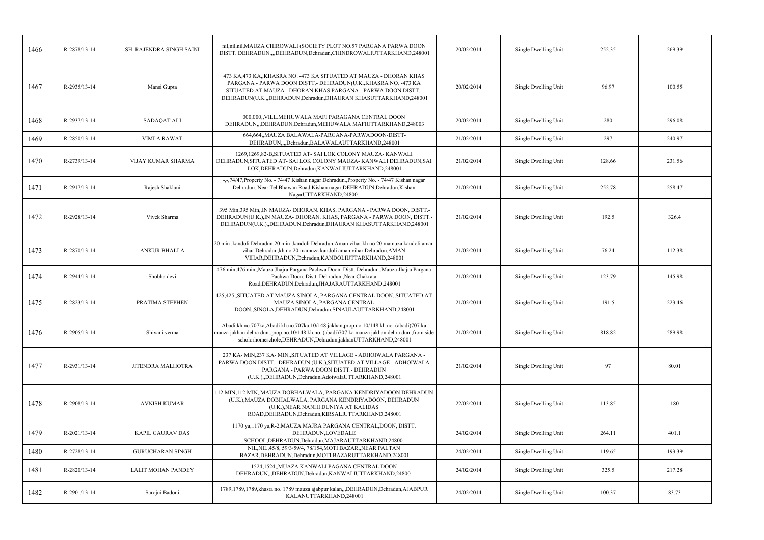| 1466 | R-2878/13-14       | SH. RAJENDRA SINGH SAINI  | nil, nil, nil, MAUZA CHIROWALI (SOCIETY PLOT NO.57 PARGANA PARWA DOON<br>DISTT. DEHRADUN.,,,DEHRADUN,Dehradun,CHINDROWALIUTTARKHAND,248001                                                                                                                             | 20/02/2014 | Single Dwelling Unit | 252.35 | 269.39 |
|------|--------------------|---------------------------|------------------------------------------------------------------------------------------------------------------------------------------------------------------------------------------------------------------------------------------------------------------------|------------|----------------------|--------|--------|
| 1467 | R-2935/13-14       | Mansi Gupta               | 473 KA,473 KA,,KHASRA NO. -473 KA SITUATED AT MAUZA - DHORAN KHAS<br>PARGANA - PARWA DOON DISTT. - DEHRADUN(U.K., KHASRA NO. -473 KA<br>SITUATED AT MAUZA - DHORAN KHAS PARGANA - PARWA DOON DISTT.-<br>DEHRADUN(U.K.,,DEHRADUN,Dehradun,DHAURAN KHASUTTARKHAND,248001 | 20/02/2014 | Single Dwelling Unit | 96.97  | 100.55 |
| 1468 | R-2937/13-14       | SADAQAT ALI               | 000.000. VILL. MEHUWALA MAFI PARAGANA CENTRAL DOON<br>DEHRADUN, DEHRADUN, Dehradun, MEHUWALA MAFIUTTARKHAND, 248003                                                                                                                                                    | 20/02/2014 | Single Dwelling Unit | 280    | 296.08 |
| 1469 | $R - 2850/13 - 14$ | <b>VIMLA RAWAT</b>        | 664,664,,MAUZA BALAWALA-PARGANA-PARWADOON-DISTT-<br>DEHRADUN,,,,Dehradun,BALAWALAUTTARKHAND,248001                                                                                                                                                                     | 21/02/2014 | Single Dwelling Unit | 297    | 240.97 |
| 1470 | R-2739/13-14       | <b>VIJAY KUMAR SHARMA</b> | 1269,1269,82-B,SITUATED AT-SAI LOK COLONY MAUZA-KANWALI<br>DEHRADUN, SITUATED AT- SAI LOK COLONY MAUZA-KANWALI DEHRADUN, SAI<br>LOK, DEHRADUN, Dehradun, KANWALIUTTARKHAND, 248001                                                                                     | 21/02/2014 | Single Dwelling Unit | 128.66 | 231.56 |
| 1471 | R-2917/13-14       | Rajesh Shaklani           | -,-,74/47, Property No. - 74/47 Kishan nagar Dehradun., Property No. - 74/47 Kishan nagar<br>Dehradun., Near Tel Bhawan Road Kishan nagar, DEHRADUN, Dehradun, Kishan<br>NagarUTTARKHAND,248001                                                                        | 21/02/2014 | Single Dwelling Unit | 252.78 | 258.47 |
| 1472 | R-2928/13-14       | Vivek Sharma              | 395 Min, 395 Min, IN MAUZA- DHORAN. KHAS, PARGANA - PARWA DOON, DISTT.-<br>DEHRADUN(U.K.), IN MAUZA- DHORAN. KHAS, PARGANA - PARWA DOON, DISTT.-<br>DEHRADUN(U.K.),,DEHRADUN,Dehradun,DHAURAN KHASUTTARKHAND,248001                                                    | 21/02/2014 | Single Dwelling Unit | 192.5  | 326.4  |
| 1473 | R-2870/13-14       | <b>ANKUR BHALLA</b>       | 20 min ,kandoli Dehradun,20 min ,kandoli Dehradun,Aman vihar,kh no 20 mamuza kandoli aman<br>vihar Dehradun, kh no 20 mamuza kandoli aman vihar Dehradun, AMAN<br>VIHAR, DEHRADUN, Dehradun, KANDOLIUTTARKHAND, 248001                                                 | 21/02/2014 | Single Dwelling Unit | 76.24  | 112.38 |
| 1474 | R-2944/13-14       | Shobha devi               | 476 min,476 min,,Mauza Jhajra Pargana Pachwa Doon. Distt. Dehradun.,Mauza Jhajra Pargana<br>Pachwa Doon. Distt. Dehradun., Near Chakrata<br>Road, DEHRADUN, Dehradun, JHAJARAUTTARKHAND, 248001                                                                        | 21/02/2014 | Single Dwelling Unit | 123.79 | 145.98 |
| 1475 | R-2823/13-14       | PRATIMA STEPHEN           | 425,425,,SITUATED AT MAUZA SINOLA, PARGANA CENTRAL DOON,,SITUATED AT<br>MAUZA SINOLA, PARGANA CENTRAL<br>DOON, SINOLA, DEHRADUN, Dehradun, SINAULAUTTARKHAND, 248001                                                                                                   | 21/02/2014 | Single Dwelling Unit | 191.5  | 223.46 |
| 1476 | R-2905/13-14       | Shivani verma             | Abadi kh.no.707ka,Abadi kh.no.707ka,10/148 jakhan,prop.no.10/148 kh.no. (abadi)707 ka<br>mauza jakhan dehra dun., prop.no.10/148 kh.no. (abadi)707 ka mauza jakhan dehra dun., from side<br>scholorhomeschole, DEHRADUN, Dehradun, jakhanUTTARKHAND, 248001            | 21/02/2014 | Single Dwelling Unit | 818.82 | 589.98 |
| 1477 | R-2931/13-14       | JITENDRA MALHOTRA         | 237 KA- MIN, 237 KA- MIN, SITUATED AT VILLAGE - ADHOIWALA PARGANA -<br>PARWA DOON DISTT.- DEHRADUN (U.K.), SITUATED AT VILLAGE - ADHOIWALA<br>PARGANA - PARWA DOON DISTT.- DEHRADUN<br>(U.K.), DEHRADUN, Dehradun, AdoiwalaUTTARKHAND, 248001                          | 21/02/2014 | Single Dwelling Unit | 97     | 80.01  |
| 1478 | R-2908/13-14       | <b>AVNISH KUMAR</b>       | 112 MIN,112 MIN,,MAUZA DOBHALWALA, PARGANA KENDRIYADOON DEHRADUN<br>(U.K.), MAUZA DOBHALWALA, PARGANA KENDRIYADOON, DEHRADUN<br>(U.K.), NEAR NANHI DUNIYA AT KALIDAS<br>ROAD, DEHRADUN, Dehradun, KIRSALIUTTARKHAND, 248001                                            | 22/02/2014 | Single Dwelling Unit | 113.85 | 180    |
| 1479 | R-2021/13-14       | <b>KAPIL GAURAV DAS</b>   | 1170 ya, 1170 ya, R-2, MAUZA MAJRA PARGANA CENTRAL, DOON, DISTT.<br>DEHRADUN,LOVEDALE<br>SCHOOL, DEHRADUN, Dehradun, MAJARAUTTARKHAND, 248001                                                                                                                          | 24/02/2014 | Single Dwelling Unit | 264.11 | 401.1  |
| 1480 | R-2728/13-14       | <b>GURUCHARAN SINGH</b>   | NIL, NIL, 45/8, 59/3/59/4, 78/154, MOTI BAZAR, , NEAR PALTAN<br>BAZAR, DEHRADUN, Dehradun, MOTI BAZARUTTARKHAND, 248001                                                                                                                                                | 24/02/2014 | Single Dwelling Unit | 119.65 | 193.39 |
| 1481 | R-2820/13-14       | <b>LALIT MOHAN PANDEY</b> | 1524,1524,,MUAZA KANWALI PAGANA CENTRAL DOON<br>DEHRADUN, DEHRADUN, Dehradun, KANWALIUTTARKHAND, 248001                                                                                                                                                                | 24/02/2014 | Single Dwelling Unit | 325.5  | 217.28 |
| 1482 | R-2901/13-14       | Sarojni Badoni            | 1789,1789,1789, khasra no. 1789 mauza ajabpur kalan,,, DEHRADUN, Dehradun, AJABPUR<br>KALANUTTARKHAND,248001                                                                                                                                                           | 24/02/2014 | Single Dwelling Unit | 100.37 | 83.73  |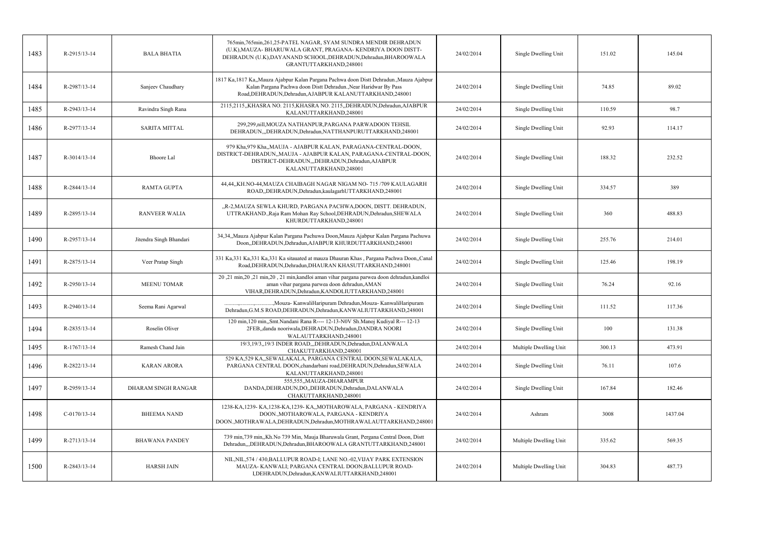| 1483 | R-2915/13-14   | <b>BALA BHATIA</b>      | 765min, 765min, 261, 25-PATEL NAGAR, SYAM SUNDRA MENDIR DEHRADUN<br>(U.K), MAUZA- BHARUWALA GRANT, PRAGANA- KENDRIYA DOON DISTT-<br>DEHRADUN (U.K), DAYANAND SCHOOL, DEHRADUN, Dehradun, BHAROOWALA<br>GRANTUTTARKHAND,248001 | 24/02/2014 | Single Dwelling Unit   | 151.02 | 145.04  |
|------|----------------|-------------------------|-------------------------------------------------------------------------------------------------------------------------------------------------------------------------------------------------------------------------------|------------|------------------------|--------|---------|
| 1484 | R-2987/13-14   | Sanjeev Chaudhary       | 1817 Ka,1817 Ka,,Mauza Ajabpur Kalan Pargana Pachwa doon Distt Dehradun.,Mauza Ajabpur<br>Kalan Pargana Pachwa doon Distt Dehradun., Near Haridwar By Pass<br>Road, DEHRADUN, Dehradun, AJABPUR KALANUTTARKHAND, 248001       | 24/02/2014 | Single Dwelling Unit   | 74.85  | 89.02   |
| 1485 | R-2943/13-14   | Ravindra Singh Rana     | 2115,2115,,KHASRA NO. 2115,KHASRA NO. 2115,,DEHRADUN,Dehradun,AJABPUR<br>KALANUTTARKHAND,248001                                                                                                                               | 24/02/2014 | Single Dwelling Unit   | 110.59 | 98.7    |
| 1486 | R-2977/13-14   | <b>SARITA MITTAL</b>    | 299,299, nill, MOUZA NATHANPUR, PARGANA PARWADOON TEHSIL<br>DEHRADUN,"DEHRADUN, Dehradun, NATTHANPURUTTARKHAND, 248001                                                                                                        | 24/02/2014 | Single Dwelling Unit   | 92.93  | 114.17  |
| 1487 | R-3014/13-14   | Bhoore Lal              | 979 Kha, 979 Kha, MAUJA - AJABPUR KALAN, PARAGANA-CENTRAL-DOON,<br>DISTRICT-DEHRADUN,,MAUJA - AJABPUR KALAN, PARAGANA-CENTRAL-DOON,<br>DISTRICT-DEHRADUN,,,DEHRADUN,Dehradun,AJABPUR<br>KALANUTTARKHAND,248001                | 24/02/2014 | Single Dwelling Unit   | 188.32 | 232.52  |
| 1488 | R-2844/13-14   | <b>RAMTA GUPTA</b>      | 44,44,,KH.NO-44,MAUZA CHAIBAGH NAGAR NIGAM NO- 715 /709 KAULAGARH<br>ROAD,,DEHRADUN,Dehradun,kaulagarhUTTARKHAND,248001                                                                                                       | 24/02/2014 | Single Dwelling Unit   | 334.57 | 389     |
| 1489 | R-2895/13-14   | <b>RANVEER WALIA</b>    | "R-2, MAUZA SEWLA KHURD, PARGANA PACHWA, DOON, DISTT. DEHRADUN,<br>UTTRAKHAND., Raja Ram Mohan Ray School, DEHRADUN, Dehradun, SHEWALA<br>KHURDUTTARKHAND,248001                                                              | 24/02/2014 | Single Dwelling Unit   | 360    | 488.83  |
| 1490 | R-2957/13-14   | Jitendra Singh Bhandari | 34,34,,Mauza Ajabpur Kalan Pargana Pachuwa Doon,Mauza Ajabpur Kalan Pargana Pachuwa<br>Doon,,DEHRADUN,Dehradun,AJABPUR KHURDUTTARKHAND,248001                                                                                 | 24/02/2014 | Single Dwelling Unit   | 255.76 | 214.01  |
| 1491 | R-2875/13-14   | Veer Pratap Singh       | 331 Ka, 331 Ka, 331 Ka, 331 Ka sitauated at mauza Dhauran Khas, Pargana Pachwa Doon, Canal<br>Road, DEHRADUN, Dehradun, DHAURAN KHASUTTARKHAND, 248001                                                                        | 24/02/2014 | Single Dwelling Unit   | 125.46 | 198.19  |
| 1492 | R-2950/13-14   | <b>MEENU TOMAR</b>      | 20,21 min,20,21 min,20,21 min,kandloi aman vihar pargana parwea doon dehradun,kandloi<br>aman vihar pargana parwea doon dehradun, AMAN<br>VIHAR, DEHRADUN, Dehradun, KANDOLIUTTARKHAND, 248001                                | 24/02/2014 | Single Dwelling Unit   | 76.24  | 92.16   |
| 1493 | R-2940/13-14   | Seema Rani Agarwal      | , Mouza- Kanwali Haripuram Dehradun, Mouza- Kanwali Haripuram<br>Dehradun, G.M.S ROAD, DEHRADUN, Dehradun, KANWALIUTTARKHAND, 248001                                                                                          | 24/02/2014 | Single Dwelling Unit   | 111.52 | 117.36  |
| 1494 | R-2835/13-14   | Roselin Oliver          | 120 min, 120 min, Smt. Nandani Rana R---- 12-13-N0V Sh. Manoj Kudiyal R--- 12-13<br>2FEB, danda nooriwala, DEHRADUN, Dehradun, DANDRA NOORI<br>WALAUTTARKHAND,248001                                                          | 24/02/2014 | Single Dwelling Unit   | 100    | 131.38  |
| 1495 | R-1767/13-14   | Ramesh Chand Jain       | 19/3,19/3,,19/3 INDER ROAD,,,DEHRADUN,Dehradun,DALANWALA<br>CHAKUTTARKHAND,248001                                                                                                                                             | 24/02/2014 | Multiple Dwelling Unit | 300.13 | 473.91  |
| 1496 | R-2822/13-14   | <b>KARAN ARORA</b>      | 529 KA, 529 KA, SEWALAKALA, PARGANA CENTRAL DOON, SEWALAKALA,<br>PARGANA CENTRAL DOON, chandarbani road, DEHRADUN, Dehradun, SEWALA<br>KALANUTTARKHAND,248001                                                                 | 24/02/2014 | Single Dwelling Unit   | 76.11  | 107.6   |
| 1497 | R-2959/13-14   | DHARAM SINGH RANGAR     | 555,555,,MAUZA-DHARAMPUR<br>DANDA, DEHRADUN, DO, DEHRADUN, Dehradun, DALANWALA<br>CHAKUTTARKHAND,248001                                                                                                                       | 24/02/2014 | Single Dwelling Unit   | 167.84 | 182.46  |
| 1498 | $C-0170/13-14$ | <b>BHEEMA NAND</b>      | 1238-KA, 1239-KA, 1238-KA, 1239-KA, MOTHAROWALA, PARGANA - KENDRIYA<br>DOON., MOTHAROWALA, PARGANA - KENDRIYA<br>DOON., MOTHRAWALA, DEHRADUN, Dehradun, MOTHRAWALAUTTARKHAND, 248001                                          | 24/02/2014 | Ashram                 | 3008   | 1437.04 |
| 1499 | R-2713/13-14   | <b>BHAWANA PANDEY</b>   | 739 min,739 min,,Kh.No 739 Min, Mauja Bharuwala Grant, Pergana Central Doon, Distt<br>Dehradun,,,DEHRADUN,Dehradun,BHAROOWALA GRANTUTTARKHAND,248001                                                                          | 24/02/2014 | Multiple Dwelling Unit | 335.62 | 569.35  |
| 1500 | R-2843/13-14   | <b>HARSH JAIN</b>       | NIL, NIL, 574 / 430, BALLUPUR ROAD-I; LANE NO.-02, VIJAY PARK EXTENSION<br>MAUZA-KANWALI; PARGANA CENTRAL DOON, BALLUPUR ROAD-<br>I,DEHRADUN,Dehradun,KANWALIUTTARKHAND,248001                                                | 24/02/2014 | Multiple Dwelling Unit | 304.83 | 487.73  |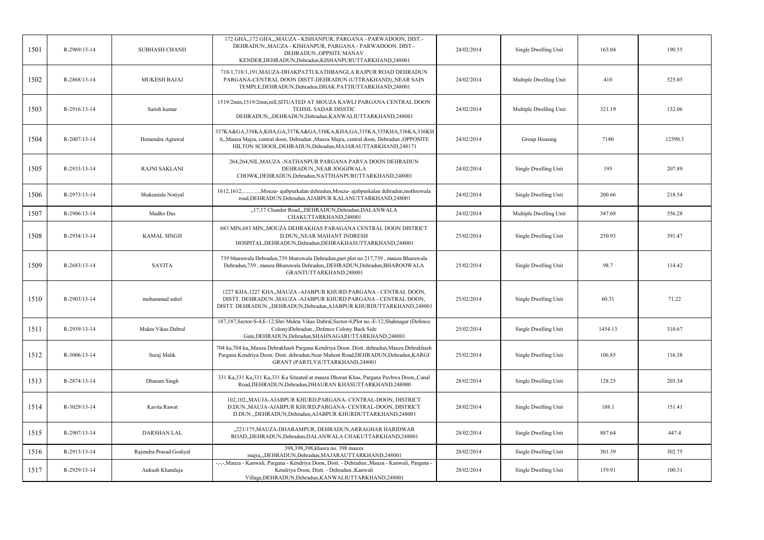| 1501 | R-2969/13-14 | <b>SUBHASH CHAND</b>    | 172 GHA,,172 GHA,,,MAUZA - KISHANPUR, PARGANA - PARWADOON, DIST.-<br>DEHRADUN., MAUZA - KISHANPUR, PARGANA - PARWADOON, DIST.-<br>DEHRADUN., OPPSITE MANAV<br>KENDER, DEHRADUN, Dehradun, KISHANPURUTTARKHAND, 248001        | 24/02/2014 | Single Dwelling Unit   | 163.04  | 190.55  |
|------|--------------|-------------------------|------------------------------------------------------------------------------------------------------------------------------------------------------------------------------------------------------------------------------|------------|------------------------|---------|---------|
| 1502 | R-2868/13-14 | <b>MUKESH BAJAJ</b>     | 718/1,718/1,191,MAUZA-DHAKPATTI KATHBANGLA RAJPUR ROAD DEHRADUN<br>PARGANA-CENTRAL DOON DISTT-DEHRADUN (UTTRAKHAND), NEAR SAIN<br>TEMPLE, DEHRADUN, Dehradun, DHAK PATTIUTTARKHAND, 248001                                   | 24/02/2014 | Multiple Dwelling Unit | 410     | 525.05  |
| 1503 | R-2916/13-14 | Satish kumar            | 1519/2min,1519/2min,nill,SITUATED AT MOUZA KAWLI PARGANA CENTRAL DOON<br>TEHSIL SADAR DISSTIC<br>DEHRADUN,,DEHRADUN,Dehradun,KANWALIUTTARKHAND,248001                                                                        | 24/02/2014 | Multiple Dwelling Unit | 321.19  | 132.06  |
| 1504 | R-2007/13-14 | Hemendra Agrawal        | 337KA&GA,338KA,KHA,GA,337KA&GA,338KA,KHA,GA,335KA,335KHA,336KA,336KH<br>A,,Mauza Majra, central doon, Dehradun.,Mauza Majra, central doon, Dehradun.,OPPOSITE<br>HILTON SCHOOL, DEHRADUN, Dehradun, MAJARAUTTARKHAND, 248171 | 24/02/2014 | Group Housing          | 7180    | 12590.3 |
| 1505 | R-2933/13-14 | <b>RAJNI SAKLANI</b>    | 264,264,NIL,MAUZA -NATHANPUR PARGANA PARVA DOON DEHRADUN<br>DEHRADUN, NEAR JOGGIWALA<br>CHOWK, DEHRADUN, Dehradun, NATTHANPURUTTARKHAND, 248001                                                                              | 24/02/2014 | Single Dwelling Unit   | 195     | 207.89  |
| 1506 | R-2973/13-14 | Shakuntala Notiyal      | ,Mouza- ajabpurkalan dehradun,Mouza- ajabpurkalan dehradun,mothrowala<br>$1612, 1612, \ldots$<br>road, DEHRADUN, Dehradun, AJABPUR KALANUTTARKHAND, 248001                                                                   | 24/02/2014 | Single Dwelling Unit   | 200.66  | 218.54  |
| 1507 | R-2906/13-14 | Madho Das               | "17,17 Chander Road,"DEHRADUN, Dehradun, DALANWALA<br>CHAKUTTARKHAND.248001                                                                                                                                                  | 24/02/2014 | Multiple Dwelling Unit | 347.68  | 556.28  |
| 1508 | R-2934/13-14 | <b>KAMAL SINGH</b>      | 683 MIN, 683 MIN, MOUZA DEHRAKHAS PARAGANA CENTRAL DOON DISTRICT<br>D.DUN,, NEAR MAHANT INDRESH<br>HOSPITAL, DEHRADUN, Dehradun, DEHRAKHASUTTARKHAND, 248001                                                                 | 25/02/2014 | Single Dwelling Unit   | 250.93  | 391.47  |
| 1509 | R-2683/13-14 | <b>SAVITA</b>           | 739 bharuwala Dehradun, 739 bharuwala Dehradun, part plot no 217, 739, mauza Bharuwala<br>Dehradun, 739, mauza Bharuwala Dehradun, DEHRADUN, Dehradun, BHAROOWALA<br>GRANTUTTARKHAND,248001                                  | 25/02/2014 | Single Dwelling Unit   | 98.7    | 114.42  |
| 1510 | R-2903/13-14 | mohammad suhel          | 1227 KHA, 1227 KHA,, MAUZA - AJABPUR KHURD PARGANA - CENTRAL DOON,<br>DISTT. DEHRADUN., MAUZA - AJABPUR KHURD PARGANA - CENTRAL DOON,<br>DISTT. DEHRADUN., DEHRADUN, Dehradun, AJABPUR KHURDUTTARKHAND, 248001               | 25/02/2014 | Single Dwelling Unit   | 60.31   | 71.22   |
| 1511 | R-2939/13-14 | Mukta Vikas Dabral      | 187,187, Sector-S-4, E-12, Shri Mukta Vikas Dabral, Sector-4, Plot no.-E-12, Shahnagar (Defence<br>Colony)Dehradun., Defence Colony Back Side<br>Gate, DEHRADUN, Dehradun, SHAHNAGARUTTARKHAND, 248001                       | 25/02/2014 | Single Dwelling Unit   | 1454.13 | 310.67  |
| 1512 | R-3006/13-14 | Suraj Malik             | 704 ka,704 ka,,Mauza Dehrakhash Pargana Kendriya Doon. Distt. dehradun,Mauza Dehrakhash<br>Pargana Kendriya Doon. Distt. dehradun, Near Mahent Road, DEHRADUN, Dehradun, KARGI<br>GRANT (PARTLY)UTTARKHAND,248001            | 25/02/2014 | Single Dwelling Unit   | 106.85  | 116.38  |
| 1513 | R-2874/13-14 | Dharam Singh            | 331 Ka, 331 Ka, 331 Ka, 331 Ka Situated at mauza Dhoran Khas, Pargana Pavhwa Doon, Canal<br>Road, DEHRADUN, Dehradun, DHAURAN KHASUTTARKHAND, 248000                                                                         | 28/02/2014 | Single Dwelling Unit   | 128.25  | 203.34  |
| 1514 | R-3029/13-14 | Kavita Rawat            | 102,102,,MAUJA-AJABPUR KHURD,PARGANA- CENTRAL-DOON, DISTRICT<br>D.DUN., MAUJA-AJABPUR KHURD, PARGANA- CENTRAL-DOON, DISTRICT<br>D.DUN.,,DEHRADUN,Dehradun,AJABPUR KHURDUTTARKHAND,248001                                     | 28/02/2014 | Single Dwelling Unit   | 188.1   | 151.41  |
| 1515 | R-2907/13-14 | <b>DARSHAN LAL</b>      | "221/175, MAUZA-DHARAMPUR, DEHRADUN, ARRAGHAR HARIDWAR<br>ROAD, DEHRADUN, Dehradun, DALANWALA CHAKUTTARKHAND, 248001                                                                                                         | 28/02/2014 | Single Dwelling Unit   | 887.64  | 447.4   |
| 1516 | R-2913/13-14 | Rajendra Prasad Godiyal | 398,398,398, khasra no. 398 mauza<br>majra,,,DEHRADUN,Dehradun,MAJARAUTTARKHAND,248001                                                                                                                                       | 28/02/2014 | Single Dwelling Unit   | 301.39  | 302.75  |
| 1517 | R-2929/13-14 | Ankush Khanduja         | -,-,-,Mauza - Kanwali, Pargana - Kendriya Doon, Distt. - Dehradun.,Mauza - Kanwali, Pargana -<br>Kendriya Doon, Distt. - Dehradun., Kanwali<br>Village, DEHRADUN, Dehradun, KANWALIUTTARKHAND, 248001                        | 28/02/2014 | Single Dwelling Unit   | 159.91  | 100.31  |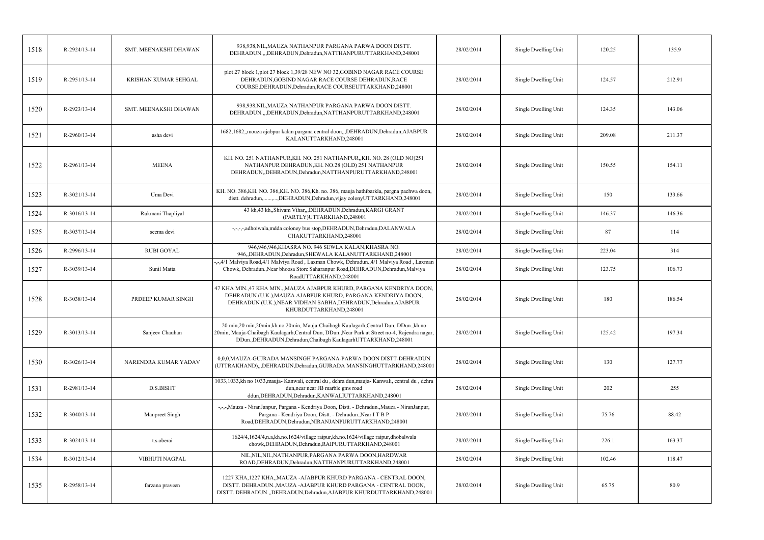| 1518 | R-2924/13-14       | SMT. MEENAKSHI DHAWAN | 938,938,NIL,MAUZA NATHANPUR PARGANA PARWA DOON DISTT.<br>DEHRADUN.,,,DEHRADUN,Dehradun,NATTHANPURUTTARKHAND,248001                                                                                                                                             | 28/02/2014 | Single Dwelling Unit | 120.25 | 135.9  |
|------|--------------------|-----------------------|----------------------------------------------------------------------------------------------------------------------------------------------------------------------------------------------------------------------------------------------------------------|------------|----------------------|--------|--------|
| 1519 | R-2951/13-14       | KRISHAN KUMAR SEHGAL  | plot 27 block 1,plot 27 block 1,39/28 NEW NO 32,GOBIND NAGAR RACE COURSE<br>DEHRADUN, GOBIND NAGAR RACE COURSE DEHRADUN, RACE<br>COURSE, DEHRADUN, Dehradun, RACE COURSEUTTARKHAND, 248001                                                                     | 28/02/2014 | Single Dwelling Unit | 124.57 | 212.91 |
| 1520 | R-2923/13-14       | SMT. MEENAKSHI DHAWAN | 938,938, NIL, MAUZA NATHANPUR PARGANA PARWA DOON DISTT.<br>DEHRADUN.,,,DEHRADUN,Dehradun,NATTHANPURUTTARKHAND,248001                                                                                                                                           | 28/02/2014 | Single Dwelling Unit | 124.35 | 143.06 |
| 1521 | R-2960/13-14       | asha devi             | 1682,1682,,mouza ajabpur kalan pargana central doon,,,DEHRADUN,Dehradun,AJABPUR<br>KALANUTTARKHAND,248001                                                                                                                                                      | 28/02/2014 | Single Dwelling Unit | 209.08 | 211.37 |
| 1522 | R-2961/13-14       | <b>MEENA</b>          | KH. NO. 251 NATHANPUR, KH. NO. 251 NATHANPUR, KH. NO. 28 (OLD NO)251<br>NATHANPUR DEHRADUN, KH. NO.28 (OLD) 251 NATHANPUR<br>DEHRADUN, DEHRADUN, Dehradun, NATTHANPURUTTARKHAND, 248001                                                                        | 28/02/2014 | Single Dwelling Unit | 150.55 | 154.11 |
| 1523 | R-3021/13-14       | Uma Devi              | KH. NO. 386, KH. NO. 386, KH. NO. 386, Kh. no. 386, mauja hathibarkla, pargna pachwa doon,<br>distt. dehradun,,,DEHRADUN,Dehradun,vijay colonyUTTARKHAND,248001                                                                                                | 28/02/2014 | Single Dwelling Unit | 150    | 133.66 |
| 1524 | $R-3016/13-14$     | Rukmani Thapliyal     | 43 kh, 43 kh, Shivam Vihar, , DEHRADUN, Dehradun, KARGI GRANT<br>(PARTLY)UTTARKHAND,248001                                                                                                                                                                     | 28/02/2014 | Single Dwelling Unit | 146.37 | 146.36 |
| 1525 | R-3037/13-14       | seema devi            | -,-,-,-,adhoiwala,mdda coloney bus stop,DEHRADUN,Dehradun,DALANWALA<br>CHAKUTTARKHAND,248001                                                                                                                                                                   | 28/02/2014 | Single Dwelling Unit | 87     | 114    |
| 1526 | R-2996/13-14       | <b>RUBI GOYAL</b>     | 946,946,946,KHASRA NO. 946 SEWLA KALAN,KHASRA NO.<br>946, DEHRADUN, Dehradun, SHEWALA KALANUTTARKHAND, 248001                                                                                                                                                  | 28/02/2014 | Single Dwelling Unit | 223.04 | 314    |
| 1527 | R-3039/13-14       | Sunil Matta           | -,-,4/1 Malviya Road,4/1 Malviya Road, Laxman Chowk, Dehradun.,4/1 Malviya Road, Laxman<br>Chowk, Dehradun., Near bhoosa Store Saharanpur Road, DEHRADUN, Dehradun, Malviya<br>RoadUTTARKHAND,248001                                                           | 28/02/2014 | Single Dwelling Unit | 123.75 | 106.73 |
| 1528 | R-3038/13-14       | PRDEEP KUMAR SINGH    | 47 KHA MIN.,47 KHA MIN.,,MAUZA AJABPUR KHURD, PARGANA KENDRIYA DOON,<br>DEHRADUN (U.K.), MAUZA AJABPUR KHURD, PARGANA KENDRIYA DOON,<br>DEHRADUN (U.K.), NEAR VIDHAN SABHA, DEHRADUN, Dehradun, AJABPUR<br>KHURDUTTARKHAND,248001                              | 28/02/2014 | Single Dwelling Unit | 180    | 186.54 |
| 1529 | R-3013/13-14       | Sanjeev Chauhan       | 20 min, 20 min, 20 min, kh.no 20 min, Mauja-Chaibagh Kaulagarh, Central Dun, DDun., kh.no<br>20min, Mauja-Chaibagh Kaulagarh, Central Dun, DDun., Near Park at Street no-4, Rajendra nagar,<br>DDun., DEHRADUN, Dehradun, Chaibagh KaulagarhUTTARKHAND, 248001 | 28/02/2014 | Single Dwelling Unit | 125.42 | 197.34 |
| 1530 | R-3026/13-14       | NARENDRA KUMAR YADAV  | 0,0,0,MAUZA-GUJRADA MANSINGH PARGANA-PARWA DOON DISTT-DEHRADUN<br>(UTTRAKHAND),,,DEHRADUN,Dehradun,GUJRADA MANSINGHUTTARKHAND,248001                                                                                                                           | 28/02/2014 | Single Dwelling Unit | 130    | 127.77 |
| 1531 | R-2981/13-14       | D.S.BISHT             | 1033,1033,kh no 1033, mauja-Kanwali, central du , dehra dun, mauja-Kanwali, central du , dehra<br>dun, near near JB marble gms road<br>ddun, DEHRADUN, Dehradun, KANWALIUTTARKHAND, 248001                                                                     | 28/02/2014 | Single Dwelling Unit | 202    | 255    |
| 1532 | $R - 3040/13 - 14$ | Manpreet Singh        | -,-,-,Mauza - NiranJanpur, Pargana - Kendriya Doon, Distt. - Dehradun.,Mauza - NiranJanpur,<br>Pargana - Kendriya Doon, Distt. - Dehradun., Near IT B P<br>Road, DEHRADUN, Dehradun, NIRANJANPURUTTARKHAND, 248001                                             | 28/02/2014 | Single Dwelling Unit | 75.76  | 88.42  |
| 1533 | R-3024/13-14       | t.s.oberai            | 1624/4,1624/4,n.a,kh.no.1624/village raipur,kh.no.1624/village raipur,dhobalwala<br>chowk, DEHRADUN, Dehradun, RAIPURUTTARKHAND, 248001                                                                                                                        | 28/02/2014 | Single Dwelling Unit | 226.1  | 163.37 |
| 1534 | R-3012/13-14       | VIBHUTI NAGPAL        | NIL, NIL, NIL, NATHANPUR, PARGANA PARWA DOON, HARDWAR<br>ROAD, DEHRADUN, Dehradun, NATTHANPURUTTARKHAND, 248001                                                                                                                                                | 28/02/2014 | Single Dwelling Unit | 102.46 | 118.47 |
| 1535 | R-2958/13-14       | farzana praveen       | 1227 KHA, 1227 KHA,, MAUZA - AJABPUR KHURD PARGANA - CENTRAL DOON,<br>DISTT. DEHRADUN., MAUZA - AJABPUR KHURD PARGANA - CENTRAL DOON,<br>DISTT. DEHRADUN."DEHRADUN, Dehradun, AJABPUR KHURDUTTARKHAND, 248001                                                  | 28/02/2014 | Single Dwelling Unit | 65.75  | 80.9   |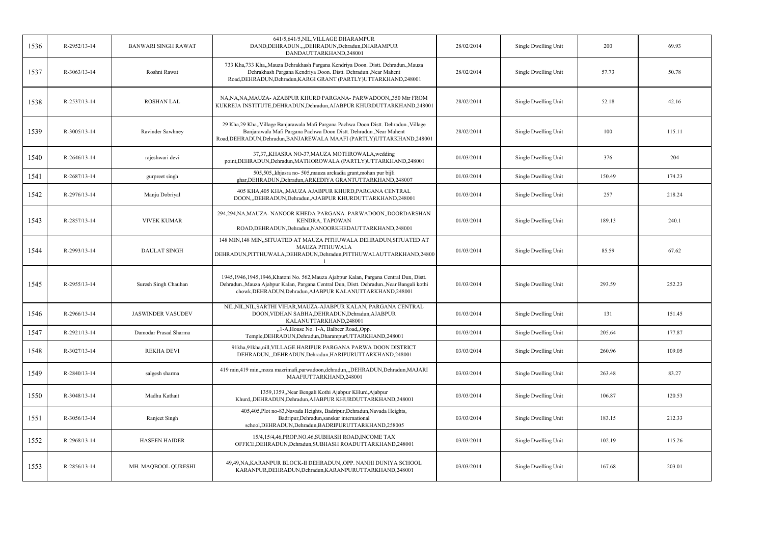| 1536 | R-2952/13-14   | <b>BANWARI SINGH RAWAT</b> | 641/5,641/5, NIL, VILLAGE DHARAMPUR<br>DAND, DEHRADUN., "DEHRADUN, Dehradun, DHARAMPUR<br>DANDAUTTARKHAND,248001                                                                                                                                | 28/02/2014 | Single Dwelling Unit | 200    | 69.93  |
|------|----------------|----------------------------|-------------------------------------------------------------------------------------------------------------------------------------------------------------------------------------------------------------------------------------------------|------------|----------------------|--------|--------|
| 1537 | $R-3063/13-14$ | Roshni Rawat               | 733 Kha, 733 Kha, Mauza Dehrakhash Pargana Kendriya Doon. Distt. Dehradun. Mauza<br>Dehrakhash Pargana Kendriya Doon. Distt. Dehradun., Near Mahent<br>Road, DEHRADUN, Dehradun, KARGI GRANT (PARTLY) UTTARKHAND, 248001                        | 28/02/2014 | Single Dwelling Unit | 57.73  | 50.78  |
| 1538 | R-2537/13-14   | <b>ROSHAN LAL</b>          | NA, NA, NA, MAUZA- AZABPUR KHURD PARGANA- PARWADOON,, 350 Mtr FROM<br>KUKREJA INSTITUTE,DEHRADUN,Dehradun,AJABPUR KHURDUTTARKHAND,248001                                                                                                        | 28/02/2014 | Single Dwelling Unit | 52.18  | 42.16  |
| 1539 | R-3005/13-14   | Ravinder Sawhney           | 29 Kha, 29 Kha, Village Banjarawala Mafi Pargana Pachwa Doon Distt. Dehradun. Village<br>Banjarawala Mafi Pargana Pachwa Doon Distt. Dehradun., Near Mahent<br>Road, DEHRADUN, Dehradun, BANJAREWALA MAAFI (PARTLY) UTTARKHAND, 248001          | 28/02/2014 | Single Dwelling Unit | 100    | 115.11 |
| 1540 | $R-2646/13-14$ | rajeshwari devi            | 37,37,,KHASRA NO-37,MAUZA MOTHROWALA,wedding<br>point, DEHRADUN, Dehradun, MATHOROWALA (PARTLY) UTTARKHAND, 248001                                                                                                                              | 01/03/2014 | Single Dwelling Unit | 376    | 204    |
| 1541 | R-2687/13-14   | gurpreet singh             | 505,505, khjasra no-505, mauza arckadia grant, mohan pur bijli<br>ghar, DEHRADUN, Dehradun, ARKEDIYA GRANTUTTARKHAND, 248007                                                                                                                    | 01/03/2014 | Single Dwelling Unit | 150.49 | 174.23 |
| 1542 | R-2976/13-14   | Manju Dobriyal             | 405 KHA,405 KHA,,MAUZA AJABPUR KHURD,PARGANA CENTRAL<br>DOON, DEHRADUN, Dehradun, AJABPUR KHURDUTTARKHAND, 248001                                                                                                                               | 01/03/2014 | Single Dwelling Unit | 257    | 218.24 |
| 1543 | R-2857/13-14   | <b>VIVEK KUMAR</b>         | 294,294,NA,MAUZA- NANOOR KHEDA PARGANA- PARWADOON,,DOORDARSHAN<br>KENDRA, TAPOWAN<br>ROAD, DEHRADUN, Dehradun, NANOORKHEDAUTTARKHAND, 248001                                                                                                    | 01/03/2014 | Single Dwelling Unit | 189.13 | 240.1  |
| 1544 | R-2993/13-14   | <b>DAULAT SINGH</b>        | 148 MIN,148 MIN, SITUATED AT MAUZA PITHUWALA DEHRADUN, SITUATED AT<br><b>MAUZA PITHUWALA</b><br>DEHRADUN, PITTHUWALA, DEHRADUN, Dehradun, PITTHUWALAUTTARKHAND, 24800                                                                           | 01/03/2014 | Single Dwelling Unit | 85.59  | 67.62  |
| 1545 | R-2955/13-14   | Suresh Singh Chauhan       | 1945,1946,1945,1946,Khatoni No. 562,Mauza Ajabpur Kalan, Pargana Central Dun, Distt.<br>Dehradun., Mauza Ajabpur Kalan, Pargana Central Dun, Distt. Dehradun., Near Bangali kothi<br>chowk, DEHRADUN, Dehradun, AJABPUR KALANUTTARKHAND, 248001 | 01/03/2014 | Single Dwelling Unit | 293.59 | 252.23 |
| 1546 | R-2966/13-14   | <b>JASWINDER VASUDEV</b>   | NIL, NIL, NIL, SARTHI VIHAR, MAUZA-AJABPUR KALAN, PARGANA CENTRAL<br>DOON, VIDHAN SABHA, DEHRADUN, Dehradun, AJABPUR<br>KALANUTTARKHAND,248001                                                                                                  | 01/03/2014 | Single Dwelling Unit | 131    | 151.45 |
| 1547 | R-2921/13-14   | Damodar Prasad Sharma      | "1-A, House No. 1-A, Balbeer Road, Opp.<br>Temple, DEHRADUN, Dehradun, DharampurUTTARKHAND, 248001                                                                                                                                              | 01/03/2014 | Single Dwelling Unit | 205.64 | 177.87 |
| 1548 | R-3027/13-14   | <b>REKHA DEVI</b>          | 91kha, 91kha, nill, VILLAGE HARIPUR PARGANA PARWA DOON DISTRICT<br>DEHRADUN, "DEHRADUN, Dehradun, HARIPURUTTARKHAND, 248001                                                                                                                     | 03/03/2014 | Single Dwelling Unit | 260.96 | 109.05 |
| 1549 | R-2840/13-14   | salgesh sharma             | 419 min,419 min,,moza mazrimafi,parwadoon,dehradun,,,DEHRADUN,Dehradun,MAJARI<br>MAAFIUTTARKHAND,248001                                                                                                                                         | 03/03/2014 | Single Dwelling Unit | 263.48 | 83.27  |
| 1550 | R-3048/13-14   | Madhu Kathait              | 1359,1359, Near Bengali Kothi Ajabpur KHurd, Ajabpur<br>Khurd,,DEHRADUN,Dehradun,AJABPUR KHURDUTTARKHAND,248001                                                                                                                                 | 03/03/2014 | Single Dwelling Unit | 106.87 | 120.53 |
| 1551 | R-3056/13-14   | Ranjeet Singh              | 405,405,Plot no-83,Navada Heights, Badripur,Dehradun,Navada Heights,<br>Badripur, Dehradun, sanskar international<br>school, DEHRADUN, Dehradun, BADRIPURUTTARKHAND, 258005                                                                     | 03/03/2014 | Single Dwelling Unit | 183.15 | 212.33 |
| 1552 | R-2968/13-14   | <b>HASEEN HAIDER</b>       | 15/4,15/4,46,PROP.NO.46,SUBHASH ROAD,INCOME TAX<br>OFFICE, DEHRADUN, Dehradun, SUBHASH ROADUTTARKHAND, 248001                                                                                                                                   | 03/03/2014 | Single Dwelling Unit | 102.19 | 115.26 |
| 1553 | R-2856/13-14   | MH. MAQBOOL QURESHI        | 49,49,NA,KARANPUR BLOCK-II DEHRADUN,,OPP. NANHI DUNIYA SCHOOL<br>KARANPUR, DEHRADUN, Dehradun, KARANPURUTTARKHAND, 248001                                                                                                                       | 03/03/2014 | Single Dwelling Unit | 167.68 | 203.01 |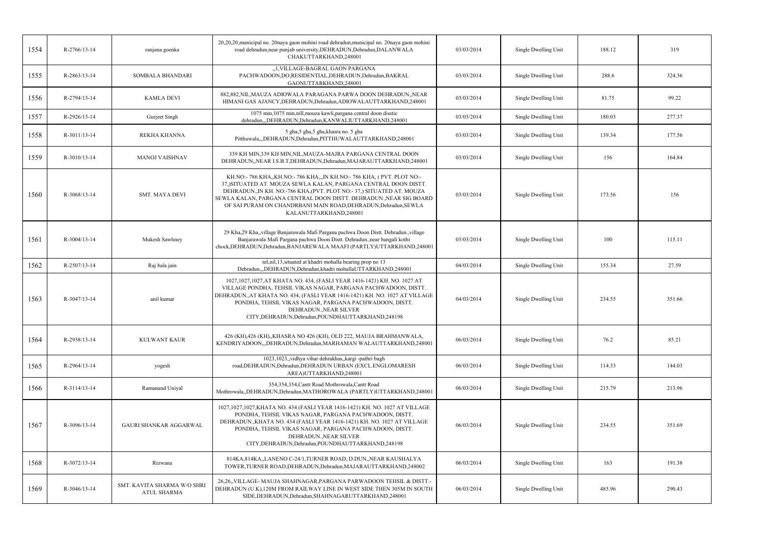| 1554 | $R-2766/13-14$     | ranjana goenka                                    | 20,20,20, municipal no. 20naya gaon mohini road dehradun, municipal no. 20naya gaon mohini<br>road dehradun, near punjab university, DEHRADUN, Dehradun, DALANWALA<br>CHAKUTTARKHAND,248001                                                                                                                                                                                           | 03/03/2014 | Single Dwelling Unit | 188.12 | 319    |
|------|--------------------|---------------------------------------------------|---------------------------------------------------------------------------------------------------------------------------------------------------------------------------------------------------------------------------------------------------------------------------------------------------------------------------------------------------------------------------------------|------------|----------------------|--------|--------|
| 1555 | R-2863/13-14       | <b>SOMBALA BHANDARI</b>                           | "1, VILLAGE-BAGRAL GAON PARGANA<br>PACHWADOON,DO,RESIDENTIAL,DEHRADUN,Dehradun,BAKRAL<br>GAONUTTARKHAND,248001                                                                                                                                                                                                                                                                        | 03/03/2014 | Single Dwelling Unit | 288.6  | 324.36 |
| 1556 | R-2794/13-14       | <b>KAMLA DEVI</b>                                 | 882,882, NIL, MAUZA ADIOWALA PARAGANA PARWA DOON DEHRADUN, , NEAR<br>HIMANI GAS AJANCY, DEHRADUN, Dehradun, ADIOWALAUTTARKHAND, 248001                                                                                                                                                                                                                                                | 03/03/2014 | Single Dwelling Unit | 81.75  | 99.22  |
| 1557 | R-2926/13-14       | Gurjeet Singh                                     | 1075 min, 1075 min, nill, mouza kawli, pargana central doon disstic<br>dehradun,,,DEHRADUN,Dehradun,KANWALIUTTARKHAND,248001                                                                                                                                                                                                                                                          | 03/03/2014 | Single Dwelling Unit | 180.03 | 277.37 |
| 1558 | R-3011/13-14       | REKHA KHANNA                                      | 5 gha,5 gha,5 gha,khasra no. 5 gha<br>Pitthuwala,,,DEHRADUN,Dehradun,PITTHUWALAUTTARKHAND,248001                                                                                                                                                                                                                                                                                      | 03/03/2014 | Single Dwelling Unit | 139.34 | 177.56 |
| 1559 | R-3010/13-14       | <b>MANOJ VAISHNAV</b>                             | 339 KH MIN,339 KH MIN, NIL, MAUZA-MAJRA PARGANA CENTRAL DOON<br>DEHRADUN, NEAR I.S.B.T, DEHRADUN, Dehradun, MAJARAUTTARKHAND, 248001                                                                                                                                                                                                                                                  | 03/03/2014 | Single Dwelling Unit | 156    | 164.84 |
| 1560 | R-3068/13-14       | <b>SMT. MAYA DEVI</b>                             | KH.NO:- 786 KHA,,KH.NO:- 786 KHA,,,IN KH.NO:- 786 KHA, (PVT. PLOT NO:-<br>37,)SITUATED AT. MOUZA SEWLA KALAN, PARGANA CENTRAL DOON DISTT.<br>DEHRADUN., IN KH. NO:-786 KHA, (PVT. PLOT NO:-37,) SITUATED AT. MOUZA<br>SEWLA KALAN, PARGANA CENTRAL DOON DISTT. DEHRADUN., NEAR SIG BOARD<br>OF SAI PURAM ON CHANDRBANI MAIN ROAD, DEHRADUN, Dehradun, SEWLA<br>KALANUTTARKHAND,248001 | 03/03/2014 | Single Dwelling Unit | 173.56 | 156    |
| 1561 | $R - 3004/13 - 14$ | Mukesh Sawhney                                    | 29 Kha,29 Kha,,village Banjarawala Mafi Pargana pachwa Doon Distt. Dehradun.,village<br>Banjarawala Mafi Pargana pachwa Doon Distt. Dehradun., near bangali kothi<br>chock, DEHRADUN, Dehradun, BANJAREWALA MAAFI (PARTLY) UTTARKHAND, 248001                                                                                                                                         | 03/03/2014 | Single Dwelling Unit | 100    | 115.11 |
| 1562 | R-2507/13-14       | Raj bala jain                                     | nil, nil, 13, situated at khadri mohalla bearing prop no 13<br>Dehradun,,,DEHRADUN,Dehradun,khadri mohallaUTTARKHAND,248001                                                                                                                                                                                                                                                           | 04/03/2014 | Single Dwelling Unit | 155.34 | 27.59  |
| 1563 | R-3047/13-14       | anil kumar                                        | 1027,1027,1027,AT KHATA NO. 434, (FASLI YEAR 1416-1421) KH. NO. 1027 AT<br>VILLAGE PONDHA, TEHSIL VIKAS NAGAR, PARGANA PACHWADOON, DISTT.<br>DEHRADUN., AT KHATA NO. 434, (FASLI YEAR 1416-1421) KH. NO. 1027 AT VILLAGE<br>PONDHA, TEHSIL VIKAS NAGAR, PARGANA PACHWADOON, DISTT.<br>DEHRADUN., NEAR SILVER<br>CITY, DEHRADUN, Dehradun, POUNDHAUTTARKHAND, 248198                   | 04/03/2014 | Single Dwelling Unit | 234.55 | 351.66 |
| 1564 | R-2938/13-14       | KULWANT KAUR                                      | 426 (KH),426 (KH),,KHASRA NO 426 (KH), OLD 222, MAUJA BRAHMANWALA,<br>KENDRIYADOON,,,DEHRADUN,Dehradun,MARHAMAN WALAUTTARKHAND,248001                                                                                                                                                                                                                                                 | 06/03/2014 | Single Dwelling Unit | 76.2   | 85.21  |
| 1565 | $R-2964/13-14$     | yogesh                                            | 1023,1023,,vidhya vihar dehrakhas,,kargi -pathri bagh<br>road, DEHRADUN, Dehradun, DEHRADUN URBAN (EXCL.ENGLOMARESH<br>AREA)UTTARKHAND,248001                                                                                                                                                                                                                                         | 06/03/2014 | Single Dwelling Unit | 114.33 | 144.03 |
| 1566 | R-3114/13-14       | Ramanand Uniyal                                   | 354,354,354, Cantt Road Mothrowala, Cantt Road<br>Mothrowala,,DEHRADUN,Dehradun,MATHOROWALA (PARTLY)UTTARKHAND,248001                                                                                                                                                                                                                                                                 | 06/03/2014 | Single Dwelling Unit | 215.79 | 213.96 |
| 1567 | R-3096/13-14       | GAURI SHANKAR AGGARWAL                            | 1027,1027,KHATA NO. 434 (FASLI YEAR 1416-1421) KH. NO. 1027 AT VILLAGE<br>PONDHA, TEHSIL VIKAS NAGAR, PARGANA PACHWADOON, DISTT.<br>DEHRADUN., KHATA NO. 434 (FASLI YEAR 1416-1421) KH. NO. 1027 AT VILLAGE<br>PONDHA, TEHSIL VIKAS NAGAR, PARGANA PACHWADOON, DISTT.<br>DEHRADUN., NEAR SILVER<br>CITY, DEHRADUN, Dehradun, POUNDHAUTTARKHAND, 248198                                | 06/03/2014 | Single Dwelling Unit | 234.55 | 351.69 |
| 1568 | R-3072/13-14       | Rizwana                                           | 814KA, 814KA, LANENO C-24/1, TURNER ROAD, D.DUN, NEAR KAUSHALYA<br>TOWER, TURNER ROAD, DEHRADUN, Dehradun, MAJARAUTTARKHAND, 248002                                                                                                                                                                                                                                                   | 06/03/2014 | Single Dwelling Unit | 163    | 191.38 |
| 1569 | R-3046/13-14       | SMT. KAVITA SHARMA W/O SHRI<br><b>ATUL SHARMA</b> | 26,26,,VILLAGE-MAUJA SHAHNAGAR,PARGANA PARWADOON TEHSIL & DISTT.-<br>DEHRADUN (U.K), 120M FROM RAILWAY LINE IN WEST SIDE THEN 305M IN SOUTH<br>SIDE, DEHRADUN, Dehradun, SHAHNAGARUTTARKHAND, 248001                                                                                                                                                                                  | 06/03/2014 | Single Dwelling Unit | 485.96 | 290.43 |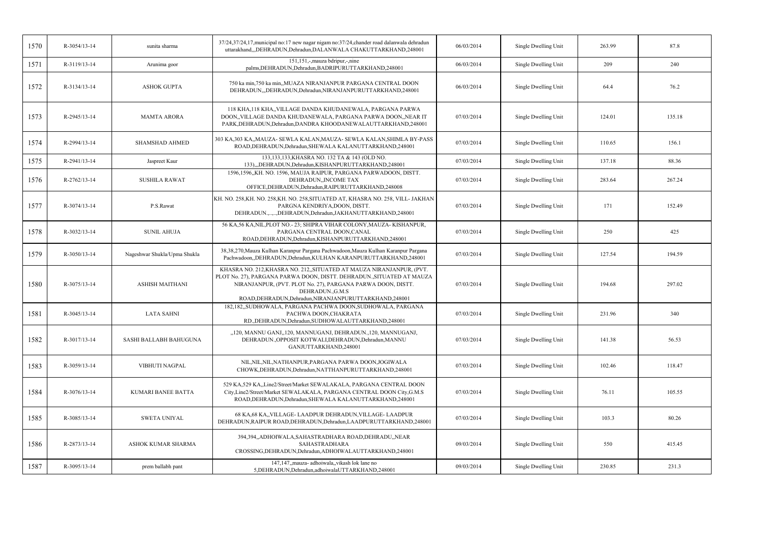| 1570 | $R - 3054/13 - 14$ | sunita sharma                | 37/24,37/24,17, municipal no:17 new nagar nigam no:37/24, chander road dalanwala dehradun<br>uttarakhand,,,DEHRADUN,Dehradun,DALANWALA CHAKUTTARKHAND,248001                                                                                                                               | 06/03/2014 | Single Dwelling Unit | 263.99 | 87.8   |
|------|--------------------|------------------------------|--------------------------------------------------------------------------------------------------------------------------------------------------------------------------------------------------------------------------------------------------------------------------------------------|------------|----------------------|--------|--------|
| 1571 | R-3119/13-14       | Arunima goor                 | 151,151,-,mauza bdripur,-,nine<br>palms, DEHRADUN, Dehradun, BADRIPURUTTARKHAND, 248001                                                                                                                                                                                                    | 06/03/2014 | Single Dwelling Unit | 209    | 240    |
| 1572 | R-3134/13-14       | <b>ASHOK GUPTA</b>           | 750 ka min, 750 ka min,, MUAZA NIRANJANPUR PARGANA CENTRAL DOON<br>DEHRADUN,,,DEHRADUN,Dehradun,NIRANJANPURUTTARKHAND,248001                                                                                                                                                               | 06/03/2014 | Single Dwelling Unit | 64.4   | 76.2   |
| 1573 | R-2945/13-14       | <b>MAMTA ARORA</b>           | 118 KHA, 118 KHA,, VILLAGE DANDA KHUDANEWALA, PARGANA PARWA<br>DOON,, VILLAGE DANDA KHUDANEWALA, PARGANA PARWA DOON,, NEAR IT<br>PARK, DEHRADUN, Dehradun, DANDRA KHOODANEWALAUTTARKHAND, 248001                                                                                           | 07/03/2014 | Single Dwelling Unit | 124.01 | 135.18 |
| 1574 | R-2994/13-14       | <b>SHAMSHAD AHMED</b>        | 303 KA,303 KA,,MAUZA- SEWLA KALAN,MAUZA- SEWLA KALAN,SHIMLA BY-PASS<br>ROAD, DEHRADUN, Dehradun, SHEWALA KALANUTTARKHAND, 248001                                                                                                                                                           | 07/03/2014 | Single Dwelling Unit | 110.65 | 156.1  |
| 1575 | R-2941/13-14       | Jaspreet Kaur                | 133,133,133, KHASRA NO. 132 TA & 143 (OLD NO.<br>133),,,DEHRADUN,Dehradun,KISHANPURUTTARKHAND,248001                                                                                                                                                                                       | 07/03/2014 | Single Dwelling Unit | 137.18 | 88.36  |
| 1576 | R-2762/13-14       | <b>SUSHILA RAWAT</b>         | 1596,1596,,KH. NO. 1596, MAUJA RAIPUR, PARGANA PARWADOON, DISTT.<br>DEHRADUN,, INCOME TAX<br>OFFICE, DEHRADUN, Dehradun, RAIPURUTTARKHAND, 248008                                                                                                                                          | 07/03/2014 | Single Dwelling Unit | 283.64 | 267.24 |
| 1577 | R-3074/13-14       | P.S.Rawat                    | KH. NO. 258, KH. NO. 258, KH. NO. 258, SITUATED AT, KHASRA NO. 258, VILL- JAKHAN<br>PARGNA KENDRIYA, DOON, DISTT.<br>DEHRADUN.,,,DEHRADUN,Dehradun,JAKHANUTTARKHAND,248001                                                                                                                 | 07/03/2014 | Single Dwelling Unit | 171    | 152.49 |
| 1578 | R-3032/13-14       | <b>SUNIL AHUJA</b>           | 56 KA,56 KA,NIL,PLOT NO.-23; SHIPRA VIHAR COLONY,MAUZA-KISHANPUR,<br>PARGANA CENTRAL DOON, CANAL<br>ROAD, DEHRADUN, Dehradun, KISHANPURUTTARKHAND, 248001                                                                                                                                  | 07/03/2014 | Single Dwelling Unit | 250    | 425    |
| 1579 | R-3050/13-14       | Nageshwar Shukla/Upma Shukla | 38,38,270, Mauza Kulhan Karanpur Pargana Pachwadoon, Mauza Kulhan Karanpur Pargana<br>Pachwadoon,,DEHRADUN,Dehradun,KULHAN KARANPURUTTARKHAND,248001                                                                                                                                       | 07/03/2014 | Single Dwelling Unit | 127.54 | 194.59 |
| 1580 | R-3075/13-14       | <b>ASHISH MAITHANI</b>       | KHASRA NO. 212, KHASRA NO. 212, SITUATED AT MAUZA NIRANJANPUR, (PVT.<br>PLOT No. 27), PARGANA PARWA DOON, DISTT. DEHRADUN.,SITUATED AT MAUZA<br>NIRANJANPUR, (PVT. PLOT No. 27), PARGANA PARWA DOON, DISTT.<br>DEHRADUN., G.M.S<br>ROAD, DEHRADUN, Dehradun, NIRANJANPURUTTARKHAND, 248001 | 07/03/2014 | Single Dwelling Unit | 194.68 | 297.02 |
| 1581 | R-3045/13-14       | <b>LATA SAHNI</b>            | 182,182, SUDHOWALA, PARGANA PACHWA DOON, SUDHOWALA, PARGANA<br>PACHWA DOON, CHAKRATA<br>RD., DEHRADUN, Dehradun, SUDHOWALAUTTARKHAND, 248001                                                                                                                                               | 07/03/2014 | Single Dwelling Unit | 231.96 | 340    |
| 1582 | R-3017/13-14       | SASHI BALLABH BAHUGUNA       | "120, MANNU GANJ"120, MANNUGANJ, DEHRADUN.,120, MANNUGANJ,<br>DEHRADUN., OPPOSIT KOTWALI, DEHRADUN, Dehradun, MANNU<br>GANJUTTARKHAND,248001                                                                                                                                               | 07/03/2014 | Single Dwelling Unit | 141.38 | 56.53  |
| 1583 | R-3059/13-14       | VIBHUTI NAGPAL               | NIL, NIL, NIL, NATHANPUR, PARGANA PARWA DOON, JOGIWALA<br>CHOWK, DEHRADUN, Dehradun, NATTHANPURUTTARKHAND, 248001                                                                                                                                                                          | 07/03/2014 | Single Dwelling Unit | 102.46 | 118.47 |
| 1584 | R-3076/13-14       | <b>KUMARI BANEE BATTA</b>    | 529 KA, 529 KA, Line2/Street/Market SEWALAKALA, PARGANA CENTRAL DOON<br>City, Line2/Street/Market SEWALAKALA, PARGANA CENTRAL DOON City, G.M.S<br>ROAD, DEHRADUN, Dehradun, SHEWALA KALANUTTARKHAND, 248001                                                                                | 07/03/2014 | Single Dwelling Unit | 76.11  | 105.55 |
| 1585 | R-3085/13-14       | <b>SWETA UNIYAL</b>          | 68 KA, 68 KA, VILLAGE-LAADPUR DEHRADUN, VILLAGE-LAADPUR<br>DEHRADUN, RAIPUR ROAD, DEHRADUN, Dehradun, LAADPURUTTARKHAND, 248001                                                                                                                                                            | 07/03/2014 | Single Dwelling Unit | 103.3  | 80.26  |
| 1586 | R-2873/13-14       | ASHOK KUMAR SHARMA           | 394,394,,ADHOIWALA,SAHASTRADHARA ROAD,DEHRADU,,NEAR<br><b>SAHASTRADHARA</b><br>CROSSING, DEHRADUN, Dehradun, ADHOIWALAUTTARKHAND, 248001                                                                                                                                                   | 09/03/2014 | Single Dwelling Unit | 550    | 415.45 |
| 1587 | R-3095/13-14       | prem ballabh pant            | 147,147, mauza- adhoiwala, vikash lok lane no<br>5, DEHRADUN, Dehradun, adhoiwalaUTTARKHAND, 248001                                                                                                                                                                                        | 09/03/2014 | Single Dwelling Unit | 230.85 | 231.3  |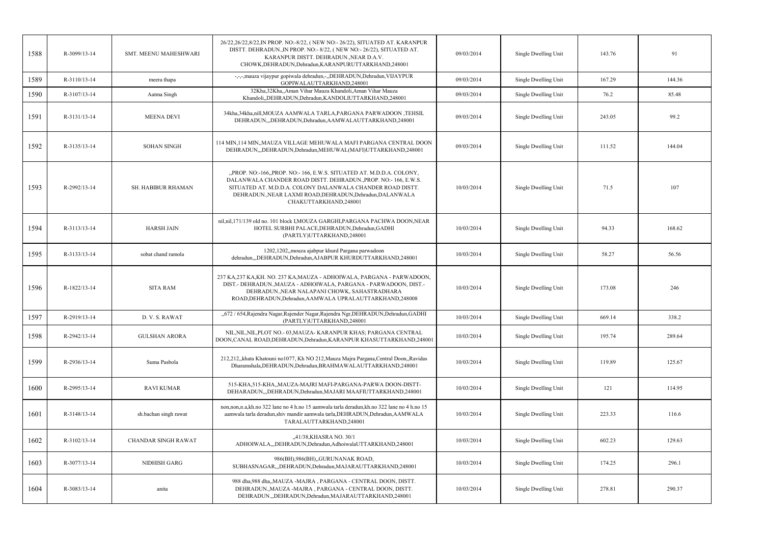| 1588 | R-3099/13-14 | SMT. MEENU MAHESHWARI      | 26/22,26/22,8/22, IN PROP. NO:-8/22, (NEW NO:-26/22), SITUATED AT. KARANPUR<br>DISTT. DEHRADUN., IN PROP. NO:-8/22, (NEW NO:-26/22), SITUATED AT.<br>KARANPUR DISTT. DEHRADUN., NEAR D.A.V.<br>CHOWK, DEHRADUN, Dehradun, KARANPURUTTARKHAND, 248001                                      | 09/03/2014 | Single Dwelling Unit | 143.76 | 91     |
|------|--------------|----------------------------|-------------------------------------------------------------------------------------------------------------------------------------------------------------------------------------------------------------------------------------------------------------------------------------------|------------|----------------------|--------|--------|
| 1589 | R-3110/13-14 | meera thapa                | -,-,-,mauza vijaypur gopiwala dehradun,-,,DEHRADUN,Dehradun,VIJAYPUR<br>GOPIWALAUTTARKHAND,248001                                                                                                                                                                                         | 09/03/2014 | Single Dwelling Unit | 167.29 | 144.36 |
| 1590 | R-3107/13-14 | Aatma Singh                | 32Kha, 32Kha, Aman Vihar Mauza Khandoli, Aman Vihar Mauza<br>Khandoli, DEHRADUN, Dehradun, KANDOLIUTTARKHAND, 248001                                                                                                                                                                      | 09/03/2014 | Single Dwelling Unit | 76.2   | 85.48  |
| 1591 | R-3131/13-14 | <b>MEENA DEVI</b>          | 34kha, 34kha, nill, MOUZA AAMWALA TARLA, PARGANA PARWADOON, TEHSIL<br>DEHRADUN, DEHRADUN, Dehradun, AAMWALAUTTARKHAND, 248001                                                                                                                                                             | 09/03/2014 | Single Dwelling Unit | 243.05 | 99.2   |
| 1592 | R-3135/13-14 | <b>SOHAN SINGH</b>         | 114 MIN,114 MIN,,MAUZA VILLAGE MEHUWALA MAFI PARGANA CENTRAL DOON<br>DEHRADUN, DEHRADUN, Dehradun, MEHUWAL (MAFI) UTTARKHAND, 248001                                                                                                                                                      | 09/03/2014 | Single Dwelling Unit | 111.52 | 144.04 |
| 1593 | R-2992/13-14 | SH. HABIBUR RHAMAN         | "PROP. NO:-166, PROP. NO:-166, E.W.S. SITUATED AT. M.D.D.A. COLONY,<br>DALANWALA CHANDER ROAD DISTT. DEHRADUN., PROP. NO:-166, E.W.S.<br>SITUATED AT. M.D.D.A. COLONY DALANWALA CHANDER ROAD DISTT.<br>DEHRADUN., NEAR LAXMI ROAD, DEHRADUN, Dehradun, DALANWALA<br>CHAKUTTARKHAND,248001 | 10/03/2014 | Single Dwelling Unit | 71.5   | 107    |
| 1594 | R-3113/13-14 | <b>HARSH JAIN</b>          | nil, nil, 171/139 old no. 101 block I, MOUZA GARGHI, PARGANA PACHWA DOON, NEAR<br>HOTEL SURBHI PALACE, DEHRADUN, Dehradun, GADHI<br>(PARTLY)UTTARKHAND,248001                                                                                                                             | 10/03/2014 | Single Dwelling Unit | 94.33  | 168.62 |
| 1595 | R-3133/13-14 | sobat chand ramola         | 1202,1202, mouza ajabpur khurd Pargana parwadoon<br>dehradun,,,DEHRADUN,Dehradun,AJABPUR KHURDUTTARKHAND,248001                                                                                                                                                                           | 10/03/2014 | Single Dwelling Unit | 58.27  | 56.56  |
| 1596 | R-1822/13-14 | <b>SITA RAM</b>            | 237 KA, 237 KA, KH, NO. 237 KA, MAUZA - ADHOIWALA, PARGANA - PARWADOON,<br>DIST.- DEHRADUN., MAUZA - ADHOIWALA, PARGANA - PARWADOON, DIST.-<br>DEHRADUN., NEAR NALAPANI CHOWK, SAHASTRADHARA<br>ROAD, DEHRADUN, Dehradun, AAMWALA UPRALAUTTARKHAND, 248008                                | 10/03/2014 | Single Dwelling Unit | 173.08 | 246    |
| 1597 | R-2919/13-14 | D. V. S. RAWAT             | "672 / 654, Rajendra Nagar, Rajender Nagar, Rajendra Ngr, DEHRADUN, Dehradun, GADHI<br>(PARTLY)UTTARKHAND,248001                                                                                                                                                                          | 10/03/2014 | Single Dwelling Unit | 669.14 | 338.2  |
| 1598 | R-2942/13-14 | <b>GULSHAN ARORA</b>       | NIL, NIL, NIL, PLOT NO. - 03, MAUZA - KARANPUR KHAS; PARGANA CENTRAL<br>DOON, CANAL ROAD, DEHRADUN, Dehradun, KARANPUR KHASUTTARKHAND, 248001                                                                                                                                             | 10/03/2014 | Single Dwelling Unit | 195.74 | 289.64 |
| 1599 | R-2936/13-14 | Suma Pasbola               | 212,212, khata Khatouni no1077, Kh NO 212, Mauza Majra Pargana, Central Doon, Ravidas<br>Dharamshala, DEHRADUN, Dehradun, BRAHMAWALAUTTARKHAND, 248001                                                                                                                                    | 10/03/2014 | Single Dwelling Unit | 119.89 | 125.67 |
| 1600 | R-2995/13-14 | <b>RAVI KUMAR</b>          | 515-KHA, 515-KHA,, MAUZA-MAJRI MAFI-PARGANA-PARWA DOON-DISTT-<br>DEHARADUN, DEHRADUN, Dehradun, MAJARI MAAFIUTTARKHAND, 248001                                                                                                                                                            | 10/03/2014 | Single Dwelling Unit | 121    | 114.95 |
| 1601 | R-3148/13-14 | sh.bachan singh rawat      | non, non, n.a, kh. no 322 lane no 4 h. no 15 a amwala tarla deradun, kh. no 322 lane no 4 h. no 15<br>aamwala tarla deradun, shiv mandir aamwala tarla, DEHRADUN, Dehradun, AAMWALA<br>TARALAUTTARKHAND,248001                                                                            | 10/03/2014 | Single Dwelling Unit | 223.33 | 116.6  |
| 1602 | R-3102/13-14 | <b>CHANDAR SINGH RAWAT</b> | "41/38, KHASRA NO. 30/1<br>ADHOIWALA,,,DEHRADUN,Dehradun,AdhoiwalaUTTARKHAND,248001                                                                                                                                                                                                       | 10/03/2014 | Single Dwelling Unit | 602.23 | 129.63 |
| 1603 | R-3077/13-14 | NIDHISH GARG               | 986(BH), 986(BH), GURUNANAK ROAD,<br>SUBHASNAGAR,,,DEHRADUN,Dehradun,MAJARAUTTARKHAND,248001                                                                                                                                                                                              | 10/03/2014 | Single Dwelling Unit | 174.25 | 296.1  |
| 1604 | R-3083/13-14 | anita                      | 988 dha,988 dha,,MAUZA -MAJRA, PARGANA - CENTRAL DOON, DISTT.<br>DEHRADUN., MAUZA - MAJRA, PARGANA - CENTRAL DOON, DISTT.<br>DEHRADUN., DEHRADUN, Dehradun, MAJARAUTTARKHAND, 248001                                                                                                      | 10/03/2014 | Single Dwelling Unit | 278.81 | 290.37 |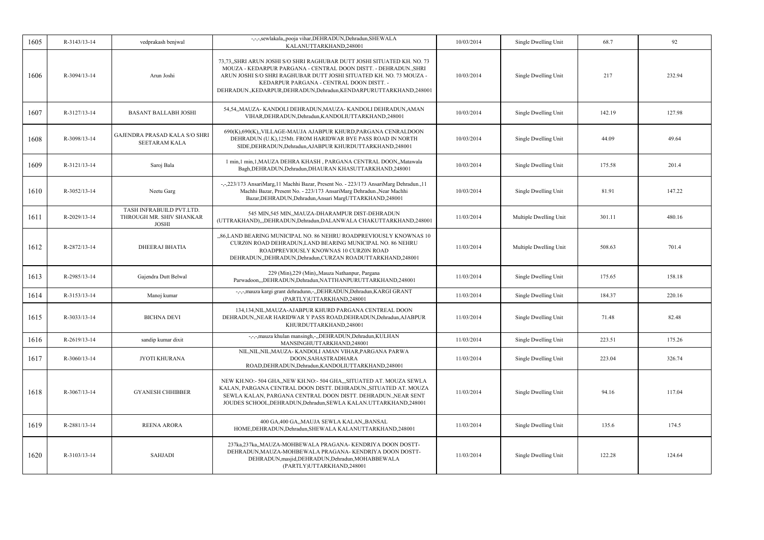| 1605 | R-3143/13-14 | vedprakash benjwal                                                   | -,-,-,sewlakala,,pooja vihar,DEHRADUN,Dehradun,SHEWALA<br>KALANUTTARKHAND,248001                                                                                                                                                                                                                                                       | 10/03/2014 | Single Dwelling Unit   | 68.7   | 92     |
|------|--------------|----------------------------------------------------------------------|----------------------------------------------------------------------------------------------------------------------------------------------------------------------------------------------------------------------------------------------------------------------------------------------------------------------------------------|------------|------------------------|--------|--------|
| 1606 | R-3094/13-14 | Arun Joshi                                                           | 73,73, SHRI ARUN JOSHI S/O SHRI RAGHUBAR DUTT JOSHI SITUATED KH. NO. 73<br>MOUZA - KEDARPUR PARGANA - CENTRAL DOON DISTT. - DEHRADUN., SHRI<br>ARUN JOSHI S/O SHRI RAGHUBAR DUTT JOSHI SITUATED KH. NO. 73 MOUZA -<br>KEDARPUR PARGANA - CENTRAL DOON DISTT. -<br>DEHRADUN., KEDARPUR, DEHRADUN, Dehradun, KENDARPURUTTARKHAND, 248001 | 10/03/2014 | Single Dwelling Unit   | 217    | 232.94 |
| 1607 | R-3127/13-14 | <b>BASANT BALLABH JOSHI</b>                                          | 54,54,,MAUZA-KANDOLI DEHRADUN,MAUZA-KANDOLI DEHRADUN,AMAN<br>VIHAR, DEHRADUN, Dehradun, KANDOLIUTTARKHAND, 248001                                                                                                                                                                                                                      | 10/03/2014 | Single Dwelling Unit   | 142.19 | 127.98 |
| 1608 | R-3098/13-14 | <b>GAJENDRA PRASAD KALA S/O SHRI</b><br><b>SEETARAM KALA</b>         | 690(K), 690(K), VILLAGE-MAUJA AJABPUR KHURD, PARGANA CENRALDOON<br>DEHRADUN (U.K), 125Mt. FROM HARIDWAR BYE PASS ROAD IN NORTH<br>SIDE, DEHRADUN, Dehradun, AJABPUR KHURDUTTARKHAND, 248001                                                                                                                                            | 10/03/2014 | Single Dwelling Unit   | 44.09  | 49.64  |
| 1609 | R-3121/13-14 | Saroj Bala                                                           | 1 min, 1 min, 1, MAUZA DEHRA KHASH, PARGANA CENTRAL DOON,, Matawala<br>Bagh, DEHRADUN, Dehradun, DHAURAN KHASUTTARKHAND, 248001                                                                                                                                                                                                        | 10/03/2014 | Single Dwelling Unit   | 175.58 | 201.4  |
| 1610 | R-3052/13-14 | Neetu Garg                                                           | -,-,223/173 AnsariMarg, 11 Machhi Bazar, Present No. - 223/173 AnsariMarg Dehradun., 11<br>Machhi Bazar, Present No. - 223/173 AnsariMarg Dehradun., Near Machhi<br>Bazar, DEHRADUN, Dehradun, Ansari MargUTTARKHAND, 248001                                                                                                           | 10/03/2014 | Single Dwelling Unit   | 81.91  | 147.22 |
| 1611 | R-2029/13-14 | TASH INFRABUILD PVT.LTD.<br>THROUGH MR. SHIV SHANKAR<br><b>JOSHI</b> | 545 MIN,545 MIN,,MAUZA-DHARAMPUR DIST-DEHRADUN<br>(UTTRAKHAND),,,DEHRADUN,Dehradun,DALANWALA CHAKUTTARKHAND,248001                                                                                                                                                                                                                     | 11/03/2014 | Multiple Dwelling Unit | 301.11 | 480.16 |
| 1612 | R-2872/13-14 | <b>DHEERAJ BHATIA</b>                                                | "86, LAND BEARING MUNICIPAL NO. 86 NEHRU ROADPREVIOUSLY KNOWNAS 10<br>CURZ0N ROAD DEHRADUN, LAND BEARING MUNICIPAL NO. 86 NEHRU<br>ROADPREVIOUSLY KNOWNAS 10 CURZ0N ROAD<br>DEHRADUN, DEHRADUN, Dehradun, CURZAN ROADUTTARKHAND, 248001                                                                                                | 11/03/2014 | Multiple Dwelling Unit | 508.63 | 701.4  |
| 1613 | R-2985/13-14 | Gajendra Dutt Belwal                                                 | 229 (Min), 229 (Min), Mauza Nathanpur, Pargana<br>Parwadoon,,,DEHRADUN,Dehradun,NATTHANPURUTTARKHAND,248001                                                                                                                                                                                                                            | 11/03/2014 | Single Dwelling Unit   | 175.65 | 158.18 |
| 1614 | R-3153/13-14 | Manoj kumar                                                          | -,-,-,mauza kargi grant dehradunn,-,,DEHRADUN,Dehradun,KARGI GRANT<br>(PARTLY)UTTARKHAND,248001                                                                                                                                                                                                                                        | 11/03/2014 | Single Dwelling Unit   | 184.37 | 220.16 |
| 1615 | R-3033/13-14 | <b>BICHNA DEVI</b>                                                   | 134,134, NIL, MAUZA-AJABPUR KHURD PARGANA CENTREAL DOON<br>DEHRADUN, NEAR HARIDWAR Y PASS ROAD, DEHRADUN, Dehradun, AJABPUR<br>KHURDUTTARKHAND,248001                                                                                                                                                                                  | 11/03/2014 | Single Dwelling Unit   | 71.48  | 82.48  |
| 1616 | R-2619/13-14 | sandip kumar dixit                                                   | -,-,-,mauza khulan mansingh,-,,DEHRADUN,Dehradun,KULHAN<br>MANSINGHUTTARKHAND,248001                                                                                                                                                                                                                                                   | 11/03/2014 | Single Dwelling Unit   | 223.51 | 175.26 |
| 1617 | R-3060/13-14 | <b>JYOTI KHURANA</b>                                                 | NIL, NIL, NIL, MAUZA- KANDOLI AMAN VIHAR, PARGANA PARWA<br>DOON, SAHASTRADHARA<br>ROAD, DEHRADUN, Dehradun, KANDOLIUTTARKHAND, 248001                                                                                                                                                                                                  | 11/03/2014 | Single Dwelling Unit   | 223.04 | 326.74 |
| 1618 | R-3067/13-14 | <b>GYANESH CHHIBBER</b>                                              | NEW KH.NO:- 504 GHA,,NEW KH.NO:- 504 GHA,,,SITUATED AT. MOUZA SEWLA<br>KALAN, PARGANA CENTRAL DOON DISTT. DEHRADUN., SITUATED AT. MOUZA<br>SEWLA KALAN, PARGANA CENTRAL DOON DISTT. DEHRADUN., NEAR SENT<br>JOUDES SCHOOL, DEHRADUN, Dehradun, SEWLA KALAN. UTTARKHAND, 248001                                                         | 11/03/2014 | Single Dwelling Unit   | 94.16  | 117.04 |
| 1619 | R-2881/13-14 | <b>REENA ARORA</b>                                                   | 400 GA,400 GA,,MAUJA SEWLA KALAN,,BANSAL<br>HOME, DEHRADUN, Dehradun, SHEWALA KALANUTTARKHAND, 248001                                                                                                                                                                                                                                  | 11/03/2014 | Single Dwelling Unit   | 135.6  | 174.5  |
| 1620 | R-3103/13-14 | SAHJADI                                                              | 237ka, 237ka, MAUZA-MOHBEWALA PRAGANA-KENDRIYA DOON DOSTT-<br>DEHRADUN, MAUZA-MOHBEWALA PRAGANA-KENDRIYA DOON DOSTT-<br>DEHRADUN, masjid, DEHRADUN, Dehradun, MOHABBEWALA<br>(PARTLY)UTTARKHAND,248001                                                                                                                                 | 11/03/2014 | Single Dwelling Unit   | 122.28 | 124.64 |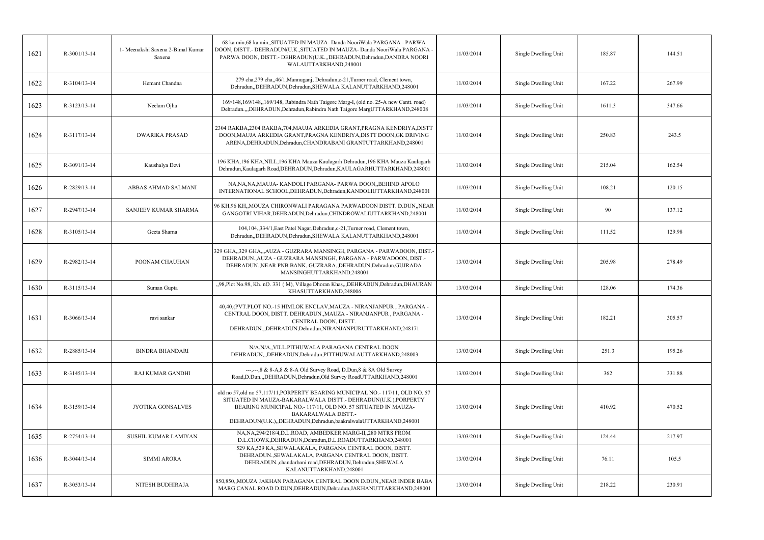| 1621 | R-3001/13-14 | 1- Meenakshi Saxena 2-Bimal Kumar<br>Saxena | 68 ka min, 68 ka min, SITUATED IN MAUZA- Danda NooriWala PARGANA - PARWA<br>DOON, DISTT.- DEHRADUN(U.K., SITUATED IN MAUZA- Danda NooriWala PARGANA -<br>PARWA DOON, DISTT.- DEHRADUN(U.K.,,DEHRADUN,Dehradun,DANDRA NOORI<br>WALAUTTARKHAND,248001                                                                | 11/03/2014 | Single Dwelling Unit | 185.87 | 144.51 |
|------|--------------|---------------------------------------------|--------------------------------------------------------------------------------------------------------------------------------------------------------------------------------------------------------------------------------------------------------------------------------------------------------------------|------------|----------------------|--------|--------|
| 1622 | R-3104/13-14 | Hemant Chandna                              | 279 cha, 279 cha, 46/1, Mannuganj, Dehradun, c-21, Turner road, Clement town,<br>Dehradun, DEHRADUN, Dehradun, SHEWALA KALANUTTARKHAND, 248001                                                                                                                                                                     | 11/03/2014 | Single Dwelling Unit | 167.22 | 267.99 |
| 1623 | R-3123/13-14 | Neelam Ojha                                 | 169/148,169/148,,169/148, Rabindra Nath Taigore Marg-I, (old no. 25-A new Cantt. road)<br>Dehradun.,,,DEHRADUN,Dehradun,Rabindra Nath Taigore MargUTTARKHAND,248008                                                                                                                                                | 11/03/2014 | Single Dwelling Unit | 1611.3 | 347.66 |
| 1624 | R-3117/13-14 | <b>DWARIKA PRASAD</b>                       | 2304 RAKBA,2304 RAKBA,704,MAUJA ARKEDIA GRANT,PRAGNA KENDRIYA,DISTT<br>DOON, MAUJA ARKEDIA GRANT, PRAGNA KENDRIYA, DISTT DOON, GK DRIVING<br>ARENA, DEHRADUN, Dehradun, CHANDRABANI GRANTUTTARKHAND, 248001                                                                                                        | 11/03/2014 | Single Dwelling Unit | 250.83 | 243.5  |
| 1625 | R-3091/13-14 | Kaushalya Devi                              | 196 KHA, 196 KHA, NILL, 196 KHA Mauza Kaulagarh Dehradun, 196 KHA Mauza Kaulagarh<br>Dehradun, Kaulagarh Road, DEHRADUN, Dehradun, KAULAGARHUTTARKHAND, 248001                                                                                                                                                     | 11/03/2014 | Single Dwelling Unit | 215.04 | 162.54 |
| 1626 | R-2829/13-14 | ABBAS AHMAD SALMANI                         | NA, NA, NA, MAUJA-KANDOLI PARGANA-PARWA DOON, BEHIND APOLO<br>INTERNATIONAL SCHOOL, DEHRADUN, Dehradun, KANDOLIUTTARKHAND, 248001                                                                                                                                                                                  | 11/03/2014 | Single Dwelling Unit | 108.21 | 120.15 |
| 1627 | R-2947/13-14 | SANJEEV KUMAR SHARMA                        | 96 KH, 96 KH, MOUZA CHIRONWALI PARAGANA PARWADOON DISTT. D.DUN, NEAR<br>GANGOTRI VIHAR, DEHRADUN, Dehradun, CHINDROWALIUTTARKHAND, 248001                                                                                                                                                                          | 11/03/2014 | Single Dwelling Unit | 90     | 137.12 |
| 1628 | R-3105/13-14 | Geeta Sharna                                | 104,104,,334/1,East Patel Nagar,Dehradun,c-21,Turner road, Clement town,<br>Dehradun, DEHRADUN, Dehradun, SHEWALA KALANUTTARKHAND, 248001                                                                                                                                                                          | 11/03/2014 | Single Dwelling Unit | 111.52 | 129.98 |
| 1629 | R-2982/13-14 | POONAM CHAUHAN                              | 329 GHA,,329 GHA,,,AUZA - GUZRARA MANSINGH, PARGANA - PARWADOON, DIST.-<br>DEHRADUN., AUZA - GUZRARA MANSINGH, PARGANA - PARWADOON, DIST.-<br>DEHRADUN., NEAR PNB BANK, GUZRARA, , DEHRADUN, Dehradun, GUJRADA<br>MANSINGHUTTARKHAND,248001                                                                        | 13/03/2014 | Single Dwelling Unit | 205.98 | 278.49 |
| 1630 | R-3115/13-14 | Suman Gupta                                 | "98, Plot No.98, Kh. nO. 331 (M), Village Dhoran Khas,,,DEHRADUN,Dehradun,DHAURAN<br>KHASUTTARKHAND,248006                                                                                                                                                                                                         | 13/03/2014 | Single Dwelling Unit | 128.06 | 174.36 |
| 1631 | R-3066/13-14 | ravi sankar                                 | 40,40, (PVT.PLOT NO.-15 HIMLOK ENCLAV, MAUZA - NIRANJANPUR, PARGANA -<br>CENTRAL DOON, DISTT. DEHRADUN., MAUZA - NIRANJANPUR, PARGANA -<br>CENTRAL DOON, DISTT.<br>DEHRADUN.,,DEHRADUN,Dehradun,NIRANJANPURUTTARKHAND,248171                                                                                       | 13/03/2014 | Single Dwelling Unit | 182.21 | 305.57 |
| 1632 | R-2885/13-14 | <b>BINDRA BHANDARI</b>                      | N/A,N/A,,VILL.PITHUWALA PARAGANA CENTRAL DOON<br>DEHRADUN, "DEHRADUN, Dehradun, PITTHUWALAUTTARKHAND, 248003                                                                                                                                                                                                       | 13/03/2014 | Single Dwelling Unit | 251.3  | 195.26 |
| 1633 | R-3145/13-14 | <b>RAJ KUMAR GANDHI</b>                     | ---,---,8 & 8-A,8 & 8-A Old Survey Road, D.Dun,8 & 8A Old Survey<br>Road, D.Dun., , DEHRADUN, Dehradun, Old Survey RoadUTTARKHAND, 248001                                                                                                                                                                          | 13/03/2014 | Single Dwelling Unit | 362    | 331.88 |
| 1634 | R-3159/13-14 | <b>JYOTIKA GONSALVES</b>                    | old no 57, old no 57, 117/11, PORPERTY BEARING MUNICIPAL NO. - 117/11, OLD NO. 57<br>SITUATED IN MAUZA-BAKARALWALA DISTT.- DEHRADUN(U.K.), PORPERTY<br>BEARING MUNICIPAL NO.-117/11, OLD NO. 57 SITUATED IN MAUZA-<br><b>BAKARALWALA DISTT.-</b><br>DEHRADUN(U.K.),,DEHRADUN,Dehradun,baakralwalaUTTARKHAND,248001 | 13/03/2014 | Single Dwelling Unit | 410.92 | 470.52 |
| 1635 | R-2754/13-14 | SUSHIL KUMAR LAMIYAN                        | NA, NA, 294/218/4, D.L. ROAD, AMBEDKER MARG-II, 280 MTRS FROM<br>D.L.CHOWK, DEHRADUN, Dehradun, D.L.ROADUTTARKHAND, 248001                                                                                                                                                                                         | 13/03/2014 | Single Dwelling Unit | 124.44 | 217.97 |
| 1636 | R-3044/13-14 | SIMMI ARORA                                 | 529 KA, 529 KA, SEWALAKALA, PARGANA CENTRAL DOON, DISTT.<br>DEHRADUN., SEWALAKALA, PARGANA CENTRAL DOON, DISTT.<br>DEHRADUN., chandarbani road, DEHRADUN, Dehradun, SHEWALA<br>KALANUTTARKHAND,248001                                                                                                              | 13/03/2014 | Single Dwelling Unit | 76.11  | 105.5  |
| 1637 | R-3053/13-14 | NITESH BUDHIRAJA                            | 850,850,,MOUZA JAKHAN PARAGANA CENTRAL DOON D.DUN,,NEAR INDER BABA<br>MARG CANAL ROAD D.DUN, DEHRADUN, Dehradun, JAKHANUTTARKHAND, 248001                                                                                                                                                                          | 13/03/2014 | Single Dwelling Unit | 218.22 | 230.91 |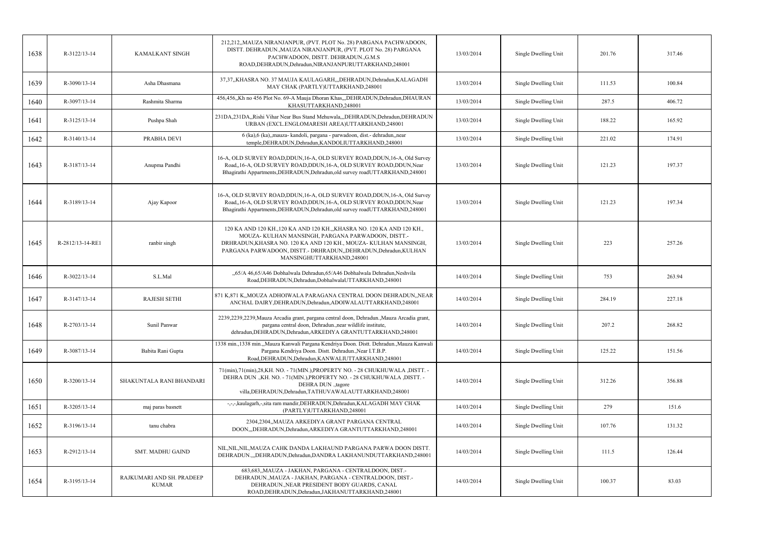| 1638 | R-3122/13-14     | <b>KAMALKANT SINGH</b>                    | 212,212,,MAUZA NIRANJANPUR, (PVT. PLOT No. 28) PARGANA PACHWADOON,<br>DISTT. DEHRADUN., MAUZA NIRANJANPUR, (PVT. PLOT No. 28) PARGANA<br>PACHWADOON, DISTT. DEHRADUN., G.M.S<br>ROAD, DEHRADUN, Dehradun, NIRANJANPURUTTARKHAND, 248001                                                        | 13/03/2014 | Single Dwelling Unit | 201.76 | 317.46 |
|------|------------------|-------------------------------------------|------------------------------------------------------------------------------------------------------------------------------------------------------------------------------------------------------------------------------------------------------------------------------------------------|------------|----------------------|--------|--------|
| 1639 | R-3090/13-14     | Asha Dhasmana                             | 37,37,,KHASRA NO. 37 MAUJA KAULAGARH,,,DEHRADUN,Dehradun,KALAGADH<br>MAY CHAK (PARTLY)UTTARKHAND,248001                                                                                                                                                                                        | 13/03/2014 | Single Dwelling Unit | 111.53 | 100.84 |
| 1640 | R-3097/13-14     | Rashmita Sharma                           | 456,456, Kh no 456 Plot No. 69-A Mauja Dhoran Khas, "DEHRADUN, Dehradun, DHAURAN<br>KHASUTTARKHAND,248001                                                                                                                                                                                      | 13/03/2014 | Single Dwelling Unit | 287.5  | 406.72 |
| 1641 | R-3125/13-14     | Pushpa Shah                               | 231DA, 231DA, Rishi Vihar Near Bus Stand Mehuwala, , DEHRADUN, Dehradun, DEHRADUN<br>URBAN (EXCL.ENGLOMARESH AREA)UTTARKHAND,248001                                                                                                                                                            | 13/03/2014 | Single Dwelling Unit | 188.22 | 165.92 |
| 1642 | R-3140/13-14     | PRABHA DEVI                               | 6 (ka), 6 (ka), mauza- kandoli, pargana - parwadoon, dist.- dehradun, near<br>temple, DEHRADUN, Dehradun, KANDOLIUTTARKHAND, 248001                                                                                                                                                            | 13/03/2014 | Single Dwelling Unit | 221.02 | 174.91 |
| 1643 | R-3187/13-14     | Anupma Pandhi                             | 16-A, OLD SURVEY ROAD, DDUN, 16-A, OLD SURVEY ROAD, DDUN, 16-A, Old Survey<br>Road, 16-A, OLD SURVEY ROAD, DDUN, 16-A, OLD SURVEY ROAD, DDUN, Near<br>Bhagirathi Appartments, DEHRADUN, Dehradun, old survey roadUTTARKHAND, 248001                                                            | 13/03/2014 | Single Dwelling Unit | 121.23 | 197.37 |
| 1644 | R-3189/13-14     | Ajay Kapoor                               | 16-A, OLD SURVEY ROAD, DDUN, 16-A, OLD SURVEY ROAD, DDUN, 16-A, Old Survey<br>Road, 16-A, OLD SURVEY ROAD, DDUN, 16-A, OLD SURVEY ROAD, DDUN, Near<br>Bhagirathi Appartments, DEHRADUN, Dehradun, old survey roadUTTARKHAND, 248001                                                            | 13/03/2014 | Single Dwelling Unit | 121.23 | 197.34 |
| 1645 | R-2812/13-14-RE1 | ranbir singh                              | 120 KA AND 120 KH., 120 KA AND 120 KH., KHASRA NO. 120 KA AND 120 KH.,<br>MOUZA-KULHAN MANSINGH, PARGANA PARWADOON, DISTT.-<br>DRHRADUN, KHASRA NO. 120 KA AND 120 KH., MOUZA-KULHAN MANSINGH,<br>PARGANA PARWADOON, DISTT.- DRHRADUN, DEHRADUN, Dehradun, KULHAN<br>MANSINGHUTTARKHAND,248001 | 13/03/2014 | Single Dwelling Unit | 223    | 257.26 |
| 1646 | R-3022/13-14     | S.L.Mal                                   | "65/A 46,65/A46 Dobhalwala Dehradun, 65/A46 Dobhalwala Dehradun, Neshvila<br>Road, DEHRADUN, Dehradun, DobhalwalaUTTARKHAND, 248001                                                                                                                                                            | 14/03/2014 | Single Dwelling Unit | 753    | 263.94 |
| 1647 | R-3147/13-14     | <b>RAJESH SETHI</b>                       | 871 K,871 K,,MOUZA ADHOIWALA PARAGANA CENTRAL DOON DEHRADUN,,NEAR<br>ANCHAL DAIRY, DEHRADUN, Dehradun, ADOIWALAUTTARKHAND, 248001                                                                                                                                                              | 14/03/2014 | Single Dwelling Unit | 284.19 | 227.18 |
| 1648 | R-2703/13-14     | Sunil Panwar                              | 2239,2239,2239, Mauza Arcadia grant, pargana central doon, Dehradun., Mauza Arcadia grant,<br>pargana central doon, Dehradun., near wildlife institute,<br>dehradun, DEHRADUN, Dehradun, ARKEDIYA GRANTUTTARKHAND, 248001                                                                      | 14/03/2014 | Single Dwelling Unit | 207.2  | 268.82 |
| 1649 | R-3087/13-14     | Babita Rani Gupta                         | 1338 min., 1338 min.,,Mauza Kanwali Pargana Kendriya Doon. Distt. Dehradun.,Mauza Kanwali<br>Pargana Kendriya Doon. Distt. Dehradun., Near I.T.B.P.<br>Road, DEHRADUN, Dehradun, KANWALIUTTARKHAND, 248001                                                                                     | 14/03/2014 | Single Dwelling Unit | 125.22 | 151.56 |
| 1650 | R-3200/13-14     | SHAKUNTALA RANI BHANDARI                  | 71(min),71(min),28,KH. NO. - 71(MIN.),PROPERTY NO. - 28 CHUKHUWALA ,DISTT. -<br>DEHRA DUN "KH. NO. - 71(MIN.), PROPERTY NO. - 28 CHUKHUWALA , DISTT. -<br>DEHRA DUN ., tagore<br>villa, DEHRADUN, Dehradun, TATHUVAWALAUTTARKHAND, 248001                                                      | 14/03/2014 | Single Dwelling Unit | 312.26 | 356.88 |
| 1651 | R-3205/13-14     | maj paras basnett                         | -,-,-,kaulagarh,-,sita ram mandir,DEHRADUN,Dehradun,KALAGADH MAY CHAK<br>(PARTLY)UTTARKHAND,248001                                                                                                                                                                                             | 14/03/2014 | Single Dwelling Unit | 279    | 151.6  |
| 1652 | R-3196/13-14     | tanu chabra                               | 2304,2304,,MAUZA ARKEDIYA GRANT PARGANA CENTRAL<br>DOON,,,DEHRADUN,Dehradun,ARKEDIYA GRANTUTTARKHAND,248001                                                                                                                                                                                    | 14/03/2014 | Single Dwelling Unit | 107.76 | 131.32 |
| 1653 | R-2912/13-14     | SMT. MADHU GAIND                          | NIL, NIL, NIL, MAUZA CAHK DANDA LAKHAUND PARGANA PARWA DOON DISTT.<br>DEHRADUN.,,,DEHRADUN,Dehradun,DANDRA LAKHANUNDUTTARKHAND,248001                                                                                                                                                          | 14/03/2014 | Single Dwelling Unit | 111.5  | 126.44 |
| 1654 | R-3195/13-14     | RAJKUMARI AND SH. PRADEEP<br><b>KUMAR</b> | 683,683,,MAUZA - JAKHAN, PARGANA - CENTRALDOON, DIST.-<br>DEHRADUN., MAUZA - JAKHAN, PARGANA - CENTRALDOON, DIST.-<br>DEHRADUN., NEAR PRESIDENT BODY GUARDS, CANAL<br>ROAD, DEHRADUN, Dehradun, JAKHANUTTARKHAND, 248001                                                                       | 14/03/2014 | Single Dwelling Unit | 100.37 | 83.03  |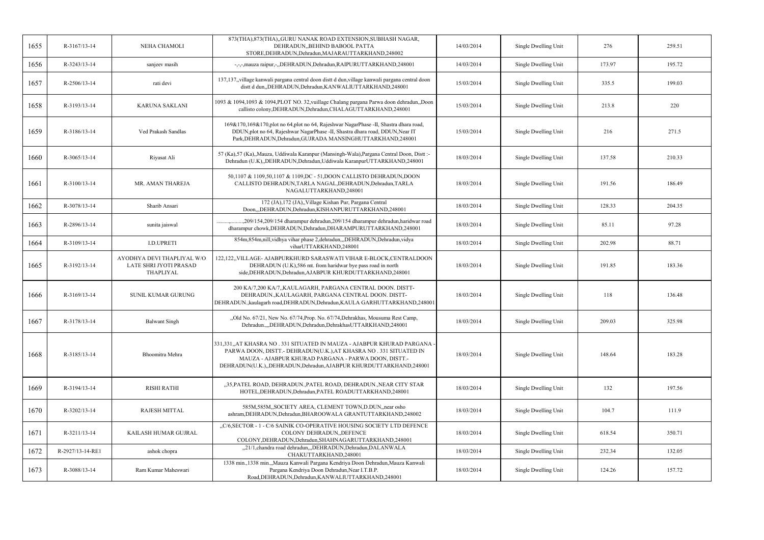| 1655 | R-3167/13-14     | NEHA CHAMOLI                                                      | 873(THA), 873(THA), GURU NANAK ROAD EXTENSION, SUBHASH NAGAR,<br>DEHRADUN, BEHIND BABOOL PATTA<br>STORE, DEHRADUN, Dehradun, MAJARAUTTARKHAND, 248002                                                                                                                     | 14/03/2014 | Single Dwelling Unit | 276    | 259.51 |
|------|------------------|-------------------------------------------------------------------|---------------------------------------------------------------------------------------------------------------------------------------------------------------------------------------------------------------------------------------------------------------------------|------------|----------------------|--------|--------|
| 1656 | R-3243/13-14     | sanjeev masih                                                     | -,-,-,mauza raipur,-,,DEHRADUN,Dehradun,RAIPURUTTARKHAND,248001                                                                                                                                                                                                           | 14/03/2014 | Single Dwelling Unit | 173.97 | 195.72 |
| 1657 | R-2506/13-14     | rati devi                                                         | 137,137,,village kanwali pargana central doon distt d dun,village kanwali pargana central doon<br>distt d dun, DEHRADUN, Dehradun, KANWALIUTTARKHAND, 248001                                                                                                              | 15/03/2014 | Single Dwelling Unit | 335.5  | 199.03 |
| 1658 | R-3193/13-14     | <b>KARUNA SAKLANI</b>                                             | 1093 & 1094,1093 & 1094, PLOT NO. 32, vuillage Chalang pargana Parwa doon dehradun, Doon<br>callisto colony, DEHRADUN, Dehradun, CHALAGUTTARKHAND, 248001                                                                                                                 | 15/03/2014 | Single Dwelling Unit | 213.8  | 220    |
| 1659 | R-3186/13-14     | Ved Prakash Sandlas                                               | 169&170,169&170,plot no 64,plot no 64, Rajeshwar NagarPhase -II, Shastra dhara road,<br>DDUN, plot no 64, Rajeshwar NagarPhase -II, Shastra dhara road, DDUN, Near IT<br>Park, DEHRADUN, Dehradun, GUJRADA MANSINGHUTTARKHAND, 248001                                     | 15/03/2014 | Single Dwelling Unit | 216    | 271.5  |
| 1660 | $R-3065/13-14$   | Riyasat Ali                                                       | 57 (Ka), 57 (Ka), Mauza, Uddiwala Karanpur (Mansingh-Wala), Pargana Central Doon, Distt :-<br>Dehradun (U.K),,DEHRADUN,Dehradun,Uddiwala KaranpurUTTARKHAND,248001                                                                                                        | 18/03/2014 | Single Dwelling Unit | 137.58 | 210.33 |
| 1661 | R-3100/13-14     | MR. AMAN THAREJA                                                  | 50,1107 & 1109,50,1107 & 1109,DC - 51,DOON CALLISTO DEHRADUN,DOON<br>CALLISTO DEHRADUN, TARLA NAGAL, DEHRADUN, Dehradun, TARLA<br>NAGALUTTARKHAND,248001                                                                                                                  | 18/03/2014 | Single Dwelling Unit | 191.56 | 186.49 |
| 1662 | R-3078/13-14     | Sharib Ansari                                                     | 172 (JA), 172 (JA), Village Kishan Pur, Pargana Central<br>Doon,,,DEHRADUN,Dehradun,KISHANPURUTTARKHAND,248001                                                                                                                                                            | 18/03/2014 | Single Dwelling Unit | 128.33 | 204.35 |
| 1663 | R-2896/13-14     | sunita jaiswal                                                    | ., 209/154, 209/154 dharampur dehradun, 209/154 dharampur dehradun, haridwar road<br>dharampur chowk, DEHRADUN, Dehradun, DHARAMPURUTTARKHAND, 248001                                                                                                                     | 18/03/2014 | Single Dwelling Unit | 85.11  | 97.28  |
| 1664 | R-3109/13-14     | I.D.UPRETI                                                        | 854m, 854m, nill, vidhya vihar phase 2, dehradun, "DEHRADUN, Dehradun, vidya<br>viharUTTARKHAND,248001                                                                                                                                                                    | 18/03/2014 | Single Dwelling Unit | 202.98 | 88.71  |
| 1665 | R-3192/13-14     | AYODHYA DEVI THAPLIYAL W/O<br>LATE SHRI JYOTI PRASAD<br>THAPLIYAL | 122,122,,VILLAGE- AJABPURKHURD SARASWATI VIHAR E-BLOCK,CENTRALDOON<br>DEHRADUN (U.K),586 mt. from haridwar bye pass road in north<br>side, DEHRADUN, Dehradun, AJABPUR KHURDUTTARKHAND, 248001                                                                            | 18/03/2014 | Single Dwelling Unit | 191.85 | 183.36 |
| 1666 | R-3169/13-14     | SUNIL KUMAR GURUNG                                                | 200 KA/7,200 KA/7,,KAULAGARH, PARGANA CENTRAL DOON. DISTT-<br>DEHRADUN., KAULAGARH, PARGANA CENTRAL DOON. DISTT-<br>DEHRADUN., kaulagarh road, DEHRADUN, Dehradun, KAULA GARHUTTARKHAND, 248001                                                                           | 18/03/2014 | Single Dwelling Unit | 118    | 136.48 |
| 1667 | R-3178/13-14     | <b>Balwant Singh</b>                                              | "Old No. 67/21, New No. 67/74, Prop. No. 67/74, Dehrakhas, Mousuma Rest Camp,<br>Dehradun.,,,DEHRADUN,Dehradun,DehrakhasUTTARKHAND,248001                                                                                                                                 | 18/03/2014 | Single Dwelling Unit | 209.03 | 325.98 |
| 1668 | R-3185/13-14     | Bhoomitra Mehra                                                   | 331,331,,AT KHASRA NO . 331 SITUATED IN MAUZA - AJABPUR KHURAD PARGANA -<br>PARWA DOON, DISTT.- DEHRADUN(U.K.), AT KHASRA NO. 331 SITUATED IN<br>MAUZA - AJABPUR KHURAD PARGANA - PARWA DOON, DISTT.-<br>DEHRADUN(U.K.),,DEHRADUN,Dehradun,AJABPUR KHURDUTTARKHAND,248001 | 18/03/2014 | Single Dwelling Unit | 148.64 | 183.28 |
| 1669 | R-3194/13-14     | <b>RISHI RATHI</b>                                                | "35, PATEL ROAD, DEHRADUN., PATEL ROAD, DEHRADUN., NEAR CITY STAR<br>HOTEL, DEHRADUN, Dehradun, PATEL ROADUTTARKHAND, 248001                                                                                                                                              | 18/03/2014 | Single Dwelling Unit | 132    | 197.56 |
| 1670 | R-3202/13-14     | <b>RAJESH MITTAL</b>                                              | 585M, 585M, SOCIETY AREA, CLEMENT TOWN, D.DUN, near osho<br>ashram, DEHRADUN, Dehradun, BHAROOWALA GRANTUTTARKHAND, 248002                                                                                                                                                | 18/03/2014 | Single Dwelling Unit | 104.7  | 111.9  |
| 1671 | R-3211/13-14     | KAILASH HUMAR GUJRAL                                              | "C/6, SECTOR - 1 - C/6 SAINIK CO-OPERATIVE HOUSING SOCIETY LTD DEFENCE<br>COLONY DEHRADUN, DEFENCE<br>COLONY, DEHRADUN, Dehradun, SHAHNAGARUTTARKHAND, 248001                                                                                                             | 18/03/2014 | Single Dwelling Unit | 618.54 | 350.71 |
| 1672 | R-2927/13-14-RE1 | ashok chopra                                                      | "21/1, chandra road dehradun, "DEHRADUN, Dehradun, DALANWALA<br>CHAKUTTARKHAND,248001                                                                                                                                                                                     | 18/03/2014 | Single Dwelling Unit | 232.34 | 132.05 |
| 1673 | R-3088/13-14     | Ram Kumar Maheswari                                               | 1338 min., 1338 min.,,Mauza Kanwali Pargana Kendriya Doon Dehradun,Mauza Kanwali<br>Pargana Kendriya Doon Dehradun, Near I.T.B.P.<br>Road, DEHRADUN, Dehradun, KANWALIUTTARKHAND, 248001                                                                                  | 18/03/2014 | Single Dwelling Unit | 124.26 | 157.72 |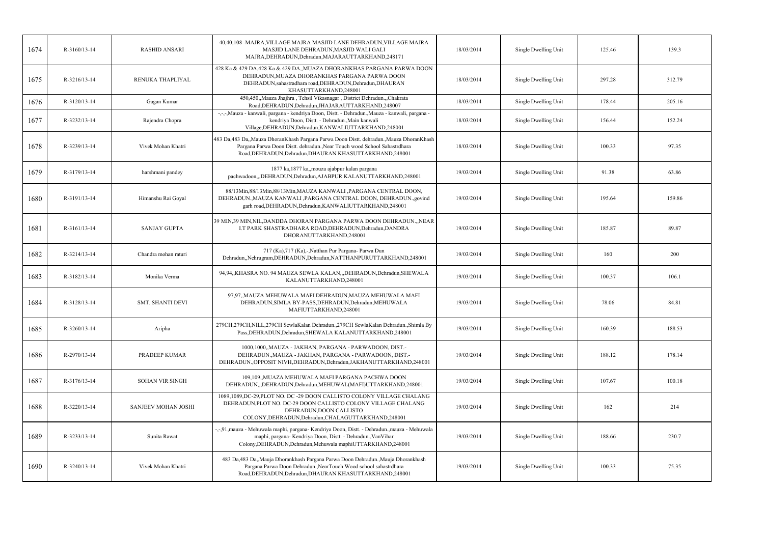| 1674 | R-3160/13-14   | <b>RASHID ANSARI</b>    | 40,40,108 -MAJRA, VILLAGE MAJRA MASJID LANE DEHRADUN, VILLAGE MAJRA<br>MASJID LANE DEHRADUN, MASJID WALI GALI<br>MAJRA, DEHRADUN, Dehradun, MAJARAUTTARKHAND, 248171                                                               | 18/03/2014 | Single Dwelling Unit | 125.46 | 139.3  |
|------|----------------|-------------------------|------------------------------------------------------------------------------------------------------------------------------------------------------------------------------------------------------------------------------------|------------|----------------------|--------|--------|
| 1675 | R-3216/13-14   | RENUKA THAPLIYAL        | 428 Ka & 429 DA,428 Ka & 429 DA,, MUAZA DHORANKHAS PARGANA PARWA DOON<br>DEHRADUN, MUAZA DHORANKHAS PARGANA PARWA DOON<br>DEHRADUN, sahastradhara road, DEHRADUN, Dehradun, DHAURAN<br>KHASUTTARKHAND,248001                       | 18/03/2014 | Single Dwelling Unit | 297.28 | 312.79 |
| 1676 | R-3120/13-14   | Gagan Kumar             | 450,450,,Mauza Jhajhra, Tehsil Vikasnagar, District Dehradun.,,Chakrata<br>Road, DEHRADUN, Dehradun, JHAJARAUTTARKHAND, 248007                                                                                                     | 18/03/2014 | Single Dwelling Unit | 178.44 | 205.16 |
| 1677 | R-3232/13-14   | Rajendra Chopra         | -,-,-,Mauza - kanwali, pargana - kendriya Doon, Distt. - Dehradun.,Mauza - kanwali, pargana -<br>kendriya Doon, Distt. - Dehradun., Main kanwali<br>Village, DEHRADUN, Dehradun, KANWALIUTTARKHAND, 248001                         | 18/03/2014 | Single Dwelling Unit | 156.44 | 152.24 |
| 1678 | R-3239/13-14   | Vivek Mohan Khatri      | 483 Da,483 Da,, Mauza Dhoran Khash Pargana Parwa Doon Distt. dehradun., Mauza Dhoran Khash<br>Pargana Parwa Doon Distt. dehradun., Near Touch wood School Sahastrdhara<br>Road, DEHRADUN, Dehradun, DHAURAN KHASUTTARKHAND, 248001 | 18/03/2014 | Single Dwelling Unit | 100.33 | 97.35  |
| 1679 | R-3179/13-14   | harshmani pandey        | 1877 ka, 1877 ka, mouza ajabpur kalan pargana<br>pachwadoon,,,DEHRADUN,Dehradun,AJABPUR KALANUTTARKHAND,248001                                                                                                                     | 19/03/2014 | Single Dwelling Unit | 91.38  | 63.86  |
| 1680 | R-3191/13-14   | Himanshu Rai Goyal      | 88/13Min, 88/13Min, 88/13Min, MAUZA KANWALI, PARGANA CENTRAL DOON,<br>DEHRADUN., MAUZA KANWALI, PARGANA CENTRAL DOON, DEHRADUN., govind<br>garh road, DEHRADUN, Dehradun, KANWALIUTTARKHAND, 248001                                | 19/03/2014 | Single Dwelling Unit | 195.64 | 159.86 |
| 1681 | R-3161/13-14   | <b>SANJAY GUPTA</b>     | 39 MIN.39 MIN.NIL.DANDDA DHORAN PARGANA PARWA DOON DEHRADUNNEAR<br>I.T PARK SHASTRADHARA ROAD, DEHRADUN, Dehradun, DANDRA<br>DHORANUTTARKHAND,248001                                                                               | 19/03/2014 | Single Dwelling Unit | 185.87 | 89.87  |
| 1682 | $R-3214/13-14$ | Chandra mohan raturi    | 717 (Ka),717 (Ka),-,Natthan Pur Pargana- Parwa Dun<br>Dehradun,,Nehrugram,DEHRADUN,Dehradun,NATTHANPURUTTARKHAND,248001                                                                                                            | 19/03/2014 | Single Dwelling Unit | 160    | 200    |
| 1683 | R-3182/13-14   | Monika Verma            | 94,94,,KHASRA NO. 94 MAUZA SEWLA KALAN,,,DEHRADUN,Dehradun,SHEWALA<br>KALANUTTARKHAND,248001                                                                                                                                       | 19/03/2014 | Single Dwelling Unit | 100.37 | 106.1  |
| 1684 | R-3128/13-14   | <b>SMT. SHANTI DEVI</b> | 97,97,,MAUZA MEHUWALA MAFI DEHRADUN,MAUZA MEHUWALA MAFI<br>DEHRADUN, SIMLA BY-PASS, DEHRADUN, Dehradun, MEHUWALA<br>MAFIUTTARKHAND,248001                                                                                          | 19/03/2014 | Single Dwelling Unit | 78.06  | 84.81  |
| 1685 | R-3260/13-14   | Aripha                  | 279CH,279CH,NILL,279CH SewlaKalan Dehradun.,279CH SewlaKalan Dehradun.,Shimla By<br>Pass, DEHRADUN, Dehradun, SHEWALA KALANUTTARKHAND, 248001                                                                                      | 19/03/2014 | Single Dwelling Unit | 160.39 | 188.53 |
| 1686 | R-2970/13-14   | <b>PRADEEP KUMAR</b>    | 1000,1000,,MAUZA - JAKHAN, PARGANA - PARWADOON, DIST.-<br>DEHRADUN., MAUZA - JAKHAN, PARGANA - PARWADOON, DIST.-<br>DEHRADUN., OPPOSIT NIVH, DEHRADUN, Dehradun, JAKHANUTTARKHAND, 248001                                          | 19/03/2014 | Single Dwelling Unit | 188.12 | 178.14 |
| 1687 | R-3176/13-14   | <b>SOHAN VIR SINGH</b>  | 109,109,,MUAZA MEHUWALA MAFI PARGANA PACHWA DOON<br>DEHRADUN, "DEHRADUN, Dehradun, MEHUWAL (MAFI) UTTARKHAND, 248001                                                                                                               | 19/03/2014 | Single Dwelling Unit | 107.67 | 100.18 |
| 1688 | R-3220/13-14   | SANJEEV MOHAN JOSHI     | 1089,1089,DC-29,PLOT NO. DC -29 DOON CALLISTO COLONY VILLAGE CHALANG<br>DEHRADUN, PLOT NO. DC-29 DOON CALLISTO COLONY VILLAGE CHALANG<br>DEHRADUN, DOON CALLISTO<br>COLONY, DEHRADUN, Dehradun, CHALAGUTTARKHAND, 248001           | 19/03/2014 | Single Dwelling Unit | 162    | 214    |
| 1689 | R-3233/13-14   | Sunita Rawat            | -,-,91, mauza - Mehuwala maphi, pargana- Kendriya Doon, Distt. - Dehradun., mauza - Mehuwala<br>maphi, pargana- Kendriya Doon, Distt. - Dehradun., Van Vihar<br>Colony, DEHRADUN, Dehradun, Mehuwala maphiUTTARKHAND, 248001       | 19/03/2014 | Single Dwelling Unit | 188.66 | 230.7  |
| 1690 | R-3240/13-14   | Vivek Mohan Khatri      | 483 Da,483 Da,,Mauja Dhorankhash Pargana Parwa Doon Dehradun.,Mauja Dhorankhash<br>Pargana Parwa Doon Dehradun., NearTouch Wood school sahastrdhara<br>Road, DEHRADUN, Dehradun, DHAURAN KHASUTTARKHAND, 248001                    | 19/03/2014 | Single Dwelling Unit | 100.33 | 75.35  |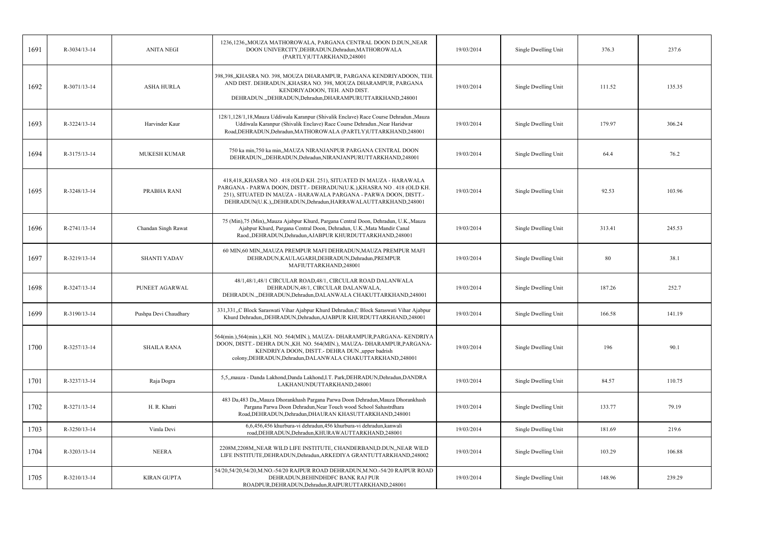| 1691 | R-3034/13-14 | <b>ANITA NEGI</b>     | 1236,1236,,MOUZA MATHOROWALA, PARGANA CENTRAL DOON D.DUN,,NEAR<br>DOON UNIVERCITY, DEHRADUN, Dehradun, MATHOROWALA<br>(PARTLY)UTTARKHAND,248001                                                                                                                                        | 19/03/2014 | Single Dwelling Unit | 376.3  | 237.6  |
|------|--------------|-----------------------|----------------------------------------------------------------------------------------------------------------------------------------------------------------------------------------------------------------------------------------------------------------------------------------|------------|----------------------|--------|--------|
| 1692 | R-3071/13-14 | <b>ASHA HURLA</b>     | 398,398,,KHASRA NO. 398, MOUZA DHARAMPUR, PARGANA KENDRIYADOON, TEH.<br>AND DIST. DEHRADUN., KHASRA NO. 398, MOUZA DHARAMPUR, PARGANA<br>KENDRIYADOON, TEH. AND DIST.<br>DEHRADUN., DEHRADUN, Dehradun, DHARAMPURUTTARKHAND, 248001                                                    | 19/03/2014 | Single Dwelling Unit | 111.52 | 135.35 |
| 1693 | R-3224/13-14 | Harvinder Kaur        | 128/1,128/1,18, Mauza Uddiwala Karanpur (Shivalik Enclave) Race Course Dehradun., Mauza<br>Uddiwala Karanpur (Shivalik Enclave) Race Course Dehradun., Near Haridwar<br>Road, DEHRADUN, Dehradun, MATHOROWALA (PARTLY) UTTARKHAND, 248001                                              | 19/03/2014 | Single Dwelling Unit | 179.97 | 306.24 |
| 1694 | R-3175/13-14 | <b>MUKESH KUMAR</b>   | 750 ka min, 750 ka min,, MAUZA NIRANJANPUR PARGANA CENTRAL DOON<br>DEHRADUN,,,DEHRADUN,Dehradun,NIRANJANPURUTTARKHAND,248001                                                                                                                                                           | 19/03/2014 | Single Dwelling Unit | 64.4   | 76.2   |
| 1695 | R-3248/13-14 | PRABHA RANI           | 418,418,,KHASRA NO . 418 (OLD KH. 251), SITUATED IN MAUZA - HARAWALA<br>PARGANA - PARWA DOON, DISTT. - DEHRADUN(U.K.), KHASRA NO . 418 (OLD KH.<br>251), SITUATED IN MAUZA - HARAWALA PARGANA - PARWA DOON, DISTT.-<br>DEHRADUN(U.K.), DEHRADUN, Dehradun, HARRAWALAUTTARKHAND, 248001 | 19/03/2014 | Single Dwelling Unit | 92.53  | 103.96 |
| 1696 | R-2741/13-14 | Chandan Singh Rawat   | 75 (Min), 75 (Min), Mauza Ajabpur Khurd, Pargana Central Doon, Dehradun, U.K., Mauza<br>Ajabpur Khurd, Pargana Central Doon, Dehradun, U.K., Mata Mandir Canal<br>Raod., DEHRADUN, Dehradun, AJABPUR KHURDUTTARKHAND, 248001                                                           | 19/03/2014 | Single Dwelling Unit | 313.41 | 245.53 |
| 1697 | R-3219/13-14 | <b>SHANTI YADAV</b>   | 60 MIN,60 MIN,, MAUZA PREMPUR MAFI DEHRADUN, MAUZA PREMPUR MAFI<br>DEHRADUN, KAULAGARH, DEHRADUN, Dehradun, PREMPUR<br>MAFIUTTARKHAND,248001                                                                                                                                           | 19/03/2014 | Single Dwelling Unit | 80     | 38.1   |
| 1698 | R-3247/13-14 | PUNEET AGARWAL        | 48/1,48/1,48/1 CIRCULAR ROAD,48/1, CIRCULAR ROAD DALANWALA<br>DEHRADUN, 48/1, CIRCULAR DALANWALA,<br>DEHRADUN., DEHRADUN, Dehradun, DALANWALA CHAKUTTARKHAND, 248001                                                                                                                   | 19/03/2014 | Single Dwelling Unit | 187.26 | 252.7  |
| 1699 | R-3190/13-14 | Pushpa Devi Chaudhary | 331,331, C Block Saraswati Vihar Ajabpur Khurd Dehradun, C Block Saraswati Vihar Ajabpur<br>Khurd Dehradun, DEHRADUN, Dehradun, AJABPUR KHURDUTTARKHAND, 248001                                                                                                                        | 19/03/2014 | Single Dwelling Unit | 166.58 | 141.19 |
| 1700 | R-3257/13-14 | <b>SHAILA RANA</b>    | 564(min.),564(min.),,KH. NO. 564(MIN.), MAUZA-DHARAMPUR,PARGANA-KENDRIYA<br>DOON, DISTT.- DEHRA DUN., KH. NO. 564(MIN.), MAUZA- DHARAMPUR, PARGANA-<br>KENDRIYA DOON, DISTT.- DEHRA DUN., upper badrish<br>colony, DEHRADUN, Dehradun, DALANWALA CHAKUTTARKHAND, 248001                | 19/03/2014 | Single Dwelling Unit | 196    | 90.1   |
| 1701 | R-3237/13-14 | Raja Dogra            | 5,5, mauza - Danda Lakhond, Danda Lakhond, I.T. Park, DEHRADUN, Dehradun, DANDRA<br>LAKHANUNDUTTARKHAND,248001                                                                                                                                                                         | 19/03/2014 | Single Dwelling Unit | 84.57  | 110.75 |
| 1702 | R-3271/13-14 | H. R. Khatri          | 483 Da,483 Da,,Mauza Dhorankhash Pargana Parwa Doon Dehradun,Mauza Dhorankhash<br>Pargana Parwa Doon Dehradun, Near Touch wood School Sahastrdhara<br>Road, DEHRADUN, Dehradun, DHAURAN KHASUTTARKHAND, 248001                                                                         | 19/03/2014 | Single Dwelling Unit | 133.77 | 79.19  |
| 1703 | R-3250/13-14 | Vimla Devi            | 6,6,456,456 khurbura-vi dehradun,456 khurbura-vi dehradun, kanwali<br>road, DEHRADUN, Dehradun, KHURAWAUTTARKHAND, 248001                                                                                                                                                              | 19/03/2014 | Single Dwelling Unit | 181.69 | 219.6  |
| 1704 | R-3203/13-14 | <b>NEERA</b>          | 2208M,2208M,,NEAR WILD LIFE INSTITUTE, CHANDERBANI,D.DUN,,NEAR WILD<br>LIFE INSTITUTE, DEHRADUN, Dehradun, ARKEDIYA GRANTUTTARKHAND, 248002                                                                                                                                            | 19/03/2014 | Single Dwelling Unit | 103.29 | 106.88 |
| 1705 | R-3210/13-14 | <b>KIRAN GUPTA</b>    | 54/20,54/20,54/20, M.NO.-54/20 RAJPUR ROAD DEHRADUN, M.NO.-54/20 RAJPUR ROAD<br>DEHRADUN, BEHINDHDFC BANK RAJ PUR<br>ROADPUR, DEHRADUN, Dehradun, RAIPURUTTARKHAND, 248001                                                                                                             | 19/03/2014 | Single Dwelling Unit | 148.96 | 239.29 |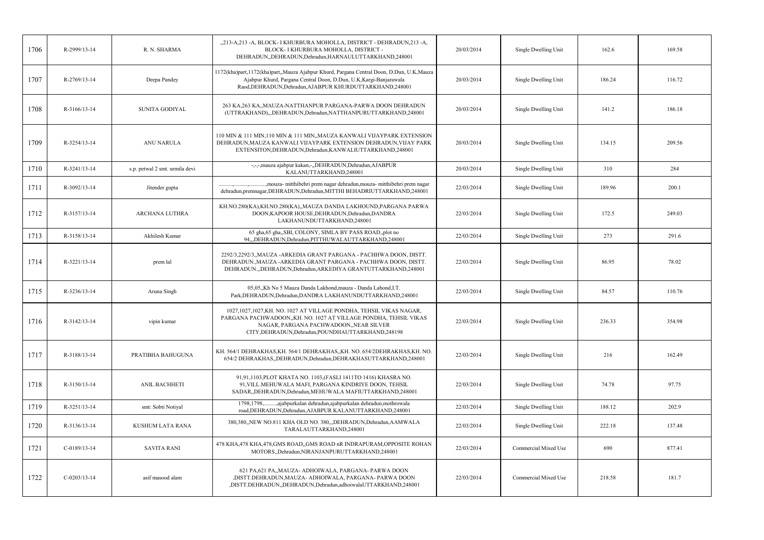| 1706 | R-2999/13-14   | R. N. SHARMA                   | "213-A,213 -A, BLOCK- I KHURBURA MOHOLLA, DISTRICT - DEHRADUN,213 -A,<br>BLOCK- I KHURBURA MOHOLLA, DISTRICT -<br>DEHRADUN, DEHRADUN, Dehradun, HARNAULUTTARKHAND, 248001                                                               | 20/03/2014 | Single Dwelling Unit | 162.6  | 169.58 |
|------|----------------|--------------------------------|-----------------------------------------------------------------------------------------------------------------------------------------------------------------------------------------------------------------------------------------|------------|----------------------|--------|--------|
| 1707 | R-2769/13-14   | Deepa Pandey                   | 1172(kha)part, 1172(kha)part,,Mauza Ajabpur Khurd, Pargana Central Doon, D.Dun, U.K,Mauza<br>Ajabpur Khurd, Pargana Central Doon, D.Dun, U.K, Kargi-Banjarawala<br>Raod, DEHRADUN, Dehradun, AJABPUR KHURDUTTARKHAND, 248001            | 20/03/2014 | Single Dwelling Unit | 186.24 | 116.72 |
| 1708 | $R-3166/13-14$ | SUNITA GODIYAL                 | 263 KA,263 KA,,MAUZA-NATTHANPUR PARGANA-PARWA DOON DEHRADUN<br>(UTTRAKHAND),,,DEHRADUN,Dehradun,NATTHANPURUTTARKHAND,248001                                                                                                             | 20/03/2014 | Single Dwelling Unit | 141.2  | 186.18 |
| 1709 | R-3254/13-14   | <b>ANU NARULA</b>              | 110 MIN & 111 MIN, 110 MIN & 111 MIN, MAUZA KANWALI VIJAYPARK EXTENSION<br>DEHRADUN, MAUZA KANWALI VIJAYPARK EXTENSION DEHRADUN, VIJAY PARK<br>EXTENSITON, DEHRADUN, Dehradun, KANWALIUTTARKHAND, 248001                                | 20/03/2014 | Single Dwelling Unit | 134.15 | 209.56 |
| 1710 | R-3241/13-14   | s.p. petwal 2 smt. urmila devi | -,-,-,mauza ajabpur kakan,-,,DEHRADUN,Dehradun,AJABPUR<br>KALANUTTARKHAND,248001                                                                                                                                                        | 20/03/2014 | Single Dwelling Unit | 310    | 284    |
| 1711 | R-3092/13-14   | Jitender gupta                 | ., mouza- mitthibehri prem nagar dehradun, mouza- mitthibehri prem nagar<br>dehradun, premnagar, DEHRADUN, Dehradun, MITTHI BEHADRIUTTARKHAND, 248001                                                                                   | 22/03/2014 | Single Dwelling Unit | 189.96 | 200.1  |
| 1712 | R-3157/13-14   | ARCHANA LUTHRA                 | KH.NO.280(KA),KH.NO.280(KA),,MAUZA DANDA LAKHOUND,PARGANA PARWA<br>DOON, KAPOOR HOUSE, DEHRADUN, Dehradun, DANDRA<br>LAKHANUNDUTTARKHAND,248001                                                                                         | 22/03/2014 | Single Dwelling Unit | 172.5  | 249.03 |
| 1713 | R-3158/13-14   | Akhilesh Kumar                 | 65 gha, 65 gha, SBI, COLONY, SIMLA BY PASS ROAD, plot no<br>94,,,DEHRADUN,Dehradun,PITTHUWALAUTTARKHAND,248001                                                                                                                          | 22/03/2014 | Single Dwelling Unit | 273    | 291.6  |
| 1714 | R-3221/13-14   | prem lal                       | 2292/3,2292/3,, MAUZA - ARKEDIA GRANT PARGANA - PACHHWA DOON, DISTT.<br>DEHRADUN., MAUZA - ARKEDIA GRANT PARGANA - PACHHWA DOON, DISTT.<br>DEHRADUN., DEHRADUN, Dehradun, ARKEDIYA GRANTUTTARKHAND, 248001                              | 22/03/2014 | Single Dwelling Unit | 86.95  | 78.02  |
| 1715 | R-3236/13-14   | Aruna Singh                    | 05,05,,Kh No 5 Mauza Danda Lakhond, mauza - Danda Lahond, I.T.<br>Park, DEHRADUN, Dehradun, DANDRA LAKHANUNDUTTARKHAND, 248001                                                                                                          | 22/03/2014 | Single Dwelling Unit | 84.57  | 110.76 |
| 1716 | R-3142/13-14   | vipin kumar                    | 1027,1027,1027,KH. NO. 1027 AT VILLAGE PONDHA, TEHSIL VIKAS NAGAR,<br>PARGANA PACHWADOON,,KH. NO. 1027 AT VILLAGE PONDHA, TEHSIL VIKAS<br>NAGAR, PARGANA PACHWADOON, NEAR SILVER<br>CITY, DEHRADUN, Dehradun, POUNDHAUTTARKHAND, 248198 | 22/03/2014 | Single Dwelling Unit | 236.33 | 354.98 |
| 1717 | R-3188/13-14   | PRATIBHA BAHUGUNA              | KH. 564/1 DEHRAKHAS, KH. 564/1 DEHRAKHAS, ,KH. NO. 654/2DEHRAKHAS, KH. NO.<br>654/2 DEHRAKHAS,,DEHRADUN,Dehradun,DEHRAKHASUTTARKHAND,248001                                                                                             | 22/03/2014 | Single Dwelling Unit | 216    | 162.49 |
| 1718 | R-3150/13-14   | ANIL BACHHETI                  | 91,91,1103,PLOT KHATA NO. 1103,(FASLI 1411TO 1416) KHASRA NO.<br>91, VILL. MEHUWALA MAFI, PARGANA KINDRIYE DOON, TEHSIL<br>SADAR, DEHRADUN, Dehradun, MEHUWALA MAFIUTTARKHAND, 248001                                                   | 22/03/2014 | Single Dwelling Unit | 74.78  | 97.75  |
| 1719 | R-3251/13-14   | smt: Sobti Notiyal             | ,ajabpurkalan dehradun,ajabpurkalan dehradun,mothrowala<br>1798.1798<br>road, DEHRADUN, Dehradun, AJABPUR KALANUTTARKHAND, 248001                                                                                                       | 22/03/2014 | Single Dwelling Unit | 188.12 | 202.9  |
| 1720 | R-3136/13-14   | KUSHUM LATA RANA               | 380,380,,NEW NO.811 KHA OLD NO. 380,,,DEHRADUN,Dehradun,AAMWALA<br>TARALAUTTARKHAND,248001                                                                                                                                              | 22/03/2014 | Single Dwelling Unit | 222.18 | 137.48 |
| 1721 | $C-0189/13-14$ | <b>SAVITA RANI</b>             | 478 KHA,478 KHA,478,GMS ROAD,,GMS ROAD nR INDRAPURAM,OPPOSITE ROHAN<br>MOTORS, Dehradun, NIRANJANPURUTTARKHAND, 248001                                                                                                                  | 22/03/2014 | Commercial Mixed Use | 690    | 877.41 |
| 1722 | $C-0203/13-14$ | asif masood alam               | 621 PA,621 PA,,MAUZA- ADHOIWALA, PARGANA- PARWA DOON<br>,DISTT.DEHRADUN,MAUZA- ADHOIWALA, PARGANA- PARWA DOON<br>,DISTT.DEHRADUN,,DEHRADUN,Dehradun,adhoiwalaUTTARKHAND,248001                                                          | 22/03/2014 | Commercial Mixed Use | 218.58 | 181.7  |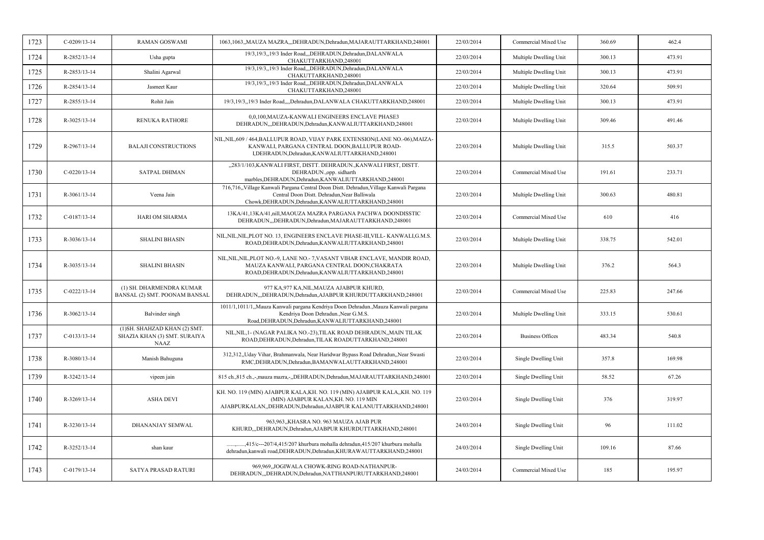| 1723 | $C-0209/13-14$ | <b>RAMAN GOSWAMI</b>                                                         | 1063,1063,,MAUZA MAZRA,,,DEHRADUN,Dehradun,MAJARAUTTARKHAND,248001                                                                                                                             | 22/03/2014 | Commercial Mixed Use    | 360.69 | 462.4  |
|------|----------------|------------------------------------------------------------------------------|------------------------------------------------------------------------------------------------------------------------------------------------------------------------------------------------|------------|-------------------------|--------|--------|
| 1724 | R-2852/13-14   | Usha gupta                                                                   | 19/3,19/3, 19/3 Inder Road,,,DEHRADUN,Dehradun,DALANWALA<br>CHAKUTTARKHAND,248001                                                                                                              | 22/03/2014 | Multiple Dwelling Unit  | 300.13 | 473.91 |
| 1725 | R-2853/13-14   | Shalini Agarwal                                                              | 19/3,19/3,,19/3 Inder Road,,,DEHRADUN,Dehradun,DALANWALA<br>CHAKUTTARKHAND,248001                                                                                                              | 22/03/2014 | Multiple Dwelling Unit  | 300.13 | 473.91 |
| 1726 | R-2854/13-14   | Jasmeet Kaur                                                                 | 19/3,19/3,,19/3 Inder Road,,,DEHRADUN,Dehradun,DALANWALA<br>CHAKUTTARKHAND,248001                                                                                                              | 22/03/2014 | Multiple Dwelling Unit  | 320.64 | 509.91 |
| 1727 | R-2855/13-14   | Rohit Jain                                                                   | 19/3,19/3,19/3 Inder Road,,,,Dehradun,DALANWALA CHAKUTTARKHAND,248001                                                                                                                          | 22/03/2014 | Multiple Dwelling Unit  | 300.13 | 473.91 |
| 1728 | R-3025/13-14   | <b>RENUKA RATHORE</b>                                                        | 0,0,100, MAUZA-KANWALI ENGINEERS ENCLAVE PHASE3<br>DEHRADUN,,DEHRADUN,Dehradun,KANWALIUTTARKHAND,248001                                                                                        | 22/03/2014 | Multiple Dwelling Unit  | 309.46 | 491.46 |
| 1729 | R-2967/13-14   | <b>BALAJI CONSTRUCTIONS</b>                                                  | NIL, NIL, 609 / 464, BALLUPUR ROAD, VIJAY PARK EXTENSION (LANE NO.-06), MAIZA-<br>KANWALI, PARGANA CENTRAL DOON, BALLUPUR ROAD-<br>I,DEHRADUN,Dehradun,KANWALIUTTARKHAND,248001                | 22/03/2014 | Multiple Dwelling Unit  | 315.5  | 503.37 |
| 1730 | $C-0220/13-14$ | <b>SATPAL DHIMAN</b>                                                         | "283/1/103, KANWALI FIRST, DISTT. DEHRADUN., KANWALI FIRST, DISTT.<br>DEHRADUN., opp. sidharth<br>marbles, DEHRADUN, Dehradun, KANWALIUTTARKHAND, 248001                                       | 22/03/2014 | Commercial Mixed Use    | 191.61 | 233.71 |
| 1731 | R-3061/13-14   | Veena Jain                                                                   | 716,716, Village Kanwali Pargana Central Doon Distt. Dehradun, Village Kanwali Pargana<br>Central Doon Distt. Dehradun, Near Balliwala<br>Chowk, DEHRADUN, Dehradun, KANWALIUTTARKHAND, 248001 | 22/03/2014 | Multiple Dwelling Unit  | 300.63 | 480.81 |
| 1732 | $C-0187/13-14$ | <b>HARI OM SHARMA</b>                                                        | 13KA/41,13KA/41, nill, MAOUZA MAZRA PARGANA PACHWA DOONDISSTIC<br>DEHRADUN, DEHRADUN, Dehradun, MAJARAUTTARKHAND, 248001                                                                       | 22/03/2014 | Commercial Mixed Use    | 610    | 416    |
| 1733 | R-3036/13-14   | <b>SHALINI BHASIN</b>                                                        | NIL, NIL, NIL, PLOT NO. 13, ENGINEERS ENCLAVE PHASE-III, VILL-KANWALI, G.M.S.<br>ROAD, DEHRADUN, Dehradun, KANWALIUTTARKHAND, 248001                                                           | 22/03/2014 | Multiple Dwelling Unit  | 338.75 | 542.01 |
| 1734 | R-3035/13-14   | <b>SHALINI BHASIN</b>                                                        | NIL, NIL, NIL, PLOT NO.-9, LANE NO.-7, VASANT VIHAR ENCLAVE, MANDIR ROAD,<br>MAUZA KANWALI, PARGANA CENTRAL DOON,CHAKRATA<br>ROAD, DEHRADUN, Dehradun, KANWALIUTTARKHAND, 248001               | 22/03/2014 | Multiple Dwelling Unit  | 376.2  | 564.3  |
| 1735 | $C-0222/13-14$ | (1) SH. DHARMENDRA KUMAR<br>BANSAL (2) SMT. POONAM BANSAL                    | 977 KA, 977 KA, NIL, MAUZA AJABPUR KHURD,<br>DEHRADUN, "DEHRADUN, Dehradun, AJABPUR KHURDUTTARKHAND, 248001                                                                                    | 22/03/2014 | Commercial Mixed Use    | 225.83 | 247.66 |
| 1736 | R-3062/13-14   | Balvinder singh                                                              | 1011/1,1011/1,,Mauza Kanwali pargana Kendriya Doon Dehradun.,Mauza Kanwali pargana<br>Kendriya Doon Dehradun., Near G.M.S.<br>Road, DEHRADUN, Dehradun, KANWALIUTTARKHAND, 248001              | 22/03/2014 | Multiple Dwelling Unit  | 333.15 | 530.61 |
| 1737 | $C-0133/13-14$ | (1) SH. SHAHZAD KHAN (2) SMT.<br>SHAZIA KHAN (3) SMT. SURAIYA<br><b>NAAZ</b> | NIL, NIL, 1- (NAGAR PALIKA NO.-23), TILAK ROAD DEHRADUN, ,MAIN TILAK<br>ROAD, DEHRADUN, Dehradun, TILAK ROADUTTARKHAND, 248001                                                                 | 22/03/2014 | <b>Business Offices</b> | 483.34 | 540.8  |
| 1738 | R-3080/13-14   | Manish Bahuguna                                                              | 312,312,,Uday Vihar, Brahmanwala, Near Haridwar Bypass Road Dehradun, Near Swasti<br>RMC, DEHRADUN, Dehradun, BAMANWALAUTTARKHAND, 248001                                                      | 22/03/2014 | Single Dwelling Unit    | 357.8  | 169.98 |
| 1739 | R-3242/13-14   | vipeen jain                                                                  | 815 ch., 815 ch., -, mauza mazra, -, DEHRADUN, Dehradun, MAJARAUTTARKHAND, 248001                                                                                                              | 22/03/2014 | Single Dwelling Unit    | 58.52  | 67.26  |
| 1740 | R-3269/13-14   | <b>ASHA DEVI</b>                                                             | KH. NO. 119 (MIN) AJABPUR KALA, KH. NO. 119 (MIN) AJABPUR KALA, KH. NO. 119<br>(MIN) AJABPUR KALAN, KH. NO. 119 MIN<br>AJABPURKALAN, DEHRADUN, Dehradun, AJABPUR KALANUTTARKHAND, 248001       | 22/03/2014 | Single Dwelling Unit    | 376    | 319.97 |
| 1741 | R-3230/13-14   | <b>DHANANJAY SEMWAL</b>                                                      | 963,963,,KHASRA NO. 963 MAUZA AJAB PUR<br>KHURD,,,DEHRADUN,Dehradun,AJABPUR KHURDUTTARKHAND,248001                                                                                             | 24/03/2014 | Single Dwelling Unit    | 96     | 111.02 |
| 1742 | R-3252/13-14   | shan kaur                                                                    | ,,415/c---207/4,415/207 khurbura mohalla dehradun,415/207 khurbura mohalla<br>dehradun, kanwali road, DEHRADUN, Dehradun, KHURAWAUTTARKHAND, 248001                                            | 24/03/2014 | Single Dwelling Unit    | 109.16 | 87.66  |
| 1743 | $C-0179/13-14$ | SATYA PRASAD RATURI                                                          | 969,969, JOGIWALA CHOWK-RING ROAD-NATHANPUR-<br>DEHRADUN, DEHRADUN, Dehradun, NATTHANPURUTTARKHAND, 248001                                                                                     | 24/03/2014 | Commercial Mixed Use    | 185    | 195.97 |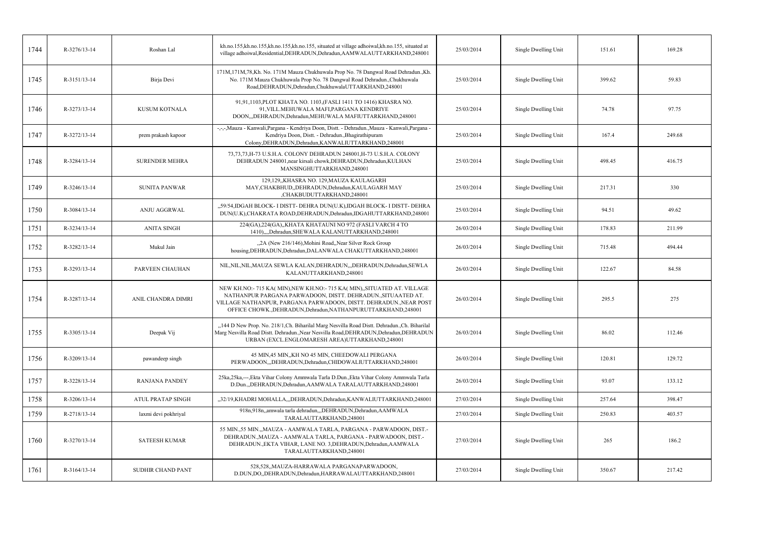| 1744 | R-3276/13-14 | Roshan Lal               | kh.no.155,kh.no.155,kh.no.155,kh.no.155, situated at village adhoiwal,kh.no.155, situated at<br>village adhoiwal, Residential, DEHRADUN, Dehradun, AAMWALAUTTARKHAND, 248001                                                                                                  | 25/03/2014 | Single Dwelling Unit | 151.61 | 169.28 |
|------|--------------|--------------------------|-------------------------------------------------------------------------------------------------------------------------------------------------------------------------------------------------------------------------------------------------------------------------------|------------|----------------------|--------|--------|
| 1745 | R-3151/13-14 | Birja Devi               | 171M, 171M, 78, Kh. No. 171M Mauza Chukhuwala Prop No. 78 Dangwal Road Dehradun., Kh.<br>No. 171M Mauza Chukhuwala Prop No. 78 Dangwal Road Dehradun., Chukhuwala<br>Road, DEHRADUN, Dehradun, ChukhuwalaUTTARKHAND, 248001                                                   | 25/03/2014 | Single Dwelling Unit | 399.62 | 59.83  |
| 1746 | R-3273/13-14 | KUSUM KOTNALA            | 91,91,1103,PLOT KHATA NO. 1103,(FASLI 1411 TO 1416) KHASRA NO.<br>91, VILL.MEHUWALA MAFI, PARGANA KENDRIYE<br>DOON,,,DEHRADUN,Dehradun,MEHUWALA MAFIUTTARKHAND,248001                                                                                                         | 25/03/2014 | Single Dwelling Unit | 74.78  | 97.75  |
| 1747 | R-3272/13-14 | prem prakash kapoor      | -,-,-,Mauza - Kanwali, Pargana - Kendriya Doon, Distt. - Dehradun., Mauza - Kanwali, Pargana -<br>Kendriya Doon, Distt. - Dehradun., Bhagirathipuram<br>Colony, DEHRADUN, Dehradun, KANWALIUTTARKHAND, 248001                                                                 | 25/03/2014 | Single Dwelling Unit | 167.4  | 249.68 |
| 1748 | R-3284/13-14 | <b>SURENDER MEHRA</b>    | 73, 73, 73, H-73 U.S.H.A. COLONY DEHRADUN 248001, H-73 U.S.H.A. COLONY<br>DEHRADUN 248001, near kirsali chowk, DEHRADUN, Dehradun, KULHAN<br>MANSINGHUTTARKHAND,248001                                                                                                        | 25/03/2014 | Single Dwelling Unit | 498.45 | 416.75 |
| 1749 | R-3246/13-14 | <b>SUNITA PANWAR</b>     | 129,129, KHASRA NO. 129, MAUZA KAULAGARH<br>MAY, CHAKBHUD, DEHRADUN, Dehradun, KAULAGARH MAY<br>,CHAKBUDUTTARKHAND,248001                                                                                                                                                     | 25/03/2014 | Single Dwelling Unit | 217.31 | 330    |
| 1750 | R-3084/13-14 | ANJU AGGRWAL             | "59/54,IDGAH BLOCK- I DISTT- DEHRA DUN(U.K),IDGAH BLOCK- I DISTT- DEHRA<br>DUN(U.K), CHAKRATA ROAD, DEHRADUN, Dehradun, IDGAHUTTARKHAND, 248001                                                                                                                               | 25/03/2014 | Single Dwelling Unit | 94.51  | 49.62  |
| 1751 | R-3234/13-14 | <b>ANITA SINGH</b>       | 224(GA), 224(GA), KHATA KHATAUNI NO 972 (FASLI VARCH 4 TO<br>1410),,,,Dehradun,SHEWALA KALANUTTARKHAND,248001                                                                                                                                                                 | 26/03/2014 | Single Dwelling Unit | 178.83 | 211.99 |
| 1752 | R-3282/13-14 | Mukul Jain               | "2A (New 216/146), Mohini Road, Near Silver Rock Group<br>housing, DEHRADUN, Dehradun, DALANWALA CHAKUTTARKHAND, 248001                                                                                                                                                       | 26/03/2014 | Single Dwelling Unit | 715.48 | 494.44 |
| 1753 | R-3293/13-14 | PARVEEN CHAUHAN          | NIL, NIL, NIL, MAUZA SEWLA KALAN, DEHRADUN, "DEHRADUN, Dehradun, SEWLA<br>KALANUTTARKHAND,248001                                                                                                                                                                              | 26/03/2014 | Single Dwelling Unit | 122.67 | 84.58  |
| 1754 | R-3287/13-14 | ANIL CHANDRA DIMRI       | NEW KH.NO:-715 KA( MIN), NEW KH.NO:-715 KA( MIN), SITUATED AT. VILLAGE<br>NATHANPUR PARGANA PARWADOON, DISTT. DEHRADUN., SITUAATED AT.<br>VILLAGE NATHANPUR, PARGANA PARWADOON, DISTT. DEHRADUN., NEAR POST<br>OFFICE CHOWK., DEHRADUN, Dehradun, NATHANPURUTTARKHAND, 248001 | 26/03/2014 | Single Dwelling Unit | 295.5  | 275    |
| 1755 | R-3305/13-14 | Deepak Vij               | "144 D New Prop. No. 218/1, Ch. Biharilal Marg Nesvilla Road Distt. Dehradun., Ch. Biharilal<br>Marg Nesvilla Road Distt. Dehradun., Near Nesvilla Road, DEHRADUN, Dehradun, DEHRADUN<br>URBAN (EXCL.ENGLOMARESH AREA)UTTARKHAND,248001                                       | 26/03/2014 | Single Dwelling Unit | 86.02  | 112.46 |
| 1756 | R-3209/13-14 | pawandeep singh          | 45 MIN, 45 MIN, KH NO 45 MIN, CHEEDOWALI PERGANA<br>PERWADOON,,,DEHRADUN,Dehradun,CHIDOWALIUTTARKHAND,248001                                                                                                                                                                  | 26/03/2014 | Single Dwelling Unit | 120.81 | 129.72 |
| 1757 | R-3228/13-14 | <b>RANJANA PANDEY</b>    | 25ka, 25ka, ---, Ekta Vihar Colony Ammwala Tarla D.Dun., Ekta Vihar Colony Ammwala Tarla<br>D.Dun.,,DEHRADUN,Dehradun,AAMWALA TARALAUTTARKHAND,248001                                                                                                                         | 26/03/2014 | Single Dwelling Unit | 93.07  | 133.12 |
| 1758 | R-3206/13-14 | <b>ATUL PRATAP SINGH</b> | "32/19, KHADRI MOHALLA, "DEHRADUN, Dehradun, KANWALIUTTARKHAND, 248001                                                                                                                                                                                                        | 27/03/2014 | Single Dwelling Unit | 257.64 | 398.47 |
| 1759 | R-2718/13-14 | laxmi devi pokhriyal     | 918n,918n,,amwala tarla dehradun,,,DEHRADUN,Dehradun,AAMWALA<br>TARALAUTTARKHAND,248001                                                                                                                                                                                       | 27/03/2014 | Single Dwelling Unit | 250.83 | 403.57 |
| 1760 | R-3270/13-14 | <b>SATEESH KUMAR</b>     | 55 MIN., 55 MIN., MAUZA - AAMWALA TARLA, PARGANA - PARWADOON, DIST.-<br>DEHRADUN., MAUZA - AAMWALA TARLA, PARGANA - PARWADOON, DIST.-<br>DEHRADUN., EKTA VIHAR, LANE NO. 3, DEHRADUN, Dehradun, AAMWALA<br>TARALAUTTARKHAND,248001                                            | 27/03/2014 | Single Dwelling Unit | 265    | 186.2  |
| 1761 | R-3164/13-14 | SUDHIR CHAND PANT        | 528,528,,MAUZA-HARRAWALA PARGANAPARWADOON,<br>D.DUN,DO,,DEHRADUN,Dehradun,HARRAWALAUTTARKHAND,248001                                                                                                                                                                          | 27/03/2014 | Single Dwelling Unit | 350.67 | 217.42 |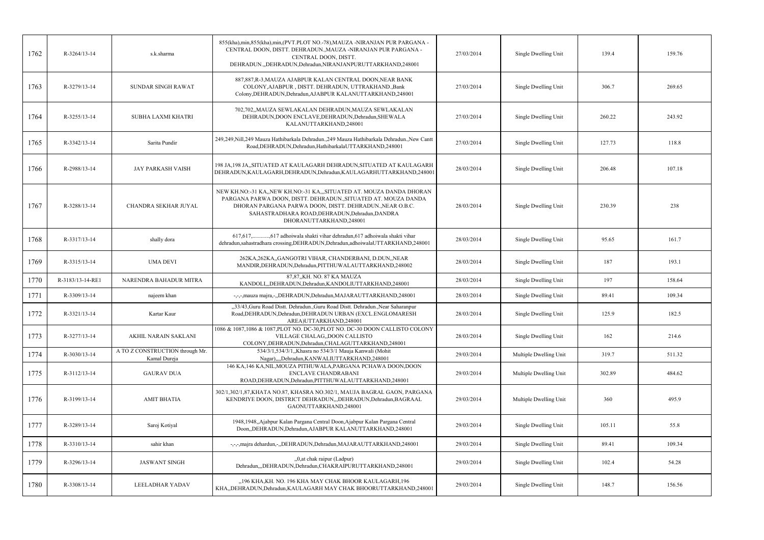| 1762 | R-3264/13-14     | s.k.sharma                                      | 855(kha),min,855(kha),min,(PVT.PLOT NO.-78),MAUZA -NIRANJAN PUR PARGANA -<br>CENTRAL DOON, DISTT. DEHRADUN., MAUZA -NIRANJAN PUR PARGANA -<br>CENTRAL DOON, DISTT.<br>DEHRADUN.,,DEHRADUN,Dehradun,NIRANJANPURUTTARKHAND,248001                                                 | 27/03/2014 | Single Dwelling Unit   | 139.4  | 159.76 |
|------|------------------|-------------------------------------------------|---------------------------------------------------------------------------------------------------------------------------------------------------------------------------------------------------------------------------------------------------------------------------------|------------|------------------------|--------|--------|
| 1763 | R-3279/13-14     | <b>SUNDAR SINGH RAWAT</b>                       | 887,887, R-3, MAUZA AJABPUR KALAN CENTRAL DOON, NEAR BANK<br>COLONY, AJABPUR, DISTT. DEHRADUN, UTTRAKHAND., Bank<br>Colony, DEHRADUN, Dehradun, AJABPUR KALANUTTARKHAND, 248001                                                                                                 | 27/03/2014 | Single Dwelling Unit   | 306.7  | 269.65 |
| 1764 | R-3255/13-14     | SUBHA LAXMI KHATRI                              | 702,702,,MAUZA SEWLAKALAN DEHRADUN,MAUZA SEWLAKALAN<br>DEHRADUN, DOON ENCLAVE, DEHRADUN, Dehradun, SHEWALA<br>KALANUTTARKHAND,248001                                                                                                                                            | 27/03/2014 | Single Dwelling Unit   | 260.22 | 243.92 |
| 1765 | R-3342/13-14     | Sarita Pundir                                   | 249,249, Nill,249 Mauza Hathibarkala Dehradun.,249 Mauza Hathibarkala Dehradun., New Cantt<br>Road, DEHRADUN, Dehradun, HathibarkalaUTTARKHAND, 248001                                                                                                                          | 27/03/2014 | Single Dwelling Unit   | 127.73 | 118.8  |
| 1766 | R-2988/13-14     | <b>JAY PARKASH VAISH</b>                        | 198 JA, 198 JA, SITUATED AT KAULAGARH DEHRADUN, SITUATED AT KAULAGARH<br>DEHRADUN, KAULAGARH, DEHRADUN, Dehradun, KAULAGARHUTTARKHAND, 248001                                                                                                                                   | 28/03/2014 | Single Dwelling Unit   | 206.48 | 107.18 |
| 1767 | R-3288/13-14     | CHANDRA SEKHAR JUYAL                            | NEW KH.NO:-31 KA,,NEW KH.NO:-31 KA,,,SITUATED AT. MOUZA DANDA DHORAN<br>PARGANA PARWA DOON, DISTT. DEHRADUN., SITUATED AT. MOUZA DANDA<br>DHORAN PARGANA PARWA DOON, DISTT. DEHRADUN., NEAR O.B.C.<br>SAHASTRADHARA ROAD, DEHRADUN, Dehradun, DANDRA<br>DHORANUTTARKHAND,248001 | 28/03/2014 | Single Dwelling Unit   | 230.39 | 238    |
| 1768 | R-3317/13-14     | shally dora                                     | dehradun,sahastradhara crossing,DEHRADUN,Dehradun,adhoiwalaUTTARKHAND,248001                                                                                                                                                                                                    | 28/03/2014 | Single Dwelling Unit   | 95.65  | 161.7  |
| 1769 | R-3315/13-14     | UMA DEVI                                        | 262KA, 262KA, GANGOTRI VIHAR, CHANDERBANI, D.DUN, NEAR<br>MANDIR, DEHRADUN, Dehradun, PITTHUWALAUTTARKHAND, 248002                                                                                                                                                              | 28/03/2014 | Single Dwelling Unit   | 187    | 193.1  |
| 1770 | R-3183/13-14-RE1 | NARENDRA BAHADUR MITRA                          | 87,87,,KH. NO. 87 KA MAUZA<br>KANDOLI,,,DEHRADUN,Dehradun,KANDOLIUTTARKHAND,248001                                                                                                                                                                                              | 28/03/2014 | Single Dwelling Unit   | 197    | 158.64 |
| 1771 | R-3309/13-14     | najeem khan                                     | -,-,-,mauza majra,-,,DEHRADUN,Dehradun,MAJARAUTTARKHAND,248001                                                                                                                                                                                                                  | 28/03/2014 | Single Dwelling Unit   | 89.41  | 109.34 |
| 1772 | R-3321/13-14     | Kartar Kaur                                     | "33/43, Guru Road Distt. Dehradun., Guru Road Distt. Dehradun., Near Saharanpur<br>Road, DEHRADUN, Dehradun, DEHRADUN URBAN (EXCL. ENGLOMARESH<br>AREA)UTTARKHAND,248001                                                                                                        | 28/03/2014 | Single Dwelling Unit   | 125.9  | 182.5  |
| 1773 | R-3277/13-14     | <b>AKHIL NARAIN SAKLANI</b>                     | 1086 & 1087,1086 & 1087, PLOT NO. DC-30, PLOT NO. DC-30 DOON CALLISTO COLONY<br>VILLAGE CHALAG, DOON CALLISTO<br>COLONY, DEHRADUN, Dehradun, CHALAGUTTARKHAND, 248001                                                                                                           | 28/03/2014 | Single Dwelling Unit   | 162    | 214.6  |
| 1774 | R-3030/13-14     | A TO Z CONSTRUCTION through Mr.<br>Kamal Dureja | 534/3/1,534/3/1, Khasra no 534/3/1 Mauja Kanwali (Mohit<br>Nagar),,,,Dehradun,KANWALIUTTARKHAND,248001                                                                                                                                                                          | 29/03/2014 | Multiple Dwelling Unit | 319.7  | 511.32 |
| 1775 | R-3112/13-14     | <b>GAURAV DUA</b>                               | 146 KA,146 KA,NIL,MOUZA PITHUWALA,PARGANA PCHAWA DOON,DOON<br>ENCLAVE CHANDRABANI<br>ROAD, DEHRADUN, Dehradun, PITTHUWALAUTTARKHAND, 248001                                                                                                                                     | 29/03/2014 | Multiple Dwelling Unit | 302.89 | 484.62 |
| 1776 | R-3199/13-14     | <b>AMIT BHATIA</b>                              | 302/1,302/1,87,KHATA NO.87, KHASRA NO.302/1, MAUJA BAGRAL GAON, PARGANA<br>KENDRIYE DOON, DISTRICT DEHRADUN,,,DEHRADUN,Dehradun,BAGRAAL<br>GAONUTTARKHAND,248001                                                                                                                | 29/03/2014 | Multiple Dwelling Unit | 360    | 495.9  |
| 1777 | R-3289/13-14     | Saroj Kotiyal                                   | 1948,1948,,Ajabpur Kalan Pargana Central Doon,Ajabpur Kalan Pargana Central<br>Doon,,DEHRADUN,Dehradun,AJABPUR KALANUTTARKHAND,248001                                                                                                                                           | 29/03/2014 | Single Dwelling Unit   | 105.11 | 55.8   |
| 1778 | R-3310/13-14     | sahir khan                                      | -,-,-,majra dehardun,-,,DEHRADUN,Dehradun,MAJARAUTTARKHAND,248001                                                                                                                                                                                                               | 29/03/2014 | Single Dwelling Unit   | 89.41  | 109.34 |
| 1779 | R-3296/13-14     | <b>JASWANT SINGH</b>                            | "0, at chak raipur (Ladpur)<br>Dehradun,,,DEHRADUN,Dehradun,CHAKRAIPURUTTARKHAND,248001                                                                                                                                                                                         | 29/03/2014 | Single Dwelling Unit   | 102.4  | 54.28  |
| 1780 | R-3308/13-14     | LEELADHAR YADAV                                 | "196 KHA,KH. NO. 196 KHA MAY CHAK BHOOR KAULAGARH,196<br>KHA,,DEHRADUN,Dehradun,KAULAGARH MAY CHAK BHOORUTTARKHAND,248001                                                                                                                                                       | 29/03/2014 | Single Dwelling Unit   | 148.7  | 156.56 |